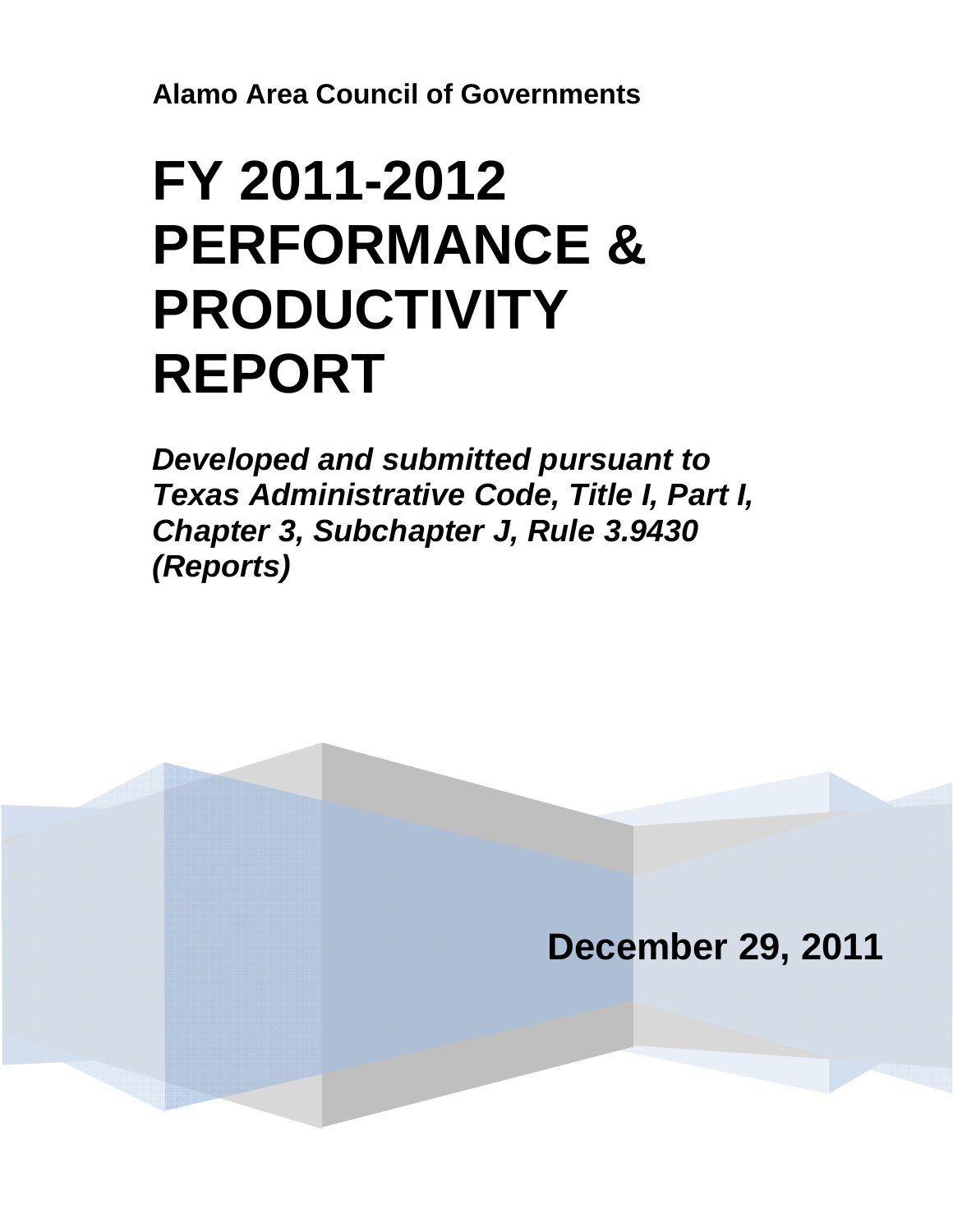**Alamo Area Council of Governments**

# **FY 2011-2012 PERFORMANCE & PRODUCTIVITY REPORT**

*Developed and submitted pursuant to Texas Administrative Code, Title I, Part I, Chapter 3, Subchapter J, Rule 3.9430 (Reports)* 

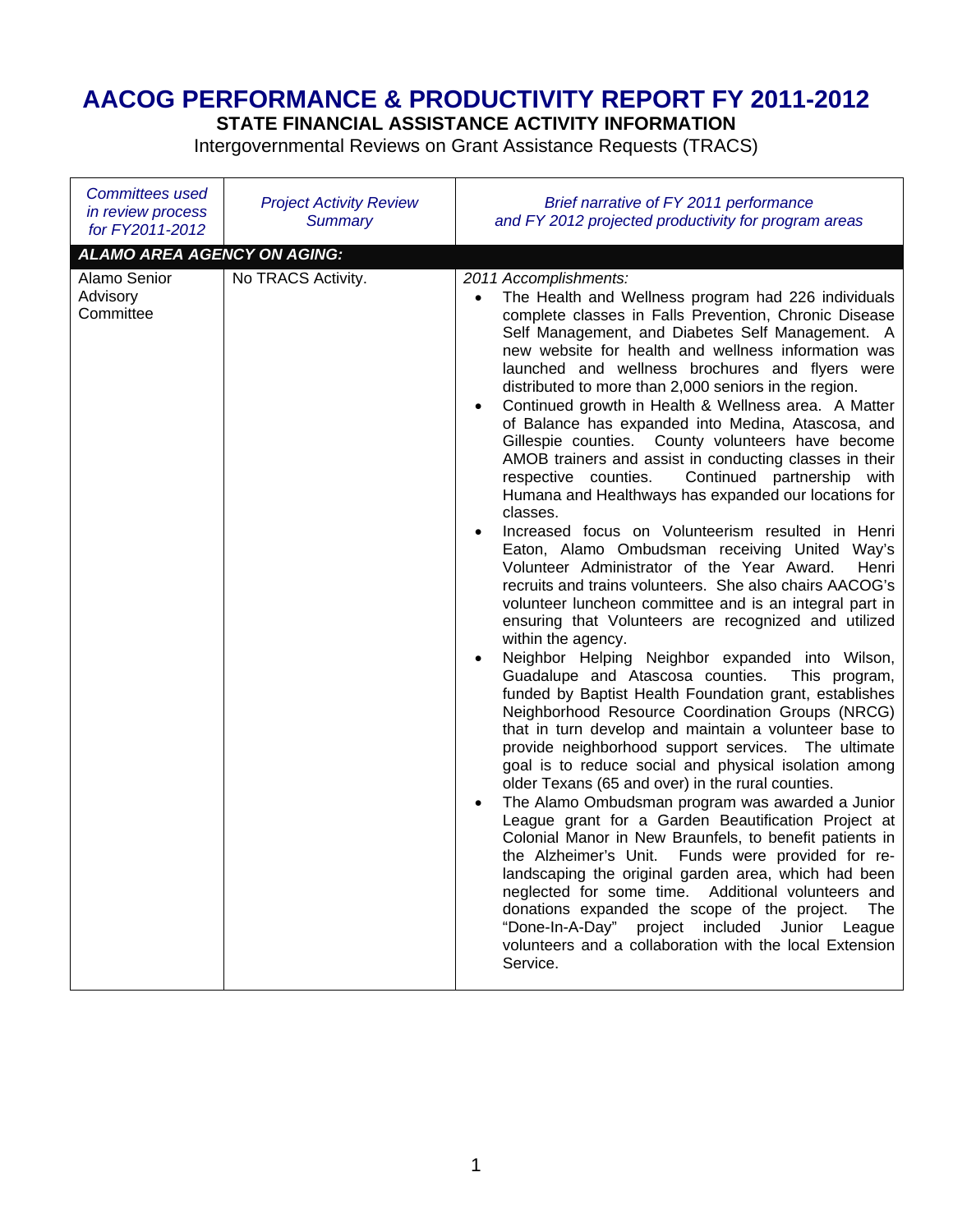# **AACOG PERFORMANCE & PRODUCTIVITY REPORT FY 2011-2012**

**STATE FINANCIAL ASSISTANCE ACTIVITY INFORMATION** 

Intergovernmental Reviews on Grant Assistance Requests (TRACS)

| <b>Committees used</b><br>in review process<br>for FY2011-2012 | <b>Project Activity Review</b><br><b>Summary</b> | Brief narrative of FY 2011 performance<br>and FY 2012 projected productivity for program areas                                                                                                                                                                                                                                                                                                                                                                                                                                                                                                                                                                                                                                                                                                                                                                                                                                                                                                                                                                                                                                                                                                                                                                                                                                                                                                                                                                                                                                                                                                                                                                                                                                                                                                                                                                                                                                                                                                                                                                                                                            |
|----------------------------------------------------------------|--------------------------------------------------|---------------------------------------------------------------------------------------------------------------------------------------------------------------------------------------------------------------------------------------------------------------------------------------------------------------------------------------------------------------------------------------------------------------------------------------------------------------------------------------------------------------------------------------------------------------------------------------------------------------------------------------------------------------------------------------------------------------------------------------------------------------------------------------------------------------------------------------------------------------------------------------------------------------------------------------------------------------------------------------------------------------------------------------------------------------------------------------------------------------------------------------------------------------------------------------------------------------------------------------------------------------------------------------------------------------------------------------------------------------------------------------------------------------------------------------------------------------------------------------------------------------------------------------------------------------------------------------------------------------------------------------------------------------------------------------------------------------------------------------------------------------------------------------------------------------------------------------------------------------------------------------------------------------------------------------------------------------------------------------------------------------------------------------------------------------------------------------------------------------------------|
| <b>ALAMO AREA AGENCY ON AGING:</b>                             |                                                  |                                                                                                                                                                                                                                                                                                                                                                                                                                                                                                                                                                                                                                                                                                                                                                                                                                                                                                                                                                                                                                                                                                                                                                                                                                                                                                                                                                                                                                                                                                                                                                                                                                                                                                                                                                                                                                                                                                                                                                                                                                                                                                                           |
| Alamo Senior<br>Advisory<br>Committee                          | No TRACS Activity.                               | 2011 Accomplishments:<br>The Health and Wellness program had 226 individuals<br>complete classes in Falls Prevention, Chronic Disease<br>Self Management, and Diabetes Self Management. A<br>new website for health and wellness information was<br>launched and wellness brochures and flyers were<br>distributed to more than 2,000 seniors in the region.<br>Continued growth in Health & Wellness area. A Matter<br>$\bullet$<br>of Balance has expanded into Medina, Atascosa, and<br>Gillespie counties. County volunteers have become<br>AMOB trainers and assist in conducting classes in their<br>respective counties.<br>Continued partnership with<br>Humana and Healthways has expanded our locations for<br>classes.<br>Increased focus on Volunteerism resulted in Henri<br>$\bullet$<br>Eaton, Alamo Ombudsman receiving United Way's<br>Volunteer Administrator of the Year Award.<br>Henri<br>recruits and trains volunteers. She also chairs AACOG's<br>volunteer luncheon committee and is an integral part in<br>ensuring that Volunteers are recognized and utilized<br>within the agency.<br>Neighbor Helping Neighbor expanded into Wilson,<br>$\bullet$<br>Guadalupe and Atascosa counties.<br>This program,<br>funded by Baptist Health Foundation grant, establishes<br>Neighborhood Resource Coordination Groups (NRCG)<br>that in turn develop and maintain a volunteer base to<br>provide neighborhood support services. The ultimate<br>goal is to reduce social and physical isolation among<br>older Texans (65 and over) in the rural counties.<br>The Alamo Ombudsman program was awarded a Junior<br>League grant for a Garden Beautification Project at<br>Colonial Manor in New Braunfels, to benefit patients in<br>the Alzheimer's Unit. Funds were provided for re-<br>landscaping the original garden area, which had been<br>neglected for some time. Additional volunteers and<br>donations expanded the scope of the project.<br><b>The</b><br>included<br>"Done-In-A-Day"<br>project<br>Junior League<br>volunteers and a collaboration with the local Extension<br>Service. |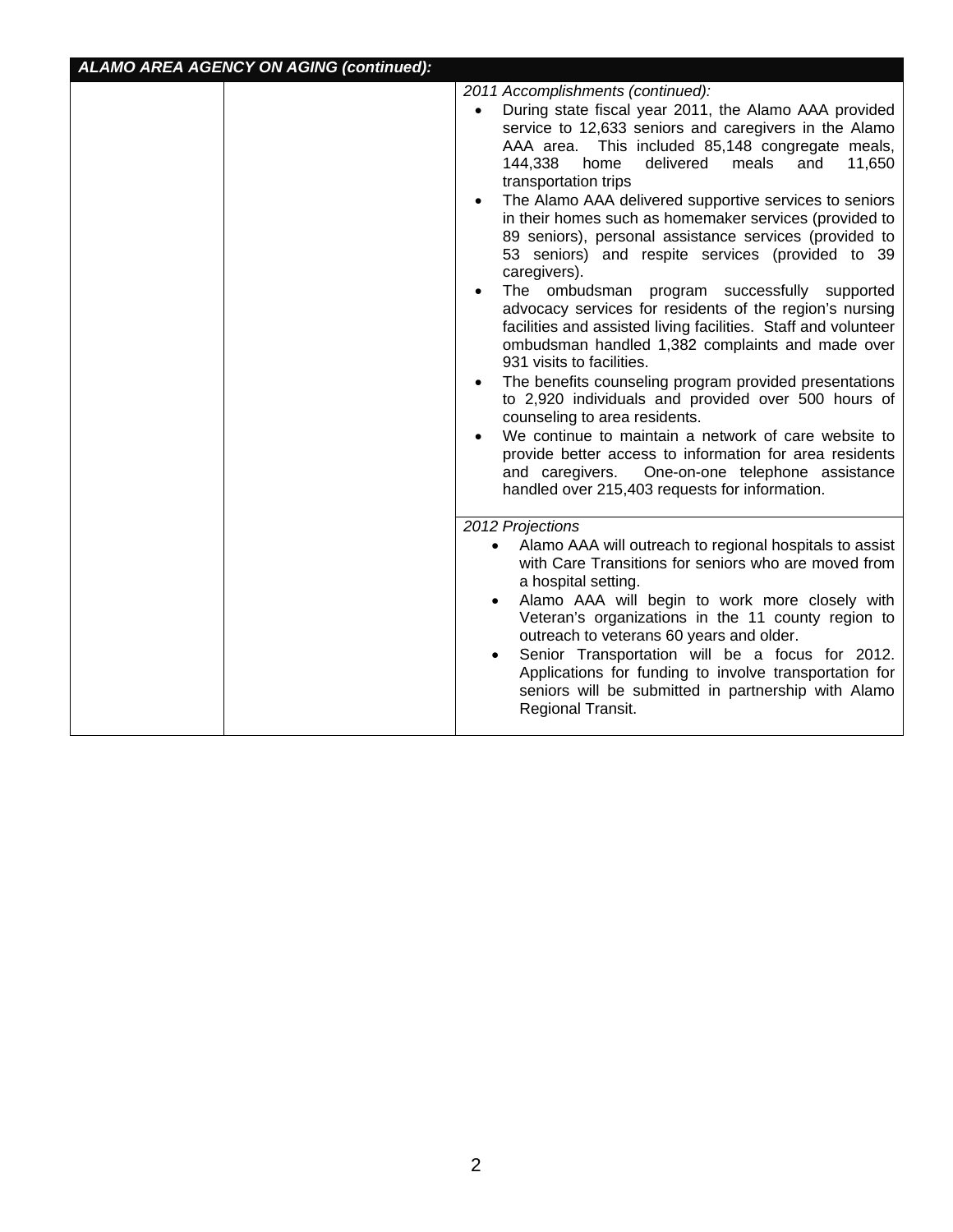| <b>ALAMO AREA AGENCY ON AGING (continued):</b> |                                                                                                                                                                                                                                                                                                                                                                                                                                                                                                                                                                                                                                                                                                                                                                                                                                                                                                                                                                                                                                                                                                                                                                                        |
|------------------------------------------------|----------------------------------------------------------------------------------------------------------------------------------------------------------------------------------------------------------------------------------------------------------------------------------------------------------------------------------------------------------------------------------------------------------------------------------------------------------------------------------------------------------------------------------------------------------------------------------------------------------------------------------------------------------------------------------------------------------------------------------------------------------------------------------------------------------------------------------------------------------------------------------------------------------------------------------------------------------------------------------------------------------------------------------------------------------------------------------------------------------------------------------------------------------------------------------------|
|                                                | 2011 Accomplishments (continued):<br>During state fiscal year 2011, the Alamo AAA provided<br>service to 12,633 seniors and caregivers in the Alamo<br>AAA area. This included 85,148 congregate meals,<br>meals<br>144,338<br>home<br>delivered<br>and<br>11,650<br>transportation trips<br>The Alamo AAA delivered supportive services to seniors<br>in their homes such as homemaker services (provided to<br>89 seniors), personal assistance services (provided to<br>53 seniors) and respite services (provided to 39<br>caregivers).<br>The ombudsman program successfully supported<br>advocacy services for residents of the region's nursing<br>facilities and assisted living facilities. Staff and volunteer<br>ombudsman handled 1,382 complaints and made over<br>931 visits to facilities.<br>The benefits counseling program provided presentations<br>to 2,920 individuals and provided over 500 hours of<br>counseling to area residents.<br>We continue to maintain a network of care website to<br>provide better access to information for area residents<br>and caregivers.<br>One-on-one telephone assistance<br>handled over 215,403 requests for information. |
|                                                | 2012 Projections<br>Alamo AAA will outreach to regional hospitals to assist<br>$\bullet$<br>with Care Transitions for seniors who are moved from<br>a hospital setting.<br>Alamo AAA will begin to work more closely with<br>$\bullet$<br>Veteran's organizations in the 11 county region to<br>outreach to veterans 60 years and older.<br>Senior Transportation will be a focus for 2012.<br>$\bullet$<br>Applications for funding to involve transportation for<br>seniors will be submitted in partnership with Alamo<br>Regional Transit.                                                                                                                                                                                                                                                                                                                                                                                                                                                                                                                                                                                                                                         |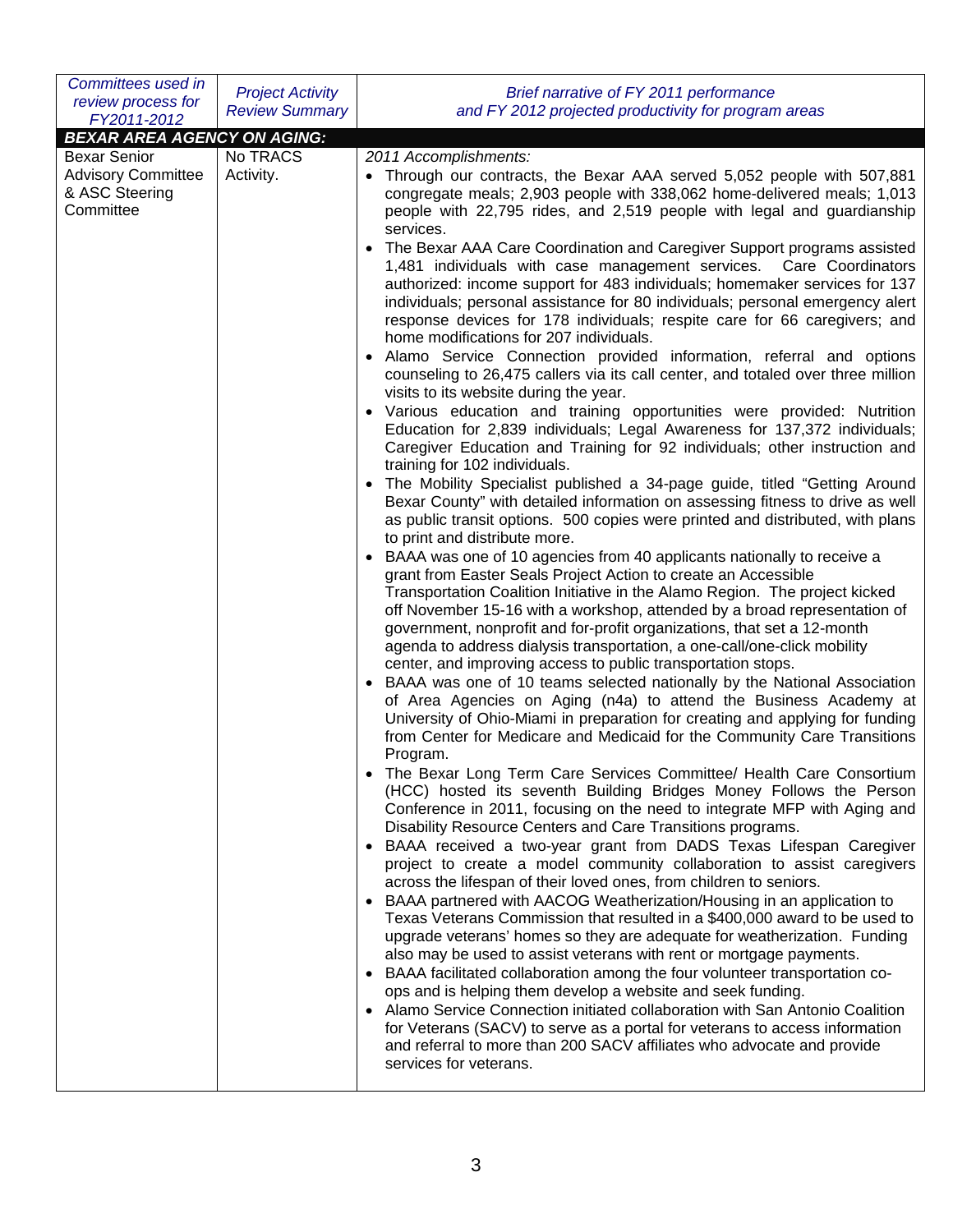| Committees used in                 | <b>Project Activity</b> | Brief narrative of FY 2011 performance                                                                                                                               |  |
|------------------------------------|-------------------------|----------------------------------------------------------------------------------------------------------------------------------------------------------------------|--|
| review process for                 | <b>Review Summary</b>   | and FY 2012 projected productivity for program areas                                                                                                                 |  |
| FY2011-2012                        |                         |                                                                                                                                                                      |  |
| <b>BEXAR AREA AGENCY ON AGING:</b> |                         |                                                                                                                                                                      |  |
| <b>Bexar Senior</b>                | No TRACS                | 2011 Accomplishments:                                                                                                                                                |  |
| <b>Advisory Committee</b>          | Activity.               | • Through our contracts, the Bexar AAA served 5,052 people with 507,881                                                                                              |  |
| & ASC Steering                     |                         | congregate meals; 2,903 people with 338,062 home-delivered meals; 1,013                                                                                              |  |
| Committee                          |                         | people with 22,795 rides, and 2,519 people with legal and guardianship                                                                                               |  |
|                                    |                         | services.                                                                                                                                                            |  |
|                                    |                         | The Bexar AAA Care Coordination and Caregiver Support programs assisted<br>$\bullet$<br>1,481 individuals with case management services. Care Coordinators           |  |
|                                    |                         | authorized: income support for 483 individuals; homemaker services for 137<br>individuals; personal assistance for 80 individuals; personal emergency alert          |  |
|                                    |                         | response devices for 178 individuals; respite care for 66 caregivers; and<br>home modifications for 207 individuals.                                                 |  |
|                                    |                         | Alamo Service Connection provided information, referral and options<br>$\bullet$<br>counseling to 26,475 callers via its call center, and totaled over three million |  |
|                                    |                         | visits to its website during the year.<br>• Various education and training opportunities were provided: Nutrition                                                    |  |
|                                    |                         | Education for 2,839 individuals; Legal Awareness for 137,372 individuals;                                                                                            |  |
|                                    |                         | Caregiver Education and Training for 92 individuals; other instruction and<br>training for 102 individuals.                                                          |  |
|                                    |                         | The Mobility Specialist published a 34-page guide, titled "Getting Around                                                                                            |  |
|                                    |                         | Bexar County" with detailed information on assessing fitness to drive as well                                                                                        |  |
|                                    |                         | as public transit options. 500 copies were printed and distributed, with plans                                                                                       |  |
|                                    |                         | to print and distribute more.                                                                                                                                        |  |
|                                    |                         | BAAA was one of 10 agencies from 40 applicants nationally to receive a<br>grant from Easter Seals Project Action to create an Accessible                             |  |
|                                    |                         | Transportation Coalition Initiative in the Alamo Region. The project kicked                                                                                          |  |
|                                    |                         | off November 15-16 with a workshop, attended by a broad representation of                                                                                            |  |
|                                    |                         | government, nonprofit and for-profit organizations, that set a 12-month                                                                                              |  |
|                                    |                         | agenda to address dialysis transportation, a one-call/one-click mobility                                                                                             |  |
|                                    |                         | center, and improving access to public transportation stops.                                                                                                         |  |
|                                    |                         | BAAA was one of 10 teams selected nationally by the National Association<br>of Area Agencies on Aging (n4a) to attend the Business Academy at                        |  |
|                                    |                         | University of Ohio-Miami in preparation for creating and applying for funding                                                                                        |  |
|                                    |                         | from Center for Medicare and Medicaid for the Community Care Transitions                                                                                             |  |
|                                    |                         | Program.<br>The Bexar Long Term Care Services Committee/ Health Care Consortium                                                                                      |  |
|                                    |                         | (HCC) hosted its seventh Building Bridges Money Follows the Person                                                                                                   |  |
|                                    |                         | Conference in 2011, focusing on the need to integrate MFP with Aging and                                                                                             |  |
|                                    |                         | Disability Resource Centers and Care Transitions programs.                                                                                                           |  |
|                                    |                         | BAAA received a two-year grant from DADS Texas Lifespan Caregiver<br>$\bullet$                                                                                       |  |
|                                    |                         | project to create a model community collaboration to assist caregivers<br>across the lifespan of their loved ones, from children to seniors.                         |  |
|                                    |                         | • BAAA partnered with AACOG Weatherization/Housing in an application to                                                                                              |  |
|                                    |                         | Texas Veterans Commission that resulted in a \$400,000 award to be used to                                                                                           |  |
|                                    |                         | upgrade veterans' homes so they are adequate for weatherization. Funding                                                                                             |  |
|                                    |                         | also may be used to assist veterans with rent or mortgage payments.                                                                                                  |  |
|                                    |                         | BAAA facilitated collaboration among the four volunteer transportation co-<br>$\bullet$<br>ops and is helping them develop a website and seek funding.               |  |
|                                    |                         | Alamo Service Connection initiated collaboration with San Antonio Coalition                                                                                          |  |
|                                    |                         | for Veterans (SACV) to serve as a portal for veterans to access information                                                                                          |  |
|                                    |                         | and referral to more than 200 SACV affiliates who advocate and provide                                                                                               |  |
|                                    |                         | services for veterans.                                                                                                                                               |  |
|                                    |                         |                                                                                                                                                                      |  |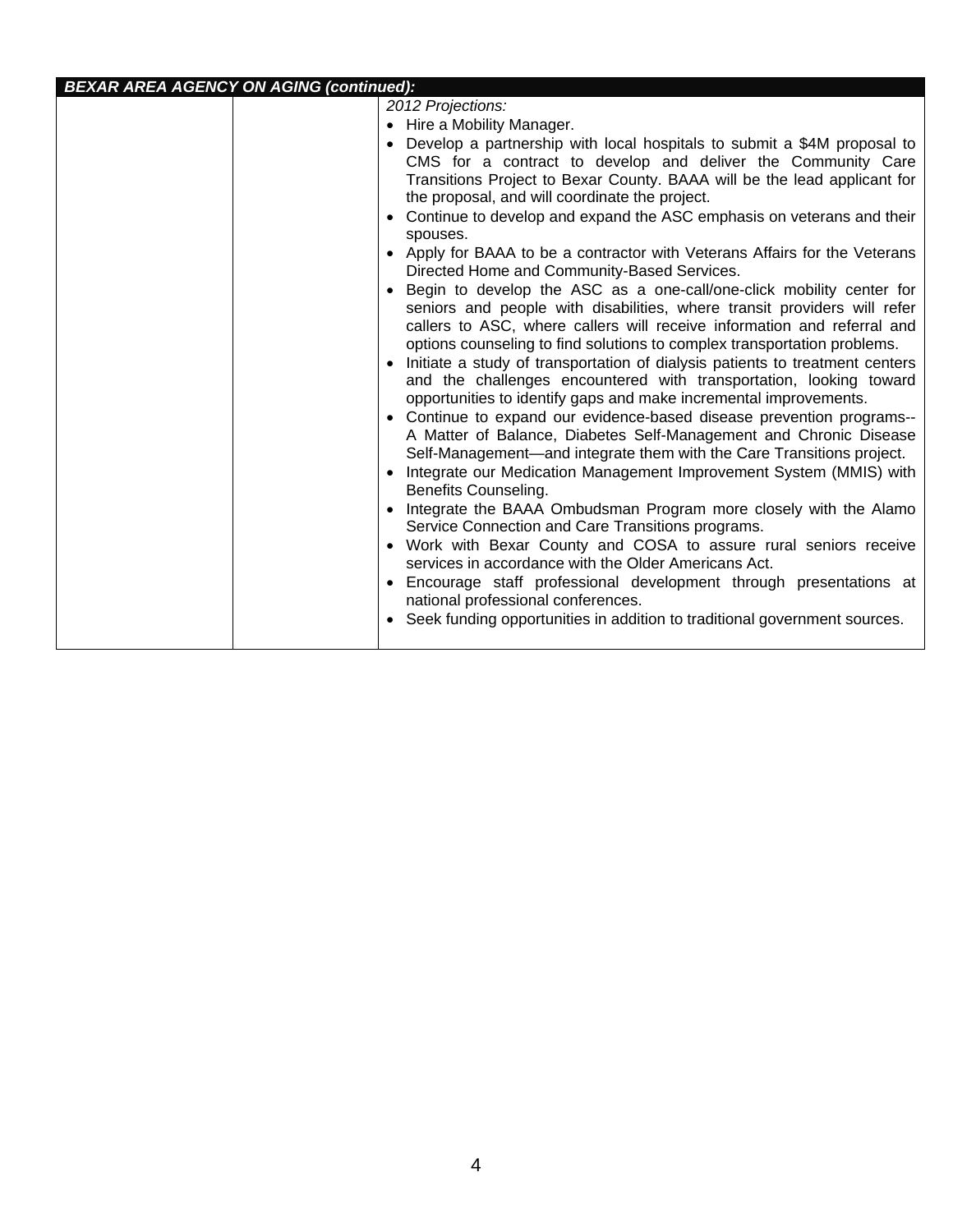# *BEXAR AREA AGENCY ON AGING (continued):*

| 2012 Projections:<br>Hire a Mobility Manager.<br>Develop a partnership with local hospitals to submit a \$4M proposal to<br>CMS for a contract to develop and deliver the Community Care<br>Transitions Project to Bexar County. BAAA will be the lead applicant for |
|----------------------------------------------------------------------------------------------------------------------------------------------------------------------------------------------------------------------------------------------------------------------|
|----------------------------------------------------------------------------------------------------------------------------------------------------------------------------------------------------------------------------------------------------------------------|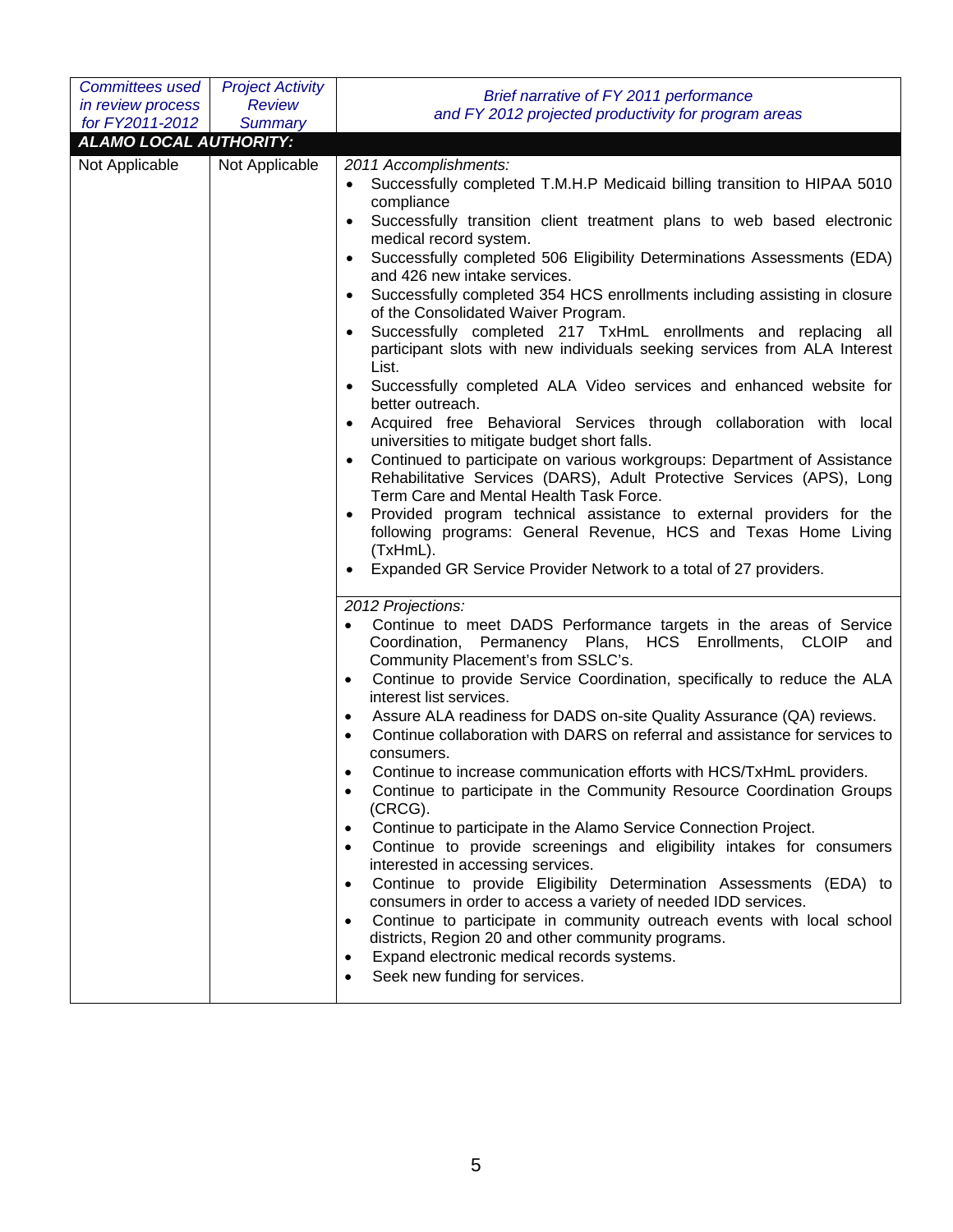| <b>Committees used</b>        | <b>Project Activity</b> | Brief narrative of FY 2011 performance                                                                                                                                                                                                                                                                                                                                                                                                                                                                                                                                                                                                                                                                                                                                                                                                                                                                                                                                                                                                                                                                                                                                                                                                                                                                                                              |  |
|-------------------------------|-------------------------|-----------------------------------------------------------------------------------------------------------------------------------------------------------------------------------------------------------------------------------------------------------------------------------------------------------------------------------------------------------------------------------------------------------------------------------------------------------------------------------------------------------------------------------------------------------------------------------------------------------------------------------------------------------------------------------------------------------------------------------------------------------------------------------------------------------------------------------------------------------------------------------------------------------------------------------------------------------------------------------------------------------------------------------------------------------------------------------------------------------------------------------------------------------------------------------------------------------------------------------------------------------------------------------------------------------------------------------------------------|--|
| in review process             | <b>Review</b>           | and FY 2012 projected productivity for program areas                                                                                                                                                                                                                                                                                                                                                                                                                                                                                                                                                                                                                                                                                                                                                                                                                                                                                                                                                                                                                                                                                                                                                                                                                                                                                                |  |
| for FY2011-2012               | <b>Summary</b>          |                                                                                                                                                                                                                                                                                                                                                                                                                                                                                                                                                                                                                                                                                                                                                                                                                                                                                                                                                                                                                                                                                                                                                                                                                                                                                                                                                     |  |
| <b>ALAMO LOCAL AUTHORITY:</b> |                         |                                                                                                                                                                                                                                                                                                                                                                                                                                                                                                                                                                                                                                                                                                                                                                                                                                                                                                                                                                                                                                                                                                                                                                                                                                                                                                                                                     |  |
| Not Applicable                | Not Applicable          | 2011 Accomplishments:<br>Successfully completed T.M.H.P Medicaid billing transition to HIPAA 5010<br>$\bullet$<br>compliance<br>Successfully transition client treatment plans to web based electronic<br>$\bullet$<br>medical record system.<br>Successfully completed 506 Eligibility Determinations Assessments (EDA)<br>$\bullet$<br>and 426 new intake services.<br>Successfully completed 354 HCS enrollments including assisting in closure<br>$\bullet$<br>of the Consolidated Waiver Program.<br>Successfully completed 217 TxHmL enrollments and replacing all<br>$\bullet$<br>participant slots with new individuals seeking services from ALA Interest<br>List.<br>Successfully completed ALA Video services and enhanced website for<br>٠<br>better outreach.<br>Acquired free Behavioral Services through collaboration with local<br>universities to mitigate budget short falls.<br>Continued to participate on various workgroups: Department of Assistance<br>$\bullet$<br>Rehabilitative Services (DARS), Adult Protective Services (APS), Long<br>Term Care and Mental Health Task Force.<br>Provided program technical assistance to external providers for the<br>following programs: General Revenue, HCS and Texas Home Living<br>(TxHmL).<br>Expanded GR Service Provider Network to a total of 27 providers.<br>$\bullet$ |  |
|                               |                         | 2012 Projections:<br>Continue to meet DADS Performance targets in the areas of Service<br>$\bullet$<br>Coordination, Permanency Plans, HCS Enrollments, CLOIP and<br>Community Placement's from SSLC's.<br>Continue to provide Service Coordination, specifically to reduce the ALA<br>$\bullet$<br>interest list services.<br>Assure ALA readiness for DADS on-site Quality Assurance (QA) reviews.<br>$\bullet$<br>Continue collaboration with DARS on referral and assistance for services to<br>$\bullet$<br>consumers.<br>Continue to increase communication efforts with HCS/TxHmL providers.<br>Continue to participate in the Community Resource Coordination Groups<br>$\bullet$<br>(CRCG).<br>Continue to participate in the Alamo Service Connection Project.<br>$\bullet$<br>Continue to provide screenings and eligibility intakes for consumers<br>$\bullet$<br>interested in accessing services.<br>Continue to provide Eligibility Determination Assessments (EDA) to<br>$\bullet$<br>consumers in order to access a variety of needed IDD services.<br>Continue to participate in community outreach events with local school<br>$\bullet$<br>districts, Region 20 and other community programs.<br>Expand electronic medical records systems.<br>$\bullet$<br>Seek new funding for services.<br>$\bullet$                         |  |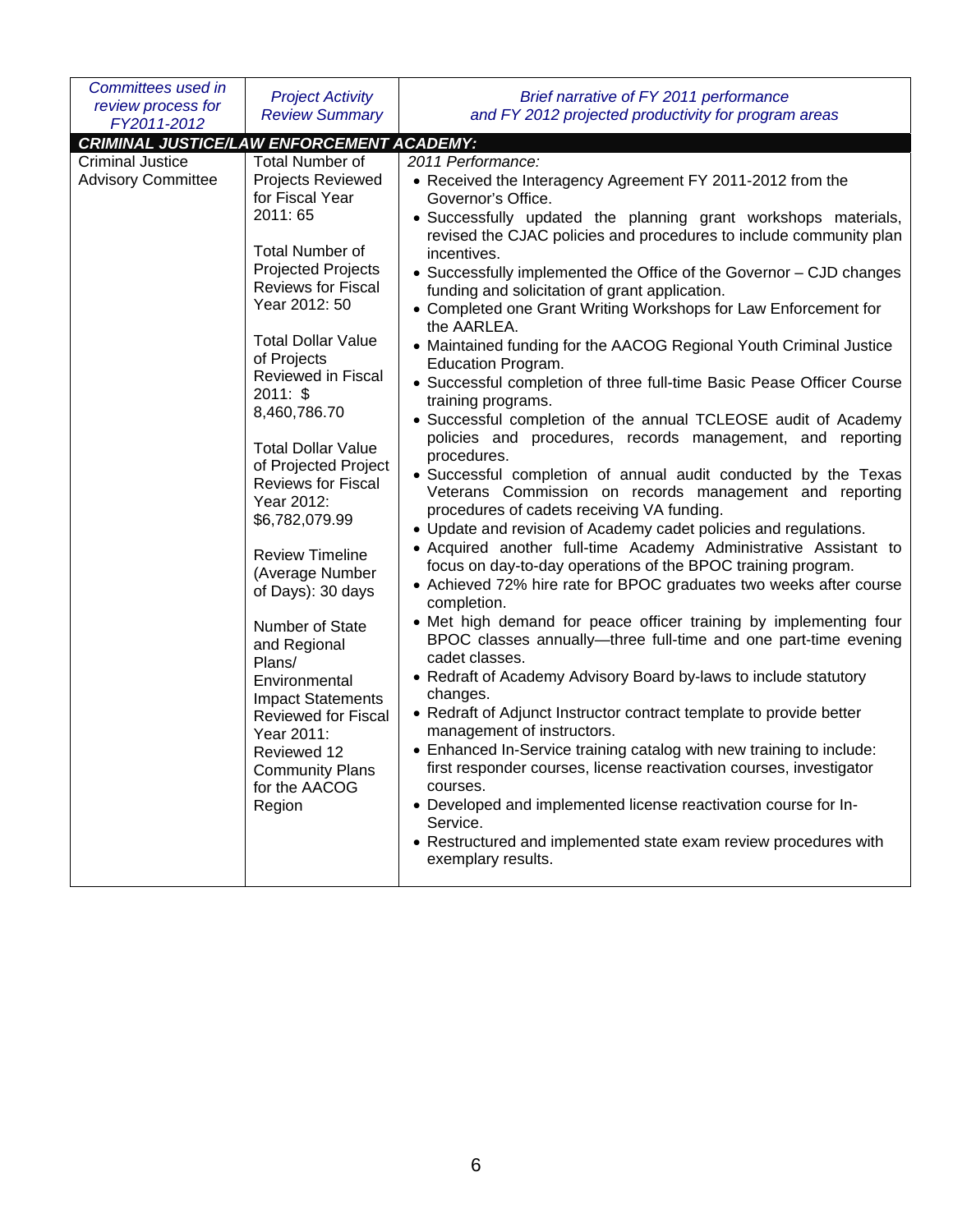| Committees used in                                                                                                                                                                                                                                                                                                                                                                                                                      | <b>Project Activity</b>                                                                                                                                                                                                                                                                                                                                                                                                                                                                    | Brief narrative of FY 2011 performance                                                                                                                                                                                                                                                                                                                                                                                                                                                                                                                                                                                                                                                                                                                                                                                                                                                                                                                                                                                                                                                                                                                                                                                                                                                                                                                                                                                                                                                                                                                                                                                                                                                                                                                                                                                                |
|-----------------------------------------------------------------------------------------------------------------------------------------------------------------------------------------------------------------------------------------------------------------------------------------------------------------------------------------------------------------------------------------------------------------------------------------|--------------------------------------------------------------------------------------------------------------------------------------------------------------------------------------------------------------------------------------------------------------------------------------------------------------------------------------------------------------------------------------------------------------------------------------------------------------------------------------------|---------------------------------------------------------------------------------------------------------------------------------------------------------------------------------------------------------------------------------------------------------------------------------------------------------------------------------------------------------------------------------------------------------------------------------------------------------------------------------------------------------------------------------------------------------------------------------------------------------------------------------------------------------------------------------------------------------------------------------------------------------------------------------------------------------------------------------------------------------------------------------------------------------------------------------------------------------------------------------------------------------------------------------------------------------------------------------------------------------------------------------------------------------------------------------------------------------------------------------------------------------------------------------------------------------------------------------------------------------------------------------------------------------------------------------------------------------------------------------------------------------------------------------------------------------------------------------------------------------------------------------------------------------------------------------------------------------------------------------------------------------------------------------------------------------------------------------------|
| review process for<br>FY2011-2012                                                                                                                                                                                                                                                                                                                                                                                                       | <b>Review Summary</b>                                                                                                                                                                                                                                                                                                                                                                                                                                                                      | and FY 2012 projected productivity for program areas                                                                                                                                                                                                                                                                                                                                                                                                                                                                                                                                                                                                                                                                                                                                                                                                                                                                                                                                                                                                                                                                                                                                                                                                                                                                                                                                                                                                                                                                                                                                                                                                                                                                                                                                                                                  |
|                                                                                                                                                                                                                                                                                                                                                                                                                                         |                                                                                                                                                                                                                                                                                                                                                                                                                                                                                            |                                                                                                                                                                                                                                                                                                                                                                                                                                                                                                                                                                                                                                                                                                                                                                                                                                                                                                                                                                                                                                                                                                                                                                                                                                                                                                                                                                                                                                                                                                                                                                                                                                                                                                                                                                                                                                       |
| <b>CRIMINAL JUSTICE/LAW ENFORCEMENT ACADEMY:</b><br><b>Criminal Justice</b><br><b>Total Number of</b><br><b>Advisory Committee</b><br>for Fiscal Year<br>2011: 65<br><b>Total Number of</b><br>Year 2012: 50<br>of Projects<br>2011: \$<br>8,460,786.70<br>Year 2012:<br>\$6,782,079.99<br><b>Review Timeline</b><br>Number of State<br>and Regional<br>Plans/<br>Environmental<br>Year 2011:<br>Reviewed 12<br>for the AACOG<br>Region | 2011 Performance:<br><b>Projects Reviewed</b><br>incentives.<br><b>Projected Projects</b><br><b>Reviews for Fiscal</b><br>the AARLEA.<br><b>Total Dollar Value</b><br>Reviewed in Fiscal<br><b>Total Dollar Value</b><br>procedures.<br>of Projected Project<br><b>Reviews for Fiscal</b><br>(Average Number<br>of Days): 30 days<br>completion.<br>cadet classes.<br>changes.<br><b>Impact Statements</b><br><b>Reviewed for Fiscal</b><br><b>Community Plans</b><br>courses.<br>Service. | • Received the Interagency Agreement FY 2011-2012 from the<br>Governor's Office.<br>· Successfully updated the planning grant workshops materials,<br>revised the CJAC policies and procedures to include community plan<br>• Successfully implemented the Office of the Governor - CJD changes<br>funding and solicitation of grant application.<br>• Completed one Grant Writing Workshops for Law Enforcement for<br>• Maintained funding for the AACOG Regional Youth Criminal Justice<br>Education Program.<br>• Successful completion of three full-time Basic Pease Officer Course<br>training programs.<br>• Successful completion of the annual TCLEOSE audit of Academy<br>policies and procedures, records management, and reporting<br>• Successful completion of annual audit conducted by the Texas<br>Veterans Commission on records management and reporting<br>procedures of cadets receiving VA funding.<br>• Update and revision of Academy cadet policies and regulations.<br>• Acquired another full-time Academy Administrative Assistant to<br>focus on day-to-day operations of the BPOC training program.<br>• Achieved 72% hire rate for BPOC graduates two weeks after course<br>• Met high demand for peace officer training by implementing four<br>BPOC classes annually-three full-time and one part-time evening<br>• Redraft of Academy Advisory Board by-laws to include statutory<br>• Redraft of Adjunct Instructor contract template to provide better<br>management of instructors.<br>• Enhanced In-Service training catalog with new training to include:<br>first responder courses, license reactivation courses, investigator<br>• Developed and implemented license reactivation course for In-<br>• Restructured and implemented state exam review procedures with<br>exemplary results. |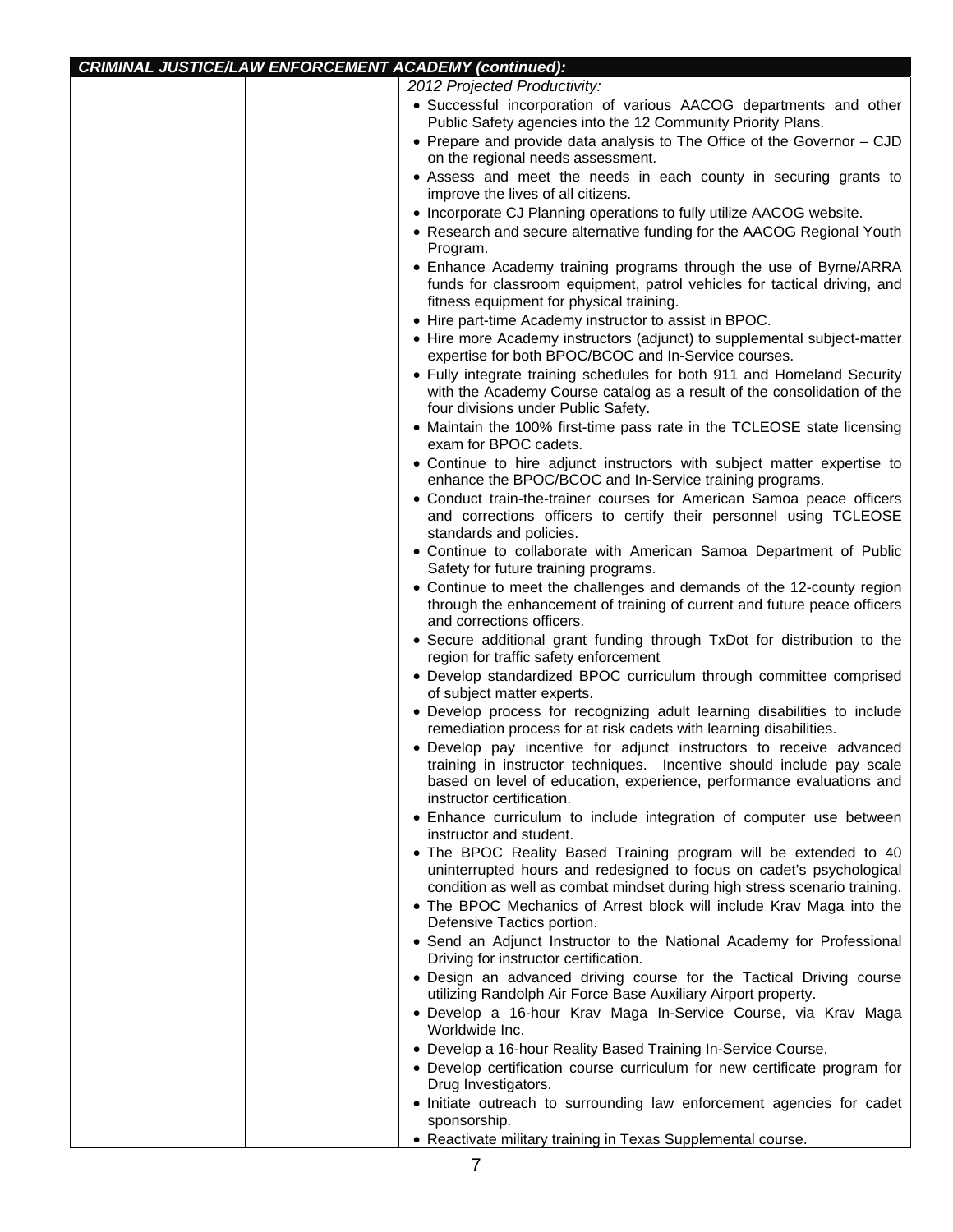| <b>CRIMINAL JUSTICE/LAW ENFORCEMENT ACADEMY (continued):</b> |                                                                                                                                                                                                                                                   |  |
|--------------------------------------------------------------|---------------------------------------------------------------------------------------------------------------------------------------------------------------------------------------------------------------------------------------------------|--|
|                                                              | 2012 Projected Productivity:                                                                                                                                                                                                                      |  |
|                                                              | · Successful incorporation of various AACOG departments and other<br>Public Safety agencies into the 12 Community Priority Plans.                                                                                                                 |  |
|                                                              | • Prepare and provide data analysis to The Office of the Governor - CJD<br>on the regional needs assessment.                                                                                                                                      |  |
|                                                              | • Assess and meet the needs in each county in securing grants to<br>improve the lives of all citizens.                                                                                                                                            |  |
|                                                              | • Incorporate CJ Planning operations to fully utilize AACOG website.                                                                                                                                                                              |  |
|                                                              | • Research and secure alternative funding for the AACOG Regional Youth<br>Program.                                                                                                                                                                |  |
|                                                              | • Enhance Academy training programs through the use of Byrne/ARRA<br>funds for classroom equipment, patrol vehicles for tactical driving, and<br>fitness equipment for physical training.                                                         |  |
|                                                              | • Hire part-time Academy instructor to assist in BPOC.                                                                                                                                                                                            |  |
|                                                              | • Hire more Academy instructors (adjunct) to supplemental subject-matter<br>expertise for both BPOC/BCOC and In-Service courses.                                                                                                                  |  |
|                                                              | • Fully integrate training schedules for both 911 and Homeland Security<br>with the Academy Course catalog as a result of the consolidation of the<br>four divisions under Public Safety.                                                         |  |
|                                                              | • Maintain the 100% first-time pass rate in the TCLEOSE state licensing<br>exam for BPOC cadets.                                                                                                                                                  |  |
|                                                              | • Continue to hire adjunct instructors with subject matter expertise to<br>enhance the BPOC/BCOC and In-Service training programs.                                                                                                                |  |
|                                                              | • Conduct train-the-trainer courses for American Samoa peace officers<br>and corrections officers to certify their personnel using TCLEOSE<br>standards and policies.                                                                             |  |
|                                                              | • Continue to collaborate with American Samoa Department of Public<br>Safety for future training programs.                                                                                                                                        |  |
|                                                              | • Continue to meet the challenges and demands of the 12-county region<br>through the enhancement of training of current and future peace officers<br>and corrections officers.                                                                    |  |
|                                                              | • Secure additional grant funding through TxDot for distribution to the<br>region for traffic safety enforcement                                                                                                                                  |  |
|                                                              | • Develop standardized BPOC curriculum through committee comprised<br>of subject matter experts.                                                                                                                                                  |  |
|                                                              | • Develop process for recognizing adult learning disabilities to include<br>remediation process for at risk cadets with learning disabilities.                                                                                                    |  |
|                                                              | · Develop pay incentive for adjunct instructors to receive advanced<br>training in instructor techniques. Incentive should include pay scale<br>based on level of education, experience, performance evaluations and<br>instructor certification. |  |
|                                                              | • Enhance curriculum to include integration of computer use between<br>instructor and student.                                                                                                                                                    |  |
|                                                              | . The BPOC Reality Based Training program will be extended to 40<br>uninterrupted hours and redesigned to focus on cadet's psychological<br>condition as well as combat mindset during high stress scenario training.                             |  |
|                                                              | • The BPOC Mechanics of Arrest block will include Krav Maga into the<br>Defensive Tactics portion.                                                                                                                                                |  |
|                                                              | • Send an Adjunct Instructor to the National Academy for Professional<br>Driving for instructor certification.                                                                                                                                    |  |
|                                                              | . Design an advanced driving course for the Tactical Driving course<br>utilizing Randolph Air Force Base Auxiliary Airport property.                                                                                                              |  |
|                                                              | · Develop a 16-hour Krav Maga In-Service Course, via Krav Maga<br>Worldwide Inc.                                                                                                                                                                  |  |
|                                                              | • Develop a 16-hour Reality Based Training In-Service Course.<br>• Develop certification course curriculum for new certificate program for<br>Drug Investigators.                                                                                 |  |
|                                                              | · Initiate outreach to surrounding law enforcement agencies for cadet<br>sponsorship.                                                                                                                                                             |  |
|                                                              | • Reactivate military training in Texas Supplemental course.                                                                                                                                                                                      |  |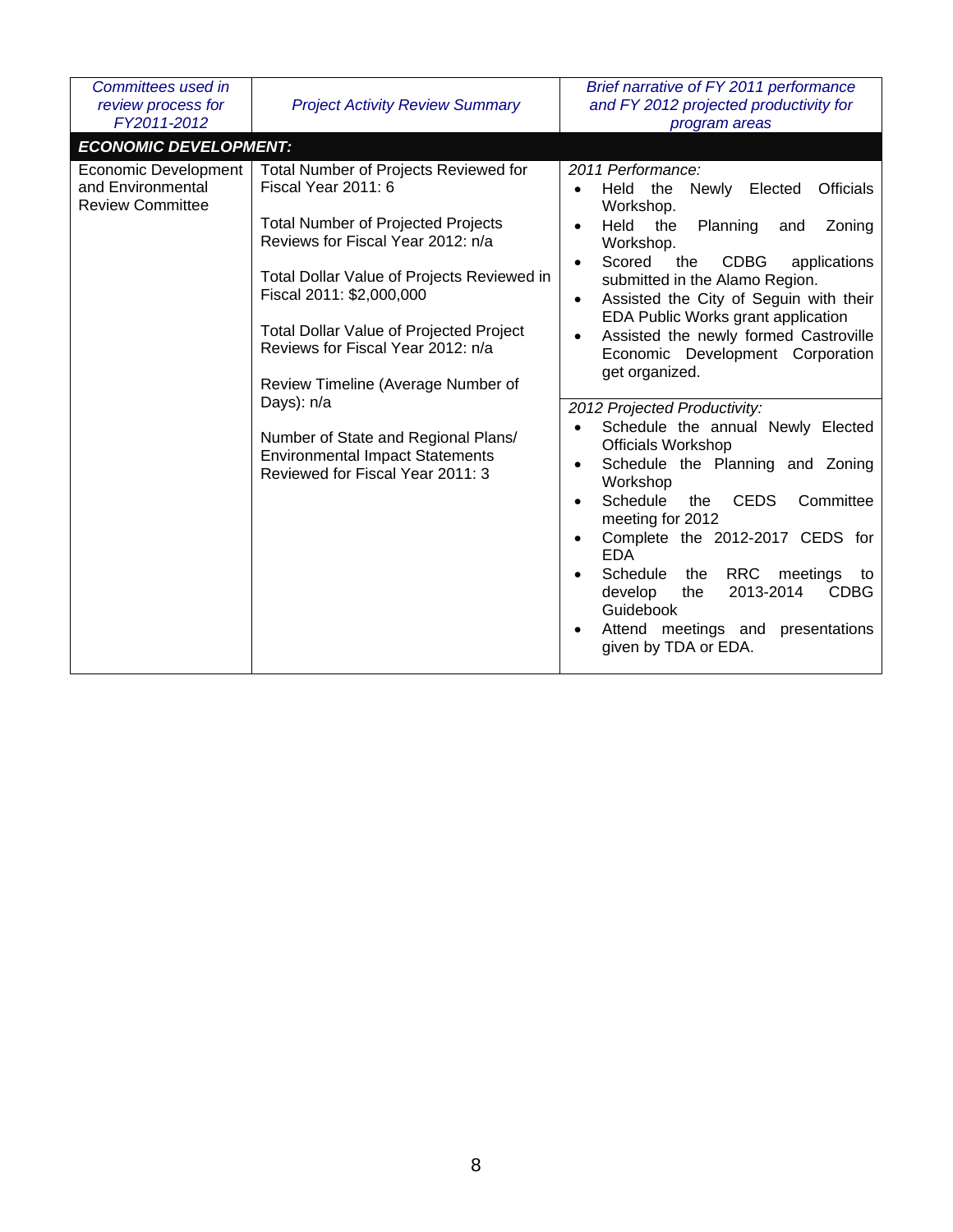| Committees used in<br>review process for<br>FY2011-2012                     | <b>Project Activity Review Summary</b>                                                                                                                                                                                                                                                                                                                                                                                                                                                   | Brief narrative of FY 2011 performance<br>and FY 2012 projected productivity for<br>program areas                                                                                                                                                                                                                                                                                                                                                                                                                                                                                                                                                                                                                                                                                                                                                                                                                                                                                                               |
|-----------------------------------------------------------------------------|------------------------------------------------------------------------------------------------------------------------------------------------------------------------------------------------------------------------------------------------------------------------------------------------------------------------------------------------------------------------------------------------------------------------------------------------------------------------------------------|-----------------------------------------------------------------------------------------------------------------------------------------------------------------------------------------------------------------------------------------------------------------------------------------------------------------------------------------------------------------------------------------------------------------------------------------------------------------------------------------------------------------------------------------------------------------------------------------------------------------------------------------------------------------------------------------------------------------------------------------------------------------------------------------------------------------------------------------------------------------------------------------------------------------------------------------------------------------------------------------------------------------|
| <b>ECONOMIC DEVELOPMENT:</b>                                                |                                                                                                                                                                                                                                                                                                                                                                                                                                                                                          |                                                                                                                                                                                                                                                                                                                                                                                                                                                                                                                                                                                                                                                                                                                                                                                                                                                                                                                                                                                                                 |
| <b>Economic Development</b><br>and Environmental<br><b>Review Committee</b> | Total Number of Projects Reviewed for<br>Fiscal Year 2011: 6<br><b>Total Number of Projected Projects</b><br>Reviews for Fiscal Year 2012: n/a<br>Total Dollar Value of Projects Reviewed in<br>Fiscal 2011: \$2,000,000<br><b>Total Dollar Value of Projected Project</b><br>Reviews for Fiscal Year 2012: n/a<br>Review Timeline (Average Number of<br>Days): n/a<br>Number of State and Regional Plans/<br><b>Environmental Impact Statements</b><br>Reviewed for Fiscal Year 2011: 3 | 2011 Performance:<br>the<br><b>Officials</b><br>Held<br>Newly<br>Elected<br>$\bullet$<br>Workshop.<br>Held<br>the<br>Planning<br>Zoning<br>and<br>$\bullet$<br>Workshop.<br>Scored<br><b>CDBG</b><br>the<br>applications<br>$\bullet$<br>submitted in the Alamo Region.<br>Assisted the City of Seguin with their<br>$\bullet$<br>EDA Public Works grant application<br>Assisted the newly formed Castroville<br>$\bullet$<br>Economic Development Corporation<br>get organized.<br>2012 Projected Productivity:<br>Schedule the annual Newly Elected<br>$\bullet$<br><b>Officials Workshop</b><br>Schedule the Planning and Zoning<br>$\bullet$<br>Workshop<br>Schedule<br><b>CEDS</b><br>Committee<br>the<br>$\bullet$<br>meeting for 2012<br>Complete the 2012-2017 CEDS for<br>$\bullet$<br><b>EDA</b><br><b>RRC</b><br>Schedule<br>the<br>meetings<br>$\bullet$<br>to<br>2013-2014<br><b>CDBG</b><br>develop<br>the<br>Guidebook<br>Attend meetings and presentations<br>$\bullet$<br>given by TDA or EDA. |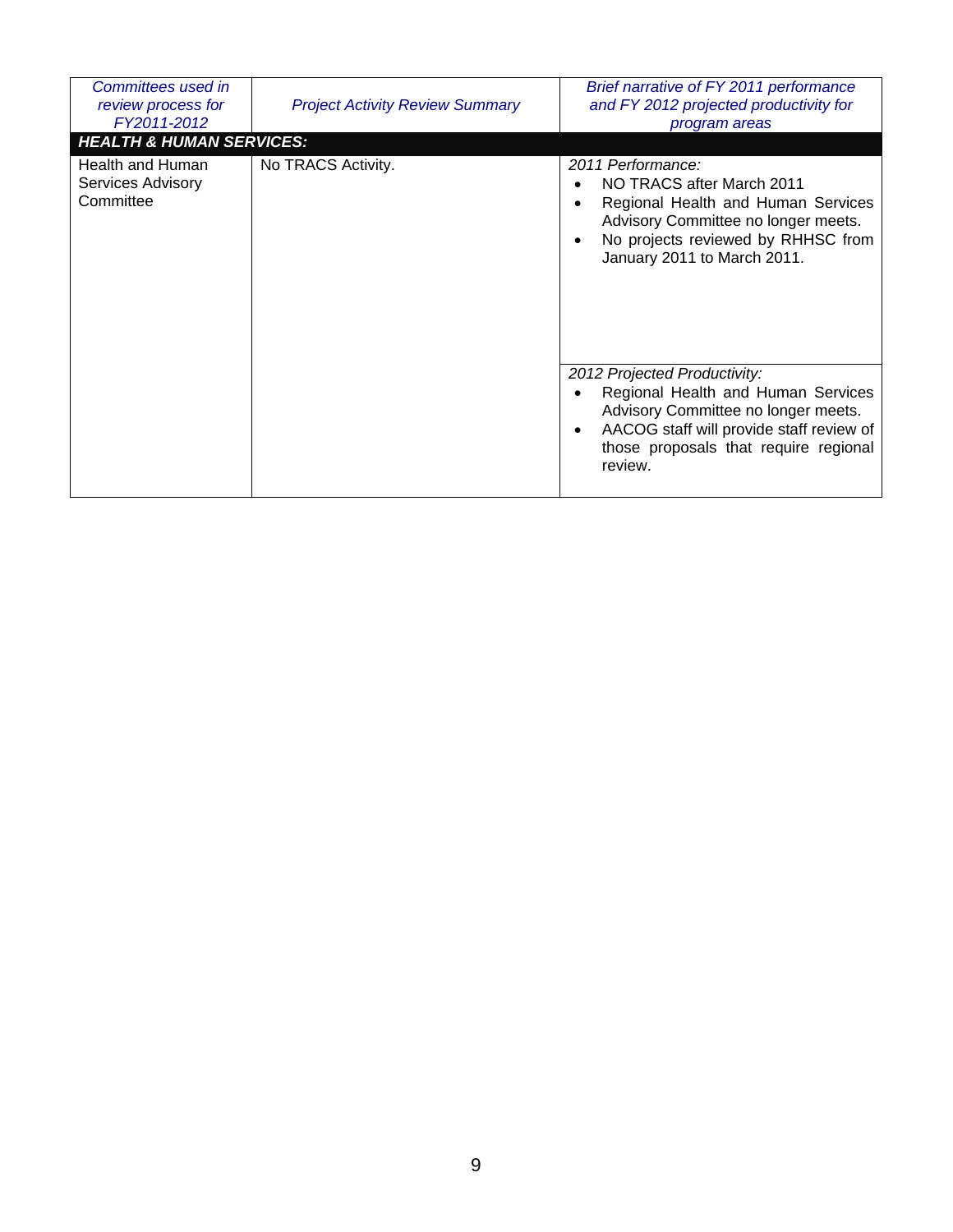| Committees used in<br>review process for<br>FY2011-2012                                   | <b>Project Activity Review Summary</b> | Brief narrative of FY 2011 performance<br>and FY 2012 projected productivity for<br>program areas                                                                                                                                       |
|-------------------------------------------------------------------------------------------|----------------------------------------|-----------------------------------------------------------------------------------------------------------------------------------------------------------------------------------------------------------------------------------------|
| <b>HEALTH &amp; HUMAN SERVICES:</b><br>Health and Human<br>Services Advisory<br>Committee | No TRACS Activity.                     | 2011 Performance:<br>NO TRACS after March 2011<br>$\bullet$<br>Regional Health and Human Services<br>$\bullet$<br>Advisory Committee no longer meets.<br>No projects reviewed by RHHSC from<br>$\bullet$<br>January 2011 to March 2011. |
|                                                                                           |                                        | 2012 Projected Productivity:<br>Regional Health and Human Services<br>$\bullet$<br>Advisory Committee no longer meets.<br>AACOG staff will provide staff review of<br>$\bullet$<br>those proposals that require regional<br>review.     |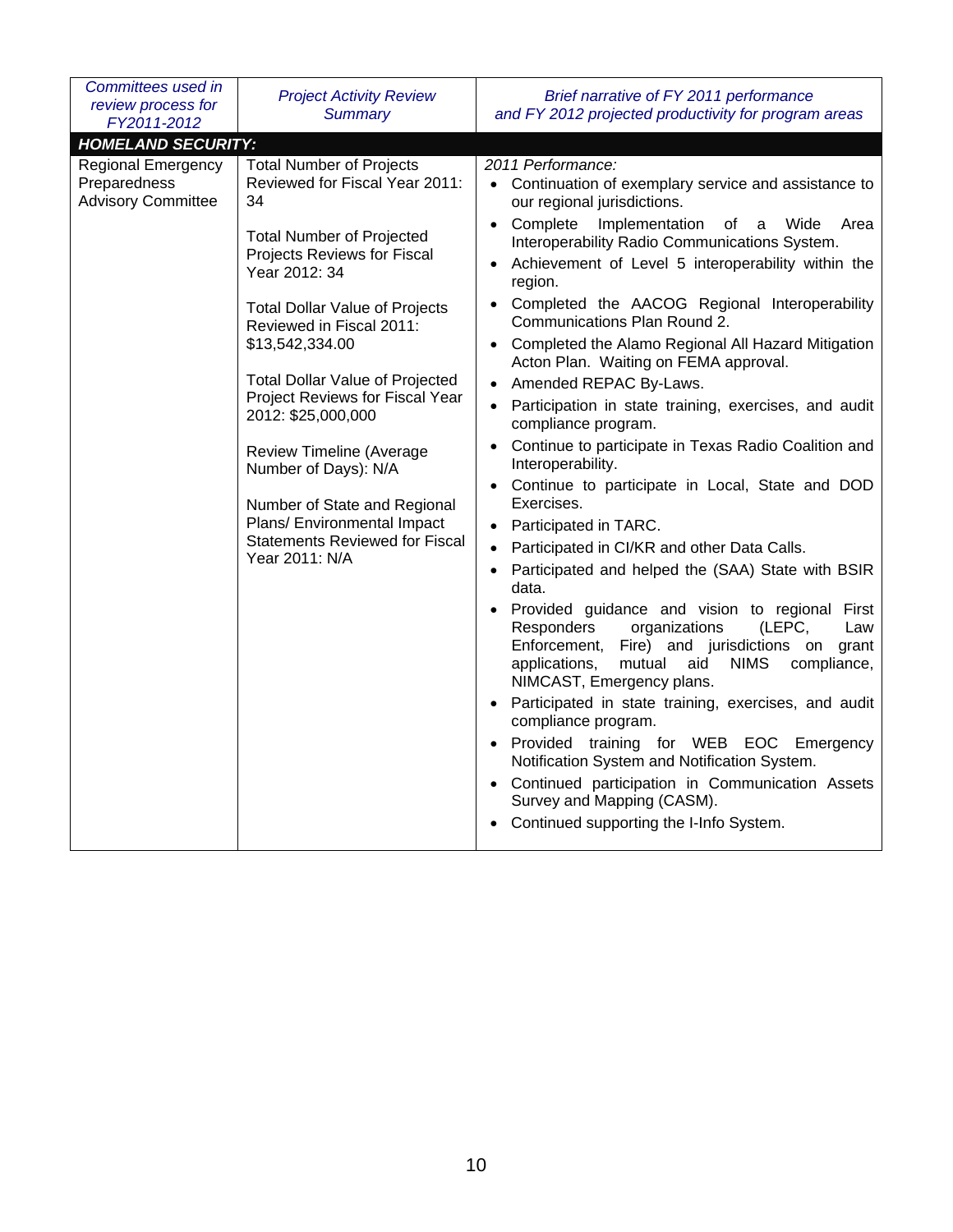| Committees used in<br>review process for<br>FY2011-2012                | <b>Project Activity Review</b><br><b>Summary</b>                                                                                                                                                                                                                                                                                                                                                                                                                                                                                            | Brief narrative of FY 2011 performance<br>and FY 2012 projected productivity for program areas                                                                                                                                                                                                                                                                                                                                                                                                                                                                                                                                                                                                                                                                                                                                                                                                                                                                                                                                                                                                                                                                                                                                                                                                                                                                                                                                                             |
|------------------------------------------------------------------------|---------------------------------------------------------------------------------------------------------------------------------------------------------------------------------------------------------------------------------------------------------------------------------------------------------------------------------------------------------------------------------------------------------------------------------------------------------------------------------------------------------------------------------------------|------------------------------------------------------------------------------------------------------------------------------------------------------------------------------------------------------------------------------------------------------------------------------------------------------------------------------------------------------------------------------------------------------------------------------------------------------------------------------------------------------------------------------------------------------------------------------------------------------------------------------------------------------------------------------------------------------------------------------------------------------------------------------------------------------------------------------------------------------------------------------------------------------------------------------------------------------------------------------------------------------------------------------------------------------------------------------------------------------------------------------------------------------------------------------------------------------------------------------------------------------------------------------------------------------------------------------------------------------------------------------------------------------------------------------------------------------------|
| <b>HOMELAND SECURITY:</b>                                              |                                                                                                                                                                                                                                                                                                                                                                                                                                                                                                                                             |                                                                                                                                                                                                                                                                                                                                                                                                                                                                                                                                                                                                                                                                                                                                                                                                                                                                                                                                                                                                                                                                                                                                                                                                                                                                                                                                                                                                                                                            |
| <b>Regional Emergency</b><br>Preparedness<br><b>Advisory Committee</b> | <b>Total Number of Projects</b><br>Reviewed for Fiscal Year 2011:<br>34<br><b>Total Number of Projected</b><br>Projects Reviews for Fiscal<br>Year 2012: 34<br><b>Total Dollar Value of Projects</b><br>Reviewed in Fiscal 2011:<br>\$13,542,334.00<br><b>Total Dollar Value of Projected</b><br>Project Reviews for Fiscal Year<br>2012: \$25,000,000<br><b>Review Timeline (Average</b><br>Number of Days): N/A<br>Number of State and Regional<br>Plans/ Environmental Impact<br><b>Statements Reviewed for Fiscal</b><br>Year 2011: N/A | 2011 Performance:<br>• Continuation of exemplary service and assistance to<br>our regional jurisdictions.<br>Complete<br>Implementation<br>of<br>Wide<br>a<br>Area<br>Interoperability Radio Communications System.<br>Achievement of Level 5 interoperability within the<br>region.<br>Completed the AACOG Regional Interoperability<br>Communications Plan Round 2.<br>Completed the Alamo Regional All Hazard Mitigation<br>Acton Plan. Waiting on FEMA approval.<br>Amended REPAC By-Laws.<br>Participation in state training, exercises, and audit<br>compliance program.<br>Continue to participate in Texas Radio Coalition and<br>Interoperability.<br>Continue to participate in Local, State and DOD<br>Exercises.<br>Participated in TARC.<br>$\bullet$<br>Participated in CI/KR and other Data Calls.<br>$\bullet$<br>Participated and helped the (SAA) State with BSIR<br>data.<br>Provided guidance and vision to regional First<br>(LEPC,<br>Responders<br>organizations<br>Law<br>Enforcement, Fire) and jurisdictions on<br>grant<br><b>NIMS</b><br>compliance,<br>applications,<br>mutual<br>aid<br>NIMCAST, Emergency plans.<br>Participated in state training, exercises, and audit<br>compliance program.<br>Provided training for WEB EOC<br>Emergency<br>Notification System and Notification System.<br>• Continued participation in Communication Assets<br>Survey and Mapping (CASM).<br>Continued supporting the I-Info System. |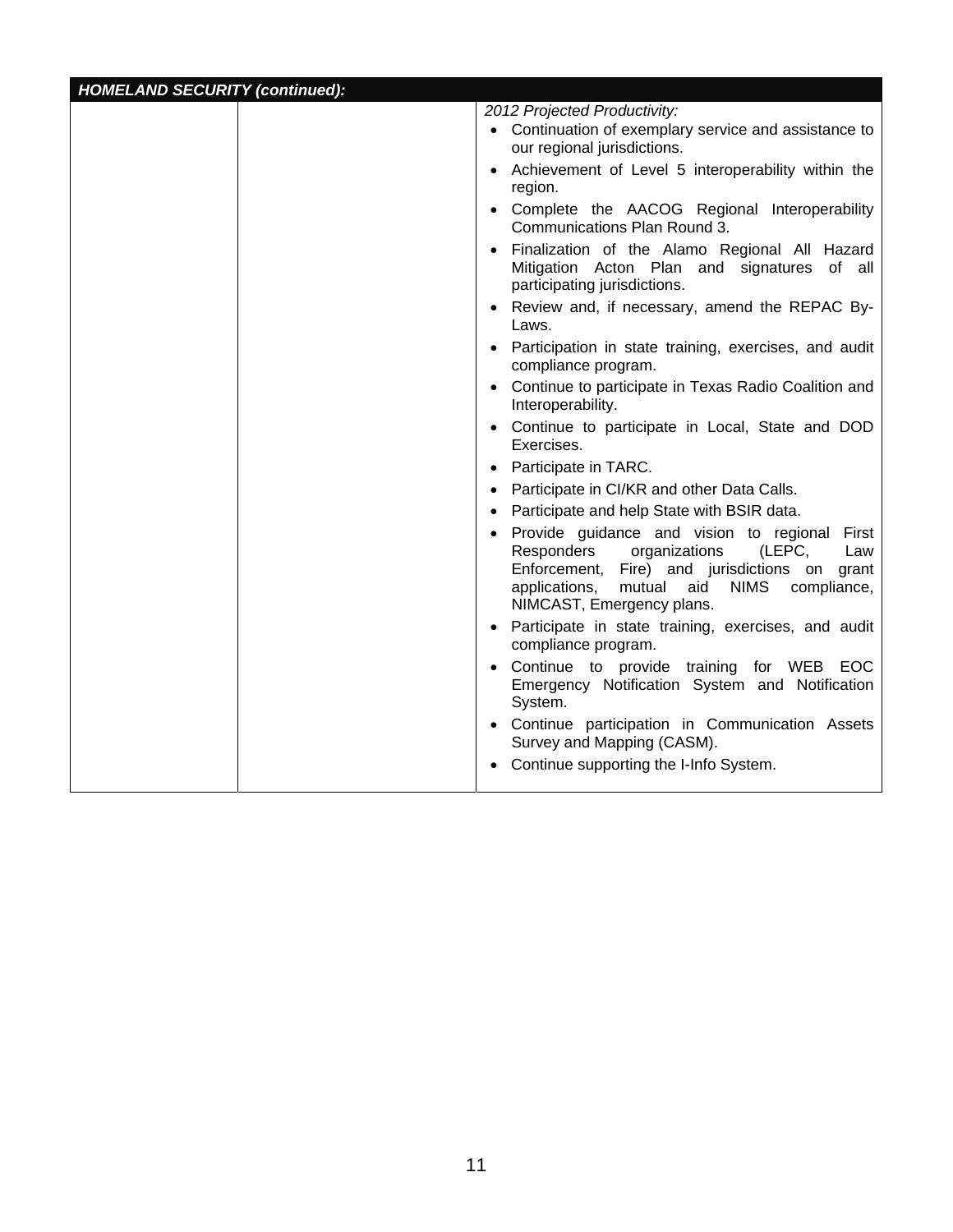| <b>HOMELAND SECURITY (continued):</b> |                                                                                                                                                                                                                                  |
|---------------------------------------|----------------------------------------------------------------------------------------------------------------------------------------------------------------------------------------------------------------------------------|
|                                       | 2012 Projected Productivity:                                                                                                                                                                                                     |
|                                       | • Continuation of exemplary service and assistance to<br>our regional jurisdictions.                                                                                                                                             |
|                                       | • Achievement of Level 5 interoperability within the<br>region.                                                                                                                                                                  |
|                                       | • Complete the AACOG Regional Interoperability<br>Communications Plan Round 3.                                                                                                                                                   |
|                                       | Finalization of the Alamo Regional All Hazard<br>Mitigation Acton Plan and signatures of all<br>participating jurisdictions.                                                                                                     |
|                                       | • Review and, if necessary, amend the REPAC By-<br>Laws.                                                                                                                                                                         |
|                                       | • Participation in state training, exercises, and audit<br>compliance program.                                                                                                                                                   |
|                                       | • Continue to participate in Texas Radio Coalition and<br>Interoperability.                                                                                                                                                      |
|                                       | • Continue to participate in Local, State and DOD<br>Exercises.                                                                                                                                                                  |
|                                       | Participate in TARC.                                                                                                                                                                                                             |
|                                       | Participate in CI/KR and other Data Calls.                                                                                                                                                                                       |
|                                       | • Participate and help State with BSIR data.                                                                                                                                                                                     |
|                                       | • Provide guidance and vision to regional First<br>Responders<br>(LEPC,<br>organizations<br>Law<br>Enforcement, Fire) and jurisdictions on grant<br>mutual<br>aid NIMS compliance,<br>applications,<br>NIMCAST, Emergency plans. |
|                                       | • Participate in state training, exercises, and audit<br>compliance program.                                                                                                                                                     |
|                                       | Continue to provide training for WEB EOC<br>Emergency Notification System and Notification<br>System.                                                                                                                            |
|                                       | Continue participation in Communication Assets<br>Survey and Mapping (CASM).                                                                                                                                                     |
|                                       | Continue supporting the I-Info System.                                                                                                                                                                                           |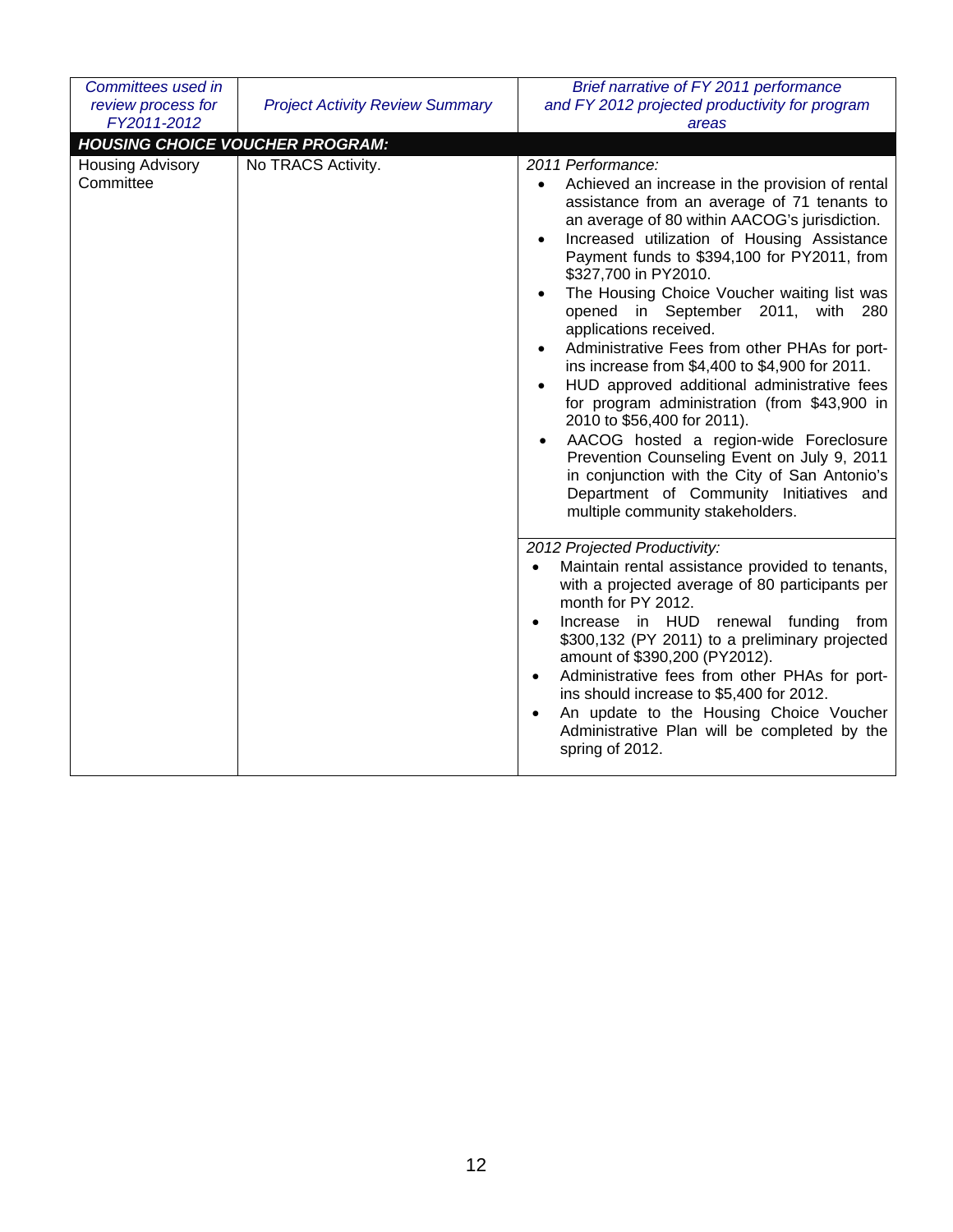| Committees used in                     |                                        | Brief narrative of FY 2011 performance                                                                                                                                                                                                                                                                                                                                                                                                                                                                                                                                                                                                                                                                                                                                                                                                                                                                                                               |
|----------------------------------------|----------------------------------------|------------------------------------------------------------------------------------------------------------------------------------------------------------------------------------------------------------------------------------------------------------------------------------------------------------------------------------------------------------------------------------------------------------------------------------------------------------------------------------------------------------------------------------------------------------------------------------------------------------------------------------------------------------------------------------------------------------------------------------------------------------------------------------------------------------------------------------------------------------------------------------------------------------------------------------------------------|
| review process for                     | <b>Project Activity Review Summary</b> | and FY 2012 projected productivity for program                                                                                                                                                                                                                                                                                                                                                                                                                                                                                                                                                                                                                                                                                                                                                                                                                                                                                                       |
| FY2011-2012                            |                                        | areas                                                                                                                                                                                                                                                                                                                                                                                                                                                                                                                                                                                                                                                                                                                                                                                                                                                                                                                                                |
| <b>HOUSING CHOICE VOUCHER PROGRAM:</b> |                                        |                                                                                                                                                                                                                                                                                                                                                                                                                                                                                                                                                                                                                                                                                                                                                                                                                                                                                                                                                      |
| <b>Housing Advisory</b><br>Committee   | No TRACS Activity.                     | 2011 Performance:<br>Achieved an increase in the provision of rental<br>$\bullet$<br>assistance from an average of 71 tenants to<br>an average of 80 within AACOG's jurisdiction.<br>Increased utilization of Housing Assistance<br>$\bullet$<br>Payment funds to \$394,100 for PY2011, from<br>\$327,700 in PY2010.<br>The Housing Choice Voucher waiting list was<br>$\bullet$<br>opened in September 2011, with<br>280<br>applications received.<br>Administrative Fees from other PHAs for port-<br>$\bullet$<br>ins increase from \$4,400 to \$4,900 for 2011.<br>HUD approved additional administrative fees<br>$\bullet$<br>for program administration (from \$43,900 in<br>2010 to \$56,400 for 2011).<br>AACOG hosted a region-wide Foreclosure<br>$\bullet$<br>Prevention Counseling Event on July 9, 2011<br>in conjunction with the City of San Antonio's<br>Department of Community Initiatives and<br>multiple community stakeholders. |
|                                        |                                        | 2012 Projected Productivity:<br>Maintain rental assistance provided to tenants,<br>$\bullet$<br>with a projected average of 80 participants per<br>month for PY 2012.<br>Increase in HUD renewal funding<br>from<br>$\bullet$<br>\$300,132 (PY 2011) to a preliminary projected<br>amount of \$390,200 (PY2012).<br>Administrative fees from other PHAs for port-<br>ins should increase to \$5,400 for 2012.<br>An update to the Housing Choice Voucher<br>Administrative Plan will be completed by the<br>spring of 2012.                                                                                                                                                                                                                                                                                                                                                                                                                          |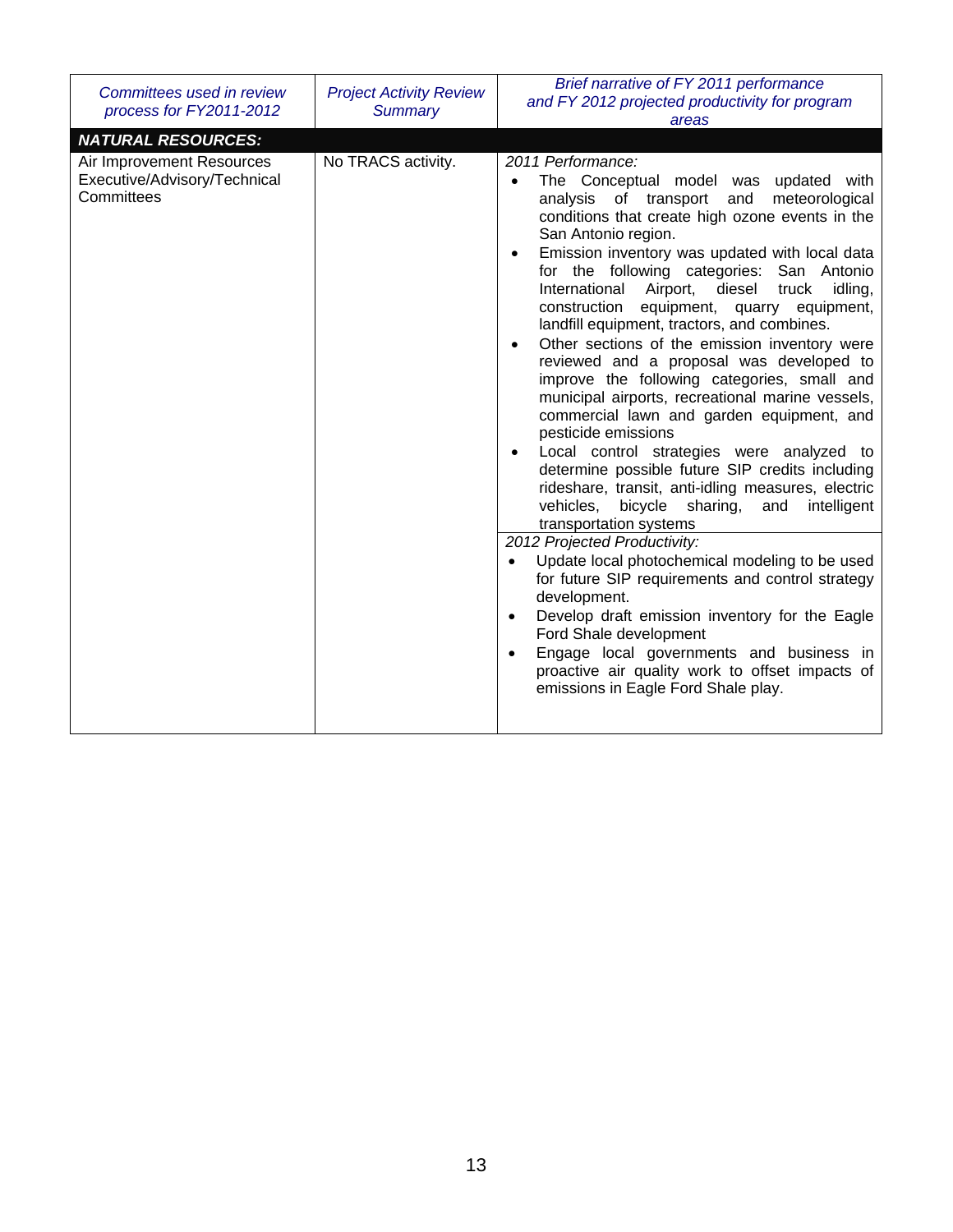| Committees used in review<br>process for FY2011-2012                    | <b>Project Activity Review</b><br><b>Summary</b> | Brief narrative of FY 2011 performance<br>and FY 2012 projected productivity for program<br>areas                                                                                                                                                                                                                                                                                                                                                                                                                                                                                                                                                                                                                                                                                                                                                                                                                                                                                                                                                                                                                                                                                                                                                                                                                                                         |
|-------------------------------------------------------------------------|--------------------------------------------------|-----------------------------------------------------------------------------------------------------------------------------------------------------------------------------------------------------------------------------------------------------------------------------------------------------------------------------------------------------------------------------------------------------------------------------------------------------------------------------------------------------------------------------------------------------------------------------------------------------------------------------------------------------------------------------------------------------------------------------------------------------------------------------------------------------------------------------------------------------------------------------------------------------------------------------------------------------------------------------------------------------------------------------------------------------------------------------------------------------------------------------------------------------------------------------------------------------------------------------------------------------------------------------------------------------------------------------------------------------------|
| <b>NATURAL RESOURCES:</b>                                               |                                                  |                                                                                                                                                                                                                                                                                                                                                                                                                                                                                                                                                                                                                                                                                                                                                                                                                                                                                                                                                                                                                                                                                                                                                                                                                                                                                                                                                           |
| Air Improvement Resources<br>Executive/Advisory/Technical<br>Committees | No TRACS activity.                               | 2011 Performance:<br>The Conceptual model was updated with<br>analysis of transport and<br>meteorological<br>conditions that create high ozone events in the<br>San Antonio region.<br>Emission inventory was updated with local data<br>for the following categories: San Antonio<br>International<br>Airport,<br>diesel<br>truck<br>idling,<br>construction equipment, quarry equipment,<br>landfill equipment, tractors, and combines.<br>Other sections of the emission inventory were<br>reviewed and a proposal was developed to<br>improve the following categories, small and<br>municipal airports, recreational marine vessels,<br>commercial lawn and garden equipment, and<br>pesticide emissions<br>Local control strategies were analyzed to<br>determine possible future SIP credits including<br>rideshare, transit, anti-idling measures, electric<br>vehicles,<br>bicycle<br>intelligent<br>sharing,<br>and<br>transportation systems<br>2012 Projected Productivity:<br>Update local photochemical modeling to be used<br>$\bullet$<br>for future SIP requirements and control strategy<br>development.<br>Develop draft emission inventory for the Eagle<br>$\bullet$<br>Ford Shale development<br>Engage local governments and business in<br>proactive air quality work to offset impacts of<br>emissions in Eagle Ford Shale play. |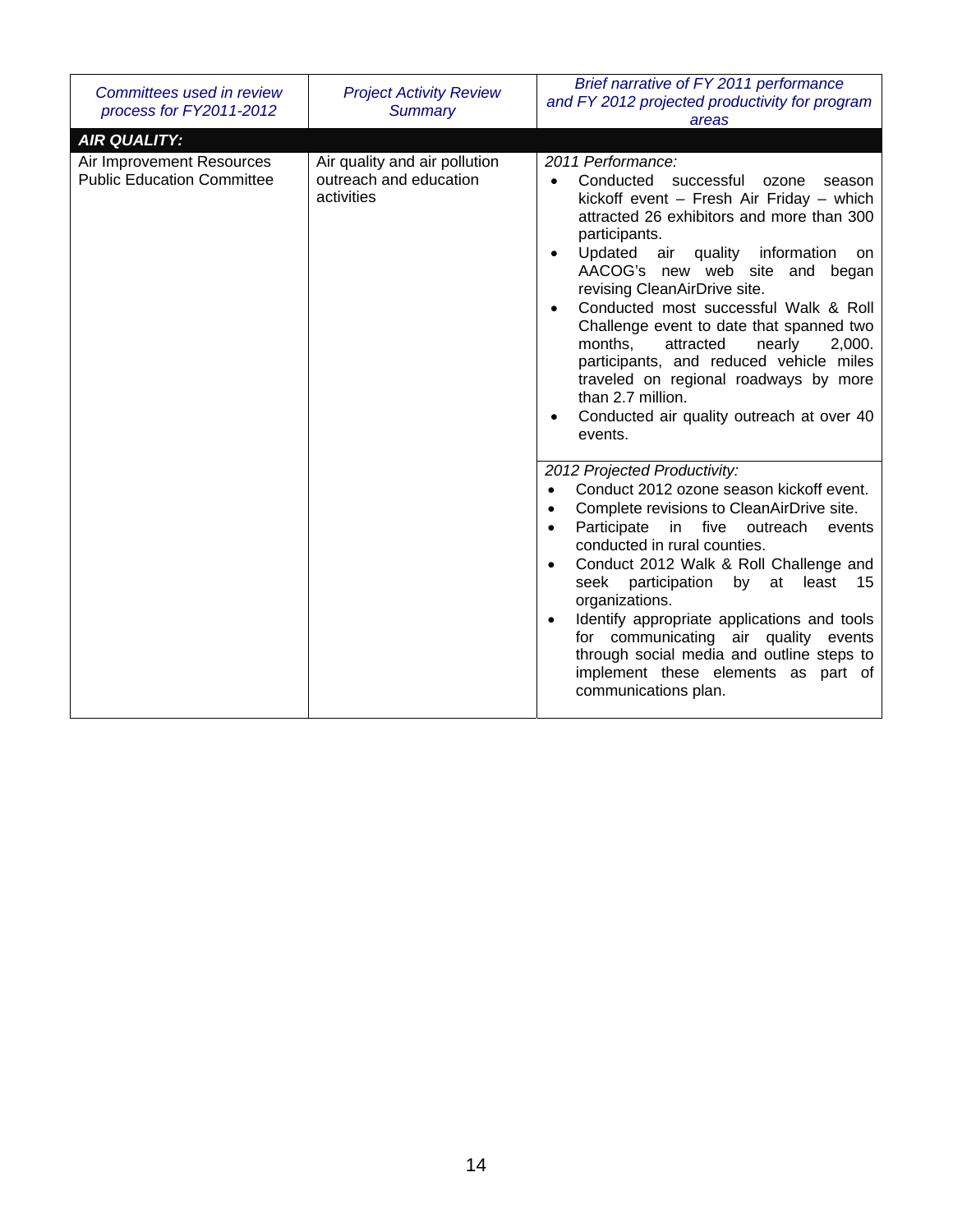| Committees used in review<br>process for FY2011-2012           | <b>Project Activity Review</b><br><b>Summary</b>                      | Brief narrative of FY 2011 performance<br>and FY 2012 projected productivity for program<br>areas                                                                                                                                                                                                                                                                                                                                                                                                                                                                                                                                              |
|----------------------------------------------------------------|-----------------------------------------------------------------------|------------------------------------------------------------------------------------------------------------------------------------------------------------------------------------------------------------------------------------------------------------------------------------------------------------------------------------------------------------------------------------------------------------------------------------------------------------------------------------------------------------------------------------------------------------------------------------------------------------------------------------------------|
| <b>AIR QUALITY:</b>                                            |                                                                       |                                                                                                                                                                                                                                                                                                                                                                                                                                                                                                                                                                                                                                                |
| Air Improvement Resources<br><b>Public Education Committee</b> | Air quality and air pollution<br>outreach and education<br>activities | 2011 Performance:<br>Conducted<br>successful<br>ozone<br>season<br>$\bullet$<br>kickoff event $-$ Fresh Air Friday $-$ which<br>attracted 26 exhibitors and more than 300<br>participants.<br>Updated air quality information<br>on<br>$\bullet$<br>AACOG's new web site and began<br>revising CleanAirDrive site.<br>Conducted most successful Walk & Roll<br>$\bullet$<br>Challenge event to date that spanned two<br>months,<br>attracted<br>nearly<br>2,000.<br>participants, and reduced vehicle miles<br>traveled on regional roadways by more<br>than 2.7 million.<br>Conducted air quality outreach at over 40<br>$\bullet$<br>events. |
|                                                                |                                                                       | 2012 Projected Productivity:<br>Conduct 2012 ozone season kickoff event.<br>$\bullet$<br>Complete revisions to CleanAirDrive site.<br>$\bullet$<br>Participate in five outreach<br>events<br>$\bullet$<br>conducted in rural counties.<br>Conduct 2012 Walk & Roll Challenge and<br>$\bullet$<br>participation<br>by at least<br>seek<br>- 15<br>organizations.<br>Identify appropriate applications and tools<br>$\bullet$<br>for communicating air quality events<br>through social media and outline steps to<br>implement these elements as part of<br>communications plan.                                                                |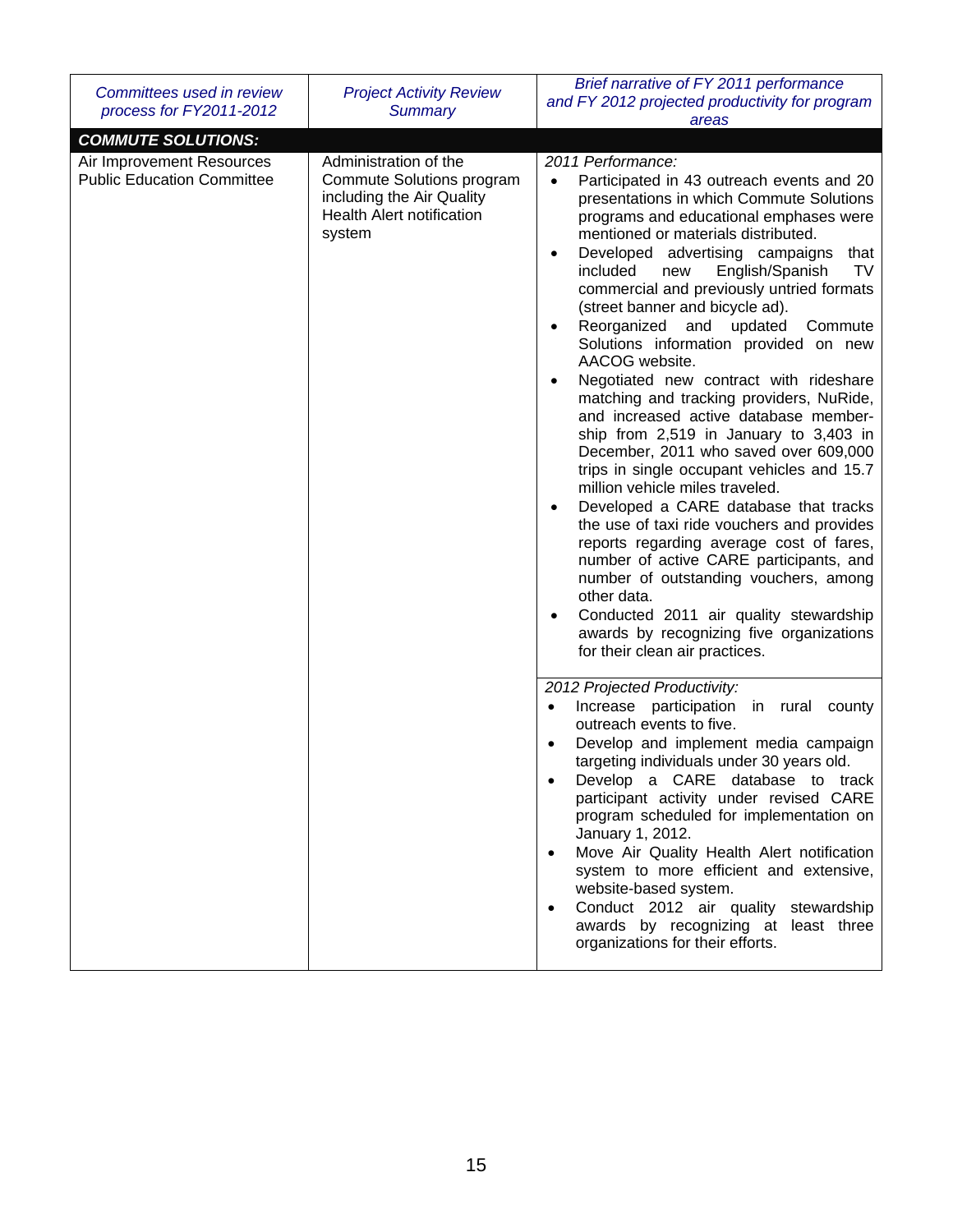| Committees used in review<br>process for FY2011-2012           | <b>Project Activity Review</b><br><b>Summary</b>                                                                              | Brief narrative of FY 2011 performance<br>and FY 2012 projected productivity for program<br>areas                                                                                                                                                                                                                                                                                                                                                                                                                                                                                                                                                                                                                                                                                                                                                                                                                                                                                                                                                                                                                                                                                                                  |
|----------------------------------------------------------------|-------------------------------------------------------------------------------------------------------------------------------|--------------------------------------------------------------------------------------------------------------------------------------------------------------------------------------------------------------------------------------------------------------------------------------------------------------------------------------------------------------------------------------------------------------------------------------------------------------------------------------------------------------------------------------------------------------------------------------------------------------------------------------------------------------------------------------------------------------------------------------------------------------------------------------------------------------------------------------------------------------------------------------------------------------------------------------------------------------------------------------------------------------------------------------------------------------------------------------------------------------------------------------------------------------------------------------------------------------------|
| <b>COMMUTE SOLUTIONS:</b>                                      |                                                                                                                               |                                                                                                                                                                                                                                                                                                                                                                                                                                                                                                                                                                                                                                                                                                                                                                                                                                                                                                                                                                                                                                                                                                                                                                                                                    |
| Air Improvement Resources<br><b>Public Education Committee</b> | Administration of the<br>Commute Solutions program<br>including the Air Quality<br><b>Health Alert notification</b><br>system | 2011 Performance:<br>Participated in 43 outreach events and 20<br>$\bullet$<br>presentations in which Commute Solutions<br>programs and educational emphases were<br>mentioned or materials distributed.<br>Developed advertising campaigns<br>that<br>$\bullet$<br>included<br>English/Spanish<br>TV<br>new<br>commercial and previously untried formats<br>(street banner and bicycle ad).<br>Reorganized and updated<br>Commute<br>$\bullet$<br>Solutions information provided on new<br>AACOG website.<br>Negotiated new contract with rideshare<br>$\bullet$<br>matching and tracking providers, NuRide,<br>and increased active database member-<br>ship from 2,519 in January to 3,403 in<br>December, 2011 who saved over 609,000<br>trips in single occupant vehicles and 15.7<br>million vehicle miles traveled.<br>Developed a CARE database that tracks<br>$\bullet$<br>the use of taxi ride vouchers and provides<br>reports regarding average cost of fares,<br>number of active CARE participants, and<br>number of outstanding vouchers, among<br>other data.<br>Conducted 2011 air quality stewardship<br>$\bullet$<br>awards by recognizing five organizations<br>for their clean air practices. |
|                                                                |                                                                                                                               | 2012 Projected Productivity:<br>Increase participation in rural county<br>$\bullet$<br>outreach events to five.<br>Develop and implement media campaign<br>targeting individuals under 30 years old.<br>Develop a CARE database to track<br>participant activity under revised CARE<br>program scheduled for implementation on<br>January 1, 2012.<br>Move Air Quality Health Alert notification<br>system to more efficient and extensive,<br>website-based system.<br>Conduct 2012 air quality stewardship<br>$\bullet$<br>awards by recognizing at least three<br>organizations for their efforts.                                                                                                                                                                                                                                                                                                                                                                                                                                                                                                                                                                                                              |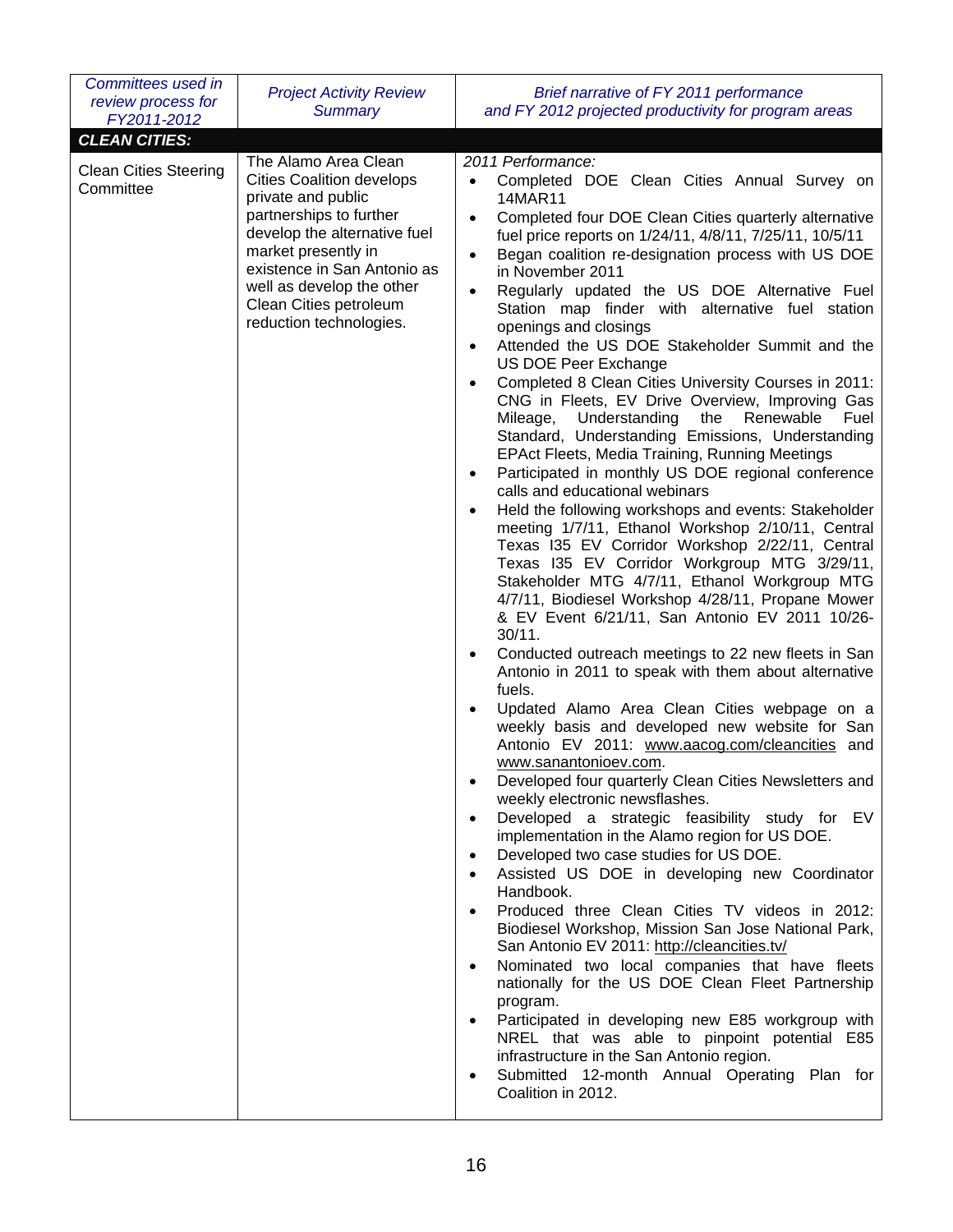| Committees used in<br>review process for<br>FY2011-2012 | <b>Project Activity Review</b><br><b>Summary</b>                                                                                                                                                                                                                                  | Brief narrative of FY 2011 performance<br>and FY 2012 projected productivity for program areas                                                                                                                                                                                                                                                                                                                                                                                                                                                                                                                                                                                                                                                                                                                                                                                                                                                                                                                                                                                                                                                                                                                                                                                                                                                                                                                                                                                                                                                                                                                                                                                                                                                                                                                                                                                                                                                                                                                                                                                                                                                                                                                                                                                                                                                                                                                                                                                 |
|---------------------------------------------------------|-----------------------------------------------------------------------------------------------------------------------------------------------------------------------------------------------------------------------------------------------------------------------------------|--------------------------------------------------------------------------------------------------------------------------------------------------------------------------------------------------------------------------------------------------------------------------------------------------------------------------------------------------------------------------------------------------------------------------------------------------------------------------------------------------------------------------------------------------------------------------------------------------------------------------------------------------------------------------------------------------------------------------------------------------------------------------------------------------------------------------------------------------------------------------------------------------------------------------------------------------------------------------------------------------------------------------------------------------------------------------------------------------------------------------------------------------------------------------------------------------------------------------------------------------------------------------------------------------------------------------------------------------------------------------------------------------------------------------------------------------------------------------------------------------------------------------------------------------------------------------------------------------------------------------------------------------------------------------------------------------------------------------------------------------------------------------------------------------------------------------------------------------------------------------------------------------------------------------------------------------------------------------------------------------------------------------------------------------------------------------------------------------------------------------------------------------------------------------------------------------------------------------------------------------------------------------------------------------------------------------------------------------------------------------------------------------------------------------------------------------------------------------------|
| <b>CLEAN CITIES:</b>                                    |                                                                                                                                                                                                                                                                                   |                                                                                                                                                                                                                                                                                                                                                                                                                                                                                                                                                                                                                                                                                                                                                                                                                                                                                                                                                                                                                                                                                                                                                                                                                                                                                                                                                                                                                                                                                                                                                                                                                                                                                                                                                                                                                                                                                                                                                                                                                                                                                                                                                                                                                                                                                                                                                                                                                                                                                |
| <b>Clean Cities Steering</b><br>Committee               | The Alamo Area Clean<br><b>Cities Coalition develops</b><br>private and public<br>partnerships to further<br>develop the alternative fuel<br>market presently in<br>existence in San Antonio as<br>well as develop the other<br>Clean Cities petroleum<br>reduction technologies. | 2011 Performance:<br>Completed DOE Clean Cities Annual Survey on<br>$\bullet$<br>14MAR11<br>Completed four DOE Clean Cities quarterly alternative<br>$\bullet$<br>fuel price reports on 1/24/11, 4/8/11, 7/25/11, 10/5/11<br>Began coalition re-designation process with US DOE<br>$\bullet$<br>in November 2011<br>Regularly updated the US DOE Alternative Fuel<br>Station map finder with alternative fuel station<br>openings and closings<br>Attended the US DOE Stakeholder Summit and the<br>US DOE Peer Exchange<br>Completed 8 Clean Cities University Courses in 2011:<br>CNG in Fleets, EV Drive Overview, Improving Gas<br>Mileage,<br>Understanding<br>the Renewable<br>Fuel<br>Standard, Understanding Emissions, Understanding<br><b>EPAct Fleets, Media Training, Running Meetings</b><br>Participated in monthly US DOE regional conference<br>$\bullet$<br>calls and educational webinars<br>Held the following workshops and events: Stakeholder<br>$\bullet$<br>meeting 1/7/11, Ethanol Workshop 2/10/11, Central<br>Texas I35 EV Corridor Workshop 2/22/11, Central<br>Texas I35 EV Corridor Workgroup MTG 3/29/11,<br>Stakeholder MTG 4/7/11, Ethanol Workgroup MTG<br>4/7/11, Biodiesel Workshop 4/28/11, Propane Mower<br>& EV Event 6/21/11, San Antonio EV 2011 10/26-<br>30/11.<br>Conducted outreach meetings to 22 new fleets in San<br>Antonio in 2011 to speak with them about alternative<br>fuels.<br>Updated Alamo Area Clean Cities webpage on a<br>weekly basis and developed new website for San<br>Antonio EV 2011: www.aacog.com/cleancities and<br>www.sanantonioev.com.<br>Developed four quarterly Clean Cities Newsletters and<br>weekly electronic newsflashes.<br>Developed a strategic feasibility study for EV<br>$\bullet$<br>implementation in the Alamo region for US DOE.<br>Developed two case studies for US DOE.<br>Assisted US DOE in developing new Coordinator<br>$\bullet$<br>Handbook.<br>Produced three Clean Cities TV videos in 2012:<br>Biodiesel Workshop, Mission San Jose National Park,<br>San Antonio EV 2011: http://cleancities.tv/<br>Nominated two local companies that have fleets<br>$\bullet$<br>nationally for the US DOE Clean Fleet Partnership<br>program.<br>Participated in developing new E85 workgroup with<br>$\bullet$<br>NREL that was able to pinpoint potential E85<br>infrastructure in the San Antonio region.<br>Submitted 12-month Annual Operating Plan for<br>Coalition in 2012. |
|                                                         |                                                                                                                                                                                                                                                                                   |                                                                                                                                                                                                                                                                                                                                                                                                                                                                                                                                                                                                                                                                                                                                                                                                                                                                                                                                                                                                                                                                                                                                                                                                                                                                                                                                                                                                                                                                                                                                                                                                                                                                                                                                                                                                                                                                                                                                                                                                                                                                                                                                                                                                                                                                                                                                                                                                                                                                                |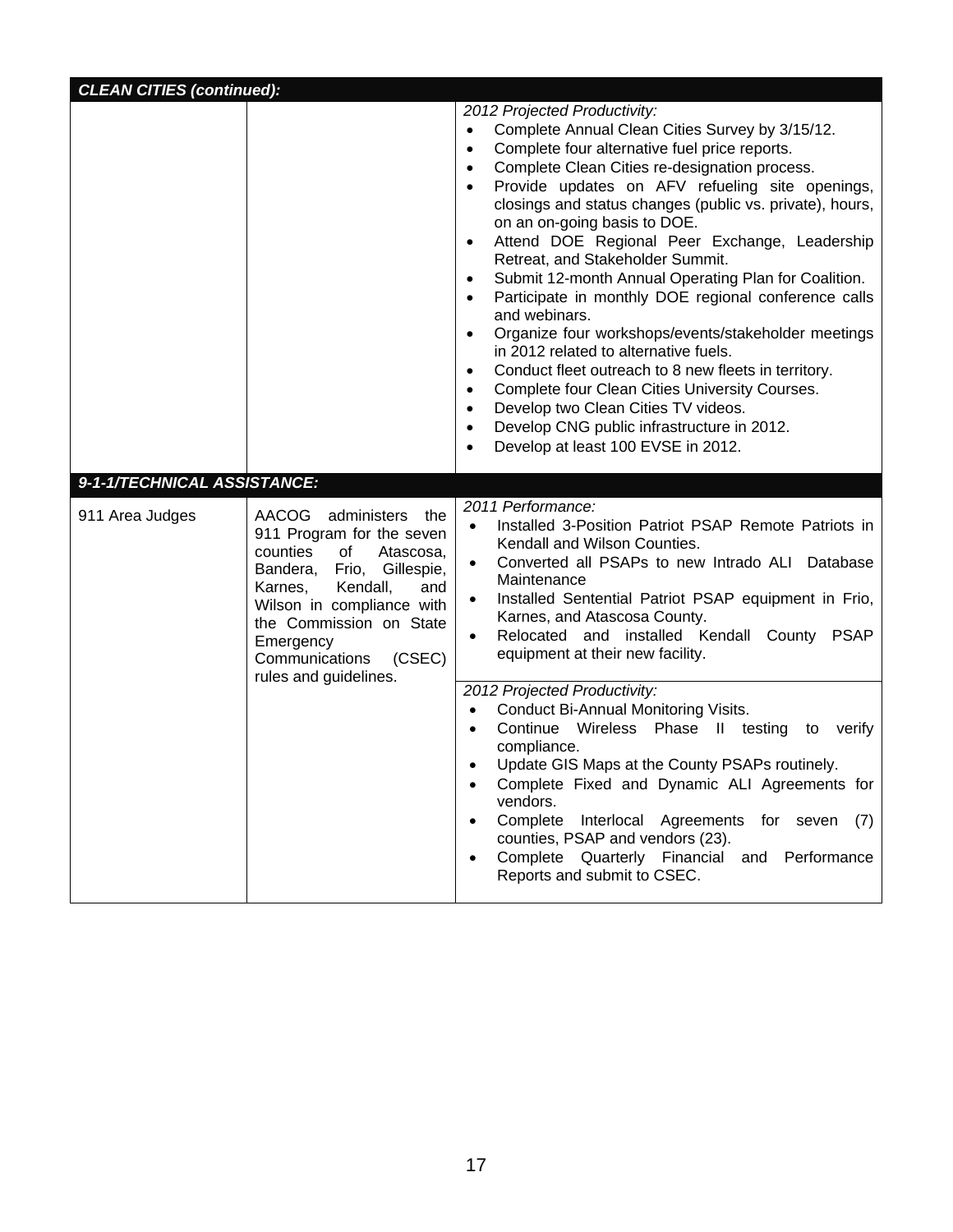| <b>CLEAN CITIES (continued):</b> |                                                                                                                                                                                                                                                                              |                                                                                                                                                                                                                                                                                                                                                                                                                                                                                                                                                                                                                                                                                                                                                                                                                                                                                                                                                                                                                  |
|----------------------------------|------------------------------------------------------------------------------------------------------------------------------------------------------------------------------------------------------------------------------------------------------------------------------|------------------------------------------------------------------------------------------------------------------------------------------------------------------------------------------------------------------------------------------------------------------------------------------------------------------------------------------------------------------------------------------------------------------------------------------------------------------------------------------------------------------------------------------------------------------------------------------------------------------------------------------------------------------------------------------------------------------------------------------------------------------------------------------------------------------------------------------------------------------------------------------------------------------------------------------------------------------------------------------------------------------|
|                                  |                                                                                                                                                                                                                                                                              | 2012 Projected Productivity:<br>Complete Annual Clean Cities Survey by 3/15/12.<br>Complete four alternative fuel price reports.<br>$\bullet$<br>Complete Clean Cities re-designation process.<br>$\bullet$<br>Provide updates on AFV refueling site openings,<br>$\bullet$<br>closings and status changes (public vs. private), hours,<br>on an on-going basis to DOE.<br>Attend DOE Regional Peer Exchange, Leadership<br>$\bullet$<br>Retreat, and Stakeholder Summit.<br>Submit 12-month Annual Operating Plan for Coalition.<br>$\bullet$<br>Participate in monthly DOE regional conference calls<br>and webinars.<br>Organize four workshops/events/stakeholder meetings<br>in 2012 related to alternative fuels.<br>Conduct fleet outreach to 8 new fleets in territory.<br>$\bullet$<br>Complete four Clean Cities University Courses.<br>$\bullet$<br>Develop two Clean Cities TV videos.<br>$\bullet$<br>Develop CNG public infrastructure in 2012.<br>$\bullet$<br>Develop at least 100 EVSE in 2012. |
| 9-1-1/TECHNICAL ASSISTANCE:      |                                                                                                                                                                                                                                                                              |                                                                                                                                                                                                                                                                                                                                                                                                                                                                                                                                                                                                                                                                                                                                                                                                                                                                                                                                                                                                                  |
| 911 Area Judges                  | AACOG<br>administers<br>the<br>911 Program for the seven<br>counties<br>of<br>Atascosa,<br>Bandera, Frio, Gillespie,<br>Kendall,<br>Karnes,<br>and<br>Wilson in compliance with<br>the Commission on State<br>Emergency<br>Communications<br>(CSEC)<br>rules and guidelines. | 2011 Performance:<br>Installed 3-Position Patriot PSAP Remote Patriots in<br>$\bullet$<br>Kendall and Wilson Counties.<br>Converted all PSAPs to new Intrado ALI Database<br>$\bullet$<br>Maintenance<br>Installed Sentential Patriot PSAP equipment in Frio,<br>$\bullet$<br>Karnes, and Atascosa County.<br>Relocated and installed Kendall County PSAP<br>$\bullet$<br>equipment at their new facility.<br>2012 Projected Productivity:                                                                                                                                                                                                                                                                                                                                                                                                                                                                                                                                                                       |
|                                  |                                                                                                                                                                                                                                                                              | Conduct Bi-Annual Monitoring Visits.<br>$\bullet$<br>Continue Wireless Phase II testing to<br>verify<br>$\bullet$<br>compliance.<br>Update GIS Maps at the County PSAPs routinely.<br>Complete Fixed and Dynamic ALI Agreements for<br>vendors.<br>Complete<br>Interlocal Agreements for seven (7)<br>counties, PSAP and vendors (23).<br>Complete Quarterly Financial and Performance<br>Reports and submit to CSEC.                                                                                                                                                                                                                                                                                                                                                                                                                                                                                                                                                                                            |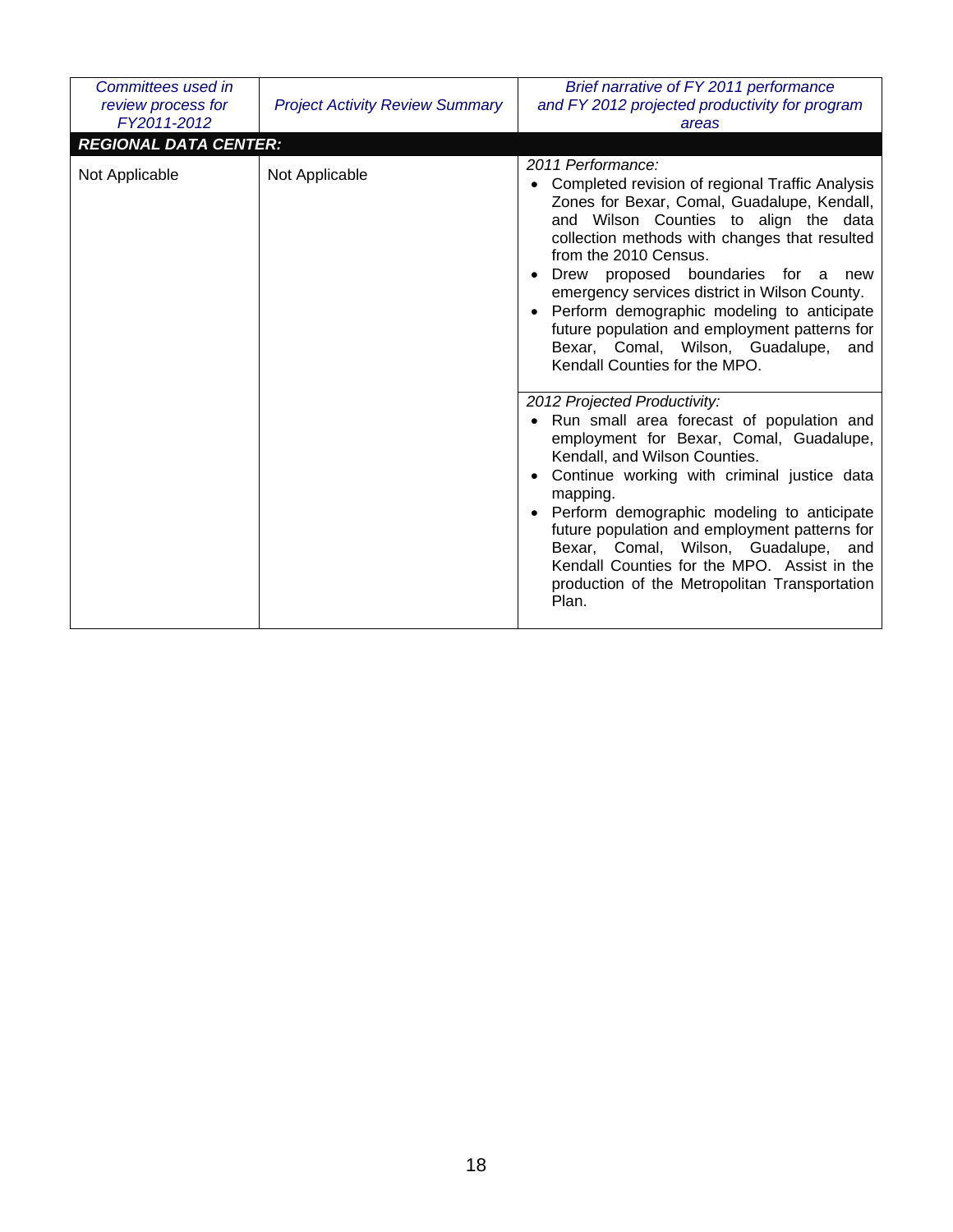| Committees used in<br>review process for<br>FY2011-2012 | <b>Project Activity Review Summary</b>                                                                                                                                                                                                                                                                                                                                                                                                                                                                      | Brief narrative of FY 2011 performance<br>and FY 2012 projected productivity for program<br>areas                                                                                                                                                                                                                                                                                                                                                                                             |
|---------------------------------------------------------|-------------------------------------------------------------------------------------------------------------------------------------------------------------------------------------------------------------------------------------------------------------------------------------------------------------------------------------------------------------------------------------------------------------------------------------------------------------------------------------------------------------|-----------------------------------------------------------------------------------------------------------------------------------------------------------------------------------------------------------------------------------------------------------------------------------------------------------------------------------------------------------------------------------------------------------------------------------------------------------------------------------------------|
| <b>REGIONAL DATA CENTER:</b>                            |                                                                                                                                                                                                                                                                                                                                                                                                                                                                                                             |                                                                                                                                                                                                                                                                                                                                                                                                                                                                                               |
| Not Applicable<br>Not Applicable                        | 2011 Performance:<br>Completed revision of regional Traffic Analysis<br>Zones for Bexar, Comal, Guadalupe, Kendall,<br>and Wilson Counties to align the data<br>collection methods with changes that resulted<br>from the 2010 Census.<br>Drew proposed boundaries for a<br>new<br>emergency services district in Wilson County.<br>Perform demographic modeling to anticipate<br>future population and employment patterns for<br>Bexar, Comal, Wilson, Guadalupe,<br>and<br>Kendall Counties for the MPO. |                                                                                                                                                                                                                                                                                                                                                                                                                                                                                               |
|                                                         |                                                                                                                                                                                                                                                                                                                                                                                                                                                                                                             | 2012 Projected Productivity:<br>Run small area forecast of population and<br>employment for Bexar, Comal, Guadalupe,<br>Kendall, and Wilson Counties.<br>Continue working with criminal justice data<br>$\bullet$<br>mapping.<br>Perform demographic modeling to anticipate<br>$\bullet$<br>future population and employment patterns for<br>Bexar, Comal, Wilson, Guadalupe,<br>and<br>Kendall Counties for the MPO. Assist in the<br>production of the Metropolitan Transportation<br>Plan. |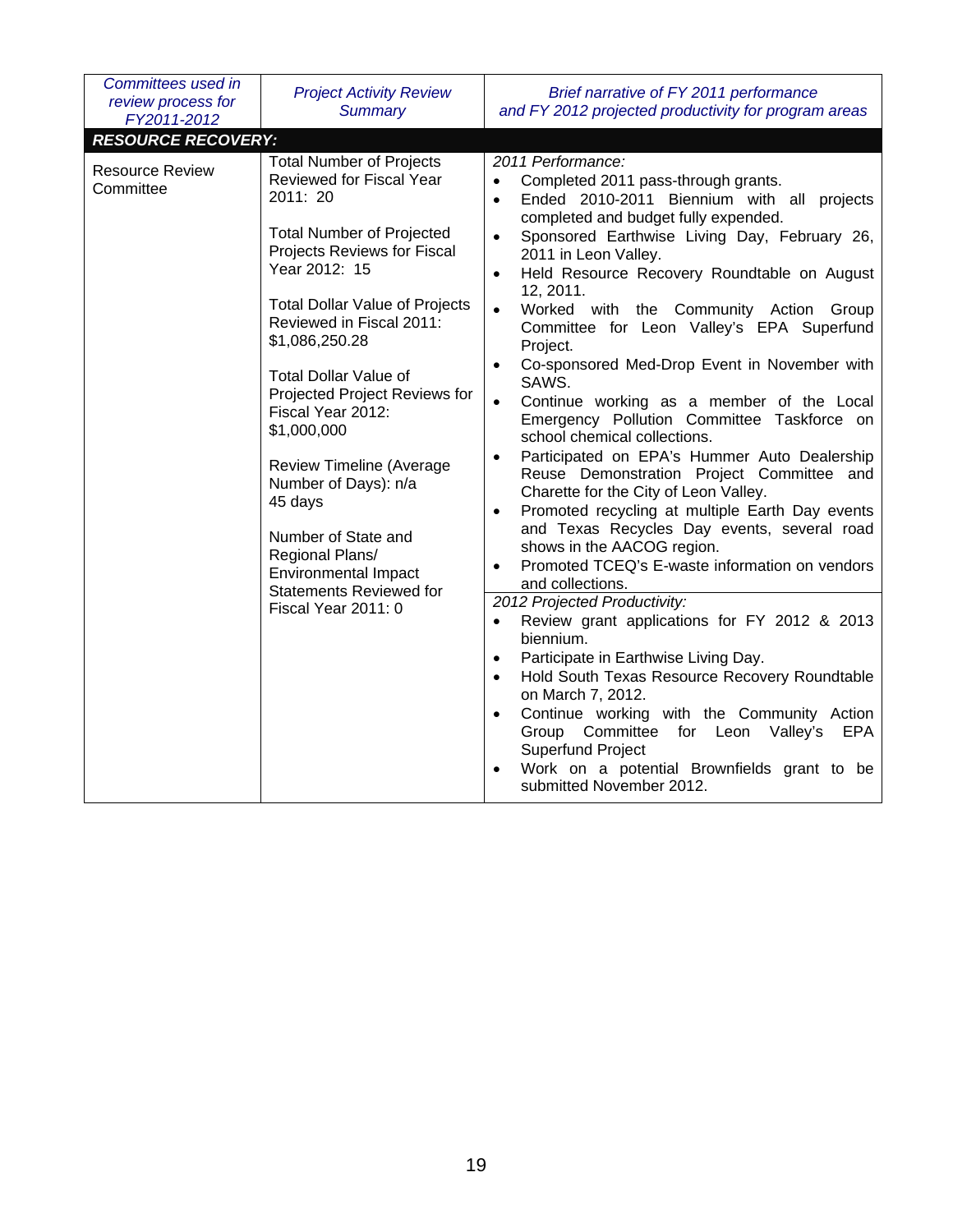| Committees used in<br>review process for<br>FY2011-2012 | <b>Project Activity Review</b><br><b>Summary</b>                                                                                                                                                                                                                                                                                                                                                                                                                                                                                                                | Brief narrative of FY 2011 performance<br>and FY 2012 projected productivity for program areas                                                                                                                                                                                                                                                                                                                                                                                                                                                                                                                                                                                                                                                                                                                                                                                                                                                                                                                                                                                                                                                                                                                                                                                                                                                                                                                                                                                 |  |  |
|---------------------------------------------------------|-----------------------------------------------------------------------------------------------------------------------------------------------------------------------------------------------------------------------------------------------------------------------------------------------------------------------------------------------------------------------------------------------------------------------------------------------------------------------------------------------------------------------------------------------------------------|--------------------------------------------------------------------------------------------------------------------------------------------------------------------------------------------------------------------------------------------------------------------------------------------------------------------------------------------------------------------------------------------------------------------------------------------------------------------------------------------------------------------------------------------------------------------------------------------------------------------------------------------------------------------------------------------------------------------------------------------------------------------------------------------------------------------------------------------------------------------------------------------------------------------------------------------------------------------------------------------------------------------------------------------------------------------------------------------------------------------------------------------------------------------------------------------------------------------------------------------------------------------------------------------------------------------------------------------------------------------------------------------------------------------------------------------------------------------------------|--|--|
| <b>RESOURCE RECOVERY:</b>                               |                                                                                                                                                                                                                                                                                                                                                                                                                                                                                                                                                                 |                                                                                                                                                                                                                                                                                                                                                                                                                                                                                                                                                                                                                                                                                                                                                                                                                                                                                                                                                                                                                                                                                                                                                                                                                                                                                                                                                                                                                                                                                |  |  |
| <b>Resource Review</b><br>Committee                     | <b>Total Number of Projects</b><br>Reviewed for Fiscal Year<br>2011: 20<br><b>Total Number of Projected</b><br>Projects Reviews for Fiscal<br>Year 2012: 15<br><b>Total Dollar Value of Projects</b><br>Reviewed in Fiscal 2011:<br>\$1,086,250.28<br><b>Total Dollar Value of</b><br>Projected Project Reviews for<br>Fiscal Year 2012:<br>\$1,000,000<br><b>Review Timeline (Average</b><br>Number of Days): n/a<br>45 days<br>Number of State and<br>Regional Plans/<br><b>Environmental Impact</b><br><b>Statements Reviewed for</b><br>Fiscal Year 2011: 0 | 2011 Performance:<br>Completed 2011 pass-through grants.<br>Ended 2010-2011 Biennium with all projects<br>$\bullet$<br>completed and budget fully expended.<br>Sponsored Earthwise Living Day, February 26,<br>$\bullet$<br>2011 in Leon Valley.<br>Held Resource Recovery Roundtable on August<br>$\bullet$<br>12, 2011.<br>Worked with the Community Action Group<br>$\bullet$<br>Committee for Leon Valley's EPA Superfund<br>Project.<br>Co-sponsored Med-Drop Event in November with<br>$\bullet$<br>SAWS.<br>Continue working as a member of the Local<br>$\bullet$<br>Emergency Pollution Committee Taskforce on<br>school chemical collections.<br>Participated on EPA's Hummer Auto Dealership<br>$\bullet$<br>Reuse Demonstration Project Committee and<br>Charette for the City of Leon Valley.<br>Promoted recycling at multiple Earth Day events<br>$\bullet$<br>and Texas Recycles Day events, several road<br>shows in the AACOG region.<br>Promoted TCEQ's E-waste information on vendors<br>$\bullet$<br>and collections.<br>2012 Projected Productivity:<br>Review grant applications for FY 2012 & 2013<br>$\bullet$<br>biennium.<br>Participate in Earthwise Living Day.<br>$\bullet$<br>Hold South Texas Resource Recovery Roundtable<br>$\bullet$<br>on March 7, 2012.<br>Continue working with the Community Action<br>$\bullet$<br>Group Committee for Leon Valley's<br><b>EPA</b><br>Superfund Project<br>Work on a potential Brownfields grant to be |  |  |
|                                                         |                                                                                                                                                                                                                                                                                                                                                                                                                                                                                                                                                                 | submitted November 2012.                                                                                                                                                                                                                                                                                                                                                                                                                                                                                                                                                                                                                                                                                                                                                                                                                                                                                                                                                                                                                                                                                                                                                                                                                                                                                                                                                                                                                                                       |  |  |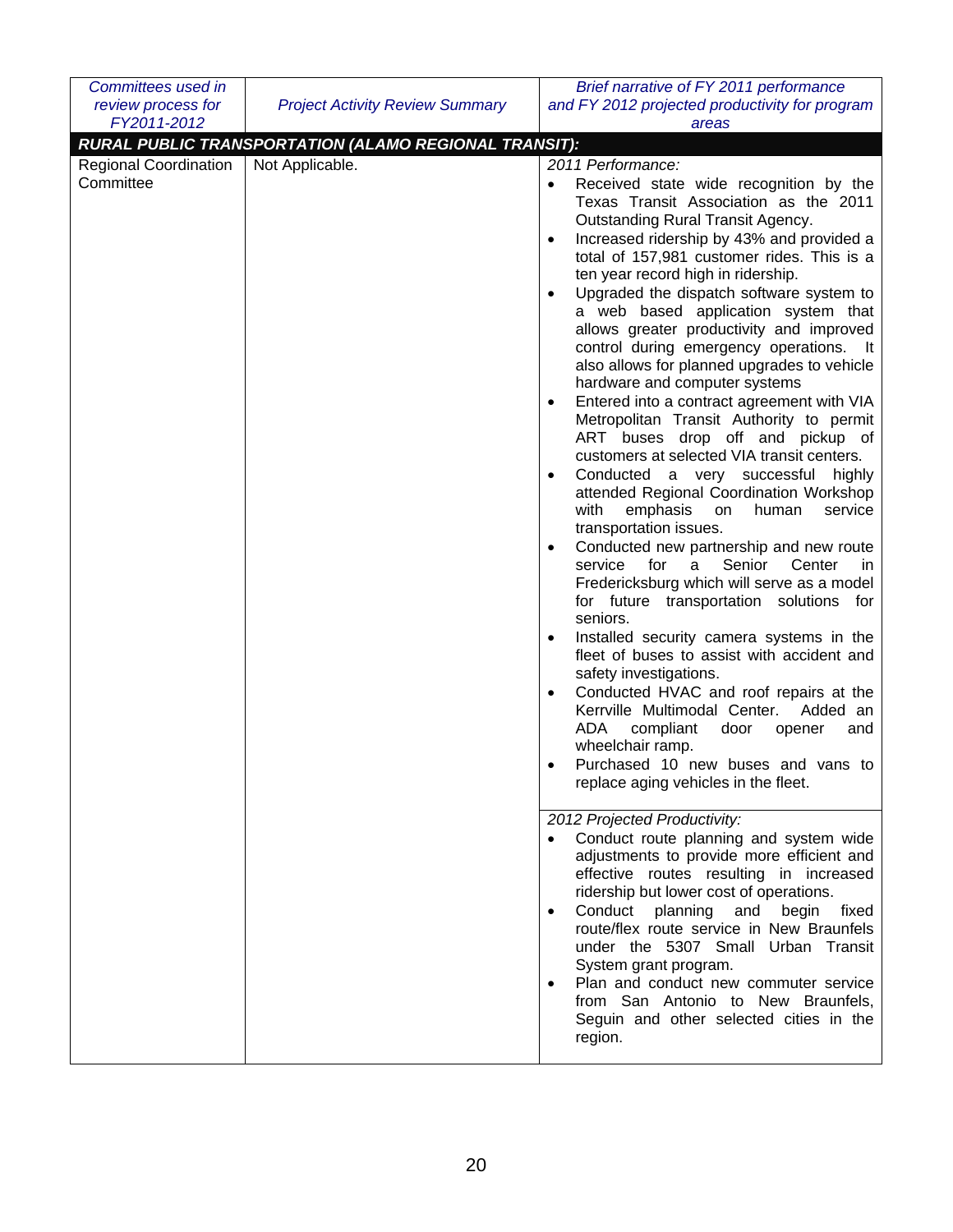| Committees used in                                       |                                                                          | Brief narrative of FY 2011 performance                                                                                                                                                                                                                                                                                                                                                                                                                                                                                                                                                                                                                                                                                                                                                                                                                                                                                                                                                                                                                                                                                                                                                                                                                                                                                                                                                                                                                                                                                                                                                                                                                                                                                                                                                                                                                                                                                                                   |
|----------------------------------------------------------|--------------------------------------------------------------------------|----------------------------------------------------------------------------------------------------------------------------------------------------------------------------------------------------------------------------------------------------------------------------------------------------------------------------------------------------------------------------------------------------------------------------------------------------------------------------------------------------------------------------------------------------------------------------------------------------------------------------------------------------------------------------------------------------------------------------------------------------------------------------------------------------------------------------------------------------------------------------------------------------------------------------------------------------------------------------------------------------------------------------------------------------------------------------------------------------------------------------------------------------------------------------------------------------------------------------------------------------------------------------------------------------------------------------------------------------------------------------------------------------------------------------------------------------------------------------------------------------------------------------------------------------------------------------------------------------------------------------------------------------------------------------------------------------------------------------------------------------------------------------------------------------------------------------------------------------------------------------------------------------------------------------------------------------------|
| review process for                                       | <b>Project Activity Review Summary</b>                                   | and FY 2012 projected productivity for program                                                                                                                                                                                                                                                                                                                                                                                                                                                                                                                                                                                                                                                                                                                                                                                                                                                                                                                                                                                                                                                                                                                                                                                                                                                                                                                                                                                                                                                                                                                                                                                                                                                                                                                                                                                                                                                                                                           |
|                                                          |                                                                          |                                                                                                                                                                                                                                                                                                                                                                                                                                                                                                                                                                                                                                                                                                                                                                                                                                                                                                                                                                                                                                                                                                                                                                                                                                                                                                                                                                                                                                                                                                                                                                                                                                                                                                                                                                                                                                                                                                                                                          |
| FY2011-2012<br><b>Regional Coordination</b><br>Committee | RURAL PUBLIC TRANSPORTATION (ALAMO REGIONAL TRANSIT):<br>Not Applicable. | areas<br>2011 Performance:<br>Received state wide recognition by the<br>Texas Transit Association as the 2011<br>Outstanding Rural Transit Agency.<br>Increased ridership by 43% and provided a<br>$\bullet$<br>total of 157,981 customer rides. This is a<br>ten year record high in ridership.<br>Upgraded the dispatch software system to<br>$\bullet$<br>a web based application system that<br>allows greater productivity and improved<br>control during emergency operations. It<br>also allows for planned upgrades to vehicle<br>hardware and computer systems<br>Entered into a contract agreement with VIA<br>٠<br>Metropolitan Transit Authority to permit<br>ART buses drop off and pickup of<br>customers at selected VIA transit centers.<br>Conducted a very successful highly<br>attended Regional Coordination Workshop<br>with<br>emphasis<br>human<br>service<br>on<br>transportation issues.<br>Conducted new partnership and new route<br>٠<br>service<br>for<br>Senior<br>Center<br>a<br>in.<br>Fredericksburg which will serve as a model<br>for future transportation solutions for<br>seniors.<br>Installed security camera systems in the<br>٠<br>fleet of buses to assist with accident and<br>safety investigations.<br>Conducted HVAC and roof repairs at the<br>Kerrville Multimodal Center.<br>Added an<br>ADA<br>compliant<br>door<br>opener<br>and<br>wheelchair ramp.<br>Purchased 10 new buses and vans to<br>replace aging vehicles in the fleet.<br>2012 Projected Productivity:<br>Conduct route planning and system wide<br>adjustments to provide more efficient and<br>effective routes resulting in increased<br>ridership but lower cost of operations.<br>Conduct planning<br>and<br>begin<br>fixed<br>$\bullet$<br>route/flex route service in New Braunfels<br>under the 5307 Small Urban Transit<br>System grant program.<br>Plan and conduct new commuter service<br>from San Antonio to New Braunfels, |
|                                                          |                                                                          | Seguin and other selected cities in the<br>region.                                                                                                                                                                                                                                                                                                                                                                                                                                                                                                                                                                                                                                                                                                                                                                                                                                                                                                                                                                                                                                                                                                                                                                                                                                                                                                                                                                                                                                                                                                                                                                                                                                                                                                                                                                                                                                                                                                       |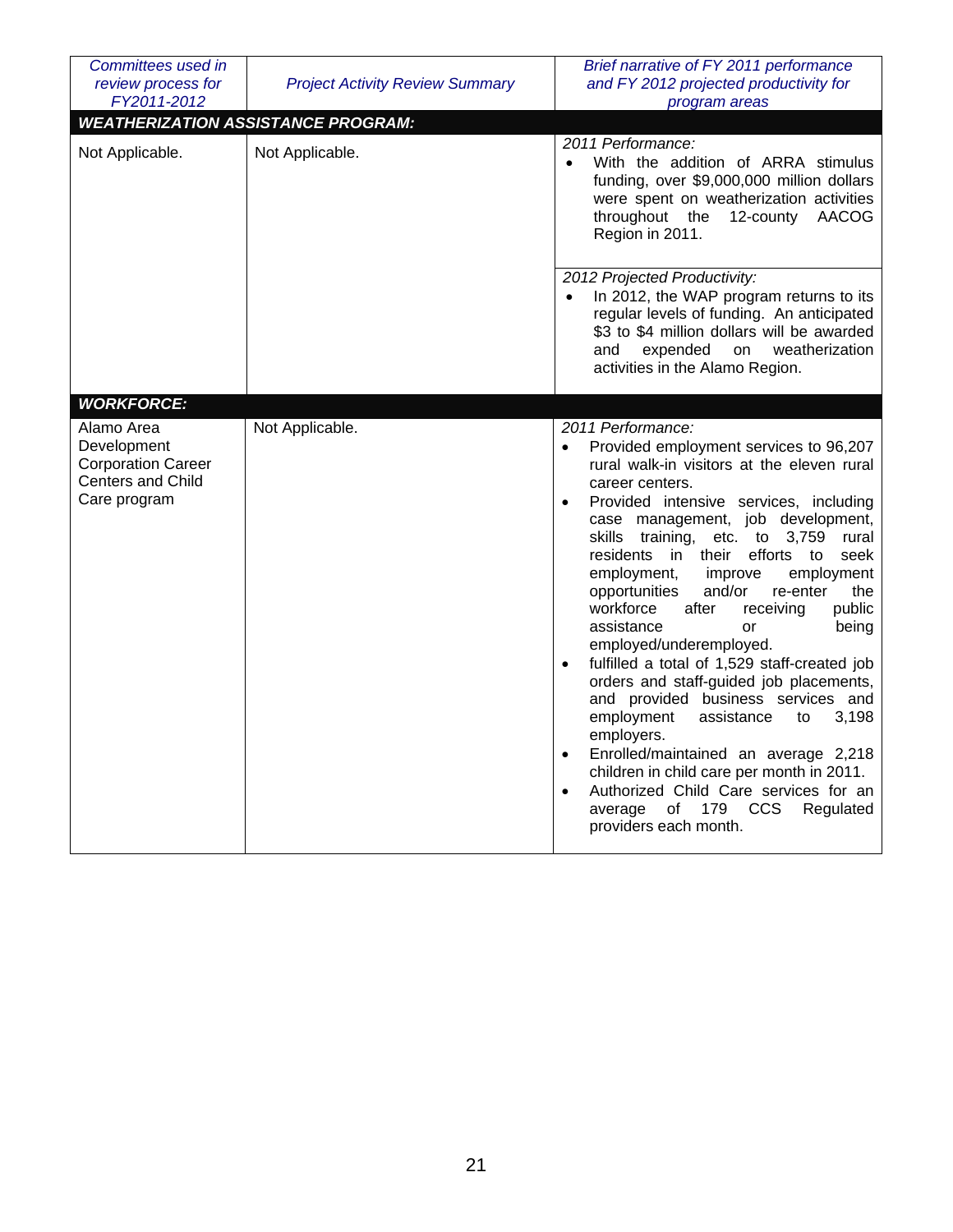| Committees used in<br>review process for<br>FY2011-2012                                     | <b>Project Activity Review Summary</b>    | Brief narrative of FY 2011 performance<br>and FY 2012 projected productivity for<br>program areas                                                                                                                                                                                                                                                                                                                                                                                                                                                                                                                                                                                                                                                                                                                                                                                                                                                                              |
|---------------------------------------------------------------------------------------------|-------------------------------------------|--------------------------------------------------------------------------------------------------------------------------------------------------------------------------------------------------------------------------------------------------------------------------------------------------------------------------------------------------------------------------------------------------------------------------------------------------------------------------------------------------------------------------------------------------------------------------------------------------------------------------------------------------------------------------------------------------------------------------------------------------------------------------------------------------------------------------------------------------------------------------------------------------------------------------------------------------------------------------------|
|                                                                                             | <b>WEATHERIZATION ASSISTANCE PROGRAM:</b> |                                                                                                                                                                                                                                                                                                                                                                                                                                                                                                                                                                                                                                                                                                                                                                                                                                                                                                                                                                                |
| Not Applicable.                                                                             | Not Applicable.                           | 2011 Performance:<br>With the addition of ARRA stimulus<br>funding, over \$9,000,000 million dollars<br>were spent on weatherization activities<br>throughout the<br>12-county<br>AACOG<br>Region in 2011.                                                                                                                                                                                                                                                                                                                                                                                                                                                                                                                                                                                                                                                                                                                                                                     |
|                                                                                             |                                           | 2012 Projected Productivity:<br>In 2012, the WAP program returns to its<br>regular levels of funding. An anticipated<br>\$3 to \$4 million dollars will be awarded<br>weatherization<br>expended<br>on<br>and<br>activities in the Alamo Region.                                                                                                                                                                                                                                                                                                                                                                                                                                                                                                                                                                                                                                                                                                                               |
| <b>WORKFORCE:</b>                                                                           |                                           |                                                                                                                                                                                                                                                                                                                                                                                                                                                                                                                                                                                                                                                                                                                                                                                                                                                                                                                                                                                |
| Alamo Area<br>Development<br><b>Corporation Career</b><br>Centers and Child<br>Care program | Not Applicable.                           | 2011 Performance:<br>Provided employment services to 96,207<br>$\bullet$<br>rural walk-in visitors at the eleven rural<br>career centers.<br>Provided intensive services, including<br>$\bullet$<br>case management, job development,<br>training, etc. to 3,759<br>skills<br>rural<br>residents<br>in<br>their<br>efforts<br>to<br>seek<br>employment,<br>improve<br>employment<br>opportunities<br>and/or<br>the<br>re-enter<br>workforce<br>after<br>public<br>receiving<br>assistance<br>being<br>or<br>employed/underemployed.<br>fulfilled a total of 1,529 staff-created job<br>$\bullet$<br>orders and staff-guided job placements,<br>and provided business services and<br>employment<br>3,198<br>assistance<br>to<br>employers.<br>Enrolled/maintained an average 2,218<br>$\bullet$<br>children in child care per month in 2011.<br>Authorized Child Care services for an<br>$\bullet$<br>of<br>179<br><b>CCS</b><br>Regulated<br>average<br>providers each month. |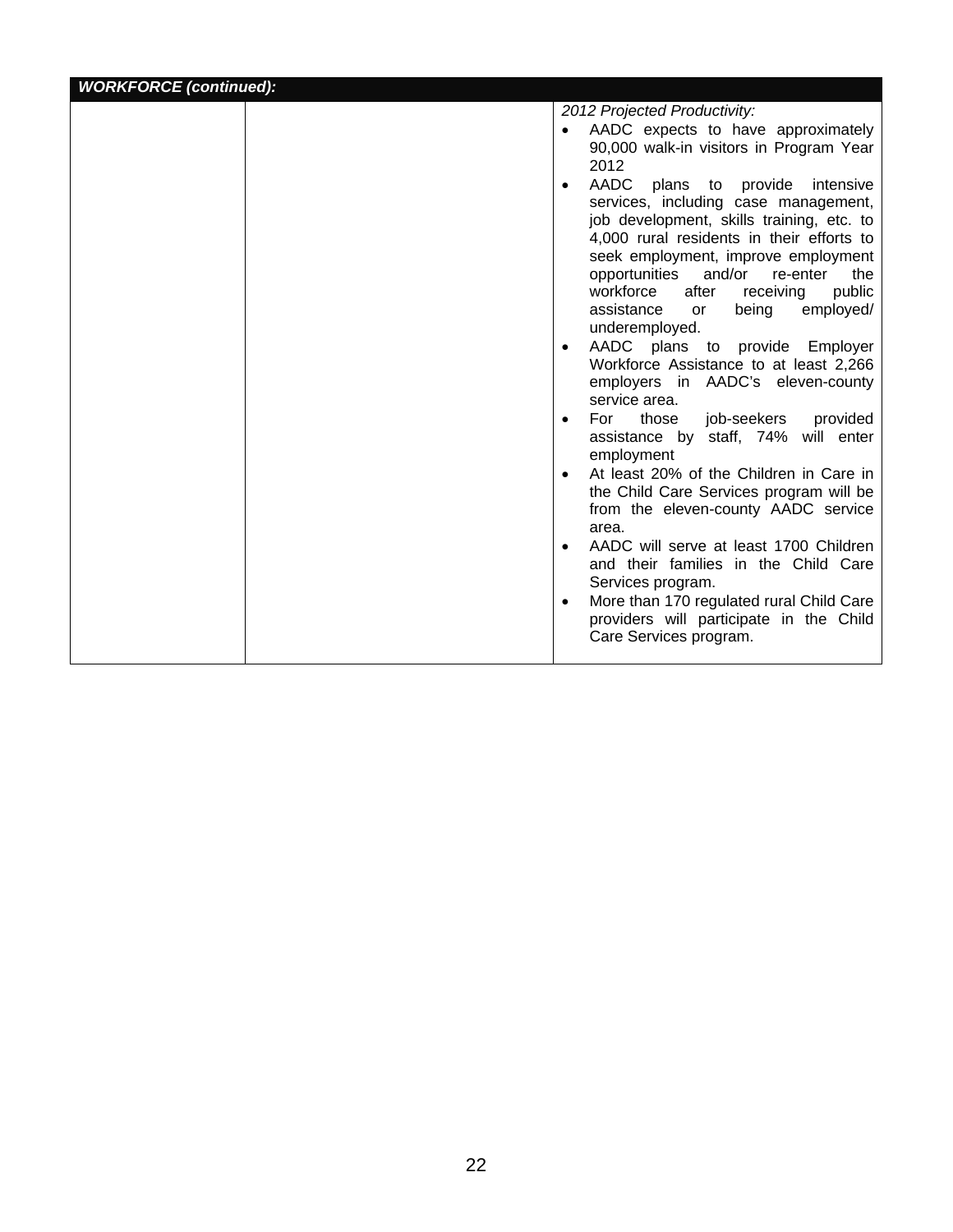| <b>WORKFORCE (continued):</b> |                                                                                                                                                                                                                                                                                                                                                      |
|-------------------------------|------------------------------------------------------------------------------------------------------------------------------------------------------------------------------------------------------------------------------------------------------------------------------------------------------------------------------------------------------|
|                               | 2012 Projected Productivity:<br>AADC expects to have approximately<br>$\bullet$<br>90,000 walk-in visitors in Program Year<br>2012<br><b>AADC</b><br>$\bullet$                                                                                                                                                                                       |
|                               | plans to provide intensive<br>services, including case management,<br>job development, skills training, etc. to<br>4,000 rural residents in their efforts to<br>seek employment, improve employment<br>opportunities and/or re-enter<br>the<br>workforce<br>after<br>public<br>receiving<br>being<br>employed/<br>assistance<br>or<br>underemployed. |
|                               | AADC plans to provide Employer<br>Workforce Assistance to at least 2,266<br>employers in AADC's eleven-county<br>service area.                                                                                                                                                                                                                       |
|                               | For<br>those<br>job-seekers<br>provided<br>assistance by staff, 74% will enter<br>employment                                                                                                                                                                                                                                                         |
|                               | At least 20% of the Children in Care in<br>the Child Care Services program will be<br>from the eleven-county AADC service<br>area.                                                                                                                                                                                                                   |
|                               | AADC will serve at least 1700 Children<br>and their families in the Child Care<br>Services program.                                                                                                                                                                                                                                                  |
|                               | More than 170 regulated rural Child Care<br>providers will participate in the Child<br>Care Services program.                                                                                                                                                                                                                                        |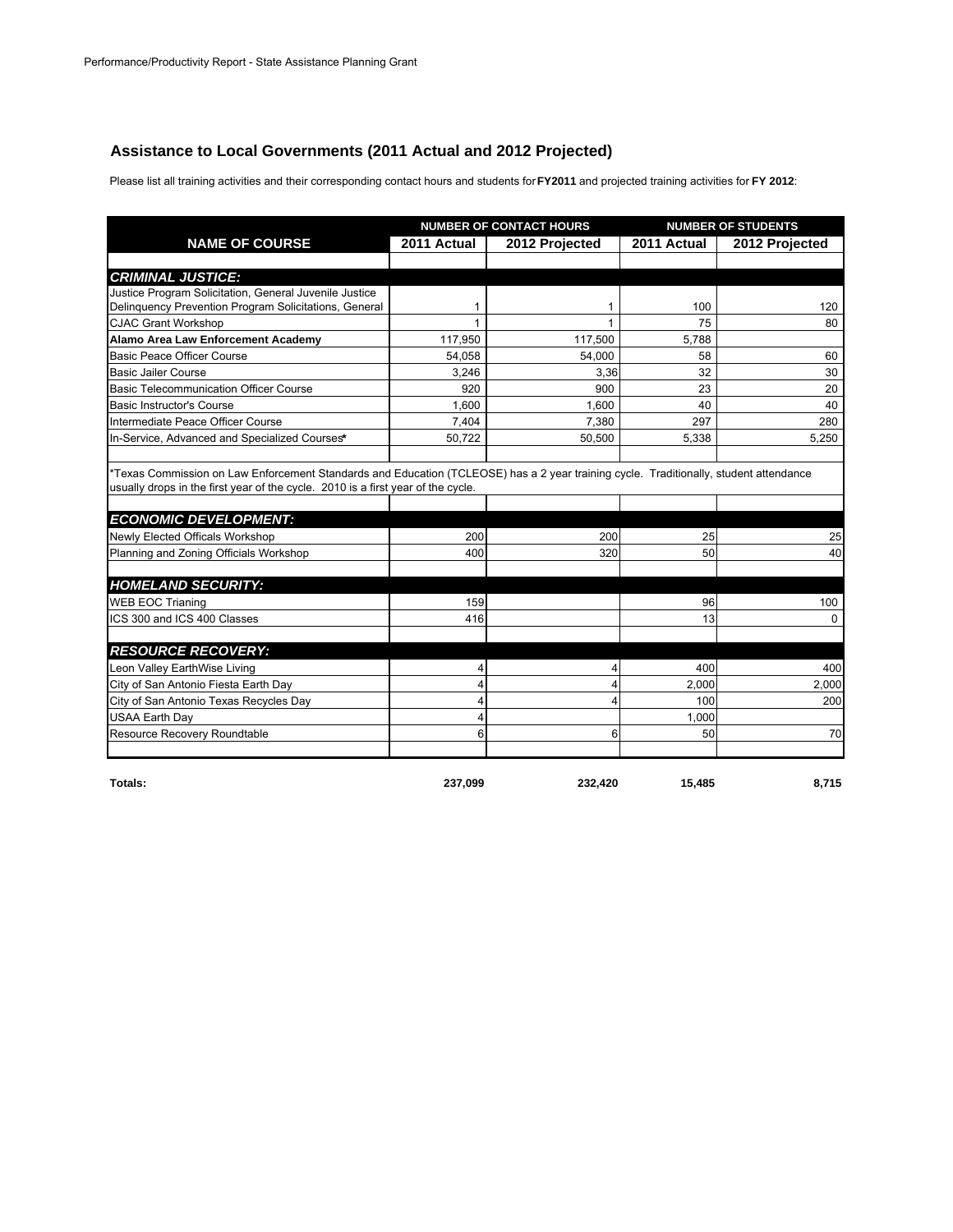# **Assistance to Local Governments (2011 Actual and 2012 Projected)**

Please list all training activities and their corresponding contact hours and students for **FY2011** and projected training activities for **FY 2012**:

|                                                                                                                                                                                                                           |              | <b>NUMBER OF CONTACT HOURS</b> |             | <b>NUMBER OF STUDENTS</b> |
|---------------------------------------------------------------------------------------------------------------------------------------------------------------------------------------------------------------------------|--------------|--------------------------------|-------------|---------------------------|
| <b>NAME OF COURSE</b>                                                                                                                                                                                                     | 2011 Actual  | 2012 Projected                 | 2011 Actual | 2012 Projected            |
|                                                                                                                                                                                                                           |              |                                |             |                           |
| <b>CRIMINAL JUSTICE:</b>                                                                                                                                                                                                  |              |                                |             |                           |
| Justice Program Solicitation, General Juvenile Justice                                                                                                                                                                    |              |                                |             |                           |
| Delinguency Prevention Program Solicitations, General                                                                                                                                                                     | 1            | 1                              | 100         | 120                       |
| <b>CJAC Grant Workshop</b>                                                                                                                                                                                                | $\mathbf{1}$ | 1                              | 75          | 80                        |
| Alamo Area Law Enforcement Academy                                                                                                                                                                                        | 117,950      | 117,500                        | 5,788       |                           |
| <b>Basic Peace Officer Course</b>                                                                                                                                                                                         | 54,058       | 54,000                         | 58          | 60                        |
| <b>Basic Jailer Course</b>                                                                                                                                                                                                | 3.246        | 3.36                           | 32          | 30                        |
| <b>Basic Telecommunication Officer Course</b>                                                                                                                                                                             | 920          | 900                            | 23          | 20                        |
| <b>Basic Instructor's Course</b>                                                                                                                                                                                          | 1,600        | 1,600                          | 40          | 40                        |
| Intermediate Peace Officer Course                                                                                                                                                                                         | 7.404        | 7.380                          | 297         | 280                       |
| In-Service, Advanced and Specialized Courses*                                                                                                                                                                             | 50,722       | 50,500                         | 5,338       | 5,250                     |
|                                                                                                                                                                                                                           |              |                                |             |                           |
| *Texas Commission on Law Enforcement Standards and Education (TCLEOSE) has a 2 year training cycle. Traditionally, student attendance<br>usually drops in the first year of the cycle. 2010 is a first year of the cycle. |              |                                |             |                           |
|                                                                                                                                                                                                                           |              |                                |             |                           |
| <b>ECONOMIC DEVELOPMENT:</b>                                                                                                                                                                                              |              |                                |             |                           |
| Newly Elected Officals Workshop                                                                                                                                                                                           | 200          | 200                            | 25          | 25                        |
| Planning and Zoning Officials Workshop                                                                                                                                                                                    | 400          | 320                            | 50          | 40                        |
| <b>HOMELAND SECURITY:</b>                                                                                                                                                                                                 |              |                                |             |                           |
| <b>WEB EOC Trianing</b>                                                                                                                                                                                                   | 159          |                                | 96          | 100                       |
|                                                                                                                                                                                                                           | 416          |                                | 13          | $\Omega$                  |
| ICS 300 and ICS 400 Classes                                                                                                                                                                                               |              |                                |             |                           |
| <b>RESOURCE RECOVERY:</b>                                                                                                                                                                                                 |              |                                |             |                           |
| Leon Valley EarthWise Living                                                                                                                                                                                              | 4            | 4                              | 400         | 400                       |
| City of San Antonio Fiesta Earth Day                                                                                                                                                                                      | 4            | 4                              | 2,000       | 2,000                     |
| City of San Antonio Texas Recycles Day                                                                                                                                                                                    | 4            | 4                              | 100         | 200                       |
| <b>USAA Earth Day</b>                                                                                                                                                                                                     | 4            |                                | 1,000       |                           |
| Resource Recovery Roundtable                                                                                                                                                                                              | 6            | 6                              | 50          | 70                        |
|                                                                                                                                                                                                                           |              |                                |             |                           |
|                                                                                                                                                                                                                           |              |                                |             |                           |

**Totals: 237,099 232,420 15,485 8,715**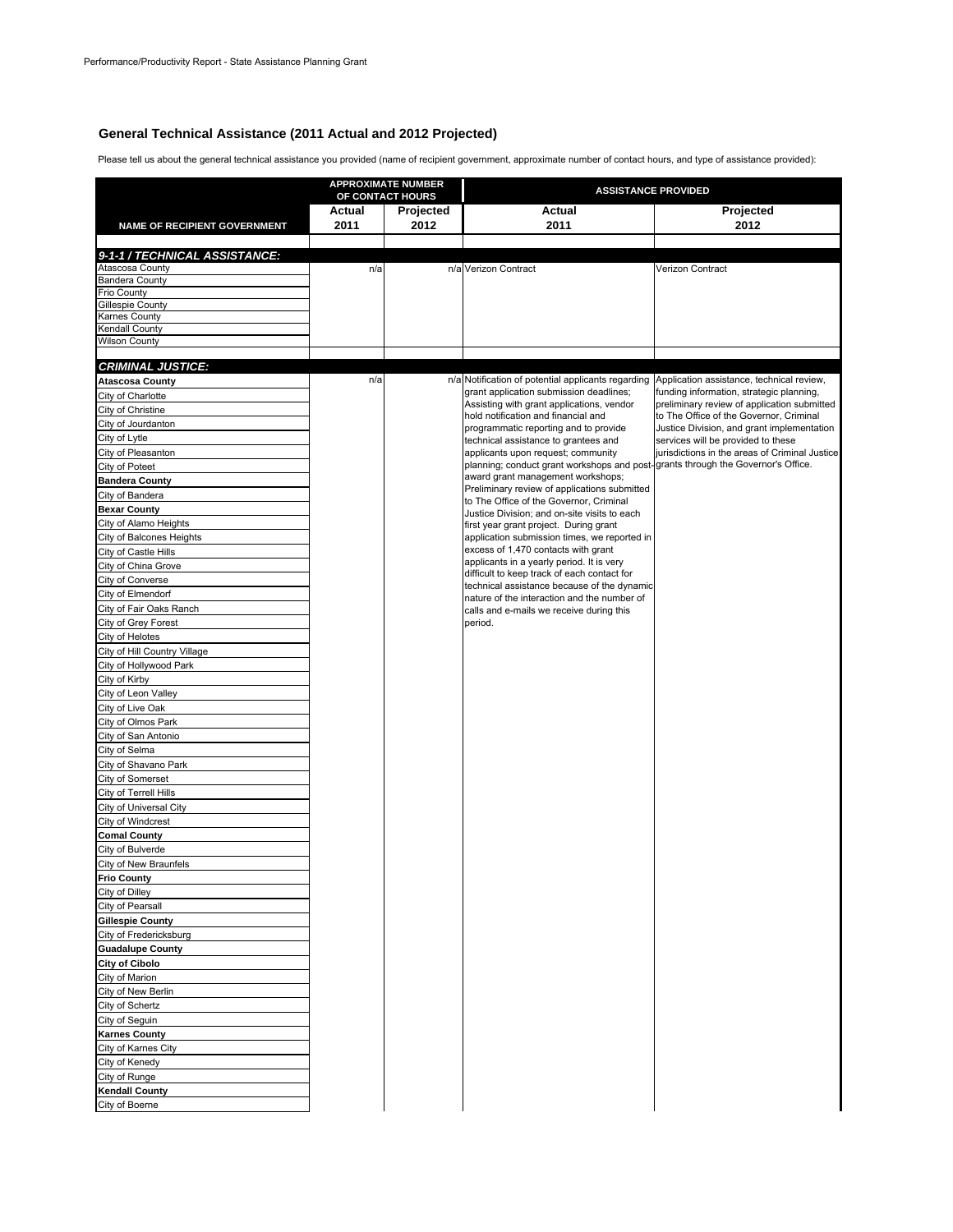#### **General Technical Assistance (2011 Actual and 2012 Projected)**

Please tell us about the general technical assistance you provided (name of recipient government, approximate number of contact hours, and type of assistance provided):

| NAME OF RECIPIENT GOVERNMENT<br>9-1-1 / TECHNICAL ASSISTANCE: | Actual<br>2011 | OF CONTACT HOURS<br>Projected<br>2012 | Actual                                                                                       | Projected                                                                        |
|---------------------------------------------------------------|----------------|---------------------------------------|----------------------------------------------------------------------------------------------|----------------------------------------------------------------------------------|
|                                                               |                |                                       |                                                                                              |                                                                                  |
|                                                               |                |                                       | 2011                                                                                         | 2012                                                                             |
|                                                               |                |                                       |                                                                                              |                                                                                  |
|                                                               |                |                                       |                                                                                              |                                                                                  |
| Atascosa County                                               | n/a            |                                       | n/a Verizon Contract                                                                         | Verizon Contract                                                                 |
| <b>Bandera County</b><br>Frio County                          |                |                                       |                                                                                              |                                                                                  |
| Gillespie County                                              |                |                                       |                                                                                              |                                                                                  |
| Karnes County                                                 |                |                                       |                                                                                              |                                                                                  |
| Kendall County                                                |                |                                       |                                                                                              |                                                                                  |
| Wilson County                                                 |                |                                       |                                                                                              |                                                                                  |
| <b>CRIMINAL JUSTICE:</b>                                      |                |                                       |                                                                                              |                                                                                  |
| <b>Atascosa County</b>                                        | n/a            |                                       | n/a Notification of potential applicants regarding Application assistance, technical review, |                                                                                  |
| City of Charlotte                                             |                |                                       | grant application submission deadlines;                                                      | funding information, strategic planning,                                         |
| City of Christine                                             |                |                                       | Assisting with grant applications, vendor                                                    | preliminary review of application submitted                                      |
| City of Jourdanton                                            |                |                                       | hold notification and financial and                                                          | to The Office of the Governor, Criminal                                          |
| City of Lytle                                                 |                |                                       | programmatic reporting and to provide<br>technical assistance to grantees and                | Justice Division, and grant implementation<br>services will be provided to these |
| City of Pleasanton                                            |                |                                       | applicants upon request; community                                                           | jurisdictions in the areas of Criminal Justice                                   |
| City of Poteet                                                |                |                                       | planning; conduct grant workshops and post-grants through the Governor's Office.             |                                                                                  |
| <b>Bandera County</b>                                         |                |                                       | award grant management workshops;                                                            |                                                                                  |
| City of Bandera                                               |                |                                       | Preliminary review of applications submitted<br>to The Office of the Governor, Criminal      |                                                                                  |
| <b>Bexar County</b>                                           |                |                                       | Justice Division: and on-site visits to each                                                 |                                                                                  |
| City of Alamo Heights                                         |                |                                       | first year grant project. During grant                                                       |                                                                                  |
| City of Balcones Heights                                      |                |                                       | application submission times, we reported in                                                 |                                                                                  |
| City of Castle Hills                                          |                |                                       | excess of 1,470 contacts with grant                                                          |                                                                                  |
| City of China Grove                                           |                |                                       | applicants in a yearly period. It is very<br>difficult to keep track of each contact for     |                                                                                  |
| City of Converse                                              |                |                                       | technical assistance because of the dynamic                                                  |                                                                                  |
| City of Elmendorf                                             |                |                                       | nature of the interaction and the number of                                                  |                                                                                  |
| City of Fair Oaks Ranch                                       |                |                                       | calls and e-mails we receive during this                                                     |                                                                                  |
| City of Grey Forest                                           |                |                                       | period.                                                                                      |                                                                                  |
| City of Helotes                                               |                |                                       |                                                                                              |                                                                                  |
| City of Hill Country Village                                  |                |                                       |                                                                                              |                                                                                  |
| City of Hollywood Park<br>City of Kirby                       |                |                                       |                                                                                              |                                                                                  |
| City of Leon Valley                                           |                |                                       |                                                                                              |                                                                                  |
| City of Live Oak                                              |                |                                       |                                                                                              |                                                                                  |
| City of Olmos Park                                            |                |                                       |                                                                                              |                                                                                  |
| City of San Antonio                                           |                |                                       |                                                                                              |                                                                                  |
| City of Selma                                                 |                |                                       |                                                                                              |                                                                                  |
| City of Shavano Park                                          |                |                                       |                                                                                              |                                                                                  |
| City of Somerset                                              |                |                                       |                                                                                              |                                                                                  |
| City of Terrell Hills                                         |                |                                       |                                                                                              |                                                                                  |
| City of Universal City                                        |                |                                       |                                                                                              |                                                                                  |
| City of Windcrest                                             |                |                                       |                                                                                              |                                                                                  |
| <b>Comal County</b>                                           |                |                                       |                                                                                              |                                                                                  |
| City of Bulverde                                              |                |                                       |                                                                                              |                                                                                  |
| City of New Braunfels                                         |                |                                       |                                                                                              |                                                                                  |
| <b>Frio County</b>                                            |                |                                       |                                                                                              |                                                                                  |
| City of Dilley                                                |                |                                       |                                                                                              |                                                                                  |
| City of Pearsall                                              |                |                                       |                                                                                              |                                                                                  |
| <b>Gillespie County</b>                                       |                |                                       |                                                                                              |                                                                                  |
| City of Fredericksburg                                        |                |                                       |                                                                                              |                                                                                  |
| <b>Guadalupe County</b><br>City of Cibolo                     |                |                                       |                                                                                              |                                                                                  |
| City of Marion                                                |                |                                       |                                                                                              |                                                                                  |
| City of New Berlin                                            |                |                                       |                                                                                              |                                                                                  |
| City of Schertz                                               |                |                                       |                                                                                              |                                                                                  |
| City of Seguin                                                |                |                                       |                                                                                              |                                                                                  |
| <b>Karnes County</b>                                          |                |                                       |                                                                                              |                                                                                  |
| City of Karnes City                                           |                |                                       |                                                                                              |                                                                                  |
| City of Kenedy                                                |                |                                       |                                                                                              |                                                                                  |
| City of Runge                                                 |                |                                       |                                                                                              |                                                                                  |
| <b>Kendall County</b>                                         |                |                                       |                                                                                              |                                                                                  |
| City of Boerne                                                |                |                                       |                                                                                              |                                                                                  |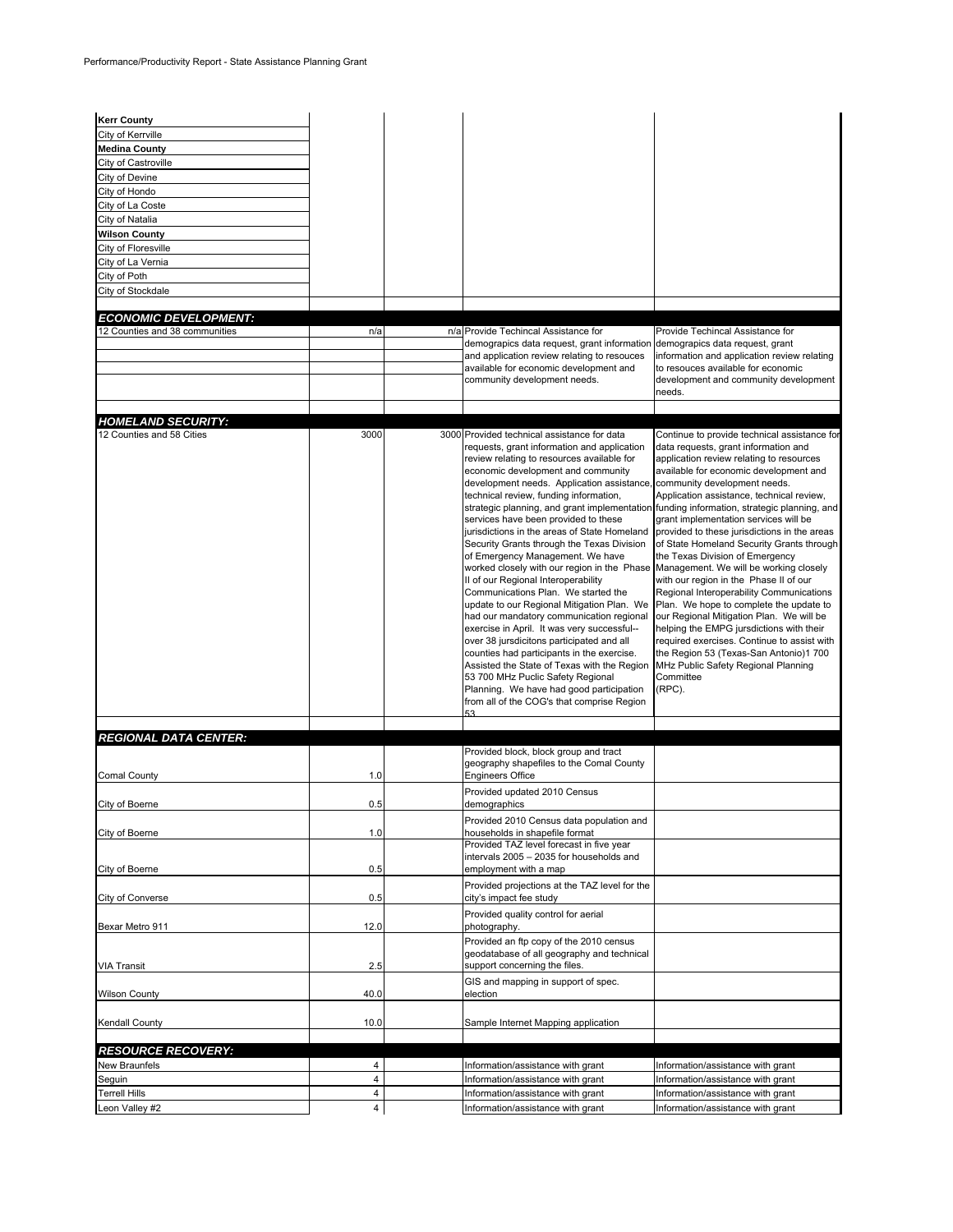| <b>Kerr County</b>                                     |                |                                                                                                                                                                                                                                                                                                                                                                                                                                                                                                                                                                                                                                                                                                                                                                                                                                                                                                                                                                                                                                                                                                                                                                                                     |                                                                                                                                                                                                                                                                                                                                                                                                                                                                                                                                                                                                                                                |
|--------------------------------------------------------|----------------|-----------------------------------------------------------------------------------------------------------------------------------------------------------------------------------------------------------------------------------------------------------------------------------------------------------------------------------------------------------------------------------------------------------------------------------------------------------------------------------------------------------------------------------------------------------------------------------------------------------------------------------------------------------------------------------------------------------------------------------------------------------------------------------------------------------------------------------------------------------------------------------------------------------------------------------------------------------------------------------------------------------------------------------------------------------------------------------------------------------------------------------------------------------------------------------------------------|------------------------------------------------------------------------------------------------------------------------------------------------------------------------------------------------------------------------------------------------------------------------------------------------------------------------------------------------------------------------------------------------------------------------------------------------------------------------------------------------------------------------------------------------------------------------------------------------------------------------------------------------|
| City of Kerrville                                      |                |                                                                                                                                                                                                                                                                                                                                                                                                                                                                                                                                                                                                                                                                                                                                                                                                                                                                                                                                                                                                                                                                                                                                                                                                     |                                                                                                                                                                                                                                                                                                                                                                                                                                                                                                                                                                                                                                                |
| <b>Medina County</b>                                   |                |                                                                                                                                                                                                                                                                                                                                                                                                                                                                                                                                                                                                                                                                                                                                                                                                                                                                                                                                                                                                                                                                                                                                                                                                     |                                                                                                                                                                                                                                                                                                                                                                                                                                                                                                                                                                                                                                                |
| City of Castroville                                    |                |                                                                                                                                                                                                                                                                                                                                                                                                                                                                                                                                                                                                                                                                                                                                                                                                                                                                                                                                                                                                                                                                                                                                                                                                     |                                                                                                                                                                                                                                                                                                                                                                                                                                                                                                                                                                                                                                                |
| City of Devine                                         |                |                                                                                                                                                                                                                                                                                                                                                                                                                                                                                                                                                                                                                                                                                                                                                                                                                                                                                                                                                                                                                                                                                                                                                                                                     |                                                                                                                                                                                                                                                                                                                                                                                                                                                                                                                                                                                                                                                |
| City of Hondo                                          |                |                                                                                                                                                                                                                                                                                                                                                                                                                                                                                                                                                                                                                                                                                                                                                                                                                                                                                                                                                                                                                                                                                                                                                                                                     |                                                                                                                                                                                                                                                                                                                                                                                                                                                                                                                                                                                                                                                |
| City of La Coste                                       |                |                                                                                                                                                                                                                                                                                                                                                                                                                                                                                                                                                                                                                                                                                                                                                                                                                                                                                                                                                                                                                                                                                                                                                                                                     |                                                                                                                                                                                                                                                                                                                                                                                                                                                                                                                                                                                                                                                |
| City of Natalia                                        |                |                                                                                                                                                                                                                                                                                                                                                                                                                                                                                                                                                                                                                                                                                                                                                                                                                                                                                                                                                                                                                                                                                                                                                                                                     |                                                                                                                                                                                                                                                                                                                                                                                                                                                                                                                                                                                                                                                |
| <b>Wilson County</b>                                   |                |                                                                                                                                                                                                                                                                                                                                                                                                                                                                                                                                                                                                                                                                                                                                                                                                                                                                                                                                                                                                                                                                                                                                                                                                     |                                                                                                                                                                                                                                                                                                                                                                                                                                                                                                                                                                                                                                                |
| City of Floresville                                    |                |                                                                                                                                                                                                                                                                                                                                                                                                                                                                                                                                                                                                                                                                                                                                                                                                                                                                                                                                                                                                                                                                                                                                                                                                     |                                                                                                                                                                                                                                                                                                                                                                                                                                                                                                                                                                                                                                                |
| City of La Vernia                                      |                |                                                                                                                                                                                                                                                                                                                                                                                                                                                                                                                                                                                                                                                                                                                                                                                                                                                                                                                                                                                                                                                                                                                                                                                                     |                                                                                                                                                                                                                                                                                                                                                                                                                                                                                                                                                                                                                                                |
| City of Poth                                           |                |                                                                                                                                                                                                                                                                                                                                                                                                                                                                                                                                                                                                                                                                                                                                                                                                                                                                                                                                                                                                                                                                                                                                                                                                     |                                                                                                                                                                                                                                                                                                                                                                                                                                                                                                                                                                                                                                                |
| City of Stockdale                                      |                |                                                                                                                                                                                                                                                                                                                                                                                                                                                                                                                                                                                                                                                                                                                                                                                                                                                                                                                                                                                                                                                                                                                                                                                                     |                                                                                                                                                                                                                                                                                                                                                                                                                                                                                                                                                                                                                                                |
| <b>ECONOMIC DEVELOPMENT:</b>                           |                |                                                                                                                                                                                                                                                                                                                                                                                                                                                                                                                                                                                                                                                                                                                                                                                                                                                                                                                                                                                                                                                                                                                                                                                                     |                                                                                                                                                                                                                                                                                                                                                                                                                                                                                                                                                                                                                                                |
| 12 Counties and 38 communities                         | n/a            | n/a Provide Techincal Assistance for                                                                                                                                                                                                                                                                                                                                                                                                                                                                                                                                                                                                                                                                                                                                                                                                                                                                                                                                                                                                                                                                                                                                                                | Provide Techincal Assistance for                                                                                                                                                                                                                                                                                                                                                                                                                                                                                                                                                                                                               |
|                                                        |                | demograpics data request, grant information                                                                                                                                                                                                                                                                                                                                                                                                                                                                                                                                                                                                                                                                                                                                                                                                                                                                                                                                                                                                                                                                                                                                                         | demograpics data request, grant                                                                                                                                                                                                                                                                                                                                                                                                                                                                                                                                                                                                                |
|                                                        |                | and application review relating to resouces                                                                                                                                                                                                                                                                                                                                                                                                                                                                                                                                                                                                                                                                                                                                                                                                                                                                                                                                                                                                                                                                                                                                                         | information and application review relating                                                                                                                                                                                                                                                                                                                                                                                                                                                                                                                                                                                                    |
|                                                        |                | available for economic development and                                                                                                                                                                                                                                                                                                                                                                                                                                                                                                                                                                                                                                                                                                                                                                                                                                                                                                                                                                                                                                                                                                                                                              | to resouces available for economic                                                                                                                                                                                                                                                                                                                                                                                                                                                                                                                                                                                                             |
|                                                        |                | community development needs.                                                                                                                                                                                                                                                                                                                                                                                                                                                                                                                                                                                                                                                                                                                                                                                                                                                                                                                                                                                                                                                                                                                                                                        | development and community development                                                                                                                                                                                                                                                                                                                                                                                                                                                                                                                                                                                                          |
|                                                        |                |                                                                                                                                                                                                                                                                                                                                                                                                                                                                                                                                                                                                                                                                                                                                                                                                                                                                                                                                                                                                                                                                                                                                                                                                     | needs.                                                                                                                                                                                                                                                                                                                                                                                                                                                                                                                                                                                                                                         |
|                                                        |                |                                                                                                                                                                                                                                                                                                                                                                                                                                                                                                                                                                                                                                                                                                                                                                                                                                                                                                                                                                                                                                                                                                                                                                                                     |                                                                                                                                                                                                                                                                                                                                                                                                                                                                                                                                                                                                                                                |
| <b>HOMELAND SECURITY:</b><br>12 Counties and 58 Cities | 3000           | 3000 Provided technical assistance for data                                                                                                                                                                                                                                                                                                                                                                                                                                                                                                                                                                                                                                                                                                                                                                                                                                                                                                                                                                                                                                                                                                                                                         | Continue to provide technical assistance for                                                                                                                                                                                                                                                                                                                                                                                                                                                                                                                                                                                                   |
|                                                        |                | requests, grant information and application<br>review relating to resources available for<br>economic development and community<br>development needs. Application assistance, community development needs.<br>technical review, funding information,<br>strategic planning, and grant implementation funding information, strategic planning, and<br>services have been provided to these<br>jurisdictions in the areas of State Homeland<br>Security Grants through the Texas Division<br>of Emergency Management. We have<br>worked closely with our region in the Phase Management. We will be working closely<br>II of our Regional Interoperability<br>Communications Plan. We started the<br>update to our Regional Mitigation Plan. We Plan. We hope to complete the update to<br>had our mandatory communication regional<br>exercise in April. It was very successful--<br>over 38 jursdicitons participated and all<br>counties had participants in the exercise.<br>Assisted the State of Texas with the Region MHz Public Safety Regional Planning<br>53 700 MHz Puclic Safety Regional<br>Planning. We have had good participation<br>from all of the COG's that comprise Region<br>53 | data requests, grant information and<br>application review relating to resources<br>available for economic development and<br>Application assistance, technical review,<br>grant implementation services will be<br>provided to these jurisdictions in the areas<br>of State Homeland Security Grants through<br>the Texas Division of Emergency<br>with our region in the Phase II of our<br>Regional Interoperability Communications<br>our Regional Mitigation Plan. We will be<br>helping the EMPG jursdictions with their<br>required exercises. Continue to assist with<br>the Region 53 (Texas-San Antonio)1 700<br>Committee<br>(RPC). |
|                                                        |                |                                                                                                                                                                                                                                                                                                                                                                                                                                                                                                                                                                                                                                                                                                                                                                                                                                                                                                                                                                                                                                                                                                                                                                                                     |                                                                                                                                                                                                                                                                                                                                                                                                                                                                                                                                                                                                                                                |
| <b>REGIONAL DATA CENTER:</b>                           |                |                                                                                                                                                                                                                                                                                                                                                                                                                                                                                                                                                                                                                                                                                                                                                                                                                                                                                                                                                                                                                                                                                                                                                                                                     |                                                                                                                                                                                                                                                                                                                                                                                                                                                                                                                                                                                                                                                |
| Comal County                                           | 1.0            | Provided block, block group and tract<br>geography shapefiles to the Comal County<br><b>Engineers Office</b>                                                                                                                                                                                                                                                                                                                                                                                                                                                                                                                                                                                                                                                                                                                                                                                                                                                                                                                                                                                                                                                                                        |                                                                                                                                                                                                                                                                                                                                                                                                                                                                                                                                                                                                                                                |
|                                                        |                | Provided updated 2010 Census                                                                                                                                                                                                                                                                                                                                                                                                                                                                                                                                                                                                                                                                                                                                                                                                                                                                                                                                                                                                                                                                                                                                                                        |                                                                                                                                                                                                                                                                                                                                                                                                                                                                                                                                                                                                                                                |
| City of Boerne                                         | 0.5            | demographics<br>Provided 2010 Census data population and                                                                                                                                                                                                                                                                                                                                                                                                                                                                                                                                                                                                                                                                                                                                                                                                                                                                                                                                                                                                                                                                                                                                            |                                                                                                                                                                                                                                                                                                                                                                                                                                                                                                                                                                                                                                                |
| City of Boerne                                         | 1.0            | households in shapefile format<br>Provided TAZ level forecast in five year                                                                                                                                                                                                                                                                                                                                                                                                                                                                                                                                                                                                                                                                                                                                                                                                                                                                                                                                                                                                                                                                                                                          |                                                                                                                                                                                                                                                                                                                                                                                                                                                                                                                                                                                                                                                |
| City of Boerne                                         | 0.5            | intervals 2005 - 2035 for households and<br>employment with a map                                                                                                                                                                                                                                                                                                                                                                                                                                                                                                                                                                                                                                                                                                                                                                                                                                                                                                                                                                                                                                                                                                                                   |                                                                                                                                                                                                                                                                                                                                                                                                                                                                                                                                                                                                                                                |
| City of Converse                                       | 0.5            | Provided projections at the TAZ level for the<br>city's impact fee study                                                                                                                                                                                                                                                                                                                                                                                                                                                                                                                                                                                                                                                                                                                                                                                                                                                                                                                                                                                                                                                                                                                            |                                                                                                                                                                                                                                                                                                                                                                                                                                                                                                                                                                                                                                                |
| Bexar Metro 911                                        | 12.0           | Provided quality control for aerial<br>photography.                                                                                                                                                                                                                                                                                                                                                                                                                                                                                                                                                                                                                                                                                                                                                                                                                                                                                                                                                                                                                                                                                                                                                 |                                                                                                                                                                                                                                                                                                                                                                                                                                                                                                                                                                                                                                                |
|                                                        |                | Provided an ftp copy of the 2010 census                                                                                                                                                                                                                                                                                                                                                                                                                                                                                                                                                                                                                                                                                                                                                                                                                                                                                                                                                                                                                                                                                                                                                             |                                                                                                                                                                                                                                                                                                                                                                                                                                                                                                                                                                                                                                                |
| <b>VIA Transit</b>                                     | 2.5            | geodatabase of all geography and technical<br>support concerning the files.                                                                                                                                                                                                                                                                                                                                                                                                                                                                                                                                                                                                                                                                                                                                                                                                                                                                                                                                                                                                                                                                                                                         |                                                                                                                                                                                                                                                                                                                                                                                                                                                                                                                                                                                                                                                |
|                                                        |                |                                                                                                                                                                                                                                                                                                                                                                                                                                                                                                                                                                                                                                                                                                                                                                                                                                                                                                                                                                                                                                                                                                                                                                                                     |                                                                                                                                                                                                                                                                                                                                                                                                                                                                                                                                                                                                                                                |
| <b>Wilson County</b>                                   | 40.0           | GIS and mapping in support of spec.<br>election                                                                                                                                                                                                                                                                                                                                                                                                                                                                                                                                                                                                                                                                                                                                                                                                                                                                                                                                                                                                                                                                                                                                                     |                                                                                                                                                                                                                                                                                                                                                                                                                                                                                                                                                                                                                                                |
| Kendall County                                         | 10.0           | Sample Internet Mapping application                                                                                                                                                                                                                                                                                                                                                                                                                                                                                                                                                                                                                                                                                                                                                                                                                                                                                                                                                                                                                                                                                                                                                                 |                                                                                                                                                                                                                                                                                                                                                                                                                                                                                                                                                                                                                                                |
|                                                        |                |                                                                                                                                                                                                                                                                                                                                                                                                                                                                                                                                                                                                                                                                                                                                                                                                                                                                                                                                                                                                                                                                                                                                                                                                     |                                                                                                                                                                                                                                                                                                                                                                                                                                                                                                                                                                                                                                                |
| <b>RESOURCE RECOVERY:</b><br><b>New Braunfels</b>      | $\overline{4}$ |                                                                                                                                                                                                                                                                                                                                                                                                                                                                                                                                                                                                                                                                                                                                                                                                                                                                                                                                                                                                                                                                                                                                                                                                     |                                                                                                                                                                                                                                                                                                                                                                                                                                                                                                                                                                                                                                                |
|                                                        | $\overline{4}$ | Information/assistance with grant                                                                                                                                                                                                                                                                                                                                                                                                                                                                                                                                                                                                                                                                                                                                                                                                                                                                                                                                                                                                                                                                                                                                                                   | Information/assistance with grant                                                                                                                                                                                                                                                                                                                                                                                                                                                                                                                                                                                                              |
| Seguin<br><b>Terrell Hills</b>                         | 4              | Information/assistance with grant<br>Information/assistance with grant                                                                                                                                                                                                                                                                                                                                                                                                                                                                                                                                                                                                                                                                                                                                                                                                                                                                                                                                                                                                                                                                                                                              | Information/assistance with grant<br>Information/assistance with grant                                                                                                                                                                                                                                                                                                                                                                                                                                                                                                                                                                         |
| Leon Valley #2                                         | $\overline{4}$ | Information/assistance with grant                                                                                                                                                                                                                                                                                                                                                                                                                                                                                                                                                                                                                                                                                                                                                                                                                                                                                                                                                                                                                                                                                                                                                                   | Information/assistance with grant                                                                                                                                                                                                                                                                                                                                                                                                                                                                                                                                                                                                              |
|                                                        |                |                                                                                                                                                                                                                                                                                                                                                                                                                                                                                                                                                                                                                                                                                                                                                                                                                                                                                                                                                                                                                                                                                                                                                                                                     |                                                                                                                                                                                                                                                                                                                                                                                                                                                                                                                                                                                                                                                |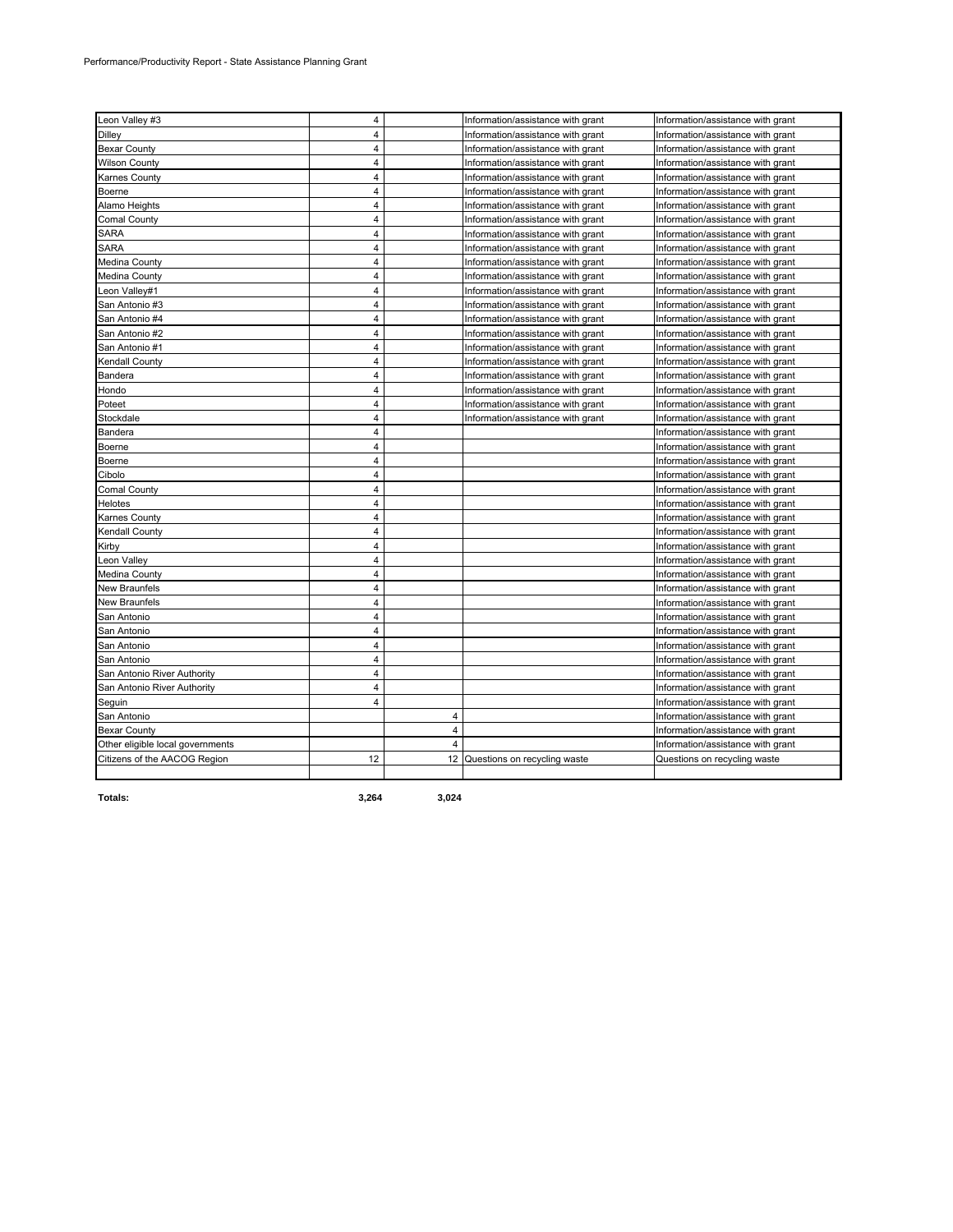| Leon Valley #3                   | 4                       |                | Information/assistance with grant | Information/assistance with grant |
|----------------------------------|-------------------------|----------------|-----------------------------------|-----------------------------------|
| Dilley                           | $\overline{4}$          |                | Information/assistance with grant | Information/assistance with grant |
| <b>Bexar County</b>              | $\overline{4}$          |                | Information/assistance with grant | Information/assistance with grant |
| <b>Wilson County</b>             | 4                       |                | Information/assistance with grant | Information/assistance with grant |
| Karnes County                    | 4                       |                | Information/assistance with grant | Information/assistance with grant |
| Boerne                           | $\overline{4}$          |                | Information/assistance with grant | Information/assistance with grant |
| Alamo Heights                    | 4                       |                | Information/assistance with grant | Information/assistance with grant |
| <b>Comal County</b>              | $\overline{4}$          |                | Information/assistance with grant | Information/assistance with grant |
| SARA                             | 4                       |                | Information/assistance with grant | Information/assistance with grant |
| SARA                             | 4                       |                | Information/assistance with grant | Information/assistance with grant |
| Medina County                    | $\overline{4}$          |                | Information/assistance with grant | Information/assistance with grant |
| Medina County                    | 4                       |                | Information/assistance with grant | Information/assistance with grant |
| Leon Valley#1                    | $\overline{\mathbf{4}}$ |                | Information/assistance with grant | Information/assistance with grant |
| San Antonio #3                   | 4                       |                | Information/assistance with grant | Information/assistance with grant |
| San Antonio #4                   | 4                       |                | Information/assistance with grant | Information/assistance with grant |
| San Antonio #2                   | $\overline{4}$          |                | Information/assistance with grant | Information/assistance with grant |
| San Antonio #1                   | $\overline{4}$          |                | Information/assistance with grant | Information/assistance with grant |
| Kendall County                   | $\overline{\mathbf{4}}$ |                | Information/assistance with grant | Information/assistance with grant |
| Bandera                          | $\overline{4}$          |                | Information/assistance with grant | Information/assistance with grant |
| Hondo                            | 4                       |                | Information/assistance with grant | Information/assistance with grant |
| Poteet                           | $\overline{4}$          |                | Information/assistance with grant | Information/assistance with grant |
| Stockdale                        | $\overline{\mathbf{4}}$ |                | Information/assistance with grant | Information/assistance with grant |
| Bandera                          | 4                       |                |                                   | Information/assistance with grant |
| Boerne                           | $\overline{4}$          |                |                                   | Information/assistance with grant |
| Boerne                           | 4                       |                |                                   | Information/assistance with grant |
| Cibolo                           | $\overline{4}$          |                |                                   | Information/assistance with grant |
| Comal County                     | $\overline{\mathbf{4}}$ |                |                                   | Information/assistance with grant |
| Helotes                          | 4                       |                |                                   | Information/assistance with grant |
| Karnes County                    | $\overline{4}$          |                |                                   | Information/assistance with grant |
| Kendall County                   | 4                       |                |                                   | Information/assistance with grant |
| Kirby                            | $\overline{4}$          |                |                                   | Information/assistance with grant |
| eon Valley                       | 4                       |                |                                   | Information/assistance with grant |
| Medina County                    | 4                       |                |                                   | Information/assistance with grant |
| New Braunfels                    | $\overline{4}$          |                |                                   | Information/assistance with grant |
| New Braunfels                    | 4                       |                |                                   | Information/assistance with grant |
| San Antonio                      | $\overline{4}$          |                |                                   | Information/assistance with grant |
| San Antonio                      | 4                       |                |                                   | Information/assistance with grant |
| San Antonio                      | $\overline{4}$          |                |                                   | Information/assistance with grant |
| San Antonio                      | $\overline{4}$          |                |                                   | Information/assistance with grant |
| San Antonio River Authority      | 4                       |                |                                   | Information/assistance with grant |
| San Antonio River Authority      | $\overline{\mathbf{4}}$ |                |                                   | Information/assistance with grant |
| Sequin                           | $\overline{4}$          |                |                                   | Information/assistance with grant |
| San Antonio                      |                         | 4              |                                   | Information/assistance with grant |
| <b>Bexar County</b>              |                         | $\overline{4}$ |                                   | Information/assistance with grant |
| Other eligible local governments |                         | $\overline{4}$ |                                   | Information/assistance with grant |
| Citizens of the AACOG Region     | 12                      |                | 12 Questions on recycling waste   | Questions on recycling waste      |
|                                  |                         |                |                                   |                                   |

**Totals: 3,264 3,024**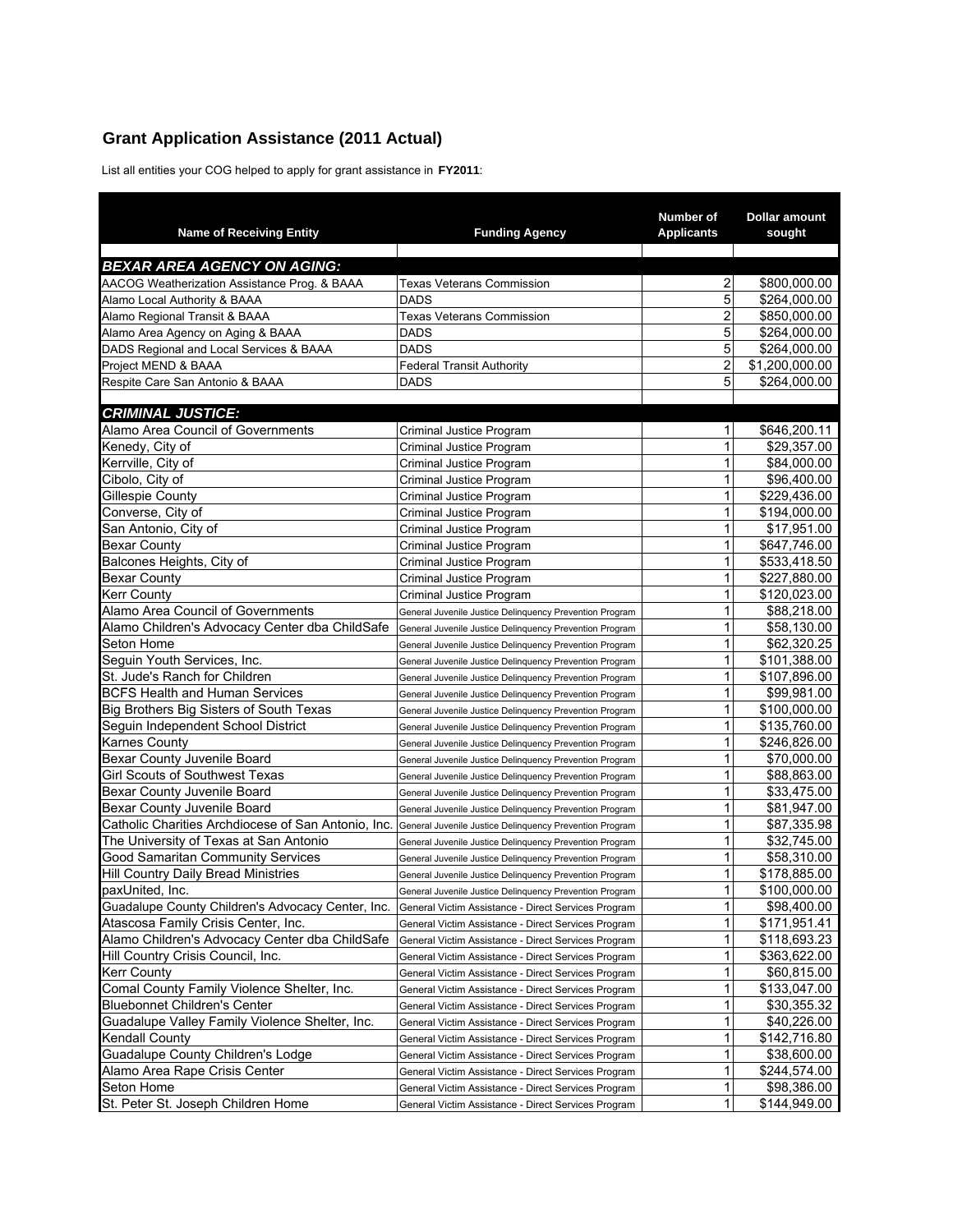# **Grant Application Assistance (2011 Actual)**

List all entities your COG helped to apply for grant assistance in **FY2011**:

| <b>Name of Receiving Entity</b>                     | <b>Funding Agency</b>                                   | Number of<br><b>Applicants</b> | Dollar amount<br>sought |
|-----------------------------------------------------|---------------------------------------------------------|--------------------------------|-------------------------|
| <b>BEXAR AREA AGENCY ON AGING:</b>                  |                                                         |                                |                         |
| AACOG Weatherization Assistance Prog. & BAAA        | <b>Texas Veterans Commission</b>                        | 2                              | \$800,000.00            |
| Alamo Local Authority & BAAA                        | <b>DADS</b>                                             | 5                              | \$264,000.00            |
| Alamo Regional Transit & BAAA                       | <b>Texas Veterans Commission</b>                        | $\overline{\mathbf{c}}$        | \$850,000.00            |
| Alamo Area Agency on Aging & BAAA                   | <b>DADS</b>                                             | 5                              | \$264,000.00            |
| DADS Regional and Local Services & BAAA             | <b>DADS</b>                                             | 5                              | \$264,000.00            |
| Project MEND & BAAA                                 | <b>Federal Transit Authority</b>                        | $\overline{c}$                 | \$1,200,000.00          |
| Respite Care San Antonio & BAAA                     | <b>DADS</b>                                             | 5                              | \$264.000.00            |
| <b>CRIMINAL JUSTICE:</b>                            |                                                         |                                |                         |
| Alamo Area Council of Governments                   | Criminal Justice Program                                | 1                              | \$646,200.11            |
| Kenedy, City of                                     | Criminal Justice Program                                | 1                              | \$29,357.00             |
| Kerrville, City of                                  |                                                         | 1                              | \$84,000.00             |
| Cibolo, City of                                     | Criminal Justice Program                                | 1                              | \$96,400.00             |
| <b>Gillespie County</b>                             | Criminal Justice Program                                | 1                              | \$229,436.00            |
|                                                     | Criminal Justice Program                                | 1                              |                         |
| Converse, City of                                   | Criminal Justice Program                                |                                | \$194,000.00            |
| San Antonio, City of                                | Criminal Justice Program                                | 1<br>1                         | \$17,951.00             |
| <b>Bexar County</b>                                 | Criminal Justice Program                                |                                | \$647,746.00            |
| Balcones Heights, City of                           | Criminal Justice Program                                | 1                              | \$533,418.50            |
| <b>Bexar County</b>                                 | Criminal Justice Program                                | 1                              | \$227,880.00            |
| Kerr Countv                                         | Criminal Justice Program                                | 1                              | \$120,023.00            |
| Alamo Area Council of Governments                   | General Juvenile Justice Delinguency Prevention Program | 1                              | \$88,218.00             |
| Alamo Children's Advocacy Center dba ChildSafe      | General Juvenile Justice Delinquency Prevention Program | 1                              | \$58,130.00             |
| Seton Home                                          | General Juvenile Justice Delinquency Prevention Program | 1                              | \$62,320.25             |
| Seguin Youth Services, Inc.                         | General Juvenile Justice Delinquency Prevention Program | 1                              | \$101,388.00            |
| St. Jude's Ranch for Children                       | General Juvenile Justice Delinquency Prevention Program | 1                              | \$107,896.00            |
| <b>BCFS Health and Human Services</b>               | General Juvenile Justice Delinquency Prevention Program | 1                              | \$99,981.00             |
| Big Brothers Big Sisters of South Texas             | General Juvenile Justice Delinquency Prevention Program | 1                              | \$100,000.00            |
| Seguin Independent School District                  | General Juvenile Justice Delinquency Prevention Program | 1                              | \$135,760.00            |
| Karnes County                                       | General Juvenile Justice Delinquency Prevention Program | 1                              | \$246,826.00            |
| Bexar County Juvenile Board                         | General Juvenile Justice Delinquency Prevention Program | 1                              | \$70,000.00             |
| <b>Girl Scouts of Southwest Texas</b>               | General Juvenile Justice Delinquency Prevention Program | 1                              | \$88,863.00             |
| Bexar County Juvenile Board                         | General Juvenile Justice Delinquency Prevention Program | 1                              | \$33,475.00             |
| Bexar County Juvenile Board                         | General Juvenile Justice Delinquency Prevention Program | 1                              | \$81,947.00             |
| Catholic Charities Archdiocese of San Antonio, Inc. | General Juvenile Justice Delinquency Prevention Program | 1                              | \$87,335.98             |
| The University of Texas at San Antonio              | General Juvenile Justice Delinquency Prevention Program | 1                              | \$32,745.00             |
| Good Samaritan Community Services                   | General Juvenile Justice Delinquency Prevention Program | 1                              | \$58,310.00             |
| <b>Hill Country Daily Bread Ministries</b>          | General Juvenile Justice Delinquency Prevention Program | 1                              | \$178,885.00            |
| paxUnited. Inc.                                     | General Juvenile Justice Delinguency Prevention Program | 1                              | \$100.000.00            |
| Guadalupe County Children's Advocacy Center, Inc.   | General Victim Assistance - Direct Services Program     | 1                              | \$98,400.00             |
| Atascosa Family Crisis Center, Inc.                 | General Victim Assistance - Direct Services Program     | 1                              | \$171,951.41            |
| Alamo Children's Advocacy Center dba ChildSafe      | General Victim Assistance - Direct Services Program     | 1                              | \$118,693.23            |
| Hill Country Crisis Council, Inc.                   | General Victim Assistance - Direct Services Program     | 1                              | \$363,622.00            |
| Kerr County                                         | General Victim Assistance - Direct Services Program     | 1                              | \$60,815.00             |
| Comal County Family Violence Shelter, Inc.          | General Victim Assistance - Direct Services Program     | 1                              | \$133,047.00            |
| Bluebonnet Children's Center                        | General Victim Assistance - Direct Services Program     | 1                              | \$30,355.32             |
| Guadalupe Valley Family Violence Shelter, Inc.      | General Victim Assistance - Direct Services Program     | 1                              | \$40,226.00             |
| Kendall County                                      | General Victim Assistance - Direct Services Program     | 1                              | \$142,716.80            |
| Guadalupe County Children's Lodge                   | General Victim Assistance - Direct Services Program     | 1                              | \$38,600.00             |
| Alamo Area Rape Crisis Center                       | General Victim Assistance - Direct Services Program     | 1                              | \$244,574.00            |
| Seton Home                                          | General Victim Assistance - Direct Services Program     | 1                              | \$98,386.00             |
| St. Peter St. Joseph Children Home                  | General Victim Assistance - Direct Services Program     | 1                              | \$144,949.00            |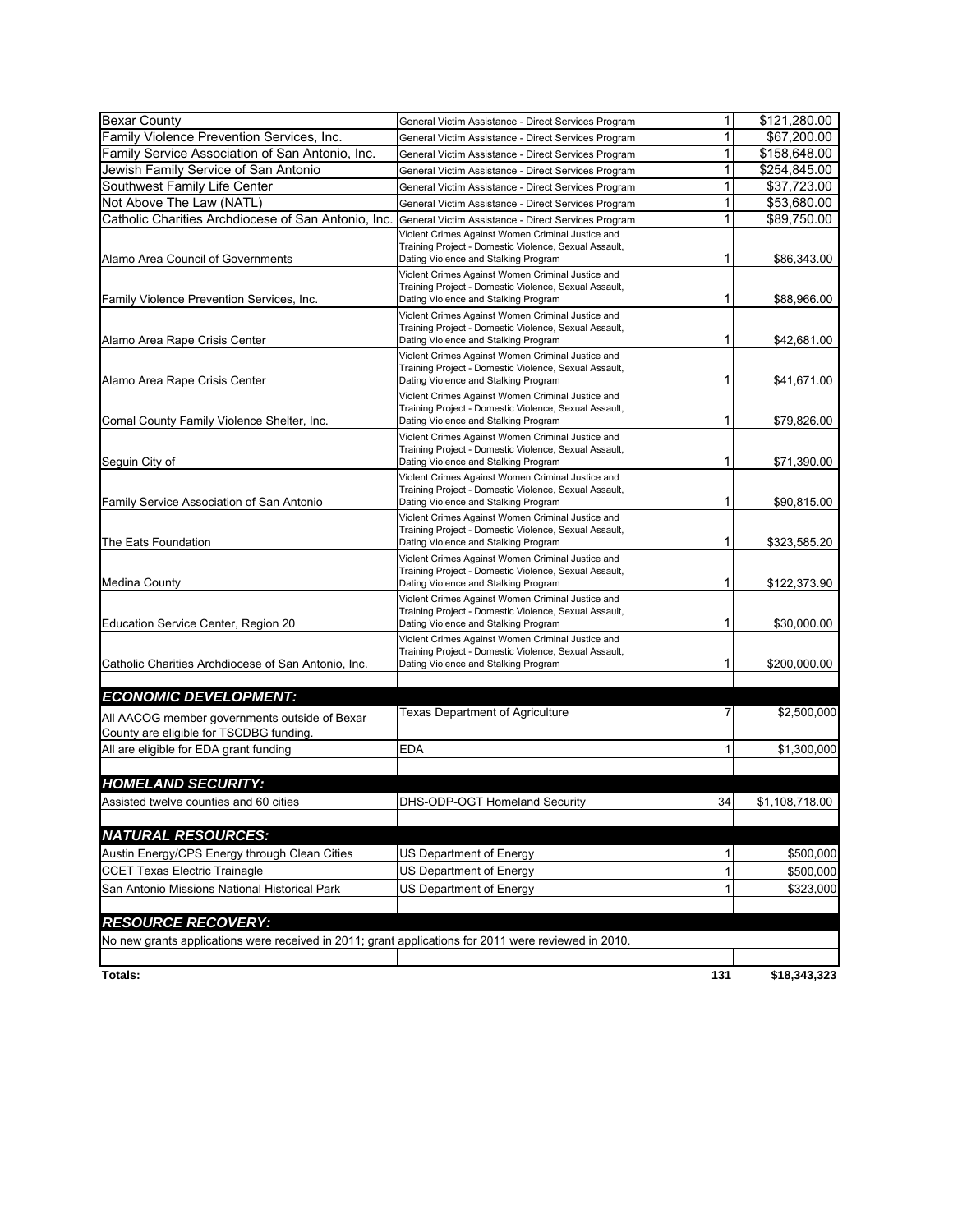| <b>Bexar County</b>                                                                                  | General Victim Assistance - Direct Services Program                                                        | 1            | \$121,280.00   |
|------------------------------------------------------------------------------------------------------|------------------------------------------------------------------------------------------------------------|--------------|----------------|
| Family Violence Prevention Services, Inc.                                                            | General Victim Assistance - Direct Services Program                                                        | 1            | \$67,200.00    |
| Family Service Association of San Antonio, Inc.                                                      | General Victim Assistance - Direct Services Program                                                        | 1            | \$158,648.00   |
| Jewish Family Service of San Antonio                                                                 | General Victim Assistance - Direct Services Program                                                        | 1            | \$254,845.00   |
| Southwest Family Life Center                                                                         | General Victim Assistance - Direct Services Program                                                        | 1            | \$37,723.00    |
| Not Above The Law (NATL)                                                                             | General Victim Assistance - Direct Services Program                                                        | 1            | \$53,680.00    |
| Catholic Charities Archdiocese of San Antonio, Inc.                                                  | General Victim Assistance - Direct Services Program                                                        | 1            | \$89,750.00    |
|                                                                                                      | Violent Crimes Against Women Criminal Justice and                                                          |              |                |
| Alamo Area Council of Governments                                                                    | Training Project - Domestic Violence, Sexual Assault,<br>Dating Violence and Stalking Program              | 1            | \$86,343.00    |
|                                                                                                      | Violent Crimes Against Women Criminal Justice and                                                          |              |                |
|                                                                                                      | Training Project - Domestic Violence, Sexual Assault,                                                      |              |                |
| Family Violence Prevention Services, Inc.                                                            | Dating Violence and Stalking Program                                                                       | 1            | \$88,966.00    |
|                                                                                                      | Violent Crimes Against Women Criminal Justice and<br>Training Project - Domestic Violence, Sexual Assault, |              |                |
| Alamo Area Rape Crisis Center                                                                        | Dating Violence and Stalking Program                                                                       | 1            | \$42,681.00    |
|                                                                                                      | Violent Crimes Against Women Criminal Justice and                                                          |              |                |
|                                                                                                      | Training Project - Domestic Violence, Sexual Assault,                                                      |              |                |
| Alamo Area Rape Crisis Center                                                                        | Dating Violence and Stalking Program                                                                       | 1            | \$41,671.00    |
|                                                                                                      | Violent Crimes Against Women Criminal Justice and<br>Training Project - Domestic Violence, Sexual Assault, |              |                |
| Comal County Family Violence Shelter, Inc.                                                           | Dating Violence and Stalking Program                                                                       | 1            | \$79,826.00    |
|                                                                                                      | Violent Crimes Against Women Criminal Justice and                                                          |              |                |
|                                                                                                      | Training Project - Domestic Violence, Sexual Assault,                                                      |              |                |
| Seguin City of                                                                                       | Dating Violence and Stalking Program<br>Violent Crimes Against Women Criminal Justice and                  | 1            | \$71,390.00    |
|                                                                                                      | Training Project - Domestic Violence, Sexual Assault,                                                      |              |                |
| Family Service Association of San Antonio                                                            | Dating Violence and Stalking Program                                                                       | 1            | \$90,815.00    |
|                                                                                                      | Violent Crimes Against Women Criminal Justice and                                                          |              |                |
| The Eats Foundation                                                                                  | Training Project - Domestic Violence, Sexual Assault,<br>Dating Violence and Stalking Program              | 1            | \$323,585.20   |
|                                                                                                      | Violent Crimes Against Women Criminal Justice and                                                          |              |                |
|                                                                                                      | Training Project - Domestic Violence, Sexual Assault,                                                      |              |                |
| Medina County                                                                                        | Dating Violence and Stalking Program                                                                       | 1            | \$122,373.90   |
|                                                                                                      | Violent Crimes Against Women Criminal Justice and                                                          |              |                |
| Education Service Center, Region 20                                                                  | Training Project - Domestic Violence, Sexual Assault,<br>Dating Violence and Stalking Program              | 1            | \$30,000.00    |
|                                                                                                      | Violent Crimes Against Women Criminal Justice and                                                          |              |                |
|                                                                                                      | Training Project - Domestic Violence, Sexual Assault,                                                      |              |                |
| Catholic Charities Archdiocese of San Antonio, Inc.                                                  | Dating Violence and Stalking Program                                                                       | 1            | \$200,000.00   |
|                                                                                                      |                                                                                                            |              |                |
| <b>ECONOMIC DEVELOPMENT:</b>                                                                         | <b>Texas Department of Agriculture</b>                                                                     | 7            |                |
| All AACOG member governments outside of Bexar                                                        |                                                                                                            |              | \$2,500,000    |
| County are eligible for TSCDBG funding.                                                              |                                                                                                            |              |                |
| All are eligible for EDA grant funding                                                               | <b>EDA</b>                                                                                                 | 1            | \$1,300,000    |
|                                                                                                      |                                                                                                            |              |                |
| <b>HOMELAND SECURITY:</b>                                                                            |                                                                                                            |              |                |
| Assisted twelve counties and 60 cities                                                               | DHS-ODP-OGT Homeland Security                                                                              | 34           | \$1,108,718.00 |
|                                                                                                      |                                                                                                            |              |                |
| <b>NATURAL RESOURCES:</b>                                                                            |                                                                                                            |              |                |
| Austin Energy/CPS Energy through Clean Cities                                                        | US Department of Energy                                                                                    | 1            | \$500,000      |
| <b>CCET Texas Electric Trainagle</b>                                                                 | US Department of Energy                                                                                    | $\mathbf{1}$ | \$500,000      |
| San Antonio Missions National Historical Park                                                        | US Department of Energy                                                                                    | 1            | \$323,000      |
|                                                                                                      |                                                                                                            |              |                |
| <b>RESOURCE RECOVERY:</b>                                                                            |                                                                                                            |              |                |
| No new grants applications were received in 2011; grant applications for 2011 were reviewed in 2010. |                                                                                                            |              |                |
|                                                                                                      |                                                                                                            |              |                |
| Totals:                                                                                              |                                                                                                            | 131          | \$18,343,323   |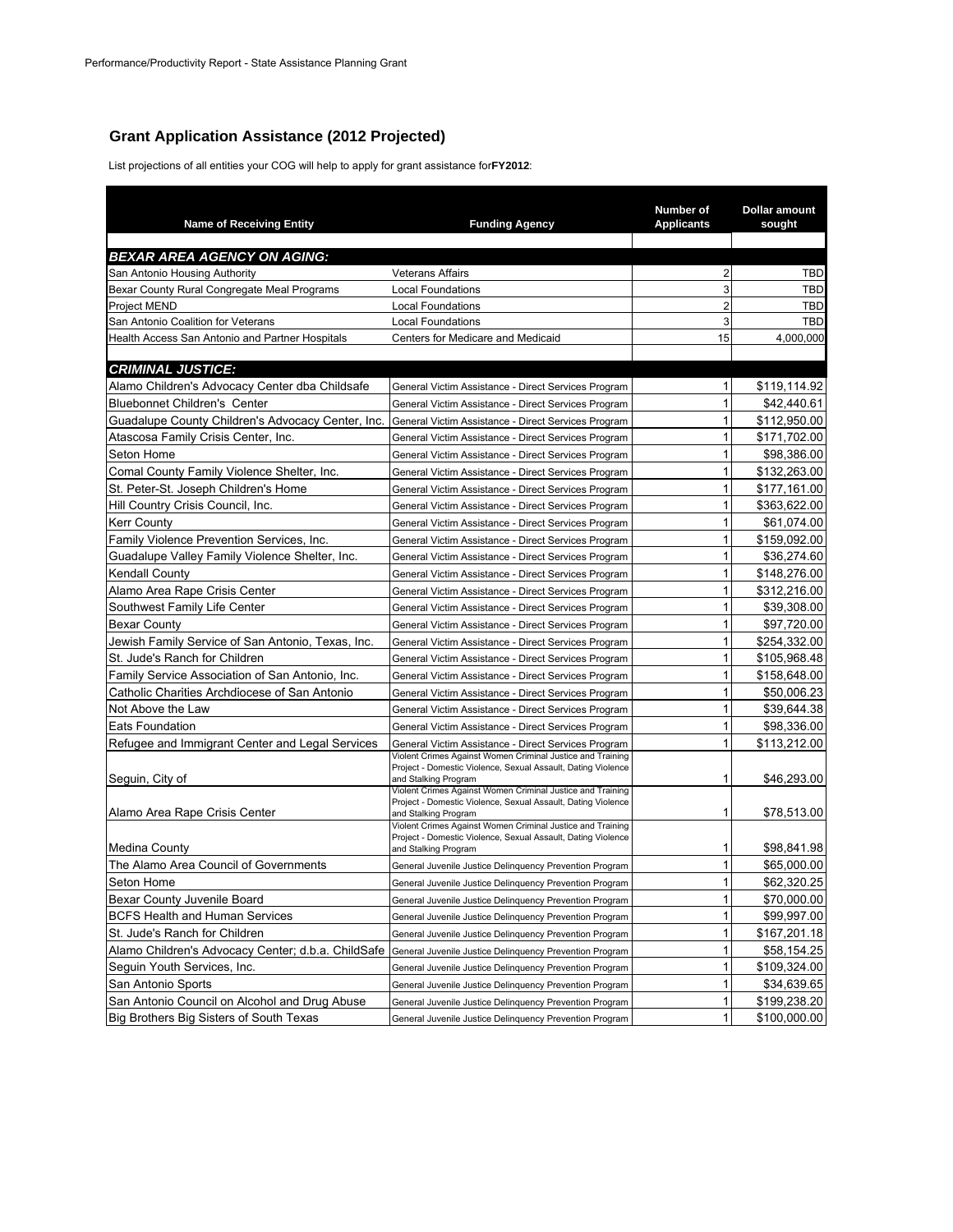#### **Grant Application Assistance (2012 Projected)**

List projections of all entities your COG will help to apply for grant assistance for **FY2012**:

| <b>Name of Receiving Entity</b>                    | <b>Funding Agency</b>                                                                                                                              | Number of<br><b>Applicants</b> | Dollar amount<br>sought  |
|----------------------------------------------------|----------------------------------------------------------------------------------------------------------------------------------------------------|--------------------------------|--------------------------|
|                                                    |                                                                                                                                                    |                                |                          |
| <b>BEXAR AREA AGENCY ON AGING:</b>                 |                                                                                                                                                    |                                |                          |
| San Antonio Housing Authority                      | <b>Veterans Affairs</b>                                                                                                                            | $\overline{2}$                 | <b>TBD</b>               |
| Bexar County Rural Congregate Meal Programs        | <b>Local Foundations</b>                                                                                                                           | 3<br>$\overline{2}$            | <b>TBD</b><br><b>TBD</b> |
| Project MEND<br>San Antonio Coalition for Veterans | <b>Local Foundations</b><br><b>Local Foundations</b>                                                                                               | 3                              | <b>TBD</b>               |
| Health Access San Antonio and Partner Hospitals    | Centers for Medicare and Medicaid                                                                                                                  | 15                             | 4,000,000                |
|                                                    |                                                                                                                                                    |                                |                          |
| <b>CRIMINAL JUSTICE:</b>                           |                                                                                                                                                    |                                |                          |
| Alamo Children's Advocacy Center dba Childsafe     | General Victim Assistance - Direct Services Program                                                                                                | $\mathbf{1}$                   | \$119,114.92             |
| <b>Bluebonnet Children's Center</b>                | General Victim Assistance - Direct Services Program                                                                                                | $\mathbf{1}$                   | \$42.440.61              |
| Guadalupe County Children's Advocacy Center, Inc.  | General Victim Assistance - Direct Services Program                                                                                                | $\mathbf{1}$                   | \$112,950.00             |
| Atascosa Family Crisis Center, Inc.                | General Victim Assistance - Direct Services Program                                                                                                | $\mathbf{1}$                   | \$171,702.00             |
| Seton Home                                         | General Victim Assistance - Direct Services Program                                                                                                | 1                              | \$98,386.00              |
| Comal County Family Violence Shelter, Inc.         | General Victim Assistance - Direct Services Program                                                                                                | 1                              | \$132,263.00             |
| St. Peter-St. Joseph Children's Home               | General Victim Assistance - Direct Services Program                                                                                                | $\mathbf{1}$                   | \$177,161.00             |
| Hill Country Crisis Council, Inc.                  | General Victim Assistance - Direct Services Program                                                                                                | $\mathbf{1}$                   | \$363,622.00             |
| <b>Kerr County</b>                                 | General Victim Assistance - Direct Services Program                                                                                                | 1                              | \$61,074.00              |
| Family Violence Prevention Services, Inc.          | General Victim Assistance - Direct Services Program                                                                                                | $\mathbf{1}$                   | \$159,092.00             |
| Guadalupe Valley Family Violence Shelter, Inc.     | General Victim Assistance - Direct Services Program                                                                                                | 1                              | \$36,274.60              |
| <b>Kendall County</b>                              | General Victim Assistance - Direct Services Program                                                                                                | 1                              | \$148,276.00             |
| Alamo Area Rape Crisis Center                      | General Victim Assistance - Direct Services Program                                                                                                | $\mathbf{1}$                   | \$312,216.00             |
| Southwest Family Life Center                       | General Victim Assistance - Direct Services Program                                                                                                | $\mathbf{1}$                   | \$39,308.00              |
| <b>Bexar County</b>                                | General Victim Assistance - Direct Services Program                                                                                                | $\mathbf{1}$                   | \$97,720.00              |
| Jewish Family Service of San Antonio, Texas, Inc.  | General Victim Assistance - Direct Services Program                                                                                                | $\mathbf{1}$                   | \$254,332.00             |
| St. Jude's Ranch for Children                      | General Victim Assistance - Direct Services Program                                                                                                | $\mathbf{1}$                   | \$105,968.48             |
| Family Service Association of San Antonio, Inc.    | General Victim Assistance - Direct Services Program                                                                                                | $\mathbf{1}$                   | \$158,648.00             |
| Catholic Charities Archdiocese of San Antonio      | General Victim Assistance - Direct Services Program                                                                                                | 1                              | \$50,006.23              |
| Not Above the Law                                  | General Victim Assistance - Direct Services Program                                                                                                | $\mathbf{1}$                   | \$39,644.38              |
| <b>Eats Foundation</b>                             | General Victim Assistance - Direct Services Program                                                                                                | $\mathbf{1}$                   | \$98,336.00              |
| Refugee and Immigrant Center and Legal Services    | General Victim Assistance - Direct Services Program                                                                                                | 1                              | \$113,212.00             |
| Seguin, City of                                    | Violent Crimes Against Women Criminal Justice and Training<br>Project - Domestic Violence, Sexual Assault, Dating Violence<br>and Stalking Program | 1                              | \$46,293.00              |
| Alamo Area Rape Crisis Center                      | Violent Crimes Against Women Criminal Justice and Training<br>Project - Domestic Violence, Sexual Assault, Dating Violence<br>and Stalking Program | 1                              | \$78,513.00              |
| Medina County                                      | Violent Crimes Against Women Criminal Justice and Training<br>Project - Domestic Violence, Sexual Assault, Dating Violence<br>and Stalking Program | 1                              | \$98,841.98              |
| The Alamo Area Council of Governments              | General Juvenile Justice Delinquency Prevention Program                                                                                            | 1                              | \$65,000.00              |
| Seton Home                                         | General Juvenile Justice Delinquency Prevention Program                                                                                            | 1                              | \$62,320.25              |
| Bexar County Juvenile Board                        | General Juvenile Justice Delinquency Prevention Program                                                                                            | 1                              | \$70,000.00              |
| BCFS Health and Human Services                     | General Juvenile Justice Delinquency Prevention Program                                                                                            | $\mathbf{1}$                   | \$99,997.00              |
| St. Jude's Ranch for Children                      | General Juvenile Justice Delinquency Prevention Program                                                                                            | $\mathbf{1}$                   | \$167,201.18             |
| Alamo Children's Advocacy Center; d.b.a. ChildSafe | General Juvenile Justice Delinquency Prevention Program                                                                                            | 1                              | \$58,154.25              |
| Seguin Youth Services, Inc.                        | General Juvenile Justice Delinquency Prevention Program                                                                                            | 1                              | \$109,324.00             |
| San Antonio Sports                                 | General Juvenile Justice Delinquency Prevention Program                                                                                            | $\mathbf{1}$                   | \$34,639.65              |
| San Antonio Council on Alcohol and Drug Abuse      | General Juvenile Justice Delinquency Prevention Program                                                                                            | 1                              | \$199,238.20             |
| Big Brothers Big Sisters of South Texas            | General Juvenile Justice Delinquency Prevention Program                                                                                            | $\mathbf{1}$                   | \$100,000.00             |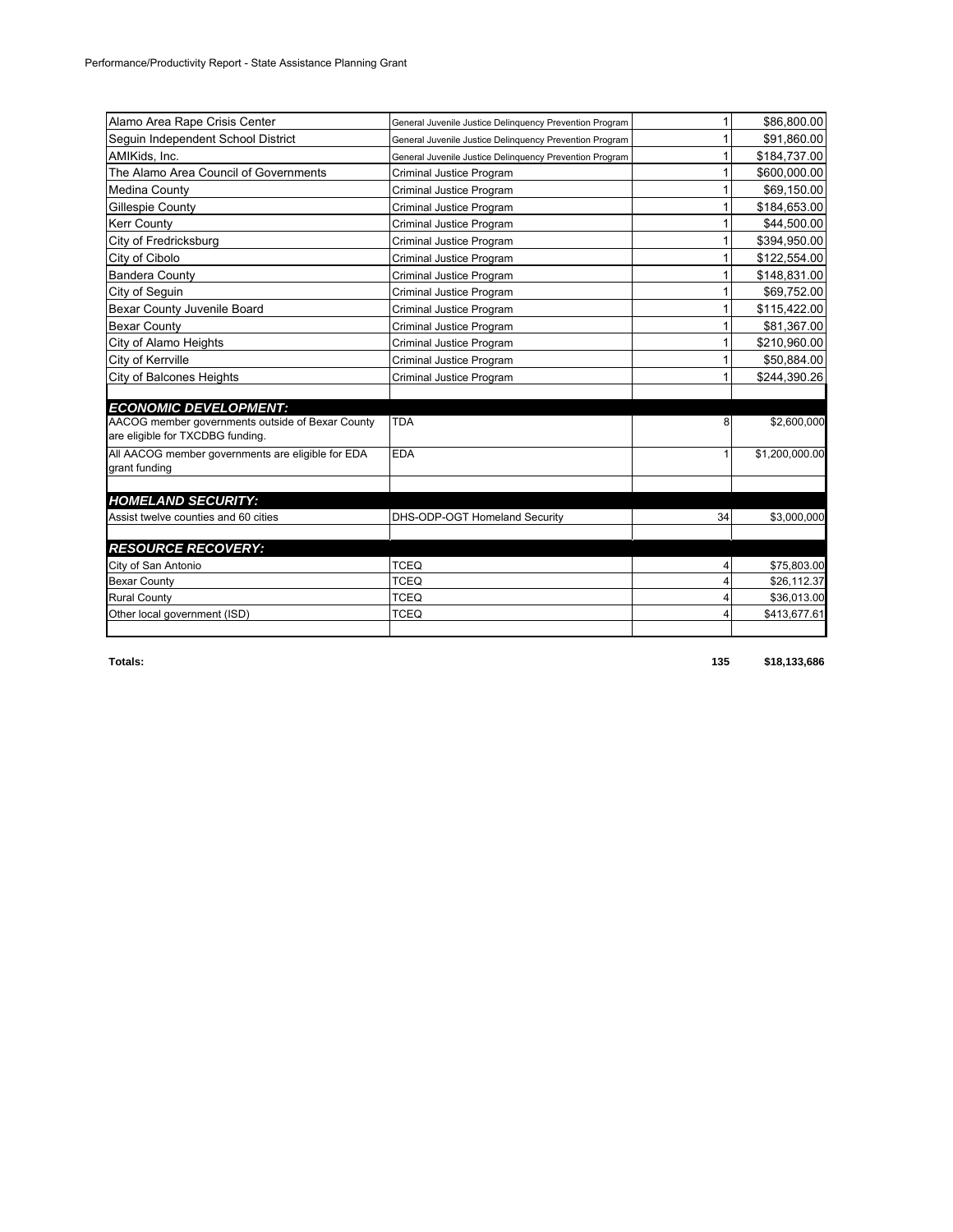| Alamo Area Rape Crisis Center                                                        | General Juvenile Justice Delinguency Prevention Program |    | \$86,800.00    |
|--------------------------------------------------------------------------------------|---------------------------------------------------------|----|----------------|
| Seguin Independent School District                                                   | General Juvenile Justice Delinguency Prevention Program |    | \$91,860.00    |
| AMIKids, Inc.                                                                        | General Juvenile Justice Delinguency Prevention Program |    | \$184,737.00   |
| The Alamo Area Council of Governments                                                | Criminal Justice Program                                |    | \$600,000.00   |
| Medina County                                                                        | Criminal Justice Program                                |    | \$69,150.00    |
| Gillespie County                                                                     | Criminal Justice Program                                |    | \$184,653.00   |
| <b>Kerr Countv</b>                                                                   | Criminal Justice Program                                |    | \$44.500.00    |
| City of Fredricksburg                                                                | Criminal Justice Program                                |    | \$394,950.00   |
| City of Cibolo                                                                       | Criminal Justice Program                                |    | \$122,554.00   |
| <b>Bandera County</b>                                                                | Criminal Justice Program                                |    | \$148,831.00   |
| City of Seguin                                                                       | Criminal Justice Program                                |    | \$69,752.00    |
| Bexar County Juvenile Board                                                          | Criminal Justice Program                                |    | \$115,422.00   |
| <b>Bexar County</b>                                                                  | Criminal Justice Program                                |    | \$81,367.00    |
| City of Alamo Heights                                                                | Criminal Justice Program                                |    | \$210,960.00   |
| City of Kerrville                                                                    | Criminal Justice Program                                |    | \$50,884.00    |
| <b>City of Balcones Heights</b>                                                      | Criminal Justice Program                                |    | \$244,390.26   |
| <b>ECONOMIC DEVELOPMENT:</b>                                                         |                                                         |    |                |
| AACOG member governments outside of Bexar County<br>are eligible for TXCDBG funding. | <b>TDA</b>                                              | 8  | \$2,600,000    |
| All AACOG member governments are eligible for EDA<br>grant funding                   | <b>EDA</b>                                              | 1  | \$1,200,000.00 |
| <b>HOMELAND SECURITY:</b>                                                            |                                                         |    |                |
| Assist twelve counties and 60 cities                                                 | DHS-ODP-OGT Homeland Security                           | 34 | \$3,000,000    |
| <b>RESOURCE RECOVERY:</b>                                                            |                                                         |    |                |
| City of San Antonio                                                                  | <b>TCEQ</b>                                             | 4  | \$75,803.00    |
| <b>Bexar County</b>                                                                  | <b>TCEQ</b>                                             | 4  | \$26,112.37    |
| <b>Rural County</b>                                                                  | <b>TCEQ</b>                                             | 4  | \$36,013.00    |
| Other local government (ISD)                                                         | <b>TCEQ</b>                                             | 4  | \$413,677.61   |
|                                                                                      |                                                         |    |                |

**Totals: 135 \$18,133,686**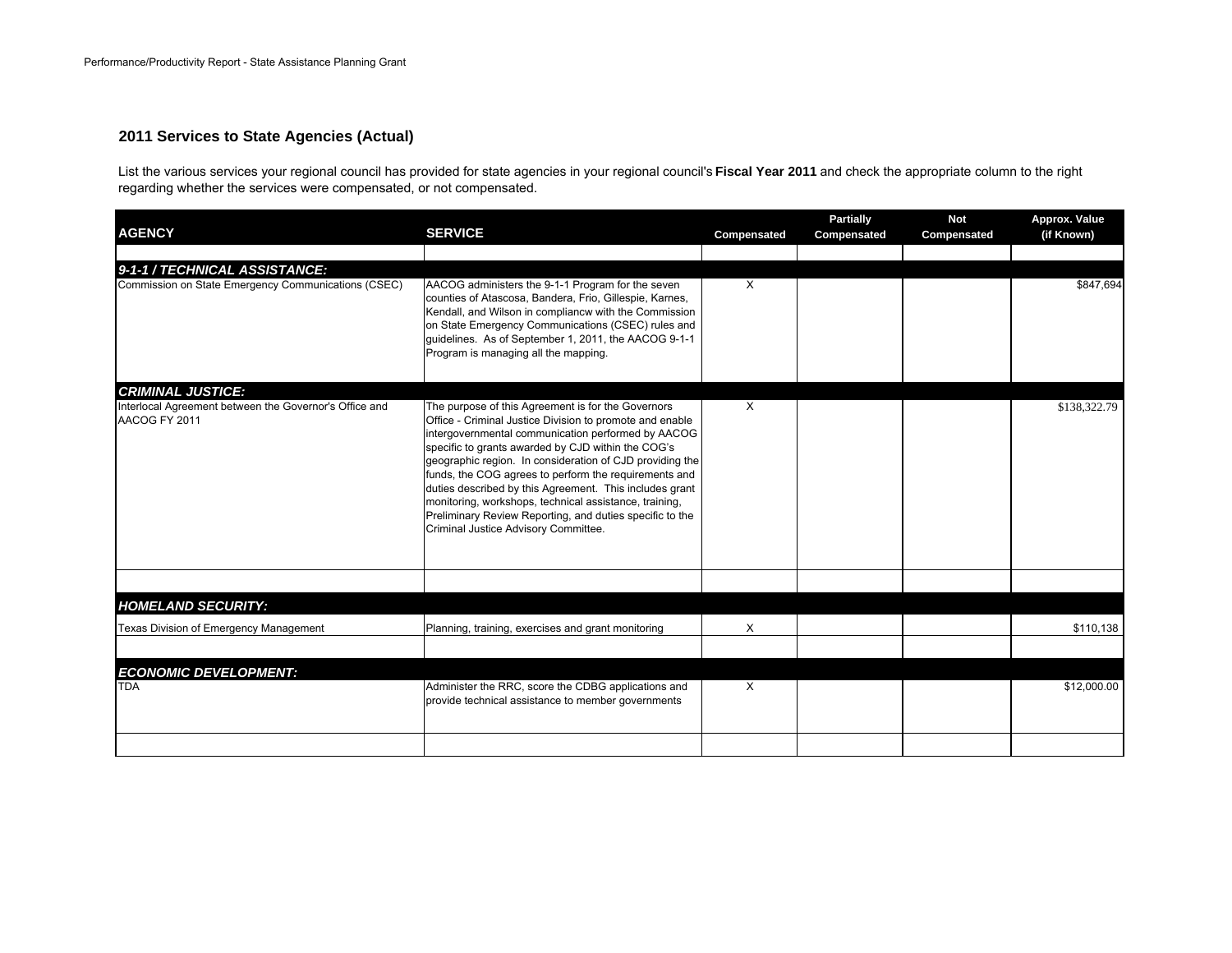#### **2011 Services to State Agencies (Actual)**

List the various services your regional council has provided for state agencies in your regional council's **Fiscal Year 2011** and check the appropriate column to the right regarding whether the services were compensated, or not compensated.

| <b>AGENCY</b>                                                           | <b>SERVICE</b>                                                                                                                                                                                                                                                                                                                                                                                                                                                                                                                                                           | Compensated | <b>Partially</b><br>Compensated | <b>Not</b><br>Compensated | Approx. Value<br>(if Known) |
|-------------------------------------------------------------------------|--------------------------------------------------------------------------------------------------------------------------------------------------------------------------------------------------------------------------------------------------------------------------------------------------------------------------------------------------------------------------------------------------------------------------------------------------------------------------------------------------------------------------------------------------------------------------|-------------|---------------------------------|---------------------------|-----------------------------|
| 9-1-1 / TECHNICAL ASSISTANCE:                                           |                                                                                                                                                                                                                                                                                                                                                                                                                                                                                                                                                                          |             |                                 |                           |                             |
| Commission on State Emergency Communications (CSEC)                     | AACOG administers the 9-1-1 Program for the seven<br>counties of Atascosa, Bandera, Frio, Gillespie, Karnes,<br>Kendall, and Wilson in compliancw with the Commission<br>on State Emergency Communications (CSEC) rules and<br>guidelines. As of September 1, 2011, the AACOG 9-1-1<br>Program is managing all the mapping.                                                                                                                                                                                                                                              | $\times$    |                                 |                           | \$847,694                   |
| <b>CRIMINAL JUSTICE:</b>                                                |                                                                                                                                                                                                                                                                                                                                                                                                                                                                                                                                                                          |             |                                 |                           |                             |
| Interlocal Agreement between the Governor's Office and<br>AACOG FY 2011 | The purpose of this Agreement is for the Governors<br>Office - Criminal Justice Division to promote and enable<br>intergovernmental communication performed by AACOG<br>specific to grants awarded by CJD within the COG's<br>geographic region. In consideration of CJD providing the<br>funds, the COG agrees to perform the requirements and<br>duties described by this Agreement. This includes grant<br>monitoring, workshops, technical assistance, training,<br>Preliminary Review Reporting, and duties specific to the<br>Criminal Justice Advisory Committee. | X           |                                 |                           | \$138,322.79                |
|                                                                         |                                                                                                                                                                                                                                                                                                                                                                                                                                                                                                                                                                          |             |                                 |                           |                             |
| <b>HOMELAND SECURITY:</b>                                               |                                                                                                                                                                                                                                                                                                                                                                                                                                                                                                                                                                          |             |                                 |                           |                             |
| Texas Division of Emergency Management                                  | Planning, training, exercises and grant monitoring                                                                                                                                                                                                                                                                                                                                                                                                                                                                                                                       | X           |                                 |                           | \$110,138                   |
|                                                                         |                                                                                                                                                                                                                                                                                                                                                                                                                                                                                                                                                                          |             |                                 |                           |                             |
| <b>ECONOMIC DEVELOPMENT:</b><br><b>TDA</b>                              | Administer the RRC, score the CDBG applications and<br>provide technical assistance to member governments                                                                                                                                                                                                                                                                                                                                                                                                                                                                | X           |                                 |                           | \$12,000.00                 |
|                                                                         |                                                                                                                                                                                                                                                                                                                                                                                                                                                                                                                                                                          |             |                                 |                           |                             |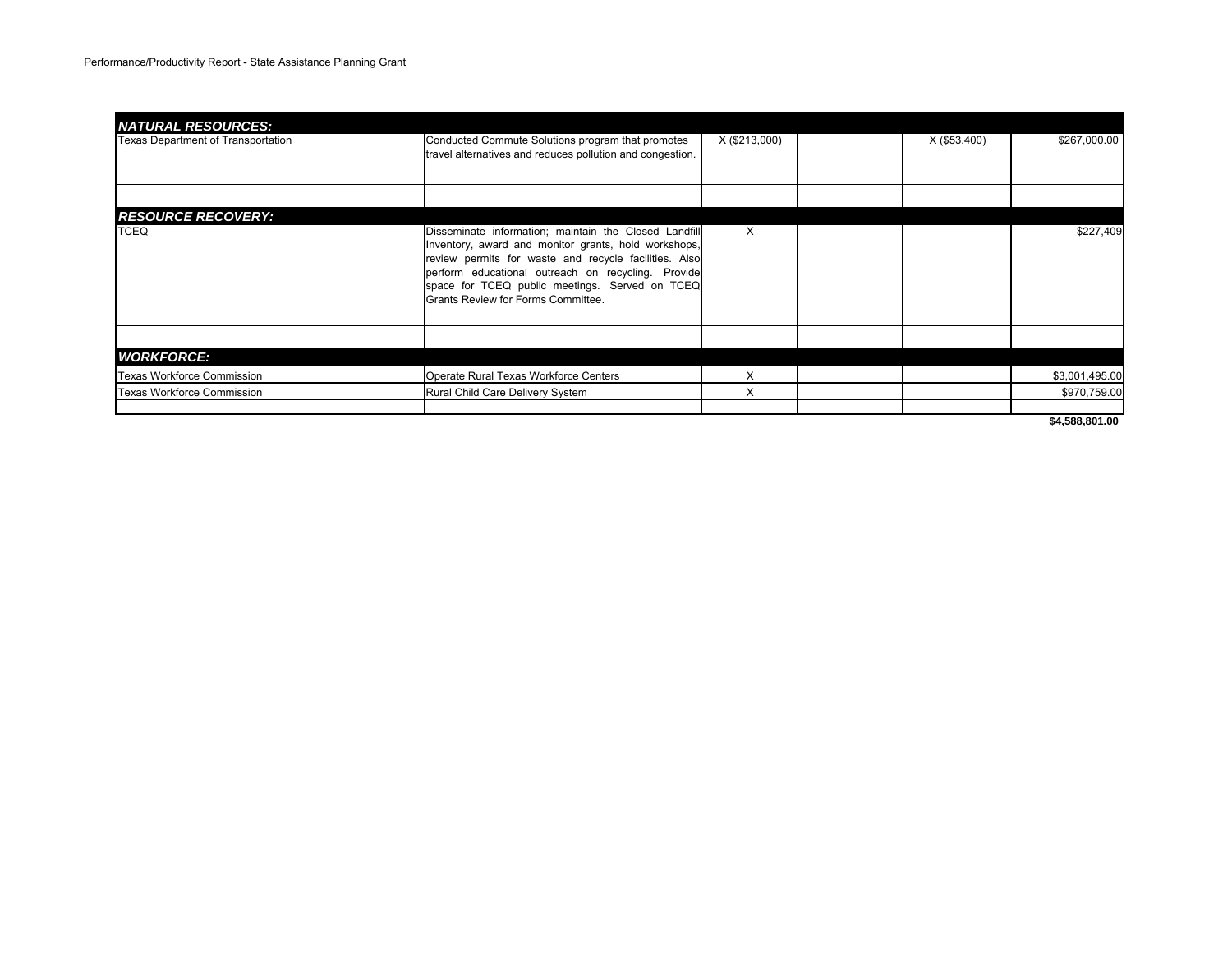| <b>NATURAL RESOURCES:</b>          |                                                                                                                                                                                                                                                                                                                      |               |              |                |
|------------------------------------|----------------------------------------------------------------------------------------------------------------------------------------------------------------------------------------------------------------------------------------------------------------------------------------------------------------------|---------------|--------------|----------------|
| Texas Department of Transportation | Conducted Commute Solutions program that promotes<br>travel alternatives and reduces pollution and congestion.                                                                                                                                                                                                       | X (\$213,000) | X (\$53,400) | \$267,000.00   |
|                                    |                                                                                                                                                                                                                                                                                                                      |               |              |                |
| <b>RESOURCE RECOVERY:</b>          |                                                                                                                                                                                                                                                                                                                      |               |              |                |
| <b>TCEQ</b>                        | Disseminate information; maintain the Closed Landfill<br>Inventory, award and monitor grants, hold workshops,<br>review permits for waste and recycle facilities. Also<br>perform educational outreach on recycling. Provide<br>space for TCEQ public meetings. Served on TCEQ<br>Grants Review for Forms Committee. | X             |              | \$227,409      |
|                                    |                                                                                                                                                                                                                                                                                                                      |               |              |                |
| <b>WORKFORCE:</b>                  |                                                                                                                                                                                                                                                                                                                      |               |              |                |
| Texas Workforce Commission         | Operate Rural Texas Workforce Centers                                                                                                                                                                                                                                                                                | X             |              | \$3,001,495.00 |
| <b>Texas Workforce Commission</b>  | Rural Child Care Delivery System                                                                                                                                                                                                                                                                                     | X             |              | \$970,759.00   |
|                                    |                                                                                                                                                                                                                                                                                                                      |               |              |                |

**\$4,588,801.00**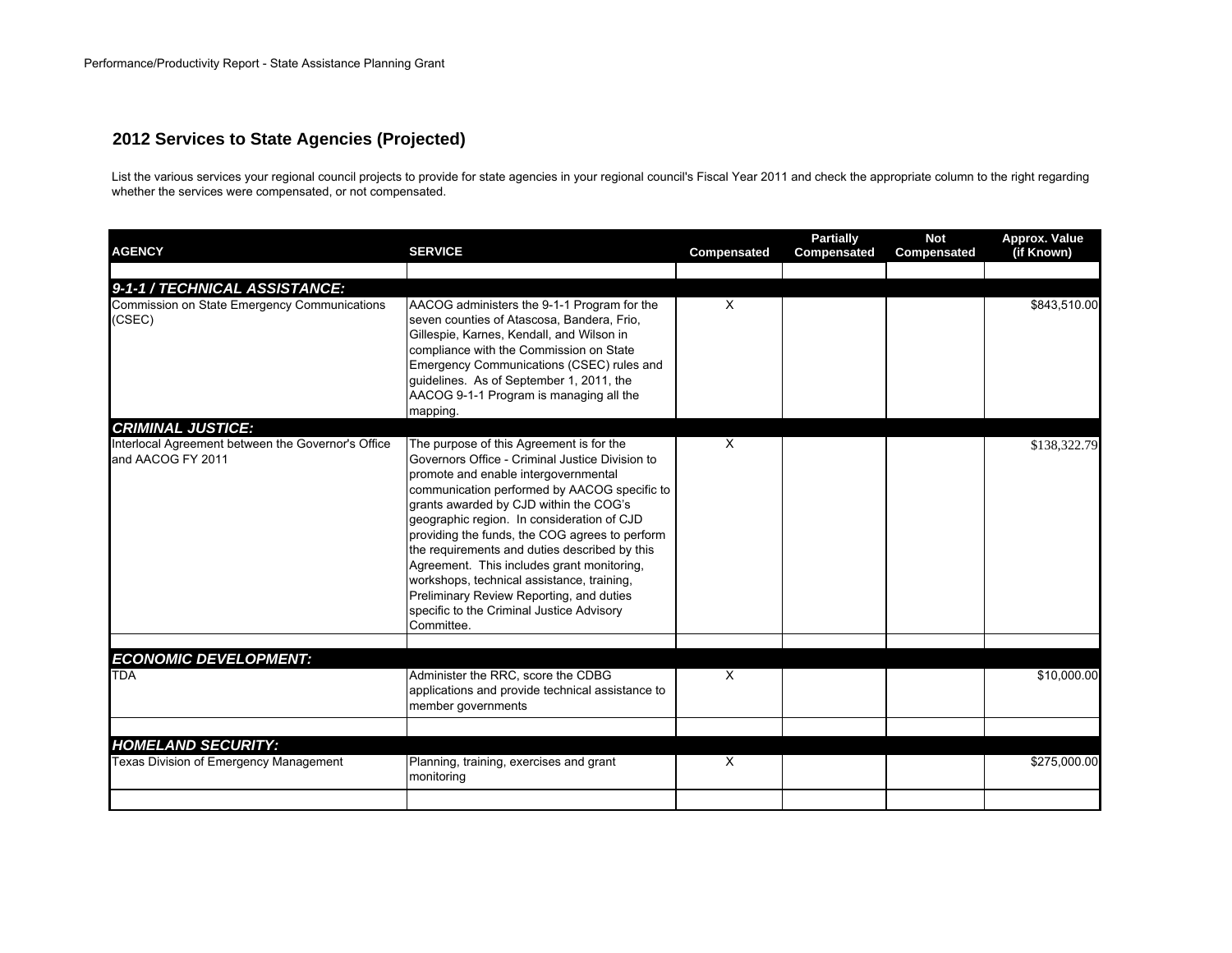#### **2012 Services to State Agencies (Projected)**

List the various services your regional council projects to provide for state agencies in your regional council's Fiscal Year 2011 and check the appropriate column to the right regarding whether the services were compensated, or not compensated.

| <b>AGENCY</b>                                                                           | <b>SERVICE</b>                                                                                                                                                                                                                                                                                                                                                                                                                                                                                                                                                                    | Compensated  | <b>Partially</b><br>Compensated | <b>Not</b><br>Compensated | Approx. Value<br>(if Known) |
|-----------------------------------------------------------------------------------------|-----------------------------------------------------------------------------------------------------------------------------------------------------------------------------------------------------------------------------------------------------------------------------------------------------------------------------------------------------------------------------------------------------------------------------------------------------------------------------------------------------------------------------------------------------------------------------------|--------------|---------------------------------|---------------------------|-----------------------------|
|                                                                                         |                                                                                                                                                                                                                                                                                                                                                                                                                                                                                                                                                                                   |              |                                 |                           |                             |
| 9-1-1 / TECHNICAL ASSISTANCE:<br>Commission on State Emergency Communications<br>(CSEC) | AACOG administers the 9-1-1 Program for the<br>seven counties of Atascosa, Bandera, Frio,<br>Gillespie, Karnes, Kendall, and Wilson in<br>compliance with the Commission on State<br>Emergency Communications (CSEC) rules and<br>quidelines. As of September 1, 2011, the<br>AACOG 9-1-1 Program is managing all the<br>mapping.                                                                                                                                                                                                                                                 | $\times$     |                                 |                           | \$843,510.00                |
| <b>CRIMINAL JUSTICE:</b>                                                                |                                                                                                                                                                                                                                                                                                                                                                                                                                                                                                                                                                                   |              |                                 |                           |                             |
| Interlocal Agreement between the Governor's Office<br>and AACOG FY 2011                 | The purpose of this Agreement is for the<br>Governors Office - Criminal Justice Division to<br>promote and enable intergovernmental<br>communication performed by AACOG specific to<br>grants awarded by CJD within the COG's<br>geographic region. In consideration of CJD<br>providing the funds, the COG agrees to perform<br>the requirements and duties described by this<br>Agreement. This includes grant monitoring,<br>workshops, technical assistance, training,<br>Preliminary Review Reporting, and duties<br>specific to the Criminal Justice Advisory<br>Committee. | $\mathsf{x}$ |                                 |                           | \$138,322.79                |
| <b>ECONOMIC DEVELOPMENT:</b>                                                            |                                                                                                                                                                                                                                                                                                                                                                                                                                                                                                                                                                                   |              |                                 |                           |                             |
| <b>TDA</b>                                                                              | Administer the RRC, score the CDBG<br>applications and provide technical assistance to<br>member governments                                                                                                                                                                                                                                                                                                                                                                                                                                                                      | $\mathsf{X}$ |                                 |                           | \$10,000.00                 |
| <b>HOMELAND SECURITY:</b>                                                               |                                                                                                                                                                                                                                                                                                                                                                                                                                                                                                                                                                                   |              |                                 |                           |                             |
| Texas Division of Emergency Management                                                  | Planning, training, exercises and grant<br>monitoring                                                                                                                                                                                                                                                                                                                                                                                                                                                                                                                             | $\mathsf{x}$ |                                 |                           | \$275,000.00                |
|                                                                                         |                                                                                                                                                                                                                                                                                                                                                                                                                                                                                                                                                                                   |              |                                 |                           |                             |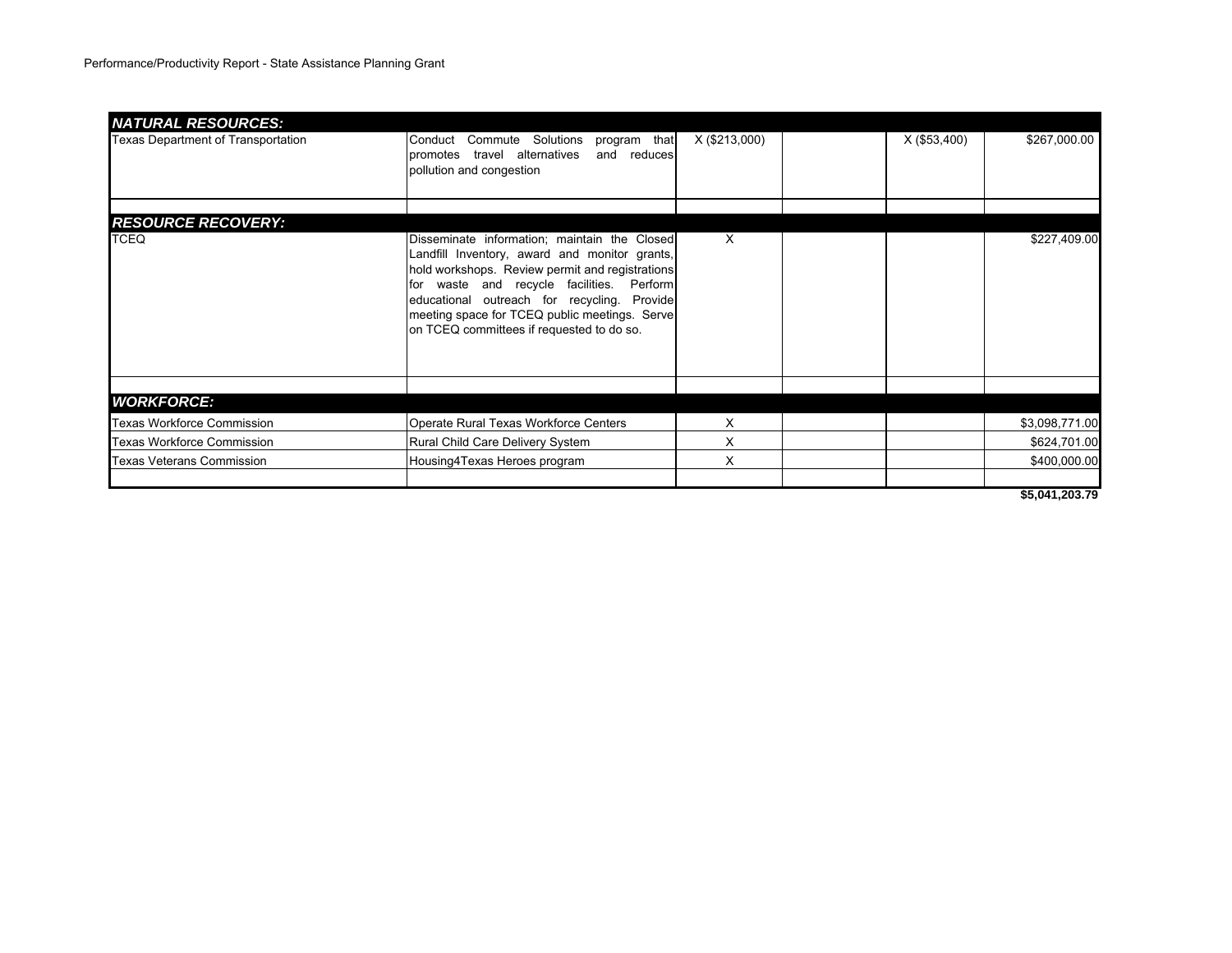| <b>NATURAL RESOURCES:</b>          |                                                                                                                                                                                                                                                                                                                                            |               |                |                |
|------------------------------------|--------------------------------------------------------------------------------------------------------------------------------------------------------------------------------------------------------------------------------------------------------------------------------------------------------------------------------------------|---------------|----------------|----------------|
| Texas Department of Transportation | Conduct Commute Solutions program that<br>promotes travel alternatives<br>and reduces<br>pollution and congestion                                                                                                                                                                                                                          | X (\$213,000) | $X($ \$53,400) | \$267,000.00   |
| <b>RESOURCE RECOVERY:</b>          |                                                                                                                                                                                                                                                                                                                                            |               |                |                |
| <b>TCEQ</b>                        | Disseminate information; maintain the Closed<br>Landfill Inventory, award and monitor grants,<br>hold workshops. Review permit and registrations<br>for waste and recycle facilities. Perform<br>educational outreach for recycling. Provide<br>meeting space for TCEQ public meetings. Serve<br>on TCEQ committees if requested to do so. | $\mathsf{X}$  |                | \$227,409.00   |
|                                    |                                                                                                                                                                                                                                                                                                                                            |               |                |                |
| <b>WORKFORCE:</b>                  |                                                                                                                                                                                                                                                                                                                                            |               |                |                |
| Texas Workforce Commission         | Operate Rural Texas Workforce Centers                                                                                                                                                                                                                                                                                                      | X             |                | \$3,098,771.00 |
| <b>Texas Workforce Commission</b>  | Rural Child Care Delivery System                                                                                                                                                                                                                                                                                                           | X             |                | \$624,701.00   |
| <b>Texas Veterans Commission</b>   | Housing4Texas Heroes program                                                                                                                                                                                                                                                                                                               | X             |                | \$400,000.00   |
|                                    |                                                                                                                                                                                                                                                                                                                                            |               |                |                |

**\$5,041,203.79**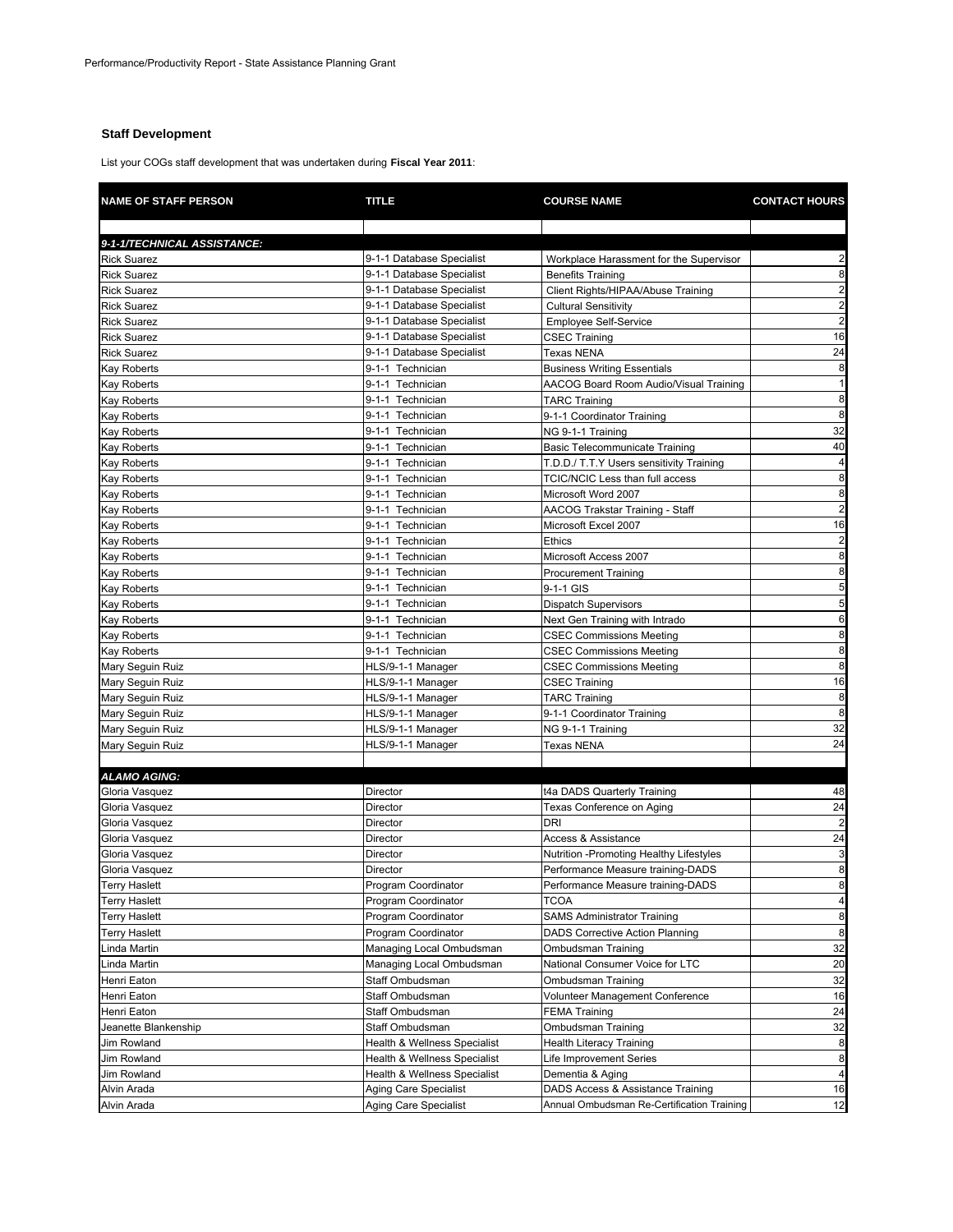#### **Staff Development**

List your COGs staff development that was undertaken during **Fiscal Year 2011**:

| <b>NAME OF STAFF PERSON</b>           | <b>TITLE</b>                            | <b>COURSE NAME</b>                         | <b>CONTACT HOURS</b>    |
|---------------------------------------|-----------------------------------------|--------------------------------------------|-------------------------|
|                                       |                                         |                                            |                         |
| 9-1-1/TECHNICAL ASSISTANCE:           |                                         |                                            |                         |
| <b>Rick Suarez</b>                    | 9-1-1 Database Specialist               | Workplace Harassment for the Supervisor    | 2                       |
| <b>Rick Suarez</b>                    | 9-1-1 Database Specialist               | <b>Benefits Training</b>                   | 8                       |
| <b>Rick Suarez</b>                    | 9-1-1 Database Specialist               | Client Rights/HIPAA/Abuse Training         | $\overline{a}$          |
| <b>Rick Suarez</b>                    | 9-1-1 Database Specialist               | <b>Cultural Sensitivity</b>                | $\overline{\mathbf{c}}$ |
| <b>Rick Suarez</b>                    | 9-1-1 Database Specialist               | <b>Employee Self-Service</b>               | $\overline{2}$          |
| <b>Rick Suarez</b>                    | 9-1-1 Database Specialist               | CSEC Training                              | 16                      |
| <b>Rick Suarez</b>                    | 9-1-1 Database Specialist               | Texas NENA                                 | 24                      |
| Kay Roberts                           | 9-1-1 Technician                        | <b>Business Writing Essentials</b>         | 8                       |
| Kay Roberts                           | 9-1-1 Technician                        | AACOG Board Room Audio/Visual Training     | $\mathbf{1}$            |
| Kay Roberts                           | 9-1-1 Technician                        | <b>TARC Training</b>                       | 8                       |
| Kay Roberts                           | 9-1-1 Technician                        | 9-1-1 Coordinator Training                 | 8                       |
| Kay Roberts                           | 9-1-1 Technician                        | NG 9-1-1 Training                          | 32                      |
| Kay Roberts                           | 9-1-1 Technician                        | <b>Basic Telecommunicate Training</b>      | 40                      |
| Kay Roberts                           | 9-1-1 Technician                        | T.D.D./ T.T.Y Users sensitivity Training   | 4                       |
| Kay Roberts                           | 9-1-1 Technician                        | TCIC/NCIC Less than full access            | 8                       |
| Kay Roberts                           | 9-1-1 Technician                        | Microsoft Word 2007                        | 8                       |
| Kay Roberts                           | 9-1-1 Technician                        | AACOG Trakstar Training - Staff            | $\overline{\mathbf{c}}$ |
| Kay Roberts                           | 9-1-1 Technician                        | Microsoft Excel 2007                       | 16                      |
| Kay Roberts                           | 9-1-1 Technician                        | Ethics                                     | $\overline{a}$          |
| Kay Roberts                           | 9-1-1 Technician                        | Microsoft Access 2007                      | 8                       |
| Kay Roberts                           | 9-1-1 Technician                        | <b>Procurement Training</b>                | 8                       |
| Kay Roberts                           | 9-1-1 Technician                        | 9-1-1 GIS                                  | 5                       |
| Kay Roberts                           | 9-1-1 Technician                        | <b>Dispatch Supervisors</b>                | 5                       |
| Kay Roberts                           | 9-1-1 Technician                        | Next Gen Training with Intrado             | 6                       |
| <b>Kay Roberts</b>                    | 9-1-1 Technician                        | <b>CSEC Commissions Meeting</b>            | 8                       |
| Kay Roberts                           | 9-1-1 Technician                        | <b>CSEC Commissions Meeting</b>            | 8                       |
| Mary Seguin Ruiz                      | HLS/9-1-1 Manager                       | <b>CSEC Commissions Meeting</b>            | 8                       |
| Mary Seguin Ruiz                      | HLS/9-1-1 Manager                       | <b>CSEC Training</b>                       | 16                      |
| Mary Seguin Ruiz                      | HLS/9-1-1 Manager                       | <b>TARC Training</b>                       | 8                       |
| Mary Seguin Ruiz                      | HLS/9-1-1 Manager                       | 9-1-1 Coordinator Training                 | 8                       |
| Mary Seguin Ruiz                      | HLS/9-1-1 Manager                       | NG 9-1-1 Training                          | 32                      |
| Mary Seguin Ruiz                      | HLS/9-1-1 Manager                       | Texas NENA                                 | 24                      |
|                                       |                                         |                                            |                         |
| <b>ALAMO AGING:</b><br>Gloria Vasquez | Director                                | t4a DADS Quarterly Training                | 48                      |
|                                       |                                         |                                            |                         |
| Gloria Vasquez                        | Director                                | Texas Conference on Aging                  | 24<br>$\overline{2}$    |
| Gloria Vasquez                        | Director                                | <b>DRI</b>                                 |                         |
| Gloria Vasquez                        | Director                                | <b>Access &amp; Assistance</b>             | 24                      |
| Gloria Vasquez                        | Director                                | Nutrition - Promoting Healthy Lifestyles   | 3                       |
| Gloria Vasquez                        | Director                                | Performance Measure training-DADS          | 8<br>8                  |
| <b>Terry Haslett</b>                  | Program Coordinator                     | Performance Measure training-DADS          |                         |
| <b>Terry Haslett</b>                  | Program Coordinator                     | <b>TCOA</b>                                | $\overline{\mathbf{4}}$ |
| <b>Terry Haslett</b>                  | Program Coordinator                     | <b>SAMS Administrator Training</b>         | 8                       |
| Terry Haslett                         | Program Coordinator                     | <b>DADS Corrective Action Planning</b>     | 8                       |
| Linda Martin                          | Managing Local Ombudsman                | Ombudsman Training                         | 32                      |
| Linda Martin                          | Managing Local Ombudsman                | National Consumer Voice for LTC            | 20                      |
| Henri Eaton                           | Staff Ombudsman                         | Ombudsman Training                         | 32                      |
| Henri Eaton                           | Staff Ombudsman                         | Volunteer Management Conference            | 16                      |
| Henri Eaton                           | Staff Ombudsman                         | FEMA Training                              | 24                      |
| Jeanette Blankenship                  | Staff Ombudsman                         | Ombudsman Training                         | 32                      |
| Jim Rowland                           | <b>Health &amp; Wellness Specialist</b> | <b>Health Literacy Training</b>            | 8                       |
| Jim Rowland                           | Health & Wellness Specialist            | Life Improvement Series                    | 8                       |
| Jim Rowland                           | Health & Wellness Specialist            | Dementia & Aging                           | $\overline{a}$          |
| Alvin Arada                           | Aging Care Specialist                   | DADS Access & Assistance Training          | 16                      |
| Alvin Arada                           | Aging Care Specialist                   | Annual Ombudsman Re-Certification Training | 12                      |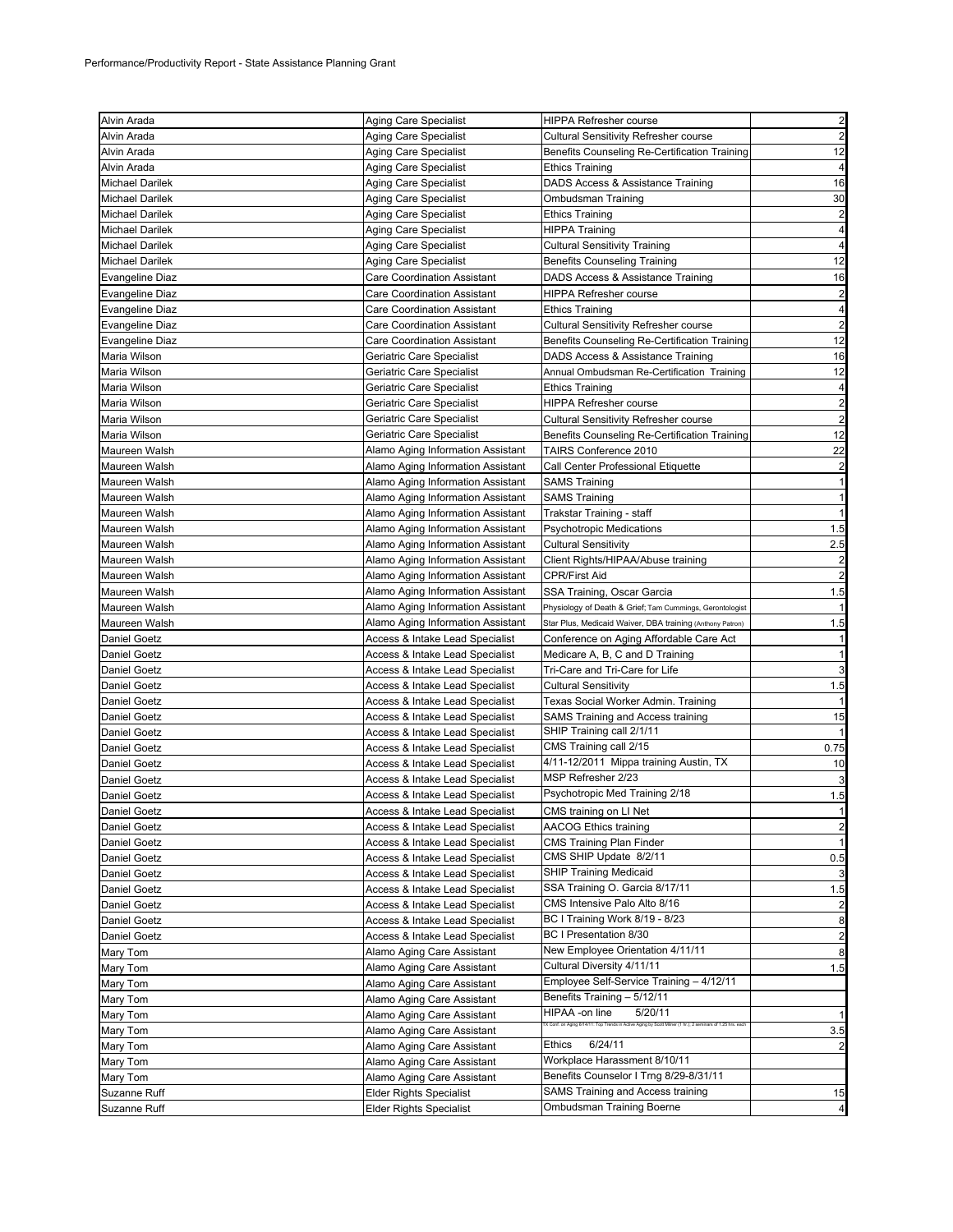| Alvin Arada            | Aging Care Specialist                      | HIPPA Refresher course                                                                                                                  | $\overline{2}$          |
|------------------------|--------------------------------------------|-----------------------------------------------------------------------------------------------------------------------------------------|-------------------------|
| Alvin Arada            | Aging Care Specialist                      | <b>Cultural Sensitivity Refresher course</b>                                                                                            | $\overline{\mathbf{c}}$ |
| Alvin Arada            | Aging Care Specialist                      | Benefits Counseling Re-Certification Training                                                                                           | 12                      |
| Alvin Arada            | Aging Care Specialist                      | <b>Ethics Training</b>                                                                                                                  | 4                       |
| <b>Michael Darilek</b> | Aging Care Specialist                      | DADS Access & Assistance Training                                                                                                       | 16                      |
| <b>Michael Darilek</b> | Aging Care Specialist                      | Ombudsman Training                                                                                                                      | 30                      |
| <b>Michael Darilek</b> | Aging Care Specialist                      | <b>Ethics Training</b>                                                                                                                  | $\overline{a}$          |
| <b>Michael Darilek</b> | Aging Care Specialist                      | <b>HIPPA Training</b>                                                                                                                   | 4                       |
| <b>Michael Darilek</b> | Aging Care Specialist                      | <b>Cultural Sensitivity Training</b>                                                                                                    | $\overline{4}$          |
| <b>Michael Darilek</b> | Aging Care Specialist                      | <b>Benefits Counseling Training</b>                                                                                                     | 12                      |
| <b>Evangeline Diaz</b> | <b>Care Coordination Assistant</b>         | DADS Access & Assistance Training                                                                                                       | 16                      |
| Evangeline Diaz        | Care Coordination Assistant                | HIPPA Refresher course                                                                                                                  | $\overline{a}$          |
| Evangeline Diaz        | Care Coordination Assistant                | Ethics Training                                                                                                                         | 4                       |
| <b>Evangeline Diaz</b> | <b>Care Coordination Assistant</b>         | <b>Cultural Sensitivity Refresher course</b>                                                                                            | $\overline{a}$          |
| <b>Evangeline Diaz</b> | Care Coordination Assistant                | Benefits Counseling Re-Certification Training                                                                                           | 12                      |
| Maria Wilson           | Geriatric Care Specialist                  | DADS Access & Assistance Training                                                                                                       | 16                      |
| Maria Wilson           | Geriatric Care Specialist                  | Annual Ombudsman Re-Certification Training                                                                                              | 12                      |
| Maria Wilson           | Geriatric Care Specialist                  | <b>Ethics Training</b>                                                                                                                  | $\overline{a}$          |
| Maria Wilson           | Geriatric Care Specialist                  | <b>HIPPA Refresher course</b>                                                                                                           | $\overline{a}$          |
| Maria Wilson           | Geriatric Care Specialist                  | Cultural Sensitivity Refresher course                                                                                                   | $\overline{\mathbf{c}}$ |
| Maria Wilson           | Geriatric Care Specialist                  | Benefits Counseling Re-Certification Training                                                                                           | 12                      |
| Maureen Walsh          | Alamo Aging Information Assistant          | TAIRS Conference 2010                                                                                                                   | 22                      |
| Maureen Walsh          | Alamo Aging Information Assistant          | Call Center Professional Etiquette                                                                                                      | $\overline{a}$          |
| Maureen Walsh          | Alamo Aging Information Assistant          | <b>SAMS Training</b>                                                                                                                    | 11                      |
| Maureen Walsh          | Alamo Aging Information Assistant          | <b>SAMS Training</b>                                                                                                                    | $\mathbf{1}$            |
| Maureen Walsh          | Alamo Aging Information Assistant          | Trakstar Training - staff                                                                                                               |                         |
| Maureen Walsh          | Alamo Aging Information Assistant          | <b>Psychotropic Medications</b>                                                                                                         | 1.5                     |
| Maureen Walsh          | Alamo Aging Information Assistant          | <b>Cultural Sensitivity</b>                                                                                                             | 2.5                     |
| Maureen Walsh          | Alamo Aging Information Assistant          | Client Rights/HIPAA/Abuse training                                                                                                      | $\overline{\mathbf{c}}$ |
| Maureen Walsh          | Alamo Aging Information Assistant          | CPR/First Aid                                                                                                                           | $\overline{a}$          |
| Maureen Walsh          | Alamo Aging Information Assistant          | SSA Training, Oscar Garcia                                                                                                              | 1.5                     |
| Maureen Walsh          | Alamo Aging Information Assistant          | Physiology of Death & Grief; Tam Cummings, Gerontologist                                                                                |                         |
| Maureen Walsh          | Alamo Aging Information Assistant          | Star Plus, Medicaid Waiver, DBA training (Anthony Patron)                                                                               | 1.5                     |
| Daniel Goetz           | Access & Intake Lead Specialist            | Conference on Aging Affordable Care Act                                                                                                 |                         |
| Daniel Goetz           | Access & Intake Lead Specialist            | Medicare A, B, C and D Training                                                                                                         | 1                       |
| Daniel Goetz           | Access & Intake Lead Specialist            | Tri-Care and Tri-Care for Life                                                                                                          | 3                       |
| Daniel Goetz           | Access & Intake Lead Specialist            | <b>Cultural Sensitivity</b>                                                                                                             | 1.5                     |
| Daniel Goetz           | Access & Intake Lead Specialist            | Texas Social Worker Admin. Training                                                                                                     |                         |
| <b>Daniel Goetz</b>    | <b>Access &amp; Intake Lead Specialist</b> | SAMS Training and Access training                                                                                                       | 15                      |
| Daniel Goetz           | Access & Intake Lead Specialist            | SHIP Training call 2/1/11                                                                                                               |                         |
| Daniel Goetz           | Access & Intake Lead Specialist            | CMS Training call 2/15                                                                                                                  | 0.75                    |
| Daniel Goetz           | Access & Intake Lead Specialist            | 4/11-12/2011 Mippa training Austin, TX                                                                                                  | 10                      |
| <b>Daniel Goetz</b>    | Access & Intake Lead Specialist            | MSP Refresher 2/23                                                                                                                      | 3                       |
| Daniel Goetz           | Access & Intake Lead Specialist            | Psychotropic Med Training 2/18                                                                                                          | 1.5                     |
| Daniel Goetz           | Access & Intake Lead Specialist            | CMS training on LI Net                                                                                                                  |                         |
| Daniel Goetz           | Access & Intake Lead Specialist            | <b>AACOG Ethics training</b>                                                                                                            | $\overline{a}$          |
| Daniel Goetz           | Access & Intake Lead Specialist            | <b>CMS Training Plan Finder</b>                                                                                                         | $\mathbf{1}$            |
| Daniel Goetz           | Access & Intake Lead Specialist            | CMS SHIP Update 8/2/11                                                                                                                  | 0.5                     |
| Daniel Goetz           | Access & Intake Lead Specialist            | <b>SHIP Training Medicaid</b>                                                                                                           | 3                       |
| Daniel Goetz           | Access & Intake Lead Specialist            | SSA Training O. Garcia 8/17/11                                                                                                          | 1.5                     |
| Daniel Goetz           | Access & Intake Lead Specialist            | CMS Intensive Palo Alto 8/16                                                                                                            | $\overline{a}$          |
| Daniel Goetz           | Access & Intake Lead Specialist            | BC I Training Work 8/19 - 8/23                                                                                                          | 8                       |
| Daniel Goetz           | <b>Access &amp; Intake Lead Specialist</b> | BC I Presentation 8/30                                                                                                                  | $\overline{a}$          |
| Mary Tom               | Alamo Aging Care Assistant                 | New Employee Orientation 4/11/11                                                                                                        | 8                       |
| Mary Tom               | Alamo Aging Care Assistant                 | Cultural Diversity 4/11/11                                                                                                              | 1.5                     |
| Mary Tom               | Alamo Aging Care Assistant                 | Employee Self-Service Training - 4/12/11                                                                                                |                         |
| Mary Tom               | Alamo Aging Care Assistant                 | Benefits Training - 5/12/11                                                                                                             |                         |
| Mary Tom               | Alamo Aging Care Assistant                 | HIPAA -on line<br>5/20/11<br>X Conf. on Aging 6/14/11: Top Trends in Active Aging by Scott Milner (1 hr.); 2 seminars of 1.25 hrs. each | $\mathbf{1}$            |
| Mary Tom               | Alamo Aging Care Assistant                 |                                                                                                                                         | 3.5                     |
| Mary Tom               | Alamo Aging Care Assistant                 | Ethics<br>6/24/11                                                                                                                       | $\overline{a}$          |
| Mary Tom               | Alamo Aging Care Assistant                 | Workplace Harassment 8/10/11                                                                                                            |                         |
| Mary Tom               | Alamo Aging Care Assistant                 | Benefits Counselor I Trng 8/29-8/31/11                                                                                                  |                         |
| Suzanne Ruff           | <b>Elder Rights Specialist</b>             | SAMS Training and Access training                                                                                                       | 15                      |
| Suzanne Ruff           | <b>Elder Rights Specialist</b>             | Ombudsman Training Boerne                                                                                                               | $\overline{a}$          |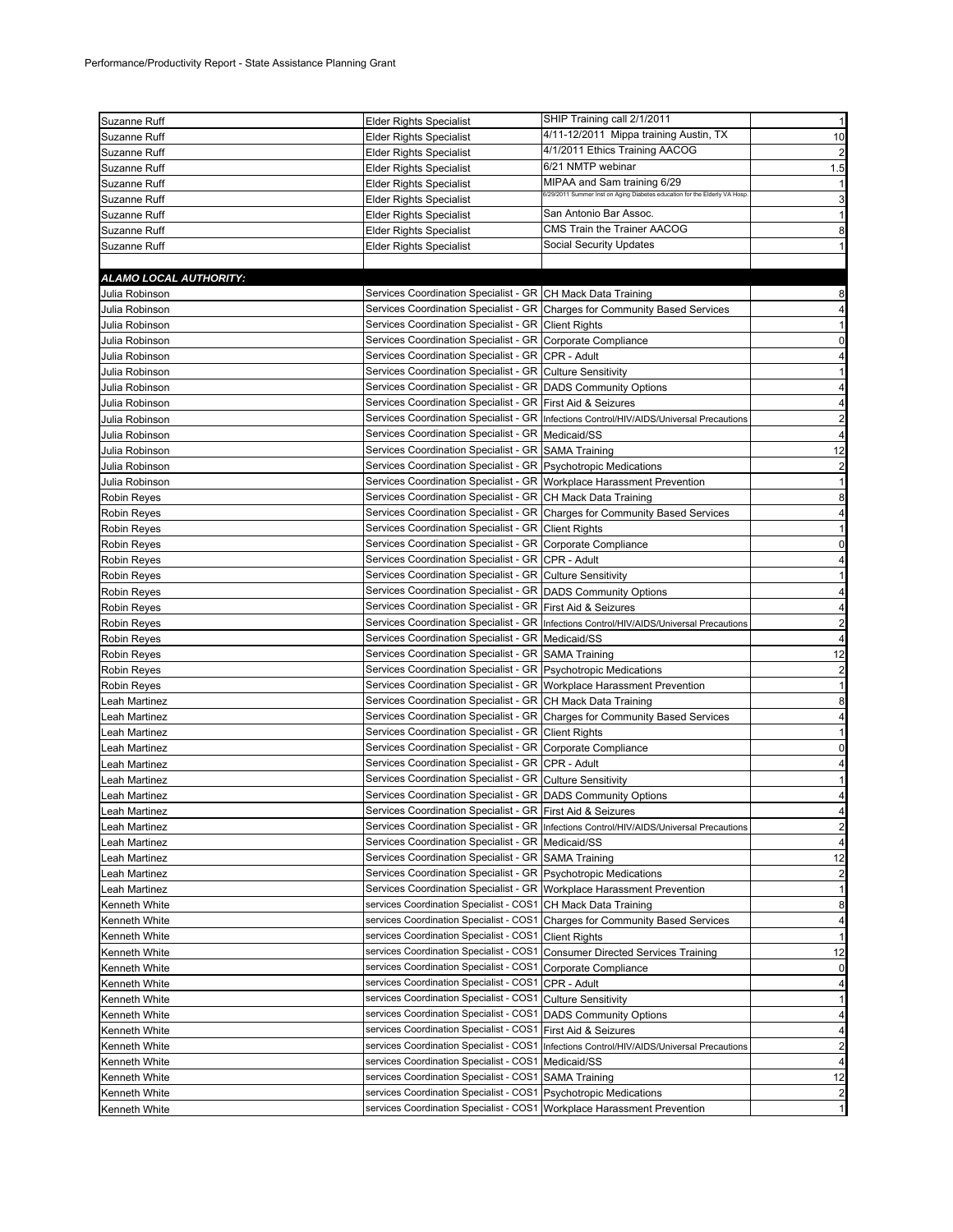| Suzanne Ruff                   | <b>Elder Rights Specialist</b>                                        | SHIP Training call 2/1/2011                                                               | $\mathbf{1}$            |
|--------------------------------|-----------------------------------------------------------------------|-------------------------------------------------------------------------------------------|-------------------------|
| Suzanne Ruff                   | Elder Rights Specialist                                               | 4/11-12/2011 Mippa training Austin, TX                                                    | 10                      |
| Suzanne Ruff                   | <b>Elder Rights Specialist</b>                                        | 4/1/2011 Ethics Training AACOG                                                            | $\overline{\mathbf{c}}$ |
| Suzanne Ruff                   | Elder Rights Specialist                                               | 6/21 NMTP webinar                                                                         | 1.5                     |
| Suzanne Ruff                   | <b>Elder Rights Specialist</b>                                        | MIPAA and Sam training 6/29                                                               | $\mathbf{1}$            |
| Suzanne Ruff                   | <b>Elder Rights Specialist</b>                                        | 6/29/2011 Summer Inst on Aging Diabetes education for the Elderly VA Hosp.                | 3                       |
| Suzanne Ruff                   | Elder Rights Specialist                                               | San Antonio Bar Assoc.                                                                    | 1                       |
|                                | <b>Elder Rights Specialist</b>                                        | CMS Train the Trainer AACOG                                                               |                         |
| Suzanne Ruff<br>Suzanne Ruff   |                                                                       | Social Security Updates                                                                   | 8<br>$\mathbf{1}$       |
|                                | <b>Elder Rights Specialist</b>                                        |                                                                                           |                         |
|                                |                                                                       |                                                                                           |                         |
| ALAMO LOCAL AUTHORITY:         |                                                                       |                                                                                           |                         |
| Julia Robinson                 | Services Coordination Specialist - GR CH Mack Data Training           |                                                                                           | 8                       |
| Julia Robinson                 |                                                                       | Services Coordination Specialist - GR Charges for Community Based Services                | 4                       |
| Julia Robinson                 | Services Coordination Specialist - GR Client Rights                   |                                                                                           | 1                       |
| Julia Robinson                 | Services Coordination Specialist - GR Corporate Compliance            |                                                                                           | 0                       |
| Julia Robinson                 | Services Coordination Specialist - GR CPR - Adult                     |                                                                                           | 4                       |
| Julia Robinson                 | Services Coordination Specialist - GR Culture Sensitivity             |                                                                                           | 1                       |
| Julia Robinson                 | Services Coordination Specialist - GR DADS Community Options          |                                                                                           | $\overline{4}$          |
| Julia Robinson                 | Services Coordination Specialist - GR First Aid & Seizures            |                                                                                           | 4                       |
| Julia Robinson                 |                                                                       | Services Coordination Specialist - GR Infections Control/HIV/AIDS/Universal Precautions   | $\overline{2}$          |
| Julia Robinson                 | Services Coordination Specialist - GR   Medicaid/SS                   |                                                                                           | 4                       |
| Julia Robinson                 | Services Coordination Specialist - GR SAMA Training                   |                                                                                           | 12                      |
| Julia Robinson                 | Services Coordination Specialist - GR Psychotropic Medications        |                                                                                           | $\overline{\mathbf{c}}$ |
| Julia Robinson                 | Services Coordination Specialist - GR Workplace Harassment Prevention |                                                                                           | $\mathbf{1}$            |
| Robin Reyes                    | Services Coordination Specialist - GR CH Mack Data Training           |                                                                                           | 8                       |
| Robin Reyes                    |                                                                       | Services Coordination Specialist - GR Charges for Community Based Services                | 4                       |
| Robin Reyes                    | Services Coordination Specialist - GR Client Rights                   |                                                                                           | $\mathbf{1}$            |
| Robin Reyes                    | Services Coordination Specialist - GR Corporate Compliance            |                                                                                           | 0                       |
| Robin Reyes                    | Services Coordination Specialist - GR CPR - Adult                     |                                                                                           | 4                       |
| Robin Reyes                    | Services Coordination Specialist - GR Culture Sensitivity             |                                                                                           | $\mathbf{1}$            |
| Robin Reyes                    | Services Coordination Specialist - GR   DADS Community Options        |                                                                                           | 4                       |
| Robin Reyes                    | Services Coordination Specialist - GR First Aid & Seizures            |                                                                                           | 4                       |
| Robin Reyes                    |                                                                       | Services Coordination Specialist - GR  Infections Control/HIV/AIDS/Universal Precautions  | $\overline{2}$          |
| Robin Reyes                    | Services Coordination Specialist - GR Medicaid/SS                     |                                                                                           | 4                       |
| Robin Reyes                    | Services Coordination Specialist - GR SAMA Training                   |                                                                                           | 12                      |
| Robin Reyes                    | Services Coordination Specialist - GR Psychotropic Medications        |                                                                                           | $\overline{2}$          |
| Robin Reyes                    | Services Coordination Specialist - GR Workplace Harassment Prevention |                                                                                           | $\mathbf{1}$            |
| eah Martinez                   | Services Coordination Specialist - GR CH Mack Data Training           |                                                                                           | 8                       |
| eah Martinez                   |                                                                       | Services Coordination Specialist - GR Charges for Community Based Services                | 4                       |
| eah Martinez                   | Services Coordination Specialist - GR Client Rights                   |                                                                                           | 1                       |
| eah Martinez                   | Services Coordination Specialist - GR Corporate Compliance            |                                                                                           | 0                       |
| Leah Martinez                  | Services Coordination Specialist - GR   CPR - Adult                   |                                                                                           | 4                       |
|                                | Services Coordination Specialist - GR Culture Sensitivity             |                                                                                           | $\mathbf{1}$            |
| eah Martinez.<br>Leah Martinez |                                                                       |                                                                                           |                         |
|                                | Services Coordination Specialist - GR DADS Community Options          |                                                                                           | 4                       |
| eah Martinez.                  | Services Coordination Specialist - GR First Aid & Seizures            |                                                                                           | 4                       |
| Leah Martinez                  |                                                                       | Services Coordination Specialist - GR   Infections Control/HIV/AIDS/Universal Precautions | $\overline{c}$          |
| Leah Martinez                  | Services Coordination Specialist - GR   Medicaid/SS                   |                                                                                           | 4                       |
| eah Martinez                   | Services Coordination Specialist - GR SAMA Training                   |                                                                                           | 12                      |
| eah Martinez                   | Services Coordination Specialist - GR Psychotropic Medications        |                                                                                           | $\overline{2}$          |
| Leah Martinez                  | Services Coordination Specialist - GR                                 | Workplace Harassment Prevention                                                           | 1                       |
| Kenneth White                  | services Coordination Specialist - COS1                               | CH Mack Data Training                                                                     | 8                       |
| Kenneth White                  | services Coordination Specialist - COS1                               | Charges for Community Based Services                                                      | 4                       |
| Kenneth White                  | services Coordination Specialist - COS1                               | <b>Client Rights</b>                                                                      | $\mathbf{1}$            |
| Kenneth White                  | services Coordination Specialist - COS1                               | <b>Consumer Directed Services Training</b>                                                | 12                      |
| Kenneth White                  | services Coordination Specialist - COS1                               | Corporate Compliance                                                                      | 0                       |
| Kenneth White                  | services Coordination Specialist - COS1                               | CPR - Adult                                                                               | 4                       |
| Kenneth White                  | services Coordination Specialist - COS1                               | <b>Culture Sensitivity</b>                                                                | 1                       |
| Kenneth White                  | services Coordination Specialist - COS1                               | <b>DADS Community Options</b>                                                             | 4                       |
| Kenneth White                  | services Coordination Specialist - COS1                               | First Aid & Seizures                                                                      | 4                       |
| Kenneth White                  | services Coordination Specialist - COS1                               | Infections Control/HIV/AIDS/Universal Precautions                                         | 2                       |
| Kenneth White                  | services Coordination Specialist - COS1                               | Medicaid/SS                                                                               | $\overline{4}$          |
| Kenneth White                  | services Coordination Specialist - COS1                               | <b>SAMA Training</b>                                                                      | 12                      |
| Kenneth White                  | services Coordination Specialist - COS1                               | <b>Psychotropic Medications</b>                                                           | $\overline{\mathbf{c}}$ |
|                                |                                                                       |                                                                                           |                         |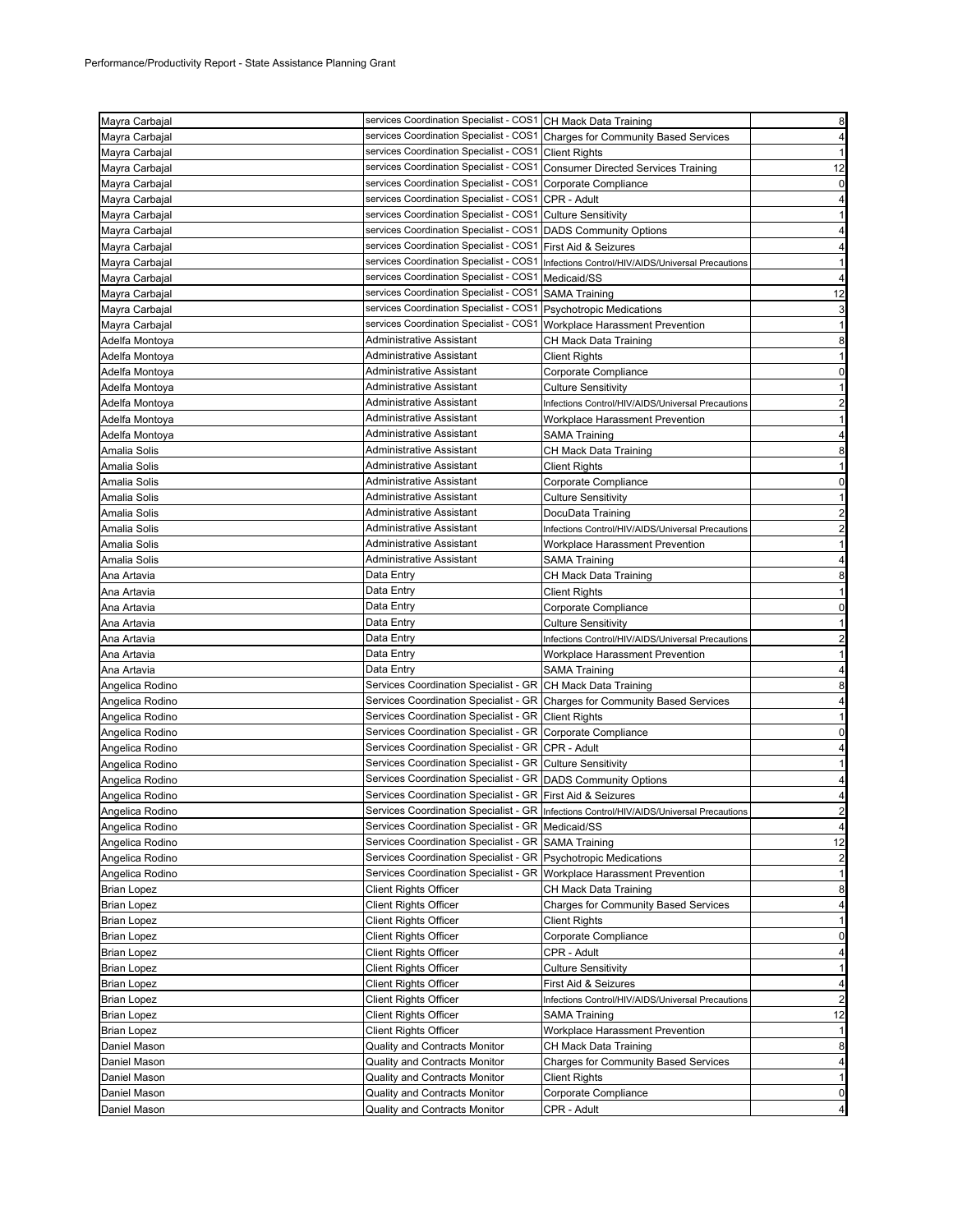| Mayra Carbajal     | services Coordination Specialist - COS1 CH Mack Data Training           |                                                                                           | 8                                |
|--------------------|-------------------------------------------------------------------------|-------------------------------------------------------------------------------------------|----------------------------------|
| Mayra Carbajal     |                                                                         | services Coordination Specialist - COS1 Charges for Community Based Services              | 4                                |
| Mayra Carbajal     | services Coordination Specialist - COS1 Client Rights                   |                                                                                           | 1                                |
| Mayra Carbajal     |                                                                         | services Coordination Specialist - COS1 Consumer Directed Services Training               | 12                               |
| Mayra Carbajal     | services Coordination Specialist - COS1 Corporate Compliance            |                                                                                           | $\mathbf 0$                      |
| Mayra Carbajal     | services Coordination Specialist - COS1 CPR - Adult                     |                                                                                           | 4                                |
| Mayra Carbajal     | services Coordination Specialist - COS1 Culture Sensitivity             |                                                                                           | 1                                |
| Mayra Carbajal     | services Coordination Specialist - COS1 DADS Community Options          |                                                                                           | 4                                |
| Mayra Carbajal     | services Coordination Specialist - COS1 First Aid & Seizures            |                                                                                           | 4                                |
| Mayra Carbajal     |                                                                         | services Coordination Specialist - COS1 Infections Control/HIV/AIDS/Universal Precautions |                                  |
| Mayra Carbajal     | services Coordination Specialist - COS1 Medicaid/SS                     |                                                                                           | $\overline{4}$                   |
| Mayra Carbajal     | services Coordination Specialist - COS1 SAMA Training                   |                                                                                           | 12                               |
| Mayra Carbajal     | services Coordination Specialist - COS1 Psychotropic Medications        |                                                                                           | 3                                |
| Mayra Carbajal     | services Coordination Specialist - COS1 Workplace Harassment Prevention |                                                                                           | $\mathbf{1}$                     |
| Adelfa Montoya     | Administrative Assistant                                                | CH Mack Data Training                                                                     | 8                                |
| Adelfa Montoya     | Administrative Assistant                                                | Client Rights                                                                             | $\mathbf{1}$                     |
| Adelfa Montoya     | Administrative Assistant                                                | Corporate Compliance                                                                      | 0                                |
| Adelfa Montoya     | Administrative Assistant                                                | <b>Culture Sensitivity</b>                                                                | 1                                |
| Adelfa Montoya     | Administrative Assistant                                                | Infections Control/HIV/AIDS/Universal Precautions                                         | $\overline{a}$                   |
| Adelfa Montoya     | Administrative Assistant                                                | Workplace Harassment Prevention                                                           | $\mathbf{1}$                     |
| Adelfa Montoya     | <b>Administrative Assistant</b>                                         | SAMA Training                                                                             | 4                                |
| Amalia Solis       | Administrative Assistant                                                | CH Mack Data Training                                                                     | 8                                |
| Amalia Solis       | Administrative Assistant                                                | <b>Client Rights</b>                                                                      |                                  |
| Amalia Solis       | Administrative Assistant                                                | Corporate Compliance                                                                      | 0                                |
| Amalia Solis       | Administrative Assistant                                                | <b>Culture Sensitivity</b>                                                                | $\mathbf{1}$                     |
| Amalia Solis       | Administrative Assistant                                                | DocuData Training                                                                         | $\overline{a}$                   |
| Amalia Solis       | Administrative Assistant                                                | Infections Control/HIV/AIDS/Universal Precautions                                         | $\overline{a}$                   |
| Amalia Solis       | Administrative Assistant                                                | Workplace Harassment Prevention                                                           | $\mathbf{1}$                     |
| Amalia Solis       | Administrative Assistant                                                | SAMA Training                                                                             | 4                                |
| Ana Artavia        | Data Entry                                                              | CH Mack Data Training                                                                     | 8                                |
| Ana Artavia        | Data Entry                                                              | Client Rights                                                                             | $\mathbf{1}$                     |
| Ana Artavia        | Data Entry                                                              | Corporate Compliance                                                                      | $\overline{0}$                   |
| Ana Artavia        | Data Entry                                                              | Culture Sensitivity                                                                       | $\mathbf{1}$                     |
| Ana Artavia        | Data Entry                                                              | Infections Control/HIV/AIDS/Universal Precautions                                         | 2                                |
| Ana Artavia        | Data Entry                                                              | Workplace Harassment Prevention                                                           |                                  |
| Ana Artavia        | Data Entry                                                              | SAMA Training                                                                             | 4                                |
| Angelica Rodino    | Services Coordination Specialist - GR CH Mack Data Training             |                                                                                           | 8                                |
| Angelica Rodino    |                                                                         | Services Coordination Specialist - GR Charges for Community Based Services                | 4                                |
| Angelica Rodino    | Services Coordination Specialist - GR Client Rights                     |                                                                                           | $\mathbf{1}$                     |
| Angelica Rodino    | Services Coordination Specialist - GR Corporate Compliance              |                                                                                           | $\overline{0}$                   |
| Angelica Rodino    | Services Coordination Specialist - GR CPR - Adult                       |                                                                                           | 4                                |
| Angelica Rodino    | Services Coordination Specialist - GR Culture Sensitivity               |                                                                                           | $\mathbf{1}$                     |
| Angelica Rodino    | Services Coordination Specialist - GR   DADS Community Options          |                                                                                           | 4                                |
| Angelica Rodino    | Services Coordination Specialist - GR First Aid & Seizures              |                                                                                           |                                  |
| Angelica Rodino    |                                                                         | Services Coordination Specialist - GR Infections Control/HIV/AIDS/Universal Precautions   | $\mathbf{z}$                     |
| Angelica Rodino    | Services Coordination Specialist - GR   Medicaid/SS                     |                                                                                           | $\overline{4}$                   |
| Angelica Rodino    | Services Coordination Specialist - GR SAMA Training                     |                                                                                           | 12                               |
| Angelica Rodino    | Services Coordination Specialist - GR Psychotropic Medications          |                                                                                           | $\overline{2}$                   |
| Angelica Rodino    | Services Coordination Specialist - GR                                   | Workplace Harassment Prevention                                                           | 1                                |
| <b>Brian Lopez</b> | <b>Client Rights Officer</b>                                            | CH Mack Data Training                                                                     | 8                                |
| <b>Brian Lopez</b> | <b>Client Rights Officer</b>                                            | <b>Charges for Community Based Services</b>                                               | $\overline{4}$                   |
| <b>Brian Lopez</b> | <b>Client Rights Officer</b>                                            | <b>Client Rights</b>                                                                      | 1                                |
| <b>Brian Lopez</b> | <b>Client Rights Officer</b>                                            | Corporate Compliance                                                                      | 0                                |
| <b>Brian Lopez</b> | <b>Client Rights Officer</b>                                            | CPR - Adult                                                                               | $\overline{4}$                   |
| <b>Brian Lopez</b> | <b>Client Rights Officer</b>                                            | <b>Culture Sensitivity</b>                                                                | $1\vert$                         |
| <b>Brian Lopez</b> | <b>Client Rights Officer</b>                                            | First Aid & Seizures                                                                      | 4                                |
| <b>Brian Lopez</b> | <b>Client Rights Officer</b>                                            | Infections Control/HIV/AIDS/Universal Precautions                                         | $\overline{a}$                   |
| <b>Brian Lopez</b> | <b>Client Rights Officer</b>                                            | SAMA Training                                                                             | 12                               |
| <b>Brian Lopez</b> | <b>Client Rights Officer</b>                                            | Workplace Harassment Prevention                                                           | $\mathbf{1}$                     |
| Daniel Mason       | Quality and Contracts Monitor                                           | CH Mack Data Training                                                                     | 8                                |
| Daniel Mason       |                                                                         |                                                                                           |                                  |
|                    | Quality and Contracts Monitor                                           | <b>Charges for Community Based Services</b>                                               | $\overline{4}$                   |
| Daniel Mason       | Quality and Contracts Monitor                                           | Client Rights                                                                             | 1                                |
| Daniel Mason       | Quality and Contracts Monitor                                           | Corporate Compliance                                                                      | $\overline{0}$<br>$\overline{a}$ |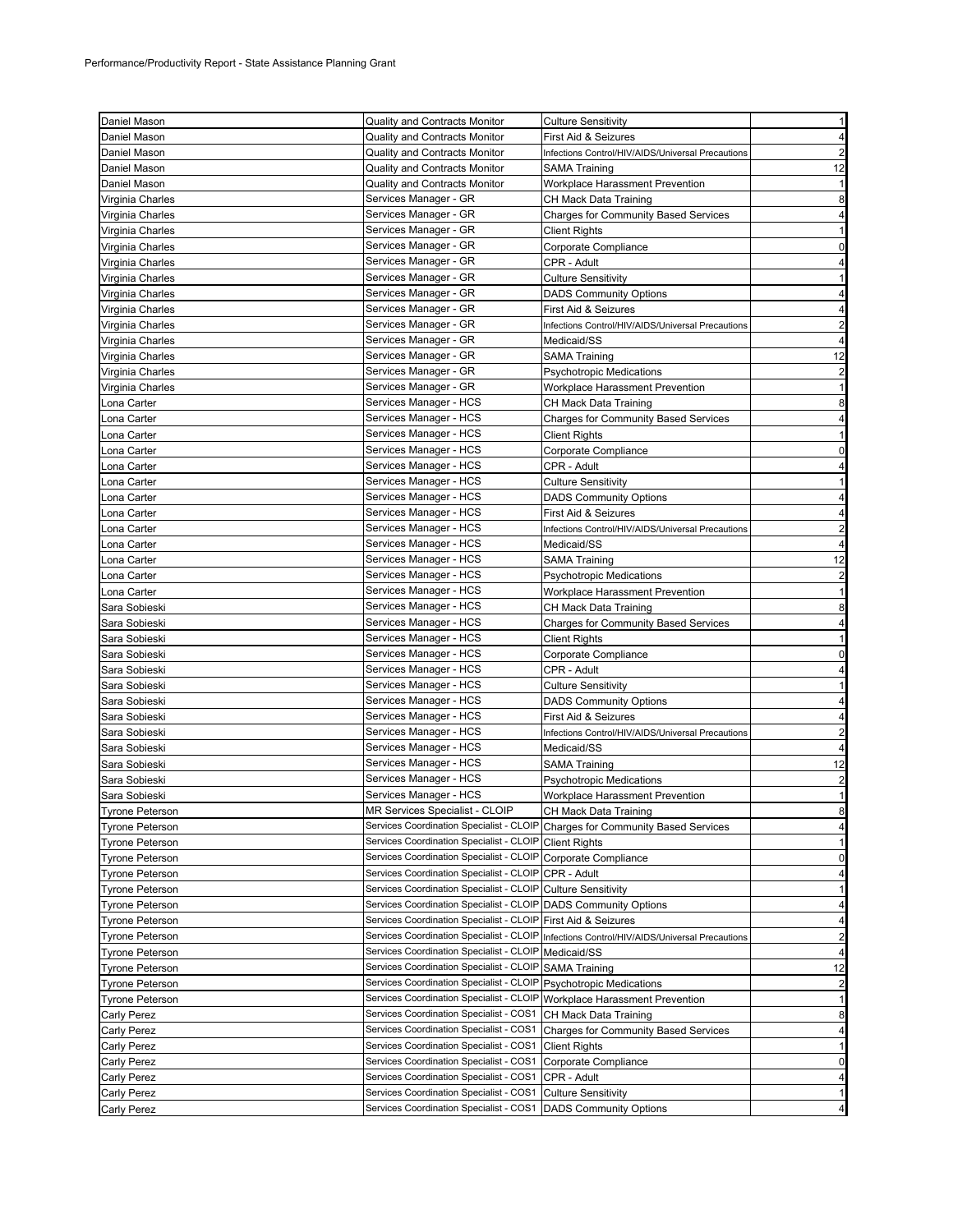| Daniel Mason           | <b>Quality and Contracts Monitor</b>                             | <b>Culture Sensitivity</b>                                                    | $\mathbf{1}$            |
|------------------------|------------------------------------------------------------------|-------------------------------------------------------------------------------|-------------------------|
| Daniel Mason           | <b>Quality and Contracts Monitor</b>                             | First Aid & Seizures                                                          | $\overline{4}$          |
| Daniel Mason           | <b>Quality and Contracts Monitor</b>                             |                                                                               | $\overline{2}$          |
|                        |                                                                  | Infections Control/HIV/AIDS/Universal Precautions                             |                         |
| Daniel Mason           | Quality and Contracts Monitor                                    | SAMA Training                                                                 | 12                      |
| Daniel Mason           | <b>Quality and Contracts Monitor</b>                             | Workplace Harassment Prevention                                               | $\mathbf{1}$            |
| Virginia Charles       | Services Manager - GR                                            | CH Mack Data Training                                                         | 8                       |
| Virginia Charles       | Services Manager - GR                                            | Charges for Community Based Services                                          | 4                       |
| Virginia Charles       | Services Manager - GR                                            | <b>Client Rights</b>                                                          | -1                      |
| Virginia Charles       | Services Manager - GR                                            | Corporate Compliance                                                          | 0                       |
| Virginia Charles       | Services Manager - GR                                            | CPR - Adult                                                                   | 4                       |
| Virginia Charles       | Services Manager - GR                                            | <b>Culture Sensitivity</b>                                                    | 1                       |
| Virginia Charles       | Services Manager - GR                                            | <b>DADS Community Options</b>                                                 | 4                       |
| Virginia Charles       | Services Manager - GR                                            | First Aid & Seizures                                                          | 4                       |
| Virginia Charles       | Services Manager - GR                                            | Infections Control/HIV/AIDS/Universal Precautions                             | 2                       |
| Virginia Charles       | Services Manager - GR                                            | Medicaid/SS                                                                   | $\overline{4}$          |
| Virginia Charles       | Services Manager - GR                                            | <b>SAMA Training</b>                                                          | 12                      |
| Virginia Charles       | Services Manager - GR                                            | Psychotropic Medications                                                      | $\overline{2}$          |
| Virginia Charles       | Services Manager - GR                                            | Workplace Harassment Prevention                                               | $\mathbf{1}$            |
| Lona Carter            | Services Manager - HCS                                           | CH Mack Data Training                                                         | 8                       |
| Lona Carter            | Services Manager - HCS                                           | <b>Charges for Community Based Services</b>                                   | 4                       |
|                        | Services Manager - HCS                                           |                                                                               | $\mathbf{1}$            |
| Lona Carter            | Services Manager - HCS                                           | Client Rights                                                                 |                         |
| Lona Carter            |                                                                  | Corporate Compliance                                                          | 0                       |
| Lona Carter            | Services Manager - HCS                                           | CPR - Adult                                                                   | 4                       |
| ona Carter             | Services Manager - HCS                                           | Culture Sensitivity                                                           | $\mathbf{1}$            |
| Lona Carter            | Services Manager - HCS                                           | <b>DADS Community Options</b>                                                 | 4                       |
| ona Carter             | Services Manager - HCS                                           | First Aid & Seizures                                                          | 4                       |
| ona Carter             | Services Manager - HCS                                           | Infections Control/HIV/AIDS/Universal Precautions                             | $\overline{2}$          |
| ona Carter             | Services Manager - HCS                                           | Medicaid/SS                                                                   | 4                       |
| ona Carter             | Services Manager - HCS                                           | SAMA Training                                                                 | 12                      |
| ona Carter             | Services Manager - HCS                                           | Psychotropic Medications                                                      | $\overline{2}$          |
| ona Carter             | Services Manager - HCS                                           | Workplace Harassment Prevention                                               | $\mathbf{1}$            |
| Sara Sobieski          | Services Manager - HCS                                           | CH Mack Data Training                                                         | 8                       |
| Sara Sobieski          | Services Manager - HCS                                           | Charges for Community Based Services                                          | 4                       |
| Sara Sobieski          | Services Manager - HCS                                           | <b>Client Rights</b>                                                          | 1                       |
| Sara Sobieski          | Services Manager - HCS                                           | Corporate Compliance                                                          | 0                       |
| Sara Sobieski          | Services Manager - HCS                                           | CPR - Adult                                                                   | 4                       |
| Sara Sobieski          | Services Manager - HCS                                           | Culture Sensitivity                                                           | $\mathbf{1}$            |
| Sara Sobieski          | Services Manager - HCS                                           | <b>DADS Community Options</b>                                                 | 4                       |
|                        | Services Manager - HCS                                           |                                                                               |                         |
| Sara Sobieski          | Services Manager - HCS                                           | First Aid & Seizures                                                          | 4                       |
| Sara Sobieski          |                                                                  | Infections Control/HIV/AIDS/Universal Precautions                             | $\overline{\mathbf{c}}$ |
| Sara Sobieski          | Services Manager - HCS                                           | Medicaid/SS                                                                   | 4                       |
| Sara Sobieski          | Services Manager - HCS                                           | SAMA Training                                                                 | 12                      |
| Sara Sobieski          | Services Manager - HCS                                           | <b>Psychotropic Medications</b>                                               | $\overline{2}$          |
| Sara Sobieski          | Services Manager - HCS                                           | Workplace Harassment Prevention                                               | -1                      |
| <b>Tyrone Peterson</b> | MR Services Specialist - CLOIP                                   | CH Mack Data Training                                                         | 8                       |
| <b>Tyrone Peterson</b> |                                                                  | Services Coordination Specialist - CLOIP Charges for Community Based Services | 4                       |
| <b>Tyrone Peterson</b> | Services Coordination Specialist - CLOIP Client Rights           |                                                                               | 1                       |
| <b>Tyrone Peterson</b> | Services Coordination Specialist - CLOIP Corporate Compliance    |                                                                               | 0                       |
| <b>Tyrone Peterson</b> | Services Coordination Specialist - CLOIP                         | CPR - Adult                                                                   | 4                       |
| <b>Tyrone Peterson</b> | Services Coordination Specialist - CLOIP                         | <b>Culture Sensitivity</b>                                                    | 1                       |
| <b>Tyrone Peterson</b> | Services Coordination Specialist - CLOIP                         | <b>DADS Community Options</b>                                                 | 4                       |
| <b>Tyrone Peterson</b> | Services Coordination Specialist - CLOIP                         | First Aid & Seizures                                                          | 4                       |
| <b>Tyrone Peterson</b> | Services Coordination Specialist - CLOIP                         | Infections Control/HIV/AIDS/Universal Precautions                             | $\overline{\mathbf{c}}$ |
| Tyrone Peterson        | Services Coordination Specialist - CLOIP                         | Medicaid/SS                                                                   | 4                       |
| Tyrone Peterson        | Services Coordination Specialist - CLOIP                         | <b>SAMA Training</b>                                                          | 12                      |
| <b>Tyrone Peterson</b> | Services Coordination Specialist - CLOIP                         | <b>Psychotropic Medications</b>                                               |                         |
|                        |                                                                  |                                                                               | $\overline{\mathbf{c}}$ |
| Tyrone Peterson        | Services Coordination Specialist - CLOIP                         | Workplace Harassment Prevention                                               | 1                       |
| Carly Perez            | Services Coordination Specialist - COS1                          | CH Mack Data Training                                                         | 8                       |
| Carly Perez            | Services Coordination Specialist - COS1                          | <b>Charges for Community Based Services</b>                                   | 4                       |
| Carly Perez            | Services Coordination Specialist - COS1                          | <b>Client Rights</b>                                                          | 1                       |
| Carly Perez            | Services Coordination Specialist - COS1                          | Corporate Compliance                                                          | 0                       |
| Carly Perez            | Services Coordination Specialist - COS1                          | CPR - Adult                                                                   | 4                       |
| Carly Perez            | Services Coordination Specialist - COS1                          | <b>Culture Sensitivity</b>                                                    | 1                       |
| Carly Perez            | Services Coordination Specialist - COS1   DADS Community Options |                                                                               | 4                       |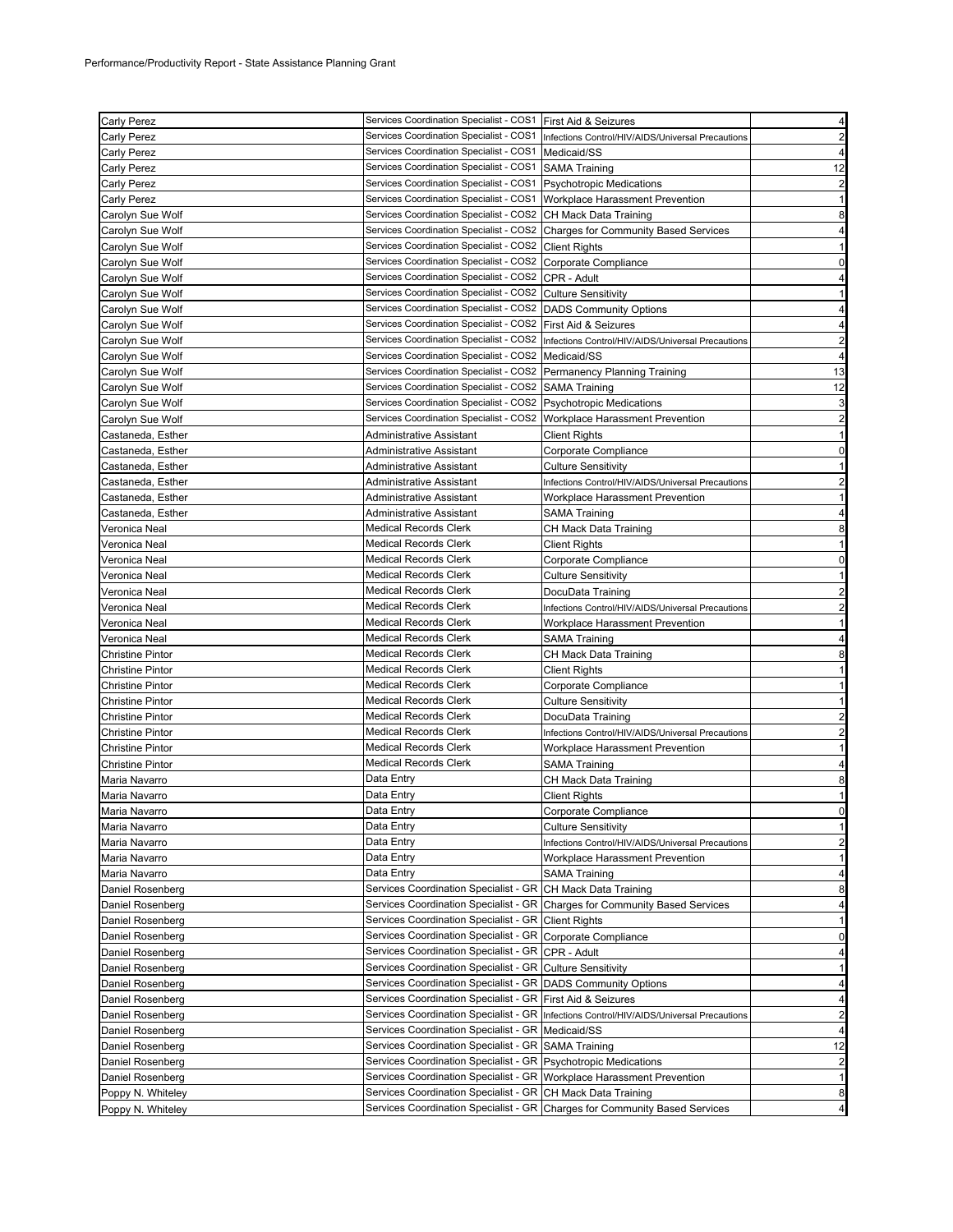| Carly Perez             | Services Coordination Specialist - COS1   First Aid & Seizures            |                                                                                           | $\overline{4}$          |
|-------------------------|---------------------------------------------------------------------------|-------------------------------------------------------------------------------------------|-------------------------|
| Carly Perez             |                                                                           | Services Coordination Specialist - COS1 Infections Control/HIV/AIDS/Universal Precautions | 2                       |
| Carly Perez             | Services Coordination Specialist - COS1 Medicaid/SS                       |                                                                                           | 4                       |
| Carly Perez             | Services Coordination Specialist - COS1 SAMA Training                     |                                                                                           | 12                      |
| Carly Perez             | Services Coordination Specialist - COS1   Psychotropic Medications        |                                                                                           | $\overline{2}$          |
| Carly Perez             | Services Coordination Specialist - COS1   Workplace Harassment Prevention |                                                                                           | $\mathbf{1}$            |
| Carolyn Sue Wolf        | Services Coordination Specialist - COS2 CH Mack Data Training             |                                                                                           | 8                       |
| Carolyn Sue Wolf        |                                                                           | Services Coordination Specialist - COS2 Charges for Community Based Services              | 4                       |
| Carolyn Sue Wolf        | Services Coordination Specialist - COS2 Client Rights                     |                                                                                           | $\mathbf{1}$            |
|                         | Services Coordination Specialist - COS2 Corporate Compliance              |                                                                                           |                         |
| Carolyn Sue Wolf        |                                                                           |                                                                                           | 0                       |
| Carolyn Sue Wolf        | Services Coordination Specialist - COS2 CPR - Adult                       |                                                                                           | 4                       |
| Carolyn Sue Wolf        | Services Coordination Specialist - COS2 Culture Sensitivity               |                                                                                           | 1                       |
| Carolyn Sue Wolf        | Services Coordination Specialist - COS2 DADS Community Options            |                                                                                           | 4                       |
| Carolyn Sue Wolf        | Services Coordination Specialist - COS2   First Aid & Seizures            |                                                                                           | 4                       |
| Carolyn Sue Wolf        | Services Coordination Specialist - COS2                                   | Infections Control/HIV/AIDS/Universal Precautions                                         | $\overline{c}$          |
| Carolyn Sue Wolf        | Services Coordination Specialist - COS2                                   | Medicaid/SS                                                                               | $\overline{4}$          |
| Carolyn Sue Wolf        | Services Coordination Specialist - COS2 Permanency Planning Training      |                                                                                           | 13                      |
| Carolyn Sue Wolf        | Services Coordination Specialist - COS2 SAMA Training                     |                                                                                           | 12                      |
| Carolyn Sue Wolf        | Services Coordination Specialist - COS2 Psychotropic Medications          |                                                                                           | 3                       |
| Carolyn Sue Wolf        | Services Coordination Specialist - COS2 Workplace Harassment Prevention   |                                                                                           | $\overline{\mathbf{c}}$ |
| Castaneda, Esther       | Administrative Assistant                                                  | <b>Client Rights</b>                                                                      | $\mathbf{1}$            |
| Castaneda, Esther       | Administrative Assistant                                                  | Corporate Compliance                                                                      | 0                       |
| Castaneda, Esther       | Administrative Assistant                                                  | <b>Culture Sensitivity</b>                                                                | 1                       |
| Castaneda, Esther       | Administrative Assistant                                                  | Infections Control/HIV/AIDS/Universal Precautions                                         | $\overline{2}$          |
| Castaneda, Esther       | Administrative Assistant                                                  | Workplace Harassment Prevention                                                           | $\mathbf{1}$            |
| Castaneda, Esther       | Administrative Assistant                                                  | SAMA Training                                                                             | $\overline{4}$          |
| Veronica Neal           | <b>Medical Records Clerk</b>                                              | CH Mack Data Training                                                                     | 8                       |
| Veronica Neal           | <b>Medical Records Clerk</b>                                              | <b>Client Rights</b>                                                                      | $\mathbf{1}$            |
| Veronica Neal           | <b>Medical Records Clerk</b>                                              | Corporate Compliance                                                                      | 0                       |
| Veronica Neal           | <b>Medical Records Clerk</b>                                              | Culture Sensitivity                                                                       | $\mathbf{1}$            |
| Veronica Neal           | <b>Medical Records Clerk</b>                                              |                                                                                           | $\overline{2}$          |
|                         | <b>Medical Records Clerk</b>                                              | DocuData Training                                                                         |                         |
| Veronica Neal           | <b>Medical Records Clerk</b>                                              | Infections Control/HIV/AIDS/Universal Precautions                                         | 2                       |
| Veronica Neal           |                                                                           | Workplace Harassment Prevention                                                           | 1                       |
| Veronica Neal           | <b>Medical Records Clerk</b>                                              | SAMA Training                                                                             | 4                       |
| <b>Christine Pintor</b> | <b>Medical Records Clerk</b>                                              | CH Mack Data Training                                                                     | 8                       |
| Christine Pintor        | <b>Medical Records Clerk</b>                                              | <b>Client Rights</b>                                                                      | 1                       |
| Christine Pintor        | <b>Medical Records Clerk</b>                                              | Corporate Compliance                                                                      | 1                       |
| Christine Pintor        | <b>Medical Records Clerk</b>                                              | <b>Culture Sensitivity</b>                                                                | $\mathbf{1}$            |
| Christine Pintor        | <b>Medical Records Clerk</b>                                              | DocuData Training                                                                         | $\overline{\mathbf{c}}$ |
| Christine Pintor        | <b>Medical Records Clerk</b>                                              | Infections Control/HIV/AIDS/Universal Precautions                                         | $\overline{c}$          |
| Christine Pintor        | <b>Medical Records Clerk</b>                                              | Workplace Harassment Prevention                                                           | 1                       |
| Christine Pintor        | <b>Medical Records Clerk</b>                                              | <b>SAMA Training</b>                                                                      | 4                       |
| Maria Navarro           | Data Entry                                                                | CH Mack Data Training                                                                     | 8                       |
| Maria Navarro           | Data Entry                                                                | <b>Client Rights</b>                                                                      | 1                       |
| Maria Navarro           | Data Entry                                                                | Corporate Compliance                                                                      | 0                       |
| Maria Navarro           | Data Entry                                                                | Culture Sensitivity                                                                       | $\mathbf{1}$            |
| Maria Navarro           | Data Entry                                                                | Infections Control/HIV/AIDS/Universal Precautions                                         | 2                       |
| Maria Navarro           | Data Entry                                                                | Workplace Harassment Prevention                                                           | 1                       |
| Maria Navarro           | Data Entry                                                                | SAMA Training                                                                             | 4                       |
| Daniel Rosenberg        | Services Coordination Specialist - GR CH Mack Data Training               |                                                                                           | 8                       |
| Daniel Rosenberg        |                                                                           | Services Coordination Specialist - GR Charges for Community Based Services                | 4                       |
| Daniel Rosenberg        | Services Coordination Specialist - GR   Client Rights                     |                                                                                           | -1                      |
| Daniel Rosenberg        | Services Coordination Specialist - GR Corporate Compliance                |                                                                                           | 0                       |
| Daniel Rosenberg        | Services Coordination Specialist - GR CPR - Adult                         |                                                                                           | 4                       |
| Daniel Rosenberg        | Services Coordination Specialist - GR Culture Sensitivity                 |                                                                                           | -1                      |
| Daniel Rosenberg        | Services Coordination Specialist - GR DADS Community Options              |                                                                                           | 4                       |
| Daniel Rosenberg        | Services Coordination Specialist - GR                                     | First Aid & Seizures                                                                      | 4                       |
| Daniel Rosenberg        | Services Coordination Specialist - GR                                     | Infections Control/HIV/AIDS/Universal Precautions                                         | 2                       |
| Daniel Rosenberg        | Services Coordination Specialist - GR Medicaid/SS                         |                                                                                           | 4                       |
| Daniel Rosenberg        | Services Coordination Specialist - GR SAMA Training                       |                                                                                           | 12                      |
| Daniel Rosenberg        | Services Coordination Specialist - GR Psychotropic Medications            |                                                                                           | $\overline{2}$          |
| Daniel Rosenberg        | Services Coordination Specialist - GR Workplace Harassment Prevention     |                                                                                           | $\mathbf{1}$            |
| Poppy N. Whiteley       | Services Coordination Specialist - GR CH Mack Data Training               |                                                                                           |                         |
| Poppy N. Whiteley       |                                                                           | Services Coordination Specialist - GR Charges for Community Based Services                | 8<br>4                  |
|                         |                                                                           |                                                                                           |                         |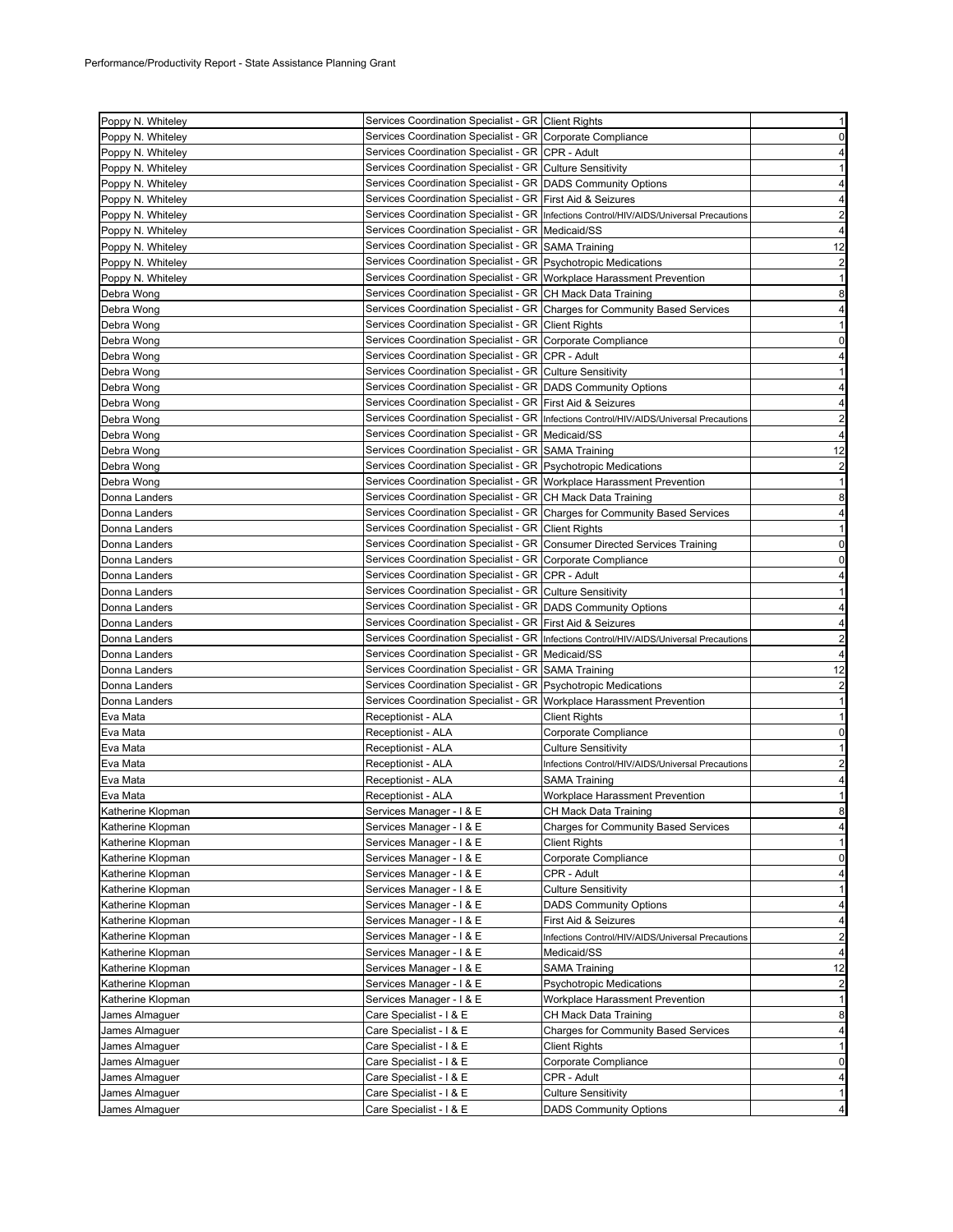| Poppy N. Whiteley                | Services Coordination Specialist - GR Client Rights                       |                                                                                           | $\mathbf{1}$                                                                                                                                                                                                                                                                 |
|----------------------------------|---------------------------------------------------------------------------|-------------------------------------------------------------------------------------------|------------------------------------------------------------------------------------------------------------------------------------------------------------------------------------------------------------------------------------------------------------------------------|
| Poppy N. Whiteley                | Services Coordination Specialist - GR Corporate Compliance                |                                                                                           | $\mathbf 0$                                                                                                                                                                                                                                                                  |
| Poppy N. Whiteley                | Services Coordination Specialist - GR CPR - Adult                         |                                                                                           | 4                                                                                                                                                                                                                                                                            |
| Poppy N. Whiteley                | Services Coordination Specialist - GR Culture Sensitivity                 |                                                                                           | $\mathbf{1}$                                                                                                                                                                                                                                                                 |
| Poppy N. Whiteley                | Services Coordination Specialist - GR DADS Community Options              |                                                                                           | $\overline{4}$                                                                                                                                                                                                                                                               |
| Poppy N. Whiteley                | Services Coordination Specialist - GR First Aid & Seizures                |                                                                                           | 4                                                                                                                                                                                                                                                                            |
| Poppy N. Whiteley                |                                                                           | Services Coordination Specialist - GR  Infections Control/HIV/AIDS/Universal Precautions  | $\overline{2}$                                                                                                                                                                                                                                                               |
| Poppy N. Whiteley                | Services Coordination Specialist - GR Medicaid/SS                         |                                                                                           | $\overline{4}$                                                                                                                                                                                                                                                               |
| Poppy N. Whiteley                | Services Coordination Specialist - GR SAMA Training                       |                                                                                           | 12                                                                                                                                                                                                                                                                           |
| Poppy N. Whiteley                | Services Coordination Specialist - GR Psychotropic Medications            |                                                                                           | $\overline{\mathbf{c}}$                                                                                                                                                                                                                                                      |
| Poppy N. Whiteley                | Services Coordination Specialist - GR Workplace Harassment Prevention     |                                                                                           | $\mathbf{1}$                                                                                                                                                                                                                                                                 |
| Debra Wong                       | Services Coordination Specialist - GR CH Mack Data Training               |                                                                                           | 8                                                                                                                                                                                                                                                                            |
| Debra Wong                       |                                                                           | Services Coordination Specialist - GR Charges for Community Based Services                | 4                                                                                                                                                                                                                                                                            |
| Debra Wong                       | Services Coordination Specialist - GR Client Rights                       |                                                                                           | $\mathbf{1}$                                                                                                                                                                                                                                                                 |
| Debra Wong                       | Services Coordination Specialist - GR Corporate Compliance                |                                                                                           | 0                                                                                                                                                                                                                                                                            |
| Debra Wong                       | Services Coordination Specialist - GR CPR - Adult                         |                                                                                           | 4                                                                                                                                                                                                                                                                            |
| Debra Wong                       | Services Coordination Specialist - GR Culture Sensitivity                 |                                                                                           | $\mathbf{1}$                                                                                                                                                                                                                                                                 |
|                                  | Services Coordination Specialist - GR   DADS Community Options            |                                                                                           | $\overline{a}$                                                                                                                                                                                                                                                               |
| Debra Wong                       | Services Coordination Specialist - GR First Aid & Seizures                |                                                                                           |                                                                                                                                                                                                                                                                              |
| Debra Wong                       |                                                                           |                                                                                           | 4                                                                                                                                                                                                                                                                            |
| Debra Wong                       |                                                                           | Services Coordination Specialist - GR   Infections Control/HIV/AIDS/Universal Precautions | $\overline{\mathbf{c}}$                                                                                                                                                                                                                                                      |
| Debra Wong                       | Services Coordination Specialist - GR   Medicaid/SS                       |                                                                                           | 4                                                                                                                                                                                                                                                                            |
| Debra Wong                       | Services Coordination Specialist - GR SAMA Training                       |                                                                                           | 12                                                                                                                                                                                                                                                                           |
| Debra Wong                       | Services Coordination Specialist - GR   Psychotropic Medications          |                                                                                           | $\overline{2}$                                                                                                                                                                                                                                                               |
| Debra Wong                       | Services Coordination Specialist - GR Workplace Harassment Prevention     |                                                                                           | $\mathbf{1}$                                                                                                                                                                                                                                                                 |
| Donna Landers                    | Services Coordination Specialist - GR CH Mack Data Training               |                                                                                           | 8                                                                                                                                                                                                                                                                            |
| Donna Landers                    |                                                                           | Services Coordination Specialist - GR Charges for Community Based Services                | 4                                                                                                                                                                                                                                                                            |
| Donna Landers                    | Services Coordination Specialist - GR Client Rights                       |                                                                                           | 1                                                                                                                                                                                                                                                                            |
| Donna Landers                    | Services Coordination Specialist - GR Consumer Directed Services Training |                                                                                           | $\mathbf 0$                                                                                                                                                                                                                                                                  |
| Donna Landers                    | Services Coordination Specialist - GR Corporate Compliance                |                                                                                           | $\mathbf 0$                                                                                                                                                                                                                                                                  |
| Donna Landers                    | Services Coordination Specialist - GR   CPR - Adult                       |                                                                                           | $\overline{a}$                                                                                                                                                                                                                                                               |
| Donna Landers                    | Services Coordination Specialist - GR Culture Sensitivity                 |                                                                                           | $\mathbf{1}$                                                                                                                                                                                                                                                                 |
| Donna Landers                    | Services Coordination Specialist - GR   DADS Community Options            |                                                                                           | 4                                                                                                                                                                                                                                                                            |
| Donna Landers                    | Services Coordination Specialist - GR First Aid & Seizures                |                                                                                           | 4                                                                                                                                                                                                                                                                            |
| Donna Landers                    |                                                                           | Services Coordination Specialist - GR  Infections Control/HIV/AIDS/Universal Precautions  | $\overline{c}$                                                                                                                                                                                                                                                               |
| Donna Landers                    | Services Coordination Specialist - GR Medicaid/SS                         |                                                                                           | $\overline{4}$                                                                                                                                                                                                                                                               |
| Donna Landers                    | Services Coordination Specialist - GR SAMA Training                       |                                                                                           | 12                                                                                                                                                                                                                                                                           |
| Donna Landers                    | Services Coordination Specialist - GR Psychotropic Medications            |                                                                                           | $\overline{c}$                                                                                                                                                                                                                                                               |
| Donna Landers                    | Services Coordination Specialist - GR Workplace Harassment Prevention     |                                                                                           | $\mathbf{1}$                                                                                                                                                                                                                                                                 |
| Eva Mata                         | Receptionist - ALA                                                        | Client Rights                                                                             | $\mathbf{1}$                                                                                                                                                                                                                                                                 |
| Eva Mata                         | Receptionist - ALA                                                        | Corporate Compliance                                                                      | $\mathbf 0$                                                                                                                                                                                                                                                                  |
| Eva Mata                         | Receptionist - ALA                                                        | <b>Culture Sensitivity</b>                                                                | $\mathbf{1}$                                                                                                                                                                                                                                                                 |
| Eva Mata                         | Receptionist - ALA                                                        | Infections Control/HIV/AIDS/Universal Precautions                                         | $\overline{c}$                                                                                                                                                                                                                                                               |
| Eva Mata                         | Receptionist - ALA                                                        | SAMA Training                                                                             | 4                                                                                                                                                                                                                                                                            |
| Eva Mata                         | Receptionist - ALA                                                        | <b>Workplace Harassment Prevention</b>                                                    | $\mathbf{1}$                                                                                                                                                                                                                                                                 |
| Katherine Klopman                | Services Manager - I & E                                                  | CH Mack Data Training                                                                     | 8                                                                                                                                                                                                                                                                            |
| Katherine Klopman                |                                                                           |                                                                                           |                                                                                                                                                                                                                                                                              |
| Katherine Klopman                | Services Manager - I & E                                                  | <b>Charges for Community Based Services</b>                                               |                                                                                                                                                                                                                                                                              |
|                                  | Services Manager - I & E                                                  | <b>Client Rights</b>                                                                      |                                                                                                                                                                                                                                                                              |
| Katherine Klopman                | Services Manager - I & E                                                  | Corporate Compliance                                                                      |                                                                                                                                                                                                                                                                              |
| Katherine Klopman                | Services Manager - I & E                                                  | CPR - Adult                                                                               |                                                                                                                                                                                                                                                                              |
| Katherine Klopman                | Services Manager - I & E                                                  | <b>Culture Sensitivity</b>                                                                |                                                                                                                                                                                                                                                                              |
| Katherine Klopman                | Services Manager - I & E                                                  | <b>DADS Community Options</b>                                                             | $\mathbf{1}$                                                                                                                                                                                                                                                                 |
| Katherine Klopman                | Services Manager - I & E                                                  | First Aid & Seizures                                                                      |                                                                                                                                                                                                                                                                              |
| Katherine Klopman                | Services Manager - I & E                                                  | Infections Control/HIV/AIDS/Universal Precautions                                         |                                                                                                                                                                                                                                                                              |
| Katherine Klopman                | Services Manager - I & E                                                  | Medicaid/SS                                                                               |                                                                                                                                                                                                                                                                              |
| Katherine Klopman                | Services Manager - I & E                                                  |                                                                                           |                                                                                                                                                                                                                                                                              |
|                                  |                                                                           | <b>SAMA Training</b>                                                                      |                                                                                                                                                                                                                                                                              |
| Katherine Klopman                | Services Manager - I & E                                                  | <b>Psychotropic Medications</b>                                                           |                                                                                                                                                                                                                                                                              |
| Katherine Klopman                | Services Manager - I & E                                                  | Workplace Harassment Prevention                                                           |                                                                                                                                                                                                                                                                              |
| James Almaguer                   | Care Specialist - I & E                                                   | CH Mack Data Training                                                                     |                                                                                                                                                                                                                                                                              |
| James Almaguer                   | Care Specialist - I & E                                                   | <b>Charges for Community Based Services</b>                                               |                                                                                                                                                                                                                                                                              |
| James Almaguer                   | Care Specialist - I & E                                                   | <b>Client Rights</b>                                                                      |                                                                                                                                                                                                                                                                              |
| James Almaguer                   | Care Specialist - I & E                                                   | Corporate Compliance                                                                      |                                                                                                                                                                                                                                                                              |
| James Almaguer                   | Care Specialist - I & E                                                   | CPR - Adult                                                                               |                                                                                                                                                                                                                                                                              |
| James Almaguer<br>James Almaguer | Care Specialist - I & E<br>Care Specialist - I & E                        | <b>Culture Sensitivity</b><br><b>DADS Community Options</b>                               | $\overline{a}$<br>1<br>$\mathbf 0$<br>$\overline{4}$<br>$\overline{a}$<br>$\overline{a}$<br>$\overline{a}$<br>$\overline{a}$<br>12<br>$\overline{a}$<br>$\mathbf{1}$<br>8<br>$\overline{a}$<br>$\mathbf{1}$<br>$\mathbf 0$<br>$\overline{a}$<br>1<br>$\overline{\mathbf{4}}$ |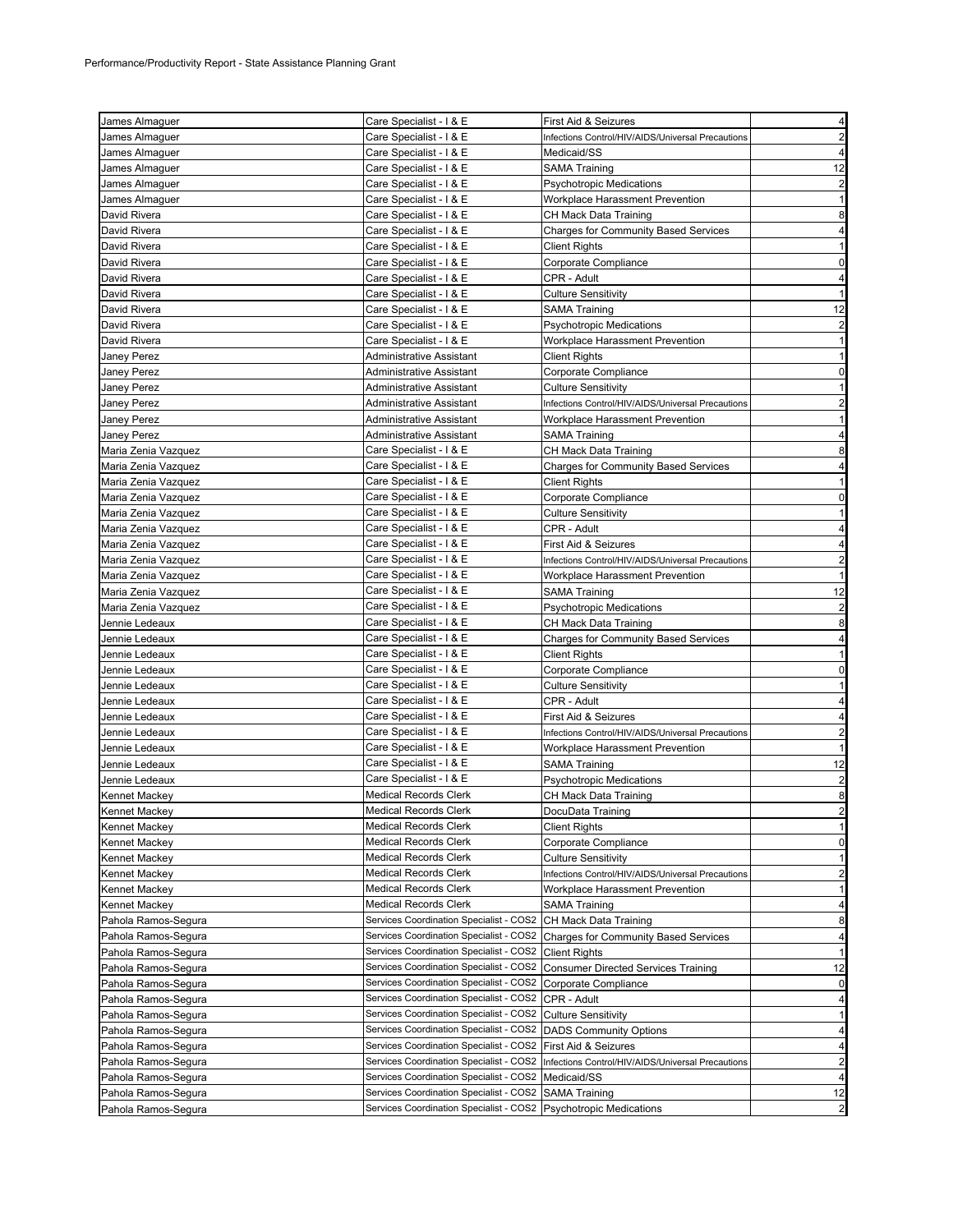| James Almaguer      | Care Specialist - I & E                                          | First Aid & Seizures                              | 4                       |
|---------------------|------------------------------------------------------------------|---------------------------------------------------|-------------------------|
| James Almaguer      | Care Specialist - I & E                                          | Infections Control/HIV/AIDS/Universal Precautions | $\overline{2}$          |
| James Almaguer      | Care Specialist - I & E                                          | Medicaid/SS                                       | 4                       |
| James Almaguer      | Care Specialist - I & E                                          | <b>SAMA Training</b>                              | 12                      |
| James Almaguer      | Care Specialist - I & E                                          | <b>Psychotropic Medications</b>                   | $\overline{\mathbf{c}}$ |
| James Almaguer      | Care Specialist - I & E                                          | Workplace Harassment Prevention                   | 1                       |
| David Rivera        | Care Specialist - I & E                                          | CH Mack Data Training                             | 8                       |
| David Rivera        | Care Specialist - I & E                                          | <b>Charges for Community Based Services</b>       | $\overline{4}$          |
| David Rivera        | Care Specialist - I & E                                          | Client Rights                                     | $\mathbf{1}$            |
| David Rivera        | Care Specialist - I & E                                          | Corporate Compliance                              | 0                       |
| David Rivera        | Care Specialist - I & E                                          | CPR - Adult                                       | 4                       |
| David Rivera        | Care Specialist - I & E                                          | <b>Culture Sensitivity</b>                        | $\mathbf{1}$            |
| David Rivera        | Care Specialist - I & E                                          | <b>SAMA Training</b>                              | 12                      |
| David Rivera        | Care Specialist - I & E                                          | <b>Psychotropic Medications</b>                   | $\overline{\mathbf{c}}$ |
| David Rivera        | Care Specialist - I & E                                          | Workplace Harassment Prevention                   | 1                       |
| Janey Perez         | Administrative Assistant                                         | <b>Client Rights</b>                              | $\mathbf{1}$            |
| Janey Perez         | Administrative Assistant                                         | Corporate Compliance                              | 0                       |
| Janey Perez         | Administrative Assistant                                         | <b>Culture Sensitivity</b>                        | 1                       |
| Janey Perez         | Administrative Assistant                                         | Infections Control/HIV/AIDS/Universal Precautions | $\overline{2}$          |
|                     |                                                                  |                                                   | $\mathbf{1}$            |
| Janey Perez         | Administrative Assistant                                         | Workplace Harassment Prevention                   |                         |
| Janey Perez         | Administrative Assistant<br>Care Specialist - I & E              | <b>SAMA Training</b>                              | 4                       |
| Maria Zenia Vazquez |                                                                  | CH Mack Data Training                             | 8                       |
| Maria Zenia Vazquez | Care Specialist - I & E                                          | <b>Charges for Community Based Services</b>       | $\overline{4}$          |
| Maria Zenia Vazquez | Care Specialist - I & E                                          | <b>Client Rights</b>                              | 1                       |
| Maria Zenia Vazquez | Care Specialist - I & E                                          | Corporate Compliance                              | 0                       |
| Maria Zenia Vazquez | Care Specialist - I & E                                          | <b>Culture Sensitivity</b>                        | $\mathbf{1}$            |
| Maria Zenia Vazquez | Care Specialist - I & E                                          | CPR - Adult                                       | 4                       |
| Maria Zenia Vazquez | Care Specialist - I & E                                          | First Aid & Seizures                              | 4                       |
| Maria Zenia Vazquez | Care Specialist - I & E                                          | Infections Control/HIV/AIDS/Universal Precautions | 2                       |
| Maria Zenia Vazquez | Care Specialist - I & E                                          | Workplace Harassment Prevention                   | $\mathbf{1}$            |
| Maria Zenia Vazquez | Care Specialist - I & E                                          | SAMA Training                                     | 12                      |
| Maria Zenia Vazquez | Care Specialist - I & E                                          | <b>Psychotropic Medications</b>                   | $\overline{2}$          |
| Jennie Ledeaux      | Care Specialist - I & E                                          | CH Mack Data Training                             | 8                       |
| Jennie Ledeaux      | Care Specialist - I & E                                          | <b>Charges for Community Based Services</b>       | 4                       |
| Jennie Ledeaux      | Care Specialist - I & E                                          | <b>Client Rights</b>                              | $\mathbf{1}$            |
| Jennie Ledeaux      | Care Specialist - I & E                                          | Corporate Compliance                              | $\mathbf 0$             |
| Jennie Ledeaux      | Care Specialist - I & E                                          | <b>Culture Sensitivity</b>                        | $\mathbf{1}$            |
| Jennie Ledeaux      | Care Specialist - I & E                                          | CPR - Adult                                       | 4                       |
| Jennie Ledeaux      | Care Specialist - I & E                                          | First Aid & Seizures                              | 4                       |
| Jennie Ledeaux      | Care Specialist - I & E                                          | Infections Control/HIV/AIDS/Universal Precautions | $\overline{2}$          |
| Jennie Ledeaux      | Care Specialist - I & E                                          | Workplace Harassment Prevention                   | $\mathbf{1}$            |
| Jennie Ledeaux      | Care Specialist - I & E                                          | SAMA Training                                     | 12                      |
| Jennie Ledeaux      | Care Specialist - I & E                                          | <b>Psychotropic Medications</b>                   | $\overline{2}$          |
| Kennet Mackey       | <b>Medical Records Clerk</b>                                     | CH Mack Data Training                             | 8                       |
| Kennet Mackey       | <b>Medical Records Clerk</b>                                     | DocuData Training                                 | $\overline{\mathbf{c}}$ |
| Kennet Mackey       | <b>Medical Records Clerk</b>                                     | <b>Client Rights</b>                              | 1                       |
| Kennet Mackey       | <b>Medical Records Clerk</b>                                     | Corporate Compliance                              | 0                       |
| Kennet Mackey       | <b>Medical Records Clerk</b>                                     | <b>Culture Sensitivity</b>                        | $\mathbf{1}$            |
| Kennet Mackey       | <b>Medical Records Clerk</b>                                     | Infections Control/HIV/AIDS/Universal Precautions | $\overline{\mathbf{c}}$ |
| Kennet Mackey       | <b>Medical Records Clerk</b>                                     | Workplace Harassment Prevention                   | 1                       |
| Kennet Mackey       | <b>Medical Records Clerk</b>                                     | <b>SAMA Training</b>                              | 4                       |
| Pahola Ramos-Segura | Services Coordination Specialist - COS2 CH Mack Data Training    |                                                   | 8                       |
| Pahola Ramos-Segura | Services Coordination Specialist - COS2                          | <b>Charges for Community Based Services</b>       | 4                       |
| Pahola Ramos-Segura | Services Coordination Specialist - COS2                          | <b>Client Rights</b>                              | -1                      |
| Pahola Ramos-Segura | Services Coordination Specialist - COS2                          | <b>Consumer Directed Services Training</b>        | 12                      |
| Pahola Ramos-Segura | Services Coordination Specialist - COS2                          | Corporate Compliance                              | 0                       |
| Pahola Ramos-Segura | Services Coordination Specialist - COS2                          | CPR - Adult                                       | 4                       |
| Pahola Ramos-Segura | Services Coordination Specialist - COS2                          | <b>Culture Sensitivity</b>                        | 1                       |
| Pahola Ramos-Segura | Services Coordination Specialist - COS2                          | <b>DADS Community Options</b>                     | 4                       |
| Pahola Ramos-Segura | Services Coordination Specialist - COS2                          | First Aid & Seizures                              | 4                       |
| Pahola Ramos-Segura | Services Coordination Specialist - COS2                          | Infections Control/HIV/AIDS/Universal Precautions | $\overline{\mathbf{c}}$ |
| Pahola Ramos-Segura | Services Coordination Specialist - COS2                          | Medicaid/SS                                       | 4                       |
| Pahola Ramos-Segura | Services Coordination Specialist - COS2 SAMA Training            |                                                   | 12                      |
| Pahola Ramos-Segura | Services Coordination Specialist - COS2 Psychotropic Medications |                                                   | $\overline{2}$          |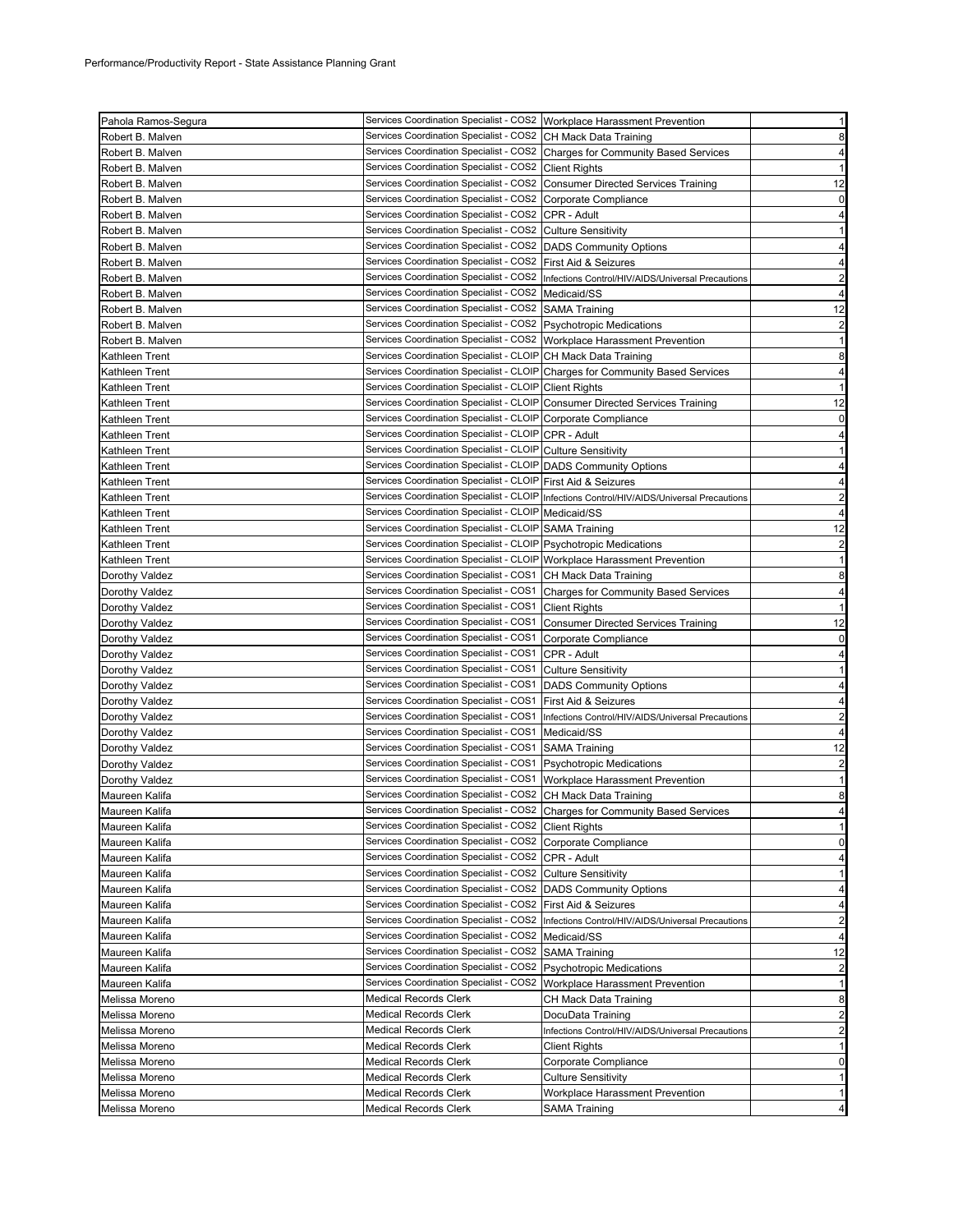| Pahola Ramos-Segura | Services Coordination Specialist - COS2   Workplace Harassment Prevention                                                        |                                                                                             | $\mathbf{1}$                                                                                                               |
|---------------------|----------------------------------------------------------------------------------------------------------------------------------|---------------------------------------------------------------------------------------------|----------------------------------------------------------------------------------------------------------------------------|
| Robert B. Malven    | Services Coordination Specialist - COS2 CH Mack Data Training                                                                    |                                                                                             | 8                                                                                                                          |
| Robert B. Malven    |                                                                                                                                  | Services Coordination Specialist - COS2 Charges for Community Based Services                | $\overline{4}$                                                                                                             |
| Robert B. Malven    | Services Coordination Specialist - COS2 Client Rights                                                                            |                                                                                             | $\mathbf{1}$                                                                                                               |
| Robert B. Malven    |                                                                                                                                  | Services Coordination Specialist - COS2 Consumer Directed Services Training                 | 12                                                                                                                         |
| Robert B. Malven    | Services Coordination Specialist - COS2 Corporate Compliance                                                                     |                                                                                             | $\mathbf 0$                                                                                                                |
| Robert B. Malven    | Services Coordination Specialist - COS2 CPR - Adult                                                                              |                                                                                             | 4                                                                                                                          |
| Robert B. Malven    | Services Coordination Specialist - COS2 Culture Sensitivity                                                                      |                                                                                             | 1                                                                                                                          |
| Robert B. Malven    | Services Coordination Specialist - COS2 DADS Community Options                                                                   |                                                                                             | $\overline{a}$                                                                                                             |
| Robert B. Malven    | Services Coordination Specialist - COS2   First Aid & Seizures                                                                   |                                                                                             | 4                                                                                                                          |
| Robert B. Malven    |                                                                                                                                  | Services Coordination Specialist - COS2 Infections Control/HIV/AIDS/Universal Precautions   | $\overline{a}$                                                                                                             |
| Robert B. Malven    | Services Coordination Specialist - COS2   Medicaid/SS                                                                            |                                                                                             | $\overline{a}$                                                                                                             |
| Robert B. Malven    | Services Coordination Specialist - COS2 SAMA Training                                                                            |                                                                                             | 12                                                                                                                         |
| Robert B. Malven    | Services Coordination Specialist - COS2   Psychotropic Medications                                                               |                                                                                             | $\overline{a}$                                                                                                             |
| Robert B. Malven    | Services Coordination Specialist - COS2   Workplace Harassment Prevention                                                        |                                                                                             | $\mathbf{1}$                                                                                                               |
| Kathleen Trent      | Services Coordination Specialist - CLOIP CH Mack Data Training                                                                   |                                                                                             | 8                                                                                                                          |
| Kathleen Trent      |                                                                                                                                  | Services Coordination Specialist - CLOIP Charges for Community Based Services               | $\overline{4}$                                                                                                             |
| Kathleen Trent      | Services Coordination Specialist - CLOIP Client Rights                                                                           |                                                                                             | $\mathbf{1}$                                                                                                               |
| Kathleen Trent      |                                                                                                                                  | Services Coordination Specialist - CLOIP Consumer Directed Services Training                | 12                                                                                                                         |
| Kathleen Trent      | Services Coordination Specialist - CLOIP Corporate Compliance                                                                    |                                                                                             | $\mathbf 0$                                                                                                                |
| Kathleen Trent      | Services Coordination Specialist - CLOIP CPR - Adult                                                                             |                                                                                             | $\overline{a}$                                                                                                             |
| Kathleen Trent      | Services Coordination Specialist - CLOIP Culture Sensitivity                                                                     |                                                                                             |                                                                                                                            |
|                     |                                                                                                                                  |                                                                                             | 1                                                                                                                          |
| Kathleen Trent      | Services Coordination Specialist - CLOIP DADS Community Options<br>Services Coordination Specialist - CLOIP First Aid & Seizures |                                                                                             | $\overline{a}$                                                                                                             |
| Kathleen Trent      |                                                                                                                                  |                                                                                             | $\overline{\mathbf{r}}$                                                                                                    |
| Kathleen Trent      |                                                                                                                                  | Services Coordination Specialist - CLOIP Infections Control/HIV/AIDS/Universal Precautions  | $\overline{2}$                                                                                                             |
| Kathleen Trent      | Services Coordination Specialist - CLOIP Medicaid/SS                                                                             |                                                                                             | 4                                                                                                                          |
| Kathleen Trent      | Services Coordination Specialist - CLOIP SAMA Training                                                                           |                                                                                             | 12                                                                                                                         |
| Kathleen Trent      | Services Coordination Specialist - CLOIP Psychotropic Medications                                                                |                                                                                             | $\overline{a}$                                                                                                             |
| Kathleen Trent      | Services Coordination Specialist - CLOIP Workplace Harassment Prevention                                                         |                                                                                             | $\mathbf{1}$                                                                                                               |
| Dorothy Valdez      | Services Coordination Specialist - COS1 CH Mack Data Training                                                                    |                                                                                             | 8                                                                                                                          |
| Dorothy Valdez      |                                                                                                                                  | Services Coordination Specialist - COS1 Charges for Community Based Services                | $\overline{a}$                                                                                                             |
| Dorothy Valdez      | Services Coordination Specialist - COS1 Client Rights                                                                            |                                                                                             | $\mathbf{1}$                                                                                                               |
|                     |                                                                                                                                  |                                                                                             |                                                                                                                            |
| Dorothy Valdez      |                                                                                                                                  | Services Coordination Specialist - COS1 Consumer Directed Services Training                 |                                                                                                                            |
| Dorothy Valdez      | Services Coordination Specialist - COS1 Corporate Compliance                                                                     |                                                                                             |                                                                                                                            |
| Dorothy Valdez      | Services Coordination Specialist - COS1 CPR - Adult                                                                              |                                                                                             |                                                                                                                            |
| Dorothy Valdez      | Services Coordination Specialist - COS1                                                                                          | Culture Sensitivity                                                                         | $\mathbf{1}$                                                                                                               |
| Dorothy Valdez      | Services Coordination Specialist - COS1                                                                                          | <b>DADS Community Options</b>                                                               |                                                                                                                            |
| Dorothy Valdez      | Services Coordination Specialist - COS1 First Aid & Seizures                                                                     |                                                                                             |                                                                                                                            |
| Dorothy Valdez      |                                                                                                                                  | Services Coordination Specialist - COS1   Infections Control/HIV/AIDS/Universal Precautions |                                                                                                                            |
| Dorothy Valdez      | Services Coordination Specialist - COS1 Medicaid/SS                                                                              |                                                                                             |                                                                                                                            |
| Dorothy Valdez      | Services Coordination Specialist - COS1 SAMA Training                                                                            |                                                                                             |                                                                                                                            |
| Dorothy Valdez      | Services Coordination Specialist - COS1 Psychotropic Medications                                                                 |                                                                                             |                                                                                                                            |
| Dorothy Valdez      | Services Coordination Specialist - COS1                                                                                          | Workplace Harassment Prevention                                                             | $\mathbf{1}$                                                                                                               |
| Maureen Kalifa      | Services Coordination Specialist - COS2 CH Mack Data Training                                                                    |                                                                                             |                                                                                                                            |
| Maureen Kalifa      |                                                                                                                                  | Services Coordination Specialist - COS2 Charges for Community Based Services                | 4                                                                                                                          |
| Maureen Kalifa      | Services Coordination Specialist - COS2 Client Rights                                                                            |                                                                                             |                                                                                                                            |
| Maureen Kalifa      | Services Coordination Specialist - COS2 Corporate Compliance                                                                     |                                                                                             |                                                                                                                            |
| Maureen Kalifa      | Services Coordination Specialist - COS2 CPR - Adult                                                                              |                                                                                             |                                                                                                                            |
| Maureen Kalifa      | Services Coordination Specialist - COS2 Culture Sensitivity                                                                      |                                                                                             |                                                                                                                            |
| Maureen Kalifa      | Services Coordination Specialist - COS2 DADS Community Options                                                                   |                                                                                             | 12<br>$\mathbf 0$<br>4<br>4<br>4<br>$\overline{a}$<br>4<br>12<br>$\overline{c}$<br>8<br>1<br>0<br>$\overline{a}$<br>1<br>4 |
| Maureen Kalifa      | Services Coordination Specialist - COS2 First Aid & Seizures                                                                     |                                                                                             | 4                                                                                                                          |
| Maureen Kalifa      |                                                                                                                                  | Services Coordination Specialist - COS2  Infections Control/HIV/AIDS/Universal Precautions  |                                                                                                                            |
| Maureen Kalifa      | Services Coordination Specialist - COS2                                                                                          | Medicaid/SS                                                                                 | $\overline{a}$<br>$\overline{4}$                                                                                           |
| Maureen Kalifa      | Services Coordination Specialist - COS2                                                                                          | <b>SAMA Training</b>                                                                        |                                                                                                                            |
| Maureen Kalifa      | Services Coordination Specialist - COS2 Psychotropic Medications                                                                 |                                                                                             |                                                                                                                            |
| Maureen Kalifa      | Services Coordination Specialist - COS2                                                                                          | Workplace Harassment Prevention                                                             | 12<br>$\overline{a}$<br>1                                                                                                  |
| Melissa Moreno      | <b>Medical Records Clerk</b>                                                                                                     | CH Mack Data Training                                                                       |                                                                                                                            |
| Melissa Moreno      | <b>Medical Records Clerk</b>                                                                                                     | DocuData Training                                                                           |                                                                                                                            |
| Melissa Moreno      | <b>Medical Records Clerk</b>                                                                                                     | Infections Control/HIV/AIDS/Universal Precautions                                           | 8<br>$\overline{a}$<br>$\overline{\mathbf{c}}$                                                                             |
| Melissa Moreno      | <b>Medical Records Clerk</b>                                                                                                     | <b>Client Rights</b>                                                                        |                                                                                                                            |
| Melissa Moreno      | <b>Medical Records Clerk</b>                                                                                                     | Corporate Compliance                                                                        | 1<br>$\mathbf 0$                                                                                                           |
| Melissa Moreno      | <b>Medical Records Clerk</b>                                                                                                     | <b>Culture Sensitivity</b>                                                                  | $\mathbf{1}$                                                                                                               |
| Melissa Moreno      | <b>Medical Records Clerk</b>                                                                                                     | Workplace Harassment Prevention                                                             | 1                                                                                                                          |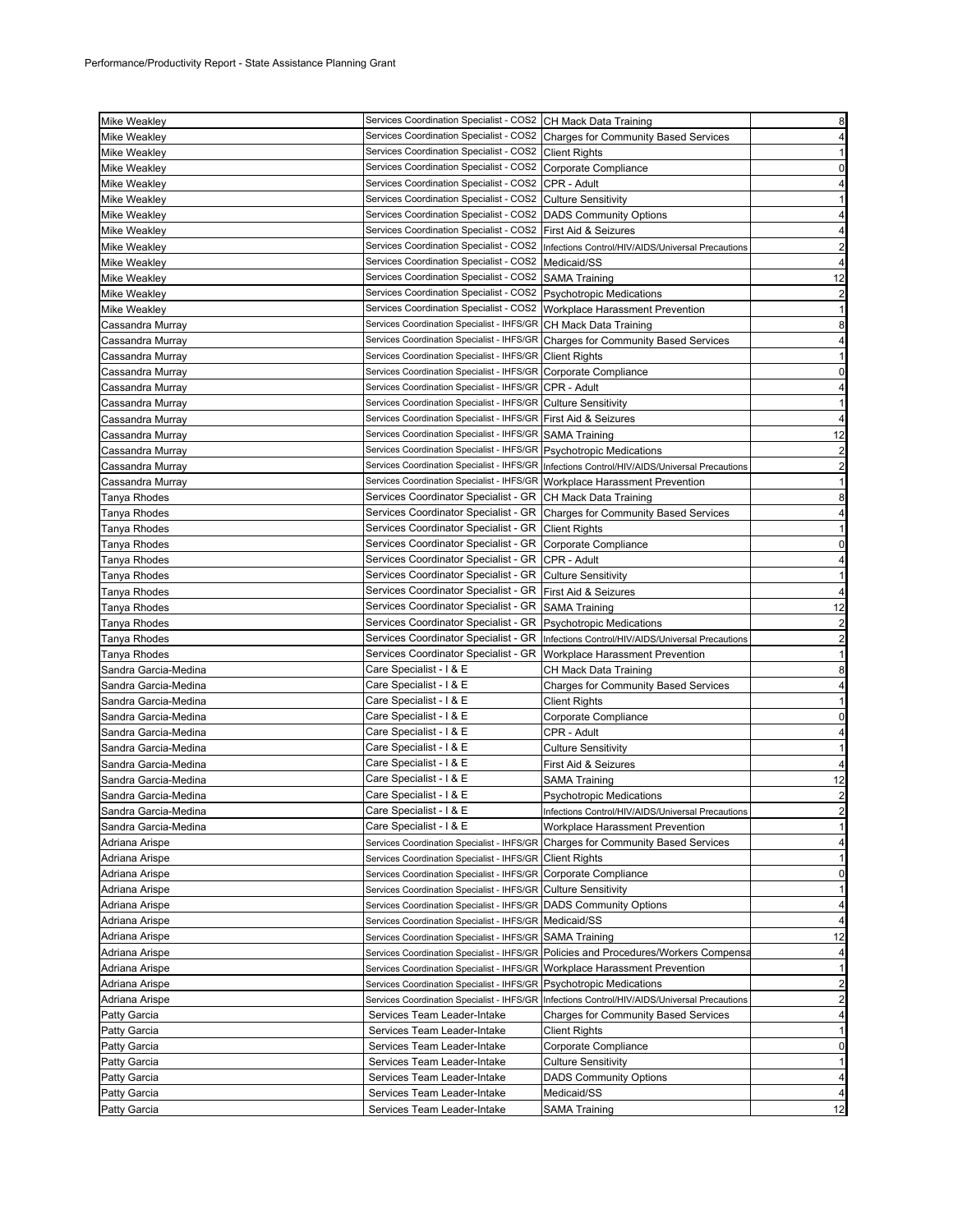| <b>Mike Weakley</b>          | Services Coordination Specialist - COS2 CH Mack Data Training                                           |                                                                                                | 8                                |
|------------------------------|---------------------------------------------------------------------------------------------------------|------------------------------------------------------------------------------------------------|----------------------------------|
| <b>Mike Weakley</b>          |                                                                                                         | Services Coordination Specialist - COS2 Charges for Community Based Services                   | $\overline{\mathbf{4}}$          |
| <b>Mike Weakley</b>          | Services Coordination Specialist - COS2 Client Rights                                                   |                                                                                                | 1                                |
| <b>Mike Weakley</b>          | Services Coordination Specialist - COS2 Corporate Compliance                                            |                                                                                                | $\mathbf 0$                      |
| <b>Mike Weakley</b>          | Services Coordination Specialist - COS2 CPR - Adult                                                     |                                                                                                | 4                                |
| Mike Weakley                 | Services Coordination Specialist - COS2 Culture Sensitivity                                             |                                                                                                | $\mathbf{1}$                     |
| <b>Mike Weakley</b>          | Services Coordination Specialist - COS2   DADS Community Options                                        |                                                                                                | 4                                |
| Mike Weakley                 | Services Coordination Specialist - COS2 First Aid & Seizures                                            |                                                                                                | 4                                |
| Mike Weakley                 |                                                                                                         | Services Coordination Specialist - COS2 Infections Control/HIV/AIDS/Universal Precautions      | 2                                |
| <b>Mike Weakley</b>          | Services Coordination Specialist - COS2 Medicaid/SS                                                     |                                                                                                | 4                                |
| Mike Weakley                 | Services Coordination Specialist - COS2 SAMA Training                                                   |                                                                                                | 12                               |
| <b>Mike Weakley</b>          | Services Coordination Specialist - COS2   Psychotropic Medications                                      |                                                                                                | $\overline{a}$                   |
| <b>Mike Weakley</b>          | Services Coordination Specialist - COS2   Workplace Harassment Prevention                               |                                                                                                | $\mathbf{1}$                     |
| Cassandra Murray             | Services Coordination Specialist - IHFS/GR CH Mack Data Training                                        |                                                                                                | 8                                |
| Cassandra Murray             |                                                                                                         | Services Coordination Specialist - IHFS/GR Charges for Community Based Services                | $\overline{\mathbf{r}}$          |
| Cassandra Murray             | Services Coordination Specialist - IHFS/GR Client Rights                                                |                                                                                                | $\mathbf{1}$                     |
| Cassandra Murray             | Services Coordination Specialist - IHFS/GR Corporate Compliance                                         |                                                                                                | $\mathbf 0$                      |
| Cassandra Murray             | Services Coordination Specialist - IHFS/GR CPR - Adult                                                  |                                                                                                | $\overline{\mathbf{4}}$          |
| Cassandra Murray             | Services Coordination Specialist - IHFS/GR Culture Sensitivity                                          |                                                                                                |                                  |
| Cassandra Murray             | Services Coordination Specialist - IHFS/GR First Aid & Seizures                                         |                                                                                                | 4                                |
| Cassandra Murray             | Services Coordination Specialist - IHFS/GR SAMA Training                                                |                                                                                                | 12                               |
| Cassandra Murray             | Services Coordination Specialist - IHFS/GR Psychotropic Medications                                     |                                                                                                | $\overline{a}$                   |
| Cassandra Murray             |                                                                                                         | Services Coordination Specialist - IHFS/GR   Infections Control/HIV/AIDS/Universal Precautions | $\overline{\mathbf{c}}$          |
| Cassandra Murray             | Services Coordination Specialist - IHFS/GR Workplace Harassment Prevention                              |                                                                                                | $\mathbf{1}$                     |
| Tanya Rhodes                 | Services Coordinator Specialist - GR CH Mack Data Training                                              |                                                                                                | 8                                |
| Tanya Rhodes                 |                                                                                                         | Services Coordinator Specialist - GR   Charges for Community Based Services                    | 4                                |
| Tanya Rhodes                 | Services Coordinator Specialist - GR   Client Rights                                                    |                                                                                                | 1                                |
| Tanya Rhodes                 | Services Coordinator Specialist - GR Corporate Compliance                                               |                                                                                                | $\mathbf 0$                      |
| Tanya Rhodes                 | Services Coordinator Specialist - GR   CPR - Adult                                                      |                                                                                                | 4                                |
| Tanya Rhodes                 | Services Coordinator Specialist - GR Culture Sensitivity                                                |                                                                                                | $\mathbf{1}$                     |
| Tanya Rhodes                 | Services Coordinator Specialist - GR   First Aid & Seizures                                             |                                                                                                | $\overline{4}$                   |
| Tanya Rhodes                 | Services Coordinator Specialist - GR SAMA Training                                                      |                                                                                                |                                  |
|                              |                                                                                                         |                                                                                                |                                  |
|                              |                                                                                                         |                                                                                                | 12                               |
| Tanya Rhodes<br>Tanya Rhodes | Services Coordinator Specialist - GR   Psychotropic Medications<br>Services Coordinator Specialist - GR | Infections Control/HIV/AIDS/Universal Precautions                                              | $\overline{a}$<br>$\overline{a}$ |
| Tanya Rhodes                 | Services Coordinator Specialist - GR   Workplace Harassment Prevention                                  |                                                                                                | $\mathbf{1}$                     |
| Sandra Garcia-Medina         | Care Specialist - I & E                                                                                 | CH Mack Data Training                                                                          | 8                                |
| Sandra Garcia-Medina         | Care Specialist - I & E                                                                                 | Charges for Community Based Services                                                           | 4                                |
| Sandra Garcia-Medina         | Care Specialist - I & E                                                                                 | Client Rights                                                                                  | $\mathbf{1}$                     |
| Sandra Garcia-Medina         | Care Specialist - I & E                                                                                 | Corporate Compliance                                                                           | $\mathbf 0$                      |
| Sandra Garcia-Medina         | Care Specialist - I & E                                                                                 | CPR - Adult                                                                                    | $\overline{\mathbf{4}}$          |
| Sandra Garcia-Medina         | Care Specialist - I & E                                                                                 | Culture Sensitivity                                                                            | 1                                |
| Sandra Garcia-Medina         | Care Specialist - I & E                                                                                 | First Aid & Seizures                                                                           | $\overline{4}$                   |
| Sandra Garcia-Medina         | Care Specialist - I & E                                                                                 | SAMA Training                                                                                  | 12                               |
| Sandra Garcia-Medina         | Care Specialist - I & E                                                                                 | Psychotropic Medications                                                                       | $\overline{\mathbf{c}}$          |
| Sandra Garcia-Medina         | Care Specialist - I & E                                                                                 | Infections Control/HIV/AIDS/Universal Precautions                                              |                                  |
| Sandra Garcia-Medina         | Care Specialist - I & E                                                                                 | Workplace Harassment Prevention                                                                | 1                                |
| Adriana Arispe               |                                                                                                         | Services Coordination Specialist - IHFS/GR Charges for Community Based Services                | $\overline{4}$                   |
| Adriana Arispe               | Services Coordination Specialist - IHFS/GR Client Rights                                                |                                                                                                | 1                                |
| Adriana Arispe               | Services Coordination Specialist - IHFS/GR Corporate Compliance                                         |                                                                                                | $\overline{0}$                   |
| Adriana Arispe               | Services Coordination Specialist - IHFS/GR Culture Sensitivity                                          |                                                                                                | $\mathbf{1}$                     |
| Adriana Arispe               | Services Coordination Specialist - IHFS/GR DADS Community Options                                       |                                                                                                | $\overline{\mathbf{r}}$          |
| Adriana Arispe               | Services Coordination Specialist - IHFS/GR   Medicaid/SS                                                |                                                                                                | 4                                |
| Adriana Arispe               | Services Coordination Specialist - IHFS/GR SAMA Training                                                |                                                                                                | 12                               |
| Adriana Arispe               |                                                                                                         | Services Coordination Specialist - IHFS/GR Policies and Procedures/Workers Compensa            | 4                                |
| Adriana Arispe               | Services Coordination Specialist - IHFS/GR Workplace Harassment Prevention                              |                                                                                                | 1                                |
| Adriana Arispe               | Services Coordination Specialist - IHFS/GR Psychotropic Medications                                     |                                                                                                | $\overline{a}$                   |
| Adriana Arispe               | Services Coordination Specialist - IHFS/GR                                                              | Infections Control/HIV/AIDS/Universal Precautions                                              |                                  |
| Patty Garcia                 | Services Team Leader-Intake                                                                             | Charges for Community Based Services                                                           | $\overline{2}$<br>$\overline{4}$ |
| Patty Garcia                 | Services Team Leader-Intake                                                                             | <b>Client Rights</b>                                                                           | 11                               |
| Patty Garcia                 | Services Team Leader-Intake                                                                             | Corporate Compliance                                                                           | $\mathbf 0$                      |
| Patty Garcia                 | Services Team Leader-Intake                                                                             | Culture Sensitivity                                                                            | $\mathbf{1}$                     |
| Patty Garcia                 | Services Team Leader-Intake                                                                             | <b>DADS Community Options</b>                                                                  | 4                                |
| Patty Garcia                 | Services Team Leader-Intake                                                                             | Medicaid/SS                                                                                    | 4                                |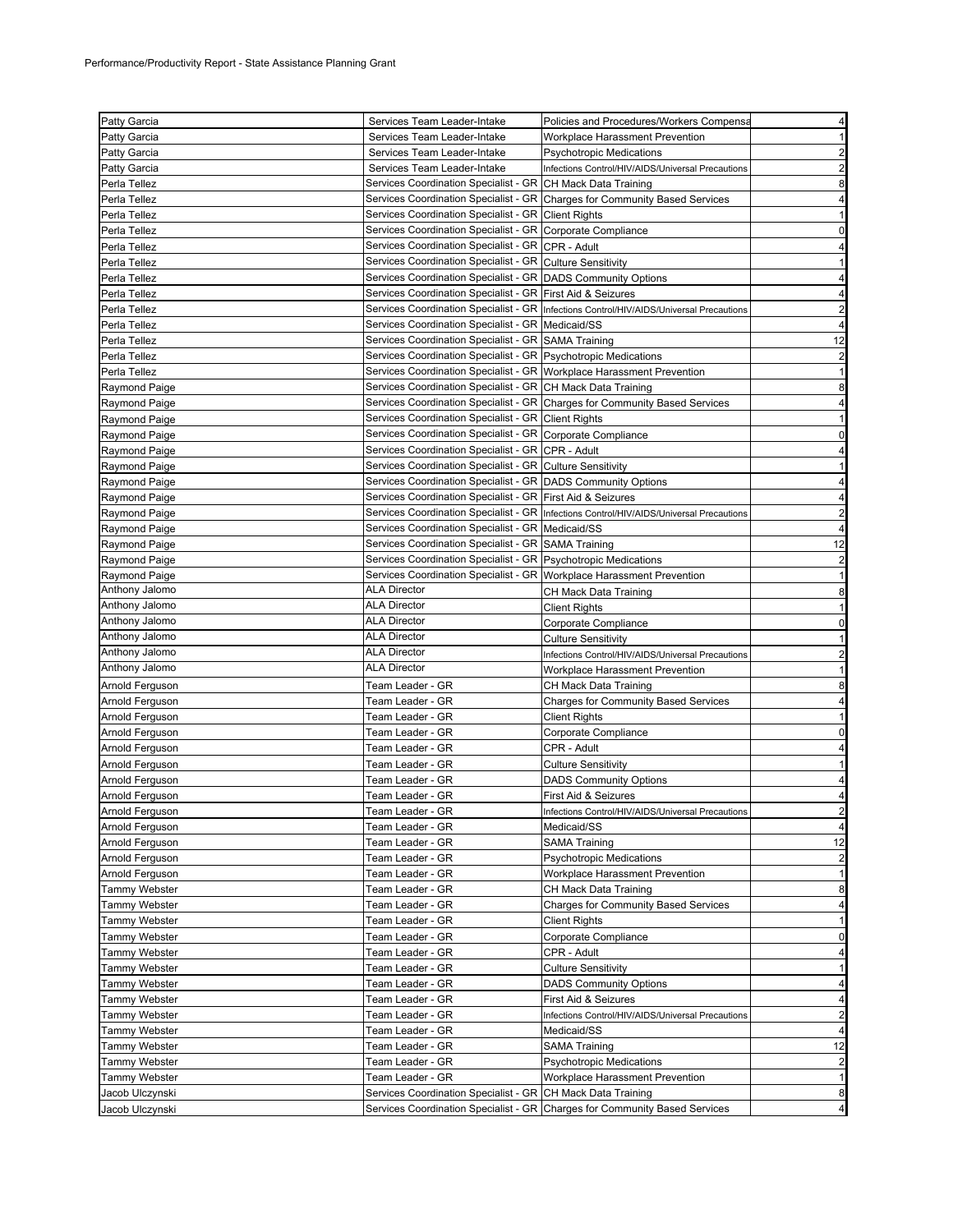| Patty Garcia         | Services Team Leader-Intake                                           | Policies and Procedures/Workers Compensa                                                | $\overline{4}$                   |
|----------------------|-----------------------------------------------------------------------|-----------------------------------------------------------------------------------------|----------------------------------|
| <b>Patty Garcia</b>  | Services Team Leader-Intake                                           | Workplace Harassment Prevention                                                         | $\mathbf{1}$                     |
| <b>Patty Garcia</b>  | Services Team Leader-Intake                                           | <b>Psychotropic Medications</b>                                                         | $\overline{2}$                   |
| Patty Garcia         | Services Team Leader-Intake                                           | Infections Control/HIV/AIDS/Universal Precautions                                       | $\overline{2}$                   |
| Perla Tellez         | Services Coordination Specialist - GR CH Mack Data Training           |                                                                                         | 8                                |
| Perla Tellez         |                                                                       | Services Coordination Specialist - GR Charges for Community Based Services              | 4                                |
| Perla Tellez         | Services Coordination Specialist - GR Client Rights                   |                                                                                         | $\mathbf{1}$                     |
| Perla Tellez         | Services Coordination Specialist - GR Corporate Compliance            |                                                                                         | $\mathbf 0$                      |
| Perla Tellez         | Services Coordination Specialist - GR CPR - Adult                     |                                                                                         | 4                                |
| Perla Tellez         | Services Coordination Specialist - GR Culture Sensitivity             |                                                                                         | $\mathbf{1}$                     |
| Perla Tellez         | Services Coordination Specialist - GR DADS Community Options          |                                                                                         | 4                                |
| Perla Tellez         | Services Coordination Specialist - GR First Aid & Seizures            |                                                                                         | 4                                |
| Perla Tellez         |                                                                       | Services Coordination Specialist - GR Infections Control/HIV/AIDS/Universal Precautions | $\overline{\mathbf{c}}$          |
| Perla Tellez         | Services Coordination Specialist - GR   Medicaid/SS                   |                                                                                         | $\overline{4}$                   |
| Perla Tellez         | Services Coordination Specialist - GR SAMA Training                   |                                                                                         | 12                               |
| Perla Tellez         | Services Coordination Specialist - GR Psychotropic Medications        |                                                                                         | $\overline{2}$                   |
| Perla Tellez         | Services Coordination Specialist - GR Workplace Harassment Prevention |                                                                                         | $\mathbf{1}$                     |
| <b>Raymond Paige</b> | Services Coordination Specialist - GR CH Mack Data Training           |                                                                                         | 8                                |
| Raymond Paige        |                                                                       | Services Coordination Specialist - GR Charges for Community Based Services              | 4                                |
| <b>Raymond Paige</b> | Services Coordination Specialist - GR Client Rights                   |                                                                                         | $\mathbf{1}$                     |
| Raymond Paige        | Services Coordination Specialist - GR Corporate Compliance            |                                                                                         | 0                                |
| Raymond Paige        | Services Coordination Specialist - GR CPR - Adult                     |                                                                                         | 4                                |
| <b>Raymond Paige</b> | Services Coordination Specialist - GR Culture Sensitivity             |                                                                                         | $\mathbf{1}$                     |
| Raymond Paige        | Services Coordination Specialist - GR DADS Community Options          |                                                                                         | 4                                |
| Raymond Paige        | Services Coordination Specialist - GR First Aid & Seizures            |                                                                                         | 4                                |
| <b>Raymond Paige</b> |                                                                       | Services Coordination Specialist - GR Infections Control/HIV/AIDS/Universal Precautions | $\overline{2}$                   |
| <b>Raymond Paige</b> | Services Coordination Specialist - GR Medicaid/SS                     |                                                                                         | $\overline{4}$                   |
| Raymond Paige        | Services Coordination Specialist - GR SAMA Training                   |                                                                                         | 12                               |
| Raymond Paige        | Services Coordination Specialist - GR Psychotropic Medications        |                                                                                         | $\overline{2}$                   |
| Raymond Paige        | Services Coordination Specialist - GR Workplace Harassment Prevention |                                                                                         | $\mathbf{1}$                     |
| Anthony Jalomo       | <b>ALA Director</b>                                                   | CH Mack Data Training                                                                   | 8                                |
| Anthony Jalomo       | <b>ALA Director</b>                                                   | <b>Client Rights</b>                                                                    | $\mathbf{1}$                     |
|                      |                                                                       |                                                                                         |                                  |
| Anthony Jalomo       | <b>ALA Director</b>                                                   |                                                                                         | $\mathbf 0$                      |
| Anthony Jalomo       | <b>ALA Director</b>                                                   | Corporate Compliance<br><b>Culture Sensitivity</b>                                      | $\mathbf{1}$                     |
| Anthony Jalomo       | <b>ALA Director</b>                                                   | Infections Control/HIV/AIDS/Universal Precautions                                       | $\overline{2}$                   |
| Anthony Jalomo       | <b>ALA Director</b>                                                   | Workplace Harassment Prevention                                                         | 1                                |
| Arnold Ferguson      | Team Leader - GR                                                      | CH Mack Data Training                                                                   | 8                                |
| Arnold Ferguson      | Team Leader - GR                                                      | <b>Charges for Community Based Services</b>                                             | 4                                |
| Arnold Ferguson      | Team Leader - GR                                                      | Client Rights                                                                           | $\mathbf{1}$                     |
| Arnold Ferguson      | Team Leader - GR                                                      | Corporate Compliance                                                                    | $\mathbf 0$                      |
| Arnold Ferguson      | Team Leader - GR                                                      | CPR - Adult                                                                             | 4                                |
| Arnold Ferguson      | Team Leader - GR                                                      | Culture Sensitivity                                                                     | $\mathbf{1}$                     |
| Arnold Ferguson      | Team Leader - GR                                                      | <b>DADS Community Options</b>                                                           | 4                                |
| Arnold Ferguson      | Team Leader - GR                                                      | First Aid & Seizures                                                                    | $\overline{4}$                   |
| Arnold Ferguson      | Team Leader - GR                                                      | Infections Control/HIV/AIDS/Universal Precautions                                       | $\overline{\mathbf{c}}$          |
| Arnold Ferguson      | Team Leader - GR                                                      | Medicaid/SS                                                                             | $\overline{4}$                   |
| Arnold Ferguson      | Team Leader - GR                                                      | <b>SAMA Training</b>                                                                    | 12                               |
| Arnold Ferguson      | Team Leader - GR                                                      | <b>Psychotropic Medications</b>                                                         | $\overline{a}$                   |
| Arnold Ferguson      | Team Leader - GR                                                      | Workplace Harassment Prevention                                                         | $\mathbf{1}$                     |
| <b>Tammy Webster</b> | Team Leader - GR                                                      | CH Mack Data Training                                                                   | 8                                |
| <b>Tammy Webster</b> | Team Leader - GR                                                      | <b>Charges for Community Based Services</b>                                             | $\overline{4}$                   |
| Tammy Webster        | Team Leader - GR                                                      | Client Rights                                                                           | 1                                |
| Tammy Webster        | Team Leader - GR                                                      | Corporate Compliance                                                                    | $\mathbf 0$                      |
| <b>Tammy Webster</b> | Team Leader - GR                                                      | CPR - Adult                                                                             | $\overline{4}$                   |
| <b>Tammy Webster</b> | Team Leader - GR                                                      | <b>Culture Sensitivity</b>                                                              | 1                                |
| Tammy Webster        | Team Leader - GR                                                      | <b>DADS Community Options</b>                                                           | $\overline{4}$                   |
| <b>Tammy Webster</b> | Team Leader - GR                                                      | First Aid & Seizures                                                                    | 4                                |
| <b>Tammy Webster</b> | Team Leader - GR                                                      | Infections Control/HIV/AIDS/Universal Precautions                                       |                                  |
| <b>Tammy Webster</b> | Team Leader - GR                                                      | Medicaid/SS                                                                             | $\overline{c}$<br>$\overline{4}$ |
| <b>Tammy Webster</b> | Team Leader - GR                                                      | SAMA Training                                                                           | 12                               |
| Tammy Webster        | Team Leader - GR                                                      | <b>Psychotropic Medications</b>                                                         | $\overline{a}$                   |
| Tammy Webster        | Team Leader - GR                                                      | Workplace Harassment Prevention                                                         | $\mathbf{1}$                     |
| Jacob Ulczynski      | Services Coordination Specialist - GR CH Mack Data Training           |                                                                                         | 8                                |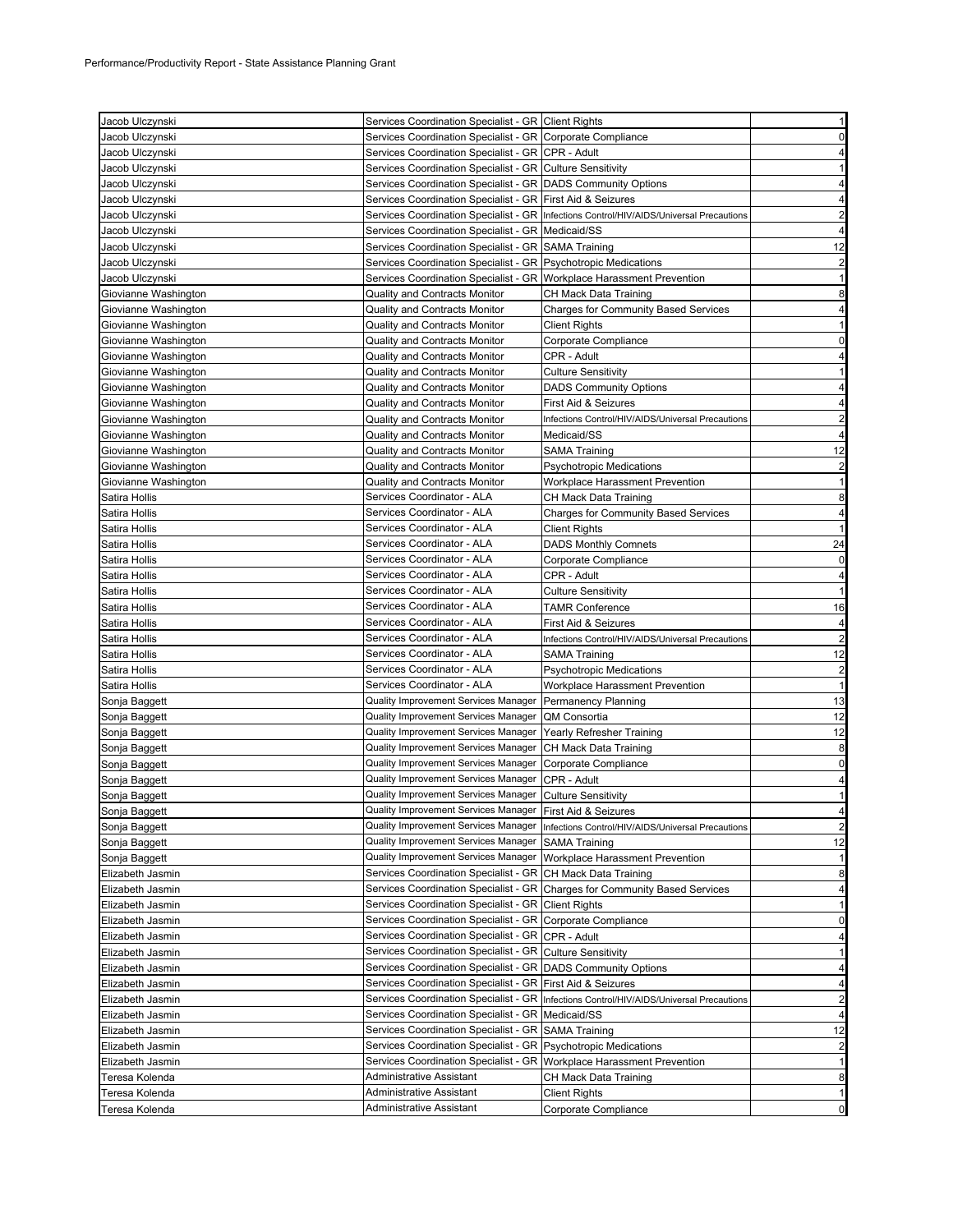| Jacob Ulczynski      | Services Coordination Specialist - GR Client Rights                   |                                                                                          | $\mathbf{1}$            |
|----------------------|-----------------------------------------------------------------------|------------------------------------------------------------------------------------------|-------------------------|
| Jacob Ulczynski      | Services Coordination Specialist - GR Corporate Compliance            |                                                                                          | 0                       |
| Jacob Ulczynski      | Services Coordination Specialist - GR CPR - Adult                     |                                                                                          | 4                       |
| Jacob Ulczynski      | Services Coordination Specialist - GR Culture Sensitivity             |                                                                                          | $\mathbf{1}$            |
| Jacob Ulczynski      | Services Coordination Specialist - GR DADS Community Options          |                                                                                          | $\overline{4}$          |
| Jacob Ulczynski      | Services Coordination Specialist - GR First Aid & Seizures            |                                                                                          | 4                       |
| Jacob Ulczynski      |                                                                       | Services Coordination Specialist - GR  Infections Control/HIV/AIDS/Universal Precautions | $\overline{2}$          |
| Jacob Ulczynski      | Services Coordination Specialist - GR   Medicaid/SS                   |                                                                                          | $\overline{4}$          |
| Jacob Ulczynski      | Services Coordination Specialist - GR SAMA Training                   |                                                                                          | 12                      |
| Jacob Ulczynski      | Services Coordination Specialist - GR Psychotropic Medications        |                                                                                          | $\overline{2}$          |
| Jacob Ulczynski      | Services Coordination Specialist - GR Workplace Harassment Prevention |                                                                                          | $\mathbf{1}$            |
| Giovianne Washington | Quality and Contracts Monitor                                         | CH Mack Data Training                                                                    | 8                       |
| Giovianne Washington | <b>Quality and Contracts Monitor</b>                                  | <b>Charges for Community Based Services</b>                                              | 4                       |
|                      | Quality and Contracts Monitor                                         | Client Rights                                                                            | -1                      |
| Giovianne Washington |                                                                       |                                                                                          | 0                       |
| Giovianne Washington | Quality and Contracts Monitor                                         | Corporate Compliance                                                                     |                         |
| Giovianne Washington | <b>Quality and Contracts Monitor</b>                                  | CPR - Adult                                                                              | 4                       |
| Giovianne Washington | Quality and Contracts Monitor                                         | <b>Culture Sensitivity</b>                                                               | 1                       |
| Giovianne Washington | Quality and Contracts Monitor                                         | <b>DADS Community Options</b>                                                            | 4                       |
| Giovianne Washington | <b>Quality and Contracts Monitor</b>                                  | First Aid & Seizures                                                                     | 4                       |
| Giovianne Washington | <b>Quality and Contracts Monitor</b>                                  | Infections Control/HIV/AIDS/Universal Precautions                                        | $\overline{c}$          |
| Giovianne Washington | Quality and Contracts Monitor                                         | Medicaid/SS                                                                              | $\overline{4}$          |
| Giovianne Washington | Quality and Contracts Monitor                                         | SAMA Training                                                                            | 12                      |
| Giovianne Washington | Quality and Contracts Monitor                                         | <b>Psychotropic Medications</b>                                                          | $\overline{\mathbf{c}}$ |
| Giovianne Washington | Quality and Contracts Monitor                                         | Workplace Harassment Prevention                                                          | $\mathbf{1}$            |
| Satira Hollis        | Services Coordinator - ALA                                            | CH Mack Data Training                                                                    | 8                       |
| Satira Hollis        | Services Coordinator - ALA                                            | <b>Charges for Community Based Services</b>                                              | 4                       |
| Satira Hollis        | Services Coordinator - ALA                                            | <b>Client Rights</b>                                                                     | $\mathbf{1}$            |
| Satira Hollis        | Services Coordinator - ALA                                            | <b>DADS Monthly Comnets</b>                                                              | 24                      |
| Satira Hollis        | Services Coordinator - ALA                                            | Corporate Compliance                                                                     | 0                       |
| Satira Hollis        | Services Coordinator - ALA                                            | CPR - Adult                                                                              | 4                       |
| Satira Hollis        | Services Coordinator - ALA                                            | <b>Culture Sensitivity</b>                                                               | $\mathbf{1}$            |
| Satira Hollis        | Services Coordinator - ALA                                            | <b>TAMR Conference</b>                                                                   | 16                      |
|                      | Services Coordinator - ALA                                            | First Aid & Seizures                                                                     |                         |
| Satira Hollis        | Services Coordinator - ALA                                            |                                                                                          | 4<br>$\overline{2}$     |
| Satira Hollis        | Services Coordinator - ALA                                            | Infections Control/HIV/AIDS/Universal Precautions                                        |                         |
| Satira Hollis        |                                                                       | SAMA Training                                                                            | 12                      |
| Satira Hollis        | Services Coordinator - ALA                                            | Psychotropic Medications                                                                 | $\overline{2}$          |
| Satira Hollis        | Services Coordinator - ALA                                            | Workplace Harassment Prevention                                                          | $\mathbf{1}$            |
| Sonja Baggett        | Quality Improvement Services Manager                                  | Permanency Planning                                                                      | 13                      |
| Sonja Baggett        | Quality Improvement Services Manager                                  | QM Consortia                                                                             | 12                      |
| Sonja Baggett        | Quality Improvement Services Manager                                  | Yearly Refresher Training                                                                | 12                      |
| Sonja Baggett        | Quality Improvement Services Manager                                  | CH Mack Data Training                                                                    | 8                       |
| Sonja Baggett        | Quality Improvement Services Manager                                  | Corporate Compliance                                                                     | $\mathbf 0$             |
| Sonja Baggett        | Quality Improvement Services Manager                                  | CPR - Adult                                                                              | 4                       |
| Sonja Baggett        | Quality Improvement Services Manager                                  | <b>Culture Sensitivity</b>                                                               | 1                       |
| Sonja Baggett        | Quality Improvement Services Manager   First Aid & Seizures           |                                                                                          | 4                       |
| Sonja Baggett        | Quality Improvement Services Manager                                  | Infections Control/HIV/AIDS/Universal Precautions                                        | $\overline{c}$          |
| Sonja Baggett        | Quality Improvement Services Manager                                  | <b>SAMA Training</b>                                                                     | 12                      |
| Sonja Baggett        | Quality Improvement Services Manager                                  | Workplace Harassment Prevention                                                          | 1                       |
| Elizabeth Jasmin     | Services Coordination Specialist - GR CH Mack Data Training           |                                                                                          | 8                       |
| Elizabeth Jasmin     | Services Coordination Specialist - GR                                 | <b>Charges for Community Based Services</b>                                              | 4                       |
| Elizabeth Jasmin     | Services Coordination Specialist - GR Client Rights                   |                                                                                          | $\mathbf{1}$            |
| Elizabeth Jasmin     | Services Coordination Specialist - GR Corporate Compliance            |                                                                                          | 0                       |
| Elizabeth Jasmin     | Services Coordination Specialist - GR                                 | CPR - Adult                                                                              | 4                       |
| Elizabeth Jasmin     | Services Coordination Specialist - GR Culture Sensitivity             |                                                                                          | 1                       |
|                      | Services Coordination Specialist - GR DADS Community Options          |                                                                                          | 4                       |
| Elizabeth Jasmin     | Services Coordination Specialist - GR First Aid & Seizures            |                                                                                          |                         |
| Elizabeth Jasmin     |                                                                       |                                                                                          | 4                       |
| Elizabeth Jasmin     | Services Coordination Specialist - GR                                 | Infections Control/HIV/AIDS/Universal Precautions                                        | 2                       |
| Elizabeth Jasmin     | Services Coordination Specialist - GR   Medicaid/SS                   |                                                                                          | 4                       |
| Elizabeth Jasmin     | Services Coordination Specialist - GR SAMA Training                   |                                                                                          | 12                      |
| Elizabeth Jasmin     | Services Coordination Specialist - GR                                 | <b>Psychotropic Medications</b>                                                          | 2                       |
| Elizabeth Jasmin     | Services Coordination Specialist - GR Workplace Harassment Prevention |                                                                                          | $\mathbf{1}$            |
| Teresa Kolenda       | Administrative Assistant                                              | CH Mack Data Training                                                                    | 8                       |
| Teresa Kolenda       | Administrative Assistant                                              | <b>Client Rights</b>                                                                     | 1                       |
| Teresa Kolenda       | Administrative Assistant                                              | Corporate Compliance                                                                     | 0                       |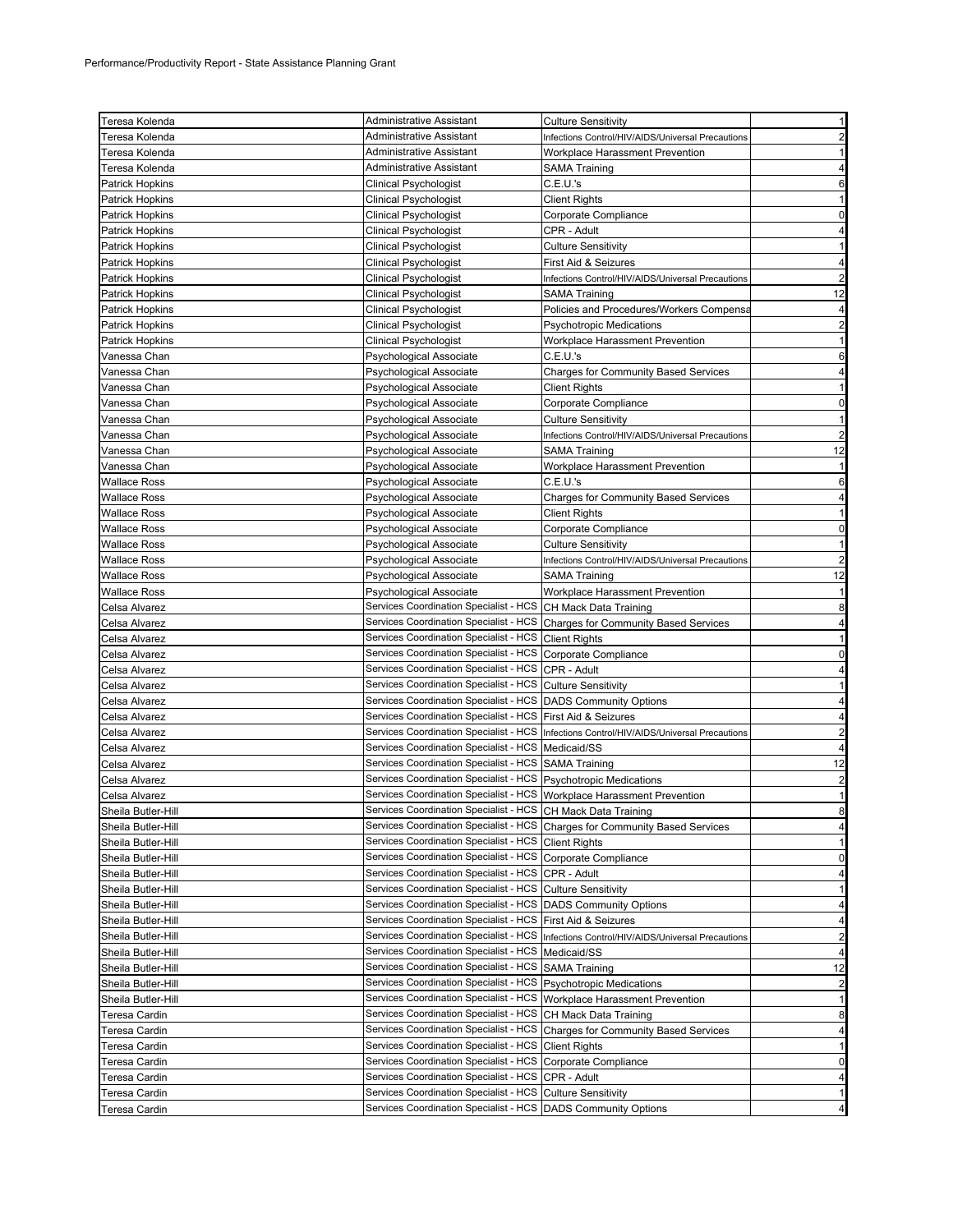| Teresa Kolenda                      | Administrative Assistant                                                                                                    | <b>Culture Sensitivity</b>                                                                 | $\mathbf{1}$                                                         |
|-------------------------------------|-----------------------------------------------------------------------------------------------------------------------------|--------------------------------------------------------------------------------------------|----------------------------------------------------------------------|
| Teresa Kolenda                      | Administrative Assistant                                                                                                    | Infections Control/HIV/AIDS/Universal Precautions                                          | $\overline{a}$                                                       |
| Teresa Kolenda                      | Administrative Assistant                                                                                                    | Workplace Harassment Prevention                                                            | $\mathbf{1}$                                                         |
| Teresa Kolenda                      | Administrative Assistant                                                                                                    | SAMA Training                                                                              | 4                                                                    |
| <b>Patrick Hopkins</b>              | <b>Clinical Psychologist</b>                                                                                                | C.E.U.'s                                                                                   | 6                                                                    |
| Patrick Hopkins                     | <b>Clinical Psychologist</b>                                                                                                | <b>Client Rights</b>                                                                       | $\mathbf{1}$                                                         |
| <b>Patrick Hopkins</b>              | <b>Clinical Psychologist</b>                                                                                                | Corporate Compliance                                                                       | $\mathbf 0$                                                          |
| Patrick Hopkins                     | Clinical Psychologist                                                                                                       | CPR - Adult                                                                                | 4                                                                    |
| Patrick Hopkins                     | <b>Clinical Psychologist</b>                                                                                                | <b>Culture Sensitivity</b>                                                                 | 1                                                                    |
| <b>Patrick Hopkins</b>              | Clinical Psychologist                                                                                                       | <b>First Aid &amp; Seizures</b>                                                            | 4                                                                    |
| <b>Patrick Hopkins</b>              | <b>Clinical Psychologist</b>                                                                                                | Infections Control/HIV/AIDS/Universal Precautions                                          | $\overline{\mathbf{c}}$                                              |
| <b>Patrick Hopkins</b>              | <b>Clinical Psychologist</b>                                                                                                | SAMA Training                                                                              | 12                                                                   |
| <b>Patrick Hopkins</b>              | <b>Clinical Psychologist</b>                                                                                                | Policies and Procedures/Workers Compensa                                                   | 4                                                                    |
| <b>Patrick Hopkins</b>              | Clinical Psychologist                                                                                                       | <b>Psychotropic Medications</b>                                                            | $\overline{\mathbf{c}}$                                              |
| <b>Patrick Hopkins</b>              | <b>Clinical Psychologist</b>                                                                                                | Workplace Harassment Prevention                                                            | $\mathbf{1}$                                                         |
| Vanessa Chan                        | Psychological Associate                                                                                                     | C.E.U.'s                                                                                   | 6                                                                    |
| Vanessa Chan                        | Psychological Associate                                                                                                     | <b>Charges for Community Based Services</b>                                                | $\overline{\mathbf{4}}$                                              |
| Vanessa Chan                        | Psychological Associate                                                                                                     | <b>Client Rights</b>                                                                       | $\mathbf{1}$                                                         |
| Vanessa Chan                        | Psychological Associate                                                                                                     | Corporate Compliance                                                                       | $\mathbf 0$                                                          |
| Vanessa Chan                        | Psychological Associate                                                                                                     | <b>Culture Sensitivity</b>                                                                 | $\mathbf{1}$                                                         |
| Vanessa Chan                        | <b>Psychological Associate</b>                                                                                              | Infections Control/HIV/AIDS/Universal Precautions                                          | $\overline{a}$                                                       |
| Vanessa Chan                        | Psychological Associate                                                                                                     | <b>SAMA Training</b>                                                                       | 12                                                                   |
|                                     |                                                                                                                             |                                                                                            | 1                                                                    |
| Vanessa Chan<br><b>Wallace Ross</b> | Psychological Associate                                                                                                     | Workplace Harassment Prevention<br>C.E.U.'s                                                | 6                                                                    |
|                                     | Psychological Associate                                                                                                     |                                                                                            |                                                                      |
| <b>Wallace Ross</b>                 | Psychological Associate                                                                                                     | <b>Charges for Community Based Services</b>                                                | 4                                                                    |
| <b>Wallace Ross</b>                 | Psychological Associate                                                                                                     | <b>Client Rights</b>                                                                       | $\mathbf{1}$                                                         |
| <b>Wallace Ross</b>                 | Psychological Associate                                                                                                     | Corporate Compliance                                                                       | $\mathbf 0$                                                          |
| <b>Wallace Ross</b>                 | Psychological Associate                                                                                                     | <b>Culture Sensitivity</b>                                                                 | $\mathbf{1}$                                                         |
| Wallace Ross                        | Psychological Associate                                                                                                     | Infections Control/HIV/AIDS/Universal Precautions                                          | $\overline{c}$                                                       |
| Wallace Ross                        | Psychological Associate                                                                                                     | SAMA Training                                                                              | 12                                                                   |
| <b>Wallace Ross</b>                 | Psychological Associate<br>Services Coordination Specialist - HCS CH Mack Data Training                                     | Workplace Harassment Prevention                                                            | $\mathbf{1}$                                                         |
| Celsa Alvarez                       |                                                                                                                             |                                                                                            | 8                                                                    |
|                                     |                                                                                                                             |                                                                                            |                                                                      |
| Celsa Alvarez                       |                                                                                                                             | Services Coordination Specialist - HCS Charges for Community Based Services                | 4                                                                    |
| Celsa Alvarez                       | Services Coordination Specialist - HCS Client Rights                                                                        |                                                                                            | $\mathbf{1}$                                                         |
| Celsa Alvarez                       | Services Coordination Specialist - HCS Corporate Compliance                                                                 |                                                                                            | $\pmb{0}$                                                            |
| Celsa Alvarez                       | Services Coordination Specialist - HCS CPR - Adult                                                                          |                                                                                            | 4                                                                    |
| Celsa Alvarez                       | Services Coordination Specialist - HCS Culture Sensitivity                                                                  |                                                                                            | $\mathbf{1}$                                                         |
| Celsa Alvarez                       | Services Coordination Specialist - HCS   DADS Community Options                                                             |                                                                                            | $\overline{\mathbf{4}}$                                              |
| Celsa Alvarez                       | Services Coordination Specialist - HCS First Aid & Seizures                                                                 |                                                                                            | $\overline{\mathbf{4}}$                                              |
| Celsa Alvarez                       |                                                                                                                             | Services Coordination Specialist - HCS  Infections Control/HIV/AIDS/Universal Precautions  | $\overline{\mathbf{c}}$                                              |
| Celsa Alvarez                       | Services Coordination Specialist - HCS   Medicaid/SS                                                                        |                                                                                            | 4                                                                    |
| Celsa Alvarez                       | Services Coordination Specialist - HCS SAMA Training                                                                        |                                                                                            | 12                                                                   |
| Celsa Alvarez                       | Services Coordination Specialist - HCS Psychotropic Medications                                                             |                                                                                            | $\overline{\mathbf{c}}$                                              |
| Celsa Alvarez                       | Services Coordination Specialist - HCS Workplace Harassment Prevention                                                      |                                                                                            | $\mathbf{1}$                                                         |
| Sheila Butler-Hill                  | Services Coordination Specialist - HCS CH Mack Data Training                                                                |                                                                                            |                                                                      |
| Sheila Butler-Hill                  |                                                                                                                             | Services Coordination Specialist - HCS Charges for Community Based Services                | 4                                                                    |
| Sheila Butler-Hill                  | Services Coordination Specialist - HCS Client Rights                                                                        |                                                                                            | $\mathbf{1}$                                                         |
| Sheila Butler-Hill                  | Services Coordination Specialist - HCS Corporate Compliance                                                                 |                                                                                            |                                                                      |
| Sheila Butler-Hill                  | Services Coordination Specialist - HCS CPR - Adult                                                                          |                                                                                            | 8<br>$\overline{0}$<br>4                                             |
| Sheila Butler-Hill                  | Services Coordination Specialist - HCS Culture Sensitivity                                                                  |                                                                                            | $\mathbf{1}$                                                         |
| Sheila Butler-Hill                  | Services Coordination Specialist - HCS   DADS Community Options                                                             |                                                                                            | 4                                                                    |
| Sheila Butler-Hill                  | Services Coordination Specialist - HCS First Aid & Seizures                                                                 |                                                                                            | 4                                                                    |
| Sheila Butler-Hill                  |                                                                                                                             | Services Coordination Specialist - HCS   Infections Control/HIV/AIDS/Universal Precautions | $\overline{a}$                                                       |
| Sheila Butler-Hill                  | Services Coordination Specialist - HCS   Medicaid/SS                                                                        |                                                                                            | 4                                                                    |
| Sheila Butler-Hill                  | Services Coordination Specialist - HCS SAMA Training                                                                        |                                                                                            |                                                                      |
| Sheila Butler-Hill                  | Services Coordination Specialist - HCS Psychotropic Medications                                                             |                                                                                            |                                                                      |
| Sheila Butler-Hill                  | Services Coordination Specialist - HCS Workplace Harassment Prevention                                                      |                                                                                            | $\mathbf{1}$                                                         |
| Teresa Cardin                       | Services Coordination Specialist - HCS                                                                                      | CH Mack Data Training                                                                      |                                                                      |
| Teresa Cardin                       | Services Coordination Specialist - HCS                                                                                      | <b>Charges for Community Based Services</b>                                                |                                                                      |
| Teresa Cardin                       | Services Coordination Specialist - HCS Client Rights                                                                        |                                                                                            | 12<br>$\overline{a}$<br>8<br>$\overline{\mathbf{r}}$<br>$\mathbf{1}$ |
| Teresa Cardin                       | Services Coordination Specialist - HCS Corporate Compliance                                                                 |                                                                                            | $\mathbf 0$                                                          |
| Teresa Cardin                       | Services Coordination Specialist - HCS CPR - Adult                                                                          |                                                                                            | 4                                                                    |
| <b>Teresa Cardin</b>                | Services Coordination Specialist - HCS Culture Sensitivity<br>Services Coordination Specialist - HCS DADS Community Options |                                                                                            | $\mathbf{1}$<br>$\overline{\mathbf{4}}$                              |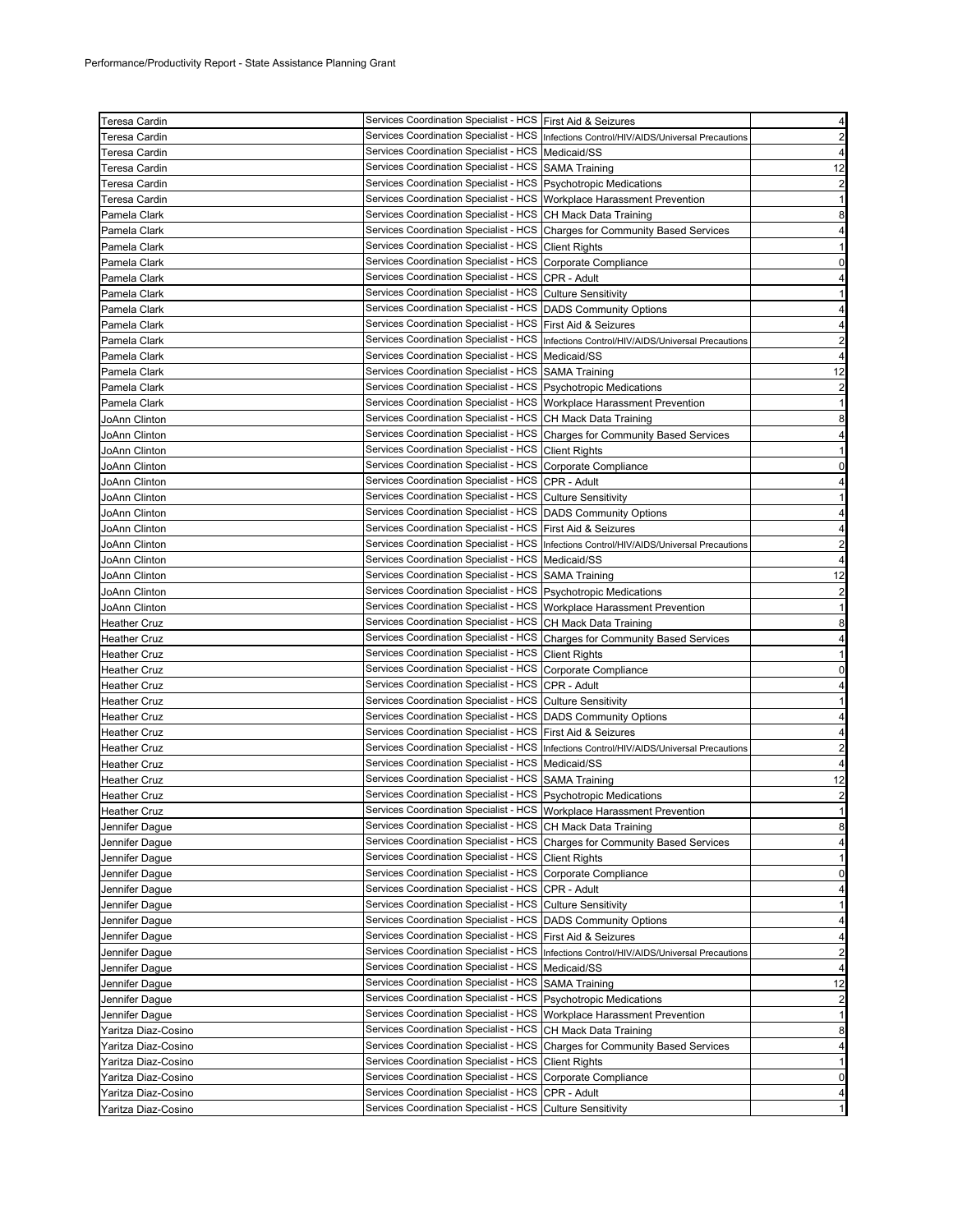| <b>Teresa Cardin</b> | Services Coordination Specialist - HCS First Aid & Seizures              |                                                                                            | 4                       |
|----------------------|--------------------------------------------------------------------------|--------------------------------------------------------------------------------------------|-------------------------|
| Teresa Cardin        |                                                                          | Services Coordination Specialist - HCS   Infections Control/HIV/AIDS/Universal Precautions | $\overline{2}$          |
|                      | Services Coordination Specialist - HCS   Medicaid/SS                     |                                                                                            | 4                       |
| Teresa Cardin        | Services Coordination Specialist - HCS SAMA Training                     |                                                                                            |                         |
| Teresa Cardin        |                                                                          |                                                                                            | 12                      |
| Teresa Cardin        | Services Coordination Specialist - HCS Psychotropic Medications          |                                                                                            | $\overline{2}$          |
| Teresa Cardin        | Services Coordination Specialist - HCS   Workplace Harassment Prevention |                                                                                            | $\mathbf{1}$            |
| Pamela Clark         | Services Coordination Specialist - HCS CH Mack Data Training             |                                                                                            | 8                       |
| Pamela Clark         |                                                                          | Services Coordination Specialist - HCS Charges for Community Based Services                | 4                       |
| Pamela Clark         | Services Coordination Specialist - HCS Client Rights                     |                                                                                            | 1                       |
| Pamela Clark         | Services Coordination Specialist - HCS Corporate Compliance              |                                                                                            | 0                       |
| Pamela Clark         | Services Coordination Specialist - HCS CPR - Adult                       |                                                                                            | 4                       |
| Pamela Clark         | Services Coordination Specialist - HCS Culture Sensitivity               |                                                                                            | $\mathbf{1}$            |
| Pamela Clark         | Services Coordination Specialist - HCS   DADS Community Options          |                                                                                            | 4                       |
| Pamela Clark         | Services Coordination Specialist - HCS   First Aid & Seizures            |                                                                                            | 4                       |
| Pamela Clark         |                                                                          | Services Coordination Specialist - HCS   Infections Control/HIV/AIDS/Universal Precautions | $\overline{2}$          |
| Pamela Clark         | Services Coordination Specialist - HCS   Medicaid/SS                     |                                                                                            | 4                       |
| Pamela Clark         | Services Coordination Specialist - HCS   SAMA Training                   |                                                                                            | 12                      |
| Pamela Clark         | Services Coordination Specialist - HCS   Psychotropic Medications        |                                                                                            | $\overline{2}$          |
| Pamela Clark         | Services Coordination Specialist - HCS Workplace Harassment Prevention   |                                                                                            | 1                       |
|                      | Services Coordination Specialist - HCS CH Mack Data Training             |                                                                                            | 8                       |
| JoAnn Clinton        |                                                                          |                                                                                            |                         |
| JoAnn Clinton        |                                                                          | Services Coordination Specialist - HCS   Charges for Community Based Services              | 4                       |
| JoAnn Clinton        | Services Coordination Specialist - HCS Client Rights                     |                                                                                            | -1                      |
| JoAnn Clinton        | Services Coordination Specialist - HCS Corporate Compliance              |                                                                                            | 0                       |
| JoAnn Clinton        | Services Coordination Specialist - HCS CPR - Adult                       |                                                                                            | 4                       |
| JoAnn Clinton        | Services Coordination Specialist - HCS Culture Sensitivity               |                                                                                            | 1                       |
| JoAnn Clinton        | Services Coordination Specialist - HCS   DADS Community Options          |                                                                                            | 4                       |
| JoAnn Clinton        | Services Coordination Specialist - HCS First Aid & Seizures              |                                                                                            | 4                       |
| JoAnn Clinton        |                                                                          | Services Coordination Specialist - HCS Infections Control/HIV/AIDS/Universal Precautions   | $\overline{\mathbf{c}}$ |
| JoAnn Clinton        | Services Coordination Specialist - HCS   Medicaid/SS                     |                                                                                            | 4                       |
| JoAnn Clinton        | Services Coordination Specialist - HCS SAMA Training                     |                                                                                            | 12                      |
| JoAnn Clinton        | Services Coordination Specialist - HCS   Psychotropic Medications        |                                                                                            | $\overline{\mathbf{c}}$ |
| JoAnn Clinton        | Services Coordination Specialist - HCS   Workplace Harassment Prevention |                                                                                            | 1                       |
| Heather Cruz         | Services Coordination Specialist - HCS CH Mack Data Training             |                                                                                            | 8                       |
| <b>Heather Cruz</b>  |                                                                          | Services Coordination Specialist - HCS Charges for Community Based Services                | 4                       |
| <b>Heather Cruz</b>  | Services Coordination Specialist - HCS Client Rights                     |                                                                                            | 1                       |
| <b>Heather Cruz</b>  | Services Coordination Specialist - HCS Corporate Compliance              |                                                                                            | $\mathbf 0$             |
| <b>Heather Cruz</b>  | Services Coordination Specialist - HCS CPR - Adult                       |                                                                                            | 4                       |
| <b>Heather Cruz</b>  | Services Coordination Specialist - HCS Culture Sensitivity               |                                                                                            | 1                       |
|                      | Services Coordination Specialist - HCS   DADS Community Options          |                                                                                            |                         |
| <b>Heather Cruz</b>  |                                                                          |                                                                                            | 4                       |
| Heather Cruz         | Services Coordination Specialist - HCS   First Aid & Seizures            |                                                                                            | 4                       |
| <b>Heather Cruz</b>  |                                                                          | Services Coordination Specialist - HCS  Infections Control/HIV/AIDS/Universal Precautions  | $\overline{2}$          |
| <b>Heather Cruz</b>  | Services Coordination Specialist - HCS   Medicaid/SS                     |                                                                                            | 4                       |
| <b>Heather Cruz</b>  | Services Coordination Specialist - HCS SAMA Training                     |                                                                                            | 12                      |
| <b>Heather Cruz</b>  | Services Coordination Specialist - HCS   Psychotropic Medications        |                                                                                            | $\overline{2}$          |
| <b>Heather Cruz</b>  | Services Coordination Specialist - HCS  Workplace Harassment Prevention  |                                                                                            | 1                       |
| Jennifer Dague       | Services Coordination Specialist - HCS CH Mack Data Training             |                                                                                            | 8                       |
| Jennifer Dague       |                                                                          | Services Coordination Specialist - HCS Charges for Community Based Services                | 4                       |
| Jennifer Dague       | Services Coordination Specialist - HCS Client Rights                     |                                                                                            | $\mathbf{1}$            |
| Jennifer Dague       | <b>Services Coordination Specialist - HCS</b>                            | Corporate Compliance                                                                       | 0                       |
| Jennifer Dague       | Services Coordination Specialist - HCS                                   | CPR - Adult                                                                                | 4                       |
| Jennifer Dague       | Services Coordination Specialist - HCS                                   | <b>Culture Sensitivity</b>                                                                 | 1                       |
| Jennifer Dague       | Services Coordination Specialist - HCS                                   | <b>DADS Community Options</b>                                                              | 4                       |
| Jennifer Dague       | <b>Services Coordination Specialist - HCS</b>                            | First Aid & Seizures                                                                       | 4                       |
| Jennifer Dague       | Services Coordination Specialist - HCS                                   | Infections Control/HIV/AIDS/Universal Precautions                                          | $\overline{2}$          |
|                      | Services Coordination Specialist - HCS                                   | Medicaid/SS                                                                                | 4                       |
| Jennifer Dague       | <b>Services Coordination Specialist - HCS</b>                            |                                                                                            |                         |
| Jennifer Dague       |                                                                          | <b>SAMA Training</b>                                                                       | 12                      |
| Jennifer Dague       | Services Coordination Specialist - HCS                                   | <b>Psychotropic Medications</b>                                                            | 2                       |
| Jennifer Dague       | Services Coordination Specialist - HCS                                   | Workplace Harassment Prevention                                                            | -1                      |
| Yaritza Diaz-Cosino  | Services Coordination Specialist - HCS                                   | CH Mack Data Training                                                                      | 8                       |
| Yaritza Diaz-Cosino  | Services Coordination Specialist - HCS                                   | <b>Charges for Community Based Services</b>                                                | 4                       |
| Yaritza Diaz-Cosino  | Services Coordination Specialist - HCS                                   | <b>Client Rights</b>                                                                       | 1                       |
| Yaritza Diaz-Cosino  | Services Coordination Specialist - HCS                                   | Corporate Compliance                                                                       | 0                       |
| Yaritza Diaz-Cosino  | Services Coordination Specialist - HCS                                   | CPR - Adult                                                                                | 4                       |
| Yaritza Diaz-Cosino  | Services Coordination Specialist - HCS                                   | <b>Culture Sensitivity</b>                                                                 | 1                       |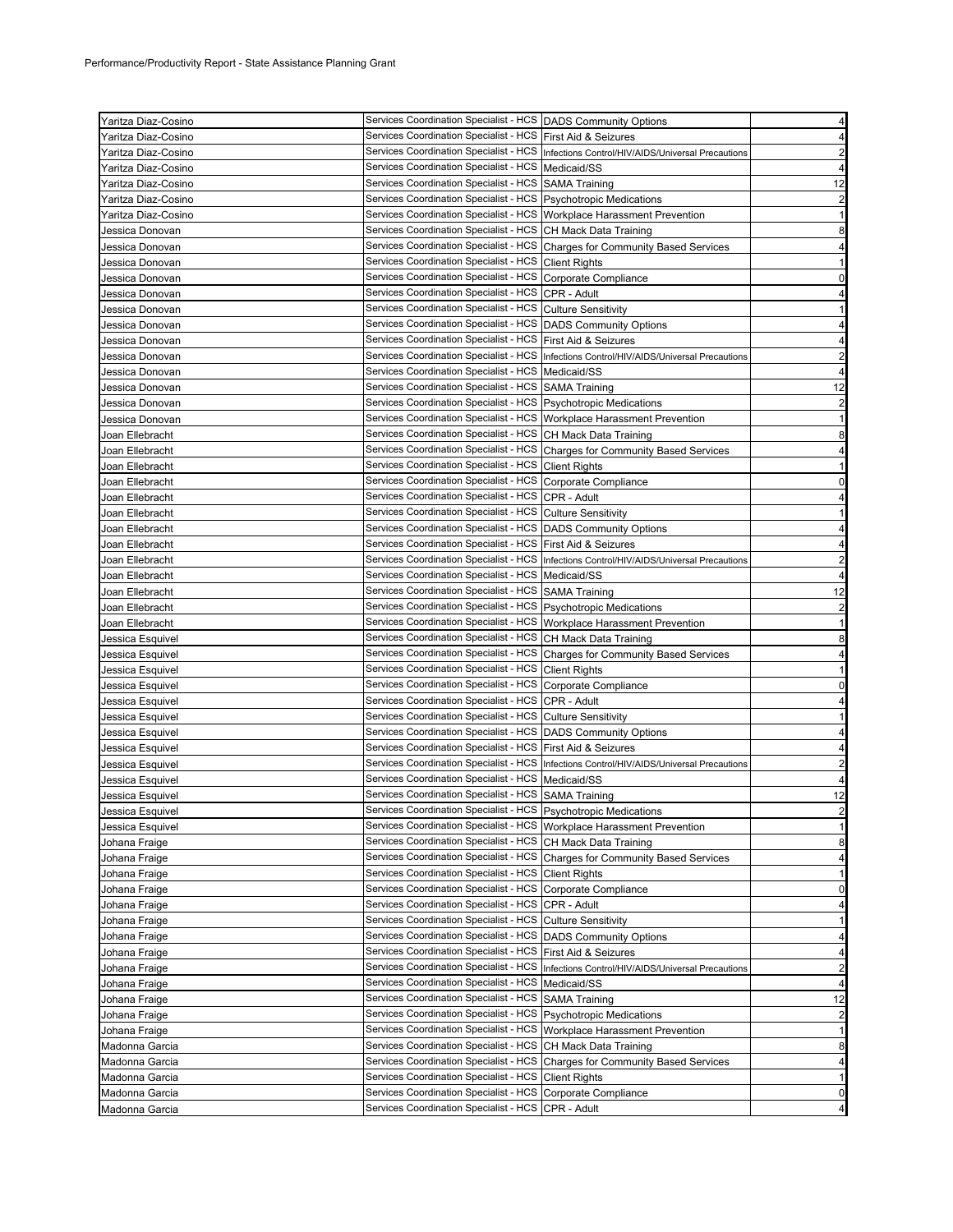| Yaritza Diaz-Cosino | Services Coordination Specialist - HCS   DADS Community Options          |                                                                                            | 4                       |
|---------------------|--------------------------------------------------------------------------|--------------------------------------------------------------------------------------------|-------------------------|
| Yaritza Diaz-Cosino | Services Coordination Specialist - HCS First Aid & Seizures              |                                                                                            | $\overline{4}$          |
| Yaritza Diaz-Cosino |                                                                          | Services Coordination Specialist - HCS   Infections Control/HIV/AIDS/Universal Precautions | $\overline{2}$          |
| Ƴaritza Diaz-Cosino | Services Coordination Specialist - HCS Medicaid/SS                       |                                                                                            | $\overline{4}$          |
| Yaritza Diaz-Cosino | Services Coordination Specialist - HCS SAMA Training                     |                                                                                            | 12                      |
| Yaritza Diaz-Cosino | Services Coordination Specialist - HCS   Psychotropic Medications        |                                                                                            | $\overline{\mathbf{c}}$ |
| Yaritza Diaz-Cosino | Services Coordination Specialist - HCS   Workplace Harassment Prevention |                                                                                            | 1                       |
| Jessica Donovan     | Services Coordination Specialist - HCS CH Mack Data Training             |                                                                                            | 8                       |
| Jessica Donovan     |                                                                          | Services Coordination Specialist - HCS Charges for Community Based Services                | 4                       |
| Jessica Donovan     | Services Coordination Specialist - HCS Client Rights                     |                                                                                            | 1                       |
| Jessica Donovan     | Services Coordination Specialist - HCS Corporate Compliance              |                                                                                            | $\mathbf 0$             |
| Jessica Donovan     | Services Coordination Specialist - HCS CPR - Adult                       |                                                                                            | 4                       |
| Jessica Donovan     | Services Coordination Specialist - HCS Culture Sensitivity               |                                                                                            | 1                       |
| Jessica Donovan     | Services Coordination Specialist - HCS   DADS Community Options          |                                                                                            | 4                       |
|                     | Services Coordination Specialist - HCS   First Aid & Seizures            |                                                                                            | 4                       |
| Jessica Donovan     |                                                                          | Services Coordination Specialist - HCS   Infections Control/HIV/AIDS/Universal Precautions |                         |
| Jessica Donovan     | Services Coordination Specialist - HCS   Medicaid/SS                     |                                                                                            | $\overline{2}$          |
| Jessica Donovan     |                                                                          |                                                                                            | 4                       |
| Jessica Donovan     | Services Coordination Specialist - HCS SAMA Training                     |                                                                                            | 12                      |
| Jessica Donovan     | Services Coordination Specialist - HCS Psychotropic Medications          |                                                                                            | $\overline{2}$          |
| Jessica Donovan     | Services Coordination Specialist - HCS   Workplace Harassment Prevention |                                                                                            | $\mathbf{1}$            |
| Joan Ellebracht     | Services Coordination Specialist - HCS CH Mack Data Training             |                                                                                            | 8                       |
| Joan Ellebracht     |                                                                          | Services Coordination Specialist - HCS Charges for Community Based Services                | 4                       |
| Joan Ellebracht     | Services Coordination Specialist - HCS Client Rights                     |                                                                                            | $\mathbf{1}$            |
| Joan Ellebracht     | Services Coordination Specialist - HCS Corporate Compliance              |                                                                                            | 0                       |
| Joan Ellebracht     | Services Coordination Specialist - HCS CPR - Adult                       |                                                                                            | 4                       |
| Joan Ellebracht     | Services Coordination Specialist - HCS Culture Sensitivity               |                                                                                            | 1                       |
| Joan Ellebracht     | Services Coordination Specialist - HCS  DADS Community Options           |                                                                                            | $\overline{4}$          |
| Joan Ellebracht     | Services Coordination Specialist - HCS   First Aid & Seizures            |                                                                                            | 4                       |
| Joan Ellebracht     |                                                                          | Services Coordination Specialist - HCS Infections Control/HIV/AIDS/Universal Precautions   | 2                       |
| Joan Ellebracht     | Services Coordination Specialist - HCS   Medicaid/SS                     |                                                                                            | $\overline{4}$          |
| Joan Ellebracht     | Services Coordination Specialist - HCS SAMA Training                     |                                                                                            | 12                      |
| Joan Ellebracht     | Services Coordination Specialist - HCS Psychotropic Medications          |                                                                                            | 2                       |
| Joan Ellebracht     | Services Coordination Specialist - HCS Workplace Harassment Prevention   |                                                                                            | $\mathbf{1}$            |
| Jessica Esquivel    | Services Coordination Specialist - HCS CH Mack Data Training             |                                                                                            | 8                       |
| Jessica Esquivel    |                                                                          | Services Coordination Specialist - HCS Charges for Community Based Services                | 4                       |
| Jessica Esquivel    | Services Coordination Specialist - HCS Client Rights                     |                                                                                            | 1                       |
| Jessica Esquivel    | Services Coordination Specialist - HCS Corporate Compliance              |                                                                                            | 0                       |
|                     | Services Coordination Specialist - HCS                                   | CPR - Adult                                                                                |                         |
| Jessica Esquivel    |                                                                          |                                                                                            | 4                       |
| Jessica Esquivel    | Services Coordination Specialist - HCS Culture Sensitivity               |                                                                                            | 1                       |
| Jessica Esquivel    | Services Coordination Specialist - HCS   DADS Community Options          |                                                                                            | 4                       |
| Jessica Esquivel    | Services Coordination Specialist - HCS First Aid & Seizures              |                                                                                            | 4                       |
| Jessica Esquivel    |                                                                          | Services Coordination Specialist - HCS Infections Control/HIV/AIDS/Universal Precautions   | $\overline{2}$          |
| Jessica Esquivel    | Services Coordination Specialist - HCS Medicaid/SS                       |                                                                                            | $\overline{4}$          |
| Jessica Esquivel    | Services Coordination Specialist - HCS SAMA Training                     |                                                                                            | 12                      |
| Jessica Esquivel    | Services Coordination Specialist - HCS  Psychotropic Medications         |                                                                                            | $\overline{\mathbf{c}}$ |
| Jessica Esquivel    | Services Coordination Specialist - HCS   Workplace Harassment Prevention |                                                                                            | 1                       |
| Johana Fraige       | Services Coordination Specialist - HCS CH Mack Data Training             |                                                                                            | 8                       |
| Johana Fraige       |                                                                          | Services Coordination Specialist - HCS Charges for Community Based Services                | 4                       |
| Johana Fraige       | <b>Services Coordination Specialist - HCS</b>                            | <b>Client Rights</b>                                                                       | 1                       |
| Johana Fraige       | <b>Services Coordination Specialist - HCS</b>                            | Corporate Compliance                                                                       | 0                       |
| Johana Fraige       | Services Coordination Specialist - HCS                                   | CPR - Adult                                                                                | 4                       |
| Johana Fraige       | Services Coordination Specialist - HCS                                   | <b>Culture Sensitivity</b>                                                                 | $\mathbf{1}$            |
| Johana Fraige       | Services Coordination Specialist - HCS                                   | <b>DADS Community Options</b>                                                              | 4                       |
| Johana Fraige       | <b>Services Coordination Specialist - HCS</b>                            | First Aid & Seizures                                                                       | 4                       |
| Johana Fraige       | Services Coordination Specialist - HCS                                   | Infections Control/HIV/AIDS/Universal Precautions                                          | $\overline{\mathbf{c}}$ |
| Johana Fraige       | <b>Services Coordination Specialist - HCS</b>                            | Medicaid/SS                                                                                | 4                       |
| Johana Fraige       | <b>Services Coordination Specialist - HCS</b>                            | <b>SAMA Training</b>                                                                       | 12                      |
| Johana Fraige       | Services Coordination Specialist - HCS                                   | <b>Psychotropic Medications</b>                                                            | $\overline{2}$          |
| Johana Fraige       | Services Coordination Specialist - HCS                                   | Workplace Harassment Prevention                                                            | 1                       |
| Madonna Garcia      | Services Coordination Specialist - HCS                                   | CH Mack Data Training                                                                      | 8                       |
|                     | Services Coordination Specialist - HCS                                   |                                                                                            | 4                       |
| Madonna Garcia      | Services Coordination Specialist - HCS                                   | <b>Charges for Community Based Services</b><br><b>Client Rights</b>                        | 1                       |
| Madonna Garcia      | Services Coordination Specialist - HCS                                   |                                                                                            |                         |
| Madonna Garcia      |                                                                          | Corporate Compliance                                                                       | 0                       |
| Madonna Garcia      | Services Coordination Specialist - HCS                                   | CPR - Adult                                                                                | 4                       |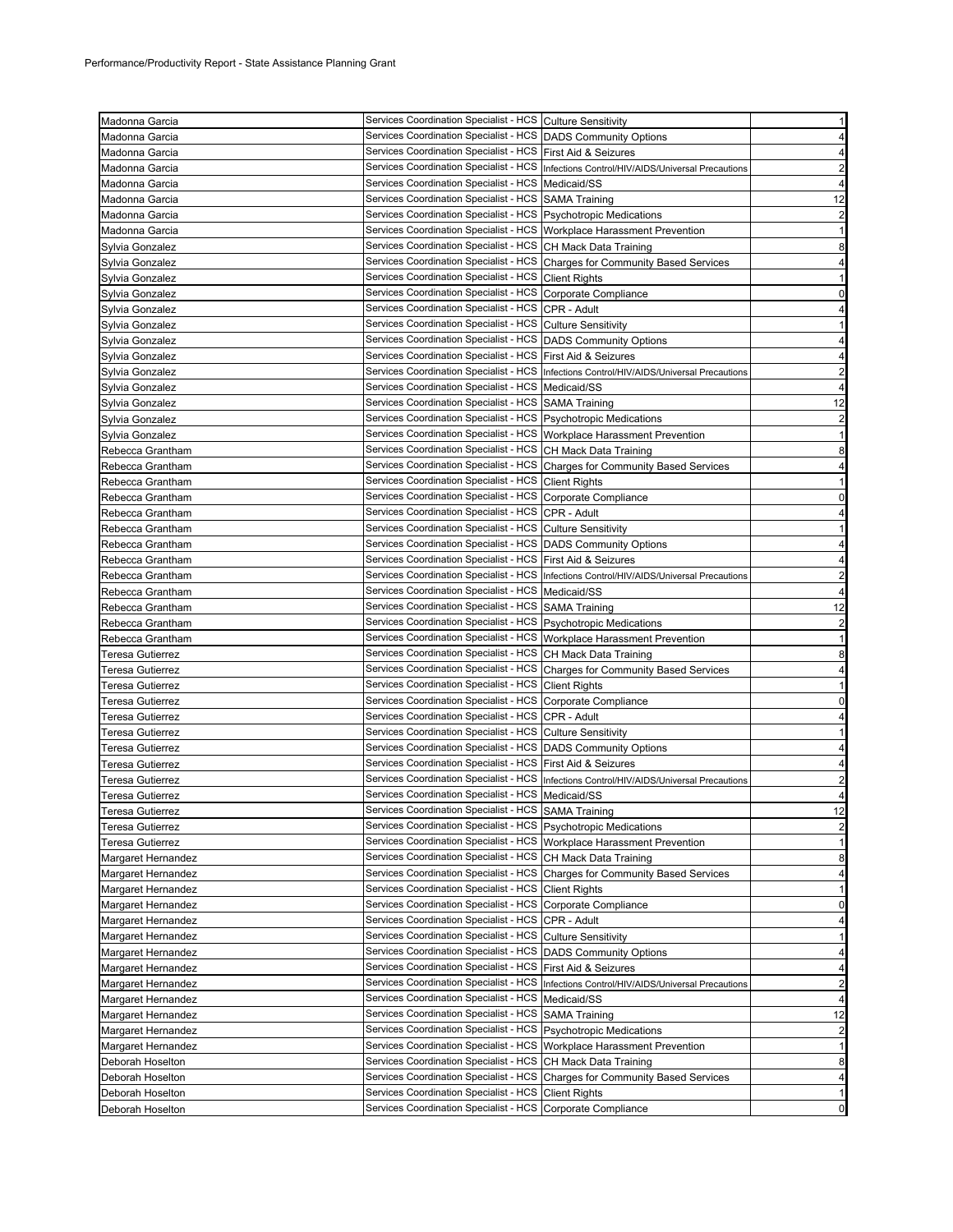| Madonna Garcia          | Services Coordination Specialist - HCS Culture Sensitivity               |                                                                                          | 1                       |
|-------------------------|--------------------------------------------------------------------------|------------------------------------------------------------------------------------------|-------------------------|
| Madonna Garcia          | Services Coordination Specialist - HCS DADS Community Options            |                                                                                          | $\overline{4}$          |
| Madonna Garcia          | Services Coordination Specialist - HCS   First Aid & Seizures            |                                                                                          | 4                       |
| Madonna Garcia          |                                                                          | Services Coordination Specialist - HCS Infections Control/HIV/AIDS/Universal Precautions | $\overline{2}$          |
| Madonna Garcia          | Services Coordination Specialist - HCS   Medicaid/SS                     |                                                                                          | 4                       |
| Madonna Garcia          | Services Coordination Specialist - HCS SAMA Training                     |                                                                                          | 12                      |
| Madonna Garcia          | Services Coordination Specialist - HCS Psychotropic Medications          |                                                                                          | 2                       |
| Madonna Garcia          | Services Coordination Specialist - HCS   Workplace Harassment Prevention |                                                                                          | $\mathbf{1}$            |
| Sylvia Gonzalez         | Services Coordination Specialist - HCS CH Mack Data Training             |                                                                                          | 8                       |
| Sylvia Gonzalez         |                                                                          | Services Coordination Specialist - HCS Charges for Community Based Services              | 4                       |
| Sylvia Gonzalez         | Services Coordination Specialist - HCS Client Rights                     |                                                                                          | 1                       |
| Svlvia Gonzalez         | Services Coordination Specialist - HCS Corporate Compliance              |                                                                                          | 0                       |
| Sylvia Gonzalez         | Services Coordination Specialist - HCS CPR - Adult                       |                                                                                          | 4                       |
| Sylvia Gonzalez         | Services Coordination Specialist - HCS Culture Sensitivity               |                                                                                          | 1                       |
| Sylvia Gonzalez         | Services Coordination Specialist - HCS   DADS Community Options          |                                                                                          | 4                       |
| Sylvia Gonzalez         | Services Coordination Specialist - HCS First Aid & Seizures              |                                                                                          | 4                       |
| Sylvia Gonzalez         |                                                                          | Services Coordination Specialist - HCS Infections Control/HIV/AIDS/Universal Precautions | $\overline{2}$          |
| Sylvia Gonzalez         | Services Coordination Specialist - HCS Medicaid/SS                       |                                                                                          | $\overline{4}$          |
| Sylvia Gonzalez         | Services Coordination Specialist - HCS SAMA Training                     |                                                                                          | 12                      |
| Sylvia Gonzalez         | Services Coordination Specialist - HCS   Psychotropic Medications        |                                                                                          | $\overline{\mathbf{c}}$ |
| Sylvia Gonzalez         | Services Coordination Specialist - HCS   Workplace Harassment Prevention |                                                                                          | $\mathbf{1}$            |
| Rebecca Grantham        | Services Coordination Specialist - HCS CH Mack Data Training             |                                                                                          | 8                       |
| Rebecca Grantham        |                                                                          | Services Coordination Specialist - HCS Charges for Community Based Services              | 4                       |
| Rebecca Grantham        | Services Coordination Specialist - HCS Client Rights                     |                                                                                          | $\mathbf{1}$            |
| Rebecca Grantham        | Services Coordination Specialist - HCS Corporate Compliance              |                                                                                          | 0                       |
| Rebecca Grantham        | Services Coordination Specialist - HCS CPR - Adult                       |                                                                                          | 4                       |
|                         | Services Coordination Specialist - HCS Culture Sensitivity               |                                                                                          | 1                       |
| Rebecca Grantham        | Services Coordination Specialist - HCS   DADS Community Options          |                                                                                          |                         |
| Rebecca Grantham        | Services Coordination Specialist - HCS First Aid & Seizures              |                                                                                          | 4                       |
| Rebecca Grantham        |                                                                          |                                                                                          | 4                       |
| Rebecca Grantham        |                                                                          | Services Coordination Specialist - HCS Infections Control/HIV/AIDS/Universal Precautions | $\overline{2}$          |
| Rebecca Grantham        | Services Coordination Specialist - HCS   Medicaid/SS                     |                                                                                          | 4                       |
| Rebecca Grantham        | Services Coordination Specialist - HCS SAMA Training                     |                                                                                          | 12                      |
| Rebecca Grantham        | Services Coordination Specialist - HCS Psychotropic Medications          |                                                                                          | $\overline{2}$          |
| Rebecca Grantham        | Services Coordination Specialist - HCS Workplace Harassment Prevention   |                                                                                          | 1                       |
| Teresa Gutierrez        | Services Coordination Specialist - HCS CH Mack Data Training             |                                                                                          | 8                       |
| Teresa Gutierrez        |                                                                          | Services Coordination Specialist - HCS Charges for Community Based Services              | 4                       |
| Teresa Gutierrez        | Services Coordination Specialist - HCS Client Rights                     |                                                                                          | $\mathbf{1}$            |
| Teresa Gutierrez        | Services Coordination Specialist - HCS                                   | Corporate Compliance                                                                     | 0                       |
| Teresa Gutierrez        | Services Coordination Specialist - HCS CPR - Adult                       |                                                                                          | 4                       |
| Teresa Gutierrez        | Services Coordination Specialist - HCS Culture Sensitivity               |                                                                                          | 1                       |
| Teresa Gutierrez        | Services Coordination Specialist - HCS   DADS Community Options          |                                                                                          | 4                       |
| Teresa Gutierrez        | Services Coordination Specialist - HCS   First Aid & Seizures            |                                                                                          | 4                       |
| Teresa Gutierrez        |                                                                          | Services Coordination Specialist - HCS Infections Control/HIV/AIDS/Universal Precautions | 2                       |
| Teresa Gutierrez        | Services Coordination Specialist - HCS   Medicaid/SS                     |                                                                                          | 4                       |
| <b>Teresa Gutierrez</b> | Services Coordination Specialist - HCS   SAMA Training                   |                                                                                          | 12                      |
| Teresa Gutierrez        | Services Coordination Specialist - HCS   Psychotropic Medications        |                                                                                          | $\overline{\mathbf{c}}$ |
| Teresa Gutierrez        | Services Coordination Specialist - HCS Workplace Harassment Prevention   |                                                                                          | 1                       |
| Margaret Hernandez      | Services Coordination Specialist - HCS CH Mack Data Training             |                                                                                          | 8                       |
| Margaret Hernandez      | Services Coordination Specialist - HCS                                   | <b>Charges for Community Based Services</b>                                              | 4                       |
| Margaret Hernandez      | <b>Services Coordination Specialist - HCS</b>                            | <b>Client Rights</b>                                                                     | 1                       |
| Margaret Hernandez      | Services Coordination Specialist - HCS                                   | Corporate Compliance                                                                     | 0                       |
| Margaret Hernandez      | Services Coordination Specialist - HCS                                   | CPR - Adult                                                                              | 4                       |
| Margaret Hernandez      | <b>Services Coordination Specialist - HCS</b>                            | <b>Culture Sensitivity</b>                                                               | 1                       |
| Margaret Hernandez      | Services Coordination Specialist - HCS                                   | <b>DADS Community Options</b>                                                            | 4                       |
| Margaret Hernandez      | Services Coordination Specialist - HCS                                   | First Aid & Seizures                                                                     | 4                       |
| Margaret Hernandez      | <b>Services Coordination Specialist - HCS</b>                            | Infections Control/HIV/AIDS/Universal Precautions                                        | $\overline{\mathbf{c}}$ |
| Margaret Hernandez      | Services Coordination Specialist - HCS                                   | Medicaid/SS                                                                              | 4                       |
| Margaret Hernandez      | Services Coordination Specialist - HCS                                   | <b>SAMA Training</b>                                                                     | 12                      |
| Margaret Hernandez      | Services Coordination Specialist - HCS Psychotropic Medications          |                                                                                          | $\overline{2}$          |
| Margaret Hernandez      | <b>Services Coordination Specialist - HCS</b>                            | Workplace Harassment Prevention                                                          | 1                       |
| Deborah Hoselton        | Services Coordination Specialist - HCS CH Mack Data Training             |                                                                                          | 8                       |
| Deborah Hoselton        |                                                                          | Services Coordination Specialist - HCS Charges for Community Based Services              | 4                       |
| Deborah Hoselton        | Services Coordination Specialist - HCS                                   | <b>Client Rights</b>                                                                     | 1                       |
| Deborah Hoselton        | Services Coordination Specialist - HCS Corporate Compliance              |                                                                                          | 0                       |
|                         |                                                                          |                                                                                          |                         |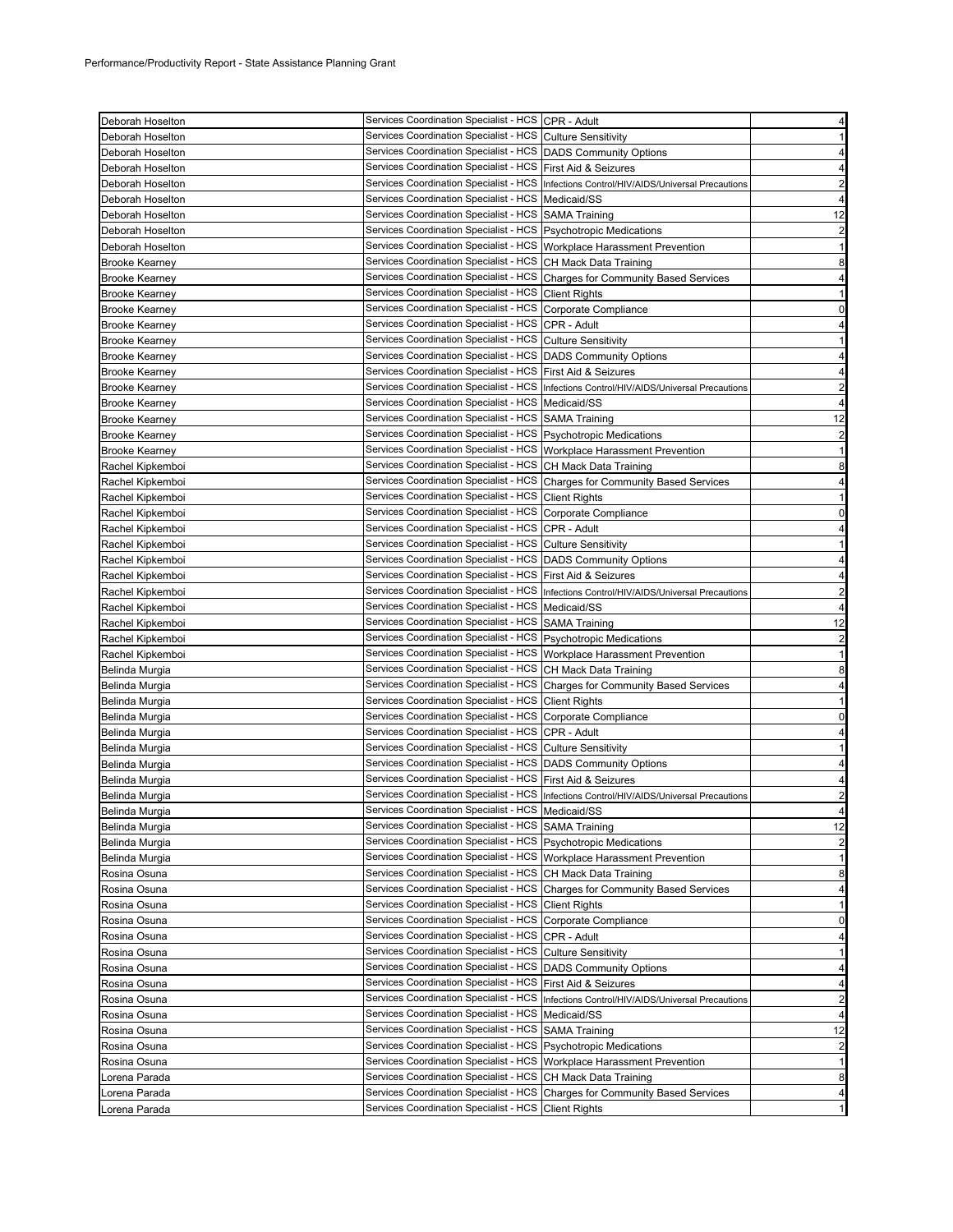| Deborah Hoselton               | Services Coordination Specialist - HCS CPR - Adult                                             |                                                                                           | $\overline{4}$                                                                                                                                                                 |
|--------------------------------|------------------------------------------------------------------------------------------------|-------------------------------------------------------------------------------------------|--------------------------------------------------------------------------------------------------------------------------------------------------------------------------------|
| Deborah Hoselton               | Services Coordination Specialist - HCS Culture Sensitivity                                     |                                                                                           | 1                                                                                                                                                                              |
| Deborah Hoselton               | Services Coordination Specialist - HCS DADS Community Options                                  |                                                                                           | 4                                                                                                                                                                              |
| Deborah Hoselton               | Services Coordination Specialist - HCS   First Aid & Seizures                                  |                                                                                           | 4                                                                                                                                                                              |
| Deborah Hoselton               |                                                                                                | Services Coordination Specialist - HCS Infections Control/HIV/AIDS/Universal Precautions  | $\overline{2}$                                                                                                                                                                 |
| Deborah Hoselton               | Services Coordination Specialist - HCS   Medicaid/SS                                           |                                                                                           | 4                                                                                                                                                                              |
| Deborah Hoselton               | Services Coordination Specialist - HCS SAMA Training                                           |                                                                                           | 12                                                                                                                                                                             |
| Deborah Hoselton               | Services Coordination Specialist - HCS Psychotropic Medications                                |                                                                                           | 2                                                                                                                                                                              |
| Deborah Hoselton               | Services Coordination Specialist - HCS   Workplace Harassment Prevention                       |                                                                                           | $\mathbf{1}$                                                                                                                                                                   |
| <b>Brooke Kearney</b>          | Services Coordination Specialist - HCS CH Mack Data Training                                   |                                                                                           | 8                                                                                                                                                                              |
| <b>Brooke Kearney</b>          |                                                                                                | Services Coordination Specialist - HCS Charges for Community Based Services               | 4                                                                                                                                                                              |
| <b>Brooke Kearney</b>          | Services Coordination Specialist - HCS Client Rights                                           |                                                                                           | 1                                                                                                                                                                              |
| <b>Brooke Kearney</b>          | Services Coordination Specialist - HCS                                                         | Corporate Compliance                                                                      | 0                                                                                                                                                                              |
| <b>Brooke Kearney</b>          | Services Coordination Specialist - HCS CPR - Adult                                             |                                                                                           | 4                                                                                                                                                                              |
| <b>Brooke Kearney</b>          | Services Coordination Specialist - HCS                                                         | <b>Culture Sensitivity</b>                                                                | 1                                                                                                                                                                              |
| <b>Brooke Kearney</b>          | Services Coordination Specialist - HCS DADS Community Options                                  |                                                                                           | 4                                                                                                                                                                              |
| <b>Brooke Kearney</b>          | Services Coordination Specialist - HCS First Aid & Seizures                                    |                                                                                           | 4                                                                                                                                                                              |
| <b>Brooke Kearney</b>          |                                                                                                | Services Coordination Specialist - HCS  Infections Control/HIV/AIDS/Universal Precautions | $\overline{2}$                                                                                                                                                                 |
| <b>Brooke Kearney</b>          | Services Coordination Specialist - HCS   Medicaid/SS                                           |                                                                                           | 4                                                                                                                                                                              |
| <b>Brooke Kearney</b>          | Services Coordination Specialist - HCS SAMA Training                                           |                                                                                           | 12                                                                                                                                                                             |
| <b>Brooke Kearney</b>          | Services Coordination Specialist - HCS   Psychotropic Medications                              |                                                                                           | 2                                                                                                                                                                              |
| <b>Brooke Kearney</b>          | Services Coordination Specialist - HCS   Workplace Harassment Prevention                       |                                                                                           | 1                                                                                                                                                                              |
| Rachel Kipkemboi               | Services Coordination Specialist - HCS CH Mack Data Training                                   |                                                                                           | 8                                                                                                                                                                              |
| Rachel Kipkemboi               |                                                                                                | Services Coordination Specialist - HCS Charges for Community Based Services               | 4                                                                                                                                                                              |
| Rachel Kipkemboi               | Services Coordination Specialist - HCS   Client Rights                                         |                                                                                           | $\mathbf{1}$                                                                                                                                                                   |
| Rachel Kipkemboi               | Services Coordination Specialist - HCS                                                         | Corporate Compliance                                                                      | 0                                                                                                                                                                              |
| Rachel Kipkemboi               | Services Coordination Specialist - HCS CPR - Adult                                             |                                                                                           | 4                                                                                                                                                                              |
| Rachel Kipkemboi               | Services Coordination Specialist - HCS Culture Sensitivity                                     |                                                                                           | 1                                                                                                                                                                              |
| Rachel Kipkemboi               | Services Coordination Specialist - HCS   DADS Community Options                                |                                                                                           | 4                                                                                                                                                                              |
| Rachel Kipkemboi               | Services Coordination Specialist - HCS First Aid & Seizures                                    |                                                                                           | 4                                                                                                                                                                              |
| Rachel Kipkemboi               | Services Coordination Specialist - HCS                                                         | Infections Control/HIV/AIDS/Universal Precautions                                         | $\overline{2}$                                                                                                                                                                 |
| Rachel Kipkemboi               | Services Coordination Specialist - HCS                                                         | Medicaid/SS                                                                               | 4                                                                                                                                                                              |
| Rachel Kipkemboi               | Services Coordination Specialist - HCS SAMA Training                                           |                                                                                           | 12                                                                                                                                                                             |
| Rachel Kipkemboi               | Services Coordination Specialist - HCS   Psychotropic Medications                              |                                                                                           | $\overline{2}$                                                                                                                                                                 |
| Rachel Kipkemboi               | Services Coordination Specialist - HCS Workplace Harassment Prevention                         |                                                                                           | $\mathbf{1}$                                                                                                                                                                   |
| Belinda Murgia                 | Services Coordination Specialist - HCS CH Mack Data Training                                   |                                                                                           | 8                                                                                                                                                                              |
| Belinda Murgia                 |                                                                                                | Services Coordination Specialist - HCS Charges for Community Based Services               | 4                                                                                                                                                                              |
| Belinda Murgia                 | Services Coordination Specialist - HCS                                                         | <b>Client Rights</b>                                                                      | -1                                                                                                                                                                             |
| Belinda Murgia                 | Services Coordination Specialist - HCS   Corporate Compliance                                  |                                                                                           |                                                                                                                                                                                |
| Belinda Murgia                 |                                                                                                |                                                                                           |                                                                                                                                                                                |
|                                |                                                                                                |                                                                                           |                                                                                                                                                                                |
|                                | Services Coordination Specialist - HCS                                                         | CPR - Adult                                                                               |                                                                                                                                                                                |
| Belinda Murgia                 | Services Coordination Specialist - HCS Culture Sensitivity                                     |                                                                                           |                                                                                                                                                                                |
| Belinda Murgia                 | Services Coordination Specialist - HCS   DADS Community Options                                |                                                                                           |                                                                                                                                                                                |
| Belinda Murgia                 | Services Coordination Specialist - HCS First Aid & Seizures                                    |                                                                                           |                                                                                                                                                                                |
| Belinda Murgia                 |                                                                                                | Services Coordination Specialist - HCS Infections Control/HIV/AIDS/Universal Precautions  |                                                                                                                                                                                |
| Belinda Murgia                 | Services Coordination Specialist - HCS   Medicaid/SS                                           |                                                                                           |                                                                                                                                                                                |
| Belinda Murgia                 | Services Coordination Specialist - HCS SAMA Training                                           |                                                                                           |                                                                                                                                                                                |
| Belinda Murgia                 | Services Coordination Specialist - HCS Psychotropic Medications                                |                                                                                           |                                                                                                                                                                                |
| Belinda Murgia                 | Services Coordination Specialist - HCS   Workplace Harassment Prevention                       |                                                                                           |                                                                                                                                                                                |
| Rosina Osuna                   | Services Coordination Specialist - HCS                                                         | CH Mack Data Training                                                                     |                                                                                                                                                                                |
| Rosina Osuna                   | Services Coordination Specialist - HCS                                                         | <b>Charges for Community Based Services</b>                                               |                                                                                                                                                                                |
| Rosina Osuna                   | Services Coordination Specialist - HCS                                                         | <b>Client Rights</b>                                                                      |                                                                                                                                                                                |
| Rosina Osuna                   | Services Coordination Specialist - HCS                                                         | Corporate Compliance                                                                      |                                                                                                                                                                                |
| Rosina Osuna                   | Services Coordination Specialist - HCS                                                         | CPR - Adult                                                                               |                                                                                                                                                                                |
| Rosina Osuna                   | Services Coordination Specialist - HCS                                                         | <b>Culture Sensitivity</b>                                                                |                                                                                                                                                                                |
| Rosina Osuna                   | Services Coordination Specialist - HCS                                                         | <b>DADS Community Options</b>                                                             |                                                                                                                                                                                |
| Rosina Osuna                   | Services Coordination Specialist - HCS                                                         | First Aid & Seizures                                                                      |                                                                                                                                                                                |
| Rosina Osuna                   | Services Coordination Specialist - HCS                                                         | Infections Control/HIV/AIDS/Universal Precautions                                         |                                                                                                                                                                                |
| Rosina Osuna                   | Services Coordination Specialist - HCS                                                         | Medicaid/SS                                                                               |                                                                                                                                                                                |
| Rosina Osuna                   | Services Coordination Specialist - HCS                                                         | <b>SAMA Training</b>                                                                      |                                                                                                                                                                                |
| Rosina Osuna                   | Services Coordination Specialist - HCS                                                         | <b>Psychotropic Medications</b>                                                           |                                                                                                                                                                                |
| Rosina Osuna                   | Services Coordination Specialist - HCS                                                         | Workplace Harassment Prevention                                                           |                                                                                                                                                                                |
| Lorena Parada                  | Services Coordination Specialist - HCS CH Mack Data Training                                   |                                                                                           |                                                                                                                                                                                |
| Lorena Parada<br>Lorena Parada | Services Coordination Specialist - HCS<br>Services Coordination Specialist - HCS Client Rights | <b>Charges for Community Based Services</b>                                               | 0<br>4<br>1<br>4<br>4<br>2<br>4<br>12<br>$\overline{\mathbf{c}}$<br>1<br>8<br>4<br>1<br>0<br>4<br>1<br>4<br>4<br>2<br>4<br>12<br>$\overline{2}$<br>$\mathbf{1}$<br>8<br>4<br>1 |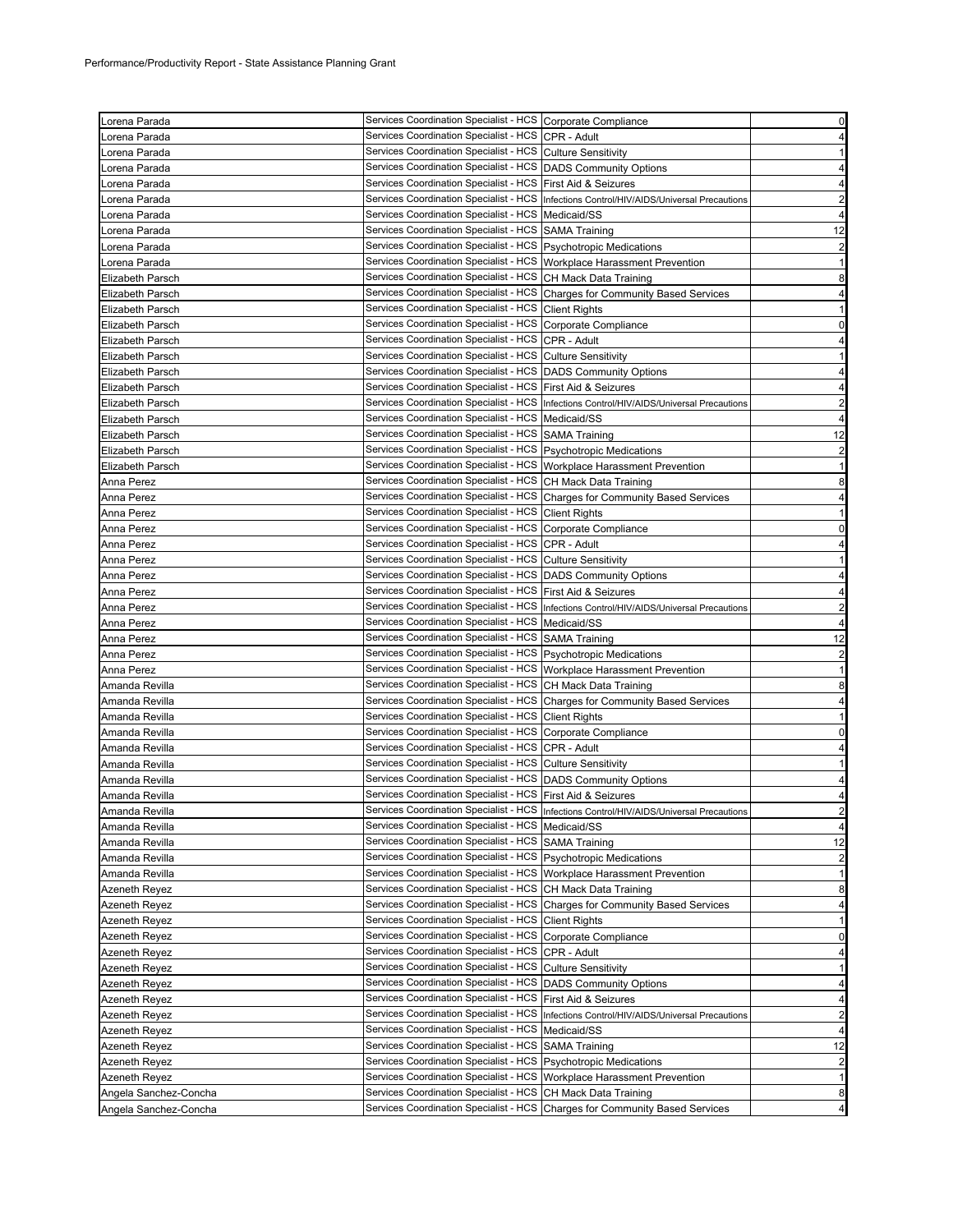| Lorena Parada           | Services Coordination Specialist - HCS Corporate Compliance                                                                            |                                                                                                           | $\mathbf 0$                                       |
|-------------------------|----------------------------------------------------------------------------------------------------------------------------------------|-----------------------------------------------------------------------------------------------------------|---------------------------------------------------|
| Lorena Parada           | Services Coordination Specialist - HCS CPR - Adult                                                                                     |                                                                                                           | 4                                                 |
| Lorena Parada           | Services Coordination Specialist - HCS Culture Sensitivity                                                                             |                                                                                                           | $\mathbf{1}$                                      |
| Lorena Parada           | Services Coordination Specialist - HCS DADS Community Options                                                                          |                                                                                                           | 4                                                 |
| Lorena Parada           | Services Coordination Specialist - HCS First Aid & Seizures                                                                            |                                                                                                           | 4                                                 |
| Lorena Parada           |                                                                                                                                        | Services Coordination Specialist - HCS   Infections Control/HIV/AIDS/Universal Precautions                | $\overline{c}$                                    |
| Lorena Parada           | Services Coordination Specialist - HCS Medicaid/SS                                                                                     |                                                                                                           | 4                                                 |
| Lorena Parada           | Services Coordination Specialist - HCS SAMA Training                                                                                   |                                                                                                           | 12                                                |
| Lorena Parada           | Services Coordination Specialist - HCS   Psychotropic Medications                                                                      |                                                                                                           | $\overline{a}$                                    |
| Lorena Parada           | Services Coordination Specialist - HCS Workplace Harassment Prevention                                                                 |                                                                                                           | $\mathbf{1}$                                      |
| Elizabeth Parsch        | Services Coordination Specialist - HCS CH Mack Data Training                                                                           |                                                                                                           | 8                                                 |
| Elizabeth Parsch        |                                                                                                                                        | Services Coordination Specialist - HCS Charges for Community Based Services                               | $\overline{\mathbf{r}}$                           |
| <b>Elizabeth Parsch</b> | Services Coordination Specialist - HCS Client Rights                                                                                   |                                                                                                           | $\mathbf{1}$                                      |
| Elizabeth Parsch        | Services Coordination Specialist - HCS Corporate Compliance                                                                            |                                                                                                           | $\mathbf 0$                                       |
| Elizabeth Parsch        | Services Coordination Specialist - HCS CPR - Adult                                                                                     |                                                                                                           | 4                                                 |
| <b>Elizabeth Parsch</b> | Services Coordination Specialist - HCS Culture Sensitivity                                                                             |                                                                                                           | 1                                                 |
| Elizabeth Parsch        | Services Coordination Specialist - HCS DADS Community Options                                                                          |                                                                                                           | 4                                                 |
| Elizabeth Parsch        | Services Coordination Specialist - HCS First Aid & Seizures                                                                            |                                                                                                           | 4                                                 |
| Elizabeth Parsch        |                                                                                                                                        | Services Coordination Specialist - HCS   Infections Control/HIV/AIDS/Universal Precautions                | $\overline{\mathbf{c}}$                           |
| <b>Elizabeth Parsch</b> | Services Coordination Specialist - HCS   Medicaid/SS                                                                                   |                                                                                                           | $\overline{4}$                                    |
|                         | Services Coordination Specialist - HCS SAMA Training                                                                                   |                                                                                                           |                                                   |
| Elizabeth Parsch        | Services Coordination Specialist - HCS Psychotropic Medications                                                                        |                                                                                                           | 12                                                |
| <b>Elizabeth Parsch</b> | Services Coordination Specialist - HCS Workplace Harassment Prevention                                                                 |                                                                                                           | $\overline{a}$                                    |
| Elizabeth Parsch        |                                                                                                                                        |                                                                                                           | $\mathbf{1}$                                      |
| Anna Perez              | Services Coordination Specialist - HCS CH Mack Data Training                                                                           |                                                                                                           | 8                                                 |
| Anna Perez              |                                                                                                                                        | Services Coordination Specialist - HCS Charges for Community Based Services                               | 4                                                 |
| Anna Perez              | Services Coordination Specialist - HCS Client Rights                                                                                   |                                                                                                           | 1                                                 |
| Anna Perez              | Services Coordination Specialist - HCS Corporate Compliance                                                                            |                                                                                                           | $\mathbf 0$                                       |
| Anna Perez              | Services Coordination Specialist - HCS CPR - Adult                                                                                     |                                                                                                           | 4                                                 |
| Anna Perez              | Services Coordination Specialist - HCS Culture Sensitivity                                                                             |                                                                                                           | 1                                                 |
| Anna Perez              | Services Coordination Specialist - HCS   DADS Community Options                                                                        |                                                                                                           | 4                                                 |
| Anna Perez              | Services Coordination Specialist - HCS First Aid & Seizures                                                                            |                                                                                                           | 4                                                 |
| Anna Perez              |                                                                                                                                        | Services Coordination Specialist - HCS   Infections Control/HIV/AIDS/Universal Precautions                | $\overline{\mathbf{c}}$                           |
|                         |                                                                                                                                        |                                                                                                           |                                                   |
| Anna Perez              | Services Coordination Specialist - HCS   Medicaid/SS                                                                                   |                                                                                                           | 4                                                 |
| Anna Perez              | Services Coordination Specialist - HCS SAMA Training                                                                                   |                                                                                                           | 12                                                |
| Anna Perez              | Services Coordination Specialist - HCS   Psychotropic Medications                                                                      |                                                                                                           |                                                   |
| Anna Perez              | Services Coordination Specialist - HCS   Workplace Harassment Prevention                                                               |                                                                                                           |                                                   |
| Amanda Revilla          | Services Coordination Specialist - HCS CH Mack Data Training                                                                           |                                                                                                           |                                                   |
| Amanda Revilla          |                                                                                                                                        | Services Coordination Specialist - HCS Charges for Community Based Services                               | $\overline{\mathbf{c}}$<br>$\mathbf{1}$<br>8<br>4 |
| Amanda Revilla          | Services Coordination Specialist - HCS Client Rights                                                                                   |                                                                                                           |                                                   |
| Amanda Revilla          | Services Coordination Specialist - HCS Corporate Compliance                                                                            |                                                                                                           |                                                   |
| Amanda Revilla          | Services Coordination Specialist - HCS CPR - Adult                                                                                     |                                                                                                           |                                                   |
| Amanda Revilla          | Services Coordination Specialist - HCS Culture Sensitivity                                                                             |                                                                                                           | $\mathbf{1}$<br>$\mathbf 0$<br>4<br>$\mathbf{1}$  |
| Amanda Revilla          | Services Coordination Specialist - HCS DADS Community Options                                                                          |                                                                                                           | 4                                                 |
| Amanda Revilla          | Services Coordination Specialist - HCS First Aid & Seizures                                                                            |                                                                                                           | 4                                                 |
| Amanda Revilla          |                                                                                                                                        | Services Coordination Specialist - HCS  Infections Control/HIV/AIDS/Universal Precautions                 | $\mathbf{z}$                                      |
| Amanda Revilla          | Services Coordination Specialist - HCS   Medicaid/SS                                                                                   |                                                                                                           | 4                                                 |
| Amanda Revilla          | Services Coordination Specialist - HCS SAMA Training                                                                                   |                                                                                                           |                                                   |
| Amanda Revilla          | Services Coordination Specialist - HCS   Psychotropic Medications                                                                      |                                                                                                           | 12<br>$\overline{\mathbf{c}}$                     |
| Amanda Revilla          | Services Coordination Specialist - HCS Workplace Harassment Prevention                                                                 |                                                                                                           |                                                   |
| <b>Azeneth Reyez</b>    | Services Coordination Specialist - HCS CH Mack Data Training                                                                           |                                                                                                           |                                                   |
| Azeneth Reyez           |                                                                                                                                        | Services Coordination Specialist - HCS Charges for Community Based Services                               | $\mathbf{1}$<br>8<br>4                            |
| <b>Azeneth Reyez</b>    | Services Coordination Specialist - HCS Client Rights                                                                                   |                                                                                                           | $\mathbf{1}$                                      |
| Azeneth Reyez           | <b>Services Coordination Specialist - HCS</b>                                                                                          | Corporate Compliance                                                                                      |                                                   |
| Azeneth Reyez           | Services Coordination Specialist - HCS CPR - Adult                                                                                     |                                                                                                           |                                                   |
| Azeneth Reyez           | Services Coordination Specialist - HCS Culture Sensitivity                                                                             |                                                                                                           |                                                   |
| Azeneth Reyez           | Services Coordination Specialist - HCS                                                                                                 | <b>DADS Community Options</b>                                                                             | $\overline{0}$<br>4<br>$\mathbf{1}$<br>4          |
| Azeneth Reyez           | Services Coordination Specialist - HCS First Aid & Seizures                                                                            |                                                                                                           |                                                   |
| Azeneth Reyez           |                                                                                                                                        |                                                                                                           |                                                   |
| Azeneth Reyez           | Services Coordination Specialist - HCS                                                                                                 | Services Coordination Specialist - HCS   Infections Control/HIV/AIDS/Universal Precautions<br>Medicaid/SS |                                                   |
| Azeneth Reyez           | Services Coordination Specialist - HCS SAMA Training                                                                                   |                                                                                                           | 4<br>$\overline{a}$<br>4<br>12                    |
| Azeneth Reyez           | Services Coordination Specialist - HCS Psychotropic Medications                                                                        |                                                                                                           | $\overline{a}$                                    |
| <b>Azeneth Reyez</b>    |                                                                                                                                        |                                                                                                           | $\mathbf{1}$                                      |
| Angela Sanchez-Concha   | Services Coordination Specialist - HCS Workplace Harassment Prevention<br>Services Coordination Specialist - HCS CH Mack Data Training |                                                                                                           | 8                                                 |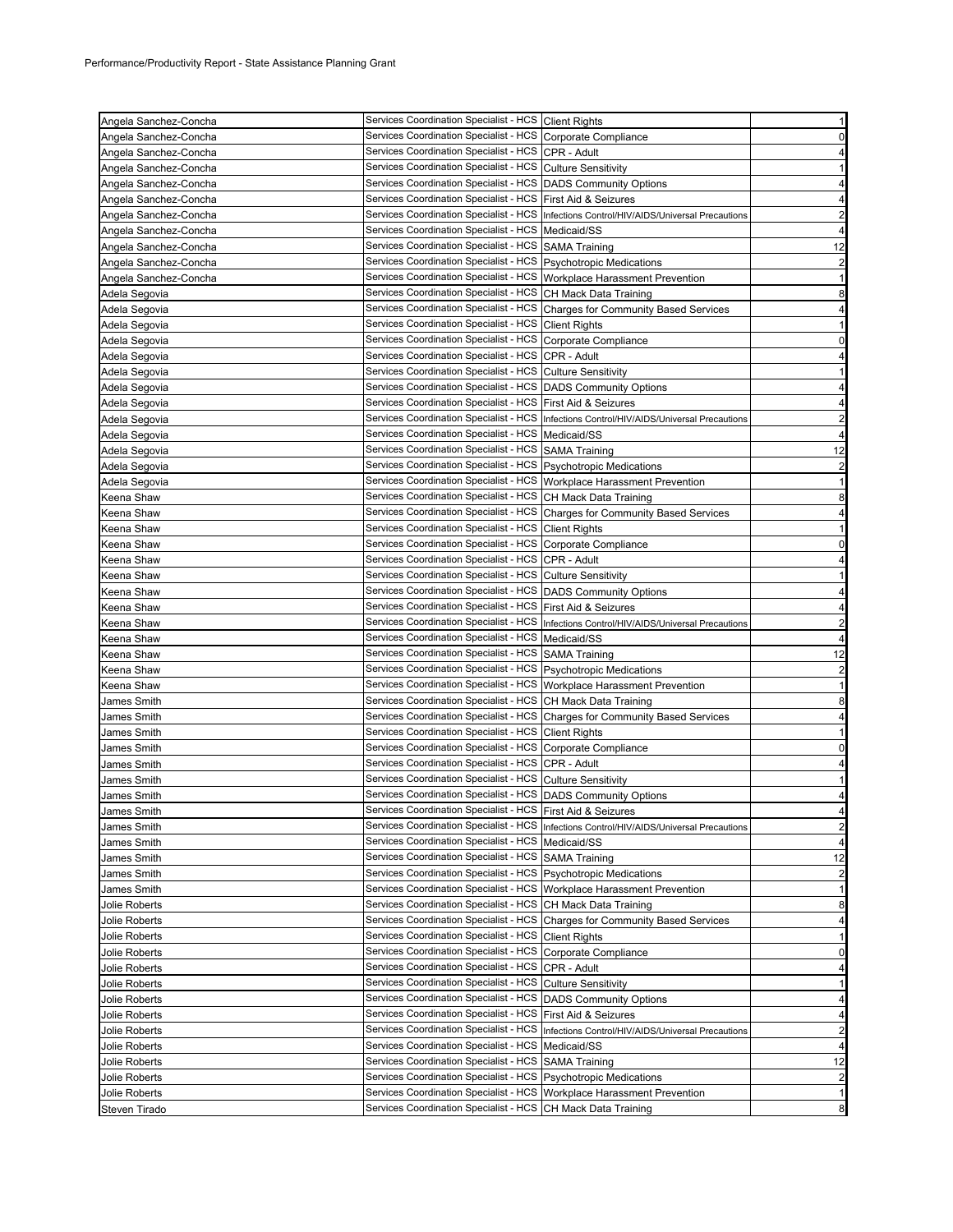| Angela Sanchez-Concha          | Services Coordination Specialist - HCS Client Rights                                                                                   |                                                                                            | $\mathbf{1}$                                                                                                                       |
|--------------------------------|----------------------------------------------------------------------------------------------------------------------------------------|--------------------------------------------------------------------------------------------|------------------------------------------------------------------------------------------------------------------------------------|
| Angela Sanchez-Concha          | Services Coordination Specialist - HCS Corporate Compliance                                                                            |                                                                                            | $\mathbf 0$                                                                                                                        |
| Angela Sanchez-Concha          | Services Coordination Specialist - HCS CPR - Adult                                                                                     |                                                                                            | 4                                                                                                                                  |
| Angela Sanchez-Concha          | Services Coordination Specialist - HCS Culture Sensitivity                                                                             |                                                                                            | $\mathbf{1}$                                                                                                                       |
| Angela Sanchez-Concha          | Services Coordination Specialist - HCS   DADS Community Options                                                                        |                                                                                            | 4                                                                                                                                  |
| Angela Sanchez-Concha          | Services Coordination Specialist - HCS First Aid & Seizures                                                                            |                                                                                            | 4                                                                                                                                  |
| Angela Sanchez-Concha          |                                                                                                                                        | Services Coordination Specialist - HCS   Infections Control/HIV/AIDS/Universal Precautions | $\overline{\mathbf{c}}$                                                                                                            |
| Angela Sanchez-Concha          | Services Coordination Specialist - HCS   Medicaid/SS                                                                                   |                                                                                            | 4                                                                                                                                  |
| Angela Sanchez-Concha          | Services Coordination Specialist - HCS SAMA Training                                                                                   |                                                                                            | 12                                                                                                                                 |
| Angela Sanchez-Concha          | Services Coordination Specialist - HCS   Psychotropic Medications                                                                      |                                                                                            | $\overline{\mathbf{c}}$                                                                                                            |
| Angela Sanchez-Concha          | Services Coordination Specialist - HCS   Workplace Harassment Prevention                                                               |                                                                                            | $\mathbf{1}$                                                                                                                       |
| Adela Segovia                  | Services Coordination Specialist - HCS CH Mack Data Training                                                                           |                                                                                            | 8                                                                                                                                  |
| Adela Segovia                  |                                                                                                                                        | Services Coordination Specialist - HCS Charges for Community Based Services                | 4                                                                                                                                  |
| Adela Segovia                  | Services Coordination Specialist - HCS Client Rights                                                                                   |                                                                                            | $\mathbf{1}$                                                                                                                       |
| Adela Segovia                  | Services Coordination Specialist - HCS Corporate Compliance                                                                            |                                                                                            | $\mathbf 0$                                                                                                                        |
| Adela Segovia                  | Services Coordination Specialist - HCS CPR - Adult                                                                                     |                                                                                            | 4                                                                                                                                  |
| Adela Segovia                  | Services Coordination Specialist - HCS Culture Sensitivity                                                                             |                                                                                            | $\mathbf{1}$                                                                                                                       |
|                                | Services Coordination Specialist - HCS DADS Community Options                                                                          |                                                                                            | 4                                                                                                                                  |
| Adela Segovia                  | Services Coordination Specialist - HCS First Aid & Seizures                                                                            |                                                                                            | 4                                                                                                                                  |
| Adela Segovia                  |                                                                                                                                        |                                                                                            |                                                                                                                                    |
| Adela Segovia                  | Services Coordination Specialist - HCS   Medicaid/SS                                                                                   | Services Coordination Specialist - HCS   Infections Control/HIV/AIDS/Universal Precautions | $\overline{\mathbf{c}}$                                                                                                            |
| Adela Segovia                  |                                                                                                                                        |                                                                                            | 4                                                                                                                                  |
| Adela Segovia                  | Services Coordination Specialist - HCS SAMA Training                                                                                   |                                                                                            | 12                                                                                                                                 |
| Adela Segovia                  | Services Coordination Specialist - HCS   Psychotropic Medications                                                                      |                                                                                            | $\overline{\mathbf{c}}$                                                                                                            |
| Adela Segovia                  | Services Coordination Specialist - HCS Workplace Harassment Prevention                                                                 |                                                                                            | $\mathbf{1}$                                                                                                                       |
| Keena Shaw                     | Services Coordination Specialist - HCS CH Mack Data Training                                                                           |                                                                                            | 8                                                                                                                                  |
| Keena Shaw                     |                                                                                                                                        | Services Coordination Specialist - HCS Charges for Community Based Services                | 4                                                                                                                                  |
| Keena Shaw                     | Services Coordination Specialist - HCS Client Rights                                                                                   |                                                                                            | $\mathbf{1}$                                                                                                                       |
| Keena Shaw                     | Services Coordination Specialist - HCS Corporate Compliance                                                                            |                                                                                            | $\mathbf 0$                                                                                                                        |
| Keena Shaw                     | Services Coordination Specialist - HCS CPR - Adult                                                                                     |                                                                                            | 4                                                                                                                                  |
| Keena Shaw                     | Services Coordination Specialist - HCS Culture Sensitivity                                                                             |                                                                                            | $\mathbf{1}$                                                                                                                       |
| Keena Shaw                     | Services Coordination Specialist - HCS DADS Community Options                                                                          |                                                                                            | 4                                                                                                                                  |
| Keena Shaw                     | Services Coordination Specialist - HCS   First Aid & Seizures                                                                          |                                                                                            | 4                                                                                                                                  |
| Keena Shaw                     |                                                                                                                                        | Services Coordination Specialist - HCS   Infections Control/HIV/AIDS/Universal Precautions | $\overline{c}$                                                                                                                     |
| Keena Shaw                     | Services Coordination Specialist - HCS   Medicaid/SS                                                                                   |                                                                                            | 4                                                                                                                                  |
| Keena Shaw                     | Services Coordination Specialist - HCS SAMA Training                                                                                   |                                                                                            | 12                                                                                                                                 |
| Keena Shaw                     | Services Coordination Specialist - HCS   Psychotropic Medications                                                                      |                                                                                            |                                                                                                                                    |
|                                |                                                                                                                                        |                                                                                            | $\overline{c}$                                                                                                                     |
| Keena Shaw                     | Services Coordination Specialist - HCS   Workplace Harassment Prevention                                                               |                                                                                            | 1                                                                                                                                  |
| James Smith                    | Services Coordination Specialist - HCS CH Mack Data Training                                                                           |                                                                                            | 8                                                                                                                                  |
| James Smith                    |                                                                                                                                        | Services Coordination Specialist - HCS Charges for Community Based Services                | 4                                                                                                                                  |
| James Smith                    | Services Coordination Specialist - HCS Client Rights                                                                                   |                                                                                            | 1                                                                                                                                  |
| James Smith                    | Services Coordination Specialist - HCS Corporate Compliance                                                                            |                                                                                            | $\overline{0}$                                                                                                                     |
| James Smith                    | Services Coordination Specialist - HCS CPR - Adult                                                                                     |                                                                                            | $\overline{\mathbf{4}}$                                                                                                            |
| James Smith                    | Services Coordination Specialist - HCS Culture Sensitivity                                                                             |                                                                                            | 1                                                                                                                                  |
| James Smith                    | Services Coordination Specialist - HCS DADS Community Options                                                                          |                                                                                            | 4                                                                                                                                  |
| James Smith                    | Services Coordination Specialist - HCS First Aid & Seizures                                                                            |                                                                                            |                                                                                                                                    |
| James Smith                    |                                                                                                                                        | Services Coordination Specialist - HCS   Infections Control/HIV/AIDS/Universal Precautions |                                                                                                                                    |
| James Smith                    | Services Coordination Specialist - HCS   Medicaid/SS                                                                                   |                                                                                            | 4                                                                                                                                  |
| James Smith                    | Services Coordination Specialist - HCS SAMA Training                                                                                   |                                                                                            | 12                                                                                                                                 |
| James Smith                    | Services Coordination Specialist - HCS Psychotropic Medications                                                                        |                                                                                            |                                                                                                                                    |
| James Smith                    | Services Coordination Specialist - HCS Workplace Harassment Prevention                                                                 |                                                                                            | $\mathbf{1}$                                                                                                                       |
| Jolie Roberts                  |                                                                                                                                        |                                                                                            | 8                                                                                                                                  |
| Jolie Roberts                  | Services Coordination Specialist - HCS CH Mack Data Training                                                                           |                                                                                            |                                                                                                                                    |
| Jolie Roberts                  | Services Coordination Specialist - HCS Client Rights                                                                                   | Services Coordination Specialist - HCS Charges for Community Based Services                | 1                                                                                                                                  |
|                                |                                                                                                                                        |                                                                                            |                                                                                                                                    |
| Jolie Roberts<br>Jolie Roberts | Services Coordination Specialist - HCS Corporate Compliance<br>Services Coordination Specialist - HCS CPR - Adult                      |                                                                                            |                                                                                                                                    |
|                                |                                                                                                                                        |                                                                                            | 1                                                                                                                                  |
| Jolie Roberts                  | Services Coordination Specialist - HCS Culture Sensitivity                                                                             |                                                                                            |                                                                                                                                    |
| Jolie Roberts                  | Services Coordination Specialist - HCS DADS Community Options                                                                          |                                                                                            | 4                                                                                                                                  |
| Jolie Roberts                  | Services Coordination Specialist - HCS   First Aid & Seizures                                                                          |                                                                                            | 4                                                                                                                                  |
| Jolie Roberts                  | Services Coordination Specialist - HCS                                                                                                 | Infections Control/HIV/AIDS/Universal Precautions                                          | $\overline{\mathbf{c}}$                                                                                                            |
| Jolie Roberts                  | Services Coordination Specialist - HCS   Medicaid/SS                                                                                   |                                                                                            | 4                                                                                                                                  |
| Jolie Roberts                  | Services Coordination Specialist - HCS SAMA Training                                                                                   |                                                                                            | 12                                                                                                                                 |
| Jolie Roberts                  | Services Coordination Specialist - HCS Psychotropic Medications                                                                        |                                                                                            |                                                                                                                                    |
| Jolie Roberts<br>Steven Tirado | Services Coordination Specialist - HCS Workplace Harassment Prevention<br>Services Coordination Specialist - HCS CH Mack Data Training |                                                                                            | $\overline{a}$<br>$\overline{\mathbf{c}}$<br>$\overline{\mathbf{r}}$<br>$\overline{0}$<br>4<br>$\overline{a}$<br>$\mathbf{1}$<br>8 |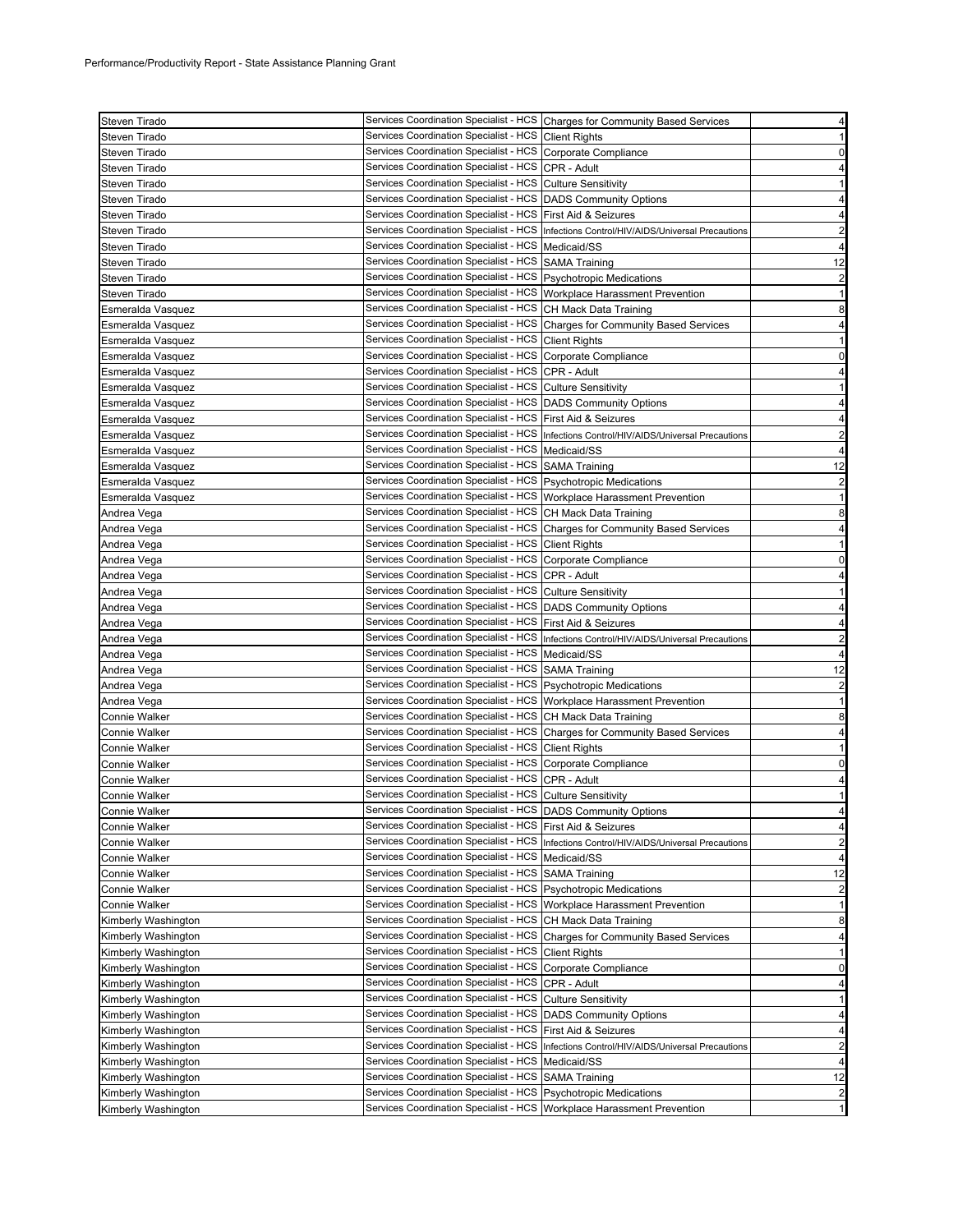| Steven Tirado        |                                                                        | Services Coordination Specialist - HCS Charges for Community Based Services                | 4                       |
|----------------------|------------------------------------------------------------------------|--------------------------------------------------------------------------------------------|-------------------------|
| Steven Tirado        | Services Coordination Specialist - HCS Client Rights                   |                                                                                            | 1                       |
| Steven Tirado        | Services Coordination Specialist - HCS Corporate Compliance            |                                                                                            | 0                       |
| Steven Tirado        | Services Coordination Specialist - HCS CPR - Adult                     |                                                                                            | 4                       |
| Steven Tirado        | Services Coordination Specialist - HCS Culture Sensitivity             |                                                                                            | 1                       |
| Steven Tirado        | Services Coordination Specialist - HCS   DADS Community Options        |                                                                                            | 4                       |
| Steven Tirado        | Services Coordination Specialist - HCS   First Aid & Seizures          |                                                                                            | 4                       |
| Steven Tirado        |                                                                        | Services Coordination Specialist - HCS   Infections Control/HIV/AIDS/Universal Precautions | $\overline{\mathbf{c}}$ |
| Steven Tirado        | Services Coordination Specialist - HCS   Medicaid/SS                   |                                                                                            | $\overline{4}$          |
| Steven Tirado        | Services Coordination Specialist - HCS SAMA Training                   |                                                                                            | 12                      |
| Steven Tirado        | Services Coordination Specialist - HCS Psychotropic Medications        |                                                                                            | $\overline{\mathbf{c}}$ |
| Steven Tirado        | Services Coordination Specialist - HCS Workplace Harassment Prevention |                                                                                            | $\mathbf{1}$            |
| Esmeralda Vasquez    | Services Coordination Specialist - HCS CH Mack Data Training           |                                                                                            | 8                       |
| Esmeralda Vasquez    |                                                                        | Services Coordination Specialist - HCS Charges for Community Based Services                | 4                       |
| Esmeralda Vasquez    | Services Coordination Specialist - HCS Client Rights                   |                                                                                            | $\mathbf{1}$            |
| Esmeralda Vasquez    | Services Coordination Specialist - HCS Corporate Compliance            |                                                                                            | 0                       |
|                      | Services Coordination Specialist - HCS CPR - Adult                     |                                                                                            | 4                       |
| Esmeralda Vasquez    | Services Coordination Specialist - HCS Culture Sensitivity             |                                                                                            | 1                       |
| Esmeralda Vasquez    | Services Coordination Specialist - HCS   DADS Community Options        |                                                                                            |                         |
| Esmeralda Vasquez    |                                                                        |                                                                                            | 4                       |
| Esmeralda Vasquez    | Services Coordination Specialist - HCS   First Aid & Seizures          |                                                                                            | 4                       |
| Esmeralda Vasquez    |                                                                        | Services Coordination Specialist - HCS Infections Control/HIV/AIDS/Universal Precautions   | $\overline{2}$          |
| Esmeralda Vasquez    | Services Coordination Specialist - HCS   Medicaid/SS                   |                                                                                            | $\overline{4}$          |
| Esmeralda Vasquez    | Services Coordination Specialist - HCS SAMA Training                   |                                                                                            | 12                      |
| Esmeralda Vasquez    | Services Coordination Specialist - HCS Psychotropic Medications        |                                                                                            | $\overline{c}$          |
| Esmeralda Vasquez    | Services Coordination Specialist - HCS Workplace Harassment Prevention |                                                                                            | $\mathbf{1}$            |
| Andrea Vega          | Services Coordination Specialist - HCS CH Mack Data Training           |                                                                                            | 8                       |
| Andrea Vega          |                                                                        | Services Coordination Specialist - HCS Charges for Community Based Services                | 4                       |
| Andrea Vega          | Services Coordination Specialist - HCS Client Rights                   |                                                                                            | $\mathbf{1}$            |
| Andrea Vega          | Services Coordination Specialist - HCS Corporate Compliance            |                                                                                            | 0                       |
| Andrea Vega          | Services Coordination Specialist - HCS CPR - Adult                     |                                                                                            | 4                       |
| Andrea Vega          | Services Coordination Specialist - HCS Culture Sensitivity             |                                                                                            | 1                       |
| Andrea Vega          | Services Coordination Specialist - HCS   DADS Community Options        |                                                                                            | 4                       |
| Andrea Vega          | Services Coordination Specialist - HCS   First Aid & Seizures          |                                                                                            | 4                       |
| Andrea Vega          |                                                                        | Services Coordination Specialist - HCS  Infections Control/HIV/AIDS/Universal Precautions  | $\overline{\mathbf{c}}$ |
| Andrea Vega          | Services Coordination Specialist - HCS   Medicaid/SS                   |                                                                                            | 4                       |
| Andrea Vega          | Services Coordination Specialist - HCS SAMA Training                   |                                                                                            | 12                      |
| Andrea Vega          | Services Coordination Specialist - HCS   Psychotropic Medications      |                                                                                            | $\overline{\mathbf{c}}$ |
| Andrea Vega          | Services Coordination Specialist - HCS Workplace Harassment Prevention |                                                                                            | 1                       |
| <b>Connie Walker</b> | Services Coordination Specialist - HCS CH Mack Data Training           |                                                                                            | 8                       |
| <b>Connie Walker</b> |                                                                        | Services Coordination Specialist - HCS Charges for Community Based Services                | 4                       |
| <b>Connie Walker</b> | Services Coordination Specialist - HCS Client Rights                   |                                                                                            | $\mathbf{1}$            |
| Connie Walker        | Services Coordination Specialist - HCS Corporate Compliance            |                                                                                            | 0                       |
| Connie Walker        | Services Coordination Specialist - HCS CPR - Adult                     |                                                                                            | 4                       |
| <b>Connie Walker</b> | Services Coordination Specialist - HCS Culture Sensitivity             |                                                                                            | 1                       |
| Connie Walker        | Services Coordination Specialist - HCS DADS Community Options          |                                                                                            | 4                       |
| Connie Walker        | Services Coordination Specialist - HCS   First Aid & Seizures          |                                                                                            | 4                       |
| Connie Walker        | Services Coordination Specialist - HCS                                 | Infections Control/HIV/AIDS/Universal Precautions                                          | $\overline{\mathbf{c}}$ |
| Connie Walker        | Services Coordination Specialist - HCS   Medicaid/SS                   |                                                                                            | 4                       |
| Connie Walker        | Services Coordination Specialist - HCS                                 | <b>SAMA Training</b>                                                                       | 12                      |
| Connie Walker        | Services Coordination Specialist - HCS                                 | <b>Psychotropic Medications</b>                                                            | $\overline{\mathbf{c}}$ |
| Connie Walker        | Services Coordination Specialist - HCS Workplace Harassment Prevention |                                                                                            | $\mathbf{1}$            |
| Kimberly Washington  | <b>Services Coordination Specialist - HCS</b>                          | CH Mack Data Training                                                                      | 8                       |
| Kimberly Washington  | Services Coordination Specialist - HCS                                 | <b>Charges for Community Based Services</b>                                                | 4                       |
| Kimberly Washington  | Services Coordination Specialist - HCS                                 | <b>Client Rights</b>                                                                       | 1                       |
| Kimberly Washington  | Services Coordination Specialist - HCS                                 | Corporate Compliance                                                                       | 0                       |
| Kimberly Washington  | Services Coordination Specialist - HCS                                 | CPR - Adult                                                                                | 4                       |
| Kimberly Washington  | Services Coordination Specialist - HCS                                 | <b>Culture Sensitivity</b>                                                                 | 1                       |
|                      | Services Coordination Specialist - HCS                                 |                                                                                            |                         |
| Kimberly Washington  | Services Coordination Specialist - HCS                                 | <b>DADS Community Options</b>                                                              | 4                       |
| Kimberly Washington  | Services Coordination Specialist - HCS                                 | First Aid & Seizures                                                                       | 4                       |
| Kimberly Washington  | Services Coordination Specialist - HCS   Medicaid/SS                   | Infections Control/HIV/AIDS/Universal Precautions                                          | $\overline{c}$          |
| Kimberly Washington  |                                                                        |                                                                                            | 4                       |
| Kimberly Washington  | Services Coordination Specialist - HCS                                 | <b>SAMA Training</b>                                                                       | 12                      |
| Kimberly Washington  | Services Coordination Specialist - HCS                                 | <b>Psychotropic Medications</b>                                                            | $\overline{\mathbf{c}}$ |
| Kimberly Washington  | Services Coordination Specialist - HCS                                 | Workplace Harassment Prevention                                                            | 1                       |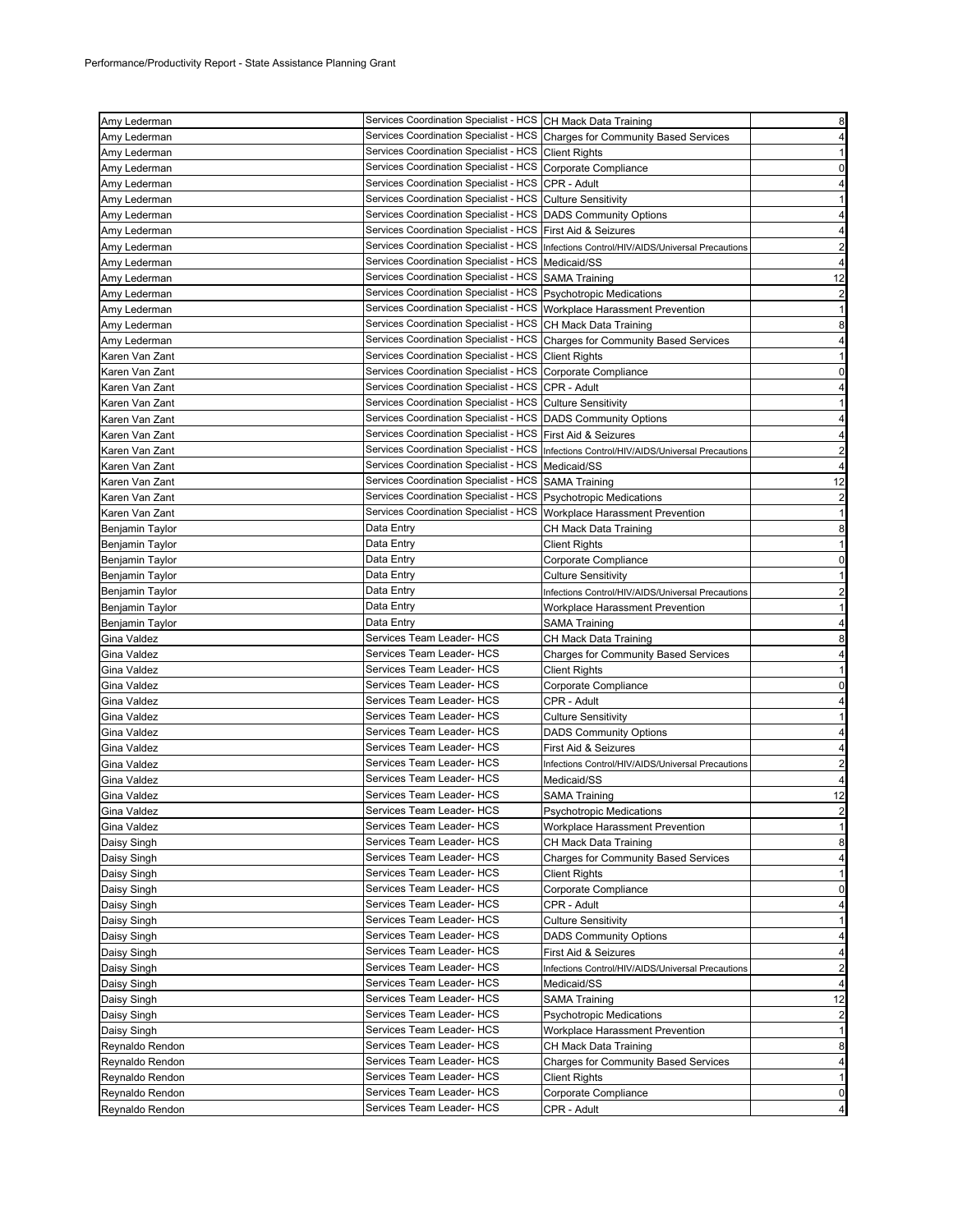|                                    | Services Coordination Specialist - HCS CH Mack Data Training             |                                                                                            |                                                                                                                                                                                                                                                    |
|------------------------------------|--------------------------------------------------------------------------|--------------------------------------------------------------------------------------------|----------------------------------------------------------------------------------------------------------------------------------------------------------------------------------------------------------------------------------------------------|
| Amy Lederman                       |                                                                          |                                                                                            | 8                                                                                                                                                                                                                                                  |
| Amy Lederman                       |                                                                          | Services Coordination Specialist - HCS Charges for Community Based Services                | $\overline{4}$                                                                                                                                                                                                                                     |
| Amy Lederman                       | Services Coordination Specialist - HCS Client Rights                     |                                                                                            | 1                                                                                                                                                                                                                                                  |
| Amy Lederman                       | Services Coordination Specialist - HCS Corporate Compliance              |                                                                                            | $\mathbf 0$                                                                                                                                                                                                                                        |
| Amy Lederman                       | Services Coordination Specialist - HCS CPR - Adult                       |                                                                                            | 4                                                                                                                                                                                                                                                  |
| Amy Lederman                       | Services Coordination Specialist - HCS Culture Sensitivity               |                                                                                            | 1                                                                                                                                                                                                                                                  |
| Amy Lederman                       | Services Coordination Specialist - HCS DADS Community Options            |                                                                                            | 4                                                                                                                                                                                                                                                  |
| Amy Lederman                       | Services Coordination Specialist - HCS First Aid & Seizures              |                                                                                            | 4                                                                                                                                                                                                                                                  |
| Amy Lederman                       | Services Coordination Specialist - HCS                                   | Infections Control/HIV/AIDS/Universal Precautions                                          | $\overline{2}$                                                                                                                                                                                                                                     |
| Amy Lederman                       | Services Coordination Specialist - HCS                                   | Medicaid/SS                                                                                | 4                                                                                                                                                                                                                                                  |
| Amy Lederman                       | Services Coordination Specialist - HCS SAMA Training                     |                                                                                            | 12                                                                                                                                                                                                                                                 |
|                                    | Services Coordination Specialist - HCS   Psychotropic Medications        |                                                                                            |                                                                                                                                                                                                                                                    |
| Amy Lederman                       |                                                                          |                                                                                            | $\overline{\mathbf{c}}$                                                                                                                                                                                                                            |
| Amy Lederman                       | Services Coordination Specialist - HCS Workplace Harassment Prevention   |                                                                                            | 1                                                                                                                                                                                                                                                  |
| Amy Lederman                       | Services Coordination Specialist - HCS CH Mack Data Training             |                                                                                            | 8                                                                                                                                                                                                                                                  |
| Amy Lederman                       |                                                                          | Services Coordination Specialist - HCS Charges for Community Based Services                | 4                                                                                                                                                                                                                                                  |
| Karen Van Zant                     | Services Coordination Specialist - HCS Client Rights                     |                                                                                            | -1                                                                                                                                                                                                                                                 |
| Karen Van Zant                     | Services Coordination Specialist - HCS Corporate Compliance              |                                                                                            | 0                                                                                                                                                                                                                                                  |
| Karen Van Zant                     | Services Coordination Specialist - HCS CPR - Adult                       |                                                                                            | $\overline{4}$                                                                                                                                                                                                                                     |
| Karen Van Zant                     | Services Coordination Specialist - HCS Culture Sensitivity               |                                                                                            | 1                                                                                                                                                                                                                                                  |
| Karen Van Zant                     | Services Coordination Specialist - HCS   DADS Community Options          |                                                                                            | 4                                                                                                                                                                                                                                                  |
| Karen Van Zant                     | Services Coordination Specialist - HCS   First Aid & Seizures            |                                                                                            | 4                                                                                                                                                                                                                                                  |
| Karen Van Zant                     |                                                                          | Services Coordination Specialist - HCS   Infections Control/HIV/AIDS/Universal Precautions | $\overline{2}$                                                                                                                                                                                                                                     |
| Karen Van Zant                     | Services Coordination Specialist - HCS   Medicaid/SS                     |                                                                                            | 4                                                                                                                                                                                                                                                  |
|                                    | Services Coordination Specialist - HCS SAMA Training                     |                                                                                            |                                                                                                                                                                                                                                                    |
| Karen Van Zant                     |                                                                          |                                                                                            | 12                                                                                                                                                                                                                                                 |
| Karen Van Zant                     | Services Coordination Specialist - HCS Psychotropic Medications          |                                                                                            | $\overline{2}$                                                                                                                                                                                                                                     |
| Karen Van Zant                     | Services Coordination Specialist - HCS   Workplace Harassment Prevention |                                                                                            | $\mathbf{1}$                                                                                                                                                                                                                                       |
| Benjamin Taylor                    | Data Entry                                                               | CH Mack Data Training                                                                      | 8                                                                                                                                                                                                                                                  |
| Benjamin Taylor                    | Data Entry                                                               | <b>Client Rights</b>                                                                       | $\mathbf{1}$                                                                                                                                                                                                                                       |
| Benjamin Taylor                    | Data Entry                                                               | Corporate Compliance                                                                       | 0                                                                                                                                                                                                                                                  |
| Benjamin Taylor                    | Data Entry                                                               | <b>Culture Sensitivity</b>                                                                 | $\mathbf{1}$                                                                                                                                                                                                                                       |
| Benjamin Taylor                    | Data Entry                                                               | Infections Control/HIV/AIDS/Universal Precautions                                          | $\overline{\mathbf{c}}$                                                                                                                                                                                                                            |
| Benjamin Taylor                    | Data Entry                                                               | Workplace Harassment Prevention                                                            | 1                                                                                                                                                                                                                                                  |
| Benjamin Taylor                    | Data Entry                                                               | SAMA Training                                                                              | 4                                                                                                                                                                                                                                                  |
| Gina Valdez                        | Services Team Leader- HCS                                                | CH Mack Data Training                                                                      | 8                                                                                                                                                                                                                                                  |
| Gina Valdez                        | Services Team Leader- HCS                                                | Charges for Community Based Services                                                       | 4                                                                                                                                                                                                                                                  |
|                                    | Services Team Leader- HCS                                                |                                                                                            | 1                                                                                                                                                                                                                                                  |
| Gina Valdez                        |                                                                          | Client Rights                                                                              |                                                                                                                                                                                                                                                    |
| Gina Valdez                        | Services Team Leader- HCS                                                | Corporate Compliance                                                                       | 0                                                                                                                                                                                                                                                  |
|                                    |                                                                          | CPR - Adult                                                                                |                                                                                                                                                                                                                                                    |
| Gina Valdez                        | Services Team Leader- HCS                                                |                                                                                            |                                                                                                                                                                                                                                                    |
| Gina Valdez                        | Services Team Leader- HCS                                                | <b>Culture Sensitivity</b>                                                                 |                                                                                                                                                                                                                                                    |
| Gina Valdez                        | Services Team Leader- HCS                                                | <b>DADS Community Options</b>                                                              |                                                                                                                                                                                                                                                    |
| Gina Valdez                        | Services Team Leader- HCS                                                | First Aid & Seizures                                                                       |                                                                                                                                                                                                                                                    |
| Gina Valdez                        | Services Team Leader- HCS                                                | Infections Control/HIV/AIDS/Universal Precautions                                          |                                                                                                                                                                                                                                                    |
| Gina Valdez                        | Services Team Leader- HCS                                                | Medicaid/SS                                                                                |                                                                                                                                                                                                                                                    |
| Gina Valdez                        | Services Team Leader- HCS                                                | SAMA Training                                                                              |                                                                                                                                                                                                                                                    |
| Gina Valdez                        | Services Team Leader- HCS                                                |                                                                                            |                                                                                                                                                                                                                                                    |
|                                    | Services Team Leader- HCS                                                | <b>Psychotropic Medications</b>                                                            |                                                                                                                                                                                                                                                    |
| Gina Valdez                        |                                                                          | Workplace Harassment Prevention                                                            |                                                                                                                                                                                                                                                    |
| Daisy Singh                        | Services Team Leader- HCS                                                | CH Mack Data Training                                                                      |                                                                                                                                                                                                                                                    |
| Daisy Singh                        | Services Team Leader- HCS                                                | <b>Charges for Community Based Services</b>                                                |                                                                                                                                                                                                                                                    |
| Daisy Singh                        | Services Team Leader- HCS                                                | <b>Client Rights</b>                                                                       |                                                                                                                                                                                                                                                    |
| Daisy Singh                        | Services Team Leader- HCS                                                | Corporate Compliance                                                                       |                                                                                                                                                                                                                                                    |
| Daisy Singh                        | Services Team Leader- HCS                                                | CPR - Adult                                                                                |                                                                                                                                                                                                                                                    |
| Daisy Singh                        | Services Team Leader- HCS                                                | Culture Sensitivity                                                                        |                                                                                                                                                                                                                                                    |
| Daisy Singh                        | Services Team Leader- HCS                                                | <b>DADS Community Options</b>                                                              |                                                                                                                                                                                                                                                    |
| Daisy Singh                        | Services Team Leader- HCS                                                | First Aid & Seizures                                                                       |                                                                                                                                                                                                                                                    |
| Daisy Singh                        | Services Team Leader- HCS                                                | Infections Control/HIV/AIDS/Universal Precautions                                          |                                                                                                                                                                                                                                                    |
| Daisy Singh                        | Services Team Leader- HCS                                                | Medicaid/SS                                                                                |                                                                                                                                                                                                                                                    |
| Daisy Singh                        | Services Team Leader- HCS                                                | SAMA Training                                                                              |                                                                                                                                                                                                                                                    |
| Daisy Singh                        | Services Team Leader- HCS                                                | <b>Psychotropic Medications</b>                                                            |                                                                                                                                                                                                                                                    |
| Daisy Singh                        | Services Team Leader- HCS                                                | Workplace Harassment Prevention                                                            |                                                                                                                                                                                                                                                    |
|                                    |                                                                          |                                                                                            |                                                                                                                                                                                                                                                    |
| Reynaldo Rendon                    | Services Team Leader- HCS                                                | CH Mack Data Training                                                                      |                                                                                                                                                                                                                                                    |
| Reynaldo Rendon                    | Services Team Leader- HCS                                                | <b>Charges for Community Based Services</b>                                                |                                                                                                                                                                                                                                                    |
| Reynaldo Rendon                    | Services Team Leader- HCS                                                | <b>Client Rights</b>                                                                       |                                                                                                                                                                                                                                                    |
| Reynaldo Rendon<br>Reynaldo Rendon | Services Team Leader- HCS<br>Services Team Leader- HCS                   | Corporate Compliance<br>CPR - Adult                                                        | 4<br>1<br>4<br>4<br>$\overline{c}$<br>$\overline{4}$<br>12<br>$\overline{2}$<br>$\mathbf{1}$<br>8<br>4<br>$\mathbf{1}$<br>0<br>4<br>$\mathbf{1}$<br>4<br>4<br>$\overline{2}$<br>4<br>12<br>$\overline{2}$<br>1<br>8<br>4<br>$\mathbf{1}$<br>0<br>4 |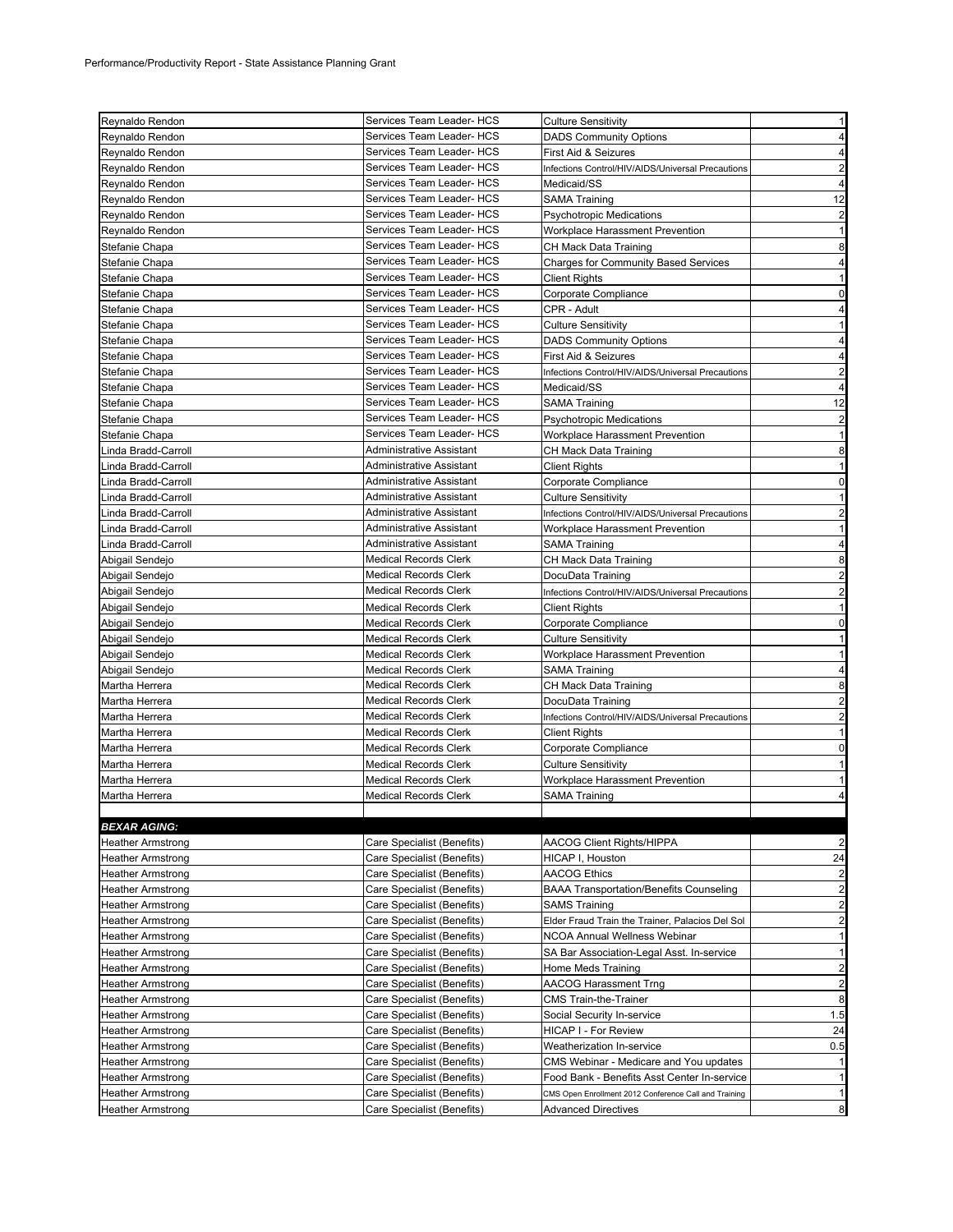| Reynaldo Rendon                  | Services Team Leader- HCS                                    | <b>Culture Sensitivity</b>                                    | 1                       |
|----------------------------------|--------------------------------------------------------------|---------------------------------------------------------------|-------------------------|
| Reynaldo Rendon                  | Services Team Leader- HCS                                    | <b>DADS Community Options</b>                                 | 4                       |
| Reynaldo Rendon                  | Services Team Leader- HCS                                    | First Aid & Seizures                                          | 4                       |
| Reynaldo Rendon                  | Services Team Leader- HCS                                    | Infections Control/HIV/AIDS/Universal Precautions             | $\overline{c}$          |
| Reynaldo Rendon                  | Services Team Leader- HCS                                    | Medicaid/SS                                                   | $\overline{4}$          |
| Reynaldo Rendon                  | Services Team Leader- HCS                                    | <b>SAMA Training</b>                                          | 12                      |
| Reynaldo Rendon                  | Services Team Leader- HCS                                    | <b>Psychotropic Medications</b>                               | $\overline{c}$          |
| Reynaldo Rendon                  | Services Team Leader- HCS                                    | Workplace Harassment Prevention                               | $\mathbf{1}$            |
| Stefanie Chapa                   | Services Team Leader- HCS                                    | CH Mack Data Training                                         | 8                       |
| Stefanie Chapa                   | Services Team Leader- HCS                                    | <b>Charges for Community Based Services</b>                   | 4                       |
| Stefanie Chapa                   | Services Team Leader- HCS                                    | Client Rights                                                 | 1                       |
| Stefanie Chapa                   | Services Team Leader- HCS                                    | Corporate Compliance                                          | 0                       |
| Stefanie Chapa                   | Services Team Leader- HCS                                    | CPR - Adult                                                   | 4                       |
| Stefanie Chapa                   | Services Team Leader- HCS                                    | <b>Culture Sensitivity</b>                                    | 1                       |
| Stefanie Chapa                   | Services Team Leader- HCS                                    | <b>DADS Community Options</b>                                 | 4                       |
| Stefanie Chapa                   | Services Team Leader- HCS                                    | First Aid & Seizures                                          | 4                       |
| Stefanie Chapa                   | Services Team Leader- HCS                                    | Infections Control/HIV/AIDS/Universal Precautions             | $\overline{2}$          |
| Stefanie Chapa                   | Services Team Leader- HCS                                    | Medicaid/SS                                                   | 4                       |
| Stefanie Chapa                   | Services Team Leader- HCS                                    | <b>SAMA Training</b>                                          | 12                      |
| Stefanie Chapa                   | Services Team Leader- HCS                                    | <b>Psychotropic Medications</b>                               | $\overline{c}$          |
| Stefanie Chapa                   | Services Team Leader- HCS                                    | Workplace Harassment Prevention                               | 1                       |
| inda Bradd-Carroll               | Administrative Assistant                                     | CH Mack Data Training                                         | 8                       |
| Linda Bradd-Carroll              | Administrative Assistant                                     | Client Rights                                                 | 1                       |
| inda Bradd-Carroll               | Administrative Assistant                                     | Corporate Compliance                                          | 0                       |
| inda Bradd-Carroll               | Administrative Assistant                                     | <b>Culture Sensitivity</b>                                    | 1                       |
| inda Bradd-Carroll               | Administrative Assistant                                     | Infections Control/HIV/AIDS/Universal Precautions             | $\overline{c}$          |
| Linda Bradd-Carroll              | Administrative Assistant                                     | Workplace Harassment Prevention                               | $\mathbf{1}$            |
| inda Bradd-Carroll               | Administrative Assistant                                     | <b>SAMA Training</b>                                          | 4                       |
| Abigail Sendejo                  | <b>Medical Records Clerk</b>                                 | CH Mack Data Training                                         | 8                       |
| Abigail Sendejo                  | <b>Medical Records Clerk</b>                                 | DocuData Training                                             | $\overline{\mathbf{c}}$ |
| Abigail Sendejo                  | <b>Medical Records Clerk</b>                                 | Infections Control/HIV/AIDS/Universal Precautions             | $\overline{\mathbf{c}}$ |
| Abigail Sendejo                  | <b>Medical Records Clerk</b>                                 | <b>Client Rights</b>                                          | 1                       |
| Abigail Sendejo                  | <b>Medical Records Clerk</b>                                 | Corporate Compliance                                          | 0                       |
| Abigail Sendejo                  | <b>Medical Records Clerk</b>                                 | <b>Culture Sensitivity</b>                                    | $\mathbf{1}$            |
| Abigail Sendejo                  | <b>Medical Records Clerk</b>                                 | Workplace Harassment Prevention                               | 1                       |
| Abigail Sendejo                  | <b>Medical Records Clerk</b>                                 | SAMA Training                                                 | 4                       |
| Martha Herrera                   | <b>Medical Records Clerk</b><br><b>Medical Records Clerk</b> | CH Mack Data Training                                         | 8                       |
| Martha Herrera                   | <b>Medical Records Clerk</b>                                 | DocuData Training                                             | $\overline{\mathbf{c}}$ |
| Martha Herrera                   |                                                              | Infections Control/HIV/AIDS/Universal Precautions             | $\overline{c}$          |
| Martha Herrera                   | <b>Medical Records Clerk</b><br><b>Medical Records Clerk</b> | Client Rights                                                 | 1                       |
| Martha Herrera                   |                                                              | Corporate Compliance                                          | 0                       |
| Martha Herrera<br>Martha Herrera | <b>Medical Records Clerk</b><br><b>Medical Records Clerk</b> | <b>Culture Sensitivity</b><br>Workplace Harassment Prevention | 1<br>1                  |
| Martha Herrera                   | <b>Medical Records Clerk</b>                                 |                                                               | $\overline{4}$          |
|                                  |                                                              | SAMA Training                                                 |                         |
| <b>BEXAR AGING:</b>              |                                                              |                                                               |                         |
| <b>Heather Armstrong</b>         | Care Specialist (Benefits)                                   | <b>AACOG Client Rights/HIPPA</b>                              | $\overline{2}$          |
| Heather Armstrong                | Care Specialist (Benefits)                                   | HICAP I, Houston                                              | 24                      |
| <b>Heather Armstrong</b>         | Care Specialist (Benefits)                                   | <b>AACOG Ethics</b>                                           | $\overline{c}$          |
| <b>Heather Armstrong</b>         | Care Specialist (Benefits)                                   | <b>BAAA Transportation/Benefits Counseling</b>                | $\overline{\mathbf{c}}$ |
| Heather Armstrong                | Care Specialist (Benefits)                                   | <b>SAMS Training</b>                                          | $\overline{c}$          |
| <b>Heather Armstrong</b>         | Care Specialist (Benefits)                                   | Elder Fraud Train the Trainer, Palacios Del Sol               | $\overline{c}$          |
| <b>Heather Armstrong</b>         | Care Specialist (Benefits)                                   | NCOA Annual Wellness Webinar                                  | 1                       |
| <b>Heather Armstrong</b>         | Care Specialist (Benefits)                                   | SA Bar Association-Legal Asst. In-service                     | 1                       |
| Heather Armstrong                | Care Specialist (Benefits)                                   | Home Meds Training                                            | $\overline{\mathbf{c}}$ |
| <b>Heather Armstrong</b>         | Care Specialist (Benefits)                                   | <b>AACOG Harassment Trng</b>                                  | $\overline{\mathbf{c}}$ |
| <b>Heather Armstrong</b>         | Care Specialist (Benefits)                                   | CMS Train-the-Trainer                                         | 8                       |
| Heather Armstrong                | Care Specialist (Benefits)                                   | Social Security In-service                                    | 1.5                     |
| Heather Armstrong                | Care Specialist (Benefits)                                   | HICAP I - For Review                                          | 24                      |
| <b>Heather Armstrong</b>         | Care Specialist (Benefits)                                   | Weatherization In-service                                     | 0.5                     |
| Heather Armstrong                | Care Specialist (Benefits)                                   | CMS Webinar - Medicare and You updates                        | -1                      |
| <b>Heather Armstrong</b>         | Care Specialist (Benefits)                                   | Food Bank - Benefits Asst Center In-service                   | $\mathbf{1}$            |
| <b>Heather Armstrong</b>         | Care Specialist (Benefits)                                   | CMS Open Enrollment 2012 Conference Call and Training         | $\mathbf{1}$            |
| Heather Armstrong                | Care Specialist (Benefits)                                   | <b>Advanced Directives</b>                                    | 8                       |
|                                  |                                                              |                                                               |                         |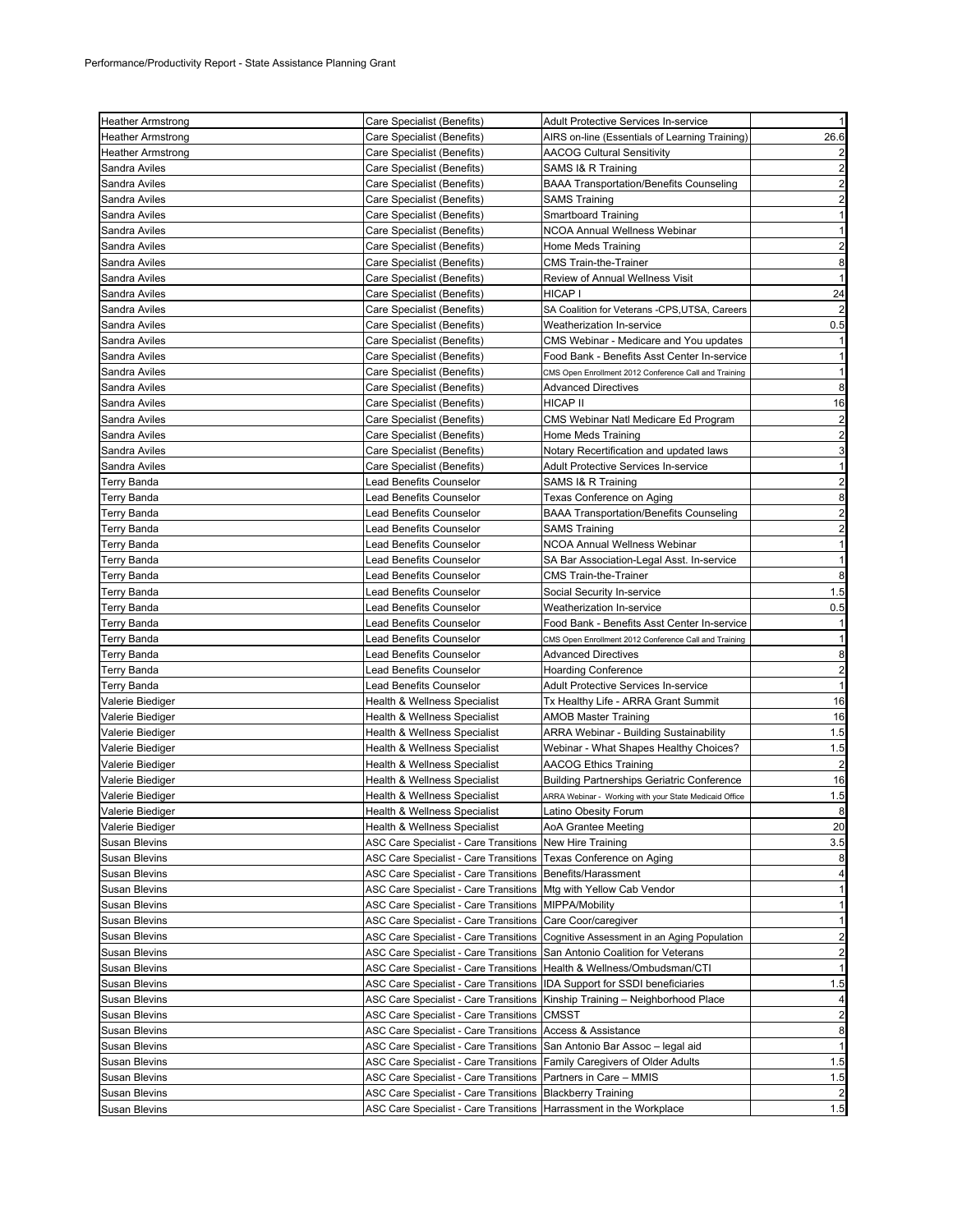| <b>Heather Armstrong</b>              | Care Specialist (Benefits)                                                              | <b>Adult Protective Services In-service</b>            | 1                                |
|---------------------------------------|-----------------------------------------------------------------------------------------|--------------------------------------------------------|----------------------------------|
| <b>Heather Armstrong</b>              | Care Specialist (Benefits)                                                              | AIRS on-line (Essentials of Learning Training)         | 26.6                             |
| <b>Heather Armstrong</b>              | Care Specialist (Benefits)                                                              | <b>AACOG Cultural Sensitivity</b>                      | $\overline{c}$                   |
| Sandra Aviles                         | Care Specialist (Benefits)                                                              | SAMS I& R Training                                     | $\overline{a}$                   |
| Sandra Aviles                         | Care Specialist (Benefits)                                                              | <b>BAAA Transportation/Benefits Counseling</b>         | $\overline{a}$                   |
| Sandra Aviles                         | Care Specialist (Benefits)                                                              | <b>SAMS Training</b>                                   | $\overline{a}$                   |
| Sandra Aviles                         | Care Specialist (Benefits)                                                              | Smartboard Training                                    | 1                                |
| Sandra Aviles                         | Care Specialist (Benefits)                                                              | NCOA Annual Wellness Webinar                           | $\mathbf{1}$                     |
| Sandra Aviles                         | Care Specialist (Benefits)                                                              | Home Meds Training                                     | $\overline{a}$                   |
| Sandra Aviles                         | Care Specialist (Benefits)                                                              | CMS Train-the-Trainer                                  | 8                                |
| Sandra Aviles                         | Care Specialist (Benefits)                                                              | Review of Annual Wellness Visit                        | $\mathbf{1}$                     |
| Sandra Aviles                         | Care Specialist (Benefits)                                                              | HICAP I                                                | 24                               |
| Sandra Aviles                         | Care Specialist (Benefits)                                                              | SA Coalition for Veterans -CPS,UTSA, Careers           | $\overline{2}$                   |
| Sandra Aviles                         | Care Specialist (Benefits)                                                              | Weatherization In-service                              | 0.5                              |
| Sandra Aviles                         | Care Specialist (Benefits)                                                              | CMS Webinar - Medicare and You updates                 | 1                                |
| Sandra Aviles                         | Care Specialist (Benefits)                                                              | Food Bank - Benefits Asst Center In-service            | 1                                |
| Sandra Aviles                         | Care Specialist (Benefits)                                                              | CMS Open Enrollment 2012 Conference Call and Training  | $\mathbf{1}$                     |
| Sandra Aviles                         | Care Specialist (Benefits)                                                              | <b>Advanced Directives</b>                             | 8                                |
| Sandra Aviles                         | Care Specialist (Benefits)                                                              | HICAP II                                               | 16                               |
| Sandra Aviles                         | Care Specialist (Benefits)                                                              | CMS Webinar Natl Medicare Ed Program                   | $\overline{2}$                   |
| Sandra Aviles                         | Care Specialist (Benefits)                                                              | Home Meds Training                                     | $\overline{\mathbf{c}}$          |
| Sandra Aviles                         | Care Specialist (Benefits)                                                              | Notary Recertification and updated laws                | 3                                |
| Sandra Aviles                         | Care Specialist (Benefits)                                                              | Adult Protective Services In-service                   | 1                                |
| Terry Banda                           | <b>Lead Benefits Counselor</b>                                                          | SAMS I& R Training                                     | $\overline{a}$                   |
| Terry Banda                           | Lead Benefits Counselor                                                                 | Texas Conference on Aging                              | 8                                |
| Terry Banda                           | Lead Benefits Counselor                                                                 | <b>BAAA Transportation/Benefits Counseling</b>         | $\overline{a}$                   |
| Terry Banda                           | <b>Lead Benefits Counselor</b>                                                          | <b>SAMS Training</b>                                   | $\overline{a}$                   |
| <b>Terry Banda</b>                    | Lead Benefits Counselor                                                                 | NCOA Annual Wellness Webinar                           | $\mathbf{1}$                     |
| Terry Banda                           | Lead Benefits Counselor                                                                 | SA Bar Association-Legal Asst. In-service              | 1                                |
| Terry Banda                           | Lead Benefits Counselor                                                                 | CMS Train-the-Trainer                                  | 8                                |
| Terry Banda                           | Lead Benefits Counselor                                                                 | Social Security In-service                             | 1.5                              |
| Terry Banda                           | Lead Benefits Counselor                                                                 | Weatherization In-service                              | 0.5                              |
| Terry Banda                           | Lead Benefits Counselor                                                                 | Food Bank - Benefits Asst Center In-service            | 1                                |
| Terry Banda                           | Lead Benefits Counselor                                                                 | CMS Open Enrollment 2012 Conference Call and Training  | 11                               |
| Terry Banda                           | Lead Benefits Counselor                                                                 | <b>Advanced Directives</b>                             | 8                                |
| Terry Banda                           | Lead Benefits Counselor                                                                 | <b>Hoarding Conference</b>                             | $\overline{a}$                   |
| Terry Banda                           | Lead Benefits Counselor                                                                 | Adult Protective Services In-service                   | 1                                |
| Valerie Biediger                      | Health & Wellness Specialist                                                            | Tx Healthy Life - ARRA Grant Summit                    | 16                               |
| Valerie Biediger                      | <b>Health &amp; Wellness Specialist</b>                                                 | AMOB Master Training                                   | 16                               |
| Valerie Biediger                      | <b>Health &amp; Wellness Specialist</b>                                                 | <b>ARRA Webinar - Building Sustainability</b>          | 1.5                              |
| Valerie Biediger                      | Health & Wellness Specialist                                                            | Webinar - What Shapes Healthy Choices?                 | 1.5                              |
| <b>Valerie Biediger</b>               | Health & Wellness Specialist                                                            | AACOG Ethics Training                                  | $\overline{\mathbf{c}}$          |
| Valerie Biediger                      | Health & Wellness Specialist                                                            | <b>Building Partnerships Geriatric Conference</b>      | 16                               |
| Valerie Biediger                      | Health & Wellness Specialist                                                            | ARRA Webinar - Working with your State Medicaid Office | 1.5<br>$\mathbf{R}$              |
| Valerie Biediger                      | Health & Wellness Specialist                                                            | Latino Obesity Forum                                   |                                  |
| Valerie Biediger                      | Health & Wellness Specialist                                                            | AoA Grantee Meeting                                    | 20                               |
| <b>Susan Blevins</b>                  | ASC Care Specialist - Care Transitions New Hire Training                                |                                                        | 3.5                              |
| <b>Susan Blevins</b>                  | ASC Care Specialist - Care Transitions                                                  | Texas Conference on Aging                              | 8                                |
| Susan Blevins                         | ASC Care Specialist - Care Transitions                                                  | Benefits/Harassment                                    | $\overline{4}$                   |
| Susan Blevins<br><b>Susan Blevins</b> | <b>ASC Care Specialist - Care Transitions</b>                                           | Mtg with Yellow Cab Vendor<br>MIPPA/Mobility           | 1<br>1                           |
|                                       | ASC Care Specialist - Care Transitions                                                  | Care Coor/caregiver                                    |                                  |
| Susan Blevins                         | ASC Care Specialist - Care Transitions<br><b>ASC Care Specialist - Care Transitions</b> | Cognitive Assessment in an Aging Population            | 1 <sup>1</sup><br>$\overline{2}$ |
| Susan Blevins<br><b>Susan Blevins</b> | ASC Care Specialist - Care Transitions                                                  | San Antonio Coalition for Veterans                     | $\overline{2}$                   |
| <b>Susan Blevins</b>                  | <b>ASC Care Specialist - Care Transitions</b>                                           | Health & Wellness/Ombudsman/CTI                        | 1                                |
| Susan Blevins                         | ASC Care Specialist - Care Transitions                                                  | IDA Support for SSDI beneficiaries                     | 1.5                              |
| Susan Blevins                         | ASC Care Specialist - Care Transitions                                                  | Kinship Training - Neighborhood Place                  | $\overline{a}$                   |
| <b>Susan Blevins</b>                  | <b>ASC Care Specialist - Care Transitions</b>                                           | <b>CMSST</b>                                           | $\overline{a}$                   |
| Susan Blevins                         | ASC Care Specialist - Care Transitions                                                  | Access & Assistance                                    | 8                                |
| Susan Blevins                         | ASC Care Specialist - Care Transitions                                                  | San Antonio Bar Assoc - legal aid                      | $\mathbf{1}$                     |
| <b>Susan Blevins</b>                  | ASC Care Specialist - Care Transitions                                                  | Family Caregivers of Older Adults                      | 1.5                              |
| Susan Blevins                         | ASC Care Specialist - Care Transitions                                                  | Partners in Care - MMIS                                | 1.5                              |
| Susan Blevins                         | ASC Care Specialist - Care Transitions                                                  | <b>Blackberry Training</b>                             | $\overline{2}$                   |
| Susan Blevins                         | ASC Care Specialist - Care Transitions                                                  | Harrassment in the Workplace                           | 1.5                              |
|                                       |                                                                                         |                                                        |                                  |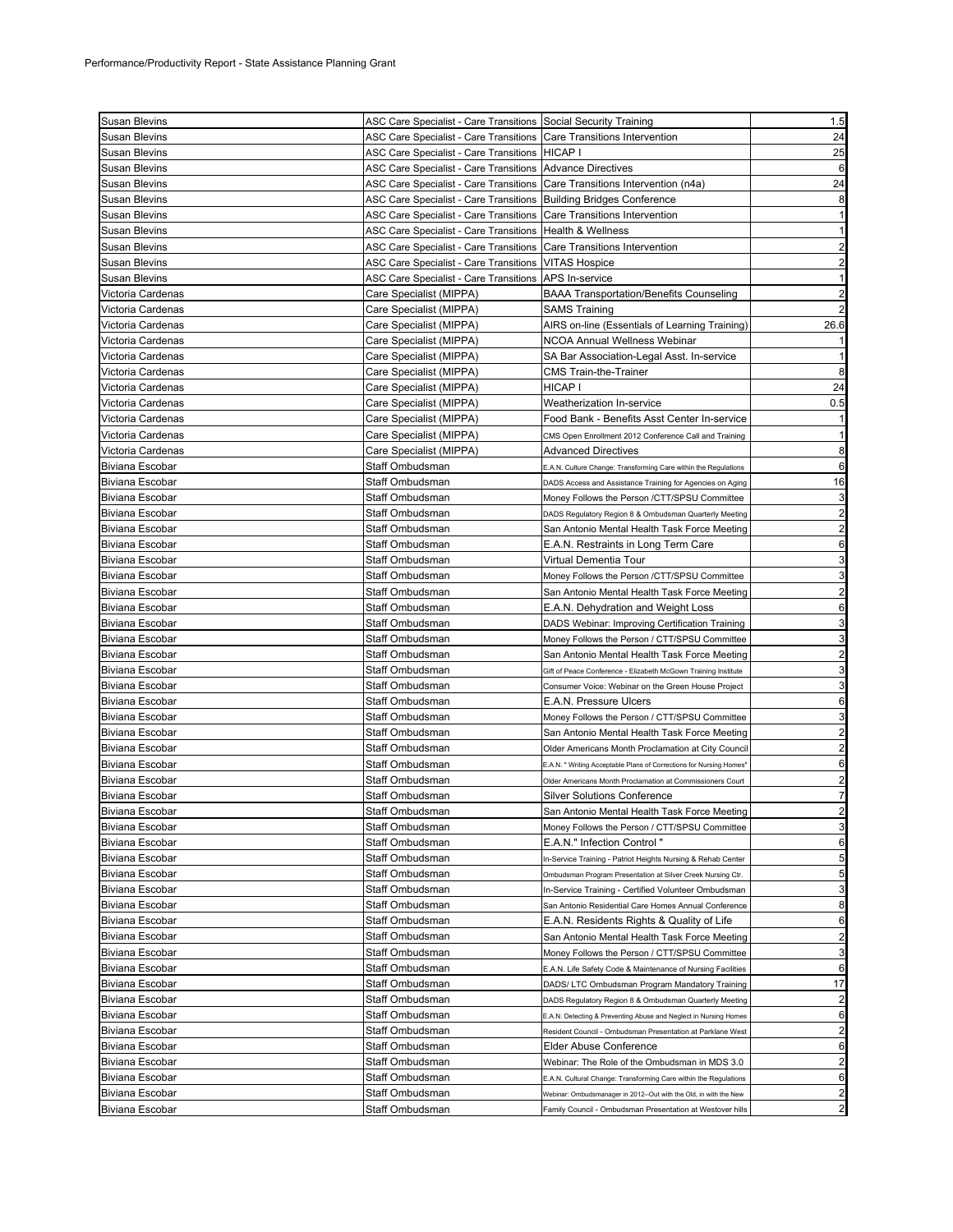| <b>Susan Blevins</b>                      | ASC Care Specialist - Care Transitions Social Security Training              |                                                                              | 1.5                     |
|-------------------------------------------|------------------------------------------------------------------------------|------------------------------------------------------------------------------|-------------------------|
| Susan Blevins                             | ASC Care Specialist - Care Transitions Care Transitions Intervention         |                                                                              | 24                      |
| Susan Blevins                             | ASC Care Specialist - Care Transitions HICAP I                               |                                                                              | 25                      |
| Susan Blevins                             | ASC Care Specialist - Care Transitions Advance Directives                    |                                                                              | 6                       |
| Susan Blevins                             | ASC Care Specialist - Care Transitions   Care Transitions Intervention (n4a) |                                                                              | 24                      |
| <b>Susan Blevins</b>                      | ASC Care Specialist - Care Transitions   Building Bridges Conference         |                                                                              | 8                       |
| Susan Blevins                             | ASC Care Specialist - Care Transitions Care Transitions Intervention         |                                                                              | $\mathbf{1}$            |
| Susan Blevins                             | ASC Care Specialist - Care Transitions   Health & Wellness                   |                                                                              | $\mathbf{1}$            |
| Susan Blevins                             | ASC Care Specialist - Care Transitions                                       | Care Transitions Intervention                                                | $\overline{a}$          |
| Susan Blevins                             | ASC Care Specialist - Care Transitions   VITAS Hospice                       |                                                                              | $\overline{a}$          |
| Susan Blevins                             | ASC Care Specialist - Care Transitions                                       | APS In-service                                                               | $\mathbf{1}$            |
| Victoria Cardenas                         | Care Specialist (MIPPA)                                                      | <b>BAAA Transportation/Benefits Counseling</b>                               | $\overline{2}$          |
| Victoria Cardenas                         | Care Specialist (MIPPA)                                                      | <b>SAMS Training</b>                                                         | $\overline{2}$          |
| Victoria Cardenas                         | Care Specialist (MIPPA)                                                      | AIRS on-line (Essentials of Learning Training)                               | 26.6                    |
| Victoria Cardenas                         | Care Specialist (MIPPA)                                                      | NCOA Annual Wellness Webinar                                                 | $\mathbf{1}$            |
| Victoria Cardenas                         | Care Specialist (MIPPA)                                                      | SA Bar Association-Legal Asst. In-service                                    | $\mathbf{1}$            |
| Victoria Cardenas                         | Care Specialist (MIPPA)                                                      | CMS Train-the-Trainer                                                        | 8                       |
| Victoria Cardenas                         | Care Specialist (MIPPA)                                                      | HICAP I                                                                      | 24                      |
| Victoria Cardenas                         | Care Specialist (MIPPA)                                                      | Weatherization In-service                                                    | 0.5                     |
| Victoria Cardenas                         | Care Specialist (MIPPA)                                                      | Food Bank - Benefits Asst Center In-service                                  | $\mathbf{1}$            |
| Victoria Cardenas                         | Care Specialist (MIPPA)                                                      | CMS Open Enrollment 2012 Conference Call and Training                        | $\mathbf{1}$            |
| Victoria Cardenas                         | Care Specialist (MIPPA)                                                      | <b>Advanced Directives</b>                                                   | 8                       |
| Biviana Escobar                           | Staff Ombudsman                                                              | E.A.N. Culture Change: Transforming Care within the Regulations              | 6                       |
| Biviana Escobar                           | Staff Ombudsman                                                              | DADS Access and Assistance Training for Agencies on Aging                    | 16                      |
| Biviana Escobar                           | Staff Ombudsman                                                              | Money Follows the Person /CTT/SPSU Committee                                 | 3                       |
| Biviana Escobar                           | Staff Ombudsman                                                              | DADS Regulatory Region 8 & Ombudsman Quarterly Meeting                       | $\overline{a}$          |
| Biviana Escobar                           | Staff Ombudsman                                                              | San Antonio Mental Health Task Force Meeting                                 | $\overline{a}$          |
| Biviana Escobar                           | Staff Ombudsman                                                              | E.A.N. Restraints in Long Term Care                                          | 6                       |
| Biviana Escobar                           | Staff Ombudsman                                                              | Virtual Dementia Tour                                                        | 3                       |
| Biviana Escobar                           | Staff Ombudsman                                                              | Money Follows the Person /CTT/SPSU Committee                                 | $\mathbf{3}$            |
| Biviana Escobar                           | Staff Ombudsman                                                              | San Antonio Mental Health Task Force Meeting                                 | $\overline{c}$          |
| <b>Biviana Escobar</b>                    | Staff Ombudsman                                                              | E.A.N. Dehydration and Weight Loss                                           | $6\phantom{1}6$         |
| Biviana Escobar                           | Staff Ombudsman                                                              | DADS Webinar: Improving Certification Training                               | 3                       |
| Biviana Escobar                           | Staff Ombudsman                                                              | Money Follows the Person / CTT/SPSU Committee                                | 3<br>$\overline{c}$     |
| Biviana Escobar                           | Staff Ombudsman                                                              | San Antonio Mental Health Task Force Meeting                                 | 3                       |
| <b>Biviana Escobar</b>                    | Staff Ombudsman                                                              | Gift of Peace Conference - Elizabeth McGown Training Institute               | 3                       |
| <b>Biviana Escobar</b><br>Biviana Escobar | Staff Ombudsman<br>Staff Ombudsman                                           | Consumer Voice: Webinar on the Green House Project<br>E.A.N. Pressure Ulcers | 6                       |
| Biviana Escobar                           | Staff Ombudsman                                                              | Money Follows the Person / CTT/SPSU Committee                                | 3                       |
| <b>Biviana Escobar</b>                    | Staff Ombudsman                                                              | San Antonio Mental Health Task Force Meeting                                 | $\overline{a}$          |
| Biviana Escobar                           | Staff Ombudsman                                                              | Older Americans Month Proclamation at City Council                           | $\overline{a}$          |
| Biviana Escobar                           | Staff Ombudsman                                                              | E.A.N. " Writing Acceptable Plans of Corrections for Nursing Homes'          | 6                       |
| <b>Biviana Escobar</b>                    | Staff Ombudsman                                                              | Older Americans Month Proclamation at Commissioners Court                    | $\overline{\mathbf{c}}$ |
| <b>Biviana Escobar</b>                    | Staff Ombudsman                                                              | <b>Silver Solutions Conference</b>                                           | $\overline{7}$          |
| Biviana Escobar                           | Staff Ombudsman                                                              | San Antonio Mental Health Task Force Meeting                                 | $\overline{c}$          |
| Biviana Escobar                           | Staff Ombudsman                                                              | Money Follows the Person / CTT/SPSU Committee                                | 3                       |
| <b>Biviana Escobar</b>                    | Staff Ombudsman                                                              | E.A.N." Infection Control "                                                  | 6                       |
| <b>Biviana Escobar</b>                    | Staff Ombudsman                                                              | In-Service Training - Patriot Heights Nursing & Rehab Center                 | 5                       |
| <b>Biviana Escobar</b>                    | Staff Ombudsman                                                              | Ombudsman Program Presentation at Silver Creek Nursing Ctr.                  | 5                       |
| Biviana Escobar                           | Staff Ombudsman                                                              | In-Service Training - Certified Volunteer Ombudsman                          | 3                       |
| Biviana Escobar                           | Staff Ombudsman                                                              | San Antonio Residential Care Homes Annual Conference                         | 8                       |
| Biviana Escobar                           | Staff Ombudsman                                                              | E.A.N. Residents Rights & Quality of Life                                    | 6                       |
| Biviana Escobar                           | Staff Ombudsman                                                              | San Antonio Mental Health Task Force Meeting                                 | $\overline{a}$          |
| Biviana Escobar                           | Staff Ombudsman                                                              | Money Follows the Person / CTT/SPSU Committee                                | 3                       |
| Biviana Escobar                           | Staff Ombudsman                                                              | E.A.N. Life Safety Code & Maintenance of Nursing Facilities                  | $6\phantom{1}6$         |
| Biviana Escobar                           | Staff Ombudsman                                                              | DADS/ LTC Ombudsman Program Mandatory Training                               | 17                      |
| Biviana Escobar                           | Staff Ombudsman                                                              | DADS Regulatory Region 8 & Ombudsman Quarterly Meeting                       | $\overline{c}$          |
| Biviana Escobar                           | Staff Ombudsman                                                              | E.A.N. Detecting & Preventing Abuse and Neglect in Nursing Homes             | 6                       |
| Biviana Escobar                           | Staff Ombudsman                                                              | Resident Council - Ombudsman Presentation at Parklane West                   | $\overline{a}$          |
| Biviana Escobar                           | Staff Ombudsman                                                              | Elder Abuse Conference                                                       | 6                       |
| <b>Biviana Escobar</b>                    | Staff Ombudsman                                                              | Webinar: The Role of the Ombudsman in MDS 3.0                                | $\overline{a}$          |
| Biviana Escobar                           | Staff Ombudsman                                                              | E.A.N. Cultural Change: Transforming Care within the Regulations             | 6                       |
| Biviana Escobar                           | Staff Ombudsman                                                              | Webinar: Ombudsmanager in 2012--Out with the Old, in with the New            | $\overline{a}$          |
| Biviana Escobar                           | Staff Ombudsman                                                              | Family Council - Ombudsman Presentation at Westover hills                    | $\overline{a}$          |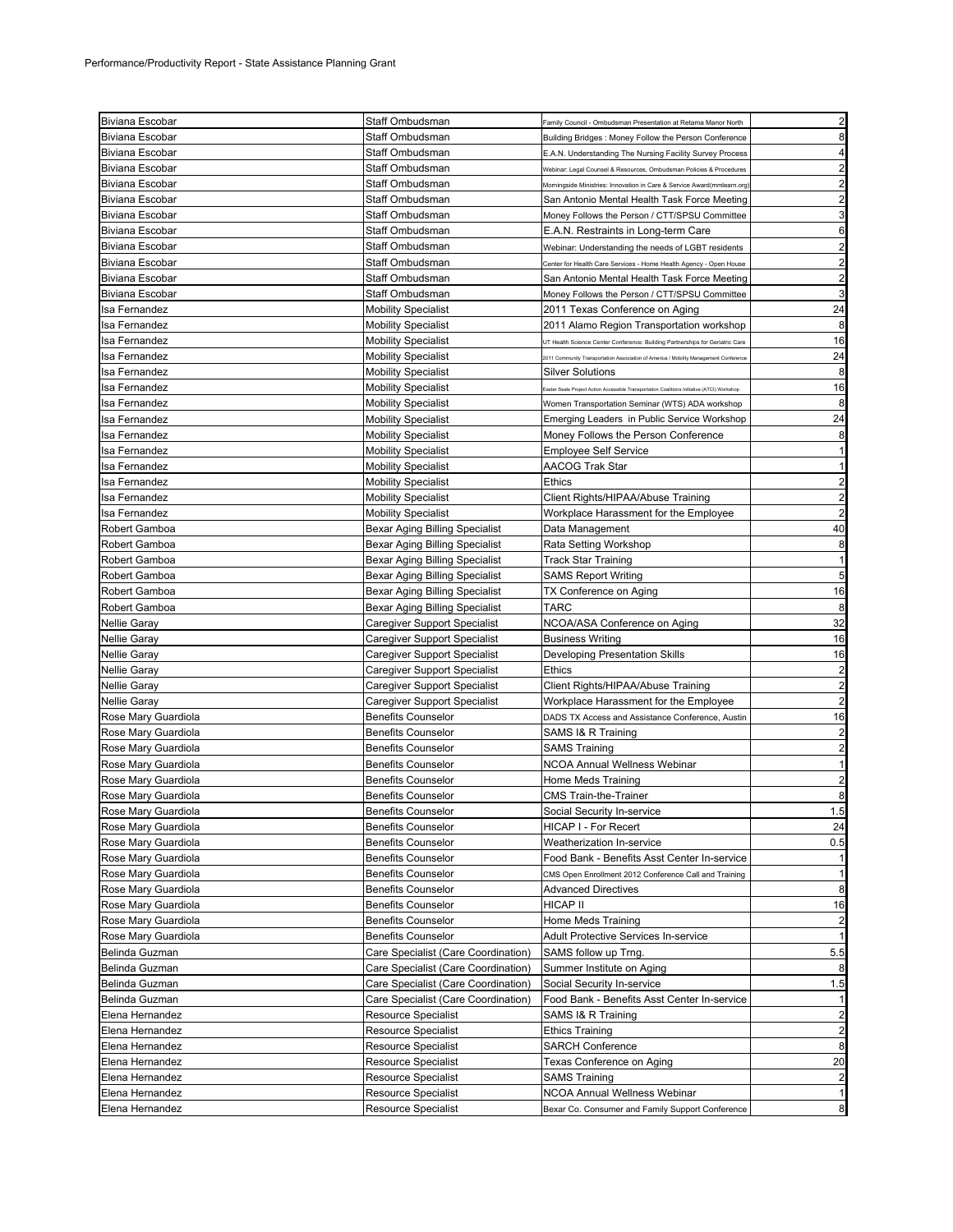| <b>Biviana Escobar</b>             | Staff Ombudsman                                          |                                                                                            | $\overline{2}$                                    |
|------------------------------------|----------------------------------------------------------|--------------------------------------------------------------------------------------------|---------------------------------------------------|
|                                    |                                                          | Family Council - Ombudsman Presentation at Retama Manor North                              |                                                   |
| Biviana Escobar                    | Staff Ombudsman                                          | Building Bridges: Money Follow the Person Conference                                       | 8                                                 |
| Biviana Escobar                    | Staff Ombudsman                                          | E.A.N. Understanding The Nursing Facility Survey Process                                   | 4                                                 |
| <b>Biviana Escobar</b>             | Staff Ombudsman                                          | Webinar: Legal Counsel & Resources, Ombudsman Policies & Procedures                        | $\overline{\mathbf{c}}$                           |
| Biviana Escobar                    | Staff Ombudsman                                          | Morningside Ministries: Innovation in Care & Service Award(mmlearn.org                     | $\overline{2}$                                    |
| Biviana Escobar                    | Staff Ombudsman                                          | San Antonio Mental Health Task Force Meeting                                               | $\overline{\mathbf{c}}$                           |
| <b>Biviana Escobar</b>             | Staff Ombudsman                                          | Money Follows the Person / CTT/SPSU Committee                                              | 3                                                 |
| Biviana Escobar                    | Staff Ombudsman                                          | E.A.N. Restraints in Long-term Care                                                        | 6                                                 |
| Biviana Escobar                    | Staff Ombudsman                                          | Webinar: Understanding the needs of LGBT residents                                         | $\overline{2}$                                    |
| <b>Biviana Escobar</b>             | Staff Ombudsman                                          | Center for Health Care Services - Home Health Agency - Open House                          | $\overline{\mathbf{c}}$                           |
| Biviana Escobar                    | Staff Ombudsman                                          | San Antonio Mental Health Task Force Meeting                                               | $\overline{2}$                                    |
| <b>Biviana Escobar</b>             | Staff Ombudsman                                          | Money Follows the Person / CTT/SPSU Committee                                              | 3                                                 |
| Isa Fernandez                      | <b>Mobility Specialist</b>                               | 2011 Texas Conference on Aging                                                             | 24                                                |
| Isa Fernandez                      | <b>Mobility Specialist</b>                               | 2011 Alamo Region Transportation workshop                                                  | 8                                                 |
| Isa Fernandez                      |                                                          |                                                                                            | 16                                                |
|                                    | <b>Mobility Specialist</b>                               | JT Health Science Center Conference: Building Partnerships for Geriatric Care              |                                                   |
| Isa Fernandez                      | <b>Mobility Specialist</b>                               | 2011 Community Transportation Association of America / Mobility Management Conference      | 24                                                |
| Isa Fernandez                      | <b>Mobility Specialist</b>                               | Silver Solutions                                                                           | 8                                                 |
| Isa Fernandez                      | <b>Mobility Specialist</b>                               | aster Seals Project Action Accessible Transportation Coalitions Initiative (ATCI) Workshop | 16                                                |
| Isa Fernandez                      | <b>Mobility Specialist</b>                               | Women Transportation Seminar (WTS) ADA workshop                                            | 8                                                 |
| Isa Fernandez                      | <b>Mobility Specialist</b>                               | Emerging Leaders in Public Service Workshop                                                | 24                                                |
| Isa Fernandez                      | <b>Mobility Specialist</b>                               | Money Follows the Person Conference                                                        | 8                                                 |
| Isa Fernandez                      | <b>Mobility Specialist</b>                               | <b>Employee Self Service</b>                                                               | 1                                                 |
| Isa Fernandez                      | <b>Mobility Specialist</b>                               | AACOG Trak Star                                                                            | $\mathbf{1}$                                      |
| Isa Fernandez                      | <b>Mobility Specialist</b>                               | Ethics                                                                                     | $\overline{\mathbf{c}}$                           |
| Isa Fernandez                      | <b>Mobility Specialist</b>                               | Client Rights/HIPAA/Abuse Training                                                         | $\overline{\mathbf{c}}$                           |
| Isa Fernandez                      | <b>Mobility Specialist</b>                               | Workplace Harassment for the Employee                                                      | $\overline{2}$                                    |
| Robert Gamboa                      | Bexar Aging Billing Specialist                           | Data Management                                                                            | 40                                                |
| Robert Gamboa                      | Bexar Aging Billing Specialist                           | Rata Setting Workshop                                                                      | 8                                                 |
| Robert Gamboa                      | Bexar Aging Billing Specialist                           | <b>Track Star Training</b>                                                                 | 1                                                 |
| Robert Gamboa                      | Bexar Aging Billing Specialist                           | <b>SAMS Report Writing</b>                                                                 | 5                                                 |
| Robert Gamboa                      | Bexar Aging Billing Specialist                           | TX Conference on Aging                                                                     | 16                                                |
| Robert Gamboa                      | Bexar Aging Billing Specialist                           | TARC                                                                                       | 8                                                 |
| Nellie Garay                       | Caregiver Support Specialist                             | NCOA/ASA Conference on Aging                                                               | 32                                                |
| <b>Nellie Garay</b>                | Caregiver Support Specialist                             | <b>Business Writing</b>                                                                    | 16                                                |
| <b>Nellie Garay</b>                | Caregiver Support Specialist                             | <b>Developing Presentation Skills</b>                                                      | 16                                                |
| Nellie Garay                       | Caregiver Support Specialist                             | Ethics                                                                                     | $\overline{2}$                                    |
| <b>Nellie Garay</b>                | Caregiver Support Specialist                             | Client Rights/HIPAA/Abuse Training                                                         | $\overline{2}$                                    |
| <b>Nellie Garay</b>                | Caregiver Support Specialist                             | Workplace Harassment for the Employee                                                      | $\overline{\mathbf{c}}$                           |
| Rose Mary Guardiola                | <b>Benefits Counselor</b>                                | DADS TX Access and Assistance Conference, Austin                                           | 16                                                |
| Rose Mary Guardiola                | <b>Benefits Counselor</b>                                | SAMS I& R Training                                                                         |                                                   |
|                                    | <b>Benefits Counselor</b>                                |                                                                                            | $\overline{\mathbf{c}}$<br>2                      |
| Rose Mary Guardiola                |                                                          | <b>SAMS Training</b><br><b>NCOA Annual Wellness Webinar</b>                                | $\mathbf{1}$                                      |
| Rose Mary Guardiola                | <b>Benefits Counselor</b>                                |                                                                                            |                                                   |
| Rose Mary Guardiola                | <b>Benefits Counselor</b>                                | Home Meds Training                                                                         | $\overline{2}$                                    |
| Rose Mary Guardiola                | <b>Benefits Counselor</b>                                | <b>CMS Train-the-Trainer</b>                                                               | 8                                                 |
| Rose Mary Guardiola                | <b>Benefits Counselor</b>                                | Social Security In-service                                                                 | 1.5                                               |
| Rose Mary Guardiola                | <b>Benefits Counselor</b>                                | HICAP I - For Recert                                                                       | 24                                                |
| Rose Mary Guardiola                | <b>Benefits Counselor</b>                                | Weatherization In-service                                                                  | 0.5                                               |
| Rose Mary Guardiola                |                                                          |                                                                                            |                                                   |
| Rose Mary Guardiola                | <b>Benefits Counselor</b>                                | Food Bank - Benefits Asst Center In-service                                                |                                                   |
| Rose Mary Guardiola                | <b>Benefits Counselor</b>                                | CMS Open Enrollment 2012 Conference Call and Training                                      |                                                   |
|                                    | <b>Benefits Counselor</b>                                | <b>Advanced Directives</b>                                                                 | -1<br>$\mathbf{1}$<br>8                           |
| Rose Mary Guardiola                | <b>Benefits Counselor</b>                                | HICAP II                                                                                   | 16                                                |
| Rose Mary Guardiola                | <b>Benefits Counselor</b>                                | Home Meds Training                                                                         | $\overline{2}$                                    |
| Rose Mary Guardiola                | <b>Benefits Counselor</b>                                | Adult Protective Services In-service                                                       | $\mathbf{1}$                                      |
| Belinda Guzman                     | Care Specialist (Care Coordination)                      | SAMS follow up Trng.                                                                       | 5.5                                               |
| Belinda Guzman                     | Care Specialist (Care Coordination)                      | Summer Institute on Aging                                                                  |                                                   |
| Belinda Guzman                     | Care Specialist (Care Coordination)                      | Social Security In-service                                                                 |                                                   |
| Belinda Guzman                     | Care Specialist (Care Coordination)                      | Food Bank - Benefits Asst Center In-service                                                |                                                   |
| Elena Hernandez                    | Resource Specialist                                      | SAMS I& R Training                                                                         |                                                   |
| Elena Hernandez                    | Resource Specialist                                      | <b>Ethics Training</b>                                                                     | 8<br>1.5<br>1<br>$\overline{2}$<br>$\overline{2}$ |
| Elena Hernandez                    | <b>Resource Specialist</b>                               | <b>SARCH Conference</b>                                                                    | 8                                                 |
|                                    |                                                          |                                                                                            | 20                                                |
| Elena Hernandez<br>Elena Hernandez | Resource Specialist                                      | Texas Conference on Aging                                                                  |                                                   |
| Elena Hernandez                    | <b>Resource Specialist</b><br><b>Resource Specialist</b> | SAMS Training<br>NCOA Annual Wellness Webinar                                              | $\overline{\mathbf{c}}$<br>$\mathbf{1}$           |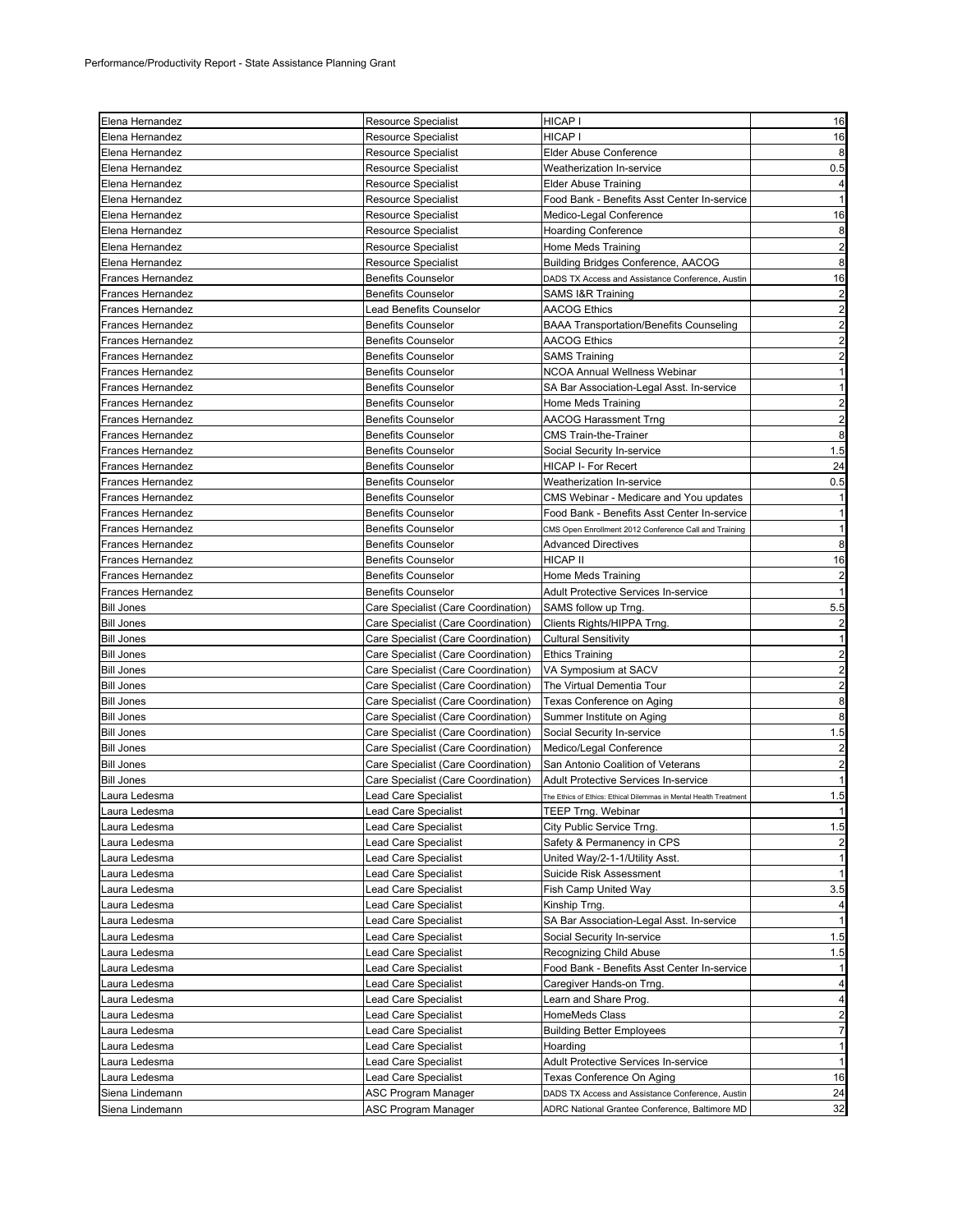| Elena Hernandez          | <b>Resource Specialist</b>          | HICAP I                                                           | 16                      |
|--------------------------|-------------------------------------|-------------------------------------------------------------------|-------------------------|
| Elena Hernandez          | <b>Resource Specialist</b>          | HICAP I                                                           | 16                      |
| Elena Hernandez          | <b>Resource Specialist</b>          | <b>Elder Abuse Conference</b>                                     | 8                       |
| Elena Hernandez          | <b>Resource Specialist</b>          | Weatherization In-service                                         | 0.5                     |
| Elena Hernandez          | <b>Resource Specialist</b>          | <b>Elder Abuse Training</b>                                       | $\overline{a}$          |
| Elena Hernandez          | <b>Resource Specialist</b>          | Food Bank - Benefits Asst Center In-service                       | $\mathbf{1}$            |
| Elena Hernandez          | Resource Specialist                 | Medico-Legal Conference                                           | 16                      |
| Elena Hernandez          | Resource Specialist                 | <b>Hoarding Conference</b>                                        | 8                       |
| Elena Hernandez          | <b>Resource Specialist</b>          | Home Meds Training                                                | $\overline{a}$          |
| Elena Hernandez          | <b>Resource Specialist</b>          | Building Bridges Conference, AACOG                                | 8                       |
| Frances Hernandez        | <b>Benefits Counselor</b>           | DADS TX Access and Assistance Conference, Austin                  | 16                      |
| Frances Hernandez        | <b>Benefits Counselor</b>           | SAMS I&R Training                                                 | $\overline{c}$          |
| Frances Hernandez        | <b>Lead Benefits Counselor</b>      | <b>AACOG Ethics</b>                                               | $\overline{c}$          |
| Frances Hernandez        | <b>Benefits Counselor</b>           | <b>BAAA Transportation/Benefits Counseling</b>                    | $\overline{c}$          |
| Frances Hernandez        | <b>Benefits Counselor</b>           | AACOG Ethics                                                      | $\overline{2}$          |
| Frances Hernandez        | <b>Benefits Counselor</b>           | <b>SAMS Training</b>                                              | $\overline{2}$          |
| Frances Hernandez        | <b>Benefits Counselor</b>           | NCOA Annual Wellness Webinar                                      | $\mathbf{1}$            |
| Frances Hernandez        | <b>Benefits Counselor</b>           | SA Bar Association-Legal Asst. In-service                         | $\mathbf{1}$            |
| Frances Hernandez        | <b>Benefits Counselor</b>           | Home Meds Training                                                | $\overline{c}$          |
| Frances Hernandez        | <b>Benefits Counselor</b>           | <b>AACOG Harassment Trng</b>                                      | $\overline{c}$          |
| Frances Hernandez        | <b>Benefits Counselor</b>           | <b>CMS Train-the-Trainer</b>                                      | 8                       |
| Frances Hernandez        | <b>Benefits Counselor</b>           | Social Security In-service                                        | 1.5                     |
| <b>Frances Hernandez</b> | <b>Benefits Counselor</b>           | HICAP I- For Recert                                               | 24                      |
| <b>Frances Hernandez</b> | <b>Benefits Counselor</b>           | Weatherization In-service                                         | 0.5                     |
| <b>Frances Hernandez</b> | <b>Benefits Counselor</b>           | CMS Webinar - Medicare and You updates                            | $\mathbf{1}$            |
| Frances Hernandez        | <b>Benefits Counselor</b>           | Food Bank - Benefits Asst Center In-service                       | $\mathbf{1}$            |
| <b>Frances Hernandez</b> | <b>Benefits Counselor</b>           | CMS Open Enrollment 2012 Conference Call and Training             | $\mathbf{1}$            |
| Frances Hernandez        | <b>Benefits Counselor</b>           | <b>Advanced Directives</b>                                        | 8                       |
| Frances Hernandez        | <b>Benefits Counselor</b>           | HICAP II                                                          | 16                      |
| Frances Hernandez        | <b>Benefits Counselor</b>           | Home Meds Training                                                | $\overline{a}$          |
| Frances Hernandez        | <b>Benefits Counselor</b>           | <b>Adult Protective Services In-service</b>                       | $\mathbf{1}$            |
| <b>Bill Jones</b>        | Care Specialist (Care Coordination) | SAMS follow up Trng.                                              | 5.5                     |
| <b>Bill Jones</b>        | Care Specialist (Care Coordination) | Clients Rights/HIPPA Trng.                                        | $\overline{\mathbf{c}}$ |
| <b>Bill Jones</b>        | Care Specialist (Care Coordination) | <b>Cultural Sensitivity</b>                                       | $\mathbf{1}$            |
| <b>Bill Jones</b>        | Care Specialist (Care Coordination) | <b>Ethics Training</b>                                            | $\overline{c}$          |
| <b>Bill Jones</b>        | Care Specialist (Care Coordination) | VA Symposium at SACV                                              | $\overline{a}$          |
| <b>Bill Jones</b>        | Care Specialist (Care Coordination) | The Virtual Dementia Tour                                         | $\overline{a}$          |
| <b>Bill Jones</b>        | Care Specialist (Care Coordination) | Texas Conference on Aging                                         | 8                       |
| <b>Bill Jones</b>        | Care Specialist (Care Coordination) | Summer Institute on Aging                                         | 8                       |
| <b>Bill Jones</b>        | Care Specialist (Care Coordination) | Social Security In-service                                        | 1.5                     |
| <b>Bill Jones</b>        | Care Specialist (Care Coordination) | Medico/Legal Conference                                           | $\overline{c}$          |
| <b>Bill Jones</b>        | Care Specialist (Care Coordination) | San Antonio Coalition of Veterans                                 | $\overline{c}$          |
| <b>Bill Jones</b>        | Care Specialist (Care Coordination) | <b>Adult Protective Services In-service</b>                       |                         |
| Laura Ledesma            | Lead Care Specialist                | The Ethics of Ethics: Ethical Dilemmas in Mental Health Treatment | 1.5                     |
| Laura Ledesma            | Lead Care Specialist                | <b>TEEP Trng. Webinar</b>                                         | 1                       |
| Laura Ledesma            | ead Care Specialist                 | City Public Service Trng.                                         | 1.5                     |
| Laura Ledesma            | Lead Care Specialist                | Safety & Permanency in CPS                                        | $\overline{c}$          |
| Laura Ledesma            | ead Care Specialist                 | United Way/2-1-1/Utility Asst.                                    | $\mathbf{1}$            |
| Laura Ledesma            | ead Care Specialist                 | Suicide Risk Assessment                                           | $\mathbf{1}$            |
| Laura Ledesma            | Lead Care Specialist                | Fish Camp United Way                                              | 3.5                     |
| Laura Ledesma            | Lead Care Specialist                | Kinship Trng.                                                     | $\overline{a}$          |
| Laura Ledesma            | Lead Care Specialist                | SA Bar Association-Legal Asst. In-service                         | $\overline{1}$          |
| Laura Ledesma            | Lead Care Specialist                | Social Security In-service                                        | 1.5                     |
| Laura Ledesma            | ead Care Specialist                 | Recognizing Child Abuse                                           | 1.5                     |
| Laura Ledesma            | ead Care Specialist                 | Food Bank - Benefits Asst Center In-service                       | $\mathbf{1}$            |
| aura Ledesma             | Lead Care Specialist                | Caregiver Hands-on Trng.                                          | $\overline{\mathbf{4}}$ |
| Laura Ledesma            | Lead Care Specialist                | Learn and Share Prog.                                             | $\overline{a}$          |
| Laura Ledesma            | ead Care Specialist                 | HomeMeds Class                                                    | $\overline{c}$          |
| Laura Ledesma            | Lead Care Specialist                | <b>Building Better Employees</b>                                  | $\overline{7}$          |
| Laura Ledesma            | ead Care Specialist                 | Hoarding                                                          | $\mathbf{1}$            |
| Laura Ledesma            | ead Care Specialist                 | <b>Adult Protective Services In-service</b>                       | $\mathbf{1}$            |
| Laura Ledesma            | Lead Care Specialist                | Texas Conference On Aging                                         | 16                      |
| Siena Lindemann          | ASC Program Manager                 | DADS TX Access and Assistance Conference, Austin                  | 24                      |
| Siena Lindemann          | ASC Program Manager                 | ADRC National Grantee Conference, Baltimore MD                    | 32                      |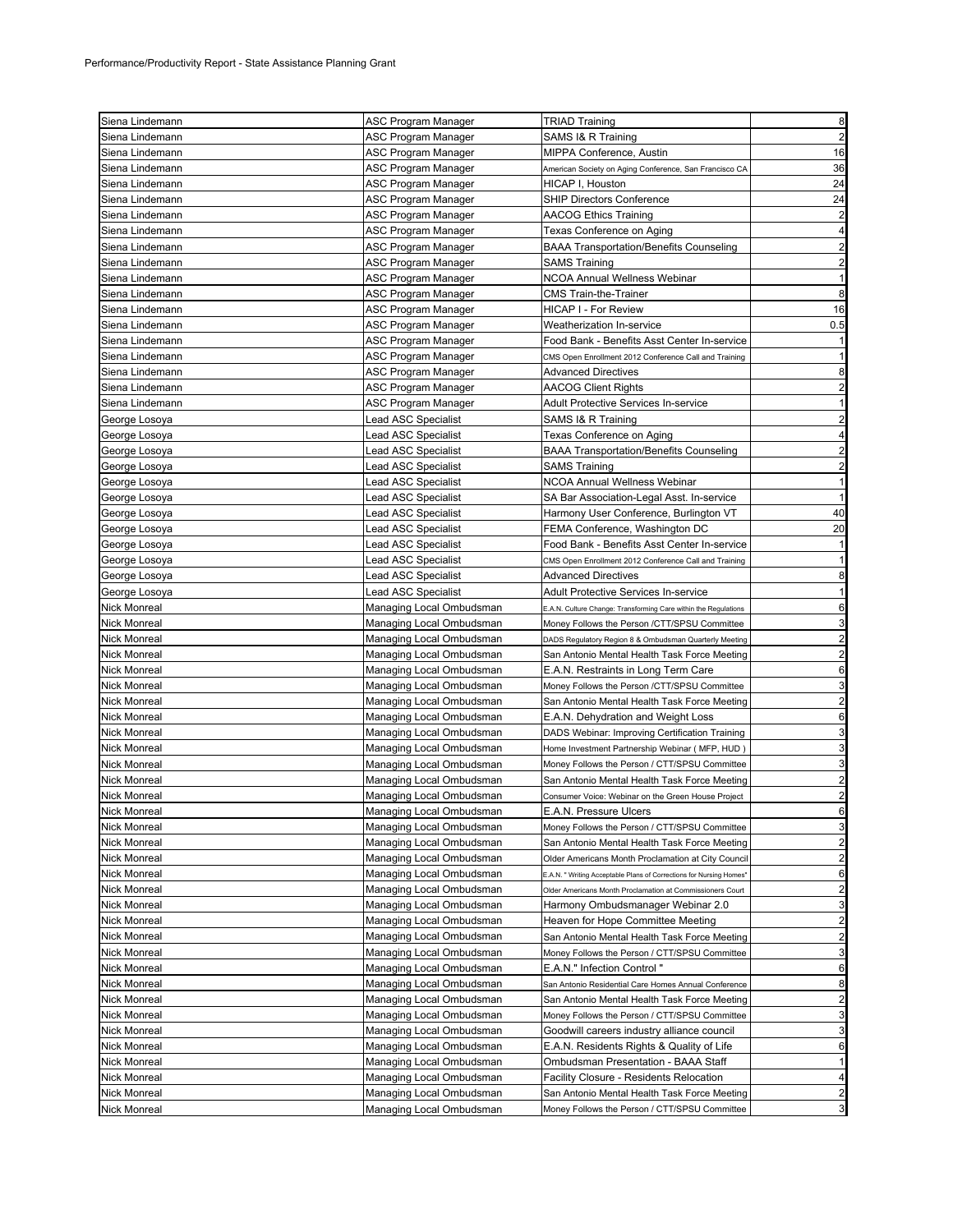| Siena Lindemann     | ASC Program Manager        | <b>TRIAD Training</b>                                               | 8                       |
|---------------------|----------------------------|---------------------------------------------------------------------|-------------------------|
| Siena Lindemann     | ASC Program Manager        | SAMS I& R Training                                                  | $\overline{2}$          |
| Siena Lindemann     | ASC Program Manager        | MIPPA Conference, Austin                                            | 16                      |
| Siena Lindemann     | ASC Program Manager        | American Society on Aging Conference, San Francisco CA              | 36                      |
|                     |                            |                                                                     | 24                      |
| Siena Lindemann     | ASC Program Manager        | HICAP I, Houston                                                    |                         |
| Siena Lindemann     | ASC Program Manager        | <b>SHIP Directors Conference</b>                                    | 24                      |
| Siena Lindemann     | ASC Program Manager        | <b>AACOG Ethics Training</b>                                        | $\overline{2}$          |
| Siena Lindemann     | ASC Program Manager        | Texas Conference on Aging                                           | 4                       |
| Siena Lindemann     | ASC Program Manager        | <b>BAAA Transportation/Benefits Counseling</b>                      | $\overline{2}$          |
| Siena Lindemann     | ASC Program Manager        | <b>SAMS Training</b>                                                | $\overline{2}$          |
| Siena Lindemann     | ASC Program Manager        | NCOA Annual Wellness Webinar                                        | $\mathbf{1}$            |
| Siena Lindemann     | ASC Program Manager        | <b>CMS Train-the-Trainer</b>                                        | 8                       |
| Siena Lindemann     | ASC Program Manager        | HICAP I - For Review                                                | 16                      |
| Siena Lindemann     | ASC Program Manager        | Weatherization In-service                                           | 0.5                     |
| Siena Lindemann     | ASC Program Manager        | Food Bank - Benefits Asst Center In-service                         | $\mathbf{1}$            |
| Siena Lindemann     | ASC Program Manager        | CMS Open Enrollment 2012 Conference Call and Training               | $\mathbf{1}$            |
| Siena Lindemann     | ASC Program Manager        | <b>Advanced Directives</b>                                          | 8                       |
| Siena Lindemann     | ASC Program Manager        | <b>AACOG Client Rights</b>                                          | $\overline{2}$          |
| Siena Lindemann     | ASC Program Manager        | Adult Protective Services In-service                                | 1                       |
| George Losoya       | ead ASC Specialist.        | SAMS I& R Training                                                  | $\overline{c}$          |
| George Losoya       | Lead ASC Specialist        | Texas Conference on Aging                                           | 4                       |
| George Losoya       | Lead ASC Specialist        | <b>BAAA Transportation/Benefits Counseling</b>                      | $\overline{2}$          |
| George Losoya       | ead ASC Specialist         | <b>SAMS Training</b>                                                | $\overline{\mathbf{c}}$ |
| George Losoya       | ead ASC Specialist         | NCOA Annual Wellness Webinar                                        | $\mathbf{1}$            |
| George Losoya       | Lead ASC Specialist        | SA Bar Association-Legal Asst. In-service                           | $\mathbf{1}$            |
| George Losoya       | ead ASC Specialist         | Harmony User Conference, Burlington VT                              | 40                      |
| George Losoya       | ead ASC Specialist         | FEMA Conference, Washington DC                                      | 20                      |
| George Losoya       | <b>Lead ASC Specialist</b> | Food Bank - Benefits Asst Center In-service                         | 1                       |
| George Losoya       | ead ASC Specialist         | CMS Open Enrollment 2012 Conference Call and Training               | $\mathbf{1}$            |
| George Losoya       | Lead ASC Specialist        | <b>Advanced Directives</b>                                          | 8                       |
|                     |                            |                                                                     | $\mathbf{1}$            |
| George Losoya       | Lead ASC Specialist        | Adult Protective Services In-service                                |                         |
| <b>Nick Monreal</b> | Managing Local Ombudsman   | E.A.N. Culture Change: Transforming Care within the Regulations     | 6                       |
| Nick Monreal        | Managing Local Ombudsman   | Money Follows the Person /CTT/SPSU Committee                        | 3                       |
| Nick Monreal        | Managing Local Ombudsman   | DADS Regulatory Region 8 & Ombudsman Quarterly Meeting              | $\overline{\mathbf{c}}$ |
| <b>Nick Monreal</b> | Managing Local Ombudsman   | San Antonio Mental Health Task Force Meeting                        | $\overline{2}$          |
| Nick Monreal        | Managing Local Ombudsman   | E.A.N. Restraints in Long Term Care                                 | 6                       |
| Nick Monreal        | Managing Local Ombudsman   | Money Follows the Person /CTT/SPSU Committee                        | 3                       |
| <b>Nick Monreal</b> | Managing Local Ombudsman   | San Antonio Mental Health Task Force Meeting                        | 2                       |
| Nick Monreal        | Managing Local Ombudsman   | E.A.N. Dehydration and Weight Loss                                  | 6                       |
| <b>Nick Monreal</b> | Managing Local Ombudsman   | DADS Webinar: Improving Certification Training                      | 3                       |
| Nick Monreal        | Managing Local Ombudsman   | Home Investment Partnership Webinar ( MFP, HUD )                    | 3                       |
| Nick Monreal        | Managing Local Ombudsman   | Money Follows the Person / CTT/SPSU Committee                       | 3                       |
| Nick Monreal        | Managing Local Ombudsman   | San Antonio Mental Health Task Force Meeting                        | $\overline{2}$          |
| <b>Nick Monreal</b> | Managing Local Ombudsman   | Consumer Voice: Webinar on the Green House Project                  | $\overline{2}$          |
| Nick Monreal        | Managing Local Ombudsman   | E.A.N. Pressure Ulcers                                              | 6                       |
| Nick Monreal        | Managing Local Ombudsman   | Money Follows the Person / CTT/SPSU Committee                       | 3                       |
| Nick Monreal        | Managing Local Ombudsman   | San Antonio Mental Health Task Force Meeting                        | $\overline{2}$          |
| Nick Monreal        | Managing Local Ombudsman   | Older Americans Month Proclamation at City Council                  | 2                       |
| Nick Monreal        | Managing Local Ombudsman   | E.A.N. " Writing Acceptable Plans of Corrections for Nursing Homes' | 6                       |
| <b>Nick Monreal</b> | Managing Local Ombudsman   | Older Americans Month Proclamation at Commissioners Court           | 2                       |
| Nick Monreal        | Managing Local Ombudsman   | Harmony Ombudsmanager Webinar 2.0                                   | 3                       |
| Nick Monreal        | Managing Local Ombudsman   | Heaven for Hope Committee Meeting                                   | $\overline{c}$          |
| Nick Monreal        | Managing Local Ombudsman   | San Antonio Mental Health Task Force Meeting                        | $\overline{2}$          |
| Nick Monreal        | Managing Local Ombudsman   | Money Follows the Person / CTT/SPSU Committee                       | 3                       |
| Nick Monreal        | Managing Local Ombudsman   | E.A.N." Infection Control "                                         | 6                       |
| Nick Monreal        | Managing Local Ombudsman   | San Antonio Residential Care Homes Annual Conference                | 8                       |
| Nick Monreal        |                            | San Antonio Mental Health Task Force Meeting                        | $\overline{2}$          |
|                     | Managing Local Ombudsman   |                                                                     |                         |
| Nick Monreal        | Managing Local Ombudsman   | Money Follows the Person / CTT/SPSU Committee                       | 3                       |
| Nick Monreal        | Managing Local Ombudsman   | Goodwill careers industry alliance council                          | 3                       |
| Nick Monreal        | Managing Local Ombudsman   | E.A.N. Residents Rights & Quality of Life                           | 6                       |
| Nick Monreal        | Managing Local Ombudsman   | Ombudsman Presentation - BAAA Staff                                 | $\mathbf{1}$            |
| Nick Monreal        | Managing Local Ombudsman   | <b>Facility Closure - Residents Relocation</b>                      | 4                       |
| Nick Monreal        | Managing Local Ombudsman   | San Antonio Mental Health Task Force Meeting                        | 2                       |
| Nick Monreal        | Managing Local Ombudsman   | Money Follows the Person / CTT/SPSU Committee                       | 3                       |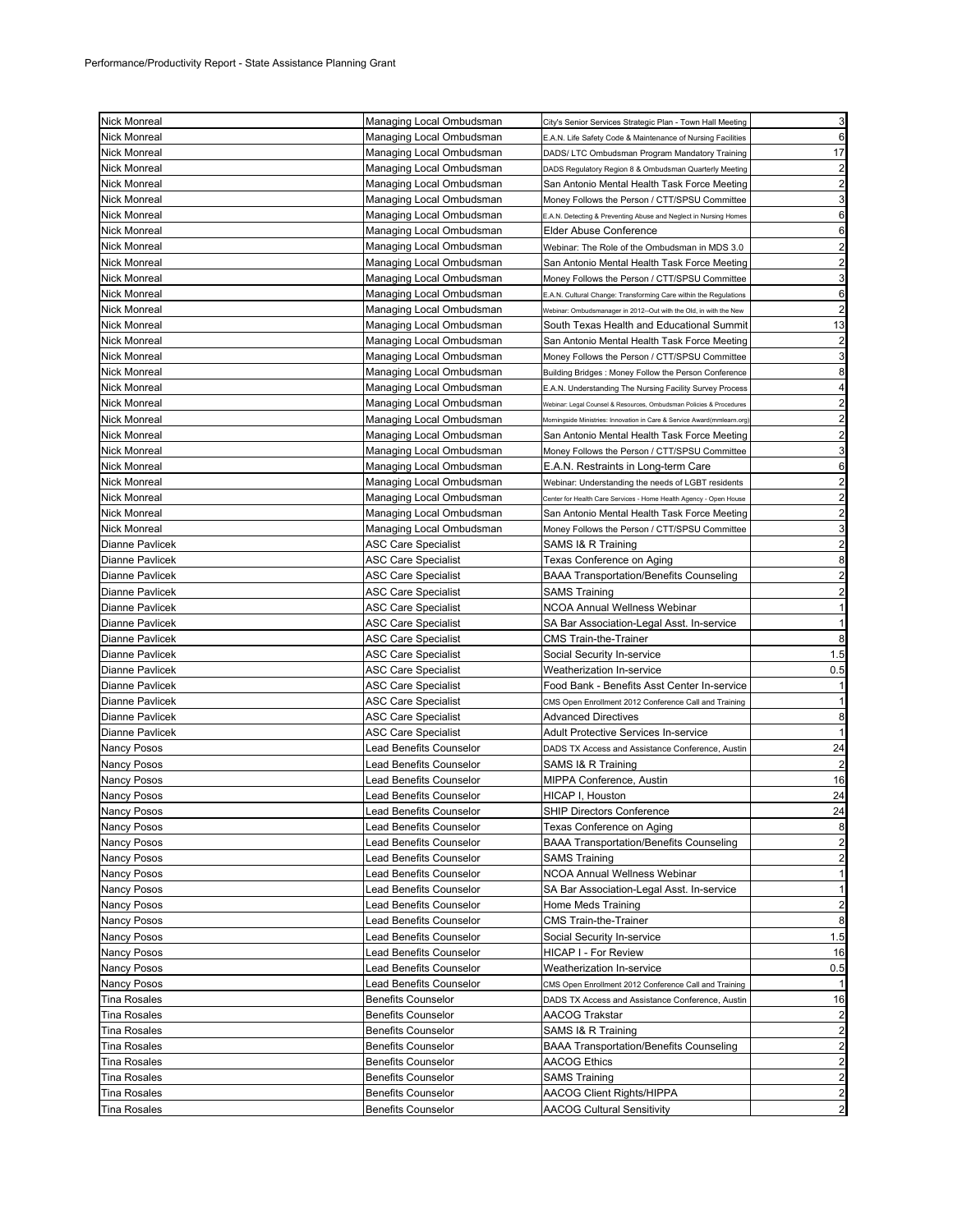| <b>Nick Monreal</b>    | Managing Local Ombudsman       | City's Senior Services Strategic Plan - Town Hall Meeting              | 3                       |
|------------------------|--------------------------------|------------------------------------------------------------------------|-------------------------|
| <b>Nick Monreal</b>    | Managing Local Ombudsman       | E.A.N. Life Safety Code & Maintenance of Nursing Facilities            | 6                       |
| <b>Nick Monreal</b>    | Managing Local Ombudsman       | DADS/ LTC Ombudsman Program Mandatory Training                         | 17                      |
| Nick Monreal           | Managing Local Ombudsman       | DADS Regulatory Region 8 & Ombudsman Quarterly Meeting                 | $\overline{\mathbf{c}}$ |
| <b>Nick Monreal</b>    | Managing Local Ombudsman       | San Antonio Mental Health Task Force Meeting                           | $\overline{a}$          |
| <b>Nick Monreal</b>    | Managing Local Ombudsman       | Money Follows the Person / CTT/SPSU Committee                          | 3                       |
| <b>Nick Monreal</b>    | Managing Local Ombudsman       | E.A.N. Detecting & Preventing Abuse and Neglect in Nursing Homes       | 6                       |
| <b>Nick Monreal</b>    | Managing Local Ombudsman       | Elder Abuse Conference                                                 | 6                       |
| <b>Nick Monreal</b>    | Managing Local Ombudsman       | Webinar: The Role of the Ombudsman in MDS 3.0                          | $\overline{a}$          |
| <b>Nick Monreal</b>    | Managing Local Ombudsman       | San Antonio Mental Health Task Force Meeting                           | $\overline{\mathbf{c}}$ |
| Nick Monreal           | Managing Local Ombudsman       | Money Follows the Person / CTT/SPSU Committee                          | 3                       |
| <b>Nick Monreal</b>    | Managing Local Ombudsman       | E.A.N. Cultural Change: Transforming Care within the Regulations       | 6                       |
| <b>Nick Monreal</b>    | Managing Local Ombudsman       | Webinar: Ombudsmanager in 2012--Out with the Old, in with the New      | $\overline{\mathbf{c}}$ |
| Nick Monreal           | Managing Local Ombudsman       | South Texas Health and Educational Summit                              | 13                      |
| <b>Nick Monreal</b>    | Managing Local Ombudsman       | San Antonio Mental Health Task Force Meeting                           | $\overline{\mathbf{c}}$ |
| <b>Nick Monreal</b>    | Managing Local Ombudsman       | Money Follows the Person / CTT/SPSU Committee                          | 3                       |
| Nick Monreal           | Managing Local Ombudsman       | Building Bridges: Money Follow the Person Conference                   | 8                       |
| <b>Nick Monreal</b>    | Managing Local Ombudsman       | E.A.N. Understanding The Nursing Facility Survey Process               | 4                       |
| <b>Nick Monreal</b>    | Managing Local Ombudsman       | Webinar: Legal Counsel & Resources, Ombudsman Policies & Procedures    | $\overline{\mathbf{c}}$ |
| <b>Nick Monreal</b>    | Managing Local Ombudsman       | Morningside Ministries: Innovation in Care & Service Award(mmlearn.org | $\overline{a}$          |
| Nick Monreal           | Managing Local Ombudsman       | San Antonio Mental Health Task Force Meeting                           | $\overline{a}$          |
| <b>Nick Monreal</b>    | Managing Local Ombudsman       | Money Follows the Person / CTT/SPSU Committee                          | 3                       |
| Nick Monreal           | Managing Local Ombudsman       | E.A.N. Restraints in Long-term Care                                    | 6                       |
| Nick Monreal           | Managing Local Ombudsman       | Webinar: Understanding the needs of LGBT residents                     | $\overline{a}$          |
| Nick Monreal           | Managing Local Ombudsman       | Center for Health Care Services - Home Health Agency - Open House      | $\overline{\mathbf{c}}$ |
| Nick Monreal           | Managing Local Ombudsman       | San Antonio Mental Health Task Force Meeting                           | $\overline{\mathbf{c}}$ |
| <b>Nick Monreal</b>    | Managing Local Ombudsman       | Money Follows the Person / CTT/SPSU Committee                          | 3                       |
| Dianne Pavlicek        | <b>ASC Care Specialist</b>     | SAMS I& R Training                                                     | $\overline{c}$          |
| <b>Dianne Pavlicek</b> | ASC Care Specialist            | Texas Conference on Aging                                              | 8                       |
| Dianne Pavlicek        | ASC Care Specialist            | <b>BAAA Transportation/Benefits Counseling</b>                         | $\overline{a}$          |
| Dianne Pavlicek        | <b>ASC Care Specialist</b>     | SAMS Training                                                          | $\overline{a}$          |
| Dianne Pavlicek        | ASC Care Specialist            | <b>NCOA Annual Wellness Webinar</b>                                    | $\mathbf{1}$            |
| <b>Dianne Pavlicek</b> | ASC Care Specialist            | SA Bar Association-Legal Asst. In-service                              | $\mathbf{1}$            |
| Dianne Pavlicek        | <b>ASC Care Specialist</b>     | <b>CMS Train-the-Trainer</b>                                           | 8                       |
| Dianne Pavlicek        | ASC Care Specialist            | Social Security In-service                                             | 1.5                     |
| Dianne Pavlicek        | ASC Care Specialist            | Weatherization In-service                                              | 0.5                     |
| Dianne Pavlicek        | ASC Care Specialist            | Food Bank - Benefits Asst Center In-service                            | $\mathbf{1}$            |
| Dianne Pavlicek        | <b>ASC Care Specialist</b>     | CMS Open Enrollment 2012 Conference Call and Training                  | $\mathbf{1}$            |
| Dianne Pavlicek        | ASC Care Specialist            | <b>Advanced Directives</b>                                             | 8                       |
| Dianne Pavlicek        | ASC Care Specialist            | Adult Protective Services In-service                                   | $\mathbf{1}$            |
| <b>Nancy Posos</b>     | Lead Benefits Counselor        | DADS TX Access and Assistance Conference, Austin                       | 24                      |
| Nancy Posos            | <b>Lead Benefits Counselor</b> | SAMS I& R Training                                                     | $\overline{c}$          |
| Nancy Posos            | Lead Benefits Counselor        | MIPPA Conference, Austin                                               | 16                      |
| Nancy Posos            | Lead Benefits Counselor        | HICAP I, Houston                                                       | 24                      |
| Nancy Posos            | Lead Benefits Counselor        | SHIP Directors Conference                                              | $\overline{24}$         |
| <b>Nancy Posos</b>     | Lead Benefits Counselor        | Texas Conference on Aging                                              | 8                       |
| Nancy Posos            | <b>Lead Benefits Counselor</b> | <b>BAAA Transportation/Benefits Counseling</b>                         | $\overline{a}$          |
| Nancy Posos            | Lead Benefits Counselor        | <b>SAMS Training</b>                                                   | $\overline{a}$          |
| Nancy Posos            | Lead Benefits Counselor        | NCOA Annual Wellness Webinar                                           | $\mathbf{1}$            |
| Nancy Posos            | Lead Benefits Counselor        | SA Bar Association-Legal Asst. In-service                              | $\mathbf{1}$            |
| Nancy Posos            | Lead Benefits Counselor        | Home Meds Training                                                     | $\overline{\mathbf{c}}$ |
| Nancy Posos            | Lead Benefits Counselor        | <b>CMS Train-the-Trainer</b>                                           | 8                       |
| Nancy Posos            | <b>Lead Benefits Counselor</b> | Social Security In-service                                             | 1.5                     |
| Nancy Posos            | Lead Benefits Counselor        | HICAP I - For Review                                                   | 16                      |
| Nancy Posos            | Lead Benefits Counselor        | <b>Weatherization In-service</b>                                       | 0.5                     |
| Nancy Posos            | Lead Benefits Counselor        | CMS Open Enrollment 2012 Conference Call and Training                  | $\mathbf{1}$            |
| <b>Tina Rosales</b>    | <b>Benefits Counselor</b>      | DADS TX Access and Assistance Conference, Austin                       | 16                      |
| Tina Rosales           | <b>Benefits Counselor</b>      | AACOG Trakstar                                                         | $\overline{a}$          |
| Tina Rosales           | <b>Benefits Counselor</b>      | SAMS I& R Training                                                     | $\overline{a}$          |
| <b>Tina Rosales</b>    | <b>Benefits Counselor</b>      | <b>BAAA Transportation/Benefits Counseling</b>                         | $\overline{a}$          |
| <b>Tina Rosales</b>    | <b>Benefits Counselor</b>      | <b>AACOG Ethics</b>                                                    | $\overline{a}$          |
| <b>Tina Rosales</b>    | <b>Benefits Counselor</b>      | <b>SAMS Training</b>                                                   | $\overline{c}$          |
| <b>Tina Rosales</b>    | <b>Benefits Counselor</b>      | <b>AACOG Client Rights/HIPPA</b>                                       | $\overline{a}$          |
| Tina Rosales           | <b>Benefits Counselor</b>      | <b>AACOG Cultural Sensitivity</b>                                      | $\overline{a}$          |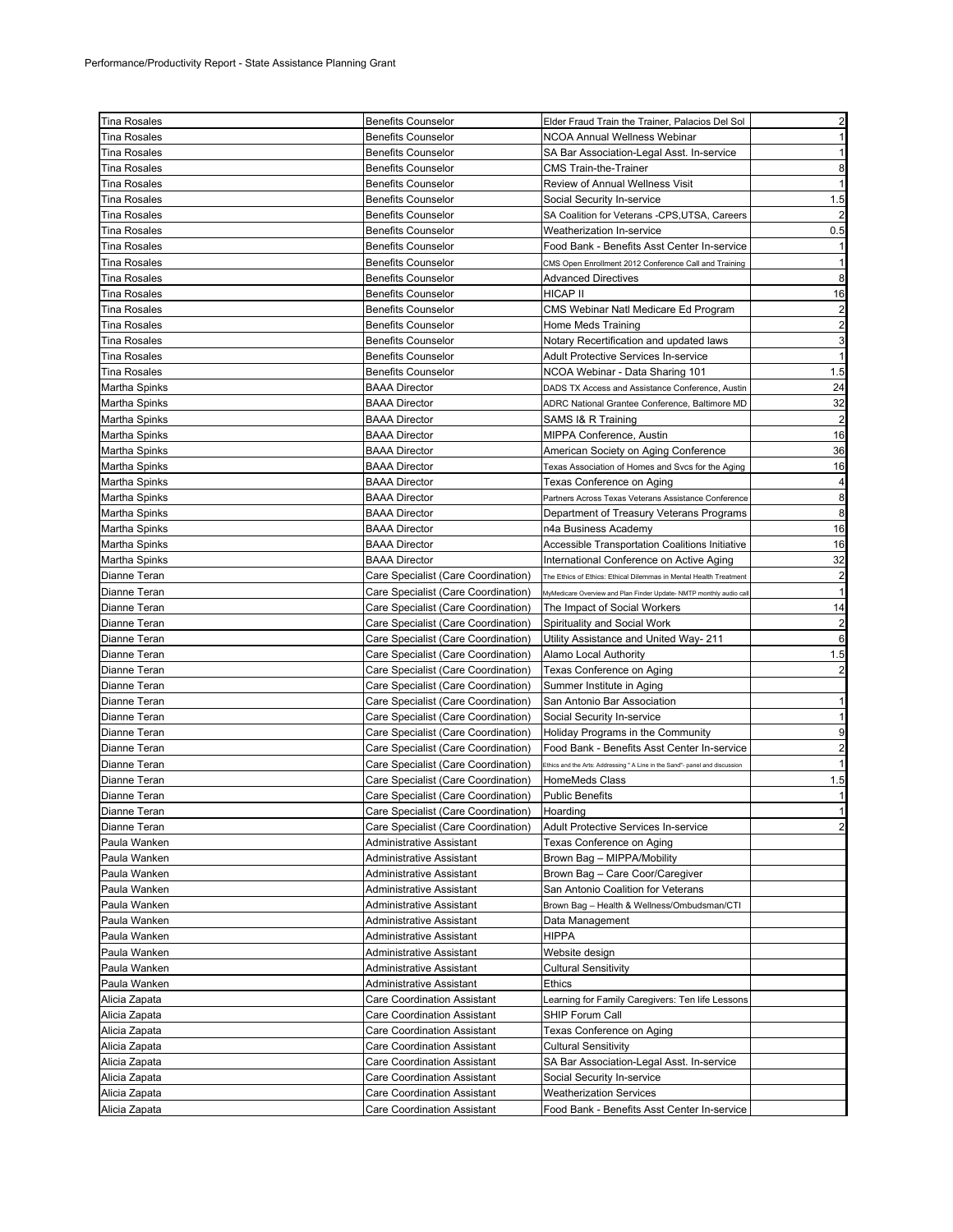| <b>Tina Rosales</b>  | <b>Benefits Counselor</b>                    | Elder Fraud Train the Trainer, Palacios Del Sol                             | $\overline{2}$ |
|----------------------|----------------------------------------------|-----------------------------------------------------------------------------|----------------|
| Tina Rosales         | <b>Benefits Counselor</b>                    | <b>NCOA Annual Wellness Webinar</b>                                         | 1              |
| <b>Tina Rosales</b>  | <b>Benefits Counselor</b>                    | SA Bar Association-Legal Asst. In-service                                   | 1              |
| Tina Rosales         | <b>Benefits Counselor</b>                    | <b>CMS Train-the-Trainer</b>                                                | 8              |
| <b>Tina Rosales</b>  | <b>Benefits Counselor</b>                    | Review of Annual Wellness Visit                                             | $\mathbf{1}$   |
| Tina Rosales         | <b>Benefits Counselor</b>                    | Social Security In-service                                                  | 1.5            |
| <b>Tina Rosales</b>  | <b>Benefits Counselor</b>                    | SA Coalition for Veterans -CPS, UTSA, Careers                               | $\overline{2}$ |
| Tina Rosales         | <b>Benefits Counselor</b>                    | Weatherization In-service                                                   | 0.5            |
| Tina Rosales         | <b>Benefits Counselor</b>                    | Food Bank - Benefits Asst Center In-service                                 |                |
| Tina Rosales         | <b>Benefits Counselor</b>                    | CMS Open Enrollment 2012 Conference Call and Training                       | 1              |
| <b>Tina Rosales</b>  | <b>Benefits Counselor</b>                    | <b>Advanced Directives</b>                                                  | 8              |
| Tina Rosales         | <b>Benefits Counselor</b>                    | HICAP II                                                                    | 16             |
| Tina Rosales         | <b>Benefits Counselor</b>                    | CMS Webinar Natl Medicare Ed Program                                        | 2              |
| <b>Tina Rosales</b>  | <b>Benefits Counselor</b>                    | Home Meds Training                                                          | $\overline{2}$ |
| Tina Rosales         | <b>Benefits Counselor</b>                    | Notary Recertification and updated laws                                     | 3              |
| <b>Tina Rosales</b>  | <b>Benefits Counselor</b>                    | Adult Protective Services In-service                                        | 1              |
| Tina Rosales         | <b>Benefits Counselor</b>                    | NCOA Webinar - Data Sharing 101                                             | 1.5            |
| Martha Spinks        | <b>BAAA Director</b>                         | DADS TX Access and Assistance Conference, Austin                            | 24             |
| Martha Spinks        | <b>BAAA Director</b>                         | ADRC National Grantee Conference, Baltimore MD                              | 32             |
| Martha Spinks        | <b>BAAA Director</b>                         | SAMS I& R Training                                                          | $\overline{c}$ |
| Martha Spinks        | <b>BAAA Director</b>                         | MIPPA Conference, Austin                                                    | 16             |
| Martha Spinks        | <b>BAAA Director</b>                         | American Society on Aging Conference                                        | 36             |
| Martha Spinks        | <b>BAAA Director</b>                         | Texas Association of Homes and Svcs for the Aging                           | 16             |
| Martha Spinks        | <b>BAAA Director</b>                         | Texas Conference on Aging                                                   | $\overline{a}$ |
| <b>Martha Spinks</b> | <b>BAAA Director</b>                         | Partners Across Texas Veterans Assistance Conference                        | 8              |
| Martha Spinks        | <b>BAAA Director</b>                         | Department of Treasury Veterans Programs                                    | 8              |
| Martha Spinks        | <b>BAAA Director</b>                         | n4a Business Academy                                                        | 16             |
| Martha Spinks        | <b>BAAA Director</b>                         | <b>Accessible Transportation Coalitions Initiative</b>                      | 16             |
| Martha Spinks        | <b>BAAA Director</b>                         | International Conference on Active Aging                                    | 32             |
| Dianne Teran         | Care Specialist (Care Coordination)          | The Ethics of Ethics: Ethical Dilemmas in Mental Health Treatment           | $\overline{a}$ |
| Dianne Teran         | Care Specialist (Care Coordination)          | MyMedicare Overview and Plan Finder Update- NMTP monthly audio cal          | $\mathbf{1}$   |
| Dianne Teran         | Care Specialist (Care Coordination)          | The Impact of Social Workers                                                | 14             |
| Dianne Teran         | Care Specialist (Care Coordination)          | Spirituality and Social Work                                                | $\mathbf{2}$   |
| Dianne Teran         | Care Specialist (Care Coordination)          | Utility Assistance and United Way- 211                                      | 6              |
| Dianne Teran         | Care Specialist (Care Coordination)          | Alamo Local Authority                                                       | 1.5            |
| Dianne Teran         | Care Specialist (Care Coordination)          | Texas Conference on Aging                                                   | $\overline{c}$ |
| Dianne Teran         | Care Specialist (Care Coordination)          | Summer Institute in Aging                                                   |                |
| Dianne Teran         | Care Specialist (Care Coordination)          | San Antonio Bar Association                                                 | 1              |
| Dianne Teran         | Care Specialist (Care Coordination)          | Social Security In-service                                                  | $\mathbf{1}$   |
| Dianne Teran         | Care Specialist (Care Coordination)          | Holiday Programs in the Community                                           | 9              |
| Dianne Teran         | Care Specialist (Care Coordination)          | Food Bank - Benefits Asst Center In-service                                 | $\overline{a}$ |
| Dianne Teran         | Care Specialist (Care Coordination)          | Ethics and the Arts: Addressing " A Line in the Sand"- panel and discussion | $\mathbf{1}$   |
| Dianne Teran         | Care Specialist (Care Coordination)          | <b>HomeMeds Class</b>                                                       | 1.5            |
| Dianne Teran         | Care Specialist (Care Coordination)          | <b>Public Benefits</b>                                                      | 1              |
| Dianne Teran         | Care Specialist (Care Coordination) Hoarding |                                                                             |                |
| Dianne Teran         | Care Specialist (Care Coordination)          | Adult Protective Services In-service                                        | $\overline{a}$ |
| Paula Wanken         | Administrative Assistant                     | Texas Conference on Aging                                                   |                |
| Paula Wanken         | <b>Administrative Assistant</b>              | Brown Bag - MIPPA/Mobility                                                  |                |
| Paula Wanken         | Administrative Assistant                     | Brown Bag - Care Coor/Caregiver                                             |                |
| Paula Wanken         | Administrative Assistant                     | San Antonio Coalition for Veterans                                          |                |
| Paula Wanken         | Administrative Assistant                     | Brown Bag - Health & Wellness/Ombudsman/CTI                                 |                |
| Paula Wanken         | Administrative Assistant                     | Data Management                                                             |                |
| Paula Wanken         | Administrative Assistant                     | HIPPA                                                                       |                |
| Paula Wanken         | Administrative Assistant                     | Website design                                                              |                |
| Paula Wanken         | Administrative Assistant                     | Cultural Sensitivity                                                        |                |
| Paula Wanken         | Administrative Assistant                     | <b>Ethics</b>                                                               |                |
| Alicia Zapata        | Care Coordination Assistant                  | Learning for Family Caregivers: Ten life Lessons                            |                |
| Alicia Zapata        | <b>Care Coordination Assistant</b>           | SHIP Forum Call                                                             |                |
| Alicia Zapata        | <b>Care Coordination Assistant</b>           | Texas Conference on Aging                                                   |                |
| Alicia Zapata        | Care Coordination Assistant                  | <b>Cultural Sensitivity</b>                                                 |                |
| Alicia Zapata        | <b>Care Coordination Assistant</b>           | SA Bar Association-Legal Asst. In-service                                   |                |
| Alicia Zapata        | Care Coordination Assistant                  | Social Security In-service                                                  |                |
| Alicia Zapata        | Care Coordination Assistant                  | Weatherization Services                                                     |                |
| Alicia Zapata        | <b>Care Coordination Assistant</b>           | Food Bank - Benefits Asst Center In-service                                 |                |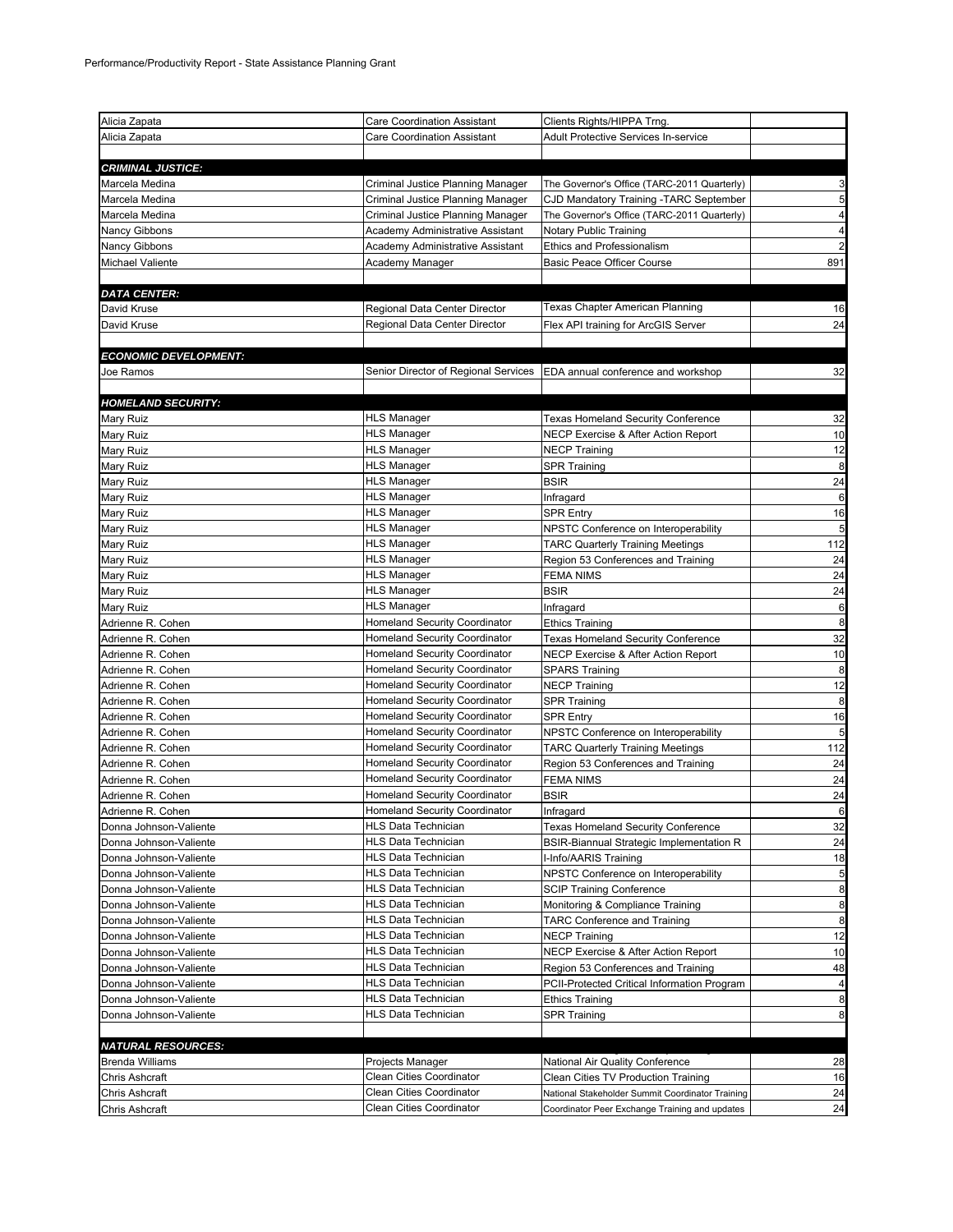| Alicia Zapata                                    | <b>Care Coordination Assistant</b>                | Clients Rights/HIPPA Trng.                                                |                      |
|--------------------------------------------------|---------------------------------------------------|---------------------------------------------------------------------------|----------------------|
| Alicia Zapata                                    | <b>Care Coordination Assistant</b>                | <b>Adult Protective Services In-service</b>                               |                      |
|                                                  |                                                   |                                                                           |                      |
| <b>CRIMINAL JUSTICE:</b>                         |                                                   |                                                                           |                      |
| Marcela Medina                                   | Criminal Justice Planning Manager                 | The Governor's Office (TARC-2011 Quarterly)                               | 3                    |
| Marcela Medina                                   | Criminal Justice Planning Manager                 | CJD Mandatory Training -TARC September                                    | 5                    |
| Marcela Medina                                   | Criminal Justice Planning Manager                 | The Governor's Office (TARC-2011 Quarterly)                               | 4                    |
| Nancy Gibbons                                    | Academy Administrative Assistant                  | Notary Public Training                                                    | 4                    |
| Nancy Gibbons                                    | Academy Administrative Assistant                  | Ethics and Professionalism                                                | $\overline{c}$       |
| Michael Valiente                                 | Academy Manager                                   | <b>Basic Peace Officer Course</b>                                         | 891                  |
|                                                  |                                                   |                                                                           |                      |
| <b>DATA CENTER:</b>                              |                                                   |                                                                           |                      |
| David Kruse                                      | Regional Data Center Director                     | Texas Chapter American Planning                                           | 16                   |
| David Kruse                                      | Regional Data Center Director                     | Flex API training for ArcGIS Server                                       | 24                   |
|                                                  |                                                   |                                                                           |                      |
| <b>ECONOMIC DEVELOPMENT:</b>                     |                                                   |                                                                           |                      |
| Joe Ramos                                        | Senior Director of Regional Services              | EDA annual conference and workshop                                        | 32                   |
|                                                  |                                                   |                                                                           |                      |
| <b>HOMELAND SECURITY:</b>                        | HLS Manager                                       |                                                                           |                      |
| Mary Ruiz                                        | <b>HLS Manager</b>                                | <b>Texas Homeland Security Conference</b>                                 | 32                   |
| Mary Ruiz                                        | <b>HLS Manager</b>                                | NECP Exercise & After Action Report                                       | 10                   |
| Mary Ruiz                                        | <b>HLS Manager</b>                                | <b>NECP Training</b>                                                      | 12<br>8              |
| Mary Ruiz                                        | <b>HLS Manager</b>                                | SPR Training<br><b>BSIR</b>                                               | 24                   |
| Mary Ruiz<br>Mary Ruiz                           | <b>HLS Manager</b>                                |                                                                           | 6                    |
| Mary Ruiz                                        | <b>HLS Manager</b>                                | Infragard<br><b>SPR Entry</b>                                             | 16                   |
| Mary Ruiz                                        | <b>HLS Manager</b>                                | NPSTC Conference on Interoperability                                      | 5                    |
| Mary Ruiz                                        | <b>HLS Manager</b>                                | <b>TARC Quarterly Training Meetings</b>                                   | 112                  |
| Mary Ruiz                                        | <b>HLS Manager</b>                                | Region 53 Conferences and Training                                        | 24                   |
| Mary Ruiz                                        | <b>HLS Manager</b>                                | <b>FEMA NIMS</b>                                                          | 24                   |
| Mary Ruiz                                        | <b>HLS Manager</b>                                | <b>BSIR</b>                                                               | 24                   |
| Mary Ruiz                                        | <b>HLS Manager</b>                                | Infragard                                                                 | 6                    |
| Adrienne R. Cohen                                | Homeland Security Coordinator                     | <b>Ethics Training</b>                                                    | 8                    |
| Adrienne R. Cohen                                | Homeland Security Coordinator                     | <b>Texas Homeland Security Conference</b>                                 | 32                   |
| Adrienne R. Cohen                                | Homeland Security Coordinator                     | NECP Exercise & After Action Report                                       | 10                   |
| Adrienne R. Cohen                                | <b>Homeland Security Coordinator</b>              | <b>SPARS Training</b>                                                     | 8                    |
| Adrienne R. Cohen                                | Homeland Security Coordinator                     | <b>NECP Training</b>                                                      | 12                   |
| Adrienne R. Cohen                                | Homeland Security Coordinator                     | <b>SPR Training</b>                                                       | 8                    |
| Adrienne R. Cohen                                | <b>Homeland Security Coordinator</b>              | <b>SPR Entry</b>                                                          | 16                   |
| Adrienne R. Cohen                                | <b>Homeland Security Coordinator</b>              | NPSTC Conference on Interoperability                                      | 5                    |
| Adrienne R. Cohen                                | <b>Homeland Security Coordinator</b>              | <b>TARC Quarterly Training Meetings</b>                                   | 112                  |
| Adrienne R. Cohen                                | <b>Homeland Security Coordinator</b>              | Region 53 Conferences and Training                                        | 24                   |
| Adrienne R. Cohen                                | Homeland Security Coordinator                     | <b>FEMA NIMS</b>                                                          | 24                   |
| Adrienne R. Cohen                                | <b>Homeland Security Coordinator</b>              | <b>BSIR</b>                                                               | 24                   |
| Adrienne R. Cohen                                | <b>Homeland Security Coordinator</b>              | Infragard                                                                 | 6                    |
| Donna Johnson-Valiente                           | HLS Data Technician                               | <b>Texas Homeland Security Conference</b>                                 | 32                   |
| Donna Johnson-Valiente                           | HLS Data Technician                               | BSIR-Biannual Strategic Implementation R                                  | 24                   |
| Donna Johnson-Valiente                           | HLS Data Technician                               | I-Info/AARIS Training                                                     | 18                   |
| Donna Johnson-Valiente                           | <b>HLS Data Technician</b>                        | NPSTC Conference on Interoperability                                      | 5                    |
| Donna Johnson-Valiente                           | <b>HLS Data Technician</b>                        | <b>SCIP Training Conference</b>                                           | 8                    |
| Donna Johnson-Valiente                           | HLS Data Technician                               | Monitoring & Compliance Training                                          | 8                    |
| Donna Johnson-Valiente                           | <b>HLS Data Technician</b>                        | <b>TARC Conference and Training</b>                                       | 8                    |
| Donna Johnson-Valiente                           | <b>HLS Data Technician</b><br>HLS Data Technician | <b>NECP Training</b>                                                      | 12                   |
| Donna Johnson-Valiente                           | HLS Data Technician                               | NECP Exercise & After Action Report<br>Region 53 Conferences and Training | 10                   |
| Donna Johnson-Valiente<br>Donna Johnson-Valiente | HLS Data Technician                               | PCII-Protected Critical Information Program                               | 48<br>$\overline{a}$ |
|                                                  | HLS Data Technician                               |                                                                           | 8                    |
| Donna Johnson-Valiente<br>Donna Johnson-Valiente | HLS Data Technician                               | <b>Ethics Training</b><br><b>SPR Training</b>                             | 8                    |
|                                                  |                                                   |                                                                           |                      |
| <b>NATURAL RESOURCES:</b>                        |                                                   |                                                                           |                      |
| <b>Brenda Williams</b>                           | Projects Manager                                  | National Air Quality Conference                                           | 28                   |
| Chris Ashcraft                                   | Clean Cities Coordinator                          | Clean Cities TV Production Training                                       | 16                   |
| Chris Ashcraft                                   | Clean Cities Coordinator                          | National Stakeholder Summit Coordinator Training                          | 24                   |
| Chris Ashcraft                                   | Clean Cities Coordinator                          | Coordinator Peer Exchange Training and updates                            | 24                   |
|                                                  |                                                   |                                                                           |                      |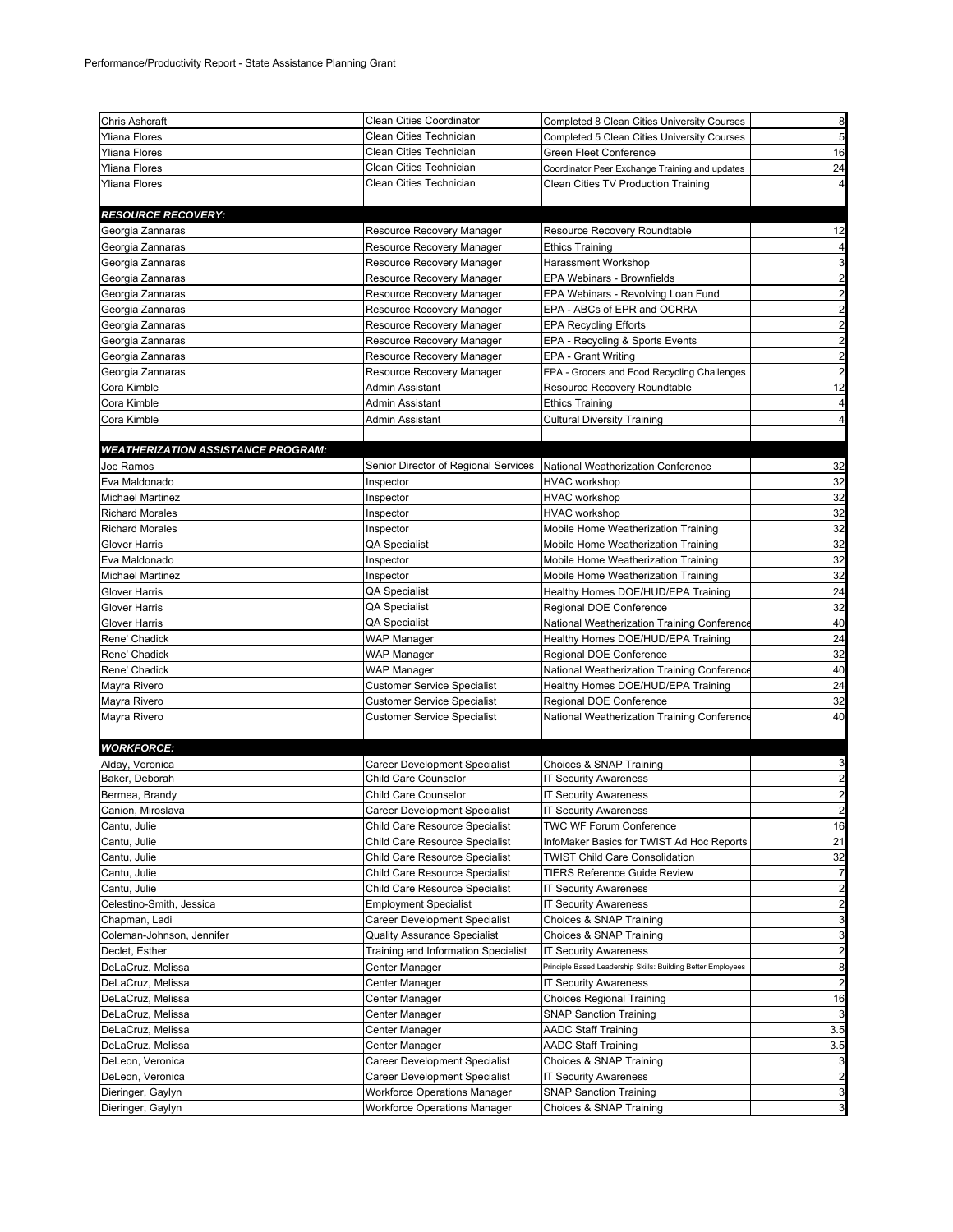| Chris Ashcraft                            | Clean Cities Coordinator             | Completed 8 Clean Cities University Courses                  | 8                       |
|-------------------------------------------|--------------------------------------|--------------------------------------------------------------|-------------------------|
| Yliana Flores                             | Clean Cities Technician              | Completed 5 Clean Cities University Courses                  | 5                       |
| Yliana Flores                             | Clean Cities Technician              | Green Fleet Conference                                       | 16                      |
| Yliana Flores                             | Clean Cities Technician              | Coordinator Peer Exchange Training and updates               | 24                      |
| Yliana Flores                             | Clean Cities Technician              | Clean Cities TV Production Training                          | $\overline{4}$          |
|                                           |                                      |                                                              |                         |
| <b>RESOURCE RECOVERY:</b>                 |                                      |                                                              |                         |
| Georgia Zannaras                          | Resource Recovery Manager            | Resource Recovery Roundtable                                 | 12                      |
| Georgia Zannaras                          | Resource Recovery Manager            | <b>Ethics Training</b>                                       | 4                       |
| Georgia Zannaras                          | Resource Recovery Manager            | Harassment Workshop                                          | 3                       |
| Georgia Zannaras                          | Resource Recovery Manager            | EPA Webinars - Brownfields                                   | $\overline{a}$          |
| Georgia Zannaras                          | Resource Recovery Manager            | EPA Webinars - Revolving Loan Fund                           | $\overline{a}$          |
| Georgia Zannaras                          | Resource Recovery Manager            | EPA - ABCs of EPR and OCRRA                                  | $\overline{a}$          |
| Georgia Zannaras                          | Resource Recovery Manager            | <b>EPA Recycling Efforts</b>                                 | $\overline{a}$          |
| Georgia Zannaras                          | Resource Recovery Manager            | EPA - Recycling & Sports Events                              | $\overline{a}$          |
| Georgia Zannaras                          | Resource Recovery Manager            | EPA - Grant Writing                                          | $\overline{a}$          |
| Georgia Zannaras                          | Resource Recovery Manager            | EPA - Grocers and Food Recycling Challenges                  | $\overline{\mathbf{c}}$ |
| Cora Kimble                               | Admin Assistant                      | Resource Recovery Roundtable                                 | 12                      |
| Cora Kimble                               | Admin Assistant                      | <b>Ethics Training</b>                                       | 4                       |
| Cora Kimble                               | Admin Assistant                      | <b>Cultural Diversity Training</b>                           | $\overline{4}$          |
|                                           |                                      |                                                              |                         |
| <b>WEATHERIZATION ASSISTANCE PROGRAM:</b> |                                      |                                                              |                         |
| Joe Ramos                                 | Senior Director of Regional Services | National Weatherization Conference                           | 32                      |
| Eva Maldonado                             | Inspector                            | <b>HVAC workshop</b>                                         | 32                      |
| Michael Martinez                          | Inspector                            | <b>HVAC</b> workshop                                         | 32                      |
| <b>Richard Morales</b>                    | Inspector                            | <b>HVAC</b> workshop                                         | 32                      |
| <b>Richard Morales</b>                    | Inspector                            | Mobile Home Weatherization Training                          | 32                      |
| Glover Harris                             | QA Specialist                        | Mobile Home Weatherization Training                          | 32                      |
| Eva Maldonado                             | Inspector                            | Mobile Home Weatherization Training                          | 32                      |
| <b>Michael Martinez</b>                   | Inspector                            | Mobile Home Weatherization Training                          | 32                      |
| Glover Harris                             | QA Specialist                        | Healthy Homes DOE/HUD/EPA Training                           | 24                      |
| Glover Harris                             | QA Specialist                        | Regional DOE Conference                                      | 32                      |
| Glover Harris                             | QA Specialist                        | National Weatherization Training Conference                  | 40                      |
| Rene' Chadick                             | <b>WAP Manager</b>                   | Healthy Homes DOE/HUD/EPA Training                           | 24                      |
| Rene' Chadick                             | WAP Manager                          | Regional DOE Conference                                      | 32                      |
| Rene' Chadick                             | <b>WAP Manager</b>                   | National Weatherization Training Conference                  | 40                      |
| Mayra Rivero                              | <b>Customer Service Specialist</b>   | Healthy Homes DOE/HUD/EPA Training                           | 24                      |
| Mayra Rivero                              | <b>Customer Service Specialist</b>   | Regional DOE Conference                                      | 32                      |
| Mayra Rivero                              | <b>Customer Service Specialist</b>   | National Weatherization Training Conference                  | 40                      |
|                                           |                                      |                                                              |                         |
| <b>WORKFORCE:</b>                         |                                      |                                                              |                         |
| Alday, Veronica                           | Career Development Specialist        | Choices & SNAP Training                                      | 3                       |
| Baker, Deborah                            | Child Care Counselor                 | <b>IT Security Awareness</b>                                 | $\overline{\mathbf{c}}$ |
| Bermea, Brandy                            | Child Care Counselor                 | <b>IT Security Awareness</b>                                 | $\overline{\mathbf{c}}$ |
| Canion, Miroslava                         | Career Development Specialist        | <b>IT Security Awareness</b>                                 |                         |
| Cantu, Julie                              | Child Care Resource Specialist       | <b>TWC WF Forum Conference</b>                               | 16                      |
| Cantu, Julie                              | Child Care Resource Specialist       | InfoMaker Basics for TWIST Ad Hoc Reports                    | 21                      |
| Cantu, Julie                              | Child Care Resource Specialist       | <b>TWIST Child Care Consolidation</b>                        | 32                      |
| Cantu, Julie                              | Child Care Resource Specialist       | <b>TIERS Reference Guide Review</b>                          | $\overline{7}$          |
| Cantu, Julie                              | Child Care Resource Specialist       | <b>IT Security Awareness</b>                                 | $\overline{\mathbf{c}}$ |
| Celestino-Smith, Jessica                  | Employment Specialist                | <b>IT Security Awareness</b>                                 | $\overline{\mathbf{c}}$ |
| Chapman, Ladi                             | <b>Career Development Specialist</b> | Choices & SNAP Training                                      | 3                       |
| Coleman-Johnson, Jennifer                 | <b>Quality Assurance Specialist</b>  | Choices & SNAP Training                                      | 3                       |
| Declet, Esther                            | Training and Information Specialist  | <b>IT Security Awareness</b>                                 | $\overline{\mathbf{c}}$ |
| DeLaCruz, Melissa                         | Center Manager                       | Principle Based Leadership Skills: Building Better Employees | 8                       |
| DeLaCruz, Melissa                         | Center Manager                       | <b>IT Security Awareness</b>                                 | $\overline{\mathbf{c}}$ |
| DeLaCruz, Melissa                         | Center Manager                       | <b>Choices Regional Training</b>                             | 16                      |
| DeLaCruz, Melissa                         | Center Manager                       | <b>SNAP Sanction Training</b>                                | 3                       |
| DeLaCruz, Melissa                         | Center Manager                       | <b>AADC Staff Training</b>                                   | 3.5                     |
| DeLaCruz, Melissa                         | Center Manager                       | <b>AADC Staff Training</b>                                   | 3.5                     |
| DeLeon, Veronica                          | <b>Career Development Specialist</b> | Choices & SNAP Training                                      | 3                       |
| DeLeon, Veronica                          | Career Development Specialist        | <b>IT Security Awareness</b>                                 | $\overline{\mathbf{c}}$ |
| Dieringer, Gaylyn                         | Workforce Operations Manager         | <b>SNAP Sanction Training</b>                                | 3                       |
| Dieringer, Gaylyn                         | <b>Workforce Operations Manager</b>  | Choices & SNAP Training                                      | 3                       |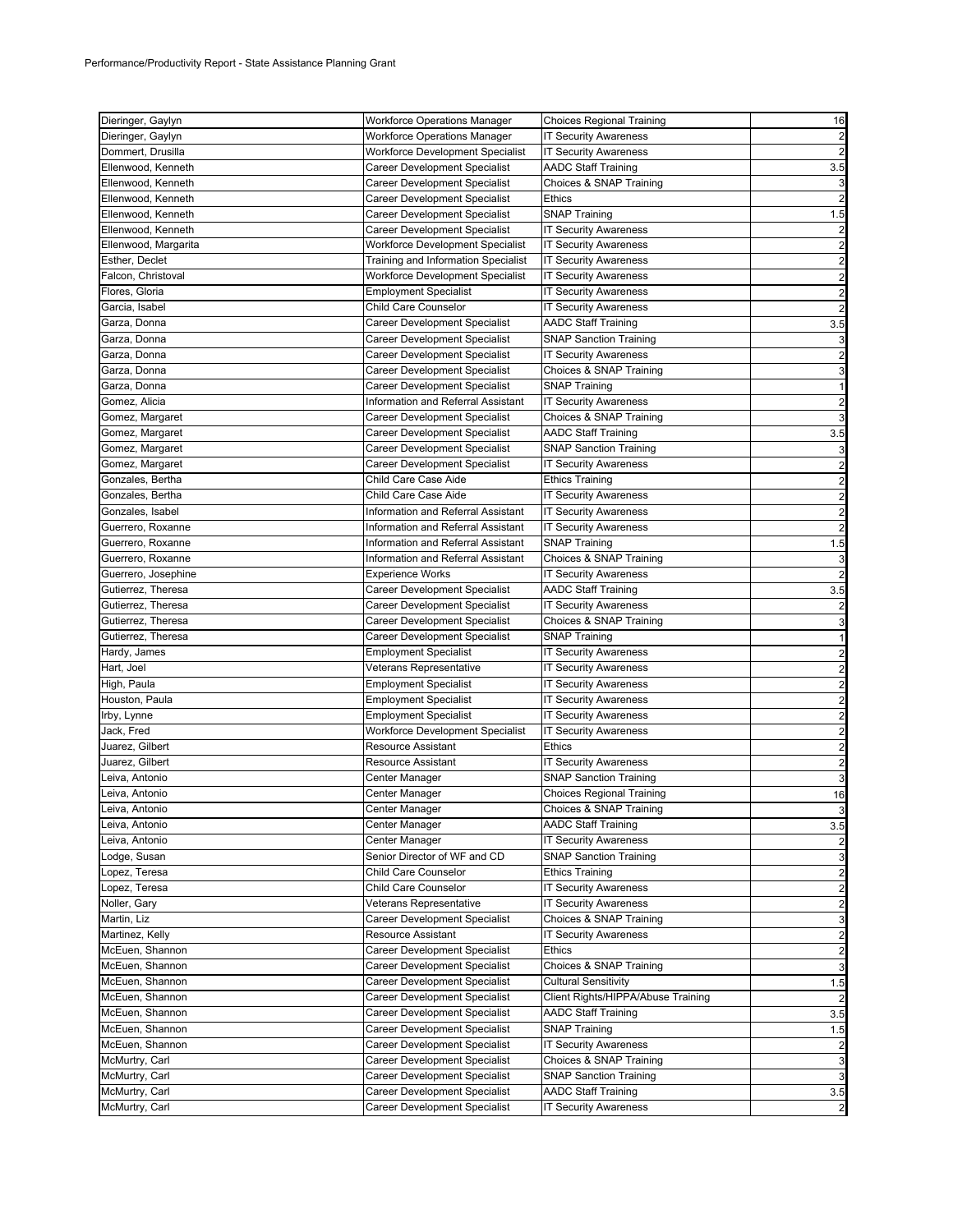| Dieringer, Gaylyn                | <b>Workforce Operations Manager</b>                            | <b>Choices Regional Training</b>                           | 16                      |
|----------------------------------|----------------------------------------------------------------|------------------------------------------------------------|-------------------------|
| Dieringer, Gaylyn                | <b>Workforce Operations Manager</b>                            | <b>IT Security Awareness</b>                               | 2                       |
| Dommert, Drusilla                | Workforce Development Specialist                               | <b>IT Security Awareness</b>                               |                         |
| Ellenwood, Kenneth               | Career Development Specialist                                  | <b>AADC Staff Training</b>                                 | 3.5                     |
| Ellenwood, Kenneth               | Career Development Specialist                                  | Choices & SNAP Training                                    | 3                       |
| Ellenwood, Kenneth               | Career Development Specialist                                  | <b>Ethics</b>                                              |                         |
| Ellenwood, Kenneth               | Career Development Specialist                                  | <b>SNAP Training</b>                                       | 1.5                     |
| Ellenwood, Kenneth               | Career Development Specialist                                  | <b>IT Security Awareness</b>                               |                         |
| Ellenwood, Margarita             | Workforce Development Specialist                               | <b>IT Security Awareness</b>                               | $\overline{c}$          |
| Esther, Declet                   | Training and Information Specialist                            | <b>IT Security Awareness</b>                               | $\overline{c}$          |
| Falcon, Christoval               | Workforce Development Specialist                               | <b>IT Security Awareness</b>                               | $\overline{c}$          |
| Flores, Gloria                   | <b>Employment Specialist</b>                                   | <b>IT Security Awareness</b>                               | $\overline{a}$          |
| Garcia, Isabel                   | Child Care Counselor                                           | <b>IT Security Awareness</b>                               |                         |
| Garza, Donna                     | Career Development Specialist                                  | <b>AADC Staff Training</b>                                 | 3.5                     |
| Garza, Donna                     | Career Development Specialist                                  | <b>SNAP Sanction Training</b>                              |                         |
| Garza, Donna                     | Career Development Specialist                                  | <b>IT Security Awareness</b>                               | 2                       |
| Garza, Donna                     | Career Development Specialist                                  | Choices & SNAP Training                                    | 3                       |
| Garza, Donna                     | Career Development Specialist                                  | <b>SNAP Training</b>                                       | 1                       |
| Gomez, Alicia                    | Information and Referral Assistant                             | <b>IT Security Awareness</b>                               | 2                       |
| Gomez, Margaret                  | Career Development Specialist                                  | Choices & SNAP Training                                    |                         |
| Gomez, Margaret                  | Career Development Specialist                                  | <b>AADC Staff Training</b>                                 | 3.5                     |
| Gomez, Margaret                  | Career Development Specialist                                  | <b>SNAP Sanction Training</b>                              |                         |
| Gomez, Margaret                  | Career Development Specialist                                  | <b>IT Security Awareness</b>                               | $\overline{a}$          |
| Gonzales, Bertha                 | Child Care Case Aide                                           | <b>Ethics Training</b>                                     | $\overline{\mathbf{c}}$ |
| Gonzales, Bertha                 | Child Care Case Aide                                           | <b>IT Security Awareness</b>                               | $\overline{a}$          |
| Gonzales, Isabel                 | Information and Referral Assistant                             | <b>IT Security Awareness</b>                               | $\overline{a}$          |
| Guerrero, Roxanne                | Information and Referral Assistant                             | <b>IT Security Awareness</b>                               |                         |
| Guerrero, Roxanne                | Information and Referral Assistant                             | <b>SNAP Training</b>                                       | 1.5                     |
| Guerrero, Roxanne                | Information and Referral Assistant                             | Choices & SNAP Training                                    | 3                       |
| Guerrero, Josephine              | <b>Experience Works</b>                                        | <b>IT Security Awareness</b>                               |                         |
| Gutierrez, Theresa               | Career Development Specialist                                  | <b>AADC Staff Training</b>                                 | 3.5                     |
| Gutierrez, Theresa               | Career Development Specialist                                  | <b>IT Security Awareness</b>                               |                         |
|                                  |                                                                |                                                            |                         |
|                                  |                                                                |                                                            |                         |
| Gutierrez, Theresa               | Career Development Specialist                                  | Choices & SNAP Training                                    | 3                       |
| Gutierrez, Theresa               | Career Development Specialist                                  | <b>SNAP Training</b>                                       |                         |
| Hardy, James                     | <b>Employment Specialist</b>                                   | <b>IT Security Awareness</b>                               | $\overline{c}$          |
| Hart, Joel                       | Veterans Representative                                        | <b>IT Security Awareness</b>                               | $\overline{c}$          |
| High, Paula                      | <b>Employment Specialist</b>                                   | <b>IT Security Awareness</b>                               | $\overline{c}$          |
| Houston, Paula                   | <b>Employment Specialist</b>                                   | <b>IT Security Awareness</b>                               | $\overline{\mathbf{c}}$ |
| Irby, Lynne                      | <b>Employment Specialist</b>                                   | <b>IT Security Awareness</b>                               | $\overline{c}$          |
| Jack, Fred                       | Workforce Development Specialist                               | <b>IT Security Awareness</b>                               | 2                       |
| Juarez, Gilbert                  | <b>Resource Assistant</b>                                      | <b>Ethics</b>                                              | $\overline{c}$          |
| Juarez, Gilbert                  | Resource Assistant                                             | <b>IT Security Awareness</b>                               | $\overline{a}$          |
| Leiva, Antonio                   | Center Manager                                                 | <b>SNAP Sanction Training</b>                              | 3                       |
| Leiva, Antonio                   | Center Manager                                                 | <b>Choices Regional Training</b>                           | 16                      |
| Leiva, Antonio                   | Center Manager                                                 | Choices & SNAP Training                                    |                         |
| Leiva, Antonio                   | Center Manager                                                 | <b>AADC Staff Training</b>                                 | 3.5                     |
| Leiva, Antonio                   | Center Manager                                                 | <b>IT Security Awareness</b>                               |                         |
| Lodge, Susan                     | Senior Director of WF and CD                                   | <b>SNAP Sanction Training</b>                              | 3                       |
| Lopez, Teresa                    | Child Care Counselor                                           | <b>Ethics Training</b>                                     | $\overline{\mathbf{c}}$ |
| Lopez, Teresa                    | Child Care Counselor                                           | <b>IT Security Awareness</b>                               | $\overline{\mathbf{c}}$ |
| Noller, Gary                     | Veterans Representative                                        | <b>IT Security Awareness</b>                               | $\overline{\mathbf{c}}$ |
| Martin, Liz                      | <b>Career Development Specialist</b>                           | Choices & SNAP Training                                    | 3                       |
| Martinez, Kelly                  | Resource Assistant                                             | <b>IT Security Awareness</b>                               | 2                       |
| McEuen, Shannon                  | Career Development Specialist                                  | <b>Ethics</b>                                              | $\overline{\mathbf{c}}$ |
| McEuen, Shannon                  | Career Development Specialist                                  | Choices & SNAP Training                                    | 3                       |
| McEuen, Shannon                  | Career Development Specialist                                  | <b>Cultural Sensitivity</b>                                | 1.5                     |
| McEuen, Shannon                  | Career Development Specialist                                  | Client Rights/HIPPA/Abuse Training                         |                         |
| McEuen, Shannon                  | Career Development Specialist                                  | <b>AADC Staff Training</b>                                 | 3.5                     |
| McEuen, Shannon                  | <b>Career Development Specialist</b>                           | <b>SNAP Training</b>                                       | 1.5                     |
| McEuen, Shannon                  | <b>Career Development Specialist</b>                           | <b>IT Security Awareness</b>                               | $\overline{\mathbf{c}}$ |
| McMurtry, Carl                   | Career Development Specialist                                  | Choices & SNAP Training                                    | 3                       |
| McMurtry, Carl                   | <b>Career Development Specialist</b>                           | <b>SNAP Sanction Training</b>                              | 3                       |
| McMurtry, Carl<br>McMurtry, Carl | Career Development Specialist<br>Career Development Specialist | <b>AADC Staff Training</b><br><b>IT Security Awareness</b> | 3.5<br>2                |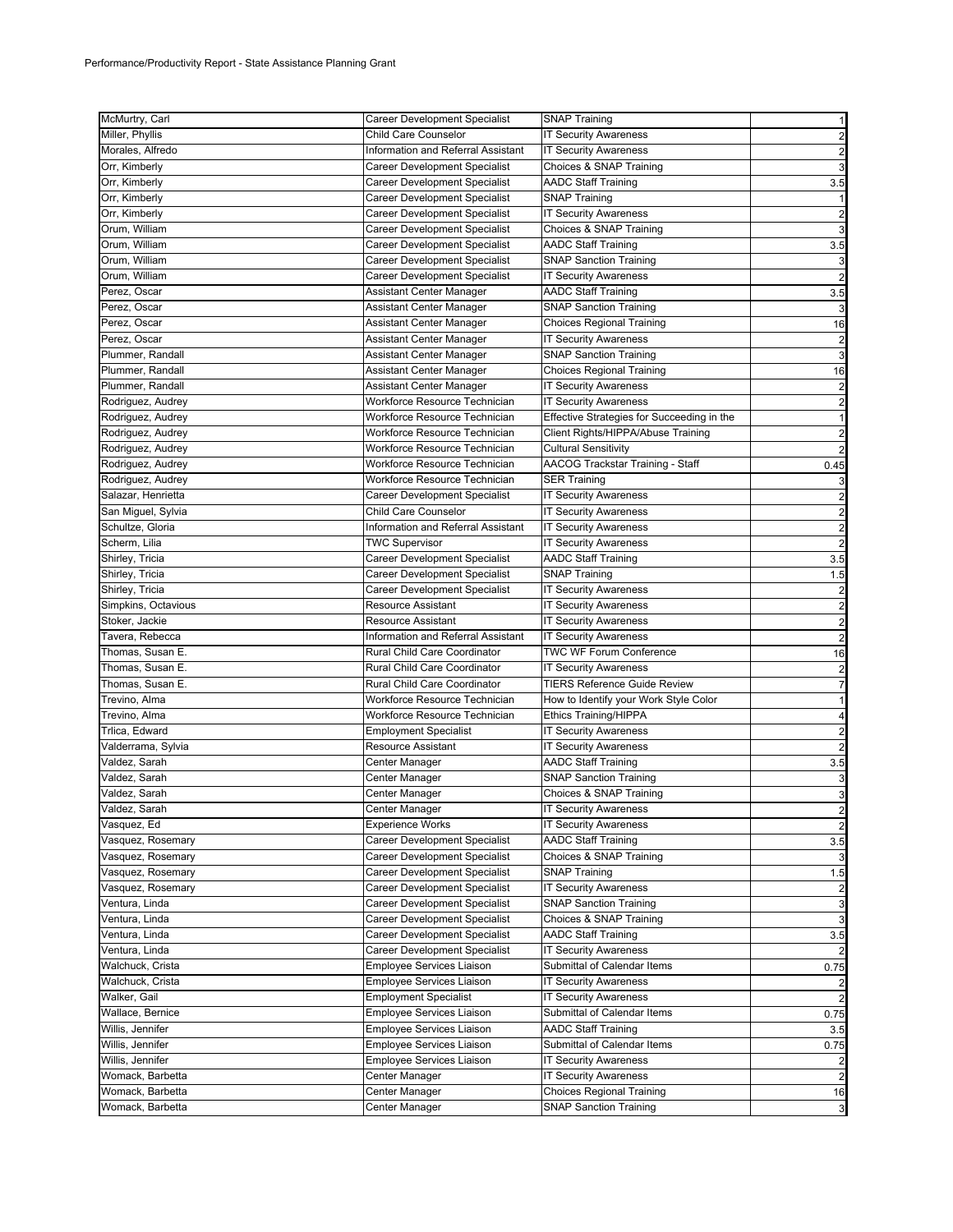| McMurtry, Carl      | Career Development Specialist        | <b>SNAP Training</b>                       | 1                                         |
|---------------------|--------------------------------------|--------------------------------------------|-------------------------------------------|
| Miller, Phyllis     | Child Care Counselor                 | <b>IT Security Awareness</b>               | $\overline{\mathbf{c}}$                   |
| Morales, Alfredo    | Information and Referral Assistant   | <b>IT Security Awareness</b>               | $\overline{\mathbf{c}}$                   |
| Orr, Kimberly       | Career Development Specialist        | Choices & SNAP Training                    | 3                                         |
| Orr, Kimberly       | Career Development Specialist        | <b>AADC Staff Training</b>                 | 3.5                                       |
| Orr, Kimberly       | Career Development Specialist        | <b>SNAP Training</b>                       | 1                                         |
| Orr, Kimberly       | <b>Career Development Specialist</b> | <b>IT Security Awareness</b>               | 2                                         |
| Orum, William       | Career Development Specialist        | Choices & SNAP Training                    | 3                                         |
| Orum, William       | Career Development Specialist        | <b>AADC Staff Training</b>                 | 3.5                                       |
| Orum, William       | Career Development Specialist        | <b>SNAP Sanction Training</b>              | 3                                         |
| Orum, William       | Career Development Specialist        | <b>IT Security Awareness</b>               | $\overline{2}$                            |
| Perez, Oscar        | Assistant Center Manager             | <b>AADC Staff Training</b>                 | 3.5                                       |
| Perez, Oscar        | Assistant Center Manager             | <b>SNAP Sanction Training</b>              | 3                                         |
| Perez, Oscar        | Assistant Center Manager             | Choices Regional Training                  | 16                                        |
| Perez, Oscar        | Assistant Center Manager             | <b>IT Security Awareness</b>               | $\overline{a}$                            |
| Plummer, Randall    | Assistant Center Manager             | <b>SNAP Sanction Training</b>              | 3                                         |
| Plummer, Randall    | Assistant Center Manager             | Choices Regional Training                  | 16                                        |
| Plummer, Randall    | Assistant Center Manager             | <b>IT Security Awareness</b>               | $\overline{\mathbf{c}}$                   |
| Rodriguez, Audrey   | Workforce Resource Technician        | <b>IT Security Awareness</b>               | $\overline{c}$                            |
| Rodriguez, Audrey   | Workforce Resource Technician        | Effective Strategies for Succeeding in the | $\mathbf{1}$                              |
| Rodriguez, Audrey   | Workforce Resource Technician        | Client Rights/HIPPA/Abuse Training         |                                           |
| Rodriguez, Audrey   | Workforce Resource Technician        | <b>Cultural Sensitivity</b>                | $\overline{\mathbf{c}}$<br>$\overline{2}$ |
| Rodriguez, Audrey   | Workforce Resource Technician        | AACOG Trackstar Training - Staff           | 0.45                                      |
| Rodriguez, Audrey   | Workforce Resource Technician        |                                            |                                           |
|                     |                                      | <b>SER Training</b>                        | 3                                         |
| Salazar, Henrietta  | Career Development Specialist        | <b>IT Security Awareness</b>               | $\overline{\mathbf{c}}$                   |
| San Miguel, Sylvia  | Child Care Counselor                 | <b>IT Security Awareness</b>               | $\overline{a}$                            |
| Schultze, Gloria    | Information and Referral Assistant   | <b>IT Security Awareness</b>               | $\overline{\mathbf{c}}$                   |
| Scherm, Lilia       | <b>TWC Supervisor</b>                | <b>IT Security Awareness</b>               | $\overline{c}$                            |
| Shirley, Tricia     | <b>Career Development Specialist</b> | <b>AADC Staff Training</b>                 | 3.5                                       |
| Shirley, Tricia     | Career Development Specialist        | <b>SNAP Training</b>                       | 1.5                                       |
| Shirley, Tricia     | Career Development Specialist        | <b>IT Security Awareness</b>               | $\overline{a}$                            |
| Simpkins, Octavious | Resource Assistant                   | <b>IT Security Awareness</b>               | $\overline{\mathbf{c}}$                   |
| Stoker, Jackie      | <b>Resource Assistant</b>            | <b>IT Security Awareness</b>               | $\overline{a}$                            |
| Tavera, Rebecca     | Information and Referral Assistant   | <b>IT Security Awareness</b>               | $\overline{\mathbf{c}}$                   |
| Thomas, Susan E.    | Rural Child Care Coordinator         | <b>TWC WF Forum Conference</b>             | 16                                        |
| Thomas, Susan E.    | Rural Child Care Coordinator         | <b>IT Security Awareness</b>               | $\overline{\mathbf{c}}$                   |
| Thomas, Susan E.    | Rural Child Care Coordinator         | <b>TIERS Reference Guide Review</b>        | $\overline{7}$                            |
| Trevino, Alma       | Workforce Resource Technician        | How to Identify your Work Style Color      | 1                                         |
| Trevino, Alma       | Workforce Resource Technician        | <b>Ethics Training/HIPPA</b>               | 4                                         |
| Trlica, Edward      | <b>Employment Specialist</b>         | <b>IT Security Awareness</b>               | $\overline{\mathbf{c}}$                   |
| Valderrama, Sylvia  | <b>Resource Assistant</b>            | <b>IT Security Awareness</b>               | $\overline{c}$                            |
| Valdez, Sarah       | Center Manager                       | <b>AADC Staff Training</b>                 | 3.5                                       |
| Valdez, Sarah       | Center Manager                       | <b>SNAP Sanction Training</b>              | 3                                         |
| Valdez, Sarah       | Center Manager                       | Choices & SNAP Training                    | 3                                         |
| Valdez, Sarah       | Center Manager                       | <b>IT Security Awareness</b>               | $\overline{a}$                            |
| Vasquez, Ed         | <b>Experience Works</b>              | <b>IT Security Awareness</b>               | $\overline{\mathbf{c}}$                   |
| Vasquez, Rosemary   | <b>Career Development Specialist</b> | <b>AADC Staff Training</b>                 | 3.5                                       |
| Vasquez, Rosemary   | Career Development Specialist        | Choices & SNAP Training                    | 3                                         |
| Vasquez, Rosemary   | Career Development Specialist        | <b>SNAP Training</b>                       | 1.5                                       |
| Vasquez, Rosemary   | Career Development Specialist        | <b>IT Security Awareness</b>               | 2                                         |
| Ventura, Linda      | Career Development Specialist        | <b>SNAP Sanction Training</b>              | 3                                         |
| Ventura, Linda      | <b>Career Development Specialist</b> | Choices & SNAP Training                    | 3                                         |
| Ventura, Linda      | Career Development Specialist        | <b>AADC Staff Training</b>                 | 3.5                                       |
| Ventura, Linda      | <b>Career Development Specialist</b> | <b>IT Security Awareness</b>               | 2                                         |
| Walchuck, Crista    | <b>Employee Services Liaison</b>     | Submittal of Calendar Items                | 0.75                                      |
| Walchuck, Crista    | Employee Services Liaison            | <b>IT Security Awareness</b>               | 2                                         |
| Walker, Gail        | <b>Employment Specialist</b>         | <b>IT Security Awareness</b>               | 2                                         |
| Wallace, Bernice    | Employee Services Liaison            | Submittal of Calendar Items                | 0.75                                      |
| Willis, Jennifer    | Employee Services Liaison            | AADC Staff Training                        | 3.5                                       |
| Willis, Jennifer    | Employee Services Liaison            | Submittal of Calendar Items                | 0.75                                      |
| Willis, Jennifer    | Employee Services Liaison            | <b>IT Security Awareness</b>               |                                           |
| Womack, Barbetta    | Center Manager                       | <b>IT Security Awareness</b>               | $\overline{a}$                            |
| Womack, Barbetta    | Center Manager                       | Choices Regional Training                  | 16                                        |
| Womack, Barbetta    | Center Manager                       | <b>SNAP Sanction Training</b>              | 3                                         |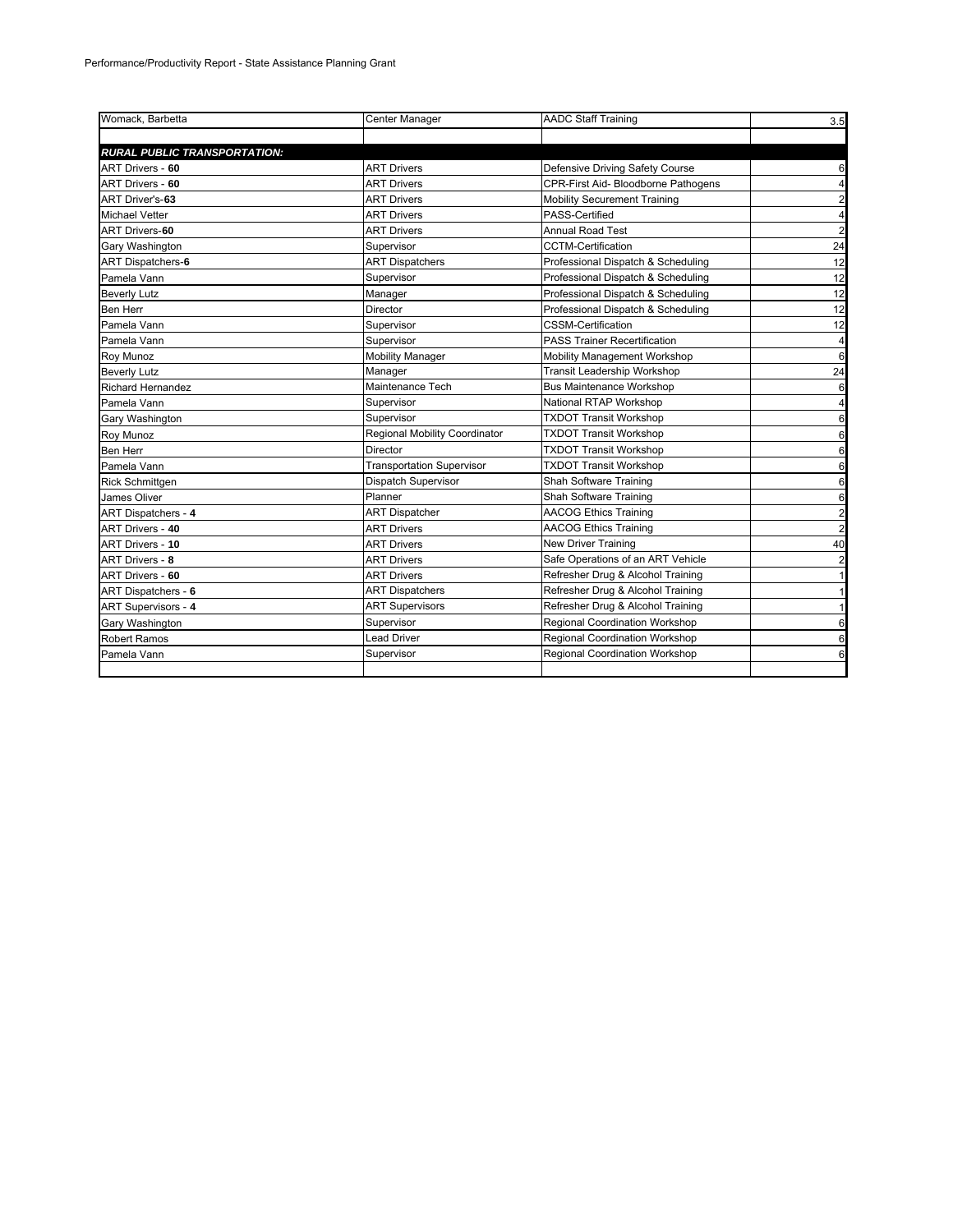| Womack, Barbetta                    | Center Manager                   | <b>AADC Staff Training</b>          | 3.5                     |
|-------------------------------------|----------------------------------|-------------------------------------|-------------------------|
|                                     |                                  |                                     |                         |
| <b>RURAL PUBLIC TRANSPORTATION:</b> |                                  |                                     |                         |
| ART Drivers - 60                    | <b>ART Drivers</b>               | Defensive Driving Safety Course     | 6                       |
| ART Drivers - 60                    | <b>ART Drivers</b>               | CPR-First Aid- Bloodborne Pathogens | $\overline{4}$          |
| ART Driver's-63                     | <b>ART Drivers</b>               | <b>Mobility Securement Training</b> | $\overline{2}$          |
| <b>Michael Vetter</b>               | <b>ART Drivers</b>               | PASS-Certified                      | $\overline{4}$          |
| <b>ART Drivers-60</b>               | <b>ART Drivers</b>               | <b>Annual Road Test</b>             | $\overline{2}$          |
| Gary Washington                     | Supervisor                       | <b>CCTM-Certification</b>           | 24                      |
| ART Dispatchers-6                   | <b>ART Dispatchers</b>           | Professional Dispatch & Scheduling  | 12                      |
| Pamela Vann                         | Supervisor                       | Professional Dispatch & Scheduling  | 12                      |
| <b>Beverly Lutz</b>                 | Manager                          | Professional Dispatch & Scheduling  | 12                      |
| Ben Herr                            | Director                         | Professional Dispatch & Scheduling  | 12                      |
| Pamela Vann                         | Supervisor                       | <b>CSSM-Certification</b>           | 12                      |
| Pamela Vann                         | Supervisor                       | <b>PASS Trainer Recertification</b> | $\overline{4}$          |
| Roy Munoz                           | <b>Mobility Manager</b>          | Mobility Management Workshop        | 6                       |
| <b>Beverly Lutz</b>                 | Manager                          | <b>Transit Leadership Workshop</b>  | 24                      |
| <b>Richard Hernandez</b>            | Maintenance Tech                 | <b>Bus Maintenance Workshop</b>     | 6                       |
| Pamela Vann                         | Supervisor                       | National RTAP Workshop              | $\overline{\mathbf{4}}$ |
| Gary Washington                     | Supervisor                       | <b>TXDOT Transit Workshop</b>       | 6                       |
| Roy Munoz                           | Regional Mobility Coordinator    | <b>TXDOT Transit Workshop</b>       | 6                       |
| <b>Ben Herr</b>                     | Director                         | <b>TXDOT Transit Workshop</b>       | 6                       |
| Pamela Vann                         | <b>Transportation Supervisor</b> | <b>TXDOT Transit Workshop</b>       | 6                       |
| <b>Rick Schmittgen</b>              | Dispatch Supervisor              | Shah Software Training              | 6                       |
| James Oliver                        | Planner                          | Shah Software Training              | 6                       |
| ART Dispatchers - 4                 | <b>ART Dispatcher</b>            | <b>AACOG Ethics Training</b>        | $\overline{a}$          |
| ART Drivers - 40                    | <b>ART Drivers</b>               | <b>AACOG Ethics Training</b>        | $\overline{a}$          |
| ART Drivers - 10                    | <b>ART Drivers</b>               | New Driver Training                 | 40                      |
| <b>ART Drivers - 8</b>              | <b>ART Drivers</b>               | Safe Operations of an ART Vehicle   | $\overline{\mathbf{c}}$ |
| ART Drivers - 60                    | <b>ART Drivers</b>               | Refresher Drug & Alcohol Training   | 1                       |
| ART Dispatchers - 6                 | <b>ART Dispatchers</b>           | Refresher Drug & Alcohol Training   | 11                      |
| ART Supervisors - 4                 | <b>ART Supervisors</b>           | Refresher Drug & Alcohol Training   | 11                      |
| Gary Washington                     | Supervisor                       | Regional Coordination Workshop      | 6                       |
| <b>Robert Ramos</b>                 | <b>Lead Driver</b>               | Regional Coordination Workshop      | 6                       |
| Pamela Vann                         | Supervisor                       | Regional Coordination Workshop      | 6                       |
|                                     |                                  |                                     |                         |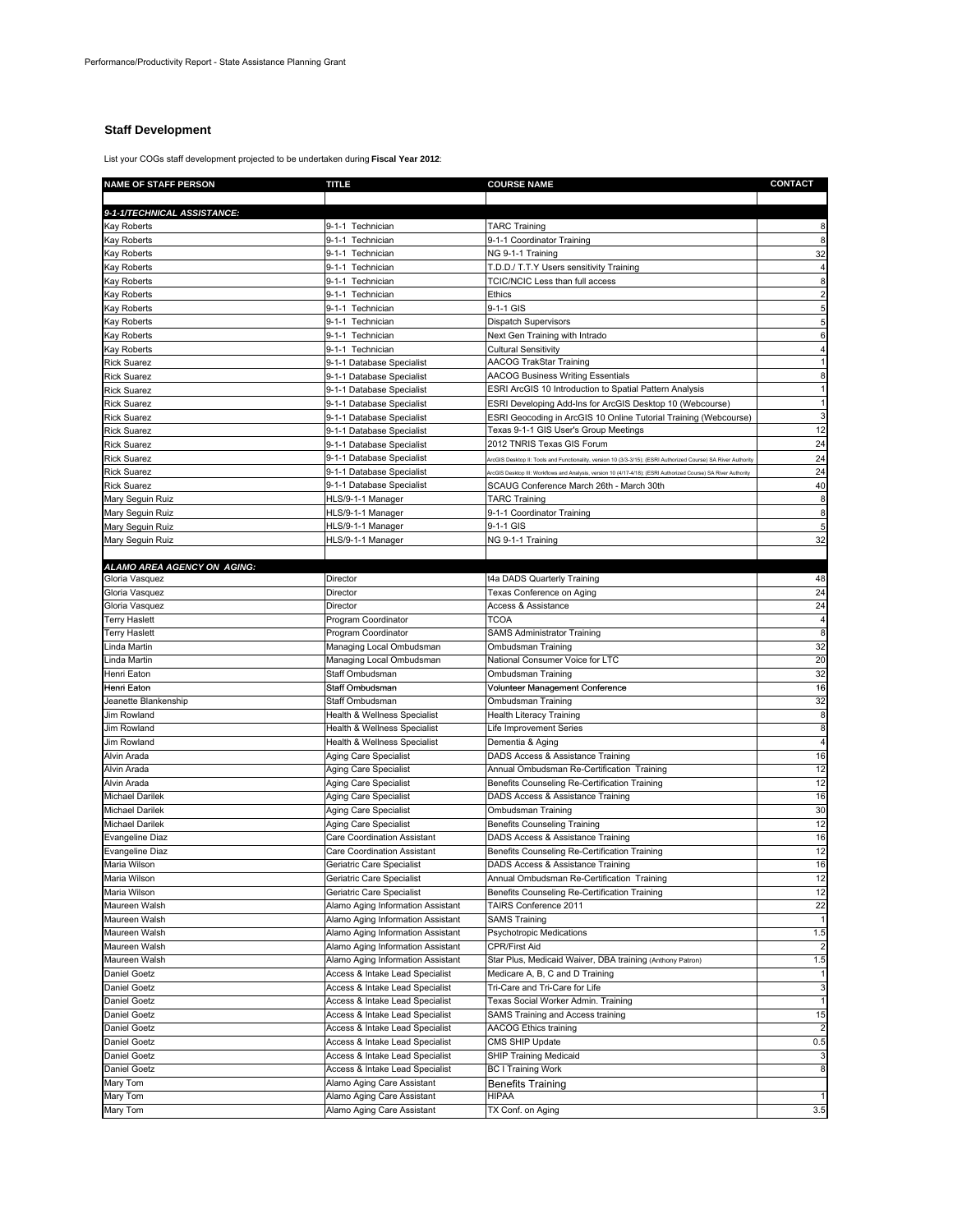# **Staff Development**

List your COGs staff development projected to be undertaken during **Fiscal Year 2012**:

| <b>NAME OF STAFF PERSON</b>          | TITLE                                       | <b>COURSE NAME</b>                                                                                             | CONTACT             |
|--------------------------------------|---------------------------------------------|----------------------------------------------------------------------------------------------------------------|---------------------|
|                                      |                                             |                                                                                                                |                     |
| 9-1-1/TECHNICAL ASSISTANCE:          |                                             |                                                                                                                |                     |
| Kay Roberts                          | 9-1-1 Technician                            | <b>TARC Training</b>                                                                                           |                     |
| Kay Roberts                          | 9-1-1 Technician                            | 9-1-1 Coordinator Training                                                                                     |                     |
| Kay Roberts                          | 9-1-1 Technician                            | NG 9-1-1 Training                                                                                              | 32                  |
| Kay Roberts                          | 9-1-1 Technician                            | T.D.D./ T.T.Y Users sensitivity Training                                                                       |                     |
| Kay Roberts                          | 9-1-1 Technician                            | TCIC/NCIC Less than full access                                                                                | 8                   |
| Kay Roberts                          | 9-1-1 Technician                            | Ethics                                                                                                         |                     |
| <b>Kay Roberts</b>                   | 9-1-1 Technician                            | 9-1-1 GIS                                                                                                      | 5                   |
| Kay Roberts                          | 9-1-1 Technician                            | <b>Dispatch Supervisors</b>                                                                                    | 5                   |
| Kay Roberts                          | 9-1-1 Technician                            | Next Gen Training with Intrado                                                                                 | 6                   |
| Kay Roberts                          | 9-1-1 Technician                            | <b>Cultural Sensitivity</b>                                                                                    |                     |
| <b>Rick Suarez</b>                   | 9-1-1 Database Specialist                   | <b>AACOG TrakStar Training</b>                                                                                 |                     |
| <b>Rick Suarez</b>                   | 9-1-1 Database Specialist                   | <b>AACOG Business Writing Essentials</b>                                                                       | 8                   |
| <b>Rick Suarez</b>                   | 9-1-1 Database Specialist                   | ESRI ArcGIS 10 Introduction to Spatial Pattern Analysis                                                        |                     |
| Rick Suarez                          | 9-1-1 Database Specialist                   | ESRI Developing Add-Ins for ArcGIS Desktop 10 (Webcourse)                                                      |                     |
| <b>Rick Suarez</b>                   | 9-1-1 Database Specialist                   | ESRI Geocoding in ArcGIS 10 Online Tutorial Training (Webcourse)                                               |                     |
| <b>Rick Suarez</b>                   | 9-1-1 Database Specialist                   | Texas 9-1-1 GIS User's Group Meetings                                                                          | 12                  |
| <b>Rick Suarez</b>                   | 9-1-1 Database Specialist                   | 2012 TNRIS Texas GIS Forum                                                                                     | 24                  |
| <b>Rick Suarez</b>                   | 9-1-1 Database Specialist                   | ArcGIS Desktop II: Tools and Functionality, version 10 (3/3-3/15); (ESRI Authorized Course) SA River Authority | 24                  |
| <b>Rick Suarez</b>                   | 9-1-1 Database Specialist                   | rcGIS Desktop III: Workflows and Analysis, version 10 (4/17-4/18); (ESRI Authorized Course) SA River Authority | 24                  |
| <b>Rick Suarez</b>                   | 9-1-1 Database Specialist                   | SCAUG Conference March 26th - March 30th                                                                       | 40                  |
| Mary Seguin Ruiz                     | HLS/9-1-1 Manager                           | <b>TARC Training</b>                                                                                           | 8                   |
| Mary Seguin Ruiz                     | HLS/9-1-1 Manager                           | 9-1-1 Coordinator Training                                                                                     | 8                   |
| Mary Seguin Ruiz                     | HLS/9-1-1 Manager                           | 9-1-1 GIS                                                                                                      | 5                   |
| Mary Seguin Ruiz                     | HLS/9-1-1 Manager                           | NG 9-1-1 Training                                                                                              | 32                  |
|                                      |                                             |                                                                                                                |                     |
| ALAMO AREA AGENCY ON AGING:          |                                             |                                                                                                                |                     |
| Gloria Vasquez                       | Director                                    | t4a DADS Quarterly Training                                                                                    | 48                  |
| Gloria Vasquez                       | Director<br>Director                        | Texas Conference on Aging                                                                                      | 24<br>24            |
| Gloria Vasquez                       |                                             | Access & Assistance                                                                                            |                     |
| <b>Terry Haslett</b>                 | Program Coordinator                         | TCOA                                                                                                           | $\overline{4}$<br>8 |
| <b>Terry Haslett</b><br>Linda Martin | Program Coordinator                         | SAMS Administrator Training                                                                                    | 32                  |
| Linda Martin                         | Managing Local Ombudsman                    | Ombudsman Training<br>National Consumer Voice for LTC                                                          | 20                  |
| Henri Eaton                          | Managing Local Ombudsman<br>Staff Ombudsman | Ombudsman Training                                                                                             | 32                  |
| Henri Eaton                          | Staff Ombudsman                             | Volunteer Management Conference                                                                                | 16                  |
| Jeanette Blankenship                 | Staff Ombudsman                             | Ombudsman Training                                                                                             | 32                  |
| Jim Rowland                          | Health & Wellness Specialist                | <b>Health Literacy Training</b>                                                                                | 8                   |
| Jim Rowland                          | Health & Wellness Specialist                | Life Improvement Series                                                                                        | œ                   |
| Jim Rowland                          | Health & Wellness Specialist                | Dementia & Aging                                                                                               | 4                   |
| Alvin Arada                          | Aging Care Specialist                       | DADS Access & Assistance Training                                                                              | 16                  |
| Alvin Arada                          | Aging Care Specialist                       | Annual Ombudsman Re-Certification Training                                                                     | 12                  |
| Alvin Arada                          | Aging Care Specialist                       | Benefits Counseling Re-Certification Training                                                                  | 12                  |
| Michael Darilek                      | Aging Care Specialist                       | DADS Access & Assistance Training                                                                              | 16                  |
| <b>Michael Darilek</b>               | Aging Care Specialist                       | Ombudsman Training                                                                                             | 30                  |
| <b>Michael Darilek</b>               | Aging Care Specialist                       | <b>Benefits Counseling Training</b>                                                                            | 12                  |
| Evangeline Diaz                      | <b>Care Coordination Assistant</b>          | DADS Access & Assistance Training                                                                              | 16                  |
| Evangeline Diaz                      | Care Coordination Assistant                 | Benefits Counseling Re-Certification Training                                                                  | 12                  |
| Maria Wilson                         | Geriatric Care Specialist                   | DADS Access & Assistance Training                                                                              | 16                  |
| Maria Wilson                         | Geriatric Care Specialist                   | Annual Ombudsman Re-Certification Training                                                                     | 12                  |
| Maria Wilson                         | Geriatric Care Specialist                   | Benefits Counseling Re-Certification Training                                                                  | 12                  |
| Maureen Walsh                        | Alamo Aging Information Assistant           | TAIRS Conference 2011                                                                                          | 22                  |
| Maureen Walsh                        | Alamo Aging Information Assistant           | <b>SAMS Training</b>                                                                                           |                     |
| Maureen Walsh                        | Alamo Aging Information Assistant           | <b>Psychotropic Medications</b>                                                                                | 1.5                 |
| Maureen Walsh                        | Alamo Aging Information Assistant           | <b>CPR/First Aid</b>                                                                                           |                     |
| Maureen Walsh                        | Alamo Aging Information Assistant           | Star Plus, Medicaid Waiver, DBA training (Anthony Patron)                                                      | 1.5                 |
| Daniel Goetz                         | Access & Intake Lead Specialist             | Medicare A, B, C and D Training                                                                                |                     |
| Daniel Goetz                         | Access & Intake Lead Specialist             | Tri-Care and Tri-Care for Life                                                                                 | 3                   |
| Daniel Goetz                         | Access & Intake Lead Specialist             | Texas Social Worker Admin. Training                                                                            |                     |
| Daniel Goetz                         | Access & Intake Lead Specialist             | SAMS Training and Access training                                                                              | 15                  |
| Daniel Goetz                         | Access & Intake Lead Specialist             | <b>AACOG Ethics training</b>                                                                                   | $\overline{2}$      |
| Daniel Goetz                         | Access & Intake Lead Specialist             | CMS SHIP Update                                                                                                | 0.5                 |
| Daniel Goetz                         | Access & Intake Lead Specialist             | <b>SHIP Training Medicaid</b>                                                                                  | 3                   |
| Daniel Goetz                         | Access & Intake Lead Specialist             | <b>BC I Training Work</b>                                                                                      | 8                   |
| Mary Tom                             | Alamo Aging Care Assistant                  | <b>Benefits Training</b>                                                                                       |                     |
| Mary Tom                             | Alamo Aging Care Assistant                  | <b>HIPAA</b>                                                                                                   |                     |
| Mary Tom                             | Alamo Aging Care Assistant                  | TX Conf. on Aging                                                                                              | 3.5                 |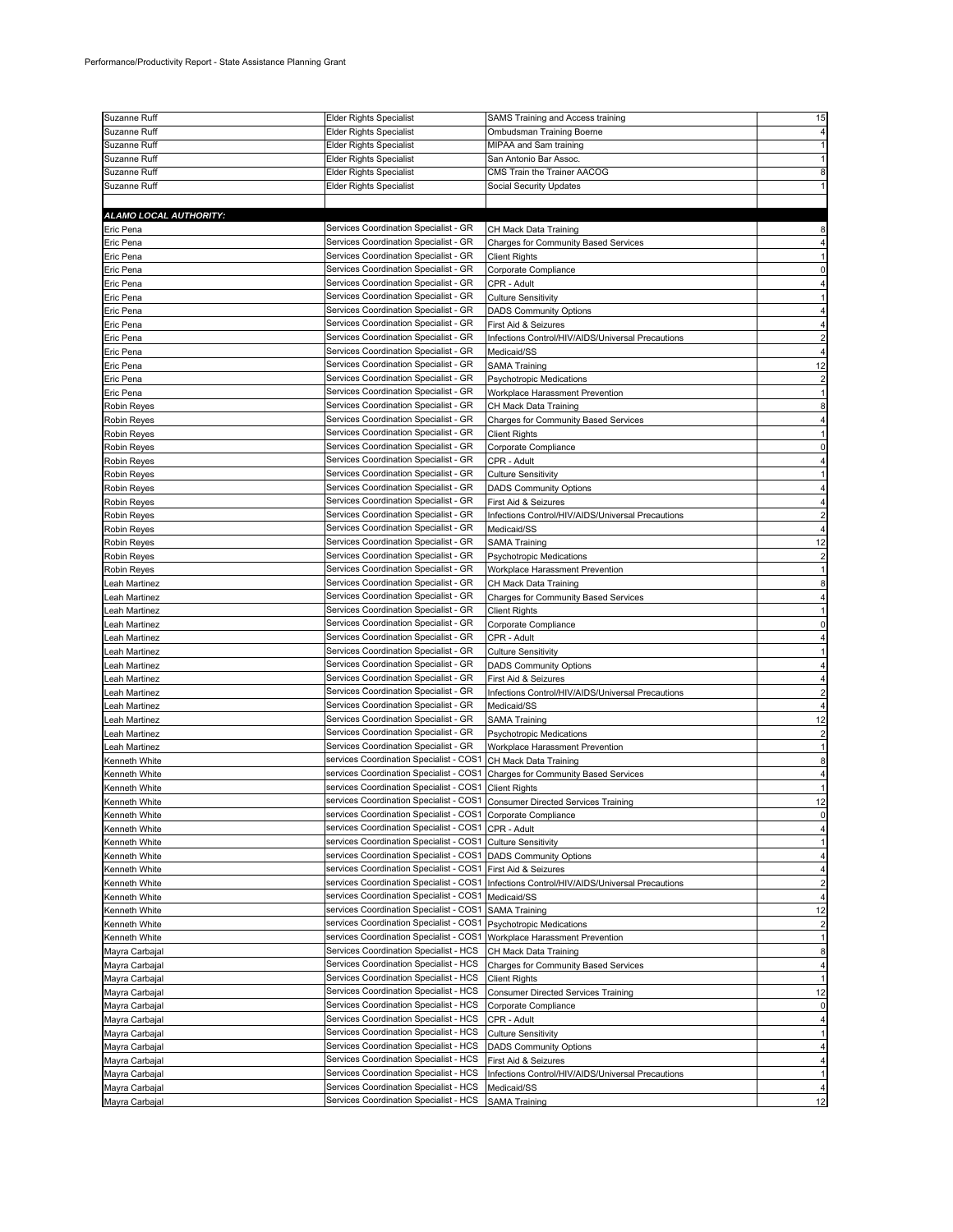| Suzanne Ruff           | <b>Elder Rights Specialist</b>                                              | SAMS Training and Access training                 | 15             |
|------------------------|-----------------------------------------------------------------------------|---------------------------------------------------|----------------|
| Suzanne Ruff           | <b>Elder Rights Specialist</b>                                              | Ombudsman Training Boerne                         |                |
| Suzanne Ruff           | Elder Rights Specialist                                                     | MIPAA and Sam training                            |                |
| Suzanne Ruff           | <b>Elder Rights Specialist</b>                                              | San Antonio Bar Assoc.                            |                |
| Suzanne Ruff           | <b>Elder Rights Specialist</b>                                              | CMS Train the Trainer AACOG                       |                |
| Suzanne Ruff           | Elder Rights Specialist                                                     | <b>Social Security Updates</b>                    |                |
|                        |                                                                             |                                                   |                |
|                        |                                                                             |                                                   |                |
| ALAMO LOCAL AUTHORITY: |                                                                             |                                                   |                |
| Eric Pena              | Services Coordination Specialist - GR                                       | CH Mack Data Training                             |                |
| Eric Pena              | Services Coordination Specialist - GR                                       | <b>Charges for Community Based Services</b>       |                |
| Eric Pena              | Services Coordination Specialist - GR                                       | <b>Client Rights</b>                              |                |
| Eric Pena              | Services Coordination Specialist - GR                                       | Corporate Compliance                              |                |
| Eric Pena              | Services Coordination Specialist - GR                                       | CPR - Adult                                       |                |
| Eric Pena              | Services Coordination Specialist - GR                                       | <b>Culture Sensitivity</b>                        |                |
| Eric Pena              | Services Coordination Specialist - GR                                       | <b>DADS Community Options</b>                     |                |
| Eric Pena              | Services Coordination Specialist - GR                                       | First Aid & Seizures                              |                |
| Eric Pena              | Services Coordination Specialist - GR                                       | Infections Control/HIV/AIDS/Universal Precautions |                |
| Eric Pena              | Services Coordination Specialist - GR                                       | Medicaid/SS                                       |                |
| Eric Pena              | Services Coordination Specialist - GR                                       | <b>SAMA Training</b>                              | 12             |
| Eric Pena              | Services Coordination Specialist - GR                                       | <b>Psychotropic Medications</b>                   |                |
| Eric Pena              | Services Coordination Specialist - GR                                       | Workplace Harassment Prevention                   |                |
| Robin Reyes            | Services Coordination Specialist - GR                                       | CH Mack Data Training                             | 8              |
| Robin Reyes            | Services Coordination Specialist - GR                                       | <b>Charges for Community Based Services</b>       |                |
| Robin Reyes            | Services Coordination Specialist - GR                                       | <b>Client Rights</b>                              |                |
| Robin Reyes            | Services Coordination Specialist - GR                                       | Corporate Compliance                              |                |
| Robin Reyes            | Services Coordination Specialist - GR                                       | CPR - Adult                                       |                |
| Robin Reyes            | Services Coordination Specialist - GR                                       | <b>Culture Sensitivity</b>                        |                |
|                        | Services Coordination Specialist - GR                                       |                                                   |                |
| <b>Robin Reyes</b>     |                                                                             | <b>DADS Community Options</b>                     |                |
| Robin Reyes            | Services Coordination Specialist - GR                                       | First Aid & Seizures                              |                |
| Robin Reyes            | Services Coordination Specialist - GR                                       | Infections Control/HIV/AIDS/Universal Precautions |                |
| <b>Robin Reyes</b>     | Services Coordination Specialist - GR                                       | Medicaid/SS                                       |                |
| Robin Reyes            | Services Coordination Specialist - GR                                       | <b>SAMA Training</b>                              | 12             |
| <b>Robin Reyes</b>     | Services Coordination Specialist - GR                                       | Psychotropic Medications                          |                |
| Robin Reyes            | Services Coordination Specialist - GR                                       | Workplace Harassment Prevention                   |                |
| Leah Martinez          | Services Coordination Specialist - GR                                       | CH Mack Data Training                             |                |
| Leah Martinez          | Services Coordination Specialist - GR                                       | <b>Charges for Community Based Services</b>       |                |
| ∟eah Martinez          | Services Coordination Specialist - GR                                       | <b>Client Rights</b>                              |                |
| Leah Martinez          | Services Coordination Specialist - GR                                       | Corporate Compliance                              |                |
| Leah Martinez          | Services Coordination Specialist - GR                                       | CPR - Adult                                       |                |
| Leah Martinez          | Services Coordination Specialist - GR                                       | <b>Culture Sensitivity</b>                        |                |
| Leah Martinez          | Services Coordination Specialist - GR                                       | <b>DADS Community Options</b>                     |                |
| eah Martinez           | Services Coordination Specialist - GR                                       | First Aid & Seizures                              |                |
| Leah Martinez          | Services Coordination Specialist - GR                                       | Infections Control/HIV/AIDS/Universal Precautions |                |
| Leah Martinez          | Services Coordination Specialist - GR                                       | Medicaid/SS                                       |                |
| Leah Martinez          | Services Coordination Specialist - GR                                       | <b>SAMA Training</b>                              | 12             |
| Leah Martinez          | Services Coordination Specialist - GR                                       | Psychotropic Medications                          |                |
| Leah Martinez          | Services Coordination Specialist - GR                                       | Workplace Harassment Prevention                   |                |
| Kenneth White          | services Coordination Specialist - COS1                                     | CH Mack Data Training                             | 8              |
| Kenneth White          | services Coordination Specialist - COS1                                     | Charges for Community Based Services              |                |
|                        | services Coordination Specialist - COS1                                     |                                                   |                |
| Kenneth White          |                                                                             | <b>Client Rights</b>                              |                |
| Kenneth White          | services Coordination Specialist - COS1 Consumer Directed Services Training |                                                   | 12             |
| Kenneth White          | services Coordination Specialist - COS1 Corporate Compliance                |                                                   | 0              |
| Kenneth White          | services Coordination Specialist - COS1                                     | CPR - Adult                                       |                |
| Kenneth White          | services Coordination Specialist - COS1                                     | <b>Culture Sensitivity</b>                        |                |
| Kenneth White          | services Coordination Specialist - COS1                                     | <b>DADS Community Options</b>                     |                |
| Kenneth White          | services Coordination Specialist - COS1                                     | First Aid & Seizures                              |                |
| Kenneth White          | services Coordination Specialist - COS1                                     | Infections Control/HIV/AIDS/Universal Precautions | $\overline{c}$ |
| Kenneth White          | services Coordination Specialist - COS1                                     | Medicaid/SS                                       | 4              |
| Kenneth White          | services Coordination Specialist - COS1                                     | <b>SAMA Training</b>                              | 12             |
| Kenneth White          | services Coordination Specialist - COS1                                     | <b>Psychotropic Medications</b>                   | $\overline{2}$ |
| Kenneth White          | services Coordination Specialist - COS1                                     | Workplace Harassment Prevention                   |                |
| Mayra Carbajal         | Services Coordination Specialist - HCS                                      | CH Mack Data Training                             | 8              |
| Mayra Carbajal         | Services Coordination Specialist - HCS                                      | <b>Charges for Community Based Services</b>       | 4              |
| Mayra Carbajal         | Services Coordination Specialist - HCS                                      | <b>Client Rights</b>                              |                |
| Mayra Carbajal         | Services Coordination Specialist - HCS                                      | <b>Consumer Directed Services Training</b>        | 12             |
| Mayra Carbajal         | Services Coordination Specialist - HCS                                      | Corporate Compliance                              | 0              |
| Mayra Carbajal         | Services Coordination Specialist - HCS                                      | CPR - Adult                                       |                |
| Mayra Carbajal         | Services Coordination Specialist - HCS                                      | <b>Culture Sensitivity</b>                        |                |
| Mayra Carbajal         | Services Coordination Specialist - HCS                                      | <b>DADS Community Options</b>                     |                |
| Mayra Carbajal         | Services Coordination Specialist - HCS                                      | First Aid & Seizures                              |                |
| Mayra Carbajal         | Services Coordination Specialist - HCS                                      | Infections Control/HIV/AIDS/Universal Precautions |                |
| Mayra Carbajal         | Services Coordination Specialist - HCS                                      | Medicaid/SS                                       |                |
| Mayra Carbajal         | Services Coordination Specialist - HCS                                      | <b>SAMA Training</b>                              | 12             |
|                        |                                                                             |                                                   |                |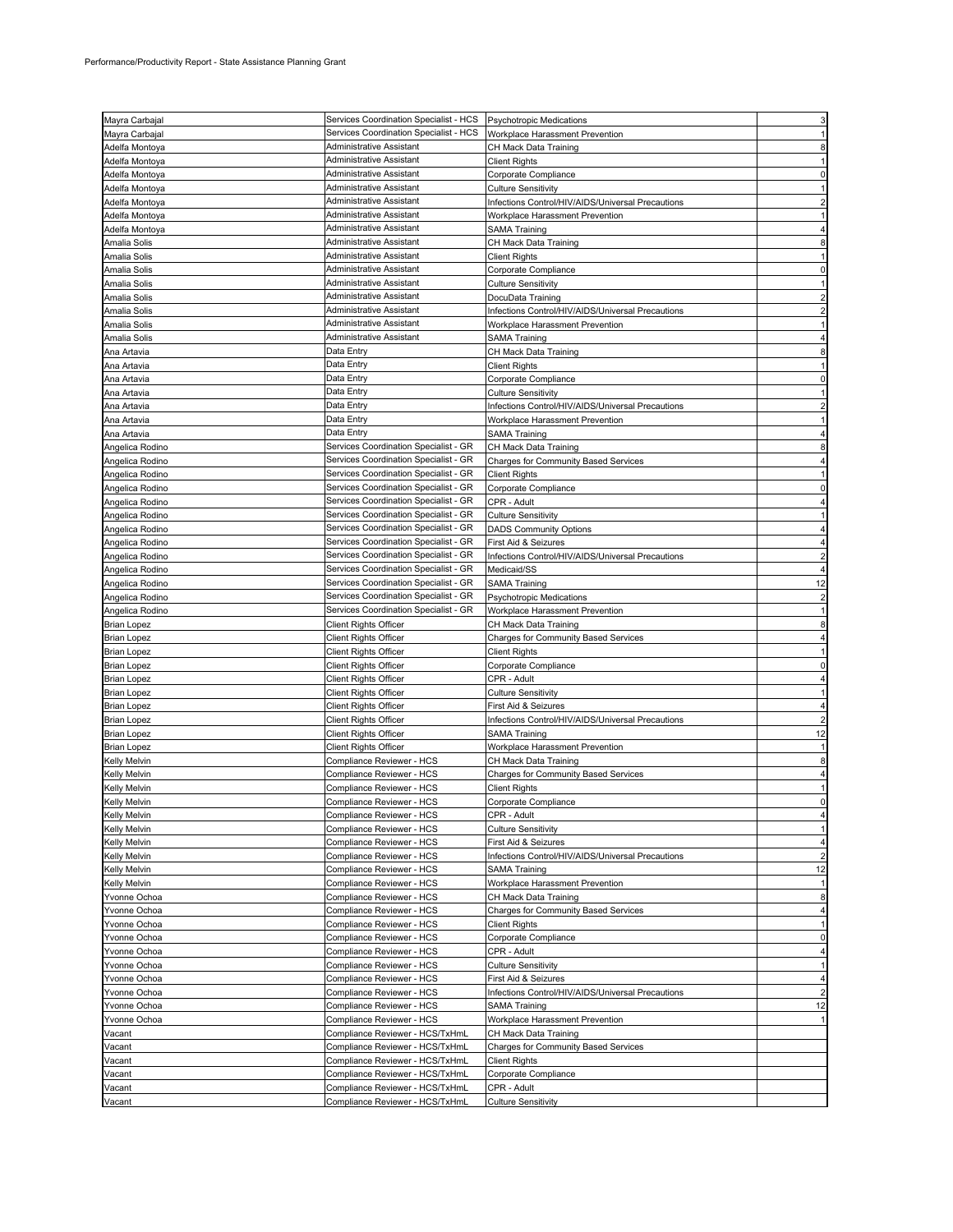| Mayra Carbajal      | Services Coordination Specialist - HCS Psychotropic Medications    |                                                   |                |
|---------------------|--------------------------------------------------------------------|---------------------------------------------------|----------------|
|                     | Services Coordination Specialist - HCS                             | Workplace Harassment Prevention                   |                |
| Mayra Carbajal      | Administrative Assistant                                           |                                                   |                |
| Adelfa Montoya      |                                                                    | CH Mack Data Training                             |                |
| Adelfa Montoya      | Administrative Assistant                                           | <b>Client Rights</b>                              |                |
| Adelfa Montoya      | Administrative Assistant                                           | Corporate Compliance                              |                |
| Adelfa Montoya      | Administrative Assistant                                           | Culture Sensitivity                               |                |
| Adelfa Montoya      | Administrative Assistant                                           | Infections Control/HIV/AIDS/Universal Precautions |                |
| Adelfa Montoya      | Administrative Assistant                                           | Workplace Harassment Prevention                   |                |
| Adelfa Montoya      | Administrative Assistant                                           | SAMA Training                                     |                |
| Amalia Solis        | Administrative Assistant                                           | CH Mack Data Training                             |                |
| Amalia Solis        | Administrative Assistant                                           | <b>Client Rights</b>                              |                |
| Amalia Solis        | Administrative Assistant                                           | Corporate Compliance                              |                |
| Amalia Solis        | Administrative Assistant                                           | Culture Sensitivity                               |                |
|                     | Administrative Assistant                                           |                                                   |                |
| Amalia Solis        | Administrative Assistant                                           | DocuData Training                                 |                |
| Amalia Solis        | Administrative Assistant                                           | Infections Control/HIV/AIDS/Universal Precautions |                |
| Amalia Solis        |                                                                    | Workplace Harassment Prevention                   |                |
| Amalia Solis        | Administrative Assistant                                           | SAMA Training                                     |                |
| Ana Artavia         | Data Entry                                                         | CH Mack Data Training                             |                |
| Ana Artavia         | Data Entry                                                         | <b>Client Rights</b>                              |                |
| Ana Artavia         | Data Entry                                                         | Corporate Compliance                              |                |
| Ana Artavia         | Data Entry                                                         | <b>Culture Sensitivity</b>                        |                |
| Ana Artavia         | Data Entry                                                         | Infections Control/HIV/AIDS/Universal Precautions |                |
| Ana Artavia         | Data Entry                                                         | Workplace Harassment Prevention                   |                |
| Ana Artavia         | Data Entry                                                         | <b>SAMA Training</b>                              |                |
| Angelica Rodino     | Services Coordination Specialist - GR                              | CH Mack Data Training                             |                |
| Angelica Rodino     | Services Coordination Specialist - GR                              | <b>Charges for Community Based Services</b>       |                |
| Angelica Rodino     | Services Coordination Specialist - GR                              | <b>Client Rights</b>                              |                |
|                     | Services Coordination Specialist - GR                              |                                                   |                |
| Angelica Rodino     |                                                                    | Corporate Compliance                              |                |
| Angelica Rodino     | Services Coordination Specialist - GR                              | CPR - Adult                                       |                |
| Angelica Rodino     | Services Coordination Specialist - GR                              | <b>Culture Sensitivity</b>                        |                |
| Angelica Rodino     | Services Coordination Specialist - GR                              | <b>DADS Community Options</b>                     |                |
| Angelica Rodino     | Services Coordination Specialist - GR                              | First Aid & Seizures                              |                |
| Angelica Rodino     | Services Coordination Specialist - GR                              | Infections Control/HIV/AIDS/Universal Precautions |                |
| Angelica Rodino     | Services Coordination Specialist - GR                              | Medicaid/SS                                       |                |
| Angelica Rodino     | Services Coordination Specialist - GR                              | <b>SAMA Training</b>                              | 12             |
| Angelica Rodino     | Services Coordination Specialist - GR                              | Psychotropic Medications                          | $\overline{2}$ |
| Angelica Rodino     | Services Coordination Specialist - GR                              | Workplace Harassment Prevention                   |                |
| <b>Brian Lopez</b>  | <b>Client Rights Officer</b>                                       | CH Mack Data Training                             |                |
| <b>Brian Lopez</b>  | <b>Client Rights Officer</b>                                       | <b>Charges for Community Based Services</b>       |                |
| Brian Lopez         | Client Rights Officer                                              | Client Rights                                     |                |
| <b>Brian Lopez</b>  | <b>Client Rights Officer</b>                                       | Corporate Compliance                              |                |
|                     |                                                                    | CPR - Adult                                       |                |
|                     |                                                                    |                                                   |                |
| <b>Brian Lopez</b>  | <b>Client Rights Officer</b>                                       |                                                   |                |
| <b>Brian Lopez</b>  | <b>Client Rights Officer</b>                                       | <b>Culture Sensitivity</b>                        |                |
| <b>Brian Lopez</b>  | Client Rights Officer                                              | First Aid & Seizures                              |                |
| <b>Brian Lopez</b>  | Client Rights Officer                                              | Infections Control/HIV/AIDS/Universal Precautions |                |
| <b>Brian Lopez</b>  | Client Rights Officer                                              | <b>SAMA Training</b>                              | 12             |
| <b>Brian Lopez</b>  | Client Rights Officer                                              | Workplace Harassment Prevention                   |                |
| <b>Kelly Melvin</b> | Compliance Reviewer - HCS                                          | CH Mack Data Training                             | 8              |
| <b>Kelly Melvin</b> | Compliance Reviewer - HCS                                          | Charges for Community Based Services              |                |
| Kelly Melvin        | Compliance Reviewer - HCS                                          | Client Rights                                     |                |
| <b>Kelly Melvin</b> | Compliance Reviewer - HCS                                          | Corporate Compliance                              | 0              |
| <b>Kelly Melvin</b> | Compliance Reviewer - HCS                                          | CPR - Adult                                       | 4              |
| <b>Kelly Melvin</b> | Compliance Reviewer - HCS                                          | Culture Sensitivity                               |                |
| <b>Kelly Melvin</b> | Compliance Reviewer - HCS                                          | First Aid & Seizures                              | 4              |
| Kelly Melvin        | Compliance Reviewer - HCS                                          | Infections Control/HIV/AIDS/Universal Precautions | $\overline{c}$ |
| Kelly Melvin        | Compliance Reviewer - HCS                                          | <b>SAMA Training</b>                              | 12             |
| <b>Kelly Melvin</b> | Compliance Reviewer - HCS                                          | Workplace Harassment Prevention                   | 1              |
| Yvonne Ochoa        | Compliance Reviewer - HCS                                          | CH Mack Data Training                             | 8              |
| Yvonne Ochoa        | Compliance Reviewer - HCS                                          | <b>Charges for Community Based Services</b>       | 4              |
| Yvonne Ochoa        | Compliance Reviewer - HCS                                          | <b>Client Rights</b>                              | 1              |
| Yvonne Ochoa        | Compliance Reviewer - HCS                                          | Corporate Compliance                              | 0              |
|                     |                                                                    | CPR - Adult                                       | 4              |
| Yvonne Ochoa        | Compliance Reviewer - HCS                                          |                                                   | 1              |
| Yvonne Ochoa        | Compliance Reviewer - HCS                                          | <b>Culture Sensitivity</b>                        | 4              |
| Yvonne Ochoa        | Compliance Reviewer - HCS                                          | First Aid & Seizures                              |                |
| Yvonne Ochoa        | Compliance Reviewer - HCS                                          | Infections Control/HIV/AIDS/Universal Precautions | $\overline{2}$ |
| Yvonne Ochoa        | Compliance Reviewer - HCS                                          | <b>SAMA Training</b>                              | 12             |
| Yvonne Ochoa        | Compliance Reviewer - HCS                                          | Workplace Harassment Prevention                   |                |
| Vacant              | Compliance Reviewer - HCS/TxHmL                                    | CH Mack Data Training                             |                |
| Vacant              | Compliance Reviewer - HCS/TxHmL                                    | Charges for Community Based Services              |                |
| Vacant              | Compliance Reviewer - HCS/TxHmL                                    | <b>Client Rights</b>                              |                |
| Vacant              | Compliance Reviewer - HCS/TxHmL                                    | Corporate Compliance                              |                |
| Vacant<br>Vacant    | Compliance Reviewer - HCS/TxHmL<br>Compliance Reviewer - HCS/TxHmL | CPR - Adult<br><b>Culture Sensitivity</b>         |                |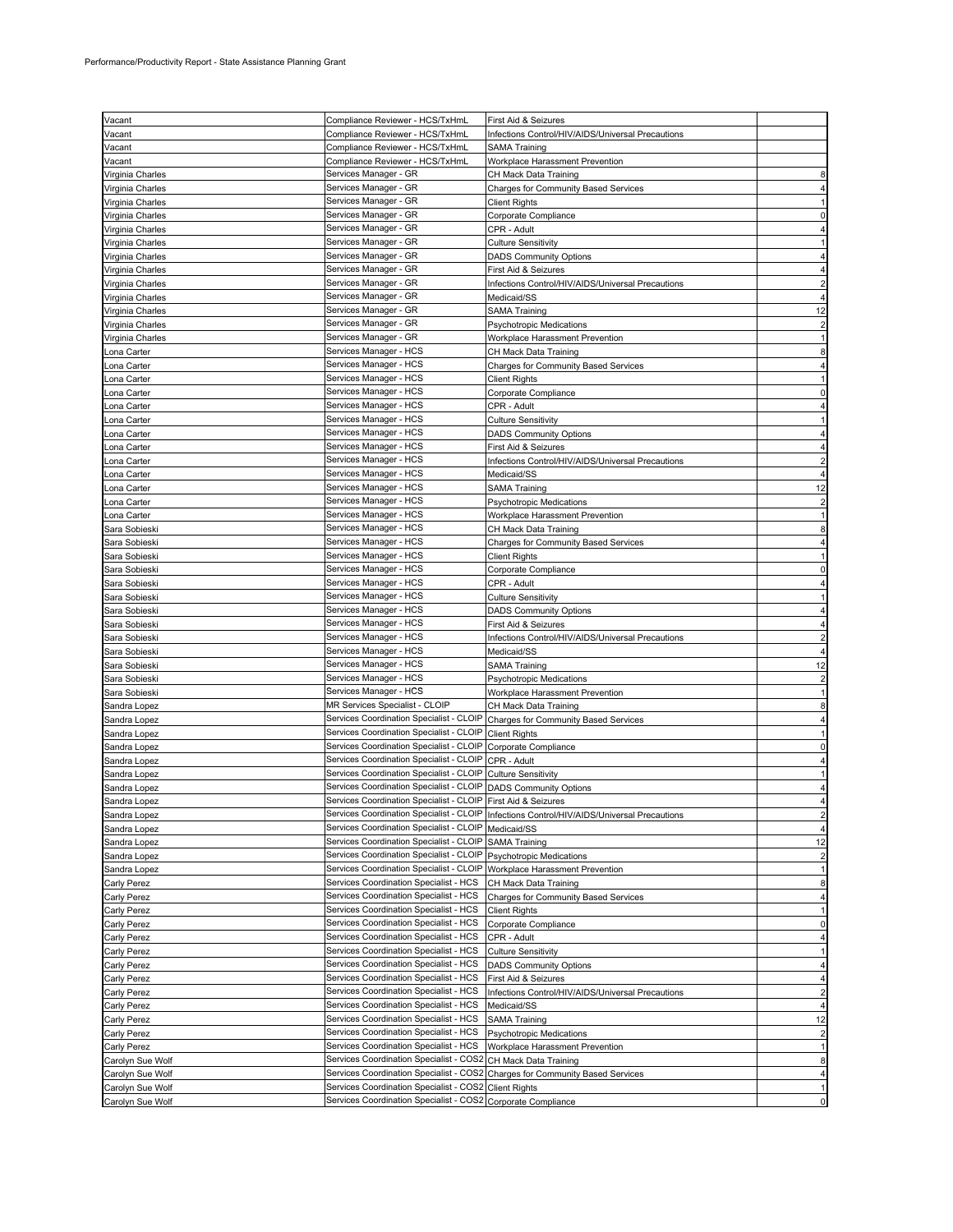| Vacant              |                                                               |                                                                                             |                |
|---------------------|---------------------------------------------------------------|---------------------------------------------------------------------------------------------|----------------|
|                     | Compliance Reviewer - HCS/TxHmL                               | First Aid & Seizures                                                                        |                |
| Vacant              | Compliance Reviewer - HCS/TxHmL                               | Infections Control/HIV/AIDS/Universal Precautions                                           |                |
| Vacant              | Compliance Reviewer - HCS/TxHmL                               | SAMA Training                                                                               |                |
| Vacant              | Compliance Reviewer - HCS/TxHmL                               | Workplace Harassment Prevention                                                             |                |
| Virginia Charles    | Services Manager - GR                                         | CH Mack Data Training                                                                       |                |
| Virginia Charles    | Services Manager - GR                                         | <b>Charges for Community Based Services</b>                                                 |                |
| Virginia Charles    | Services Manager - GR                                         | Client Rights                                                                               |                |
| Virginia Charles    | Services Manager - GR                                         | Corporate Compliance                                                                        |                |
| Virginia Charles    | Services Manager - GR                                         | CPR - Adult                                                                                 |                |
| Virginia Charles    | Services Manager - GR                                         | <b>Culture Sensitivity</b>                                                                  |                |
| Virginia Charles    | Services Manager - GR                                         | <b>DADS Community Options</b>                                                               |                |
| Virginia Charles    | Services Manager - GR                                         | First Aid & Seizures                                                                        |                |
| Virginia Charles    | Services Manager - GR                                         | Infections Control/HIV/AIDS/Universal Precautions                                           |                |
| Virginia Charles    | Services Manager - GR                                         | Medicaid/SS                                                                                 |                |
| Virginia Charles    | Services Manager - GR                                         | <b>SAMA Training</b>                                                                        | 12             |
| Virginia Charles    | Services Manager - GR                                         | Psychotropic Medications                                                                    |                |
| Virginia Charles    | Services Manager - GR                                         | Workplace Harassment Prevention                                                             |                |
| Lona Carter         | Services Manager - HCS                                        | CH Mack Data Training                                                                       |                |
| Lona Carter         | Services Manager - HCS                                        | Charges for Community Based Services                                                        |                |
|                     | Services Manager - HCS                                        | <b>Client Rights</b>                                                                        |                |
| ona Carter <u>.</u> |                                                               |                                                                                             |                |
| ona Carter          | Services Manager - HCS                                        | Corporate Compliance                                                                        |                |
| ona Carter          | Services Manager - HCS                                        | CPR - Adult                                                                                 |                |
| Lona Carter         | Services Manager - HCS                                        | <b>Culture Sensitivity</b>                                                                  |                |
| ona Carter          | Services Manager - HCS                                        | <b>DADS Community Options</b>                                                               |                |
| Lona Carter         | Services Manager - HCS                                        | First Aid & Seizures                                                                        |                |
| Lona Carter         | Services Manager - HCS                                        | Infections Control/HIV/AIDS/Universal Precautions                                           |                |
| ona Carter <u>.</u> | Services Manager - HCS                                        | Medicaid/SS                                                                                 |                |
| ona Carter          | Services Manager - HCS                                        | SAMA Training                                                                               | 12             |
| ona Carter          | Services Manager - HCS                                        | Psychotropic Medications                                                                    |                |
| ona Carter          | Services Manager - HCS                                        | Workplace Harassment Prevention                                                             |                |
| Sara Sobieski       | Services Manager - HCS                                        | CH Mack Data Training                                                                       |                |
| Sara Sobieski       | Services Manager - HCS                                        | <b>Charges for Community Based Services</b>                                                 |                |
| Sara Sobieski       | Services Manager - HCS                                        | Client Rights                                                                               |                |
| Sara Sobieski       | Services Manager - HCS                                        | Corporate Compliance                                                                        |                |
| Sara Sobieski       | Services Manager - HCS                                        | CPR - Adult                                                                                 |                |
| Sara Sobieski       | Services Manager - HCS                                        | <b>Culture Sensitivity</b>                                                                  |                |
| Sara Sobieski       | Services Manager - HCS                                        | <b>DADS Community Options</b>                                                               |                |
| Sara Sobieski       | Services Manager - HCS                                        | First Aid & Seizures                                                                        |                |
|                     | Services Manager - HCS                                        |                                                                                             |                |
| Sara Sobieski       | Services Manager - HCS                                        | Infections Control/HIV/AIDS/Universal Precautions                                           |                |
| Sara Sobieski       | Services Manager - HCS                                        | Medicaid/SS                                                                                 |                |
| Sara Sobieski       |                                                               | <b>SAMA Training</b>                                                                        | 12             |
| Sara Sobieski       | Services Manager - HCS                                        | Psychotropic Medications                                                                    |                |
| Sara Sobieski       | Services Manager - HCS                                        | Workplace Harassment Prevention                                                             |                |
| Sandra Lopez        | MR Services Specialist - CLOIP                                | CH Mack Data Training                                                                       |                |
| Sandra Lopez        | Services Coordination Specialist - CLOIP                      | Charges for Community Based Services                                                        |                |
| Sandra Lopez        | Services Coordination Specialist - CLOIP                      | <b>Client Rights</b>                                                                        |                |
| Sandra Lopez        | Services Coordination Specialist - CLOIP                      | Corporate Compliance                                                                        |                |
| Sandra Lopez        | Services Coordination Specialist - CLOIP                      | CPR - Adult                                                                                 |                |
| Sandra Lopez        | Services Coordination Specialist - CLOIP                      | <b>Culture Sensitivity</b>                                                                  |                |
| Sandra Lopez        | Services Coordination Specialist - CLOIP                      | <b>DADS Community Options</b>                                                               |                |
| Sandra Lopez        | Services Coordination Specialist - CLOIP First Aid & Seizures |                                                                                             |                |
| Sandra Lopez        |                                                               | Services Coordination Specialist - CLOIP  Infections Control/HIV/AIDS/Universal Precautions | $\overline{2}$ |
| Sandra Lopez        | Services Coordination Specialist - CLOIP                      | Medicaid/SS                                                                                 |                |
| Sandra Lopez        | Services Coordination Specialist - CLOIP                      | <b>SAMA Training</b>                                                                        | 12             |
| Sandra Lopez        | Services Coordination Specialist - CLOIP                      | <b>Psychotropic Medications</b>                                                             |                |
| Sandra Lopez        | Services Coordination Specialist - CLOIP                      | Workplace Harassment Prevention                                                             |                |
| Carly Perez         | Services Coordination Specialist - HCS                        | CH Mack Data Training                                                                       | 8              |
| <b>Carly Perez</b>  | Services Coordination Specialist - HCS                        | <b>Charges for Community Based Services</b>                                                 | 4              |
| <b>Carly Perez</b>  | Services Coordination Specialist - HCS                        | <b>Client Rights</b>                                                                        |                |
| <b>Carly Perez</b>  | Services Coordination Specialist - HCS                        | Corporate Compliance                                                                        | 0              |
| Carly Perez         | Services Coordination Specialist - HCS                        | CPR - Adult                                                                                 |                |
|                     | Services Coordination Specialist - HCS                        |                                                                                             | 1              |
| Carly Perez         | Services Coordination Specialist - HCS                        | <b>Culture Sensitivity</b>                                                                  | 4              |
| Carly Perez         |                                                               | <b>DADS Community Options</b>                                                               |                |
| Carly Perez         | Services Coordination Specialist - HCS                        | First Aid & Seizures                                                                        | 4              |
| Carly Perez         | Services Coordination Specialist - HCS                        | Infections Control/HIV/AIDS/Universal Precautions                                           | $\overline{c}$ |
| Carly Perez         | Services Coordination Specialist - HCS                        | Medicaid/SS                                                                                 |                |
| <b>Carly Perez</b>  | Services Coordination Specialist - HCS                        | <b>SAMA Training</b>                                                                        | 12             |
| Carly Perez         | Services Coordination Specialist - HCS                        | <b>Psychotropic Medications</b>                                                             |                |
| Carly Perez         | Services Coordination Specialist - HCS                        | Workplace Harassment Prevention                                                             |                |
| Carolyn Sue Wolf    | Services Coordination Specialist - COS2                       | CH Mack Data Training                                                                       | 8              |
| Carolyn Sue Wolf    | Services Coordination Specialist - COS2                       | <b>Charges for Community Based Services</b>                                                 | 4              |
| Carolyn Sue Wolf    | Services Coordination Specialist - COS2                       | <b>Client Rights</b>                                                                        | 1              |
| Carolyn Sue Wolf    | Services Coordination Specialist - COS2 Corporate Compliance  |                                                                                             | 0              |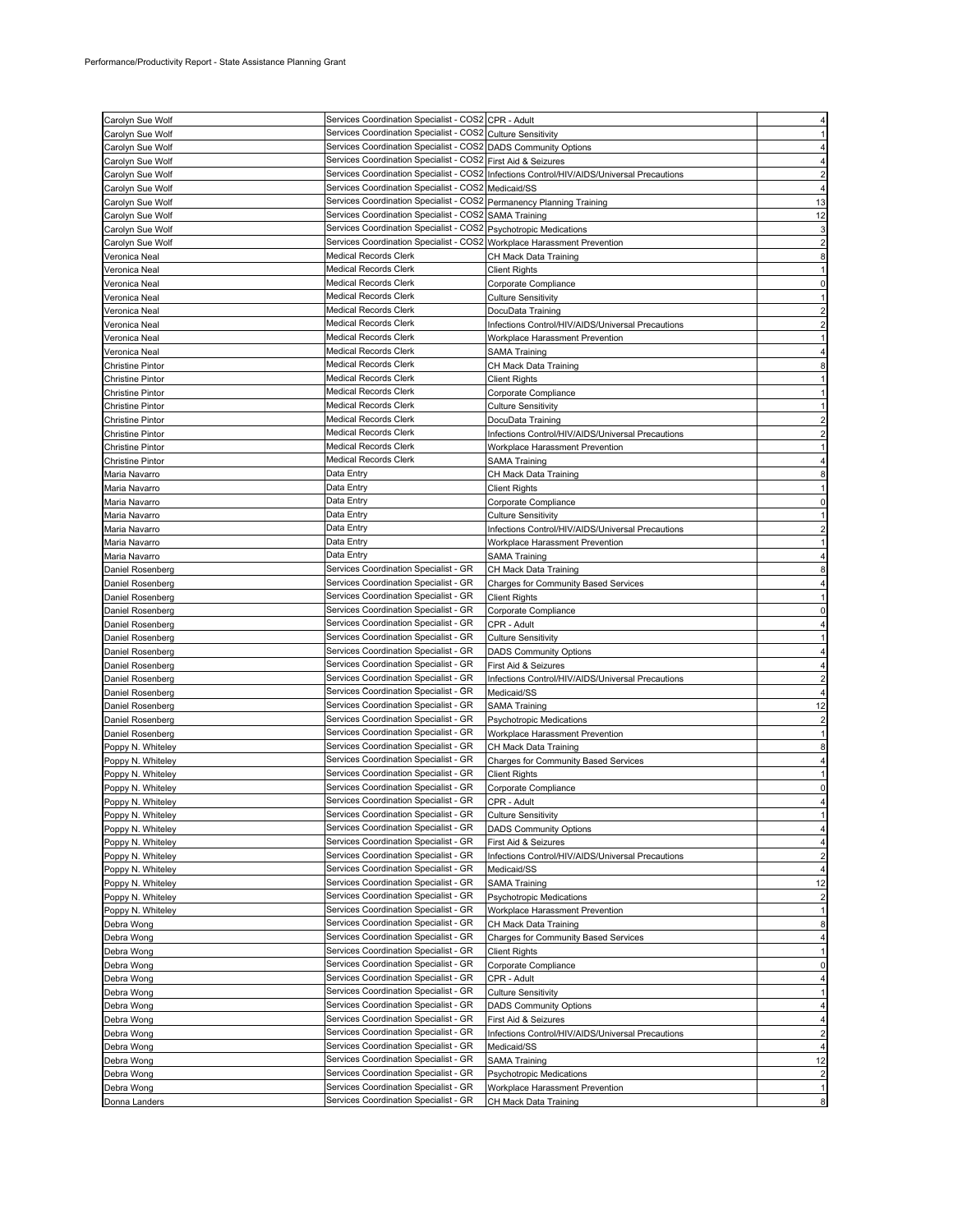| Carolyn Sue Wolf                                   | Services Coordination Specialist - COS2 CPR - Adult                            |                                                                                           |                |
|----------------------------------------------------|--------------------------------------------------------------------------------|-------------------------------------------------------------------------------------------|----------------|
| Carolyn Sue Wolf                                   | Services Coordination Specialist - COS2 Culture Sensitivity                    |                                                                                           |                |
| Carolyn Sue Wolf                                   | Services Coordination Specialist - COS2 DADS Community Options                 |                                                                                           |                |
| Carolyn Sue Wolf                                   | Services Coordination Specialist - COS2 First Aid & Seizures                   |                                                                                           |                |
| Carolyn Sue Wolf                                   |                                                                                | Services Coordination Specialist - COS2 Infections Control/HIV/AIDS/Universal Precautions |                |
| Carolyn Sue Wolf                                   | Services Coordination Specialist - COS2 Medicaid/SS                            |                                                                                           |                |
| Carolyn Sue Wolf                                   | Services Coordination Specialist - COS2 Permanency Planning Training           |                                                                                           | 13             |
| Carolyn Sue Wolf                                   | Services Coordination Specialist - COS2 SAMA Training                          |                                                                                           | 12             |
| Carolyn Sue Wolf                                   | Services Coordination Specialist - COS2 Psychotropic Medications               |                                                                                           |                |
| Carolyn Sue Wolf                                   | Services Coordination Specialist - COS2                                        | Workplace Harassment Prevention                                                           |                |
| Veronica Neal                                      | <b>Medical Records Clerk</b>                                                   | CH Mack Data Training                                                                     | 8              |
| Veronica Neal                                      | <b>Medical Records Clerk</b>                                                   | Client Rights                                                                             |                |
| Veronica Neal                                      | Medical Records Clerk                                                          | Corporate Compliance                                                                      |                |
| Veronica Neal                                      | Medical Records Clerk                                                          | Culture Sensitivity                                                                       |                |
| Veronica Neal                                      | <b>Medical Records Clerk</b>                                                   | DocuData Training                                                                         |                |
| Veronica Neal                                      | <b>Medical Records Clerk</b>                                                   | Infections Control/HIV/AIDS/Universal Precautions                                         |                |
| Veronica Neal                                      | Medical Records Clerk                                                          | Workplace Harassment Prevention                                                           |                |
| Veronica Neal                                      | <b>Medical Records Clerk</b>                                                   | SAMA Training                                                                             |                |
| <b>Christine Pintor</b>                            | <b>Medical Records Clerk</b>                                                   | CH Mack Data Training                                                                     |                |
| <b>Christine Pintor</b>                            | <b>Medical Records Clerk</b><br><b>Medical Records Clerk</b>                   | Client Rights                                                                             |                |
| <b>Christine Pintor</b>                            | <b>Medical Records Clerk</b>                                                   | Corporate Compliance                                                                      |                |
| Christine Pintor                                   | <b>Medical Records Clerk</b>                                                   | Culture Sensitivity                                                                       |                |
| <b>Christine Pintor</b><br><b>Christine Pintor</b> | <b>Medical Records Clerk</b>                                                   | DocuData Training<br>Infections Control/HIV/AIDS/Universal Precautions                    |                |
| <b>Christine Pintor</b>                            | <b>Medical Records Clerk</b>                                                   | Workplace Harassment Prevention                                                           |                |
| <b>Christine Pintor</b>                            | <b>Medical Records Clerk</b>                                                   | SAMA Training                                                                             |                |
| Maria Navarro                                      | Data Entry                                                                     | CH Mack Data Training                                                                     |                |
| Maria Navarro                                      | Data Entry                                                                     | Client Rights                                                                             |                |
| Maria Navarro                                      | Data Entry                                                                     | Corporate Compliance                                                                      |                |
| Maria Navarro                                      | Data Entry                                                                     | Culture Sensitivity                                                                       |                |
| Maria Navarro                                      | Data Entry                                                                     | Infections Control/HIV/AIDS/Universal Precautions                                         |                |
| Maria Navarro                                      | Data Entry                                                                     | Workplace Harassment Prevention                                                           |                |
| Maria Navarro                                      | Data Entry                                                                     | SAMA Training                                                                             |                |
| Daniel Rosenberg                                   | Services Coordination Specialist - GR                                          | CH Mack Data Training                                                                     |                |
| Daniel Rosenberg                                   | Services Coordination Specialist - GR                                          | Charges for Community Based Services                                                      |                |
| Daniel Rosenberg                                   | Services Coordination Specialist - GR                                          | <b>Client Rights</b>                                                                      |                |
| Daniel Rosenberg                                   | Services Coordination Specialist - GR                                          | Corporate Compliance                                                                      |                |
| Daniel Rosenberg                                   | Services Coordination Specialist - GR                                          | CPR - Adult                                                                               |                |
| Daniel Rosenberg                                   | Services Coordination Specialist - GR                                          | Culture Sensitivity                                                                       |                |
| Daniel Rosenberg                                   | Services Coordination Specialist - GR                                          | <b>DADS Community Options</b>                                                             |                |
| Daniel Rosenberg                                   | Services Coordination Specialist - GR                                          | First Aid & Seizures                                                                      |                |
| Daniel Rosenberg                                   | Services Coordination Specialist - GR                                          | Infections Control/HIV/AIDS/Universal Precautions                                         |                |
| Daniel Rosenberg                                   | Services Coordination Specialist - GR                                          | Medicaid/SS                                                                               |                |
| Daniel Rosenberg                                   | Services Coordination Specialist - GR                                          | SAMA Training                                                                             | 12             |
| Daniel Rosenberg                                   | Services Coordination Specialist - GR                                          | Psychotropic Medications                                                                  |                |
| Daniel Rosenberg                                   | Services Coordination Specialist - GR<br>Services Coordination Specialist - GR | Workplace Harassment Prevention                                                           |                |
| Poppy N. Whiteley                                  |                                                                                | CH Mack Data Training                                                                     |                |
| Poppy N. Whiteley<br>Poppy N. Whiteley             | Services Coordination Specialist - GR<br>Services Coordination Specialist - GR | Charges for Community Based Services<br><b>Client Rights</b>                              |                |
| Poppy N. Whiteley                                  | Services Coordination Specialist - GR                                          | Corporate Compliance                                                                      | 0              |
| Poppy N. Whiteley                                  | Services Coordination Specialist - GR                                          | CPR - Adult                                                                               |                |
| Poppy N. Whiteley                                  | Services Coordination Specialist - GR                                          | <b>Culture Sensitivity</b>                                                                | 1              |
| Poppy N. Whiteley                                  | Services Coordination Specialist - GR                                          | <b>DADS Community Options</b>                                                             |                |
| Poppy N. Whiteley                                  | Services Coordination Specialist - GR                                          | First Aid & Seizures                                                                      | 4              |
| Poppy N. Whiteley                                  | Services Coordination Specialist - GR                                          | Infections Control/HIV/AIDS/Universal Precautions                                         | $\overline{c}$ |
| Poppy N. Whiteley                                  | Services Coordination Specialist - GR                                          | Medicaid/SS                                                                               | 4              |
| Poppy N. Whiteley                                  | Services Coordination Specialist - GR                                          | <b>SAMA Training</b>                                                                      | 12             |
| Poppy N. Whiteley                                  | Services Coordination Specialist - GR                                          | <b>Psychotropic Medications</b>                                                           | $\overline{2}$ |
| Poppy N. Whiteley                                  | Services Coordination Specialist - GR                                          | Workplace Harassment Prevention                                                           |                |
| Debra Wong                                         | Services Coordination Specialist - GR                                          | CH Mack Data Training                                                                     | 8              |
| Debra Wong                                         | Services Coordination Specialist - GR                                          | <b>Charges for Community Based Services</b>                                               | 4              |
| Debra Wong                                         | Services Coordination Specialist - GR                                          | <b>Client Rights</b>                                                                      |                |
| Debra Wong                                         | Services Coordination Specialist - GR                                          | Corporate Compliance                                                                      | 0              |
| Debra Wong                                         | Services Coordination Specialist - GR                                          | CPR - Adult                                                                               |                |
| Debra Wong                                         | Services Coordination Specialist - GR                                          | Culture Sensitivity                                                                       |                |
| Debra Wong                                         | Services Coordination Specialist - GR                                          | <b>DADS Community Options</b>                                                             |                |
| Debra Wong                                         | Services Coordination Specialist - GR                                          | First Aid & Seizures                                                                      |                |
| Debra Wong                                         | Services Coordination Specialist - GR                                          | Infections Control/HIV/AIDS/Universal Precautions                                         |                |
| Debra Wong                                         | Services Coordination Specialist - GR                                          | Medicaid/SS                                                                               | 4              |
| Debra Wong                                         | Services Coordination Specialist - GR<br>Services Coordination Specialist - GR | <b>SAMA Training</b>                                                                      | 12             |
| Debra Wong<br>Debra Wong                           | Services Coordination Specialist - GR                                          | <b>Psychotropic Medications</b><br>Workplace Harassment Prevention                        |                |
| Donna Landers                                      | Services Coordination Specialist - GR                                          | CH Mack Data Training                                                                     | 8              |
|                                                    |                                                                                |                                                                                           |                |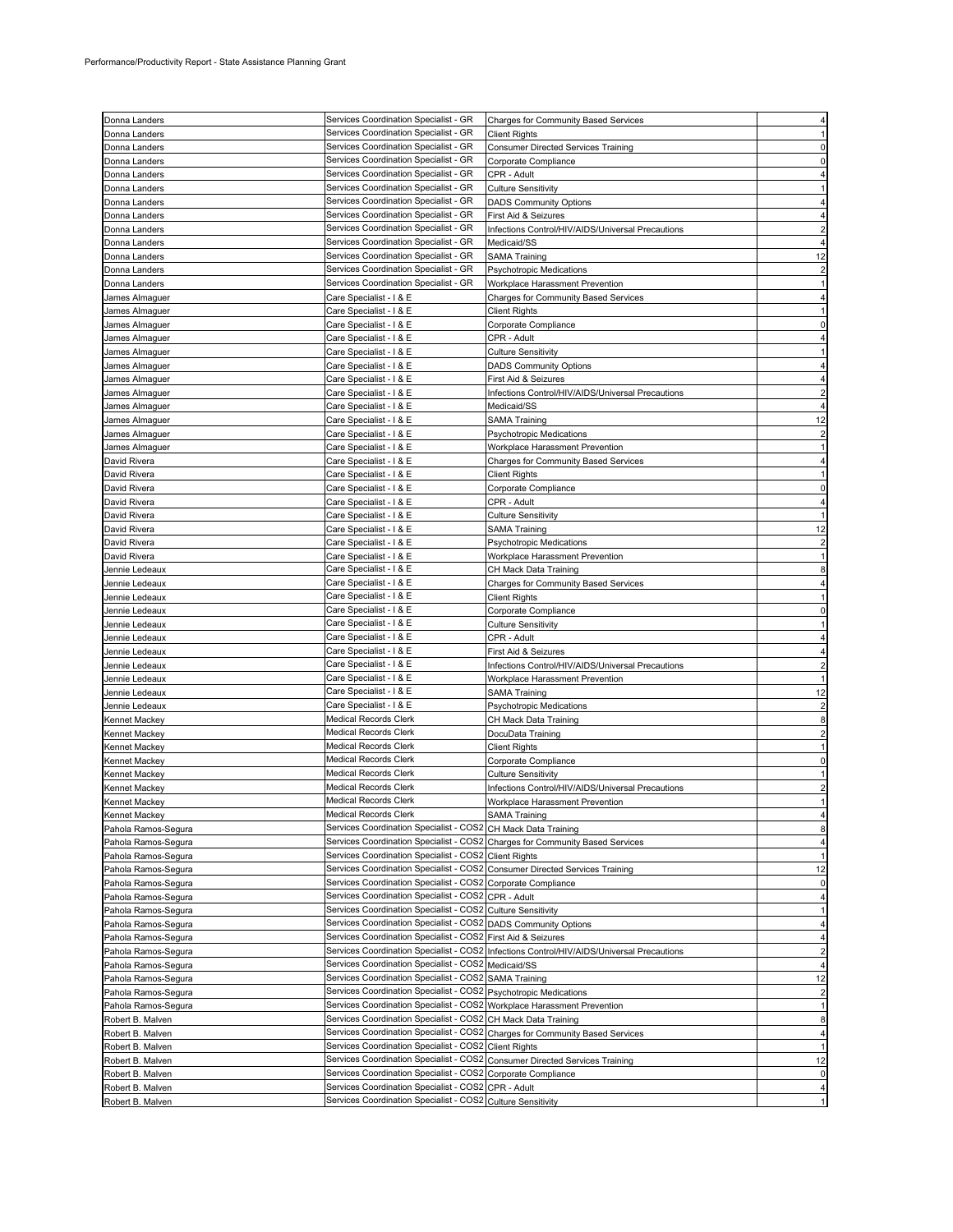| Donna Landers       | Services Coordination Specialist - GR                                       | Charges for Community Based Services                                         |                |
|---------------------|-----------------------------------------------------------------------------|------------------------------------------------------------------------------|----------------|
| Donna Landers       | Services Coordination Specialist - GR                                       | <b>Client Rights</b>                                                         |                |
| Donna Landers       | Services Coordination Specialist - GR                                       | Consumer Directed Services Training                                          |                |
| Donna Landers       | Services Coordination Specialist - GR                                       | Corporate Compliance                                                         |                |
|                     | Services Coordination Specialist - GR                                       | CPR - Adult                                                                  |                |
| Donna Landers       | Services Coordination Specialist - GR                                       |                                                                              |                |
| Donna Landers       |                                                                             | <b>Culture Sensitivity</b>                                                   |                |
| Donna Landers       | Services Coordination Specialist - GR                                       | <b>DADS Community Options</b>                                                |                |
| Donna Landers       | Services Coordination Specialist - GR                                       | First Aid & Seizures                                                         |                |
| Donna Landers       | Services Coordination Specialist - GR                                       | Infections Control/HIV/AIDS/Universal Precautions                            |                |
| Donna Landers       | Services Coordination Specialist - GR                                       | Medicaid/SS                                                                  |                |
| Donna Landers       | Services Coordination Specialist - GR                                       | <b>SAMA Training</b>                                                         | 12             |
| Donna Landers       | Services Coordination Specialist - GR                                       | <b>Psychotropic Medications</b>                                              |                |
| Donna Landers       | Services Coordination Specialist - GR                                       | Workplace Harassment Prevention                                              |                |
| James Almaguer      | Care Specialist - I & E                                                     | Charges for Community Based Services                                         |                |
| James Almaguer      | Care Specialist - I & E                                                     | <b>Client Rights</b>                                                         |                |
| James Almaguer      | Care Specialist - I & E                                                     | Corporate Compliance                                                         |                |
| James Almaguer      | Care Specialist - I & E                                                     | CPR - Adult                                                                  |                |
| James Almaguer      | Care Specialist - I & E                                                     | Culture Sensitivity                                                          |                |
| James Almaguer      | Care Specialist - I & E                                                     | <b>DADS Community Options</b>                                                |                |
| James Almaguer      | Care Specialist - I & E                                                     | First Aid & Seizures                                                         |                |
| James Almaguer      | Care Specialist - I & E                                                     | Infections Control/HIV/AIDS/Universal Precautions                            |                |
|                     |                                                                             | Medicaid/SS                                                                  |                |
| James Almaguer      | Care Specialist - I & E                                                     |                                                                              |                |
| James Almaguer      | Care Specialist - I & E                                                     | <b>SAMA Training</b>                                                         | 12             |
| James Almaguer      | Care Specialist - I & E                                                     | <b>Psychotropic Medications</b>                                              |                |
| James Almaguer      | Care Specialist - I & E                                                     | Workplace Harassment Prevention                                              |                |
| David Rivera        | Care Specialist - I & E                                                     | Charges for Community Based Services                                         |                |
| David Rivera        | Care Specialist - I & E                                                     | Client Rights                                                                |                |
| David Rivera        | Care Specialist - I & E                                                     | Corporate Compliance                                                         |                |
| David Rivera        | Care Specialist - I & E                                                     | CPR - Adult                                                                  |                |
| David Rivera        | Care Specialist - I & E                                                     | <b>Culture Sensitivity</b>                                                   |                |
| David Rivera        | Care Specialist - I & E                                                     | <b>SAMA Training</b>                                                         | 12             |
| David Rivera        | Care Specialist - I & E                                                     | <b>Psychotropic Medications</b>                                              | $\overline{c}$ |
| David Rivera        | Care Specialist - I & E                                                     | Workplace Harassment Prevention                                              |                |
| Jennie Ledeaux      | Care Specialist - I & E                                                     | CH Mack Data Training                                                        |                |
| Jennie Ledeaux      | Care Specialist - I & E                                                     | <b>Charges for Community Based Services</b>                                  |                |
|                     | Care Specialist - I & E                                                     |                                                                              |                |
| Jennie Ledeaux      | Care Specialist - I & E                                                     | <b>Client Rights</b>                                                         |                |
| Jennie Ledeaux      |                                                                             | Corporate Compliance                                                         |                |
| Jennie Ledeaux      | Care Specialist - I & E                                                     | Culture Sensitivity                                                          |                |
| Jennie Ledeaux      | Care Specialist - I & E                                                     | CPR - Adult                                                                  |                |
| Jennie Ledeaux      | Care Specialist - I & E                                                     | First Aid & Seizures                                                         |                |
| Jennie Ledeaux      | Care Specialist - I & E                                                     | Infections Control/HIV/AIDS/Universal Precautions                            |                |
| Jennie Ledeaux      | Care Specialist - I & E                                                     | Workplace Harassment Prevention                                              |                |
| Jennie Ledeaux      | Care Specialist - I & E                                                     | SAMA Training                                                                | 12             |
| Jennie Ledeaux      | Care Specialist - I & E                                                     | <b>Psychotropic Medications</b>                                              | $\overline{2}$ |
| Kennet Mackey       | Medical Records Clerk                                                       | CH Mack Data Training                                                        | 8              |
| Kennet Mackey       | Medical Records Clerk                                                       | DocuData Training                                                            |                |
| Kennet Mackey       | Medical Records Clerk                                                       | <b>Client Rights</b>                                                         |                |
| Kennet Mackey       | Medical Records Clerk                                                       | Corporate Compliance                                                         |                |
| Kennet Mackey       | Medical Records Clerk                                                       | Culture Sensitivity                                                          |                |
| Kennet Mackey       | Medical Records Clerk                                                       | Infections Control/HIV/AIDS/Universal Precautions                            |                |
|                     | Medical Records Clerk                                                       | Workplace Harassment Prevention                                              |                |
| Kennet Mackey       | Medical Records Clerk                                                       | <b>SAMA Training</b>                                                         |                |
| Kennet Mackey       |                                                                             |                                                                              |                |
| Pahola Ramos-Segura | Services Coordination Specialist - COS2                                     | CH Mack Data Training                                                        | 8              |
| Pahola Ramos-Segura | Services Coordination Specialist - COS2                                     | <b>Charges for Community Based Services</b>                                  |                |
| Pahola Ramos-Segura | Services Coordination Specialist - COS2                                     | <b>Client Rights</b>                                                         |                |
| Pahola Ramos-Segura | Services Coordination Specialist - COS2                                     | <b>Consumer Directed Services Training</b>                                   | 12             |
| Pahola Ramos-Segura | Services Coordination Specialist - COS2                                     | Corporate Compliance                                                         | 0              |
| Pahola Ramos-Segura | Services Coordination Specialist - COS2 CPR - Adult                         |                                                                              | 4              |
| Pahola Ramos-Segura | Services Coordination Specialist - COS2 Culture Sensitivity                 |                                                                              | 1              |
| Pahola Ramos-Segura | Services Coordination Specialist - COS2 DADS Community Options              |                                                                              | 4              |
| Pahola Ramos-Segura | Services Coordination Specialist - COS2                                     | First Aid & Seizures                                                         | 4              |
| Pahola Ramos-Segura | Services Coordination Specialist - COS2                                     | Infections Control/HIV/AIDS/Universal Precautions                            |                |
| Pahola Ramos-Segura | Services Coordination Specialist - COS2                                     | Medicaid/SS                                                                  | 4              |
| Pahola Ramos-Segura | Services Coordination Specialist - COS2                                     | <b>SAMA Training</b>                                                         | 12             |
| Pahola Ramos-Segura | Services Coordination Specialist - COS2 Psychotropic Medications            |                                                                              |                |
| Pahola Ramos-Segura | Services Coordination Specialist - COS2 Workplace Harassment Prevention     |                                                                              | 1              |
|                     | Services Coordination Specialist - COS2                                     |                                                                              | 8              |
| Robert B. Malven    |                                                                             | CH Mack Data Training                                                        |                |
| Robert B. Malven    |                                                                             | Services Coordination Specialist - COS2 Charges for Community Based Services | 4              |
| Robert B. Malven    | Services Coordination Specialist - COS2 Client Rights                       |                                                                              |                |
| Robert B. Malven    | Services Coordination Specialist - COS2 Consumer Directed Services Training |                                                                              | 12             |
| Robert B. Malven    | Services Coordination Specialist - COS2 Corporate Compliance                |                                                                              | 0              |
| Robert B. Malven    | Services Coordination Specialist - COS2                                     | CPR - Adult                                                                  | 4              |
| Robert B. Malven    | Services Coordination Specialist - COS2 Culture Sensitivity                 |                                                                              |                |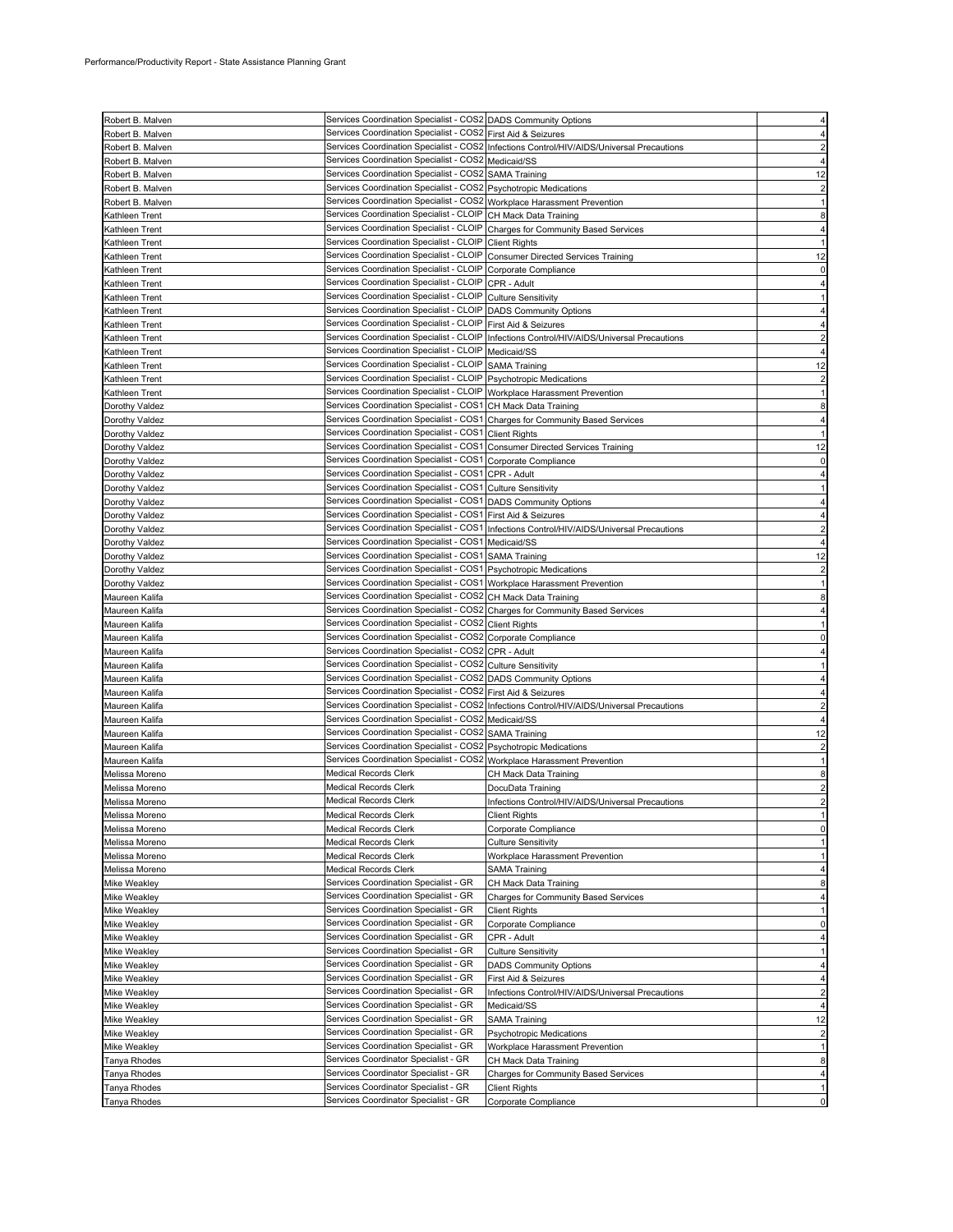| Robert B. Malven                 | Services Coordination Specialist - COS2 DADS Community Options                       |                                                                                           |          |
|----------------------------------|--------------------------------------------------------------------------------------|-------------------------------------------------------------------------------------------|----------|
| Robert B. Malven                 | Services Coordination Specialist - COS2 First Aid & Seizures                         |                                                                                           |          |
| Robert B. Malven                 |                                                                                      | Services Coordination Specialist - COS2 Infections Control/HIV/AIDS/Universal Precautions |          |
| Robert B. Malven                 | Services Coordination Specialist - COS2                                              | Medicaid/SS                                                                               |          |
| Robert B. Malven                 | Services Coordination Specialist - COS2 SAMA Training                                |                                                                                           | 12       |
| Robert B. Malven                 | Services Coordination Specialist - COS2                                              | <b>Psychotropic Medications</b>                                                           |          |
| Robert B. Malven                 | Services Coordination Specialist - COS2 Workplace Harassment Prevention              |                                                                                           |          |
| Kathleen Trent                   | Services Coordination Specialist - CLOIP                                             | CH Mack Data Training                                                                     | 8        |
| Kathleen Trent                   | Services Coordination Specialist - CLOIP                                             | Charges for Community Based Services                                                      |          |
| Kathleen Trent                   | Services Coordination Specialist - CLOIP                                             | <b>Client Rights</b>                                                                      |          |
| Kathleen Trent                   | Services Coordination Specialist - CLOIP                                             | <b>Consumer Directed Services Training</b>                                                | 12       |
|                                  | Services Coordination Specialist - CLOIP                                             | Corporate Compliance                                                                      |          |
| Kathleen Trent<br>Kathleen Trent | Services Coordination Specialist - CLOIP                                             | CPR - Adult                                                                               |          |
|                                  | Services Coordination Specialist - CLOIP                                             |                                                                                           |          |
| Kathleen Trent                   |                                                                                      | <b>Culture Sensitivity</b>                                                                |          |
| Kathleen Trent                   | Services Coordination Specialist - CLOIP                                             | <b>DADS Community Options</b>                                                             |          |
| Kathleen Trent                   | Services Coordination Specialist - CLOIP<br>Services Coordination Specialist - CLOIP | First Aid & Seizures                                                                      |          |
| Kathleen Trent                   |                                                                                      | Infections Control/HIV/AIDS/Universal Precautions                                         |          |
| Kathleen Trent                   | Services Coordination Specialist - CLOIP                                             | Medicaid/SS                                                                               |          |
| Kathleen Trent                   | Services Coordination Specialist - CLOIP                                             | <b>SAMA Training</b>                                                                      | 12       |
| Kathleen Trent                   | Services Coordination Specialist - CLOIP                                             | <b>Psychotropic Medications</b>                                                           |          |
| Kathleen Trent                   | Services Coordination Specialist - CLOIP                                             | Workplace Harassment Prevention                                                           |          |
| Dorothy Valdez                   | Services Coordination Specialist - COS1                                              | CH Mack Data Training                                                                     |          |
| Dorothy Valdez                   | Services Coordination Specialist - COS1                                              | Charges for Community Based Services                                                      |          |
| Dorothy Valdez                   | Services Coordination Specialist - COS1                                              | <b>Client Rights</b>                                                                      |          |
| Dorothy Valdez                   | Services Coordination Specialist - COS1 Consumer Directed Services Training          |                                                                                           | 12       |
| Dorothy Valdez                   | Services Coordination Specialist - COS1 Corporate Compliance                         |                                                                                           | 0        |
| Dorothy Valdez                   | Services Coordination Specialist - COS1 CPR - Adult                                  |                                                                                           |          |
| Dorothy Valdez                   | Services Coordination Specialist - COS1                                              | <b>Culture Sensitivity</b>                                                                |          |
| Dorothy Valdez                   | Services Coordination Specialist - COS1 DADS Community Options                       |                                                                                           |          |
| Dorothy Valdez                   | Services Coordination Specialist - COS1                                              | First Aid & Seizures                                                                      |          |
| Dorothy Valdez                   | Services Coordination Specialist - COS1                                              | Infections Control/HIV/AIDS/Universal Precautions                                         |          |
| Dorothy Valdez                   | Services Coordination Specialist - COS1                                              | Medicaid/SS                                                                               |          |
| Dorothy Valdez                   | Services Coordination Specialist - COS1 SAMA Training                                |                                                                                           | 12       |
| Dorothy Valdez                   | Services Coordination Specialist - COS1 Psychotropic Medications                     |                                                                                           |          |
| Dorothy Valdez                   | Services Coordination Specialist - COS1 Workplace Harassment Prevention              |                                                                                           |          |
| Maureen Kalifa                   | Services Coordination Specialist - COS2 CH Mack Data Training                        |                                                                                           |          |
| Maureen Kalifa                   | Services Coordination Specialist - COS2 Charges for Community Based Services         |                                                                                           |          |
| Maureen Kalifa                   | Services Coordination Specialist - COS2 Client Rights                                |                                                                                           |          |
| Maureen Kalifa                   | Services Coordination Specialist - COS2 Corporate Compliance                         |                                                                                           |          |
| Maureen Kalifa                   | Services Coordination Specialist - COS2 CPR - Adult                                  |                                                                                           |          |
| Maureen Kalifa                   | Services Coordination Specialist - COS2 Culture Sensitivity                          |                                                                                           |          |
| Maureen Kalifa                   | Services Coordination Specialist - COS2 DADS Community Options                       |                                                                                           |          |
| Maureen Kalifa                   | Services Coordination Specialist - COS2                                              | First Aid & Seizures                                                                      |          |
| Maureen Kalifa                   |                                                                                      | Services Coordination Specialist - COS2 Infections Control/HIV/AIDS/Universal Precautions |          |
| Maureen Kalifa                   | Services Coordination Specialist - COS2                                              | Medicaid/SS                                                                               |          |
| Maureen Kalifa                   | Services Coordination Specialist - COS2                                              | <b>SAMA Training</b>                                                                      | 12       |
| Maureen Kalifa                   | Services Coordination Specialist - COS2 Psychotropic Medications                     |                                                                                           |          |
| Maureen Kalifa                   | Services Coordination Specialist - COS2 Workplace Harassment Prevention              |                                                                                           |          |
| Melissa Moreno                   | <b>Medical Records Clerk</b>                                                         | CH Mack Data Training                                                                     |          |
| Melissa Moreno                   | <b>Medical Records Clerk</b>                                                         | DocuData Training                                                                         |          |
|                                  | <b>Medical Records Clerk</b>                                                         |                                                                                           |          |
| Melissa Moreno                   |                                                                                      | Infections Control/HIV/AIDS/Universal Precautions                                         |          |
| Melissa Moreno                   | <b>Medical Records Clerk</b>                                                         | <b>Client Rights</b>                                                                      | $\Omega$ |
| Melissa Moreno                   | Medical Records Clerk                                                                | Corporate Compliance                                                                      |          |
| Melissa Moreno<br>Melissa Moreno | <b>Medical Records Clerk</b>                                                         | <b>Culture Sensitivity</b><br>Workplace Harassment Prevention                             |          |
|                                  | Medical Records Clerk<br><b>Medical Records Clerk</b>                                |                                                                                           |          |
| Melissa Moreno                   |                                                                                      | SAMA Training                                                                             |          |
| <b>Mike Weakley</b>              | Services Coordination Specialist - GR                                                | CH Mack Data Training                                                                     | 8        |
| Mike Weakley                     | Services Coordination Specialist - GR                                                | <b>Charges for Community Based Services</b>                                               |          |
| <b>Mike Weakley</b>              | Services Coordination Specialist - GR<br>Services Coordination Specialist - GR       | <b>Client Rights</b>                                                                      |          |
| Mike Weakley                     |                                                                                      | Corporate Compliance                                                                      | $\Omega$ |
| Mike Weakley                     | Services Coordination Specialist - GR                                                | CPR - Adult                                                                               |          |
| Mike Weakley                     | Services Coordination Specialist - GR                                                | <b>Culture Sensitivity</b>                                                                |          |
| <b>Mike Weakley</b>              | Services Coordination Specialist - GR                                                | <b>DADS Community Options</b>                                                             |          |
| <b>Mike Weakley</b>              | Services Coordination Specialist - GR                                                | First Aid & Seizures                                                                      |          |
| Mike Weakley                     | Services Coordination Specialist - GR                                                | Infections Control/HIV/AIDS/Universal Precautions                                         |          |
| <b>Mike Weakley</b>              | Services Coordination Specialist - GR                                                | Medicaid/SS                                                                               |          |
| Mike Weakley                     | Services Coordination Specialist - GR                                                | <b>SAMA Training</b>                                                                      | 12       |
| <b>Mike Weakley</b>              | Services Coordination Specialist - GR                                                | Psychotropic Medications                                                                  |          |
| Mike Weakley                     | Services Coordination Specialist - GR                                                | Workplace Harassment Prevention                                                           |          |
| <b>Tanya Rhodes</b>              | Services Coordinator Specialist - GR                                                 | CH Mack Data Training                                                                     | 8        |
| Tanya Rhodes                     | Services Coordinator Specialist - GR                                                 | <b>Charges for Community Based Services</b>                                               |          |
| Tanya Rhodes                     | Services Coordinator Specialist - GR                                                 | Client Rights                                                                             | 1        |
| Tanya Rhodes                     | Services Coordinator Specialist - GR                                                 | Corporate Compliance                                                                      | 0        |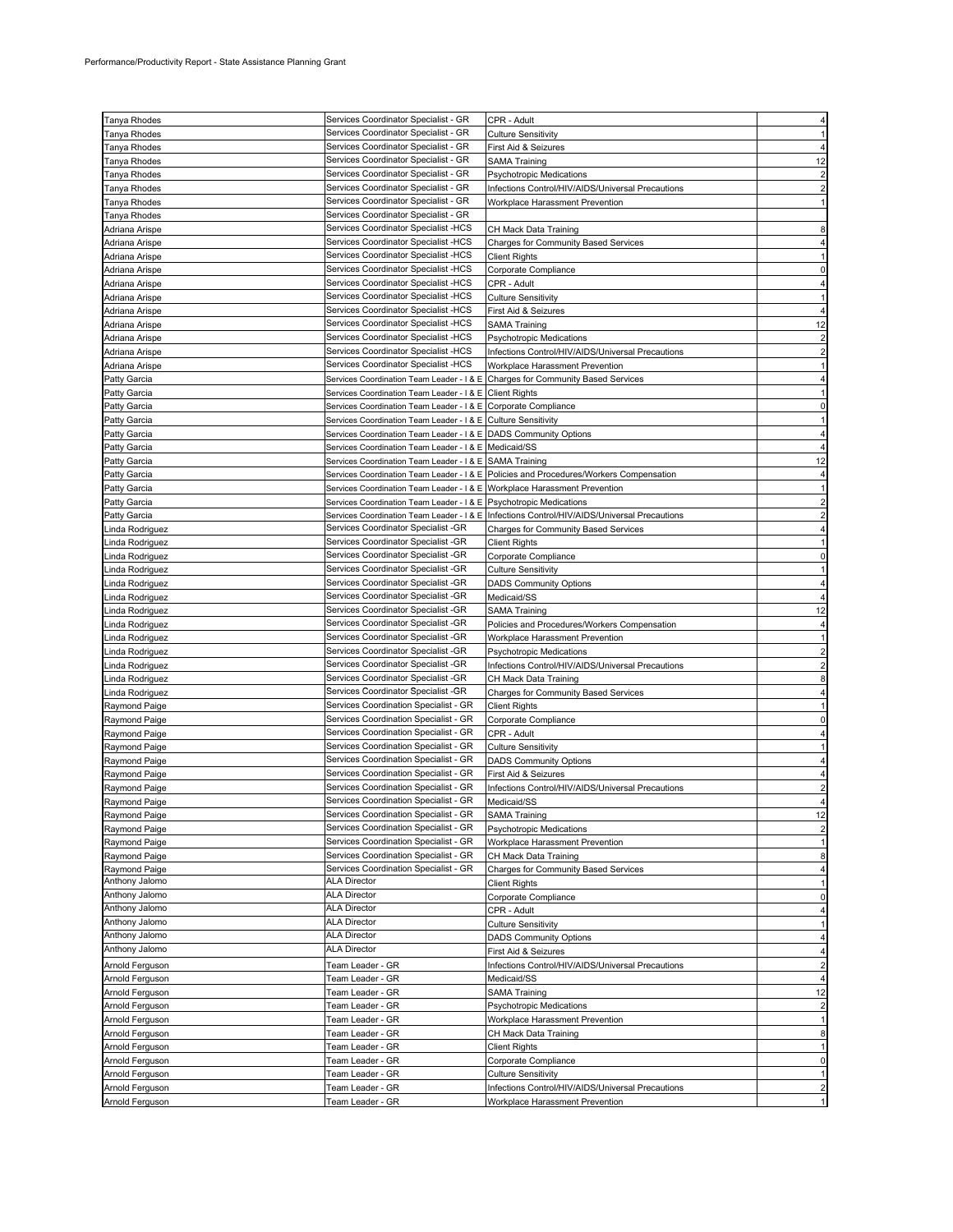| Tanya Rhodes    | Services Coordinator Specialist - GR                                           |                                                                                             |                         |
|-----------------|--------------------------------------------------------------------------------|---------------------------------------------------------------------------------------------|-------------------------|
|                 |                                                                                | CPR - Adult                                                                                 |                         |
| Tanya Rhodes    | Services Coordinator Specialist - GR                                           | <b>Culture Sensitivity</b>                                                                  |                         |
| Tanya Rhodes    | Services Coordinator Specialist - GR                                           | First Aid & Seizures                                                                        |                         |
| Tanya Rhodes    | Services Coordinator Specialist - GR                                           | SAMA Training                                                                               | 12                      |
| Tanya Rhodes    | Services Coordinator Specialist - GR                                           | Psychotropic Medications                                                                    |                         |
| Tanya Rhodes    | Services Coordinator Specialist - GR                                           | Infections Control/HIV/AIDS/Universal Precautions                                           |                         |
| Tanya Rhodes    | Services Coordinator Specialist - GR                                           | Workplace Harassment Prevention                                                             |                         |
| Tanya Rhodes    | Services Coordinator Specialist - GR                                           |                                                                                             |                         |
|                 |                                                                                |                                                                                             |                         |
| Adriana Arispe  | Services Coordinator Specialist -HCS                                           | CH Mack Data Training                                                                       |                         |
| Adriana Arispe  | Services Coordinator Specialist -HCS                                           | <b>Charges for Community Based Services</b>                                                 |                         |
| Adriana Arispe  | Services Coordinator Specialist -HCS                                           | <b>Client Rights</b>                                                                        |                         |
| Adriana Arispe  | Services Coordinator Specialist -HCS                                           | Corporate Compliance                                                                        |                         |
| Adriana Arispe  | Services Coordinator Specialist -HCS                                           | CPR - Adult                                                                                 |                         |
| Adriana Arispe  | Services Coordinator Specialist -HCS                                           | <b>Culture Sensitivity</b>                                                                  |                         |
| Adriana Arispe  | Services Coordinator Specialist -HCS                                           | First Aid & Seizures                                                                        |                         |
|                 |                                                                                |                                                                                             |                         |
| Adriana Arispe  | Services Coordinator Specialist -HCS                                           | <b>SAMA Training</b>                                                                        | 12                      |
| Adriana Arispe  | Services Coordinator Specialist -HCS                                           | Psychotropic Medications                                                                    | 2                       |
| Adriana Arispe  | Services Coordinator Specialist -HCS                                           | Infections Control/HIV/AIDS/Universal Precautions                                           |                         |
| Adriana Arispe  | Services Coordinator Specialist -HCS                                           | Workplace Harassment Prevention                                                             |                         |
| Patty Garcia    | Services Coordination Team Leader - I & E Charges for Community Based Services |                                                                                             |                         |
| Patty Garcia    | Services Coordination Team Leader - I & E Client Rights                        |                                                                                             |                         |
| Patty Garcia    | Services Coordination Team Leader - I & E Corporate Compliance                 |                                                                                             |                         |
|                 |                                                                                |                                                                                             |                         |
| Patty Garcia    | Services Coordination Team Leader - I & E Culture Sensitivity                  |                                                                                             |                         |
| Patty Garcia    | Services Coordination Team Leader - I & E DADS Community Options               |                                                                                             |                         |
| Patty Garcia    | Services Coordination Team Leader - I & E Medicaid/SS                          |                                                                                             |                         |
| Patty Garcia    | Services Coordination Team Leader - I & E SAMA Training                        |                                                                                             | 12                      |
| Patty Garcia    |                                                                                | Services Coordination Team Leader - I & E   Policies and Procedures/Workers Compensation    |                         |
| Patty Garcia    | Services Coordination Team Leader - I & E Workplace Harassment Prevention      |                                                                                             |                         |
|                 |                                                                                |                                                                                             |                         |
| Patty Garcia    | Services Coordination Team Leader - I & E Psychotropic Medications             |                                                                                             |                         |
| Patty Garcia    |                                                                                | Services Coordination Team Leader - I & E Infections Control/HIV/AIDS/Universal Precautions |                         |
| inda Rodriguez. | Services Coordinator Specialist -GR                                            | <b>Charges for Community Based Services</b>                                                 |                         |
| inda Rodriguez. | Services Coordinator Specialist -GR                                            | <b>Client Rights</b>                                                                        |                         |
| inda Rodriguez. | Services Coordinator Specialist -GR                                            | Corporate Compliance                                                                        | $\Omega$                |
| inda Rodriguez. | Services Coordinator Specialist -GR                                            | Culture Sensitivity                                                                         |                         |
|                 | Services Coordinator Specialist -GR                                            |                                                                                             |                         |
| inda Rodriguez. |                                                                                | <b>DADS Community Options</b>                                                               |                         |
| inda Rodriguez  | Services Coordinator Specialist -GR                                            | Medicaid/SS                                                                                 |                         |
| inda Rodriguez. | Services Coordinator Specialist -GR                                            | SAMA Training                                                                               | 12                      |
| inda Rodriguez. | Services Coordinator Specialist -GR                                            | Policies and Procedures/Workers Compensation                                                |                         |
| inda Rodriguez. | Services Coordinator Specialist -GR                                            | Workplace Harassment Prevention                                                             |                         |
| Linda Rodriguez | Services Coordinator Specialist -GR                                            | Psychotropic Medications                                                                    |                         |
| Linda Rodriguez | Services Coordinator Specialist -GR                                            | Infections Control/HIV/AIDS/Universal Precautions                                           | 2                       |
|                 |                                                                                |                                                                                             |                         |
| Linda Rodriguez | Services Coordinator Specialist -GR                                            | CH Mack Data Training                                                                       |                         |
| inda Rodriguez  | Services Coordinator Specialist -GR                                            | <b>Charges for Community Based Services</b>                                                 |                         |
| Raymond Paige   | Services Coordination Specialist - GR                                          | <b>Client Rights</b>                                                                        |                         |
| Raymond Paige   | Services Coordination Specialist - GR                                          | Corporate Compliance                                                                        | O                       |
| Raymond Paige   | Services Coordination Specialist - GR                                          | CPR - Adult                                                                                 |                         |
| Raymond Paige   | Services Coordination Specialist - GR                                          | <b>Culture Sensitivity</b>                                                                  |                         |
|                 |                                                                                |                                                                                             |                         |
| Raymond Paige   | Services Coordination Specialist - GR                                          | <b>DADS Community Options</b>                                                               |                         |
| Raymond Paige   | Services Coordination Specialist - GR                                          | First Aid & Seizures                                                                        |                         |
| Raymond Paige   | Services Coordination Specialist - GR                                          | Infections Control/HIV/AIDS/Universal Precautions                                           |                         |
| Raymond Paige   | Services Coordination Specialist - GR                                          | Medicaid/SS                                                                                 |                         |
| Raymond Paige   | Services Coordination Specialist - GR                                          | <b>SAMA Training</b>                                                                        | 12                      |
| Raymond Paige   | Services Coordination Specialist - GR                                          | <b>Psychotropic Medications</b>                                                             | $\overline{2}$          |
| Raymond Paige   | Services Coordination Specialist - GR                                          | Workplace Harassment Prevention                                                             | 1                       |
|                 | Services Coordination Specialist - GR                                          |                                                                                             |                         |
| Raymond Paige   |                                                                                | CH Mack Data Training                                                                       | 8                       |
| Raymond Paige   | Services Coordination Specialist - GR                                          | <b>Charges for Community Based Services</b>                                                 | 4                       |
| Anthony Jalomo  | <b>ALA Director</b>                                                            | <b>Client Rights</b>                                                                        |                         |
| Anthony Jalomo  | <b>ALA Director</b>                                                            | Corporate Compliance                                                                        | 0                       |
| Anthony Jalomo  | <b>ALA Director</b>                                                            | CPR - Adult                                                                                 |                         |
| Anthony Jalomo  | <b>ALA Director</b>                                                            | <b>Culture Sensitivity</b>                                                                  |                         |
| Anthony Jalomo  | <b>ALA Director</b>                                                            | <b>DADS Community Options</b>                                                               | 4                       |
| Anthony Jalomo  | <b>ALA Director</b>                                                            |                                                                                             |                         |
|                 |                                                                                | First Aid & Seizures                                                                        | 4                       |
| Arnold Ferguson | Team Leader - GR                                                               | Infections Control/HIV/AIDS/Universal Precautions                                           | $\overline{\mathbf{c}}$ |
| Arnold Ferguson | Team Leader - GR                                                               | Medicaid/SS                                                                                 |                         |
| Arnold Ferguson | Team Leader - GR                                                               | <b>SAMA Training</b>                                                                        | 12                      |
| Arnold Ferguson | Team Leader - GR                                                               | Psychotropic Medications                                                                    | $\overline{2}$          |
| Arnold Ferguson | Team Leader - GR                                                               | Workplace Harassment Prevention                                                             |                         |
| Arnold Ferguson | Team Leader - GR                                                               | CH Mack Data Training                                                                       | 8                       |
|                 |                                                                                |                                                                                             |                         |
| Arnold Ferguson | Team Leader - GR                                                               | <b>Client Rights</b>                                                                        | 1                       |
| Arnold Ferguson | Team Leader - GR                                                               | Corporate Compliance                                                                        | 0                       |
| Arnold Ferguson | Team Leader - GR                                                               | <b>Culture Sensitivity</b>                                                                  |                         |
| Arnold Ferguson | Team Leader - GR                                                               | Infections Control/HIV/AIDS/Universal Precautions                                           |                         |
| Arnold Ferguson | Team Leader - GR                                                               | Workplace Harassment Prevention                                                             |                         |
|                 |                                                                                |                                                                                             |                         |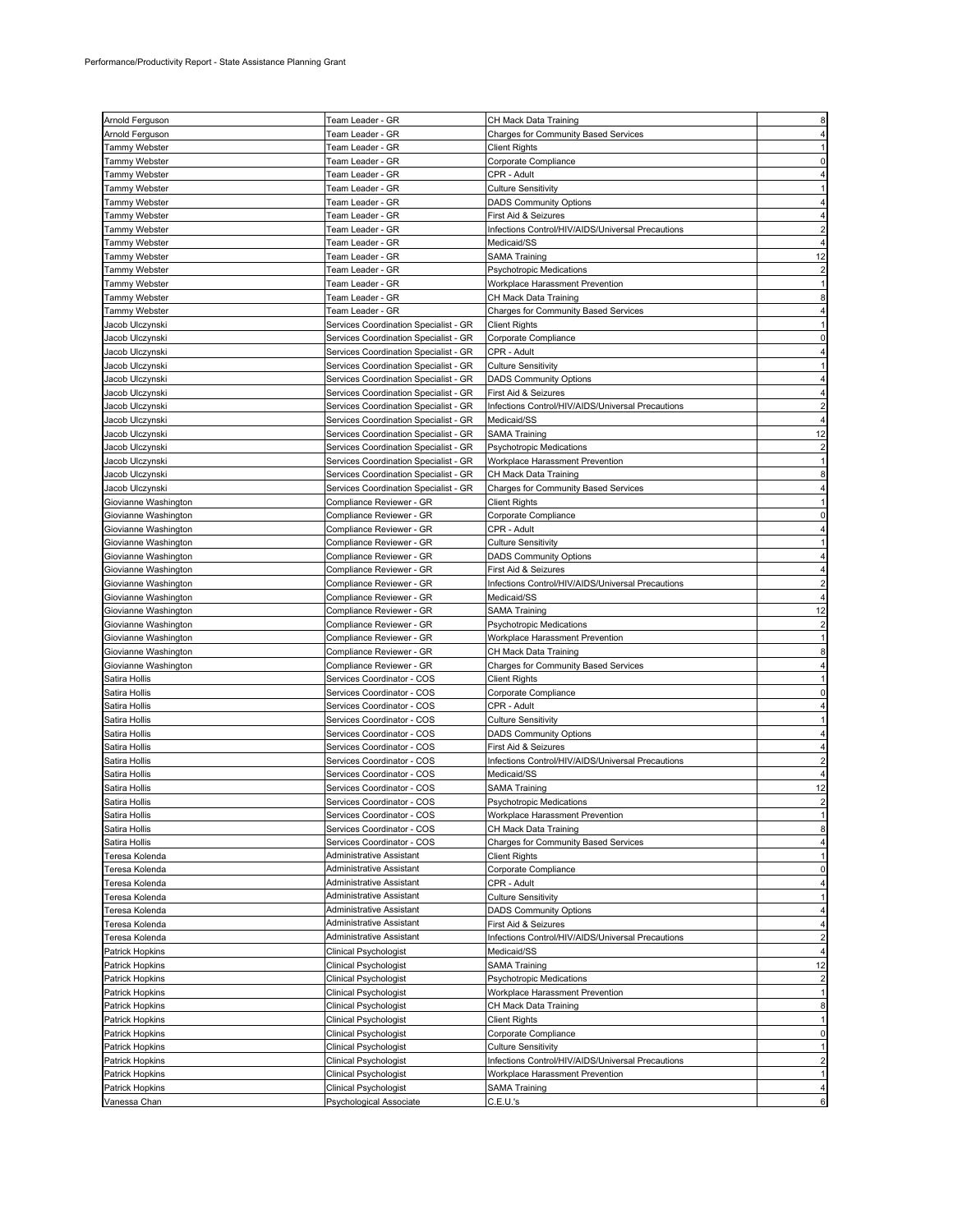|                                 | Team Leader - GR                                 | CH Mack Data Training                             |                |
|---------------------------------|--------------------------------------------------|---------------------------------------------------|----------------|
| Arnold Ferguson                 |                                                  |                                                   |                |
| Arnold Ferguson                 | Team Leader - GR                                 | Charges for Community Based Services              |                |
| Tammy Webster                   | Team Leader - GR                                 | Client Rights                                     |                |
| Tammy Webster                   | Team Leader - GR                                 | Corporate Compliance                              | O              |
| Tammy Webster                   | Team Leader - GR                                 | CPR - Adult                                       |                |
| Tammy Webster                   | Team Leader - GR                                 | Culture Sensitivity                               |                |
| Tammy Webster                   | Team Leader - GR                                 | <b>DADS Community Options</b>                     |                |
| Tammy Webster                   | Team Leader - GR                                 | First Aid & Seizures                              |                |
| Tammy Webster                   |                                                  | Infections Control/HIV/AIDS/Universal Precautions |                |
|                                 | Team Leader - GR                                 |                                                   |                |
| <b>Tammy Webster</b>            | Team Leader - GR                                 | Medicaid/SS                                       |                |
| Tammy Webster                   | Team Leader - GR                                 | <b>SAMA Training</b>                              | 12             |
| <b>Tammy Webster</b>            | Team Leader - GR                                 | <b>Psychotropic Medications</b>                   |                |
| Tammy Webster                   | Team Leader - GR                                 | Workplace Harassment Prevention                   |                |
| Tammy Webster                   | Team Leader - GR                                 | CH Mack Data Training                             |                |
| Tammy Webster                   | Team Leader - GR                                 | <b>Charges for Community Based Services</b>       |                |
| Jacob Ulczynski                 | Services Coordination Specialist - GR            | <b>Client Rights</b>                              |                |
| Jacob Ulczynski                 |                                                  | Corporate Compliance                              |                |
|                                 | Services Coordination Specialist - GR            |                                                   |                |
| Jacob Ulczynski                 | Services Coordination Specialist - GR            | CPR - Adult                                       |                |
| Jacob Ulczynski                 | Services Coordination Specialist - GR            | <b>Culture Sensitivity</b>                        |                |
| Jacob Ulczynski                 | Services Coordination Specialist - GR            | <b>DADS Community Options</b>                     |                |
| Jacob Ulczynski                 | Services Coordination Specialist - GR            | First Aid & Seizures                              |                |
| Jacob Ulczynski                 | Services Coordination Specialist - GR            | Infections Control/HIV/AIDS/Universal Precautions |                |
| Jacob Ulczynski                 | Services Coordination Specialist - GR            | Medicaid/SS                                       |                |
| Jacob Ulczynski                 | Services Coordination Specialist - GR            | <b>SAMA Training</b>                              | 12             |
| Jacob Ulczynski                 | Services Coordination Specialist - GR            | <b>Psychotropic Medications</b>                   | $\overline{c}$ |
|                                 |                                                  |                                                   |                |
| Jacob Ulczynski                 | Services Coordination Specialist - GR            | Workplace Harassment Prevention                   | 1              |
| Jacob Ulczynski                 | Services Coordination Specialist - GR            | CH Mack Data Training                             |                |
| Jacob Ulczynski                 | Services Coordination Specialist - GR            | <b>Charges for Community Based Services</b>       |                |
| Giovianne Washington            | Compliance Reviewer - GR                         | Client Rights                                     |                |
| Giovianne Washington            | Compliance Reviewer - GR                         | Corporate Compliance                              |                |
| Giovianne Washington            | Compliance Reviewer - GR                         | CPR - Adult                                       |                |
| Giovianne Washington            | Compliance Reviewer - GR                         | Culture Sensitivity                               |                |
| Giovianne Washington            | Compliance Reviewer - GR                         | <b>DADS Community Options</b>                     |                |
|                                 |                                                  |                                                   |                |
| Giovianne Washington            | Compliance Reviewer - GR                         | First Aid & Seizures                              |                |
| Giovianne Washington            | Compliance Reviewer - GR                         | Infections Control/HIV/AIDS/Universal Precautions |                |
| Giovianne Washington            | Compliance Reviewer - GR                         | Medicaid/SS                                       |                |
| Giovianne Washington            | Compliance Reviewer - GR                         | SAMA Training                                     | 12             |
| Giovianne Washington            | Compliance Reviewer - GR                         | <b>Psychotropic Medications</b>                   | $\overline{2}$ |
| Giovianne Washington            | Compliance Reviewer - GR                         | Workplace Harassment Prevention                   |                |
| Giovianne Washington            | Compliance Reviewer - GR                         | CH Mack Data Training                             |                |
| Giovianne Washington            | Compliance Reviewer - GR                         | Charges for Community Based Services              |                |
| Satira Hollis                   | Services Coordinator - COS                       | Client Rights                                     |                |
|                                 |                                                  |                                                   |                |
| Satira Hollis                   | Services Coordinator - COS                       | Corporate Compliance                              |                |
| Satira Hollis                   | Services Coordinator - COS                       | CPR - Adult                                       |                |
| Satira Hollis                   | Services Coordinator - COS                       | Culture Sensitivity                               |                |
| Satira Hollis                   | Services Coordinator - COS                       | <b>DADS Community Options</b>                     |                |
| Satira Hollis                   | Services Coordinator - COS                       | First Aid & Seizures                              |                |
| Satira Hollis                   | Services Coordinator - COS                       | Infections Control/HIV/AIDS/Universal Precautions |                |
| Satira Hollis                   | Services Coordinator - COS                       | Medicaid/SS                                       |                |
| Satira Hollis                   | Services Coordinator - COS                       | SAMA Training                                     | 12             |
| Satira Hollis                   | Services Coordinator - COS                       | <b>Psychotropic Medications</b>                   | $\overline{2}$ |
|                                 |                                                  |                                                   | 1              |
| Satira Hollis                   | Services Coordinator - COS                       | Workplace Harassment Prevention                   |                |
| Satira Hollis                   | Services Coordinator - COS                       | CH Mack Data Training                             | 8              |
| Satira Hollis                   | Services Coordinator - COS                       | Charges for Community Based Services              | 4              |
| Teresa Kolenda                  | Administrative Assistant                         | Client Rights                                     |                |
| Teresa Kolenda                  | Administrative Assistant                         | Corporate Compliance                              | $\Omega$       |
| Teresa Kolenda                  | Administrative Assistant                         | CPR - Adult                                       |                |
| Teresa Kolenda                  | Administrative Assistant                         | <b>Culture Sensitivity</b>                        |                |
| Teresa Kolenda                  | Administrative Assistant                         | <b>DADS Community Options</b>                     | 4              |
| Teresa Kolenda                  | Administrative Assistant                         | First Aid & Seizures                              |                |
| Teresa Kolenda                  | Administrative Assistant                         | Infections Control/HIV/AIDS/Universal Precautions | $\overline{2}$ |
|                                 |                                                  |                                                   |                |
| Patrick Hopkins                 | Clinical Psychologist                            | Medicaid/SS                                       |                |
| Patrick Hopkins                 | Clinical Psychologist                            | <b>SAMA Training</b>                              | 12             |
| Patrick Hopkins                 | Clinical Psychologist                            | Psychotropic Medications                          | $\overline{2}$ |
| Patrick Hopkins                 | <b>Clinical Psychologist</b>                     | Workplace Harassment Prevention                   |                |
| Patrick Hopkins                 | Clinical Psychologist                            | CH Mack Data Training                             | 8              |
| Patrick Hopkins                 | Clinical Psychologist                            | <b>Client Rights</b>                              | 1              |
| Patrick Hopkins                 | Clinical Psychologist                            | Corporate Compliance                              | $\mathbf 0$    |
| Patrick Hopkins                 | Clinical Psychologist                            | <b>Culture Sensitivity</b>                        | 1              |
|                                 |                                                  | Infections Control/HIV/AIDS/Universal Precautions | $\overline{c}$ |
| Patrick Hopkins                 | Clinical Psychologist                            |                                                   |                |
| Patrick Hopkins                 |                                                  |                                                   |                |
|                                 | Clinical Psychologist                            | Workplace Harassment Prevention                   | 1              |
| Patrick Hopkins<br>Vanessa Chan | Clinical Psychologist<br>Psychological Associate | <b>SAMA Training</b><br>C.E.U.'s                  | 4<br>6         |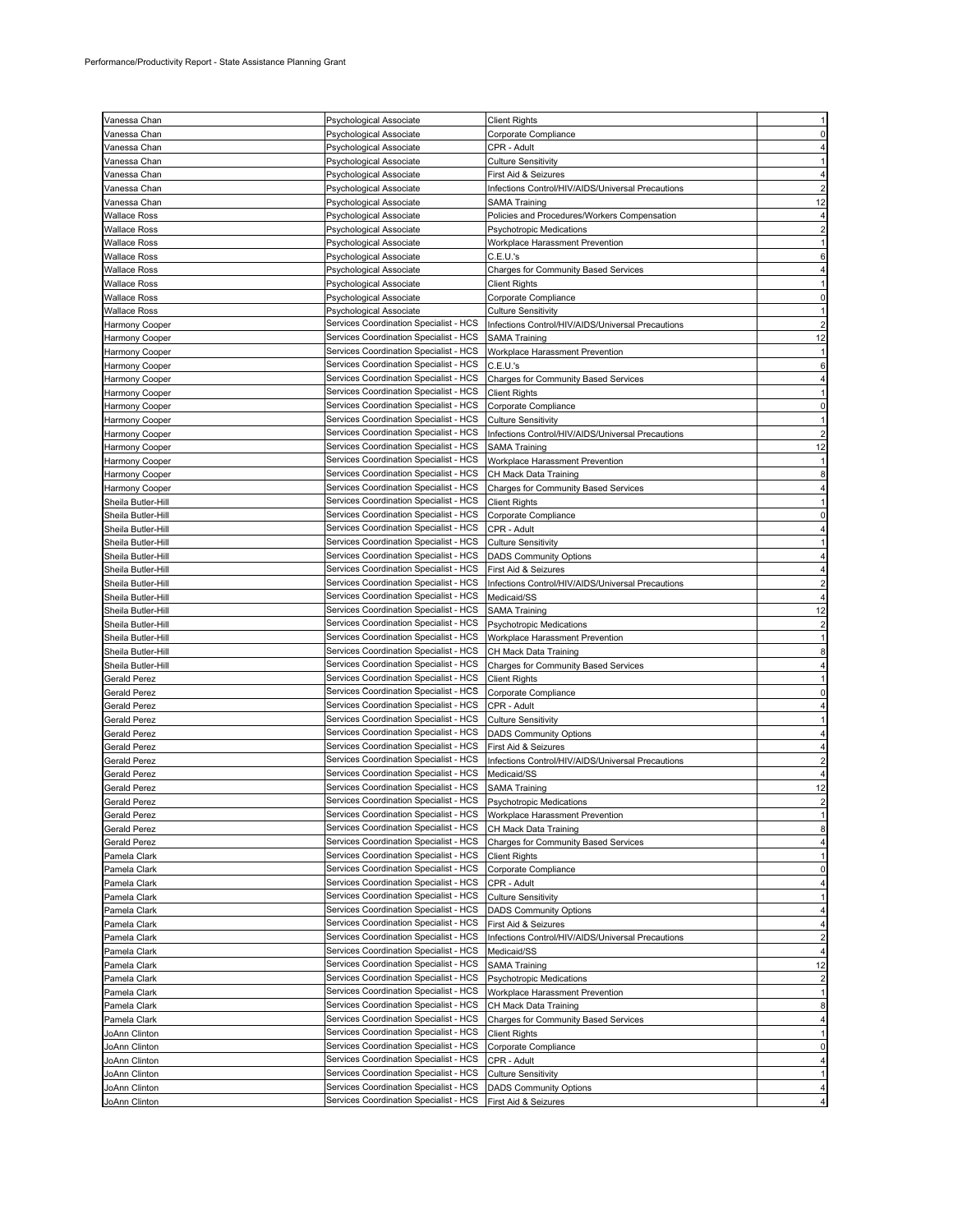| Vanessa Chan                        | Psychological Associate                                                          | <b>Client Rights</b>                                     |                |
|-------------------------------------|----------------------------------------------------------------------------------|----------------------------------------------------------|----------------|
| Vanessa Chan                        | Psychological Associate                                                          | Corporate Compliance                                     |                |
| Vanessa Chan                        | Psychological Associate                                                          | CPR - Adult                                              |                |
| Vanessa Chan                        | Psychological Associate                                                          | Culture Sensitivity                                      |                |
| Vanessa Chan                        | Psychological Associate                                                          | First Aid & Seizures                                     |                |
| Vanessa Chan                        | Psychological Associate                                                          | Infections Control/HIV/AIDS/Universal Precautions        | $\overline{c}$ |
| Vanessa Chan                        | Psychological Associate                                                          | SAMA Training                                            | 12             |
| Wallace Ross                        | Psychological Associate                                                          | Policies and Procedures/Workers Compensation             | 4              |
| Wallace Ross                        | Psychological Associate                                                          | Psychotropic Medications                                 | $\overline{c}$ |
| Wallace Ross                        | Psychological Associate                                                          | Workplace Harassment Prevention                          |                |
| Wallace Ross                        | Psychological Associate                                                          | C.E.U.'s                                                 | 6              |
| Wallace Ross                        | Psychological Associate                                                          | Charges for Community Based Services                     |                |
| Wallace Ross                        | Psychological Associate                                                          | Client Rights                                            |                |
| Wallace Ross                        | Psychological Associate                                                          | Corporate Compliance                                     |                |
| Wallace Ross                        | Psychological Associate                                                          | Culture Sensitivity                                      |                |
| Harmony Cooper                      | Services Coordination Specialist - HCS                                           | Infections Control/HIV/AIDS/Universal Precautions        |                |
| Harmony Cooper                      | Services Coordination Specialist - HCS                                           | <b>SAMA Training</b>                                     | 12             |
| Harmony Cooper                      | Services Coordination Specialist - HCS<br>Services Coordination Specialist - HCS | Workplace Harassment Prevention                          | 6              |
| Harmony Cooper                      | Services Coordination Specialist - HCS                                           | C.E.U.'s                                                 |                |
| Harmony Cooper                      | Services Coordination Specialist - HCS                                           | <b>Charges for Community Based Services</b>              |                |
| Harmony Cooper                      | Services Coordination Specialist - HCS                                           | <b>Client Rights</b><br>Corporate Compliance             | $\Omega$       |
| Harmony Cooper<br>Harmony Cooper    | Services Coordination Specialist - HCS                                           | Culture Sensitivity                                      |                |
| Harmony Cooper                      | Services Coordination Specialist - HCS                                           | Infections Control/HIV/AIDS/Universal Precautions        | 2              |
| Harmony Cooper                      | Services Coordination Specialist - HCS                                           | <b>SAMA Training</b>                                     | 12             |
| Harmony Cooper                      | Services Coordination Specialist - HCS                                           | Workplace Harassment Prevention                          |                |
| Harmony Cooper                      | Services Coordination Specialist - HCS                                           | CH Mack Data Training                                    | 8              |
| Harmony Cooper                      | Services Coordination Specialist - HCS                                           | <b>Charges for Community Based Services</b>              |                |
| Sheila Butler-Hill                  | Services Coordination Specialist - HCS                                           | <b>Client Rights</b>                                     |                |
| Sheila Butler-Hill                  | Services Coordination Specialist - HCS                                           | Corporate Compliance                                     | 0              |
| Sheila Butler-Hill                  | Services Coordination Specialist - HCS                                           | CPR - Adult                                              |                |
| Sheila Butler-Hill                  | Services Coordination Specialist - HCS                                           | <b>Culture Sensitivity</b>                               |                |
| Sheila Butler-Hill                  | Services Coordination Specialist - HCS                                           | <b>DADS Community Options</b>                            |                |
| Sheila Butler-Hill                  | Services Coordination Specialist - HCS                                           | First Aid & Seizures                                     |                |
| Sheila Butler-Hill                  | Services Coordination Specialist - HCS                                           | Infections Control/HIV/AIDS/Universal Precautions        |                |
| Sheila Butler-Hill                  | Services Coordination Specialist - HCS                                           | Medicaid/SS                                              |                |
| Sheila Butler-Hill                  | Services Coordination Specialist - HCS                                           | <b>SAMA Training</b>                                     | 12             |
| Sheila Butler-Hill                  | Services Coordination Specialist - HCS                                           | <b>Psychotropic Medications</b>                          |                |
| Sheila Butler-Hill                  | Services Coordination Specialist - HCS                                           | Workplace Harassment Prevention                          |                |
| Sheila Butler-Hill                  | Services Coordination Specialist - HCS                                           | CH Mack Data Training                                    | 8              |
| Sheila Butler-Hill                  | Services Coordination Specialist - HCS                                           | Charges for Community Based Services                     |                |
| Gerald Perez                        | Services Coordination Specialist - HCS                                           | <b>Client Rights</b>                                     |                |
| Gerald Perez                        | Services Coordination Specialist - HCS                                           | Corporate Compliance                                     | 0              |
| Gerald Perez                        | Services Coordination Specialist - HCS                                           | CPR - Adult                                              |                |
| Gerald Perez                        | Services Coordination Specialist - HCS                                           | Culture Sensitivity                                      |                |
| <b>Gerald Perez</b>                 | Services Coordination Specialist - HCS                                           | <b>DADS Community Options</b>                            |                |
| Gerald Perez                        | Services Coordination Specialist - HCS                                           | First Aid & Seizures                                     |                |
| Gerald Perez                        | Services Coordination Specialist - HCS<br>Services Coordination Specialist - HCS | Infections Control/HIV/AIDS/Universal Precautions        |                |
| Gerald Perez<br><b>Gerald Perez</b> | Services Coordination Specialist - HCS                                           | Medicaid/SS<br><b>SAMA Training</b>                      | 12             |
| <b>Gerald Perez</b>                 | Services Coordination Specialist - HCS                                           |                                                          | $\overline{c}$ |
| <b>Gerald Perez</b>                 | Services Coordination Specialist - HCS                                           | <b>Psychotropic Medications</b>                          |                |
| Gerald Perez                        | Services Coordination Specialist - HCS                                           | Workplace Harassment Prevention<br>CH Mack Data Training | 8              |
| <b>Gerald Perez</b>                 | Services Coordination Specialist - HCS                                           | <b>Charges for Community Based Services</b>              | 4              |
| Pamela Clark                        | Services Coordination Specialist - HCS                                           | <b>Client Rights</b>                                     | 1              |
| Pamela Clark                        | Services Coordination Specialist - HCS                                           | Corporate Compliance                                     | 0              |
| Pamela Clark                        | Services Coordination Specialist - HCS                                           | CPR - Adult                                              | 4              |
| Pamela Clark                        | Services Coordination Specialist - HCS                                           | <b>Culture Sensitivity</b>                               | 1              |
| Pamela Clark                        | Services Coordination Specialist - HCS                                           | <b>DADS Community Options</b>                            |                |
| Pamela Clark                        | Services Coordination Specialist - HCS                                           | First Aid & Seizures                                     | 4              |
| Pamela Clark                        | Services Coordination Specialist - HCS                                           | Infections Control/HIV/AIDS/Universal Precautions        | $\overline{c}$ |
| Pamela Clark                        | Services Coordination Specialist - HCS                                           | Medicaid/SS                                              |                |
| Pamela Clark                        | Services Coordination Specialist - HCS                                           | <b>SAMA Training</b>                                     | 12             |
| Pamela Clark                        | Services Coordination Specialist - HCS                                           | <b>Psychotropic Medications</b>                          |                |
| Pamela Clark                        | Services Coordination Specialist - HCS                                           | Workplace Harassment Prevention                          |                |
| Pamela Clark                        | Services Coordination Specialist - HCS                                           | CH Mack Data Training                                    | 8              |
| Pamela Clark                        | Services Coordination Specialist - HCS                                           | <b>Charges for Community Based Services</b>              | 4              |
| JoAnn Clinton                       | Services Coordination Specialist - HCS                                           | <b>Client Rights</b>                                     | $\overline{1}$ |
| JoAnn Clinton                       | Services Coordination Specialist - HCS                                           | Corporate Compliance                                     | 0              |
| JoAnn Clinton                       | Services Coordination Specialist - HCS                                           | CPR - Adult                                              | 4              |
| JoAnn Clinton                       | Services Coordination Specialist - HCS                                           | <b>Culture Sensitivity</b>                               |                |
| JoAnn Clinton                       | Services Coordination Specialist - HCS                                           | <b>DADS Community Options</b>                            |                |
| JoAnn Clinton                       | Services Coordination Specialist - HCS                                           | First Aid & Seizures                                     |                |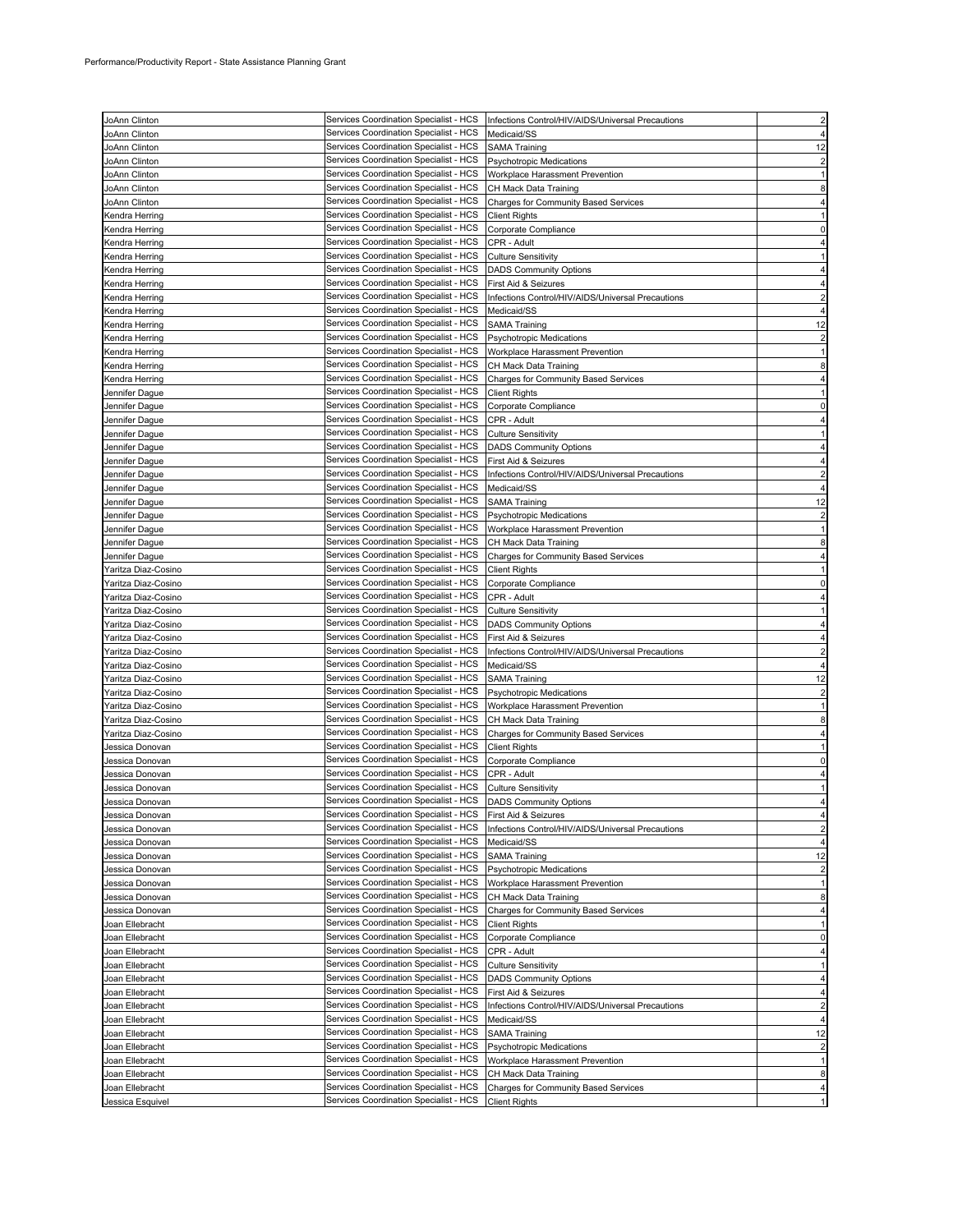| JoAnn Clinton       | Services Coordination Specialist - HCS | Infections Control/HIV/AIDS/Universal Precautions |                |
|---------------------|----------------------------------------|---------------------------------------------------|----------------|
| JoAnn Clinton       | Services Coordination Specialist - HCS | Medicaid/SS                                       |                |
|                     | Services Coordination Specialist - HCS |                                                   | 12             |
| JoAnn Clinton       | Services Coordination Specialist - HCS | <b>SAMA Training</b>                              |                |
| JoAnn Clinton       |                                        | <b>Psychotropic Medications</b>                   | 2              |
| JoAnn Clinton       | Services Coordination Specialist - HCS | Workplace Harassment Prevention                   |                |
| JoAnn Clinton       | Services Coordination Specialist - HCS | CH Mack Data Training                             | 8              |
| JoAnn Clinton       | Services Coordination Specialist - HCS | Charges for Community Based Services              |                |
| Kendra Herring      | Services Coordination Specialist - HCS | <b>Client Rights</b>                              |                |
| Kendra Herring      | Services Coordination Specialist - HCS | Corporate Compliance                              | $\Omega$       |
| Kendra Herring      | Services Coordination Specialist - HCS | CPR - Adult                                       |                |
| Kendra Herring      | Services Coordination Specialist - HCS | <b>Culture Sensitivity</b>                        |                |
| Kendra Herring      | Services Coordination Specialist - HCS | <b>DADS Community Options</b>                     |                |
| Kendra Herring      | Services Coordination Specialist - HCS | First Aid & Seizures                              |                |
| Kendra Herring      | Services Coordination Specialist - HCS | Infections Control/HIV/AIDS/Universal Precautions |                |
| Kendra Herring      | Services Coordination Specialist - HCS | Medicaid/SS                                       |                |
| Kendra Herring      | Services Coordination Specialist - HCS | <b>SAMA Training</b>                              | 12             |
| Kendra Herring      | Services Coordination Specialist - HCS | <b>Psychotropic Medications</b>                   | 2              |
| Kendra Herring      | Services Coordination Specialist - HCS | Workplace Harassment Prevention                   |                |
| Kendra Herring      | Services Coordination Specialist - HCS | CH Mack Data Training                             | 8              |
| Kendra Herring      | Services Coordination Specialist - HCS | Charges for Community Based Services              |                |
| Jennifer Dague      | Services Coordination Specialist - HCS | <b>Client Rights</b>                              |                |
|                     | Services Coordination Specialist - HCS |                                                   | 0              |
| Jennifer Dague      | Services Coordination Specialist - HCS | Corporate Compliance                              |                |
| Jennifer Dague      | Services Coordination Specialist - HCS | CPR - Adult                                       |                |
| Jennifer Dague      |                                        | <b>Culture Sensitivity</b>                        |                |
| Jennifer Dague      | Services Coordination Specialist - HCS | <b>DADS Community Options</b>                     |                |
| Jennifer Dague      | Services Coordination Specialist - HCS | First Aid & Seizures                              |                |
| Jennifer Dague      | Services Coordination Specialist - HCS | Infections Control/HIV/AIDS/Universal Precautions |                |
| Jennifer Dague      | Services Coordination Specialist - HCS | Medicaid/SS                                       |                |
| Jennifer Dague      | Services Coordination Specialist - HCS | <b>SAMA Training</b>                              | 12             |
| Jennifer Dague      | Services Coordination Specialist - HCS | <b>Psychotropic Medications</b>                   |                |
| Jennifer Dague      | Services Coordination Specialist - HCS | Workplace Harassment Prevention                   |                |
| Jennifer Dague      | Services Coordination Specialist - HCS | CH Mack Data Training                             | 8              |
| Jennifer Dague      | Services Coordination Specialist - HCS | Charges for Community Based Services              |                |
| Yaritza Diaz-Cosino | Services Coordination Specialist - HCS | <b>Client Rights</b>                              |                |
| Yaritza Diaz-Cosino | Services Coordination Specialist - HCS | Corporate Compliance                              |                |
| Yaritza Diaz-Cosino | Services Coordination Specialist - HCS | CPR - Adult                                       |                |
| Yaritza Diaz-Cosino | Services Coordination Specialist - HCS | <b>Culture Sensitivity</b>                        |                |
| Ƴaritza Diaz-Cosino | Services Coordination Specialist - HCS | <b>DADS Community Options</b>                     |                |
| raritza Diaz-Cosino | Services Coordination Specialist - HCS | First Aid & Seizures                              |                |
|                     | Services Coordination Specialist - HCS | Infections Control/HIV/AIDS/Universal Precautions |                |
| Yaritza Diaz-Cosino | Services Coordination Specialist - HCS |                                                   |                |
| Yaritza Diaz-Cosino |                                        | Medicaid/SS                                       |                |
| Yaritza Diaz-Cosino | Services Coordination Specialist - HCS | <b>SAMA Training</b>                              | 12             |
| Yaritza Diaz-Cosino | Services Coordination Specialist - HCS | <b>Psychotropic Medications</b>                   | $\overline{c}$ |
| Yaritza Diaz-Cosino | Services Coordination Specialist - HCS | Workplace Harassment Prevention                   |                |
| Yaritza Diaz-Cosino | Services Coordination Specialist - HCS | CH Mack Data Training                             | 8              |
| Yaritza Diaz-Cosino | Services Coordination Specialist - HCS | Charges for Community Based Services              |                |
| Jessica Donovan     | Services Coordination Specialist - HCS | <b>Client Rights</b>                              |                |
| Jessica Donovan     | Services Coordination Specialist - HCS | Corporate Compliance                              | 0              |
| Jessica Donovan     | Services Coordination Specialist - HCS | CPR - Adult                                       |                |
| Jessica Donovan     | Services Coordination Specialist - HCS | <b>Culture Sensitivity</b>                        |                |
| Jessica Donovan     | Services Coordination Specialist - HCS | <b>DADS Community Options</b>                     |                |
| Jessica Donovan     | Services Coordination Specialist - HCS | First Aid & Seizures                              |                |
| Jessica Donovan     | Services Coordination Specialist - HCS | Infections Control/HIV/AIDS/Universal Precautions | $\overline{c}$ |
| Jessica Donovan     | Services Coordination Specialist - HCS | Medicaid/SS                                       |                |
| Jessica Donovan     | Services Coordination Specialist - HCS | <b>SAMA Training</b>                              | 12             |
| Jessica Donovan     | Services Coordination Specialist - HCS | <b>Psychotropic Medications</b>                   | $\overline{c}$ |
| Jessica Donovan     | Services Coordination Specialist - HCS | Workplace Harassment Prevention                   | 1              |
| Jessica Donovan     | Services Coordination Specialist - HCS | CH Mack Data Training                             | 8              |
| Jessica Donovan     | Services Coordination Specialist - HCS | Charges for Community Based Services              | 4              |
| Joan Ellebracht     | Services Coordination Specialist - HCS | <b>Client Rights</b>                              |                |
| Joan Ellebracht     | Services Coordination Specialist - HCS | Corporate Compliance                              | 0              |
| Joan Ellebracht     | Services Coordination Specialist - HCS | CPR - Adult                                       |                |
|                     | Services Coordination Specialist - HCS |                                                   |                |
| Joan Ellebracht     |                                        | <b>Culture Sensitivity</b>                        |                |
| Joan Ellebracht     | Services Coordination Specialist - HCS | <b>DADS Community Options</b>                     |                |
| Joan Ellebracht     | Services Coordination Specialist - HCS | First Aid & Seizures                              |                |
| Joan Ellebracht     | Services Coordination Specialist - HCS | Infections Control/HIV/AIDS/Universal Precautions | $\overline{c}$ |
| Joan Ellebracht     | Services Coordination Specialist - HCS | Medicaid/SS                                       |                |
| Joan Ellebracht     | Services Coordination Specialist - HCS | <b>SAMA Training</b>                              | 12             |
| Joan Ellebracht     | Services Coordination Specialist - HCS | <b>Psychotropic Medications</b>                   | $\overline{c}$ |
| Joan Ellebracht     | Services Coordination Specialist - HCS | Workplace Harassment Prevention                   | 1              |
| Joan Ellebracht     | Services Coordination Specialist - HCS | CH Mack Data Training                             | 8              |
| Joan Ellebracht     | Services Coordination Specialist - HCS | <b>Charges for Community Based Services</b>       | 4              |
| Jessica Esquivel    | Services Coordination Specialist - HCS | <b>Client Rights</b>                              |                |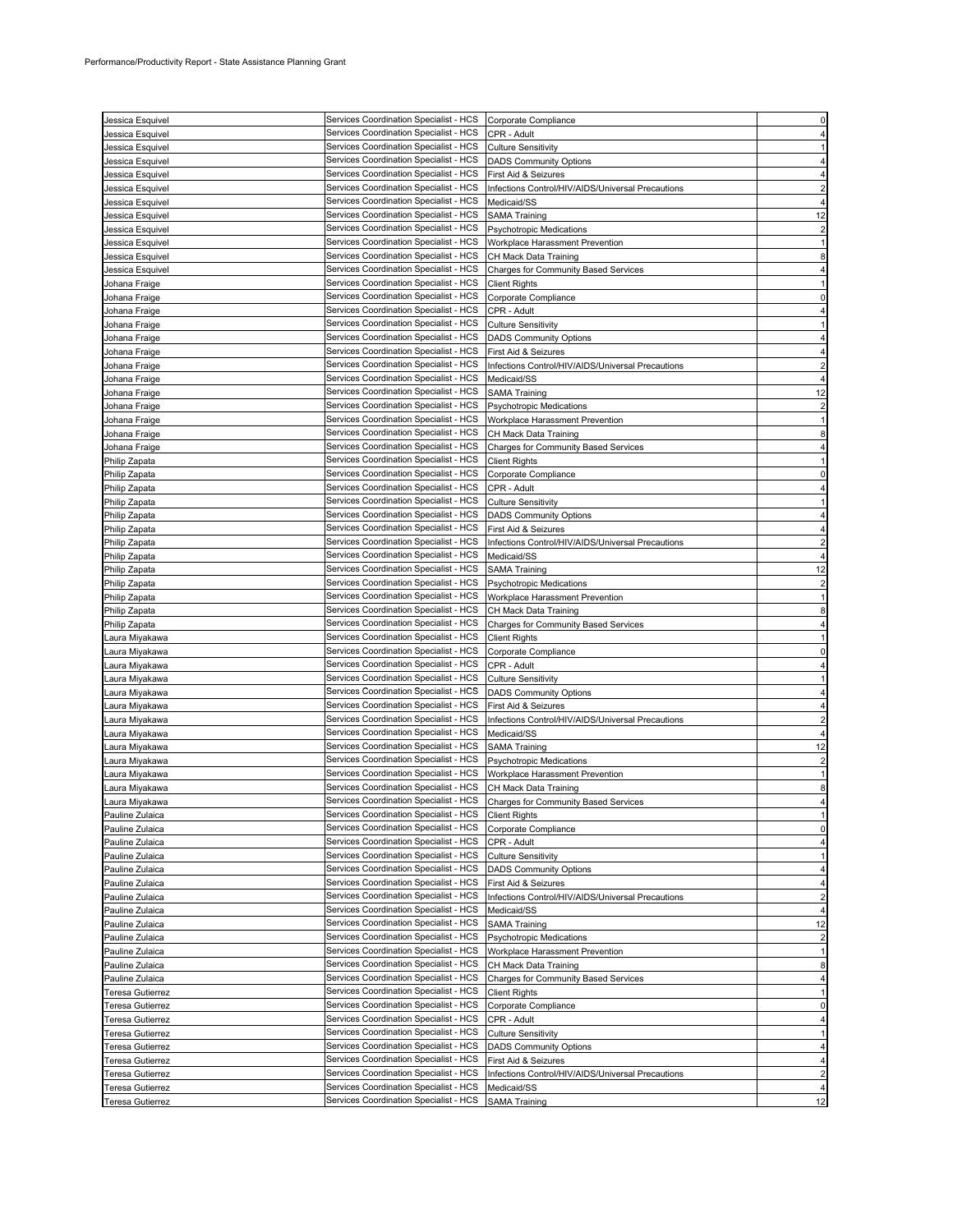| Jessica Esquivel                   | Services Coordination Specialist - HCS Corporate Compliance                      |                                                       |                         |
|------------------------------------|----------------------------------------------------------------------------------|-------------------------------------------------------|-------------------------|
|                                    | Services Coordination Specialist - HCS                                           | CPR - Adult                                           |                         |
| Jessica Esquivel                   |                                                                                  |                                                       |                         |
| Jessica Esquivel                   | Services Coordination Specialist - HCS                                           | <b>Culture Sensitivity</b>                            |                         |
| Jessica Esquivel                   | Services Coordination Specialist - HCS                                           | <b>DADS Community Options</b>                         |                         |
| Jessica Esquivel                   | Services Coordination Specialist - HCS                                           | First Aid & Seizures                                  |                         |
| Jessica Esquivel                   | Services Coordination Specialist - HCS                                           | Infections Control/HIV/AIDS/Universal Precautions     |                         |
| Jessica Esquivel                   | Services Coordination Specialist - HCS                                           | Medicaid/SS                                           |                         |
| Jessica Esquivel                   | Services Coordination Specialist - HCS                                           | <b>SAMA Training</b>                                  | 12                      |
| Jessica Esquivel                   | Services Coordination Specialist - HCS                                           | <b>Psychotropic Medications</b>                       |                         |
| Jessica Esquivel                   | Services Coordination Specialist - HCS                                           | Workplace Harassment Prevention                       |                         |
| Jessica Esquivel                   | Services Coordination Specialist - HCS                                           | CH Mack Data Training                                 | 8                       |
| Jessica Esquivel                   | Services Coordination Specialist - HCS                                           | <b>Charges for Community Based Services</b>           |                         |
| Johana Fraige                      | Services Coordination Specialist - HCS                                           | <b>Client Rights</b>                                  |                         |
| Johana Fraige                      | Services Coordination Specialist - HCS                                           | Corporate Compliance                                  |                         |
| Johana Fraige                      | Services Coordination Specialist - HCS                                           | CPR - Adult                                           |                         |
| Johana Fraige                      | Services Coordination Specialist - HCS                                           | <b>Culture Sensitivity</b>                            |                         |
| Johana Fraige                      | Services Coordination Specialist - HCS                                           | <b>DADS Community Options</b>                         |                         |
| Johana Fraige                      | Services Coordination Specialist - HCS                                           | First Aid & Seizures                                  |                         |
| Johana Fraige                      | Services Coordination Specialist - HCS                                           | Infections Control/HIV/AIDS/Universal Precautions     |                         |
| Johana Fraige                      | Services Coordination Specialist - HCS                                           | Medicaid/SS                                           |                         |
| Johana Fraige                      | Services Coordination Specialist - HCS                                           | <b>SAMA Training</b>                                  | 12                      |
|                                    | Services Coordination Specialist - HCS                                           |                                                       |                         |
| Johana Fraige                      | Services Coordination Specialist - HCS                                           | Psychotropic Medications                              |                         |
| Johana Fraige                      |                                                                                  | Workplace Harassment Prevention                       |                         |
| Johana Fraige                      | Services Coordination Specialist - HCS                                           | CH Mack Data Training                                 |                         |
| Johana Fraige                      | Services Coordination Specialist - HCS                                           | Charges for Community Based Services                  |                         |
| Philip Zapata                      | Services Coordination Specialist - HCS                                           | <b>Client Rights</b>                                  |                         |
| Philip Zapata                      | Services Coordination Specialist - HCS                                           | Corporate Compliance                                  |                         |
| Philip Zapata                      | Services Coordination Specialist - HCS                                           | CPR - Adult                                           |                         |
| Philip Zapata                      | Services Coordination Specialist - HCS                                           | <b>Culture Sensitivity</b>                            |                         |
| Philip Zapata                      | Services Coordination Specialist - HCS                                           | <b>DADS Community Options</b>                         |                         |
| Philip Zapata                      | Services Coordination Specialist - HCS                                           | First Aid & Seizures                                  |                         |
| Philip Zapata                      | Services Coordination Specialist - HCS                                           | Infections Control/HIV/AIDS/Universal Precautions     |                         |
| Philip Zapata                      | Services Coordination Specialist - HCS                                           | Medicaid/SS                                           |                         |
| Philip Zapata                      | Services Coordination Specialist - HCS                                           | <b>SAMA Training</b>                                  | 12                      |
| Philip Zapata                      | Services Coordination Specialist - HCS                                           | <b>Psychotropic Medications</b>                       |                         |
| Philip Zapata                      | Services Coordination Specialist - HCS                                           | Workplace Harassment Prevention                       |                         |
| Philip Zapata                      | Services Coordination Specialist - HCS                                           | CH Mack Data Training                                 |                         |
| Philip Zapata                      | Services Coordination Specialist - HCS                                           | <b>Charges for Community Based Services</b>           |                         |
|                                    | Services Coordination Specialist - HCS                                           | <b>Client Rights</b>                                  |                         |
|                                    |                                                                                  |                                                       |                         |
| Laura Miyakawa                     |                                                                                  |                                                       |                         |
| Laura Miyakawa                     | Services Coordination Specialist - HCS                                           | Corporate Compliance                                  |                         |
| Laura Miyakawa                     | Services Coordination Specialist - HCS                                           | CPR - Adult                                           |                         |
| Laura Miyakawa                     | Services Coordination Specialist - HCS                                           | <b>Culture Sensitivity</b>                            |                         |
| Laura Miyakawa                     | Services Coordination Specialist - HCS                                           | <b>DADS Community Options</b>                         |                         |
| Laura Miyakawa                     | Services Coordination Specialist - HCS                                           | First Aid & Seizures                                  |                         |
| Laura Miyakawa                     | Services Coordination Specialist - HCS                                           | Infections Control/HIV/AIDS/Universal Precautions     |                         |
| Laura Miyakawa                     | Services Coordination Specialist - HCS                                           | Medicaid/SS                                           |                         |
| Laura Miyakawa                     | Services Coordination Specialist - HCS                                           | <b>SAMA Training</b>                                  | 12                      |
| Laura Miyakawa                     | Services Coordination Specialist - HCS                                           | Psychotropic Medications                              | $\overline{\mathbf{c}}$ |
| Laura Miyakawa                     | Services Coordination Specialist - HCS                                           | Workplace Harassment Prevention                       |                         |
| Laura Miyakawa                     | Services Coordination Specialist - HCS                                           | CH Mack Data Training                                 | 8                       |
| Laura Miyakawa                     | Services Coordination Specialist - HCS                                           | Charges for Community Based Services                  |                         |
| Pauline Zulaica                    | Services Coordination Specialist - HCS                                           | <b>Client Rights</b>                                  |                         |
| Pauline Zulaica                    | Services Coordination Specialist - HCS                                           | Corporate Compliance                                  |                         |
| Pauline Zulaica                    | Services Coordination Specialist - HCS                                           | CPR - Adult                                           |                         |
| Pauline Zulaica                    | Services Coordination Specialist - HCS                                           | <b>Culture Sensitivity</b>                            |                         |
|                                    | Services Coordination Specialist - HCS                                           |                                                       |                         |
| Pauline Zulaica<br>Pauline Zulaica | Services Coordination Specialist - HCS                                           | <b>DADS Community Options</b><br>First Aid & Seizures |                         |
|                                    | Services Coordination Specialist - HCS                                           | Infections Control/HIV/AIDS/Universal Precautions     | 2                       |
| Pauline Zulaica                    | Services Coordination Specialist - HCS                                           |                                                       | 4                       |
| Pauline Zulaica                    |                                                                                  | Medicaid/SS                                           |                         |
| Pauline Zulaica                    | Services Coordination Specialist - HCS                                           | <b>SAMA Training</b>                                  | 12                      |
| Pauline Zulaica                    | Services Coordination Specialist - HCS                                           | <b>Psychotropic Medications</b>                       | 2                       |
| Pauline Zulaica                    | Services Coordination Specialist - HCS                                           | Workplace Harassment Prevention                       |                         |
| Pauline Zulaica                    | Services Coordination Specialist - HCS                                           | CH Mack Data Training                                 |                         |
| Pauline Zulaica                    | Services Coordination Specialist - HCS                                           | <b>Charges for Community Based Services</b>           |                         |
| Teresa Gutierrez                   | Services Coordination Specialist - HCS                                           | <b>Client Rights</b>                                  |                         |
| <b>Teresa Gutierrez</b>            | Services Coordination Specialist - HCS                                           | Corporate Compliance                                  | 0                       |
| Teresa Gutierrez                   | Services Coordination Specialist - HCS                                           | CPR - Adult                                           |                         |
| Teresa Gutierrez                   | Services Coordination Specialist - HCS                                           | <b>Culture Sensitivity</b>                            |                         |
| Teresa Gutierrez                   | Services Coordination Specialist - HCS                                           | <b>DADS Community Options</b>                         |                         |
| Teresa Gutierrez                   | Services Coordination Specialist - HCS                                           | First Aid & Seizures                                  |                         |
| Teresa Gutierrez                   | Services Coordination Specialist - HCS                                           | Infections Control/HIV/AIDS/Universal Precautions     | $\overline{c}$          |
| Teresa Gutierrez                   | Services Coordination Specialist - HCS<br>Services Coordination Specialist - HCS | Medicaid/SS                                           |                         |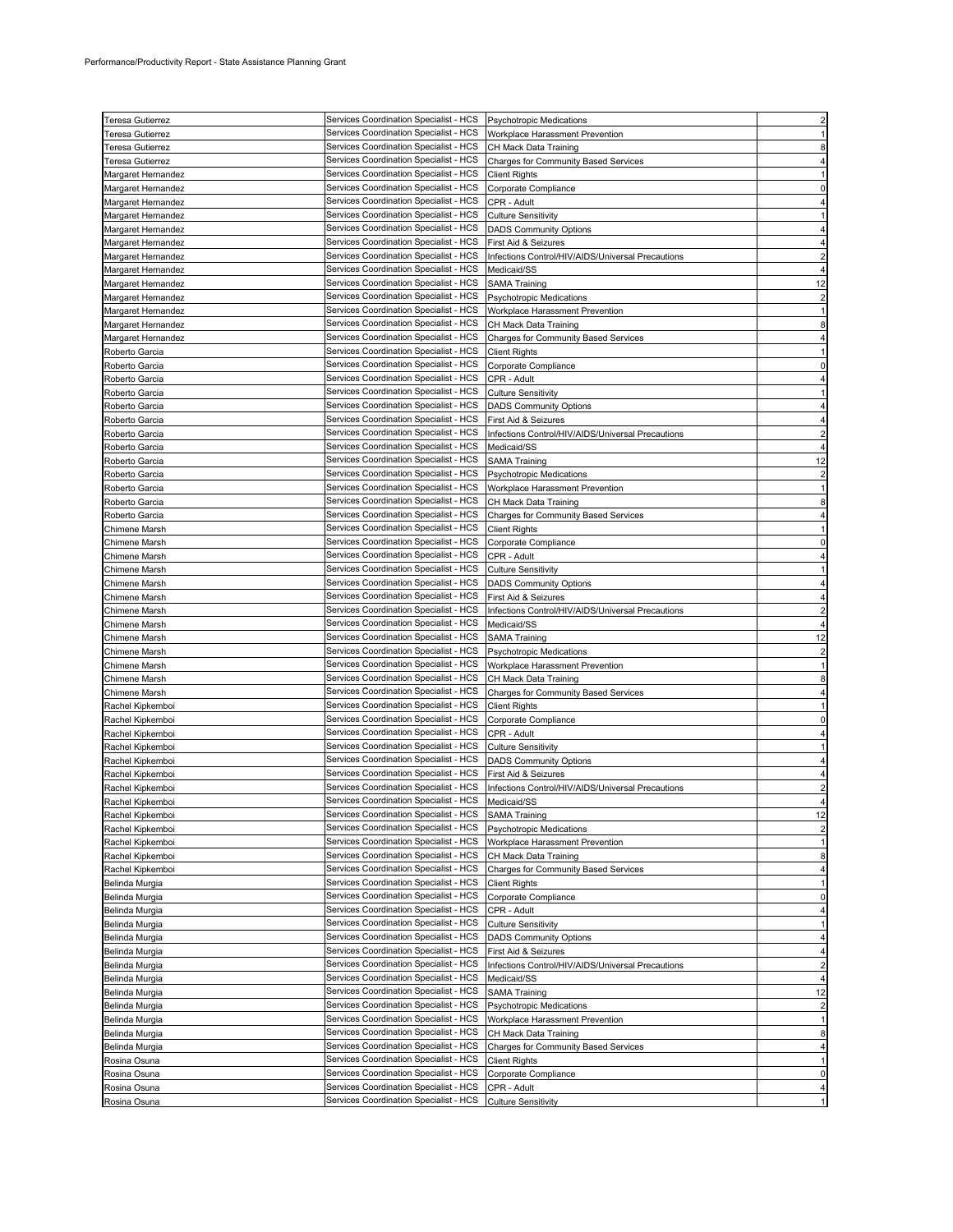| Teresa Gutierrez     | Services Coordination Specialist - HCS | <b>Psychotropic Medications</b>                   | $\overline{c}$ |
|----------------------|----------------------------------------|---------------------------------------------------|----------------|
| Teresa Gutierrez     | Services Coordination Specialist - HCS | Workplace Harassment Prevention                   |                |
|                      |                                        |                                                   |                |
| Teresa Gutierrez     | Services Coordination Specialist - HCS | CH Mack Data Training                             |                |
| Teresa Gutierrez     | Services Coordination Specialist - HCS | Charges for Community Based Services              |                |
| Margaret Hernandez   | Services Coordination Specialist - HCS | <b>Client Rights</b>                              |                |
| Margaret Hernandez   | Services Coordination Specialist - HCS | Corporate Compliance                              |                |
| Margaret Hernandez   | Services Coordination Specialist - HCS | CPR - Adult                                       |                |
| Margaret Hernandez   | Services Coordination Specialist - HCS | <b>Culture Sensitivity</b>                        |                |
| Margaret Hernandez   | Services Coordination Specialist - HCS | <b>DADS Community Options</b>                     |                |
| Margaret Hernandez   | Services Coordination Specialist - HCS | First Aid & Seizures                              |                |
| Margaret Hernandez   | Services Coordination Specialist - HCS | Infections Control/HIV/AIDS/Universal Precautions |                |
| Margaret Hernandez   | Services Coordination Specialist - HCS | Medicaid/SS                                       |                |
| Margaret Hernandez   | Services Coordination Specialist - HCS | <b>SAMA Training</b>                              | 12             |
| Margaret Hernandez   | Services Coordination Specialist - HCS | <b>Psychotropic Medications</b>                   | 2              |
| Margaret Hernandez   | Services Coordination Specialist - HCS | Workplace Harassment Prevention                   |                |
| Margaret Hernandez   | Services Coordination Specialist - HCS | CH Mack Data Training                             | 8              |
| Margaret Hernandez   | Services Coordination Specialist - HCS | Charges for Community Based Services              |                |
| Roberto Garcia       | Services Coordination Specialist - HCS | <b>Client Rights</b>                              |                |
| Roberto Garcia       | Services Coordination Specialist - HCS | Corporate Compliance                              |                |
| Roberto Garcia       | Services Coordination Specialist - HCS | CPR - Adult                                       |                |
| Roberto Garcia       | Services Coordination Specialist - HCS | <b>Culture Sensitivity</b>                        |                |
|                      | Services Coordination Specialist - HCS | <b>DADS Community Options</b>                     |                |
| Roberto Garcia       |                                        |                                                   |                |
| Roberto Garcia       | Services Coordination Specialist - HCS | First Aid & Seizures                              |                |
| Roberto Garcia       | Services Coordination Specialist - HCS | Infections Control/HIV/AIDS/Universal Precautions |                |
| Roberto Garcia       | Services Coordination Specialist - HCS | Medicaid/SS                                       |                |
| Roberto Garcia       | Services Coordination Specialist - HCS | <b>SAMA Training</b>                              | 12             |
| Roberto Garcia       | Services Coordination Specialist - HCS | Psychotropic Medications                          |                |
| Roberto Garcia       | Services Coordination Specialist - HCS | Workplace Harassment Prevention                   |                |
| Roberto Garcia       | Services Coordination Specialist - HCS | CH Mack Data Training                             |                |
| Roberto Garcia       | Services Coordination Specialist - HCS | <b>Charges for Community Based Services</b>       |                |
| Chimene Marsh        | Services Coordination Specialist - HCS | <b>Client Rights</b>                              |                |
| Chimene Marsh        | Services Coordination Specialist - HCS | Corporate Compliance                              |                |
| Chimene Marsh        | Services Coordination Specialist - HCS | CPR - Adult                                       |                |
| Chimene Marsh        | Services Coordination Specialist - HCS | <b>Culture Sensitivity</b>                        |                |
| Chimene Marsh        | Services Coordination Specialist - HCS | <b>DADS Community Options</b>                     |                |
| <b>Chimene Marsh</b> | Services Coordination Specialist - HCS | First Aid & Seizures                              |                |
| <b>Chimene Marsh</b> | Services Coordination Specialist - HCS | Infections Control/HIV/AIDS/Universal Precautions |                |
|                      | Services Coordination Specialist - HCS |                                                   |                |
| Chimene Marsh        |                                        | Medicaid/SS                                       |                |
| Chimene Marsh        | Services Coordination Specialist - HCS | <b>SAMA Training</b>                              | 12             |
| Chimene Marsh        | Services Coordination Specialist - HCS | Psychotropic Medications                          |                |
| Chimene Marsh        | Services Coordination Specialist - HCS | Workplace Harassment Prevention                   |                |
| Chimene Marsh        | Services Coordination Specialist - HCS | CH Mack Data Training                             |                |
| Chimene Marsh        | Services Coordination Specialist - HCS | Charges for Community Based Services              |                |
| Rachel Kipkemboi     | Services Coordination Specialist - HCS | <b>Client Rights</b>                              |                |
| Rachel Kipkemboi     | Services Coordination Specialist - HCS | Corporate Compliance                              |                |
| Rachel Kipkemboi     | Services Coordination Specialist - HCS | CPR - Adult                                       |                |
| Rachel Kipkemboi     | Services Coordination Specialist - HCS | <b>Culture Sensitivity</b>                        |                |
| Rachel Kipkemboi     | Services Coordination Specialist - HCS | <b>DADS Community Options</b>                     |                |
| Rachel Kipkemboi     | Services Coordination Specialist - HCS | First Aid & Seizures                              |                |
| Rachel Kipkemboi     | Services Coordination Specialist - HCS | Infections Control/HIV/AIDS/Universal Precautions |                |
| Rachel Kipkemboi     | Services Coordination Specialist - HCS | Medicaid/SS                                       |                |
| Rachel Kipkemboi     | Services Coordination Specialist - HCS | <b>SAMA Training</b>                              | 12             |
| Rachel Kipkemboi     | Services Coordination Specialist - HCS | Psychotropic Medications                          | $\overline{2}$ |
| Rachel Kipkemboi     | Services Coordination Specialist - HCS | Workplace Harassment Prevention                   |                |
| Rachel Kipkemboi     | Services Coordination Specialist - HCS | CH Mack Data Training                             | 8              |
| Rachel Kipkemboi     | Services Coordination Specialist - HCS | <b>Charges for Community Based Services</b>       |                |
| Belinda Murgia       | Services Coordination Specialist - HCS | <b>Client Rights</b>                              |                |
| Belinda Murgia       | Services Coordination Specialist - HCS | Corporate Compliance                              | 0              |
| Belinda Murgia       | Services Coordination Specialist - HCS | CPR - Adult                                       |                |
| Belinda Murgia       | Services Coordination Specialist - HCS |                                                   |                |
|                      |                                        | <b>Culture Sensitivity</b>                        |                |
| Belinda Murgia       | Services Coordination Specialist - HCS | <b>DADS Community Options</b>                     |                |
| Belinda Murgia       | Services Coordination Specialist - HCS | First Aid & Seizures                              | 4              |
| Belinda Murgia       | Services Coordination Specialist - HCS | Infections Control/HIV/AIDS/Universal Precautions | 2              |
| Belinda Murgia       | Services Coordination Specialist - HCS | Medicaid/SS                                       |                |
| Belinda Murgia       | Services Coordination Specialist - HCS | <b>SAMA Training</b>                              | 12             |
| Belinda Murgia       | Services Coordination Specialist - HCS | <b>Psychotropic Medications</b>                   |                |
| Belinda Murgia       | Services Coordination Specialist - HCS | Workplace Harassment Prevention                   |                |
| Belinda Murgia       | Services Coordination Specialist - HCS | CH Mack Data Training                             | 8              |
| Belinda Murgia       | Services Coordination Specialist - HCS | Charges for Community Based Services              |                |
| Rosina Osuna         | Services Coordination Specialist - HCS | <b>Client Rights</b>                              |                |
| Rosina Osuna         | Services Coordination Specialist - HCS | Corporate Compliance                              | 0              |
| Rosina Osuna         | Services Coordination Specialist - HCS | CPR - Adult                                       |                |
| Rosina Osuna         | Services Coordination Specialist - HCS | <b>Culture Sensitivity</b>                        |                |
|                      |                                        |                                                   |                |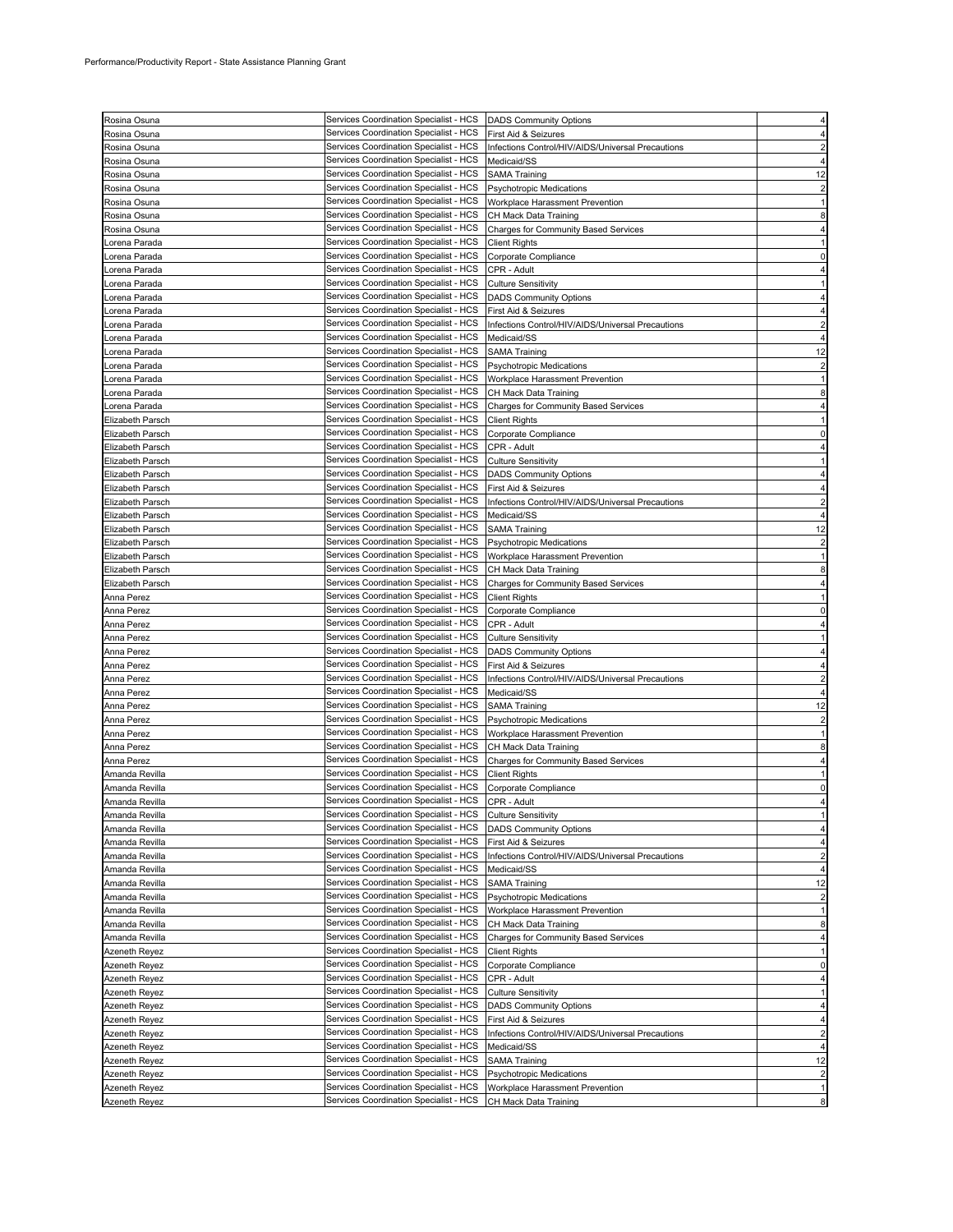| Rosina Osuna                                   | Services Coordination Specialist - HCS                                           | <b>DADS Community Options</b>                            |                |
|------------------------------------------------|----------------------------------------------------------------------------------|----------------------------------------------------------|----------------|
| Rosina Osuna                                   | Services Coordination Specialist - HCS                                           | First Aid & Seizures                                     |                |
|                                                | Services Coordination Specialist - HCS                                           | Infections Control/HIV/AIDS/Universal Precautions        |                |
| Rosina Osuna                                   |                                                                                  |                                                          |                |
| Rosina Osuna                                   | Services Coordination Specialist - HCS                                           | Medicaid/SS                                              |                |
| Rosina Osuna                                   | Services Coordination Specialist - HCS                                           | <b>SAMA Training</b>                                     | 12             |
| Rosina Osuna                                   | Services Coordination Specialist - HCS                                           | <b>Psychotropic Medications</b>                          |                |
|                                                |                                                                                  |                                                          |                |
| Rosina Osuna                                   | Services Coordination Specialist - HCS                                           | Workplace Harassment Prevention                          |                |
| Rosina Osuna                                   | Services Coordination Specialist - HCS                                           | CH Mack Data Training                                    |                |
| Rosina Osuna                                   | Services Coordination Specialist - HCS                                           | <b>Charges for Community Based Services</b>              |                |
| orena Parada.                                  | Services Coordination Specialist - HCS                                           | <b>Client Rights</b>                                     |                |
|                                                |                                                                                  |                                                          |                |
| orena Parada.                                  | Services Coordination Specialist - HCS                                           | Corporate Compliance                                     |                |
| Lorena Parada                                  | Services Coordination Specialist - HCS                                           | CPR - Adult                                              |                |
| orena Parada.                                  | Services Coordination Specialist - HCS                                           | <b>Culture Sensitivity</b>                               |                |
|                                                | Services Coordination Specialist - HCS                                           |                                                          |                |
| orena Parada.                                  |                                                                                  | <b>DADS Community Options</b>                            |                |
| Lorena Parada                                  | Services Coordination Specialist - HCS                                           | First Aid & Seizures                                     |                |
| orena Parada.                                  | Services Coordination Specialist - HCS                                           | Infections Control/HIV/AIDS/Universal Precautions        |                |
| orena Parada.                                  | Services Coordination Specialist - HCS                                           | Medicaid/SS                                              |                |
|                                                | Services Coordination Specialist - HCS                                           |                                                          | 12             |
| orena Parada.                                  |                                                                                  | <b>SAMA Training</b>                                     |                |
| orena Parada                                   | Services Coordination Specialist - HCS                                           | Psychotropic Medications                                 |                |
| orena Parada                                   | Services Coordination Specialist - HCS                                           | Workplace Harassment Prevention                          |                |
| Lorena Parada                                  | Services Coordination Specialist - HCS                                           | CH Mack Data Training                                    |                |
| orena Parada.                                  | Services Coordination Specialist - HCS                                           | Charges for Community Based Services                     |                |
|                                                |                                                                                  |                                                          |                |
| <b>Elizabeth Parsch</b>                        | Services Coordination Specialist - HCS                                           | <b>Client Rights</b>                                     |                |
| Elizabeth Parsch                               | Services Coordination Specialist - HCS                                           | Corporate Compliance                                     |                |
| Elizabeth Parsch                               | Services Coordination Specialist - HCS                                           | CPR - Adult                                              |                |
| Elizabeth Parsch                               | Services Coordination Specialist - HCS                                           | <b>Culture Sensitivity</b>                               |                |
| Elizabeth Parsch                               | Services Coordination Specialist - HCS                                           | <b>DADS Community Options</b>                            |                |
|                                                | Services Coordination Specialist - HCS                                           |                                                          |                |
| <b>Elizabeth Parsch</b>                        |                                                                                  | First Aid & Seizures                                     |                |
| Elizabeth Parsch                               | Services Coordination Specialist - HCS                                           | Infections Control/HIV/AIDS/Universal Precautions        |                |
| Elizabeth Parsch                               | Services Coordination Specialist - HCS                                           | Medicaid/SS                                              |                |
| Elizabeth Parsch                               | Services Coordination Specialist - HCS                                           | <b>SAMA Training</b>                                     | 12             |
| Elizabeth Parsch                               | Services Coordination Specialist - HCS                                           | <b>Psychotropic Medications</b>                          |                |
|                                                |                                                                                  |                                                          |                |
| Elizabeth Parsch                               | Services Coordination Specialist - HCS                                           | Workplace Harassment Prevention                          |                |
| <b>Elizabeth Parsch</b>                        | Services Coordination Specialist - HCS                                           | CH Mack Data Training                                    |                |
| <b>Elizabeth Parsch</b>                        | Services Coordination Specialist - HCS                                           | <b>Charges for Community Based Services</b>              |                |
| Anna Perez                                     | Services Coordination Specialist - HCS                                           | <b>Client Rights</b>                                     |                |
|                                                | Services Coordination Specialist - HCS                                           |                                                          | 0              |
| Anna Perez                                     |                                                                                  | Corporate Compliance                                     |                |
|                                                |                                                                                  |                                                          |                |
| Anna Perez                                     | Services Coordination Specialist - HCS                                           | CPR - Adult                                              |                |
| Anna Perez                                     | Services Coordination Specialist - HCS                                           | <b>Culture Sensitivity</b>                               |                |
| Anna Perez                                     | Services Coordination Specialist - HCS                                           | <b>DADS Community Options</b>                            |                |
|                                                | Services Coordination Specialist - HCS                                           |                                                          |                |
| Anna Perez                                     |                                                                                  | First Aid & Seizures                                     |                |
| Anna Perez                                     | Services Coordination Specialist - HCS                                           | Infections Control/HIV/AIDS/Universal Precautions        |                |
|                                                | Services Coordination Specialist - HCS                                           | Medicaid/SS                                              |                |
| Anna Perez<br>Anna Perez                       | Services Coordination Specialist - HCS                                           | <b>SAMA Training</b>                                     | 12             |
| Anna Perez                                     | Services Coordination Specialist - HCS                                           | Psychotropic Medications                                 |                |
|                                                | Services Coordination Specialist - HCS                                           |                                                          |                |
| Anna Perez                                     |                                                                                  | Workplace Harassment Prevention                          |                |
| Anna Perez                                     | Services Coordination Specialist - HCS                                           | CH Mack Data Training                                    |                |
|                                                | Services Coordination Specialist - HCS                                           | Charges for Community Based Services                     |                |
|                                                | Services Coordination Specialist - HCS                                           | <b>Client Rights</b>                                     |                |
| Anna Perez<br>Amanda Revilla<br>Amanda Revilla | Services Coordination Specialist - HCS                                           | Corporate Compliance                                     | 0              |
| Amanda Revilla                                 | Services Coordination Specialist - HCS                                           | CPR - Adult                                              |                |
| Amanda Revilla                                 | Services Coordination Specialist - HCS                                           | <b>Culture Sensitivity</b>                               |                |
|                                                |                                                                                  |                                                          |                |
| Amanda Revilla                                 | Services Coordination Specialist - HCS                                           | <b>DADS Community Options</b>                            |                |
| Amanda Revilla                                 | Services Coordination Specialist - HCS                                           | First Aid & Seizures                                     | 4              |
| Amanda Revilla                                 | Services Coordination Specialist - HCS                                           | Infections Control/HIV/AIDS/Universal Precautions        | $\overline{2}$ |
| Amanda Revilla                                 | Services Coordination Specialist - HCS                                           | Medicaid/SS                                              | 4              |
| Amanda Revilla                                 | Services Coordination Specialist - HCS                                           | <b>SAMA Training</b>                                     | 12             |
| Amanda Revilla                                 | Services Coordination Specialist - HCS                                           | <b>Psychotropic Medications</b>                          |                |
|                                                |                                                                                  |                                                          |                |
| Amanda Revilla                                 | Services Coordination Specialist - HCS                                           | Workplace Harassment Prevention                          |                |
| Amanda Revilla                                 | Services Coordination Specialist - HCS                                           | CH Mack Data Training                                    | 8              |
| Amanda Revilla                                 | Services Coordination Specialist - HCS                                           | <b>Charges for Community Based Services</b>              |                |
|                                                | Services Coordination Specialist - HCS                                           | <b>Client Rights</b>                                     |                |
| Azeneth Reyez<br>Azeneth Reyez                 | Services Coordination Specialist - HCS                                           | Corporate Compliance                                     | 0              |
|                                                | Services Coordination Specialist - HCS                                           |                                                          |                |
|                                                |                                                                                  | CPR - Adult                                              |                |
| Azeneth Reyez                                  | Services Coordination Specialist - HCS                                           | <b>Culture Sensitivity</b>                               |                |
| Azeneth Reyez<br>Azeneth Reyez                 | Services Coordination Specialist - HCS                                           | <b>DADS Community Options</b>                            | 4              |
| Azeneth Reyez                                  | Services Coordination Specialist - HCS                                           | First Aid & Seizures                                     | 4              |
| Azeneth Reyez                                  | Services Coordination Specialist - HCS                                           | Infections Control/HIV/AIDS/Universal Precautions        |                |
| Azeneth Reyez                                  | Services Coordination Specialist - HCS                                           | Medicaid/SS                                              |                |
|                                                |                                                                                  |                                                          |                |
| Azeneth Reyez                                  | Services Coordination Specialist - HCS                                           | <b>SAMA Training</b>                                     | 12             |
| Azeneth Reyez                                  | Services Coordination Specialist - HCS                                           | <b>Psychotropic Medications</b>                          | $\overline{2}$ |
| Azeneth Reyez<br>Azeneth Reyez                 | Services Coordination Specialist - HCS<br>Services Coordination Specialist - HCS | Workplace Harassment Prevention<br>CH Mack Data Training | 1<br>8         |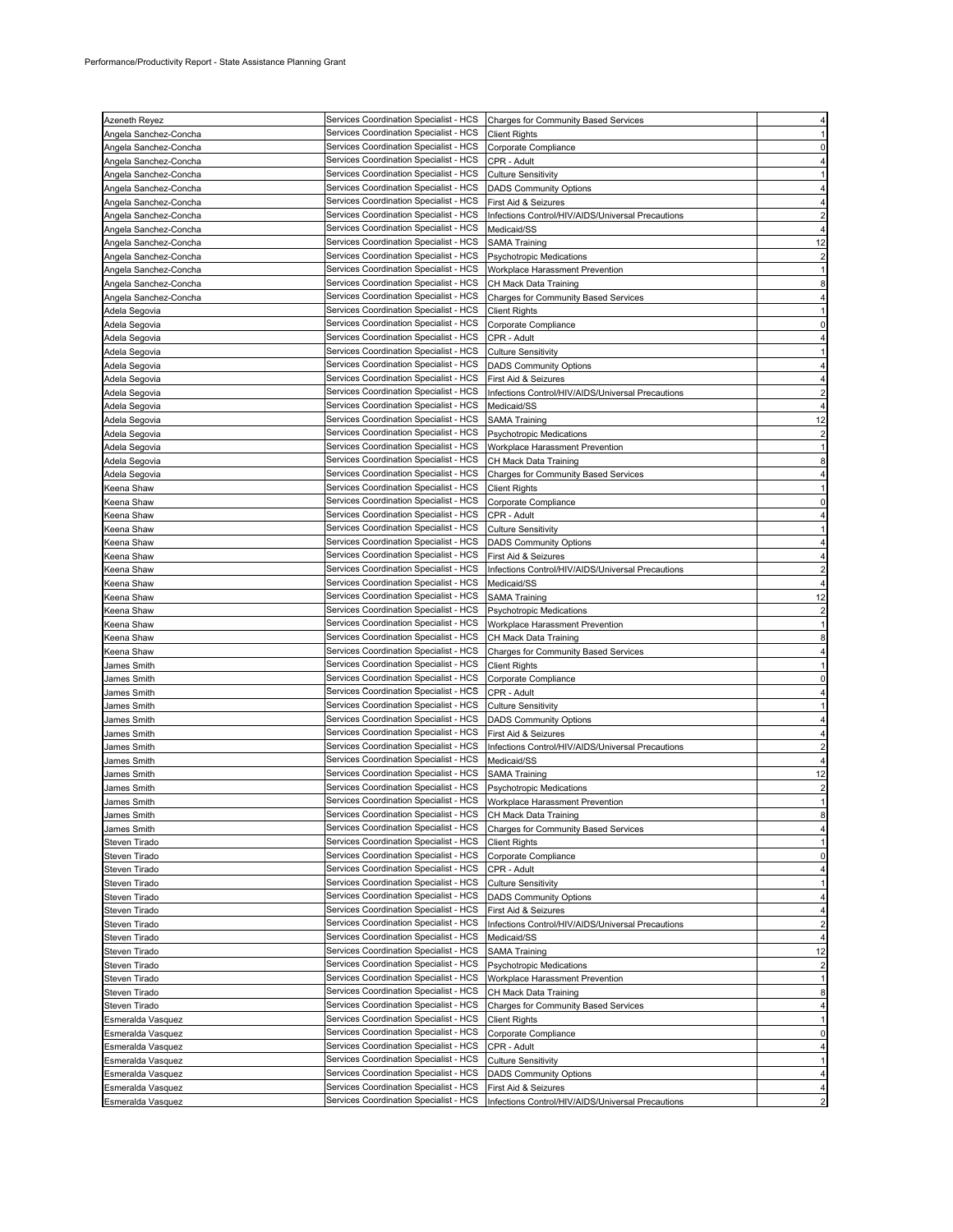| Azeneth Reyez         | Services Coordination Specialist - HCS Charges for Community Based Services |                                                   |                |
|-----------------------|-----------------------------------------------------------------------------|---------------------------------------------------|----------------|
| Angela Sanchez-Concha | Services Coordination Specialist - HCS                                      | <b>Client Rights</b>                              |                |
| Angela Sanchez-Concha | Services Coordination Specialist - HCS                                      | Corporate Compliance                              | $\Omega$       |
|                       |                                                                             |                                                   |                |
| Angela Sanchez-Concha | Services Coordination Specialist - HCS                                      | CPR - Adult                                       |                |
| Angela Sanchez-Concha | Services Coordination Specialist - HCS                                      | <b>Culture Sensitivity</b>                        |                |
| Angela Sanchez-Concha | Services Coordination Specialist - HCS                                      | <b>DADS Community Options</b>                     |                |
|                       | Services Coordination Specialist - HCS                                      |                                                   |                |
| Angela Sanchez-Concha |                                                                             | First Aid & Seizures                              |                |
| Angela Sanchez-Concha | Services Coordination Specialist - HCS                                      | Infections Control/HIV/AIDS/Universal Precautions |                |
| Angela Sanchez-Concha | Services Coordination Specialist - HCS                                      | Medicaid/SS                                       |                |
|                       | Services Coordination Specialist - HCS                                      |                                                   | 12             |
| Angela Sanchez-Concha |                                                                             | <b>SAMA Training</b>                              |                |
| Angela Sanchez-Concha | Services Coordination Specialist - HCS                                      | <b>Psychotropic Medications</b>                   | $\overline{2}$ |
| Angela Sanchez-Concha | Services Coordination Specialist - HCS                                      | Workplace Harassment Prevention                   |                |
| Angela Sanchez-Concha | Services Coordination Specialist - HCS                                      | CH Mack Data Training                             | 8              |
|                       |                                                                             |                                                   |                |
| Angela Sanchez-Concha | Services Coordination Specialist - HCS                                      | Charges for Community Based Services              |                |
| Adela Segovia         | Services Coordination Specialist - HCS                                      | <b>Client Rights</b>                              |                |
| Adela Segovia         | Services Coordination Specialist - HCS                                      | Corporate Compliance                              |                |
|                       |                                                                             |                                                   |                |
| Adela Segovia         | Services Coordination Specialist - HCS                                      | CPR - Adult                                       |                |
| Adela Segovia         | Services Coordination Specialist - HCS                                      | <b>Culture Sensitivity</b>                        |                |
| Adela Segovia         | Services Coordination Specialist - HCS                                      | <b>DADS Community Options</b>                     |                |
|                       |                                                                             |                                                   |                |
| Adela Segovia         | Services Coordination Specialist - HCS                                      | First Aid & Seizures                              |                |
| Adela Segovia         | Services Coordination Specialist - HCS                                      | Infections Control/HIV/AIDS/Universal Precautions |                |
| Adela Segovia         | Services Coordination Specialist - HCS                                      | Medicaid/SS                                       |                |
|                       |                                                                             |                                                   |                |
| Adela Segovia         | Services Coordination Specialist - HCS                                      | <b>SAMA Training</b>                              | 12             |
| Adela Segovia         | Services Coordination Specialist - HCS                                      | <b>Psychotropic Medications</b>                   | $\overline{c}$ |
| Adela Segovia         | Services Coordination Specialist - HCS                                      | Workplace Harassment Prevention                   |                |
|                       |                                                                             |                                                   |                |
| Adela Segovia         | Services Coordination Specialist - HCS                                      | CH Mack Data Training                             | 8              |
| Adela Segovia         | Services Coordination Specialist - HCS                                      | Charges for Community Based Services              |                |
| Keena Shaw            | Services Coordination Specialist - HCS                                      | <b>Client Rights</b>                              |                |
|                       | Services Coordination Specialist - HCS                                      |                                                   |                |
| Keena Shaw            |                                                                             | Corporate Compliance                              |                |
| Keena Shaw            | Services Coordination Specialist - HCS                                      | CPR - Adult                                       |                |
| Keena Shaw            | Services Coordination Specialist - HCS                                      | <b>Culture Sensitivity</b>                        |                |
| Keena Shaw            | Services Coordination Specialist - HCS                                      | <b>DADS Community Options</b>                     |                |
|                       |                                                                             |                                                   |                |
| Keena Shaw            | Services Coordination Specialist - HCS                                      | First Aid & Seizures                              |                |
| Keena Shaw            | Services Coordination Specialist - HCS                                      | Infections Control/HIV/AIDS/Universal Precautions |                |
|                       | Services Coordination Specialist - HCS                                      |                                                   |                |
| Keena Shaw            |                                                                             | Medicaid/SS                                       |                |
| Keena Shaw            | Services Coordination Specialist - HCS                                      | <b>SAMA Training</b>                              | 12             |
| Keena Shaw            | Services Coordination Specialist - HCS                                      | <b>Psychotropic Medications</b>                   | $\overline{c}$ |
| Keena Shaw            | Services Coordination Specialist - HCS                                      | Workplace Harassment Prevention                   |                |
|                       |                                                                             |                                                   |                |
| Keena Shaw            | Services Coordination Specialist - HCS                                      | CH Mack Data Training                             | 8              |
| Keena Shaw            | Services Coordination Specialist - HCS                                      | Charges for Community Based Services              |                |
| James Smith           | Services Coordination Specialist - HCS                                      | <b>Client Rights</b>                              |                |
|                       |                                                                             |                                                   |                |
| James Smith           | Services Coordination Specialist - HCS                                      | Corporate Compliance                              |                |
| James Smith           | Services Coordination Specialist - HCS                                      | CPR - Adult                                       |                |
| James Smith           | Services Coordination Specialist - HCS                                      | <b>Culture Sensitivity</b>                        |                |
|                       | Services Coordination Specialist - HCS                                      |                                                   |                |
| James Smith           |                                                                             | <b>DADS Community Options</b>                     |                |
| James Smith           | Services Coordination Specialist - HCS                                      | First Aid & Seizures                              |                |
| James Smith           | Services Coordination Specialist - HCS                                      | Infections Control/HIV/AIDS/Universal Precautions |                |
| James Smith           | Services Coordination Specialist - HCS                                      | Medicaid/SS                                       |                |
|                       |                                                                             |                                                   |                |
| James Smith           | Services Coordination Specialist - HCS                                      | <b>SAMA Training</b>                              | 12             |
| James Smith           | Services Coordination Specialist - HCS                                      | <b>Psychotropic Medications</b>                   | 2              |
| James Smith           | Services Coordination Specialist - HCS   Workplace Harassment Prevention    |                                                   |                |
|                       |                                                                             |                                                   |                |
| James Smith           | Services Coordination Specialist - HCS                                      | CH Mack Data Training                             | 8              |
| James Smith           | Services Coordination Specialist - HCS                                      | <b>Charges for Community Based Services</b>       | 4              |
| Steven Tirado         | Services Coordination Specialist - HCS                                      | <b>Client Rights</b>                              |                |
| Steven Tirado         | Services Coordination Specialist - HCS                                      | Corporate Compliance                              | $\mathbf 0$    |
|                       |                                                                             |                                                   |                |
| Steven Tirado         | Services Coordination Specialist - HCS                                      | CPR - Adult                                       | 4              |
| Steven Tirado         | Services Coordination Specialist - HCS                                      | <b>Culture Sensitivity</b>                        |                |
| Steven Tirado         | Services Coordination Specialist - HCS                                      | <b>DADS Community Options</b>                     |                |
|                       |                                                                             |                                                   |                |
| Steven Tirado         | Services Coordination Specialist - HCS                                      | First Aid & Seizures                              |                |
| Steven Tirado         | Services Coordination Specialist - HCS                                      | Infections Control/HIV/AIDS/Universal Precautions | $\overline{2}$ |
| Steven Tirado         | Services Coordination Specialist - HCS                                      | Medicaid/SS                                       | 4              |
|                       | Services Coordination Specialist - HCS                                      |                                                   |                |
| Steven Tirado         |                                                                             | <b>SAMA Training</b>                              | 12             |
| Steven Tirado         | Services Coordination Specialist - HCS                                      | <b>Psychotropic Medications</b>                   | $\overline{2}$ |
| Steven Tirado         | Services Coordination Specialist - HCS                                      | Workplace Harassment Prevention                   |                |
| Steven Tirado         | Services Coordination Specialist - HCS                                      | CH Mack Data Training                             | 8              |
|                       |                                                                             |                                                   |                |
| Steven Tirado         | Services Coordination Specialist - HCS                                      | <b>Charges for Community Based Services</b>       | 4              |
| Esmeralda Vasquez     | Services Coordination Specialist - HCS                                      | <b>Client Rights</b>                              |                |
| Esmeralda Vasquez     | Services Coordination Specialist - HCS                                      | Corporate Compliance                              | $\mathbf 0$    |
|                       |                                                                             |                                                   |                |
| Esmeralda Vasquez     | Services Coordination Specialist - HCS                                      | CPR - Adult                                       |                |
| Esmeralda Vasquez     | Services Coordination Specialist - HCS                                      | <b>Culture Sensitivity</b>                        |                |
| Esmeralda Vasquez     | Services Coordination Specialist - HCS                                      | <b>DADS Community Options</b>                     |                |
|                       | Services Coordination Specialist - HCS                                      |                                                   |                |
| Esmeralda Vasquez     |                                                                             | First Aid & Seizures                              |                |
| Esmeralda Vasquez     | Services Coordination Specialist - HCS                                      | Infections Control/HIV/AIDS/Universal Precautions |                |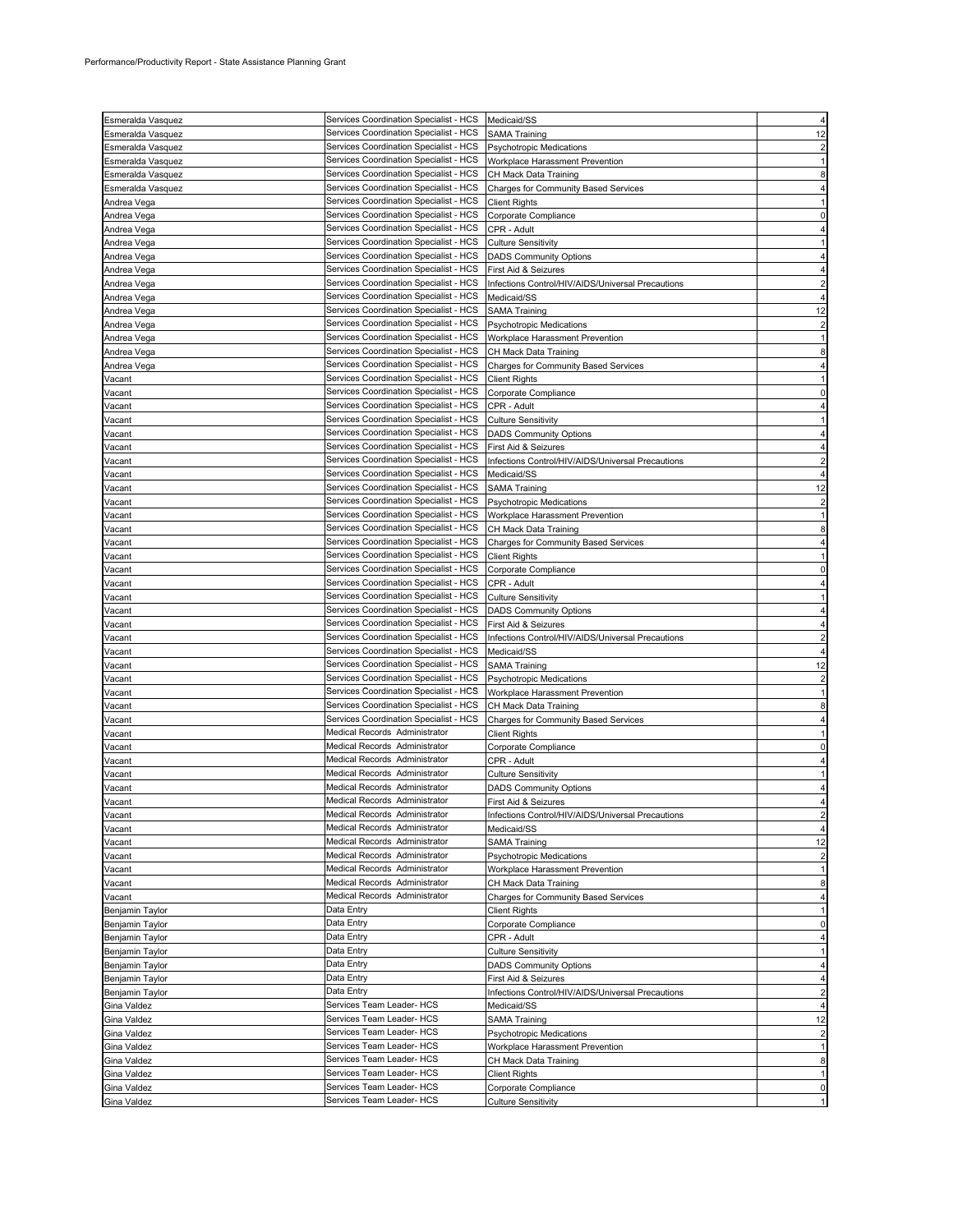| Esmeralda Vasquez | Services Coordination Specialist - HCS                                  | Medicaid/SS                                       |                         |
|-------------------|-------------------------------------------------------------------------|---------------------------------------------------|-------------------------|
|                   | Services Coordination Specialist - HCS                                  |                                                   |                         |
| Esmeralda Vasquez |                                                                         | <b>SAMA Training</b>                              | 12                      |
| Esmeralda Vasquez | Services Coordination Specialist - HCS                                  | <b>Psychotropic Medications</b>                   |                         |
| Esmeralda Vasquez | Services Coordination Specialist - HCS                                  | Workplace Harassment Prevention                   |                         |
| Esmeralda Vasquez | Services Coordination Specialist - HCS                                  | CH Mack Data Training                             |                         |
| Esmeralda Vasquez | Services Coordination Specialist - HCS                                  | <b>Charges for Community Based Services</b>       |                         |
| Andrea Vega       | Services Coordination Specialist - HCS                                  | <b>Client Rights</b>                              |                         |
| Andrea Vega       | Services Coordination Specialist - HCS                                  | Corporate Compliance                              |                         |
| Andrea Vega       | Services Coordination Specialist - HCS                                  | CPR - Adult                                       |                         |
| Andrea Vega       | Services Coordination Specialist - HCS                                  | <b>Culture Sensitivity</b>                        |                         |
| Andrea Vega       | Services Coordination Specialist - HCS                                  | <b>DADS Community Options</b>                     |                         |
| Andrea Vega       | Services Coordination Specialist - HCS                                  | First Aid & Seizures                              |                         |
| Andrea Vega       | Services Coordination Specialist - HCS                                  | Infections Control/HIV/AIDS/Universal Precautions |                         |
| Andrea Vega       | Services Coordination Specialist - HCS                                  | Medicaid/SS                                       |                         |
| Andrea Vega       | Services Coordination Specialist - HCS                                  | <b>SAMA Training</b>                              | 12                      |
| Andrea Vega       | Services Coordination Specialist - HCS                                  | <b>Psychotropic Medications</b>                   |                         |
| Andrea Vega       | Services Coordination Specialist - HCS                                  | Workplace Harassment Prevention                   |                         |
| Andrea Vega       | Services Coordination Specialist - HCS                                  | CH Mack Data Training                             |                         |
| Andrea Vega       | Services Coordination Specialist - HCS                                  | Charges for Community Based Services              |                         |
|                   | Services Coordination Specialist - HCS                                  | <b>Client Rights</b>                              |                         |
| Vacant            | Services Coordination Specialist - HCS                                  |                                                   |                         |
| Vacant            | Services Coordination Specialist - HCS                                  | Corporate Compliance                              |                         |
| Vacant            |                                                                         | CPR - Adult                                       |                         |
| Vacant            | Services Coordination Specialist - HCS                                  | <b>Culture Sensitivity</b>                        |                         |
| Vacant            | Services Coordination Specialist - HCS                                  | <b>DADS Community Options</b>                     |                         |
| Vacant            | Services Coordination Specialist - HCS                                  | First Aid & Seizures                              |                         |
| Vacant            | Services Coordination Specialist - HCS                                  | Infections Control/HIV/AIDS/Universal Precautions |                         |
| Vacant            | Services Coordination Specialist - HCS                                  | Medicaid/SS                                       |                         |
| Vacant            | Services Coordination Specialist - HCS                                  | <b>SAMA Training</b>                              | 12                      |
| Vacant            | Services Coordination Specialist - HCS                                  | Psychotropic Medications                          |                         |
| Vacant            | Services Coordination Specialist - HCS                                  | Workplace Harassment Prevention                   |                         |
| Vacant            | Services Coordination Specialist - HCS                                  | CH Mack Data Training                             |                         |
| Vacant            | Services Coordination Specialist - HCS                                  | <b>Charges for Community Based Services</b>       |                         |
| Vacant            | Services Coordination Specialist - HCS                                  | <b>Client Rights</b>                              |                         |
| Vacant            | Services Coordination Specialist - HCS                                  | Corporate Compliance                              |                         |
| Vacant            | Services Coordination Specialist - HCS                                  | CPR - Adult                                       |                         |
| Vacant            | Services Coordination Specialist - HCS                                  | <b>Culture Sensitivity</b>                        |                         |
| Vacant            | Services Coordination Specialist - HCS                                  | <b>DADS Community Options</b>                     |                         |
| Vacant            | Services Coordination Specialist - HCS                                  | First Aid & Seizures                              |                         |
| Vacant            | Services Coordination Specialist - HCS                                  | Infections Control/HIV/AIDS/Universal Precautions |                         |
| Vacant            | Services Coordination Specialist - HCS                                  | Medicaid/SS                                       |                         |
| Vacant            | Services Coordination Specialist - HCS                                  | <b>SAMA Training</b>                              | 12                      |
|                   | Services Coordination Specialist - HCS                                  |                                                   |                         |
| Vacant            | Services Coordination Specialist - HCS                                  | <b>Psychotropic Medications</b>                   |                         |
| Vacant            | Services Coordination Specialist - HCS                                  | Workplace Harassment Prevention                   |                         |
| Vacant            |                                                                         | CH Mack Data Training                             |                         |
| Vacant            | Services Coordination Specialist - HCS<br>Medical Records Administrator | Charges for Community Based Services              |                         |
| Vacant            |                                                                         | Client Rights                                     |                         |
| Vacant            | Medical Records Administrator                                           | Corporate Compliance                              | O                       |
| Vacant            | Medical Records Administrator                                           | CPR - Adult                                       |                         |
| Vacant            | Medical Records Administrator                                           | Culture Sensitivity                               |                         |
| Vacant            | Medical Records Administrator                                           | <b>DADS Community Options</b>                     |                         |
| Vacant            | Medical Records Administrator                                           | First Aid & Seizures                              |                         |
| Vacant            | Medical Records Administrator                                           | Infections Control/HIV/AIDS/Universal Precautions | $\overline{\mathbf{c}}$ |
| Vacant            | Medical Records Administrator                                           | Medicaid/SS                                       |                         |
| Vacant            | Medical Records Administrator                                           | <b>SAMA Training</b>                              | 12                      |
| Vacant            | Medical Records Administrator                                           | Psychotropic Medications                          | $\overline{2}$          |
| Vacant            | Medical Records Administrator                                           | Workplace Harassment Prevention                   |                         |
| Vacant            | Medical Records Administrator                                           | CH Mack Data Training                             | 8                       |
| Vacant            | Medical Records Administrator                                           | <b>Charges for Community Based Services</b>       | 4                       |
| Benjamin Taylor   | Data Entry                                                              | <b>Client Rights</b>                              |                         |
| Benjamin Taylor   | Data Entry                                                              | Corporate Compliance                              | $\Omega$                |
| Benjamin Taylor   | Data Entry                                                              | CPR - Adult                                       |                         |
| Benjamin Taylor   | Data Entry                                                              | <b>Culture Sensitivity</b>                        |                         |
| Benjamin Taylor   | Data Entry                                                              | <b>DADS Community Options</b>                     | 4                       |
| Benjamin Taylor   | Data Entry                                                              | First Aid & Seizures                              | 4                       |
| Benjamin Taylor   | Data Entry                                                              | Infections Control/HIV/AIDS/Universal Precautions | $\overline{\mathbf{c}}$ |
| Gina Valdez       | Services Team Leader- HCS                                               | Medicaid/SS                                       | 4                       |
| Gina Valdez       | Services Team Leader- HCS                                               | <b>SAMA Training</b>                              | 12                      |
| Gina Valdez       | Services Team Leader- HCS                                               | <b>Psychotropic Medications</b>                   | $\overline{2}$          |
| Gina Valdez       | Services Team Leader- HCS                                               | Workplace Harassment Prevention                   | 1                       |
|                   | Services Team Leader- HCS                                               |                                                   | 8                       |
| Gina Valdez       | Services Team Leader- HCS                                               | CH Mack Data Training                             | 1                       |
| Gina Valdez       | Services Team Leader- HCS                                               | <b>Client Rights</b>                              |                         |
| Gina Valdez       |                                                                         | Corporate Compliance                              | 0                       |
| Gina Valdez       | Services Team Leader- HCS                                               | <b>Culture Sensitivity</b>                        | $\overline{1}$          |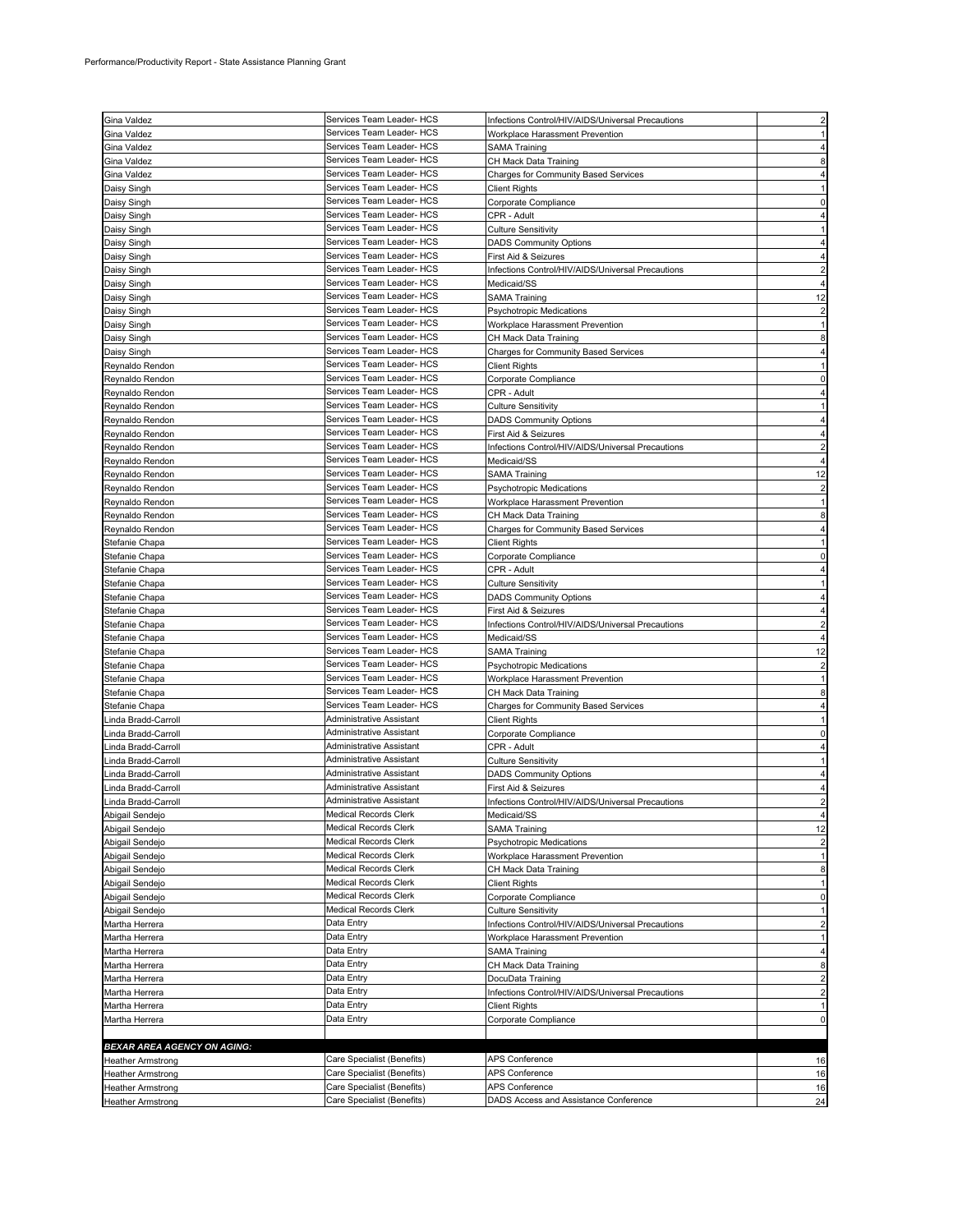| Gina Valdez                        | Services Team Leader- HCS    | Infections Control/HIV/AIDS/Universal Precautions |                |
|------------------------------------|------------------------------|---------------------------------------------------|----------------|
| Gina Valdez                        | Services Team Leader- HCS    | Workplace Harassment Prevention                   |                |
|                                    | Services Team Leader- HCS    |                                                   |                |
| Gina Valdez                        | Services Team Leader- HCS    | SAMA Training                                     |                |
| Gina Valdez                        |                              | CH Mack Data Training                             |                |
| Gina Valdez                        | Services Team Leader- HCS    | Charges for Community Based Services              |                |
| Daisy Singh                        | Services Team Leader- HCS    | Client Rights                                     |                |
| Daisy Singh                        | Services Team Leader- HCS    | Corporate Compliance                              |                |
| Daisy Singh                        | Services Team Leader- HCS    | CPR - Adult                                       |                |
| Daisy Singh                        | Services Team Leader- HCS    | Culture Sensitivity                               |                |
| Daisy Singh                        | Services Team Leader- HCS    | <b>DADS Community Options</b>                     |                |
| Daisy Singh                        | Services Team Leader- HCS    | First Aid & Seizures                              |                |
| Daisy Singh                        | Services Team Leader- HCS    | Infections Control/HIV/AIDS/Universal Precautions |                |
| Daisy Singh                        | Services Team Leader- HCS    | Medicaid/SS                                       |                |
| Daisy Singh                        | Services Team Leader- HCS    | SAMA Training                                     | 12             |
|                                    | Services Team Leader- HCS    |                                                   |                |
| Daisy Singh                        | Services Team Leader- HCS    | <b>Psychotropic Medications</b>                   |                |
| Daisy Singh                        |                              | Workplace Harassment Prevention                   |                |
| Daisy Singh                        | Services Team Leader- HCS    | CH Mack Data Training                             |                |
| Daisy Singh                        | Services Team Leader- HCS    | Charges for Community Based Services              |                |
| Reynaldo Rendon                    | Services Team Leader- HCS    | <b>Client Rights</b>                              |                |
| Reynaldo Rendon                    | Services Team Leader- HCS    | Corporate Compliance                              |                |
| Reynaldo Rendon                    | Services Team Leader- HCS    | CPR - Adult                                       |                |
| Reynaldo Rendon                    | Services Team Leader- HCS    | <b>Culture Sensitivity</b>                        |                |
| Reynaldo Rendon                    | Services Team Leader- HCS    | <b>DADS Community Options</b>                     |                |
| Reynaldo Rendon                    | Services Team Leader- HCS    | First Aid & Seizures                              |                |
| Reynaldo Rendon                    | Services Team Leader- HCS    | Infections Control/HIV/AIDS/Universal Precautions |                |
|                                    | Services Team Leader- HCS    |                                                   |                |
| Reynaldo Rendon                    |                              | Medicaid/SS                                       |                |
| Reynaldo Rendon                    | Services Team Leader- HCS    | SAMA Training                                     | 12             |
| Reynaldo Rendon                    | Services Team Leader- HCS    | <b>Psychotropic Medications</b>                   |                |
| Reynaldo Rendon                    | Services Team Leader- HCS    | Workplace Harassment Prevention                   |                |
| Reynaldo Rendon                    | Services Team Leader- HCS    | CH Mack Data Training                             |                |
| Reynaldo Rendon                    | Services Team Leader- HCS    | Charges for Community Based Services              |                |
| Stefanie Chapa                     | Services Team Leader- HCS    | <b>Client Rights</b>                              |                |
| Stefanie Chapa                     | Services Team Leader- HCS    | Corporate Compliance                              |                |
| Stefanie Chapa                     | Services Team Leader- HCS    | CPR - Adult                                       |                |
| Stefanie Chapa                     | Services Team Leader- HCS    | <b>Culture Sensitivity</b>                        |                |
|                                    | Services Team Leader- HCS    |                                                   |                |
| Stefanie Chapa                     |                              | <b>DADS Community Options</b>                     |                |
| Stefanie Chapa                     | Services Team Leader- HCS    | First Aid & Seizures                              |                |
| Stefanie Chapa                     | Services Team Leader- HCS    | Infections Control/HIV/AIDS/Universal Precautions |                |
| Stefanie Chapa                     | Services Team Leader- HCS    | Medicaid/SS                                       |                |
| Stefanie Chapa                     | Services Team Leader- HCS    | SAMA Training                                     | 12             |
| Stefanie Chapa                     | Services Team Leader- HCS    | <b>Psychotropic Medications</b>                   |                |
| Stefanie Chapa                     | Services Team Leader- HCS    | Workplace Harassment Prevention                   |                |
| Stefanie Chapa                     | Services Team Leader- HCS    | CH Mack Data Training                             |                |
| Stefanie Chapa                     | Services Team Leader- HCS    | <b>Charges for Community Based Services</b>       |                |
| Linda Bradd-Carroll                | Administrative Assistant     | <b>Client Rights</b>                              |                |
| Linda Bradd-Carroll                | Administrative Assistant     | Corporate Compliance                              | 0              |
| Linda Bradd-Carroll                | Administrative Assistant     | CPR - Adult                                       |                |
|                                    | Administrative Assistant     |                                                   |                |
| Linda Bradd-Carroll                |                              | Culture Sensitivity                               |                |
| Linda Bradd-Carroll                | Administrative Assistant     | <b>DADS Community Options</b>                     |                |
| Linda Bradd-Carroll                | Administrative Assistant     | First Aid & Seizures                              |                |
| Linda Bradd-Carroll                | Administrative Assistant     | Infections Control/HIV/AIDS/Universal Precautions |                |
| Abigail Sendejo                    | <b>Medical Records Clerk</b> | Medicaid/SS                                       | 4              |
| Abigail Sendejo                    | Medical Records Clerk        | <b>SAMA Training</b>                              | 12             |
| Abigail Sendejo                    | Medical Records Clerk        | Psychotropic Medications                          |                |
| Abigail Sendejo                    | Medical Records Clerk        | Workplace Harassment Prevention                   | 1              |
| Abigail Sendejo                    | <b>Medical Records Clerk</b> | CH Mack Data Training                             | 8              |
| Abigail Sendejo                    | Medical Records Clerk        | <b>Client Rights</b>                              |                |
| Abigail Sendejo                    | Medical Records Clerk        | Corporate Compliance                              | 0              |
| Abigail Sendejo                    | Medical Records Clerk        | <b>Culture Sensitivity</b>                        |                |
| Martha Herrera                     | Data Entry                   | Infections Control/HIV/AIDS/Universal Precautions |                |
| Martha Herrera                     | Data Entry                   | Workplace Harassment Prevention                   | 1              |
|                                    | Data Entry                   |                                                   |                |
| Martha Herrera                     |                              | <b>SAMA Training</b>                              | 4              |
| Martha Herrera                     | Data Entry                   | CH Mack Data Training                             | 8              |
| Martha Herrera                     | Data Entry                   | DocuData Training                                 |                |
| Martha Herrera                     | Data Entry                   | Infections Control/HIV/AIDS/Universal Precautions | $\overline{2}$ |
| Martha Herrera                     | Data Entry                   | <b>Client Rights</b>                              |                |
| Martha Herrera                     | Data Entry                   | Corporate Compliance                              | 0              |
|                                    |                              |                                                   |                |
| <b>BEXAR AREA AGENCY ON AGING:</b> |                              |                                                   |                |
| <b>Heather Armstrong</b>           | Care Specialist (Benefits)   | APS Conference                                    | 16             |
| <b>Heather Armstrong</b>           | Care Specialist (Benefits)   | APS Conference                                    | 16             |
| <b>Heather Armstrong</b>           | Care Specialist (Benefits)   | APS Conference                                    | 16             |
|                                    | Care Specialist (Benefits)   | DADS Access and Assistance Conference             | 24             |
| <b>Heather Armstrong</b>           |                              |                                                   |                |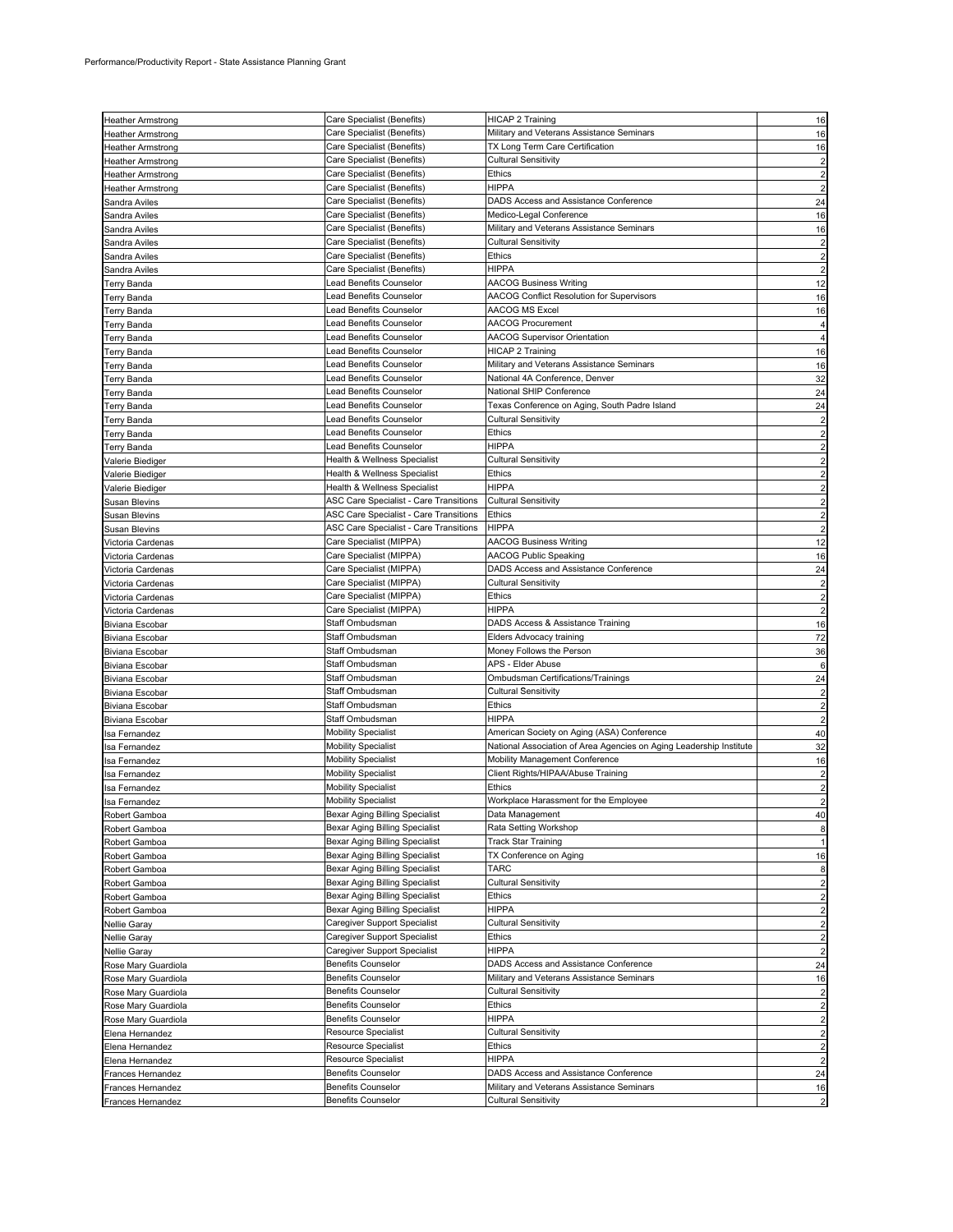|                                | Care Specialist (Benefits)                                       | HICAP 2 Training                                                    |                         |
|--------------------------------|------------------------------------------------------------------|---------------------------------------------------------------------|-------------------------|
| <b>Heather Armstrong</b>       |                                                                  |                                                                     | 16                      |
| <b>Heather Armstrong</b>       | Care Specialist (Benefits)                                       | Military and Veterans Assistance Seminars                           | 16                      |
| <b>Heather Armstrong</b>       | Care Specialist (Benefits)                                       | TX Long Term Care Certification                                     | 16                      |
| <b>Heather Armstrong</b>       | Care Specialist (Benefits)                                       | <b>Cultural Sensitivity</b>                                         | $\overline{c}$          |
| <b>Heather Armstrong</b>       | Care Specialist (Benefits)                                       | Ethics                                                              | $\overline{2}$          |
| <b>Heather Armstrong</b>       | Care Specialist (Benefits)                                       | <b>HIPPA</b>                                                        | $\overline{2}$          |
| Sandra Aviles                  | Care Specialist (Benefits)                                       | DADS Access and Assistance Conference                               | 24                      |
| Sandra Aviles                  | Care Specialist (Benefits)                                       | Medico-Legal Conference                                             | 16                      |
| Sandra Aviles                  | Care Specialist (Benefits)                                       | Military and Veterans Assistance Seminars                           | 16                      |
| Sandra Aviles                  | Care Specialist (Benefits)                                       | <b>Cultural Sensitivity</b>                                         | $\overline{\mathbf{c}}$ |
| Sandra Aviles                  | Care Specialist (Benefits)                                       | Ethics                                                              | $\overline{\mathbf{c}}$ |
| Sandra Aviles                  | Care Specialist (Benefits)                                       | <b>HIPPA</b>                                                        | $\overline{2}$          |
| <b>Terry Banda</b>             | Lead Benefits Counselor                                          | <b>AACOG Business Writing</b>                                       | 12                      |
| <b>Terry Banda</b>             | Lead Benefits Counselor                                          | AACOG Conflict Resolution for Supervisors                           | 16                      |
| Terry Banda                    | Lead Benefits Counselor                                          | AACOG MS Excel                                                      | 16                      |
| Terry Banda                    | Lead Benefits Counselor                                          | <b>AACOG Procurement</b>                                            | $\overline{4}$          |
|                                | Lead Benefits Counselor                                          | <b>AACOG Supervisor Orientation</b>                                 | $\overline{4}$          |
| Terry Banda                    | Lead Benefits Counselor                                          | HICAP 2 Training                                                    |                         |
| Terry Banda                    | <b>Lead Benefits Counselor</b>                                   |                                                                     | 16                      |
| Terry Banda                    |                                                                  | Military and Veterans Assistance Seminars                           | 16                      |
| Terry Banda                    | <b>Lead Benefits Counselor</b>                                   | National 4A Conference, Denver                                      | 32                      |
| Terry Banda                    | Lead Benefits Counselor                                          | National SHIP Conference                                            | 24                      |
| Terry Banda                    | Lead Benefits Counselor                                          | Texas Conference on Aging, South Padre Island                       | 24                      |
| <b>Terry Banda</b>             | <b>Lead Benefits Counselor</b>                                   | <b>Cultural Sensitivity</b>                                         | $\overline{\mathbf{c}}$ |
| <b>Terry Banda</b>             | <b>Lead Benefits Counselor</b>                                   | Ethics                                                              | $\overline{2}$          |
| <b>Terry Banda</b>             | Lead Benefits Counselor                                          | <b>HIPPA</b>                                                        | $\overline{2}$          |
| Valerie Biediger               | Health & Wellness Specialist                                     | <b>Cultural Sensitivity</b>                                         | $\overline{2}$          |
| Valerie Biediger               | Health & Wellness Specialist                                     | <b>Ethics</b>                                                       | $\overline{\mathbf{c}}$ |
| Valerie Biediger               | Health & Wellness Specialist                                     | <b>HIPPA</b>                                                        | $\overline{\mathbf{c}}$ |
| Susan Blevins                  | ASC Care Specialist - Care Transitions                           | <b>Cultural Sensitivity</b>                                         | $\overline{2}$          |
| Susan Blevins                  | ASC Care Specialist - Care Transitions                           | Ethics                                                              | $\overline{2}$          |
| Susan Blevins                  | ASC Care Specialist - Care Transitions                           | <b>HIPPA</b>                                                        | $\overline{2}$          |
| Victoria Cardenas              | Care Specialist (MIPPA)                                          | <b>AACOG Business Writing</b>                                       | 12                      |
|                                | Care Specialist (MIPPA)                                          | AACOG Public Speaking                                               | 16                      |
| Victoria Cardenas              | Care Specialist (MIPPA)                                          | DADS Access and Assistance Conference                               |                         |
| Victoria Cardenas              | Care Specialist (MIPPA)                                          | <b>Cultural Sensitivity</b>                                         | 24                      |
| Victoria Cardenas              |                                                                  |                                                                     | $\overline{2}$          |
| Victoria Cardenas              | Care Specialist (MIPPA)                                          | Ethics                                                              | $\overline{\mathbf{c}}$ |
| Victoria Cardenas              | Care Specialist (MIPPA)                                          | HIPPA                                                               | $\overline{2}$          |
| Biviana Escobar                | Staff Ombudsman                                                  | DADS Access & Assistance Training                                   | 16                      |
| Biviana Escobar                | Staff Ombudsman                                                  | Elders Advocacy training                                            | 72                      |
| Biviana Escobar                | Staff Ombudsman                                                  | Money Follows the Person                                            | 36                      |
| Biviana Escobar                | Staff Ombudsman                                                  | APS - Elder Abuse                                                   | $\,6$                   |
| Biviana Escobar                | Staff Ombudsman                                                  | Ombudsman Certifications/Trainings                                  | 24                      |
| Biviana Escobar                | Staff Ombudsman                                                  | <b>Cultural Sensitivity</b>                                         | $\overline{c}$          |
| Biviana Escobar                | Staff Ombudsman                                                  | <b>Ethics</b>                                                       | $\overline{2}$          |
| Biviana Escobar                | Staff Ombudsman                                                  | <b>HIPPA</b>                                                        | $\overline{2}$          |
| Isa Fernandez                  | <b>Mobility Specialist</b>                                       | American Society on Aging (ASA) Conference                          | 40                      |
| Isa Fernandez                  | <b>Mobility Specialist</b>                                       | National Association of Area Agencies on Aging Leadership Institute | 32                      |
| Isa Fernandez                  | <b>Mobility Specialist</b>                                       | Mobility Management Conference                                      | 16                      |
| Isa Fernandez                  | <b>Mobility Specialist</b>                                       | Client Rights/HIPAA/Abuse Training                                  | $\overline{2}$          |
| Isa Fernandez                  | <b>Mobility Specialist</b>                                       | Ethics                                                              | $\overline{2}$          |
| Isa Fernandez                  | <b>Mobility Specialist</b>                                       | Workplace Harassment for the Employee                               |                         |
| Robert Gamboa                  | Bexar Aging Billing Specialist                                   | Data Management                                                     | 40                      |
|                                | Bexar Aging Billing Specialist                                   | Rata Setting Workshop                                               |                         |
| Robert Gamboa<br>Robert Gamboa | Bexar Aging Billing Specialist                                   | Track Star Training                                                 | 8<br>$\mathbf{1}$       |
|                                |                                                                  |                                                                     |                         |
| Robert Gamboa                  | Bexar Aging Billing Specialist<br>Bexar Aging Billing Specialist | TX Conference on Aging<br>TARC                                      | 16                      |
| Robert Gamboa                  |                                                                  |                                                                     | 8                       |
| Robert Gamboa                  | Bexar Aging Billing Specialist                                   | <b>Cultural Sensitivity</b>                                         | $\overline{2}$          |
| Robert Gamboa                  | Bexar Aging Billing Specialist                                   | Ethics                                                              | $\overline{a}$          |
| Robert Gamboa                  | Bexar Aging Billing Specialist                                   | <b>HIPPA</b>                                                        | $\overline{\mathbf{c}}$ |
| Nellie Garay                   | Caregiver Support Specialist                                     | <b>Cultural Sensitivity</b>                                         | $\overline{a}$          |
| Nellie Garay                   | Caregiver Support Specialist                                     | Ethics                                                              | $\overline{\mathbf{c}}$ |
| Nellie Garay                   | Caregiver Support Specialist                                     | <b>HIPPA</b>                                                        | $\overline{c}$          |
| Rose Mary Guardiola            | <b>Benefits Counselor</b>                                        | DADS Access and Assistance Conference                               | 24                      |
| Rose Mary Guardiola            | <b>Benefits Counselor</b>                                        | Military and Veterans Assistance Seminars                           | 16                      |
| Rose Mary Guardiola            | <b>Benefits Counselor</b>                                        | <b>Cultural Sensitivity</b>                                         | $\overline{c}$          |
| Rose Mary Guardiola            | <b>Benefits Counselor</b>                                        | Ethics                                                              | $\overline{c}$          |
| Rose Mary Guardiola            | <b>Benefits Counselor</b>                                        | <b>HIPPA</b>                                                        | $\overline{a}$          |
| Elena Hernandez                | <b>Resource Specialist</b>                                       | <b>Cultural Sensitivity</b>                                         | $\overline{2}$          |
| Elena Hernandez                | <b>Resource Specialist</b>                                       | Ethics                                                              | $\overline{2}$          |
| Elena Hernandez                | Resource Specialist                                              | <b>HIPPA</b>                                                        | $\overline{2}$          |
| Frances Hernandez              | <b>Benefits Counselor</b>                                        | DADS Access and Assistance Conference                               | 24                      |
| Frances Hernandez              | <b>Benefits Counselor</b>                                        | Military and Veterans Assistance Seminars                           | 16                      |
| Frances Hernandez              | <b>Benefits Counselor</b>                                        | Cultural Sensitivity                                                | $\overline{a}$          |
|                                |                                                                  |                                                                     |                         |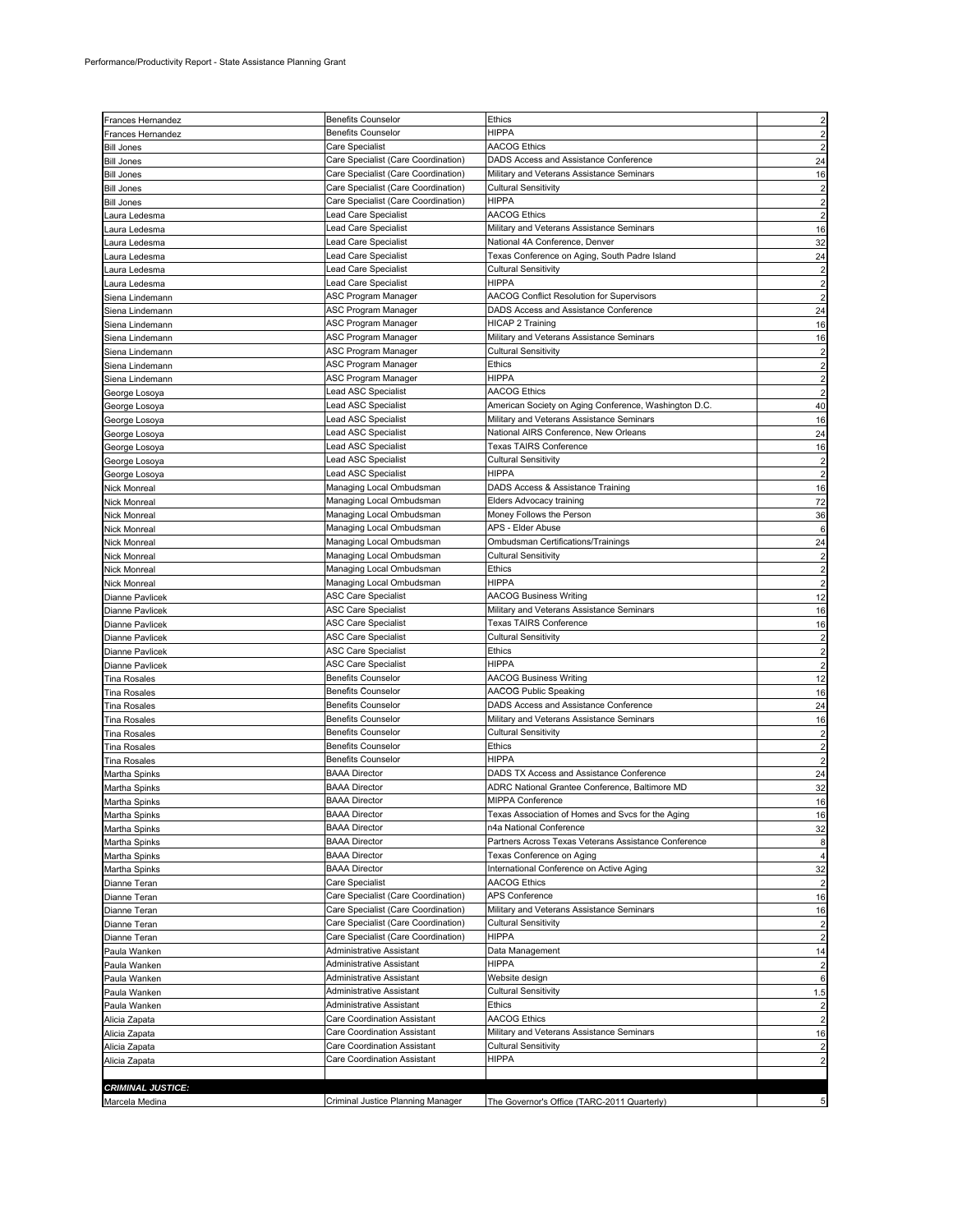| Frances Hernandez                  | <b>Benefits Counselor</b>                    | <b>Ethics</b>                                                                      | $\overline{c}$          |
|------------------------------------|----------------------------------------------|------------------------------------------------------------------------------------|-------------------------|
| <b>Frances Hernandez</b>           | <b>Benefits Counselor</b>                    | <b>HIPPA</b>                                                                       | $\overline{2}$          |
| <b>Bill Jones</b>                  | Care Specialist                              | <b>AACOG Ethics</b>                                                                |                         |
| <b>Bill Jones</b>                  | Care Specialist (Care Coordination)          | DADS Access and Assistance Conference                                              | 24                      |
| <b>Bill Jones</b>                  | Care Specialist (Care Coordination)          | Military and Veterans Assistance Seminars                                          | 16                      |
| <b>Bill Jones</b>                  | Care Specialist (Care Coordination)          | <b>Cultural Sensitivity</b>                                                        | $\overline{\mathbf{c}}$ |
| <b>Bill Jones</b>                  | Care Specialist (Care Coordination)          | <b>HIPPA</b>                                                                       | $\overline{c}$          |
| aura Ledesma.                      | Lead Care Specialist                         | <b>AACOG Ethics</b>                                                                | $\overline{2}$          |
| aura Ledesma                       | Lead Care Specialist                         | Military and Veterans Assistance Seminars                                          | 16                      |
| aura Ledesma.                      | Lead Care Specialist                         | National 4A Conference, Denver                                                     | 32                      |
| aura Ledesma.                      | Lead Care Specialist                         | Texas Conference on Aging, South Padre Island                                      | 24                      |
| Laura Ledesma                      | Lead Care Specialist                         | <b>Cultural Sensitivity</b>                                                        | $\overline{\mathbf{c}}$ |
| aura Ledesma.                      | Lead Care Specialist                         | <b>HIPPA</b>                                                                       | $\overline{2}$          |
| Siena Lindemann                    | ASC Program Manager                          | AACOG Conflict Resolution for Supervisors<br>DADS Access and Assistance Conference | $\overline{2}$          |
| Siena Lindemann                    | ASC Program Manager<br>ASC Program Manager   | <b>HICAP 2 Training</b>                                                            | 24<br>16                |
| Siena Lindemann<br>Siena Lindemann | ASC Program Manager                          | Military and Veterans Assistance Seminars                                          | 16                      |
| Siena Lindemann                    | ASC Program Manager                          | Cultural Sensitivity                                                               | $\overline{c}$          |
| Siena Lindemann                    | ASC Program Manager                          | Ethics                                                                             | $\overline{c}$          |
| Siena Lindemann                    | ASC Program Manager                          | <b>HIPPA</b>                                                                       | $\overline{c}$          |
| George Losoya                      | Lead ASC Specialist                          | <b>AACOG Ethics</b>                                                                | $\overline{2}$          |
| George Losoya                      | Lead ASC Specialist                          | American Society on Aging Conference, Washington D.C.                              | 40                      |
| George Losoya                      | Lead ASC Specialist                          | Military and Veterans Assistance Seminars                                          | 16                      |
| George Losoya                      | Lead ASC Specialist                          | National AIRS Conference, New Orleans                                              | 24                      |
| George Losoya                      | Lead ASC Specialist                          | <b>Texas TAIRS Conference</b>                                                      | 16                      |
| George Losoya                      | Lead ASC Specialist                          | <b>Cultural Sensitivity</b>                                                        | $\overline{\mathbf{c}}$ |
| George Losoya                      | Lead ASC Specialist                          | <b>HIPPA</b>                                                                       | $\overline{c}$          |
| Nick Monreal                       | Managing Local Ombudsman                     | DADS Access & Assistance Training                                                  | 16                      |
| Nick Monreal                       | Managing Local Ombudsman                     | Elders Advocacy training                                                           | 72                      |
| Nick Monreal                       | Managing Local Ombudsman                     | Money Follows the Person                                                           | 36                      |
| Nick Monreal                       | Managing Local Ombudsman                     | APS - Elder Abuse                                                                  | 6                       |
| <b>Nick Monreal</b>                | Managing Local Ombudsman                     | Ombudsman Certifications/Trainings                                                 | 24                      |
| Nick Monreal                       | Managing Local Ombudsman                     | <b>Cultural Sensitivity</b>                                                        | $\overline{\mathbf{c}}$ |
| Nick Monreal                       | Managing Local Ombudsman                     | Ethics                                                                             | $\overline{2}$          |
| Nick Monreal                       | Managing Local Ombudsman                     | <b>HIPPA</b>                                                                       | $\overline{c}$          |
| Dianne Pavlicek                    | ASC Care Specialist                          | <b>AACOG Business Writing</b><br>Military and Veterans Assistance Seminars         | 12                      |
| Dianne Pavlicek<br>Dianne Pavlicek | ASC Care Specialist<br>ASC Care Specialist   | <b>Texas TAIRS Conference</b>                                                      | 16<br>16                |
| Dianne Pavlicek                    | <b>ASC Care Specialist</b>                   | <b>Cultural Sensitivity</b>                                                        | $\overline{\mathbf{c}}$ |
| Dianne Pavlicek                    | <b>ASC Care Specialist</b>                   | Ethics                                                                             | $\overline{c}$          |
| Dianne Pavlicek                    | <b>ASC Care Specialist</b>                   | <b>HIPPA</b>                                                                       | $\overline{2}$          |
| Tina Rosales                       | <b>Benefits Counselor</b>                    | <b>AACOG Business Writing</b>                                                      | 12                      |
| <b>Tina Rosales</b>                | <b>Benefits Counselor</b>                    | <b>AACOG Public Speaking</b>                                                       | 16                      |
| <b>Tina Rosales</b>                | <b>Benefits Counselor</b>                    | DADS Access and Assistance Conference                                              | 24                      |
| <b>Tina Rosales</b>                | <b>Benefits Counselor</b>                    | Military and Veterans Assistance Seminars                                          | 16                      |
| Tina Rosales                       | <b>Benefits Counselor</b>                    | <b>Cultural Sensitivity</b>                                                        | $\overline{\mathbf{c}}$ |
| <b>Tina Rosales</b>                | <b>Benefits Counselor</b>                    | <b>Ethics</b>                                                                      | $\overline{2}$          |
| <b>Tina Rosales</b>                | <b>Benefits Counselor</b>                    | <b>HIPPA</b>                                                                       | $\overline{2}$          |
| Martha Spinks                      | <b>BAAA Director</b>                         | DADS TX Access and Assistance Conference                                           | 24                      |
| Martha Spinks                      | <b>BAAA Director</b>                         | ADRC National Grantee Conference, Baltimore MD                                     | 32                      |
| Martha Spinks                      | <b>BAAA Director</b>                         | MIPPA Conference                                                                   | 16                      |
| Martha Spinks                      | <b>BAAA Director</b>                         | Texas Association of Homes and Svcs for the Aging                                  | 16                      |
| Martha Spinks                      | <b>BAAA Director</b>                         | n4a National Conference                                                            | 32                      |
| Martha Spinks                      | <b>BAAA Director</b><br><b>BAAA Director</b> | Partners Across Texas Veterans Assistance Conference<br>Texas Conference on Aging  | 8                       |
| Martha Spinks                      | <b>BAAA Director</b>                         | International Conference on Active Aging                                           | 4                       |
| Martha Spinks<br>Dianne Teran      | Care Specialist                              | <b>AACOG Ethics</b>                                                                | 32                      |
| Dianne Teran                       | Care Specialist (Care Coordination)          | APS Conference                                                                     | 16                      |
| Dianne Teran                       | Care Specialist (Care Coordination)          | Military and Veterans Assistance Seminars                                          | 16                      |
| Dianne Teran                       | Care Specialist (Care Coordination)          | <b>Cultural Sensitivity</b>                                                        | $\overline{\mathbf{c}}$ |
| Dianne Teran                       | Care Specialist (Care Coordination)          | <b>HIPPA</b>                                                                       | $\overline{\mathbf{c}}$ |
| Paula Wanken                       | Administrative Assistant                     | Data Management                                                                    | 14                      |
| Paula Wanken                       | Administrative Assistant                     | <b>HIPPA</b>                                                                       | $\overline{\mathbf{c}}$ |
| Paula Wanken                       | Administrative Assistant                     | Website design                                                                     | 6                       |
| Paula Wanken                       | <b>Administrative Assistant</b>              | <b>Cultural Sensitivity</b>                                                        | 1.5                     |
| Paula Wanken                       | Administrative Assistant                     | Ethics                                                                             |                         |
| Alicia Zapata                      | Care Coordination Assistant                  | <b>AACOG Ethics</b>                                                                | $\overline{2}$          |
| Alicia Zapata                      | Care Coordination Assistant                  | Military and Veterans Assistance Seminars                                          | 16                      |
| Alicia Zapata                      | Care Coordination Assistant                  | <b>Cultural Sensitivity</b>                                                        |                         |
| Alicia Zapata                      | Care Coordination Assistant                  | <b>HIPPA</b>                                                                       |                         |
|                                    |                                              |                                                                                    |                         |
| <b>CRIMINAL JUSTICE:</b>           |                                              |                                                                                    |                         |
| Marcela Medina                     | Criminal Justice Planning Manager            | The Governor's Office (TARC-2011 Quarterly)                                        |                         |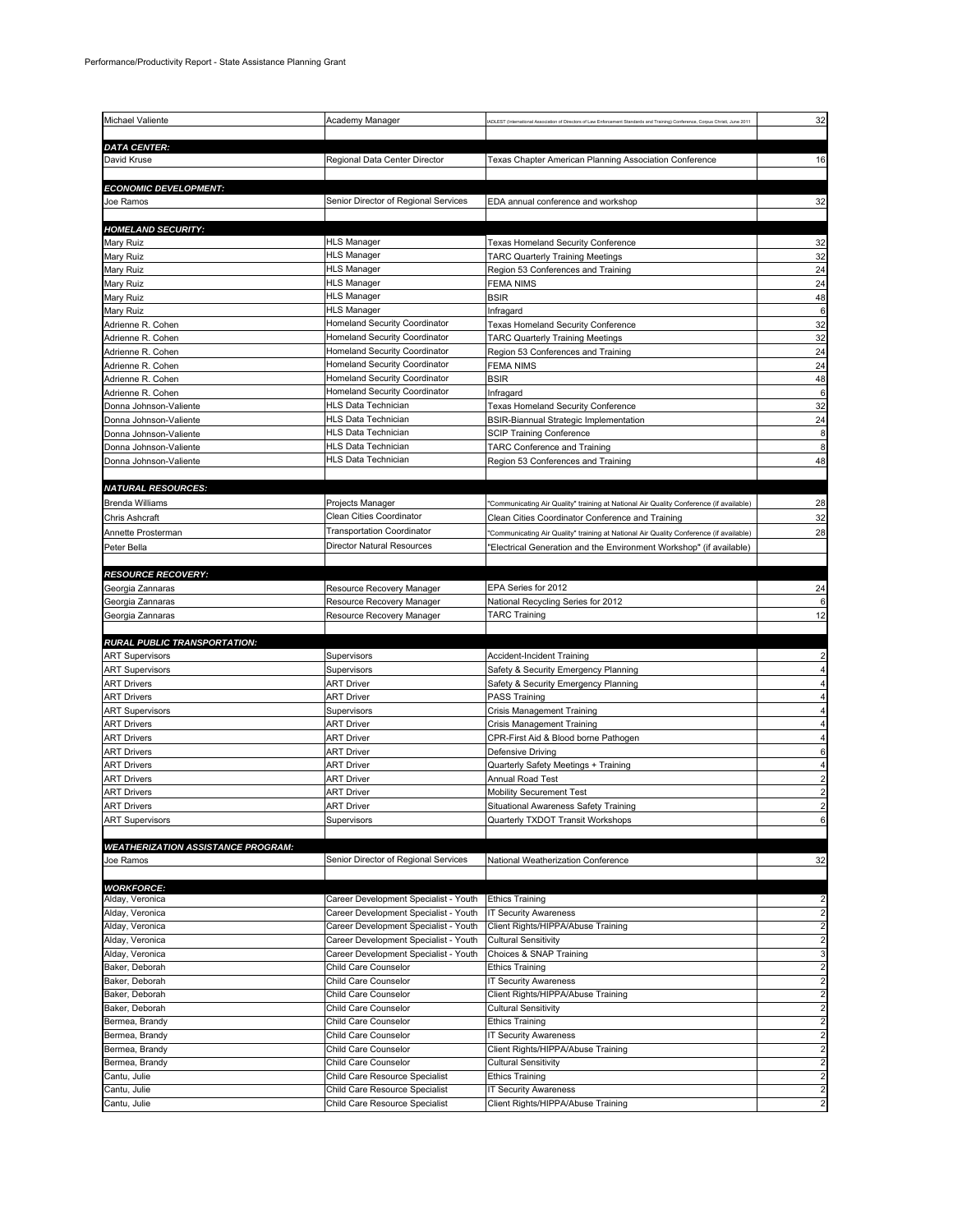| Michael Valiente                          |                                                                  |                                                                                                                                 |                         |
|-------------------------------------------|------------------------------------------------------------------|---------------------------------------------------------------------------------------------------------------------------------|-------------------------|
|                                           | Academy Manager                                                  | ADLEST (International Association of Directors of Law Enforcement Standards and Training) Conference, Corpus Christi, June 2011 | 32                      |
|                                           |                                                                  |                                                                                                                                 |                         |
| <b>DATA CENTER:</b>                       |                                                                  |                                                                                                                                 |                         |
| David Kruse                               | Regional Data Center Director                                    | Texas Chapter American Planning Association Conference                                                                          | 16                      |
|                                           |                                                                  |                                                                                                                                 |                         |
| <b>ECONOMIC DEVELOPMENT:</b>              |                                                                  |                                                                                                                                 |                         |
| Joe Ramos                                 | Senior Director of Regional Services                             | EDA annual conference and workshop                                                                                              | 32                      |
|                                           |                                                                  |                                                                                                                                 |                         |
| <b>HOMELAND SECURITY:</b>                 |                                                                  |                                                                                                                                 |                         |
| Mary Ruiz                                 | <b>HLS Manager</b>                                               | Texas Homeland Security Conference                                                                                              | 32                      |
|                                           | <b>HLS Manager</b>                                               |                                                                                                                                 |                         |
| Mary Ruiz                                 |                                                                  | TARC Quarterly Training Meetings                                                                                                | 32                      |
| Mary Ruiz                                 | HLS Manager                                                      | Region 53 Conferences and Training                                                                                              | 24                      |
| Mary Ruiz                                 | <b>HLS Manager</b>                                               | FEMA NIMS                                                                                                                       | 24                      |
| Mary Ruiz                                 | HLS Manager                                                      | <b>BSIR</b>                                                                                                                     | 48                      |
| Mary Ruiz                                 | HLS Manager                                                      | Infragard                                                                                                                       | 6                       |
| Adrienne R. Cohen                         | Homeland Security Coordinator                                    | Texas Homeland Security Conference                                                                                              | 32                      |
| Adrienne R. Cohen                         | Homeland Security Coordinator                                    | <b>TARC Quarterly Training Meetings</b>                                                                                         | 32                      |
| Adrienne R. Cohen                         | Homeland Security Coordinator                                    | Region 53 Conferences and Training                                                                                              | 24                      |
| Adrienne R. Cohen                         | Homeland Security Coordinator                                    | FEMA NIMS                                                                                                                       | 24                      |
| Adrienne R. Cohen                         | Homeland Security Coordinator                                    | BSIR                                                                                                                            | 48                      |
| Adrienne R. Cohen                         | Homeland Security Coordinator                                    | Infragard                                                                                                                       | 6                       |
| Donna Johnson-Valiente                    | HLS Data Technician                                              | Texas Homeland Security Conference                                                                                              | 32                      |
|                                           | HLS Data Technician                                              |                                                                                                                                 | 24                      |
| Donna Johnson-Valiente                    |                                                                  | BSIR-Biannual Strategic Implementation                                                                                          |                         |
| Donna Johnson-Valiente                    | HLS Data Technician                                              | <b>SCIP Training Conference</b>                                                                                                 | 8                       |
| Donna Johnson-Valiente                    | <b>HLS Data Technician</b>                                       | <b>TARC Conference and Training</b>                                                                                             | 8                       |
| Donna Johnson-Valiente                    | HLS Data Technician                                              | Region 53 Conferences and Training                                                                                              | 48                      |
|                                           |                                                                  |                                                                                                                                 |                         |
| <b>NATURAL RESOURCES:</b>                 |                                                                  |                                                                                                                                 |                         |
| <b>Brenda Williams</b>                    | Projects Manager                                                 | 'Communicating Air Quality" training at National Air Quality Conference (if available)                                          | 28                      |
| Chris Ashcraft                            | Clean Cities Coordinator                                         | Clean Cities Coordinator Conference and Training                                                                                | 32                      |
|                                           | <b>Transportation Coordinator</b>                                |                                                                                                                                 | 28                      |
| Annette Prosterman                        |                                                                  | 'Communicating Air Quality" training at National Air Quality Conference (if available)                                          |                         |
| Peter Bella                               | Director Natural Resources                                       | "Electrical Generation and the Environment Workshop" (if available)                                                             |                         |
|                                           |                                                                  |                                                                                                                                 |                         |
| <b>RESOURCE RECOVERY:</b>                 |                                                                  |                                                                                                                                 |                         |
| Georgia Zannaras                          | Resource Recovery Manager                                        | EPA Series for 2012                                                                                                             | 24                      |
| Georgia Zannaras                          | Resource Recovery Manager                                        | National Recycling Series for 2012                                                                                              |                         |
| Georgia Zannaras                          | Resource Recovery Manager                                        | TARC Training                                                                                                                   | 12                      |
|                                           |                                                                  |                                                                                                                                 |                         |
| <b>RURAL PUBLIC TRANSPORTATION:</b>       |                                                                  |                                                                                                                                 |                         |
| <b>ART Supervisors</b>                    | Supervisors                                                      | Accident-Incident Training                                                                                                      |                         |
| <b>ART Supervisors</b>                    | Supervisors                                                      | Safety & Security Emergency Planning                                                                                            |                         |
| <b>ART Drivers</b>                        | <b>ART Driver</b>                                                | Safety & Security Emergency Planning                                                                                            |                         |
|                                           |                                                                  |                                                                                                                                 |                         |
|                                           |                                                                  |                                                                                                                                 |                         |
| <b>ART Drivers</b>                        | <b>ART Driver</b>                                                | PASS Training                                                                                                                   |                         |
| <b>ART Supervisors</b>                    | Supervisors                                                      | Crisis Management Training                                                                                                      |                         |
| ART Drivers                               | ART Driver                                                       | Crisis Management Training                                                                                                      |                         |
| <b>ART Drivers</b>                        | <b>ART Driver</b>                                                | CPR-First Aid & Blood borne Pathogen                                                                                            |                         |
| <b>ART Drivers</b>                        | ART Driver                                                       | Defensive Driving                                                                                                               |                         |
| <b>ART Drivers</b>                        | ART Driver                                                       | Quarterly Safety Meetings + Training                                                                                            |                         |
| <b>ART Drivers</b>                        | <b>ART Driver</b>                                                | Annual Road Test                                                                                                                |                         |
| <b>ART Drivers</b>                        | <b>ART Driver</b>                                                | <b>Mobility Securement Test</b>                                                                                                 |                         |
| <b>ART Drivers</b>                        | <b>ART Driver</b>                                                | Situational Awareness Safety Training                                                                                           |                         |
| <b>ART Supervisors</b>                    | Supervisors                                                      |                                                                                                                                 | 6                       |
|                                           |                                                                  | Quarterly TXDOT Transit Workshops                                                                                               |                         |
|                                           |                                                                  |                                                                                                                                 |                         |
| <b>WEATHERIZATION ASSISTANCE PROGRAM:</b> |                                                                  |                                                                                                                                 |                         |
| Joe Ramos                                 | Senior Director of Regional Services                             | National Weatherization Conference                                                                                              | 32                      |
|                                           |                                                                  |                                                                                                                                 |                         |
| <b>WORKFORCE:</b>                         |                                                                  |                                                                                                                                 |                         |
| Alday, Veronica                           | Career Development Specialist - Youth                            | <b>Ethics Training</b>                                                                                                          | 2                       |
| Alday, Veronica                           | Career Development Specialist - Youth                            | <b>IT Security Awareness</b>                                                                                                    | 2                       |
| Alday, Veronica                           | Career Development Specialist - Youth                            | Client Rights/HIPPA/Abuse Training                                                                                              | $\overline{\mathbf{c}}$ |
| Alday, Veronica                           | Career Development Specialist - Youth                            | <b>Cultural Sensitivity</b>                                                                                                     | 2                       |
| Alday, Veronica                           | Career Development Specialist - Youth                            | Choices & SNAP Training                                                                                                         | 3                       |
| Baker, Deborah                            | Child Care Counselor                                             | <b>Ethics Training</b>                                                                                                          | 2                       |
| Baker, Deborah                            | Child Care Counselor                                             | IT Security Awareness                                                                                                           | 2                       |
| Baker, Deborah                            | Child Care Counselor                                             | Client Rights/HIPPA/Abuse Training                                                                                              | $\overline{\mathbf{c}}$ |
| Baker, Deborah                            | Child Care Counselor                                             | Cultural Sensitivity                                                                                                            | 2                       |
| Bermea, Brandy                            | Child Care Counselor                                             | <b>Ethics Training</b>                                                                                                          | 2                       |
| Bermea, Brandy                            | Child Care Counselor                                             | IT Security Awareness                                                                                                           | 2                       |
|                                           | Child Care Counselor                                             |                                                                                                                                 | 2                       |
| Bermea, Brandy                            |                                                                  | Client Rights/HIPPA/Abuse Training                                                                                              |                         |
| Bermea, Brandy                            | Child Care Counselor                                             | <b>Cultural Sensitivity</b>                                                                                                     | 2                       |
| Cantu, Julie                              | Child Care Resource Specialist                                   | Ethics Training                                                                                                                 | $\overline{\mathbf{c}}$ |
| Cantu, Julie<br>Cantu, Julie              | Child Care Resource Specialist<br>Child Care Resource Specialist | <b>IT Security Awareness</b><br>Client Rights/HIPPA/Abuse Training                                                              | 2<br>2                  |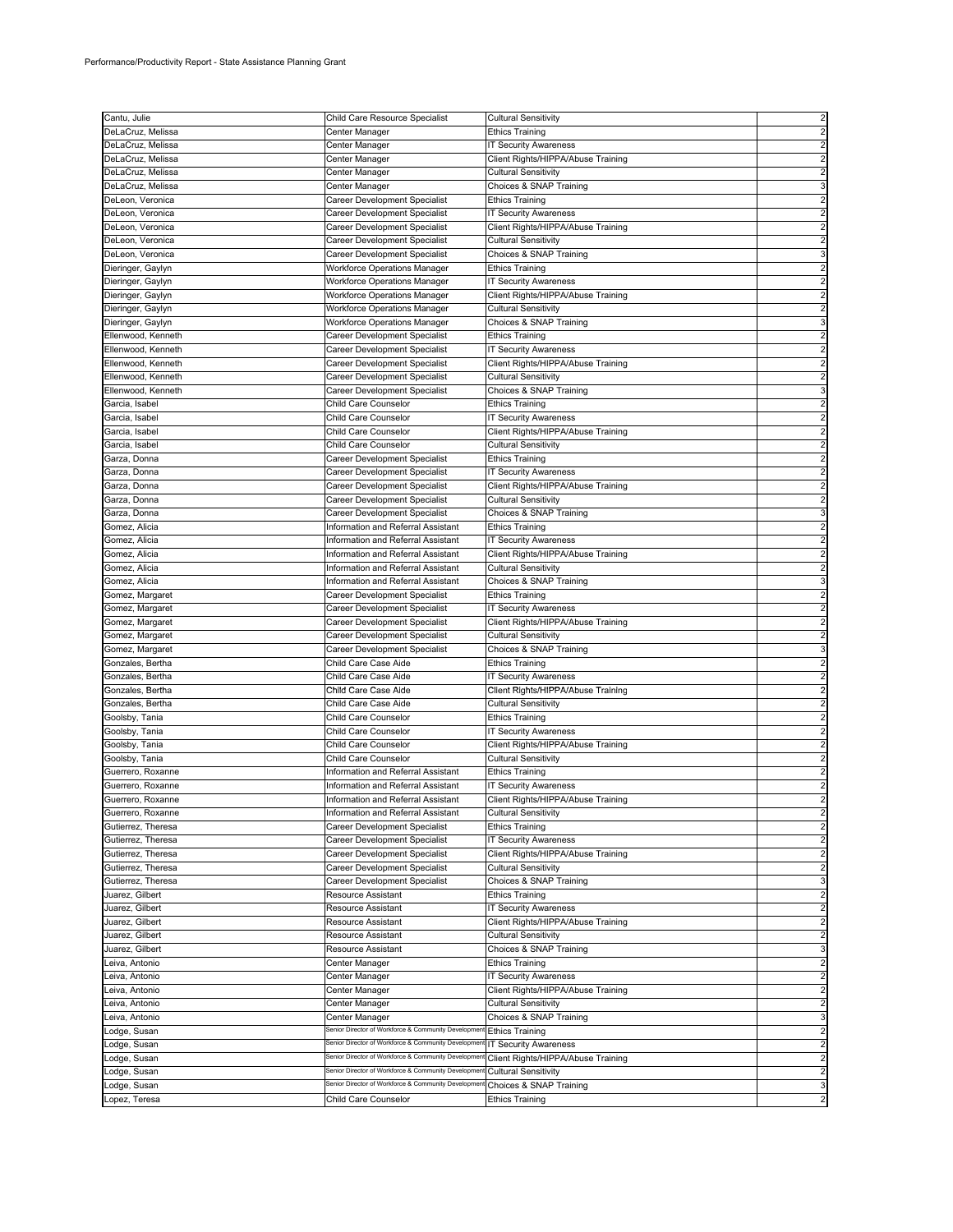| Cantu, Julie                             | Child Care Resource Specialist                                 | <b>Cultural Sensitivity</b>                                       | 2                                                  |
|------------------------------------------|----------------------------------------------------------------|-------------------------------------------------------------------|----------------------------------------------------|
| DeLaCruz, Melissa                        | Center Manager                                                 | <b>Ethics Training</b>                                            | $\overline{c}$                                     |
| DeLaCruz, Melissa                        | Center Manager                                                 | <b>IT Security Awareness</b>                                      | $\overline{c}$                                     |
| DeLaCruz, Melissa                        | Center Manager                                                 | Client Rights/HIPPA/Abuse Training                                | $\overline{c}$                                     |
| DeLaCruz, Melissa                        | Center Manager                                                 | <b>Cultural Sensitivity</b>                                       |                                                    |
| DeLaCruz, Melissa                        | Center Manager                                                 | Choices & SNAP Training                                           | 3                                                  |
| DeLeon, Veronica                         | Career Development Specialist                                  | <b>Ethics Training</b>                                            | 2                                                  |
| DeLeon, Veronica                         | Career Development Specialist                                  | <b>IT Security Awareness</b>                                      | $\overline{2}$                                     |
| DeLeon, Veronica                         | Career Development Specialist                                  | Client Rights/HIPPA/Abuse Training                                |                                                    |
| DeLeon, Veronica                         | Career Development Specialist                                  | <b>Cultural Sensitivity</b>                                       | $\overline{c}$                                     |
| DeLeon, Veronica                         | Career Development Specialist                                  | Choices & SNAP Training                                           | 3                                                  |
| Dieringer, Gaylyn                        | <b>Workforce Operations Manager</b>                            | <b>Ethics Training</b>                                            | $\overline{c}$                                     |
| Dieringer, Gaylyn                        | Workforce Operations Manager                                   | <b>IT Security Awareness</b>                                      | 2                                                  |
| Dieringer, Gaylyn                        | <b>Workforce Operations Manager</b>                            | Client Rights/HIPPA/Abuse Training                                | $\overline{c}$                                     |
| Dieringer, Gaylyn                        | Workforce Operations Manager                                   | <b>Cultural Sensitivity</b>                                       | $\overline{c}$<br>3                                |
| Dieringer, Gaylyn<br>Ellenwood, Kenneth  | Workforce Operations Manager<br>Career Development Specialist  | Choices & SNAP Training<br><b>Ethics Training</b>                 |                                                    |
| Ellenwood, Kenneth                       | Career Development Specialist                                  | <b>IT Security Awareness</b>                                      |                                                    |
| Ellenwood, Kenneth                       | Career Development Specialist                                  | Client Rights/HIPPA/Abuse Training                                | $\overline{a}$                                     |
| Ellenwood, Kenneth                       | Career Development Specialist                                  | <b>Cultural Sensitivity</b>                                       | $\overline{a}$                                     |
| Ellenwood, Kenneth                       | Career Development Specialist                                  | Choices & SNAP Training                                           | 3                                                  |
| Garcia, Isabel                           | Child Care Counselor                                           | <b>Ethics Training</b>                                            | $\overline{2}$                                     |
| Garcia, Isabel                           | Child Care Counselor                                           | <b>IT Security Awareness</b>                                      | $\overline{2}$                                     |
| Garcia, Isabel                           | Child Care Counselor                                           | Client Rights/HIPPA/Abuse Training                                | 2                                                  |
| Garcia, Isabel                           | Child Care Counselor                                           | <b>Cultural Sensitivity</b>                                       | 2                                                  |
| Garza, Donna                             | Career Development Specialist                                  | <b>Ethics Training</b>                                            | $\overline{c}$                                     |
| Garza, Donna                             | Career Development Specialist                                  | IT Security Awareness                                             | $\overline{c}$                                     |
| Garza, Donna                             | Career Development Specialist                                  | Client Rights/HIPPA/Abuse Training                                |                                                    |
| Garza, Donna                             | Career Development Specialist                                  | <b>Cultural Sensitivity</b>                                       |                                                    |
| Garza, Donna                             | Career Development Specialist                                  | Choices & SNAP Training                                           | 3                                                  |
| Gomez, Alicia                            | Information and Referral Assistant                             | <b>Ethics Training</b>                                            | 2                                                  |
| Gomez, Alicia                            | Information and Referral Assistant                             | <b>IT Security Awareness</b>                                      | 2                                                  |
| Gomez, Alicia                            | Information and Referral Assistant                             | Client Rights/HIPPA/Abuse Training                                | 2                                                  |
| Gomez, Alicia                            | Information and Referral Assistant                             | <b>Cultural Sensitivity</b>                                       | $\overline{2}$                                     |
| Gomez, Alicia                            | Information and Referral Assistant                             | Choices & SNAP Training                                           |                                                    |
| Gomez, Margaret                          | Career Development Specialist                                  | <b>Ethics Training</b>                                            | 2                                                  |
| Gomez, Margaret                          | Career Development Specialist                                  | <b>IT Security Awareness</b>                                      | 2                                                  |
| Gomez, Margaret                          | Career Development Specialist                                  | Client Rights/HIPPA/Abuse Training                                | 2                                                  |
| Gomez, Margaret                          | Career Development Specialist                                  | <b>Cultural Sensitivity</b>                                       | 2                                                  |
| Gomez, Margaret                          | Career Development Specialist                                  | Choices & SNAP Training                                           | 3                                                  |
| Gonzales, Bertha                         | Child Care Case Aide                                           | <b>Ethics Training</b>                                            | $\overline{c}$                                     |
| Gonzales, Bertha                         | Child Care Case Aide                                           | <b>IT Security Awareness</b>                                      |                                                    |
| Gonzales, Bertha                         | Child Care Case Aide                                           | Client Rights/HIPPA/Abuse Training                                |                                                    |
| Gonzales, Bertha                         | Child Care Case Aide                                           | <b>Cultural Sensitivity</b>                                       | 2                                                  |
| Goolsby, Tania                           | Child Care Counselor                                           | <b>Ethics Training</b>                                            | $\overline{c}$                                     |
| Goolsby, Tania                           | Child Care Counselor                                           | <b>IT Security Awareness</b>                                      |                                                    |
| Goolsby, Tania                           | Child Care Counselor                                           | Client Rights/HIPPA/Abuse Training                                | $\overline{2}$                                     |
| Goolsby, Tania                           | Child Care Counselor                                           | <b>Cultural Sensitivity</b>                                       | $\overline{c}$                                     |
| Guerrero, Roxanne                        | Information and Referral Assistant                             | <b>Ethics Training</b>                                            | $\overline{c}$                                     |
| Guerrero, Roxanne                        | Information and Referral Assistant                             | IT Security Awareness                                             | 2                                                  |
| Guerrero, Roxanne                        | Information and Referral Assistant                             | Client Rights/HIPPA/Abuse Training                                | $\overline{c}$                                     |
| Guerrero, Roxanne                        | Information and Referral Assistant                             | <b>Cultural Sensitivity</b>                                       | 2                                                  |
| Gutierrez, Theresa<br>Gutierrez, Theresa | Career Development Specialist<br>Career Development Specialist | <b>Ethics Training</b>                                            | $\overline{\mathbf{c}}$<br>$\overline{\mathbf{c}}$ |
|                                          |                                                                | <b>IT Security Awareness</b>                                      | $\overline{c}$                                     |
| Gutierrez, Theresa<br>Gutierrez, Theresa | Career Development Specialist<br>Career Development Specialist | Client Rights/HIPPA/Abuse Training<br><b>Cultural Sensitivity</b> | $\overline{\mathbf{c}}$                            |
| Gutierrez, Theresa                       | Career Development Specialist                                  | Choices & SNAP Training                                           | 3                                                  |
| Juarez, Gilbert                          | <b>Resource Assistant</b>                                      | <b>Ethics Training</b>                                            | $\overline{\mathbf{c}}$                            |
| Juarez, Gilbert                          | Resource Assistant                                             | <b>IT Security Awareness</b>                                      | $\overline{2}$                                     |
| Juarez, Gilbert                          | Resource Assistant                                             | Client Rights/HIPPA/Abuse Training                                | $\overline{\mathbf{c}}$                            |
| Juarez, Gilbert                          | Resource Assistant                                             | <b>Cultural Sensitivity</b>                                       | $\overline{\mathbf{c}}$                            |
| Juarez, Gilbert                          | Resource Assistant                                             | Choices & SNAP Training                                           | 3                                                  |
| Leiva, Antonio                           | Center Manager                                                 | <b>Ethics Training</b>                                            | $\overline{\mathbf{c}}$                            |
| Leiva, Antonio                           | Center Manager                                                 | <b>IT Security Awareness</b>                                      | $\overline{\mathbf{c}}$                            |
| Leiva, Antonio                           | Center Manager                                                 | Client Rights/HIPPA/Abuse Training                                | $\overline{2}$                                     |
| Leiva, Antonio                           | Center Manager                                                 | <b>Cultural Sensitivity</b>                                       | $\overline{\mathbf{c}}$                            |
| Leiva, Antonio                           | Center Manager                                                 | Choices & SNAP Training                                           | 3                                                  |
| Lodge, Susan                             | Senior Director of Workforce & Community Developmen            | <b>Ethics Training</b>                                            | $\overline{c}$                                     |
| Lodge, Susan                             | Senior Director of Workforce & Community Developmen            | <b>IT Security Awareness</b>                                      | $\overline{\mathbf{c}}$                            |
| Lodge, Susan                             | Senior Director of Workforce & Community Developmer            | Client Rights/HIPPA/Abuse Training                                | $\overline{\mathbf{c}}$                            |
| Lodge, Susan                             | Senior Director of Workforce & Community Developmer            | <b>Cultural Sensitivity</b>                                       | $\overline{\mathbf{c}}$                            |
| Lodge, Susan                             | Senior Director of Workforce & Community Developmen            | Choices & SNAP Training                                           | 3                                                  |
| Lopez, Teresa                            | Child Care Counselor                                           | <b>Ethics Training</b>                                            | $\overline{\mathbf{c}}$                            |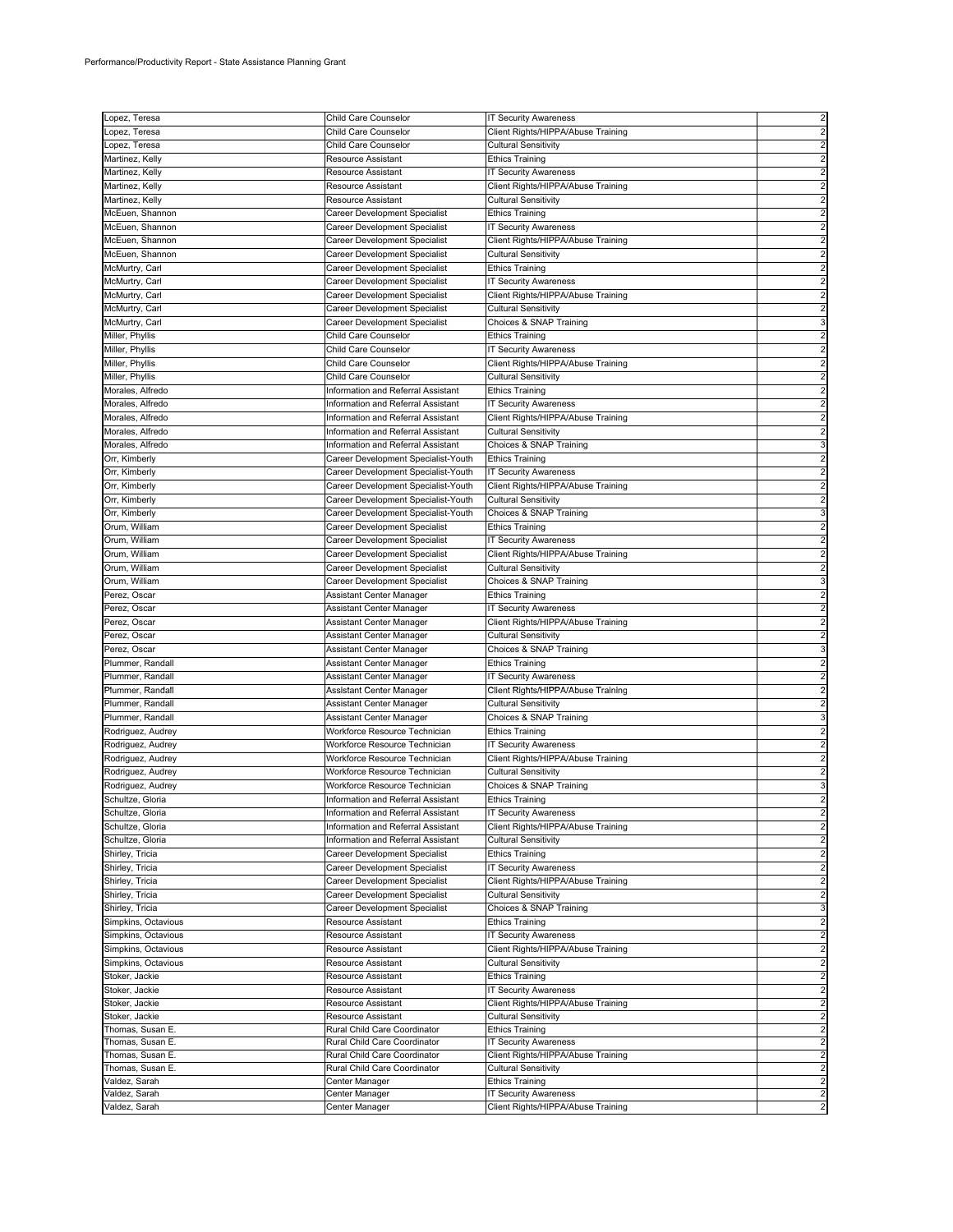| Lopez, Teresa       | Child Care Counselor                | <b>IT Security Awareness</b>       | $\overline{c}$          |
|---------------------|-------------------------------------|------------------------------------|-------------------------|
| Lopez, Teresa       | Child Care Counselor                | Client Rights/HIPPA/Abuse Training |                         |
| Lopez, Teresa       | Child Care Counselor                | Cultural Sensitivity               |                         |
| Martinez, Kelly     | Resource Assistant                  | <b>Ethics Training</b>             |                         |
| Martinez, Kelly     | Resource Assistant                  | <b>IT Security Awareness</b>       |                         |
| Martinez, Kelly     | Resource Assistant                  | Client Rights/HIPPA/Abuse Training |                         |
|                     | <b>Resource Assistant</b>           |                                    | 2                       |
| Martinez, Kelly     |                                     | <b>Cultural Sensitivity</b>        |                         |
| McEuen, Shannon     | Career Development Specialist       | <b>Ethics Training</b>             |                         |
| McEuen, Shannon     | Career Development Specialist       | <b>IT Security Awareness</b>       |                         |
| McEuen, Shannon     | Career Development Specialist       | Client Rights/HIPPA/Abuse Training |                         |
| McEuen, Shannon     | Career Development Specialist       | <b>Cultural Sensitivity</b>        |                         |
| McMurtry, Carl      | Career Development Specialist       | <b>Ethics Training</b>             |                         |
| McMurtry, Carl      | Career Development Specialist       | <b>IT Security Awareness</b>       | $\overline{2}$          |
| McMurtry, Carl      | Career Development Specialist       | Client Rights/HIPPA/Abuse Training |                         |
| McMurtry, Carl      | Career Development Specialist       | Cultural Sensitivity               |                         |
| McMurtry, Carl      | Career Development Specialist       | Choices & SNAP Training            |                         |
| Miller, Phyllis     | Child Care Counselor                | <b>Ethics Training</b>             |                         |
| Miller, Phyllis     | Child Care Counselor                | <b>IT Security Awareness</b>       |                         |
| Miller, Phyllis     | Child Care Counselor                | Client Rights/HIPPA/Abuse Training | $\overline{2}$          |
| Miller, Phyllis     | Child Care Counselor                | <b>Cultural Sensitivity</b>        | $\overline{2}$          |
|                     |                                     |                                    |                         |
| Morales, Alfredo    | Information and Referral Assistant  | <b>Ethics Training</b>             |                         |
| Morales, Alfredo    | Information and Referral Assistant  | IT Security Awareness              |                         |
| Morales, Alfredo    | Information and Referral Assistant  | Client Rights/HIPPA/Abuse Training |                         |
| Morales, Alfredo    | Information and Referral Assistant  | <b>Cultural Sensitivity</b>        |                         |
| Morales, Alfredo    | Information and Referral Assistant  | Choices & SNAP Training            |                         |
| Orr, Kimberly       | Career Development Specialist-Youth | <b>Ethics Training</b>             | $\overline{2}$          |
| Orr, Kimberly       | Career Development Specialist-Youth | <b>IT Security Awareness</b>       |                         |
| Orr, Kimberly       | Career Development Specialist-Youth | Client Rights/HIPPA/Abuse Training |                         |
| Orr, Kimberly       | Career Development Specialist-Youth | <b>Cultural Sensitivity</b>        |                         |
| Orr, Kimberly       | Career Development Specialist-Youth | Choices & SNAP Training            |                         |
| Orum, William       | Career Development Specialist       | <b>Ethics Training</b>             |                         |
|                     |                                     | <b>IT Security Awareness</b>       | $\overline{c}$          |
| Orum, William       | Career Development Specialist       |                                    |                         |
| Orum, William       | Career Development Specialist       | Client Rights/HIPPA/Abuse Training |                         |
| Orum, William       | Career Development Specialist       | <b>Cultural Sensitivity</b>        | $\overline{2}$          |
| Orum, William       | Career Development Specialist       | Choices & SNAP Training            |                         |
| Perez, Oscar        | Assistant Center Manager            | <b>Ethics Training</b>             |                         |
| Perez, Oscar        | Assistant Center Manager            | <b>IT Security Awareness</b>       |                         |
| Perez, Oscar        | Assistant Center Manager            | Client Rights/HIPPA/Abuse Training | $\overline{2}$          |
| Perez, Oscar        | Assistant Center Manager            | <b>Cultural Sensitivity</b>        |                         |
| Perez, Oscar        | Assistant Center Manager            | Choices & SNAP Training            |                         |
| Plummer, Randall    | Assistant Center Manager            | <b>Ethics Training</b>             |                         |
| Plummer, Randall    | Assistant Center Manager            | <b>IT Security Awareness</b>       |                         |
|                     |                                     |                                    |                         |
| Plummer, Randall    | Assistant Center Manager            | Client Rights/HIPPA/Abuse Training |                         |
| Plummer, Randall    | Assistant Center Manager            | <b>Cultural Sensitivity</b>        | 2                       |
| Plummer, Randall    | Assistant Center Manager            | Choices & SNAP Training            |                         |
| Rodriguez, Audrey   | Workforce Resource Technician       | <b>Ethics Training</b>             |                         |
| Rodriguez, Audrey   | Workforce Resource Technician       | IT Security Awareness              |                         |
| Rodriguez, Audrey   | Workforce Resource Technician       | Client Rights/HIPPA/Abuse Training | $\overline{c}$          |
| Rodriguez, Audrey   | Workforce Resource Technician       | Cultural Sensitivity               |                         |
| Rodriguez, Audrey   | Workforce Resource Technician       | Choices & SNAP Training            | 3                       |
| Schultze, Gloria    | Information and Referral Assistant  | <b>Ethics Training</b>             | $\overline{c}$          |
| Schultze, Gloria    | Information and Referral Assistant  | <b>IT Security Awareness</b>       | $\overline{\mathbf{c}}$ |
| Schultze, Gloria    | Information and Referral Assistant  | Client Rights/HIPPA/Abuse Training | $\overline{\mathbf{c}}$ |
| Schultze, Gloria    | Information and Referral Assistant  | <b>Cultural Sensitivity</b>        | $\overline{c}$          |
| Shirley, Tricia     | Career Development Specialist       | <b>Ethics Training</b>             | $\overline{2}$          |
|                     | Career Development Specialist       |                                    | $\overline{2}$          |
| Shirley, Tricia     |                                     | <b>IT Security Awareness</b>       |                         |
| Shirley, Tricia     | Career Development Specialist       | Client Rights/HIPPA/Abuse Training | $\overline{\mathbf{c}}$ |
| Shirley, Tricia     | Career Development Specialist       | <b>Cultural Sensitivity</b>        | $\overline{c}$          |
| Shirley, Tricia     | Career Development Specialist       | Choices & SNAP Training            | 3                       |
| Simpkins, Octavious | <b>Resource Assistant</b>           | <b>Ethics Training</b>             | $\overline{c}$          |
| Simpkins, Octavious | Resource Assistant                  | <b>IT Security Awareness</b>       | $\overline{c}$          |
| Simpkins, Octavious | <b>Resource Assistant</b>           | Client Rights/HIPPA/Abuse Training | $\overline{2}$          |
| Simpkins, Octavious | Resource Assistant                  | <b>Cultural Sensitivity</b>        | $\overline{2}$          |
| Stoker, Jackie      | Resource Assistant                  | <b>Ethics Training</b>             | $\overline{c}$          |
| Stoker, Jackie      | Resource Assistant                  | <b>IT Security Awareness</b>       | $\overline{2}$          |
| Stoker, Jackie      | <b>Resource Assistant</b>           | Client Rights/HIPPA/Abuse Training | $\overline{2}$          |
| Stoker, Jackie      | Resource Assistant                  | <b>Cultural Sensitivity</b>        | $\overline{2}$          |
| Thomas, Susan E.    | Rural Child Care Coordinator        | <b>Ethics Training</b>             | $\overline{2}$          |
| Thomas, Susan E.    | Rural Child Care Coordinator        | <b>T Security Awareness</b>        | $\overline{2}$          |
| Thomas, Susan E.    | Rural Child Care Coordinator        | Client Rights/HIPPA/Abuse Training | $\overline{2}$          |
|                     |                                     |                                    | $\overline{\mathbf{c}}$ |
| Thomas, Susan E.    | Rural Child Care Coordinator        | <b>Cultural Sensitivity</b>        |                         |
| Valdez, Sarah       | Center Manager                      | <b>Ethics Training</b>             | $\overline{c}$          |
| Valdez, Sarah       | Center Manager                      | <b>IT Security Awareness</b>       |                         |
| Valdez, Sarah       | Center Manager                      | Client Rights/HIPPA/Abuse Training | $\overline{\mathbf{c}}$ |